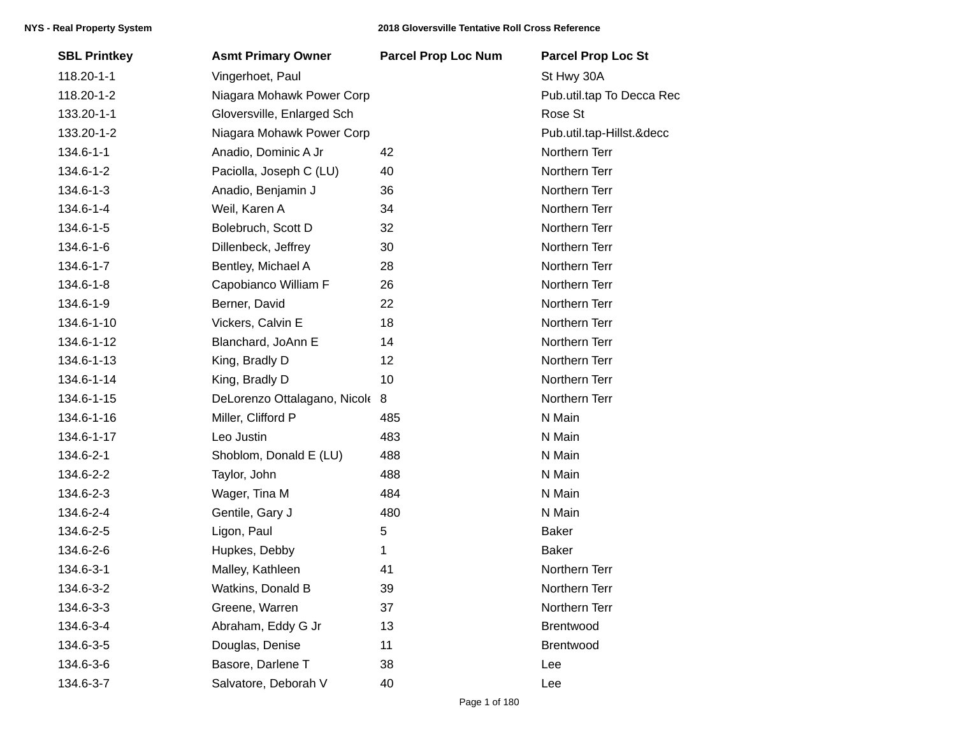| <b>SBL Printkey</b> | <b>Asmt Primary Owner</b>      | <b>Parcel Prop Loc Num</b> | <b>Parcel Prop Loc St</b> |
|---------------------|--------------------------------|----------------------------|---------------------------|
| 118.20-1-1          | Vingerhoet, Paul               |                            | St Hwy 30A                |
| 118.20-1-2          | Niagara Mohawk Power Corp      |                            | Pub.util.tap To Decca Rec |
| 133.20-1-1          | Gloversville, Enlarged Sch     |                            | Rose St                   |
| 133.20-1-2          | Niagara Mohawk Power Corp      |                            | Pub.util.tap-Hillst.&decc |
| 134.6-1-1           | Anadio, Dominic A Jr           | 42                         | Northern Terr             |
| 134.6-1-2           | Paciolla, Joseph C (LU)        | 40                         | Northern Terr             |
| 134.6-1-3           | Anadio, Benjamin J             | 36                         | Northern Terr             |
| 134.6-1-4           | Weil, Karen A                  | 34                         | Northern Terr             |
| 134.6-1-5           | Bolebruch, Scott D             | 32                         | Northern Terr             |
| 134.6-1-6           | Dillenbeck, Jeffrey            | 30                         | Northern Terr             |
| 134.6-1-7           | Bentley, Michael A             | 28                         | Northern Terr             |
| 134.6-1-8           | Capobianco William F           | 26                         | Northern Terr             |
| 134.6-1-9           | Berner, David                  | 22                         | Northern Terr             |
| 134.6-1-10          | Vickers, Calvin E              | 18                         | Northern Terr             |
| 134.6-1-12          | Blanchard, JoAnn E             | 14                         | Northern Terr             |
| 134.6-1-13          | King, Bradly D                 | 12                         | Northern Terr             |
| 134.6-1-14          | King, Bradly D                 | 10                         | Northern Terr             |
| 134.6-1-15          | DeLorenzo Ottalagano, Nicole 8 |                            | Northern Terr             |
| 134.6-1-16          | Miller, Clifford P             | 485                        | N Main                    |
| 134.6-1-17          | Leo Justin                     | 483                        | N Main                    |
| 134.6-2-1           | Shoblom, Donald E (LU)         | 488                        | N Main                    |
| 134.6-2-2           | Taylor, John                   | 488                        | N Main                    |
| 134.6-2-3           | Wager, Tina M                  | 484                        | N Main                    |
| 134.6-2-4           | Gentile, Gary J                | 480                        | N Main                    |
| 134.6-2-5           | Ligon, Paul                    | 5                          | <b>Baker</b>              |
| 134.6-2-6           | Hupkes, Debby                  | 1                          | <b>Baker</b>              |
| 134.6-3-1           | Malley, Kathleen               | 41                         | Northern Terr             |
| 134.6-3-2           | Watkins, Donald B              | 39                         | Northern Terr             |
| 134.6-3-3           | Greene, Warren                 | 37                         | Northern Terr             |
| 134.6-3-4           | Abraham, Eddy G Jr             | 13                         | Brentwood                 |
| 134.6-3-5           | Douglas, Denise                | 11                         | Brentwood                 |
| 134.6-3-6           | Basore, Darlene T              | 38                         | Lee                       |
| 134.6-3-7           | Salvatore, Deborah V           | 40                         | Lee                       |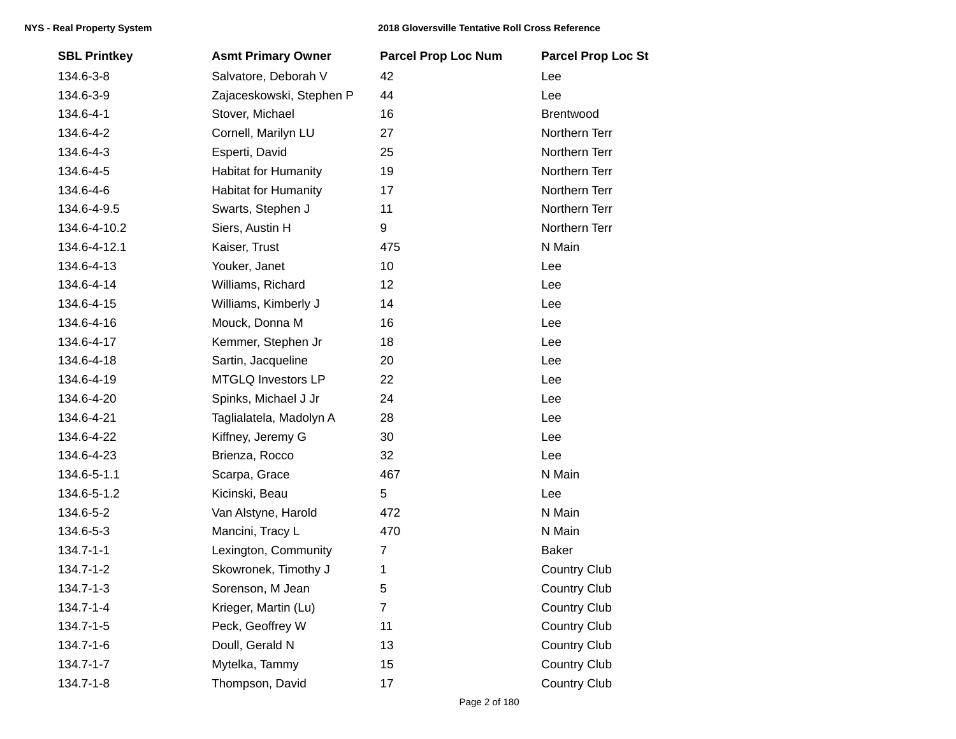| <b>SBL Printkey</b> | <b>Asmt Primary Owner</b>   | <b>Parcel Prop Loc Num</b> | <b>Parcel Prop Loc St</b> |
|---------------------|-----------------------------|----------------------------|---------------------------|
| 134.6-3-8           | Salvatore, Deborah V        | 42                         | Lee                       |
| 134.6-3-9           | Zajaceskowski, Stephen P    | 44                         | Lee                       |
| 134.6-4-1           | Stover, Michael             | 16                         | Brentwood                 |
| 134.6-4-2           | Cornell, Marilyn LU         | 27                         | Northern Terr             |
| 134.6-4-3           | Esperti, David              | 25                         | Northern Terr             |
| 134.6-4-5           | <b>Habitat for Humanity</b> | 19                         | Northern Terr             |
| 134.6-4-6           | <b>Habitat for Humanity</b> | 17                         | Northern Terr             |
| 134.6-4-9.5         | Swarts, Stephen J           | 11                         | Northern Terr             |
| 134.6-4-10.2        | Siers, Austin H             | 9                          | Northern Terr             |
| 134.6-4-12.1        | Kaiser, Trust               | 475                        | N Main                    |
| 134.6-4-13          | Youker, Janet               | 10                         | Lee                       |
| 134.6-4-14          | Williams, Richard           | 12                         | Lee                       |
| 134.6-4-15          | Williams, Kimberly J        | 14                         | Lee                       |
| 134.6-4-16          | Mouck, Donna M              | 16                         | Lee                       |
| 134.6-4-17          | Kemmer, Stephen Jr          | 18                         | Lee                       |
| 134.6-4-18          | Sartin, Jacqueline          | 20                         | Lee                       |
| 134.6-4-19          | <b>MTGLQ Investors LP</b>   | 22                         | Lee                       |
| 134.6-4-20          | Spinks, Michael J Jr        | 24                         | Lee                       |
| 134.6-4-21          | Taglialatela, Madolyn A     | 28                         | Lee                       |
| 134.6-4-22          | Kiffney, Jeremy G           | 30                         | Lee                       |
| 134.6-4-23          | Brienza, Rocco              | 32                         | Lee                       |
| 134.6-5-1.1         | Scarpa, Grace               | 467                        | N Main                    |
| 134.6-5-1.2         | Kicinski, Beau              | 5                          | Lee                       |
| 134.6-5-2           | Van Alstyne, Harold         | 472                        | N Main                    |
| 134.6-5-3           | Mancini, Tracy L            | 470                        | N Main                    |
| $134.7 - 1 - 1$     | Lexington, Community        | 7                          | <b>Baker</b>              |
| 134.7-1-2           | Skowronek, Timothy J        | 1                          | <b>Country Club</b>       |
| 134.7-1-3           | Sorenson, M Jean            | 5                          | <b>Country Club</b>       |
| 134.7-1-4           | Krieger, Martin (Lu)        | $\overline{7}$             | <b>Country Club</b>       |
| 134.7-1-5           | Peck, Geoffrey W            | 11                         | <b>Country Club</b>       |
| 134.7-1-6           | Doull, Gerald N             | 13                         | <b>Country Club</b>       |
| 134.7-1-7           | Mytelka, Tammy              | 15                         | <b>Country Club</b>       |
| 134.7-1-8           | Thompson, David             | 17                         | <b>Country Club</b>       |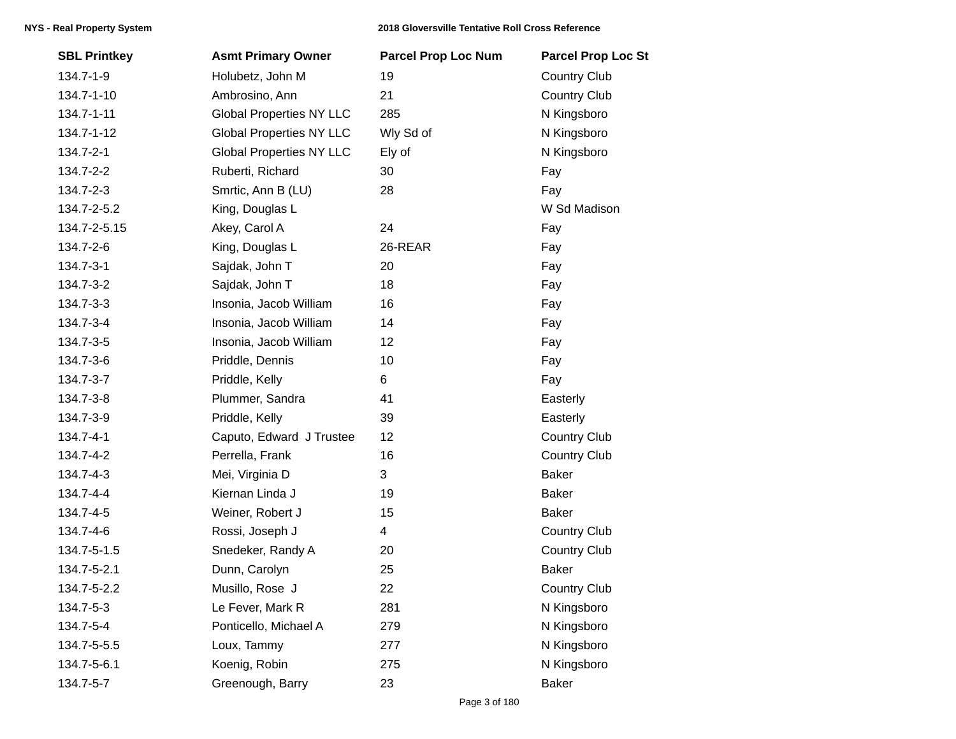## **NYS - Real Property System 2018 Gloversville Tentative Roll Cross Reference**

| <b>SBL Printkey</b> | <b>Asmt Primary Owner</b>       | <b>Parcel Prop Loc Num</b> | <b>Parcel Prop Loc St</b> |
|---------------------|---------------------------------|----------------------------|---------------------------|
| 134.7-1-9           | Holubetz, John M                | 19                         | <b>Country Club</b>       |
| 134.7-1-10          | Ambrosino, Ann                  | 21                         | <b>Country Club</b>       |
| 134.7-1-11          | <b>Global Properties NY LLC</b> | 285                        | N Kingsboro               |
| 134.7-1-12          | <b>Global Properties NY LLC</b> | Wly Sd of                  | N Kingsboro               |
| 134.7-2-1           | <b>Global Properties NY LLC</b> | Ely of                     | N Kingsboro               |
| 134.7-2-2           | Ruberti, Richard                | 30                         | Fay                       |
| 134.7-2-3           | Smrtic, Ann B (LU)              | 28                         | Fay                       |
| 134.7-2-5.2         | King, Douglas L                 |                            | W Sd Madison              |
| 134.7-2-5.15        | Akey, Carol A                   | 24                         | Fay                       |
| 134.7-2-6           | King, Douglas L                 | 26-REAR                    | Fay                       |
| 134.7-3-1           | Sajdak, John T                  | 20                         | Fay                       |
| 134.7-3-2           | Sajdak, John T                  | 18                         | Fay                       |
| 134.7-3-3           | Insonia, Jacob William          | 16                         | Fay                       |
| 134.7-3-4           | Insonia, Jacob William          | 14                         | Fay                       |
| 134.7-3-5           | Insonia, Jacob William          | 12                         | Fay                       |
| 134.7-3-6           | Priddle, Dennis                 | 10                         | Fay                       |
| 134.7-3-7           | Priddle, Kelly                  | 6                          | Fay                       |
| 134.7-3-8           | Plummer, Sandra                 | 41                         | Easterly                  |
| 134.7-3-9           | Priddle, Kelly                  | 39                         | Easterly                  |
| 134.7-4-1           | Caputo, Edward J Trustee        | 12                         | Country Club              |
| 134.7-4-2           | Perrella, Frank                 | 16                         | Country Club              |
| 134.7-4-3           | Mei, Virginia D                 | 3                          | <b>Baker</b>              |
| 134.7-4-4           | Kiernan Linda J                 | 19                         | <b>Baker</b>              |
| 134.7-4-5           | Weiner, Robert J                | 15                         | <b>Baker</b>              |
| 134.7-4-6           | Rossi, Joseph J                 | 4                          | Country Club              |
| 134.7-5-1.5         | Snedeker, Randy A               | 20                         | <b>Country Club</b>       |
| 134.7-5-2.1         | Dunn, Carolyn                   | 25                         | <b>Baker</b>              |
| 134.7-5-2.2         | Musillo, Rose J                 | 22                         | Country Club              |
| 134.7-5-3           | Le Fever, Mark R                | 281                        | N Kingsboro               |
| 134.7-5-4           | Ponticello, Michael A           | 279                        | N Kingsboro               |
| 134.7-5-5.5         | Loux, Tammy                     | 277                        | N Kingsboro               |
| 134.7-5-6.1         | Koenig, Robin                   | 275                        | N Kingsboro               |
| 134.7-5-7           | Greenough, Barry                | 23                         | <b>Baker</b>              |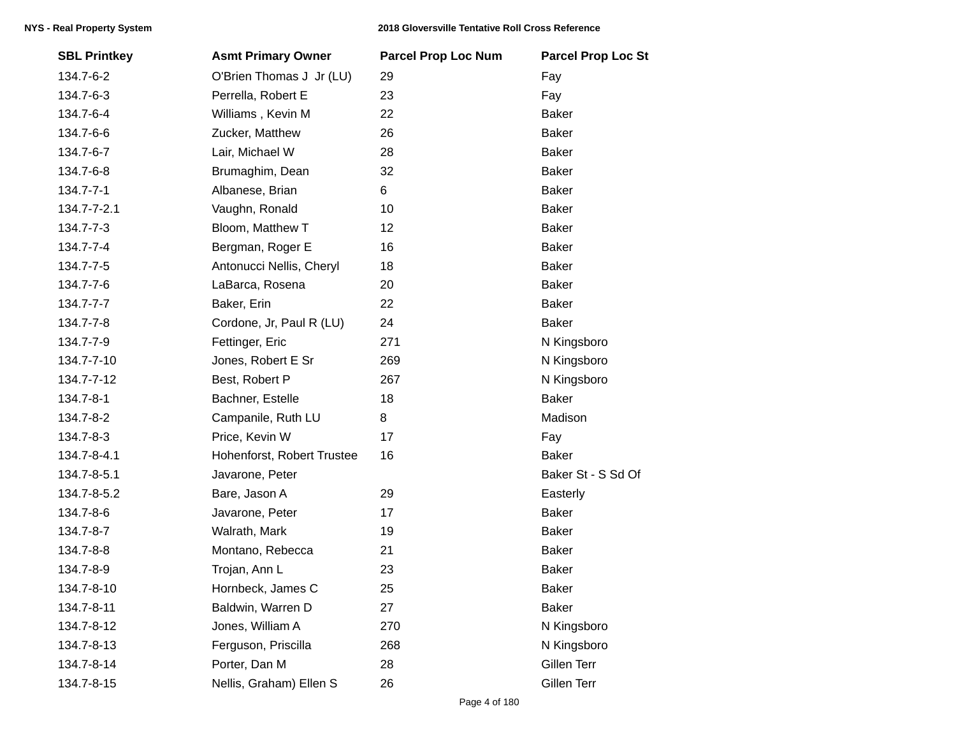| <b>SBL Printkey</b> | <b>Asmt Primary Owner</b>  | <b>Parcel Prop Loc Num</b> | <b>Parcel Prop Loc St</b> |
|---------------------|----------------------------|----------------------------|---------------------------|
| 134.7-6-2           | O'Brien Thomas J Jr (LU)   | 29                         | Fay                       |
| 134.7-6-3           | Perrella, Robert E         | 23                         | Fay                       |
| 134.7-6-4           | Williams, Kevin M          | 22                         | <b>Baker</b>              |
| 134.7-6-6           | Zucker, Matthew            | 26                         | <b>Baker</b>              |
| 134.7-6-7           | Lair, Michael W            | 28                         | Baker                     |
| 134.7-6-8           | Brumaghim, Dean            | 32                         | <b>Baker</b>              |
| 134.7-7-1           | Albanese, Brian            | 6                          | <b>Baker</b>              |
| 134.7-7-2.1         | Vaughn, Ronald             | 10                         | <b>Baker</b>              |
| 134.7-7-3           | Bloom, Matthew T           | 12                         | Baker                     |
| 134.7-7-4           | Bergman, Roger E           | 16                         | Baker                     |
| 134.7-7-5           | Antonucci Nellis, Cheryl   | 18                         | Baker                     |
| 134.7-7-6           | LaBarca, Rosena            | 20                         | Baker                     |
| 134.7-7-7           | Baker, Erin                | 22                         | <b>Baker</b>              |
| 134.7-7-8           | Cordone, Jr, Paul R (LU)   | 24                         | <b>Baker</b>              |
| 134.7-7-9           | Fettinger, Eric            | 271                        | N Kingsboro               |
| 134.7-7-10          | Jones, Robert E Sr         | 269                        | N Kingsboro               |
| 134.7-7-12          | Best, Robert P             | 267                        | N Kingsboro               |
| 134.7-8-1           | Bachner, Estelle           | 18                         | <b>Baker</b>              |
| 134.7-8-2           | Campanile, Ruth LU         | 8                          | Madison                   |
| 134.7-8-3           | Price, Kevin W             | 17                         | Fay                       |
| 134.7-8-4.1         | Hohenforst, Robert Trustee | 16                         | <b>Baker</b>              |
| 134.7-8-5.1         | Javarone, Peter            |                            | Baker St - S Sd Of        |
| 134.7-8-5.2         | Bare, Jason A              | 29                         | Easterly                  |
| 134.7-8-6           | Javarone, Peter            | 17                         | <b>Baker</b>              |
| 134.7-8-7           | Walrath, Mark              | 19                         | <b>Baker</b>              |
| 134.7-8-8           | Montano, Rebecca           | 21                         | <b>Baker</b>              |
| 134.7-8-9           | Trojan, Ann L              | 23                         | <b>Baker</b>              |
| 134.7-8-10          | Hornbeck, James C          | 25                         | Baker                     |
| 134.7-8-11          | Baldwin, Warren D          | 27                         | <b>Baker</b>              |
| 134.7-8-12          | Jones, William A           | 270                        | N Kingsboro               |
| 134.7-8-13          | Ferguson, Priscilla        | 268                        | N Kingsboro               |
| 134.7-8-14          | Porter, Dan M              | 28                         | Gillen Terr               |
| 134.7-8-15          | Nellis, Graham) Ellen S    | 26                         | Gillen Terr               |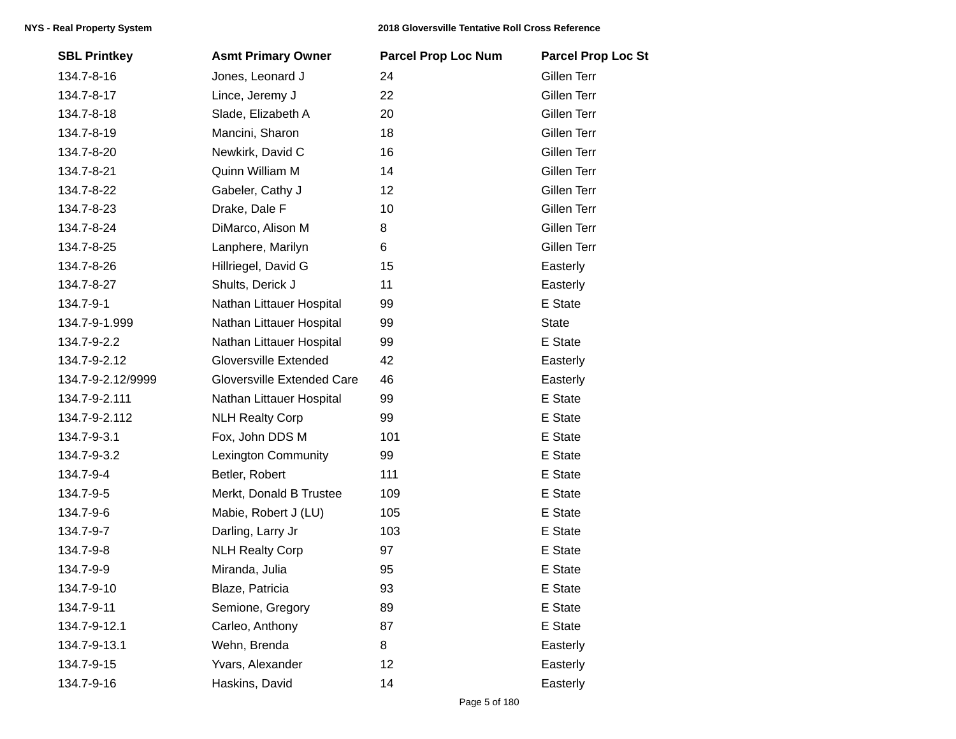| <b>SBL Printkey</b> | <b>Asmt Primary Owner</b>  | <b>Parcel Prop Loc Num</b> | <b>Parcel Prop Loc St</b> |
|---------------------|----------------------------|----------------------------|---------------------------|
| 134.7-8-16          | Jones, Leonard J           | 24                         | Gillen Terr               |
| 134.7-8-17          | Lince, Jeremy J            | 22                         | Gillen Terr               |
| 134.7-8-18          | Slade, Elizabeth A         | 20                         | Gillen Terr               |
| 134.7-8-19          | Mancini, Sharon            | 18                         | Gillen Terr               |
| 134.7-8-20          | Newkirk, David C           | 16                         | Gillen Terr               |
| 134.7-8-21          | Quinn William M            | 14                         | Gillen Terr               |
| 134.7-8-22          | Gabeler, Cathy J           | 12                         | Gillen Terr               |
| 134.7-8-23          | Drake, Dale F              | 10                         | Gillen Terr               |
| 134.7-8-24          | DiMarco, Alison M          | 8                          | Gillen Terr               |
| 134.7-8-25          | Lanphere, Marilyn          | 6                          | Gillen Terr               |
| 134.7-8-26          | Hillriegel, David G        | 15                         | Easterly                  |
| 134.7-8-27          | Shults, Derick J           | 11                         | Easterly                  |
| 134.7-9-1           | Nathan Littauer Hospital   | 99                         | E State                   |
| 134.7-9-1.999       | Nathan Littauer Hospital   | 99                         | <b>State</b>              |
| 134.7-9-2.2         | Nathan Littauer Hospital   | 99                         | E State                   |
| 134.7-9-2.12        | Gloversville Extended      | 42                         | Easterly                  |
| 134.7-9-2.12/9999   | Gloversville Extended Care | 46                         | Easterly                  |
| 134.7-9-2.111       | Nathan Littauer Hospital   | 99                         | E State                   |
| 134.7-9-2.112       | <b>NLH Realty Corp</b>     | 99                         | E State                   |
| 134.7-9-3.1         | Fox, John DDS M            | 101                        | E State                   |
| 134.7-9-3.2         | Lexington Community        | 99                         | E State                   |
| 134.7-9-4           | Betler, Robert             | 111                        | E State                   |
| 134.7-9-5           | Merkt, Donald B Trustee    | 109                        | E State                   |
| 134.7-9-6           | Mabie, Robert J (LU)       | 105                        | E State                   |
| 134.7-9-7           | Darling, Larry Jr          | 103                        | E State                   |
| 134.7-9-8           | <b>NLH Realty Corp</b>     | 97                         | E State                   |
| 134.7-9-9           | Miranda, Julia             | 95                         | E State                   |
| 134.7-9-10          | Blaze, Patricia            | 93                         | E State                   |
| 134.7-9-11          | Semione, Gregory           | 89                         | E State                   |
| 134.7-9-12.1        | Carleo, Anthony            | 87                         | E State                   |
| 134.7-9-13.1        | Wehn, Brenda               | 8                          | Easterly                  |
| 134.7-9-15          | Yvars, Alexander           | 12                         | Easterly                  |
| 134.7-9-16          | Haskins, David             | 14                         | Easterly                  |
|                     |                            |                            |                           |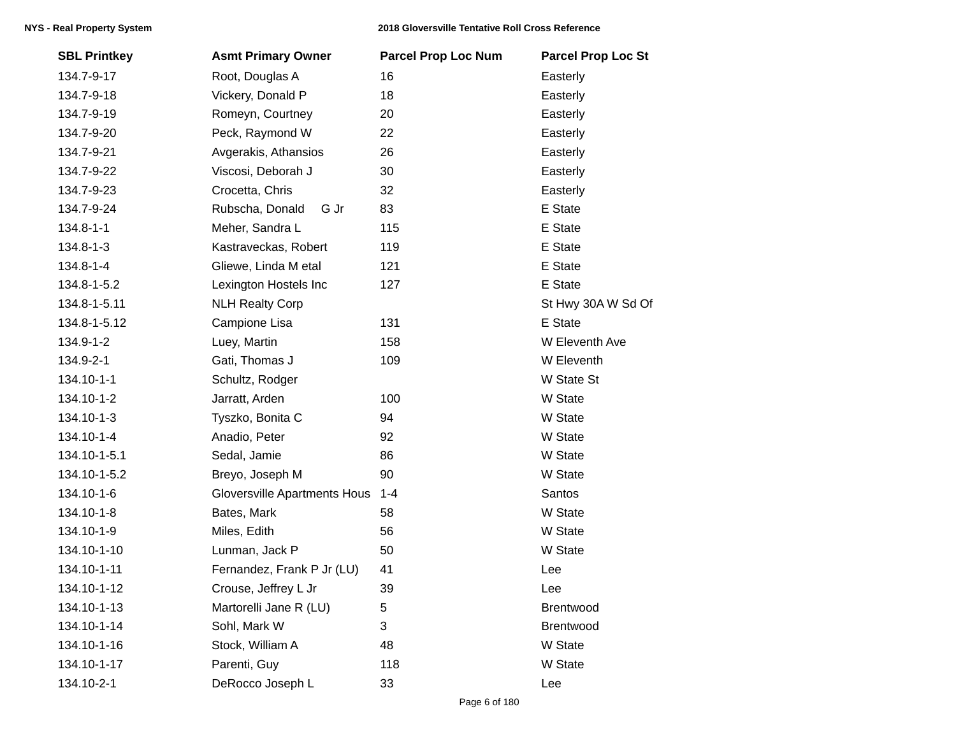| <b>SBL Printkey</b> | <b>Asmt Primary Owner</b>    | <b>Parcel Prop Loc Num</b> | <b>Parcel Prop Loc St</b> |
|---------------------|------------------------------|----------------------------|---------------------------|
| 134.7-9-17          | Root, Douglas A              | 16                         | Easterly                  |
| 134.7-9-18          | Vickery, Donald P            | 18                         | Easterly                  |
| 134.7-9-19          | Romeyn, Courtney             | 20                         | Easterly                  |
| 134.7-9-20          | Peck, Raymond W              | 22                         | Easterly                  |
| 134.7-9-21          | Avgerakis, Athansios         | 26                         | Easterly                  |
| 134.7-9-22          | Viscosi, Deborah J           | 30                         | Easterly                  |
| 134.7-9-23          | Crocetta, Chris              | 32                         | Easterly                  |
| 134.7-9-24          | Rubscha, Donald<br>G Jr      | 83                         | E State                   |
| 134.8-1-1           | Meher, Sandra L              | 115                        | E State                   |
| 134.8-1-3           | Kastraveckas, Robert         | 119                        | E State                   |
| 134.8-1-4           | Gliewe, Linda M etal         | 121                        | E State                   |
| 134.8-1-5.2         | Lexington Hostels Inc        | 127                        | E State                   |
| 134.8-1-5.11        | <b>NLH Realty Corp</b>       |                            | St Hwy 30A W Sd Of        |
| 134.8-1-5.12        | Campione Lisa                | 131                        | E State                   |
| 134.9-1-2           | Luey, Martin                 | 158                        | W Eleventh Ave            |
| 134.9-2-1           | Gati, Thomas J               | 109                        | W Eleventh                |
| 134.10-1-1          | Schultz, Rodger              |                            | W State St                |
| 134.10-1-2          | Jarratt, Arden               | 100                        | W State                   |
| 134.10-1-3          | Tyszko, Bonita C             | 94                         | W State                   |
| 134.10-1-4          | Anadio, Peter                | 92                         | W State                   |
| 134.10-1-5.1        | Sedal, Jamie                 | 86                         | W State                   |
| 134.10-1-5.2        | Breyo, Joseph M              | 90                         | W State                   |
| 134.10-1-6          | Gloversville Apartments Hous | $1 - 4$                    | Santos                    |
| 134.10-1-8          | Bates, Mark                  | 58                         | W State                   |
| 134.10-1-9          | Miles, Edith                 | 56                         | W State                   |
| 134.10-1-10         | Lunman, Jack P               | 50                         | W State                   |
| 134.10-1-11         | Fernandez, Frank P Jr (LU)   | 41                         | Lee                       |
| 134.10-1-12         | Crouse, Jeffrey L Jr         | 39                         | Lee                       |
| 134.10-1-13         | Martorelli Jane R (LU)       | 5                          | <b>Brentwood</b>          |
| 134.10-1-14         | Sohl, Mark W                 | 3                          | Brentwood                 |
| 134.10-1-16         | Stock, William A             | 48                         | W State                   |
| 134.10-1-17         | Parenti, Guy                 | 118                        | W State                   |
| 134.10-2-1          | DeRocco Joseph L             | 33                         | Lee                       |
|                     |                              |                            |                           |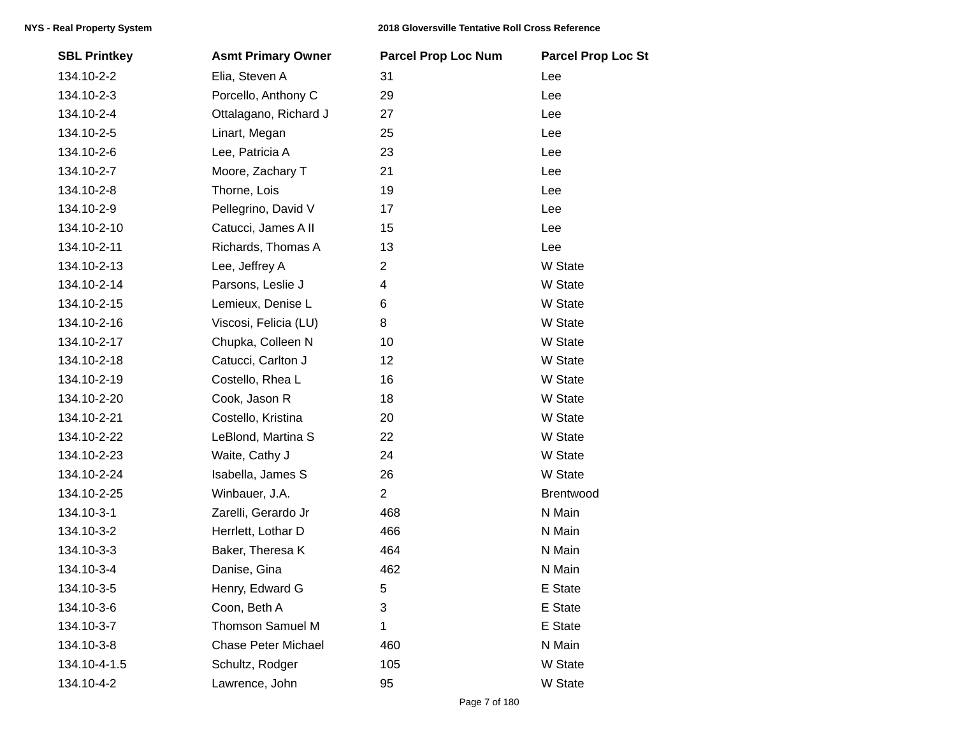| <b>SBL Printkey</b> | <b>Asmt Primary Owner</b>  | <b>Parcel Prop Loc Num</b> | <b>Parcel Prop Loc St</b> |
|---------------------|----------------------------|----------------------------|---------------------------|
| 134.10-2-2          | Elia, Steven A             | 31                         | Lee                       |
| 134.10-2-3          | Porcello, Anthony C        | 29                         | Lee                       |
| 134.10-2-4          | Ottalagano, Richard J      | 27                         | Lee                       |
| 134.10-2-5          | Linart, Megan              | 25                         | Lee                       |
| 134.10-2-6          | Lee, Patricia A            | 23                         | Lee                       |
| 134.10-2-7          | Moore, Zachary T           | 21                         | Lee                       |
| 134.10-2-8          | Thorne, Lois               | 19                         | Lee                       |
| 134.10-2-9          | Pellegrino, David V        | 17                         | Lee                       |
| 134.10-2-10         | Catucci, James A II        | 15                         | Lee                       |
| 134.10-2-11         | Richards, Thomas A         | 13                         | Lee                       |
| 134.10-2-13         | Lee, Jeffrey A             | $\overline{2}$             | W State                   |
| 134.10-2-14         | Parsons, Leslie J          | 4                          | W State                   |
| 134.10-2-15         | Lemieux, Denise L          | 6                          | W State                   |
| 134.10-2-16         | Viscosi, Felicia (LU)      | 8                          | W State                   |
| 134.10-2-17         | Chupka, Colleen N          | 10                         | W State                   |
| 134.10-2-18         | Catucci, Carlton J         | 12                         | W State                   |
| 134.10-2-19         | Costello, Rhea L           | 16                         | W State                   |
| 134.10-2-20         | Cook, Jason R              | 18                         | W State                   |
| 134.10-2-21         | Costello, Kristina         | 20                         | W State                   |
| 134.10-2-22         | LeBlond, Martina S         | 22                         | W State                   |
| 134.10-2-23         | Waite, Cathy J             | 24                         | W State                   |
| 134.10-2-24         | Isabella, James S          | 26                         | W State                   |
| 134.10-2-25         | Winbauer, J.A.             | $\overline{2}$             | Brentwood                 |
| 134.10-3-1          | Zarelli, Gerardo Jr        | 468                        | N Main                    |
| 134.10-3-2          | Herrlett, Lothar D         | 466                        | N Main                    |
| 134.10-3-3          | Baker, Theresa K           | 464                        | N Main                    |
| 134.10-3-4          | Danise, Gina               | 462                        | N Main                    |
| 134.10-3-5          | Henry, Edward G            | 5                          | E State                   |
| 134.10-3-6          | Coon, Beth A               | 3                          | E State                   |
| 134.10-3-7          | <b>Thomson Samuel M</b>    | 1                          | E State                   |
| 134.10-3-8          | <b>Chase Peter Michael</b> | 460                        | N Main                    |
| 134.10-4-1.5        | Schultz, Rodger            | 105                        | W State                   |
| 134.10-4-2          | Lawrence, John             | 95                         | W State                   |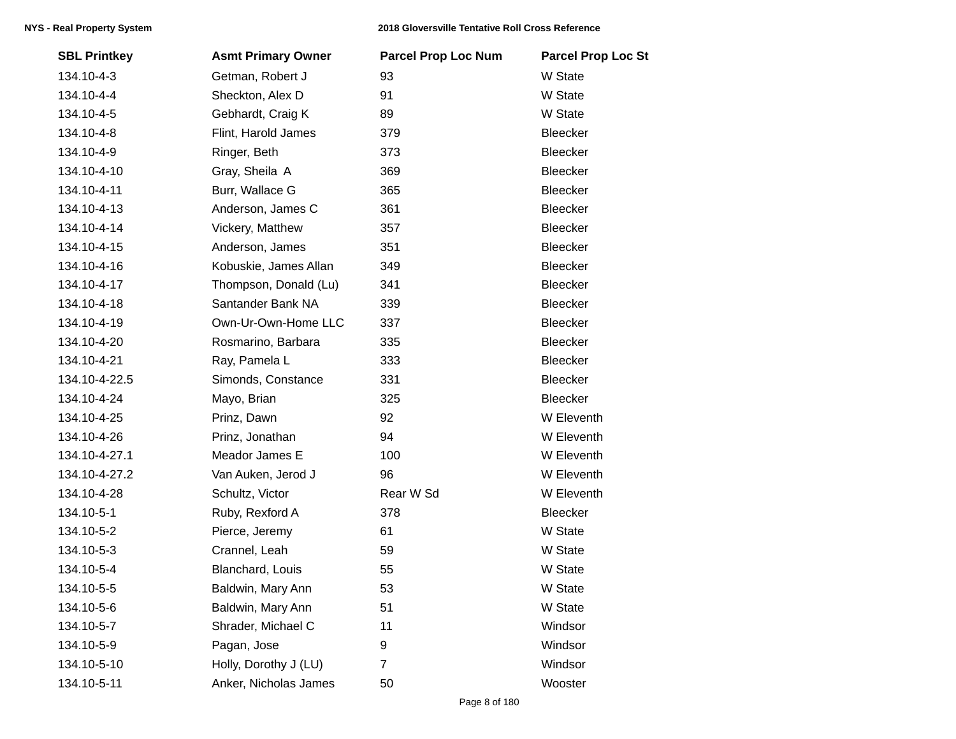| <b>SBL Printkey</b> | <b>Asmt Primary Owner</b> | <b>Parcel Prop Loc Num</b> | <b>Parcel Prop Loc St</b> |
|---------------------|---------------------------|----------------------------|---------------------------|
| 134.10-4-3          | Getman, Robert J          | 93                         | W State                   |
| 134.10-4-4          | Sheckton, Alex D          | 91                         | W State                   |
| 134.10-4-5          | Gebhardt, Craig K         | 89                         | W State                   |
| 134.10-4-8          | Flint, Harold James       | 379                        | Bleecker                  |
| 134.10-4-9          | Ringer, Beth              | 373                        | Bleecker                  |
| 134.10-4-10         | Gray, Sheila A            | 369                        | Bleecker                  |
| 134.10-4-11         | Burr, Wallace G           | 365                        | <b>Bleecker</b>           |
| 134.10-4-13         | Anderson, James C         | 361                        | Bleecker                  |
| 134.10-4-14         | Vickery, Matthew          | 357                        | Bleecker                  |
| 134.10-4-15         | Anderson, James           | 351                        | Bleecker                  |
| 134.10-4-16         | Kobuskie, James Allan     | 349                        | Bleecker                  |
| 134.10-4-17         | Thompson, Donald (Lu)     | 341                        | Bleecker                  |
| 134.10-4-18         | Santander Bank NA         | 339                        | <b>Bleecker</b>           |
| 134.10-4-19         | Own-Ur-Own-Home LLC       | 337                        | <b>Bleecker</b>           |
| 134.10-4-20         | Rosmarino, Barbara        | 335                        | Bleecker                  |
| 134.10-4-21         | Ray, Pamela L             | 333                        | Bleecker                  |
| 134.10-4-22.5       | Simonds, Constance        | 331                        | Bleecker                  |
| 134.10-4-24         | Mayo, Brian               | 325                        | Bleecker                  |
| 134.10-4-25         | Prinz, Dawn               | 92                         | W Eleventh                |
| 134.10-4-26         | Prinz, Jonathan           | 94                         | W Eleventh                |
| 134.10-4-27.1       | Meador James E            | 100                        | W Eleventh                |
| 134.10-4-27.2       | Van Auken, Jerod J        | 96                         | W Eleventh                |
| 134.10-4-28         | Schultz, Victor           | Rear W Sd                  | W Eleventh                |
| 134.10-5-1          | Ruby, Rexford A           | 378                        | Bleecker                  |
| 134.10-5-2          | Pierce, Jeremy            | 61                         | W State                   |
| 134.10-5-3          | Crannel, Leah             | 59                         | W State                   |
| 134.10-5-4          | Blanchard, Louis          | 55                         | W State                   |
| 134.10-5-5          | Baldwin, Mary Ann         | 53                         | W State                   |
| 134.10-5-6          | Baldwin, Mary Ann         | 51                         | W State                   |
| 134.10-5-7          | Shrader, Michael C        | 11                         | Windsor                   |
| 134.10-5-9          | Pagan, Jose               | 9                          | Windsor                   |
| 134.10-5-10         | Holly, Dorothy J (LU)     | $\overline{7}$             | Windsor                   |
| 134.10-5-11         | Anker, Nicholas James     | 50                         | Wooster                   |
|                     |                           |                            |                           |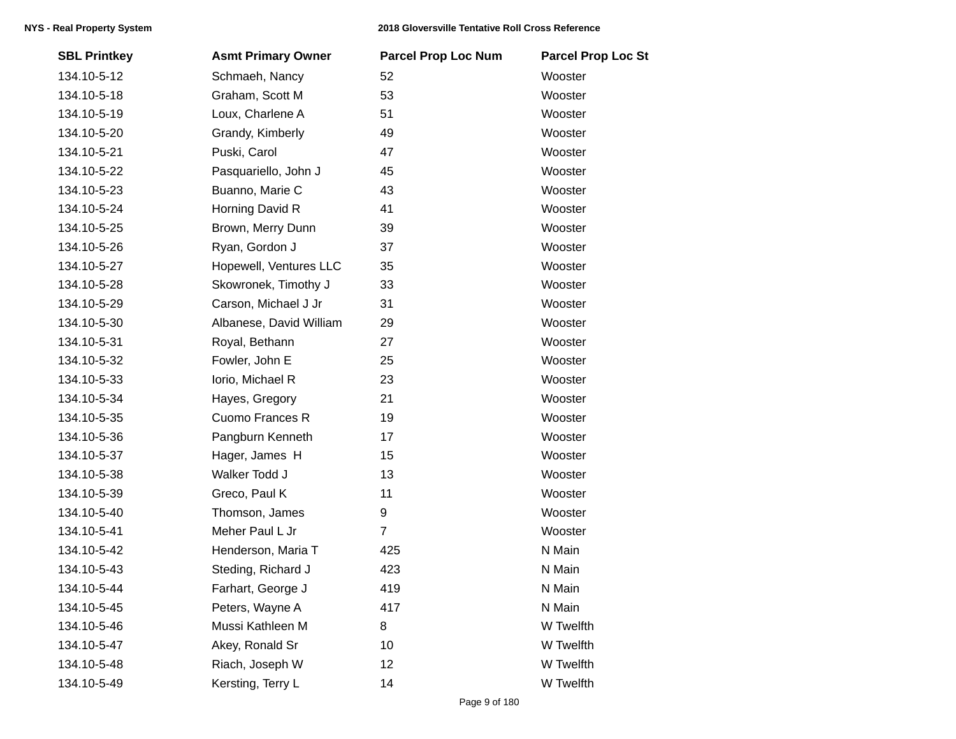| <b>SBL Printkey</b> | <b>Asmt Primary Owner</b> | <b>Parcel Prop Loc Num</b> | <b>Parcel Prop Loc St</b> |
|---------------------|---------------------------|----------------------------|---------------------------|
| 134.10-5-12         | Schmaeh, Nancy            | 52                         | Wooster                   |
| 134.10-5-18         | Graham, Scott M           | 53                         | Wooster                   |
| 134.10-5-19         | Loux, Charlene A          | 51                         | Wooster                   |
| 134.10-5-20         | Grandy, Kimberly          | 49                         | Wooster                   |
| 134.10-5-21         | Puski, Carol              | 47                         | Wooster                   |
| 134.10-5-22         | Pasquariello, John J      | 45                         | Wooster                   |
| 134.10-5-23         | Buanno, Marie C           | 43                         | Wooster                   |
| 134.10-5-24         | Horning David R           | 41                         | Wooster                   |
| 134.10-5-25         | Brown, Merry Dunn         | 39                         | Wooster                   |
| 134.10-5-26         | Ryan, Gordon J            | 37                         | Wooster                   |
| 134.10-5-27         | Hopewell, Ventures LLC    | 35                         | Wooster                   |
| 134.10-5-28         | Skowronek, Timothy J      | 33                         | Wooster                   |
| 134.10-5-29         | Carson, Michael J Jr      | 31                         | Wooster                   |
| 134.10-5-30         | Albanese, David William   | 29                         | Wooster                   |
| 134.10-5-31         | Royal, Bethann            | 27                         | Wooster                   |
| 134.10-5-32         | Fowler, John E            | 25                         | Wooster                   |
| 134.10-5-33         | lorio, Michael R          | 23                         | Wooster                   |
| 134.10-5-34         | Hayes, Gregory            | 21                         | Wooster                   |
| 134.10-5-35         | Cuomo Frances R           | 19                         | Wooster                   |
| 134.10-5-36         | Pangburn Kenneth          | 17                         | Wooster                   |
| 134.10-5-37         | Hager, James H            | 15                         | Wooster                   |
| 134.10-5-38         | Walker Todd J             | 13                         | Wooster                   |
| 134.10-5-39         | Greco, Paul K             | 11                         | Wooster                   |
| 134.10-5-40         | Thomson, James            | 9                          | Wooster                   |
| 134.10-5-41         | Meher Paul L Jr           | $\overline{7}$             | Wooster                   |
| 134.10-5-42         | Henderson, Maria T        | 425                        | N Main                    |
| 134.10-5-43         | Steding, Richard J        | 423                        | N Main                    |
| 134.10-5-44         | Farhart, George J         | 419                        | N Main                    |
| 134.10-5-45         | Peters, Wayne A           | 417                        | N Main                    |
| 134.10-5-46         | Mussi Kathleen M          | 8                          | W Twelfth                 |
| 134.10-5-47         | Akey, Ronald Sr           | 10                         | W Twelfth                 |
| 134.10-5-48         | Riach, Joseph W           | 12                         | W Twelfth                 |
| 134.10-5-49         | Kersting, Terry L         | 14                         | W Twelfth                 |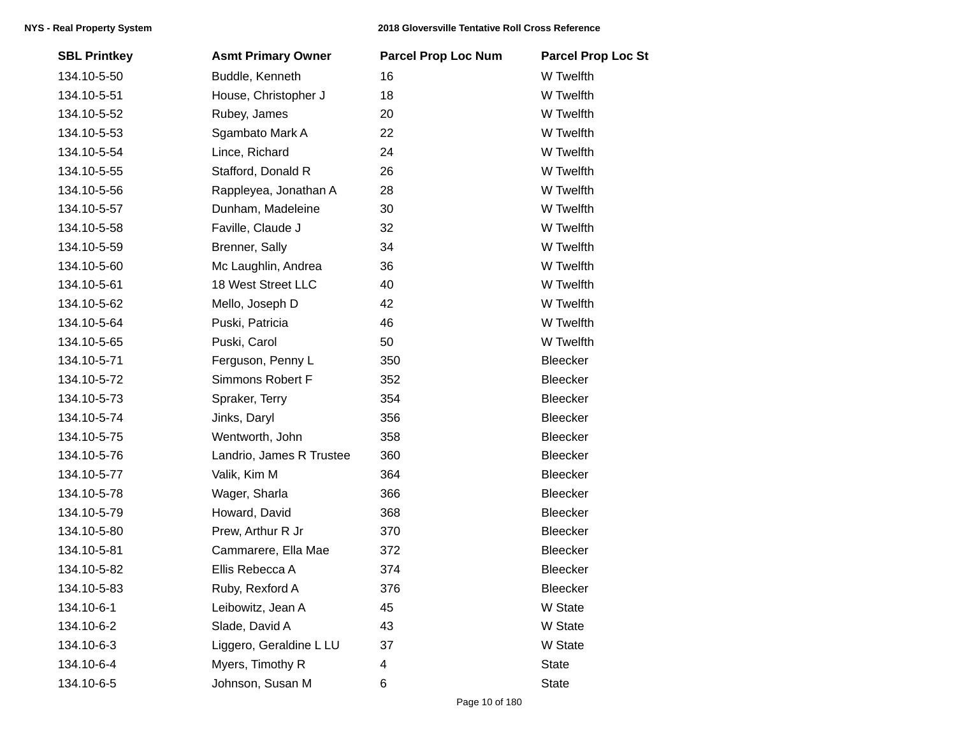| <b>SBL Printkey</b> | <b>Asmt Primary Owner</b> | <b>Parcel Prop Loc Num</b> | <b>Parcel Prop Loc St</b> |
|---------------------|---------------------------|----------------------------|---------------------------|
| 134.10-5-50         | Buddle, Kenneth           | 16                         | W Twelfth                 |
| 134.10-5-51         | House, Christopher J      | 18                         | W Twelfth                 |
| 134.10-5-52         | Rubey, James              | 20                         | W Twelfth                 |
| 134.10-5-53         | Sgambato Mark A           | 22                         | W Twelfth                 |
| 134.10-5-54         | Lince, Richard            | 24                         | W Twelfth                 |
| 134.10-5-55         | Stafford, Donald R        | 26                         | W Twelfth                 |
| 134.10-5-56         | Rappleyea, Jonathan A     | 28                         | W Twelfth                 |
| 134.10-5-57         | Dunham, Madeleine         | 30                         | W Twelfth                 |
| 134.10-5-58         | Faville, Claude J         | 32                         | W Twelfth                 |
| 134.10-5-59         | Brenner, Sally            | 34                         | W Twelfth                 |
| 134.10-5-60         | Mc Laughlin, Andrea       | 36                         | W Twelfth                 |
| 134.10-5-61         | 18 West Street LLC        | 40                         | W Twelfth                 |
| 134.10-5-62         | Mello, Joseph D           | 42                         | W Twelfth                 |
| 134.10-5-64         | Puski, Patricia           | 46                         | W Twelfth                 |
| 134.10-5-65         | Puski, Carol              | 50                         | W Twelfth                 |
| 134.10-5-71         | Ferguson, Penny L         | 350                        | Bleecker                  |
| 134.10-5-72         | Simmons Robert F          | 352                        | Bleecker                  |
| 134.10-5-73         | Spraker, Terry            | 354                        | Bleecker                  |
| 134.10-5-74         | Jinks, Daryl              | 356                        | Bleecker                  |
| 134.10-5-75         | Wentworth, John           | 358                        | Bleecker                  |
| 134.10-5-76         | Landrio, James R Trustee  | 360                        | Bleecker                  |
| 134.10-5-77         | Valik, Kim M              | 364                        | Bleecker                  |
| 134.10-5-78         | Wager, Sharla             | 366                        | Bleecker                  |
| 134.10-5-79         | Howard, David             | 368                        | Bleecker                  |
| 134.10-5-80         | Prew, Arthur R Jr         | 370                        | Bleecker                  |
| 134.10-5-81         | Cammarere, Ella Mae       | 372                        | Bleecker                  |
| 134.10-5-82         | Ellis Rebecca A           | 374                        | Bleecker                  |
| 134.10-5-83         | Ruby, Rexford A           | 376                        | Bleecker                  |
| 134.10-6-1          | Leibowitz, Jean A         | 45                         | W State                   |
| 134.10-6-2          | Slade, David A            | 43                         | W State                   |
| 134.10-6-3          | Liggero, Geraldine L LU   | 37                         | W State                   |
| 134.10-6-4          | Myers, Timothy R          | 4                          | <b>State</b>              |
| 134.10-6-5          | Johnson, Susan M          | 6                          | <b>State</b>              |
|                     |                           |                            |                           |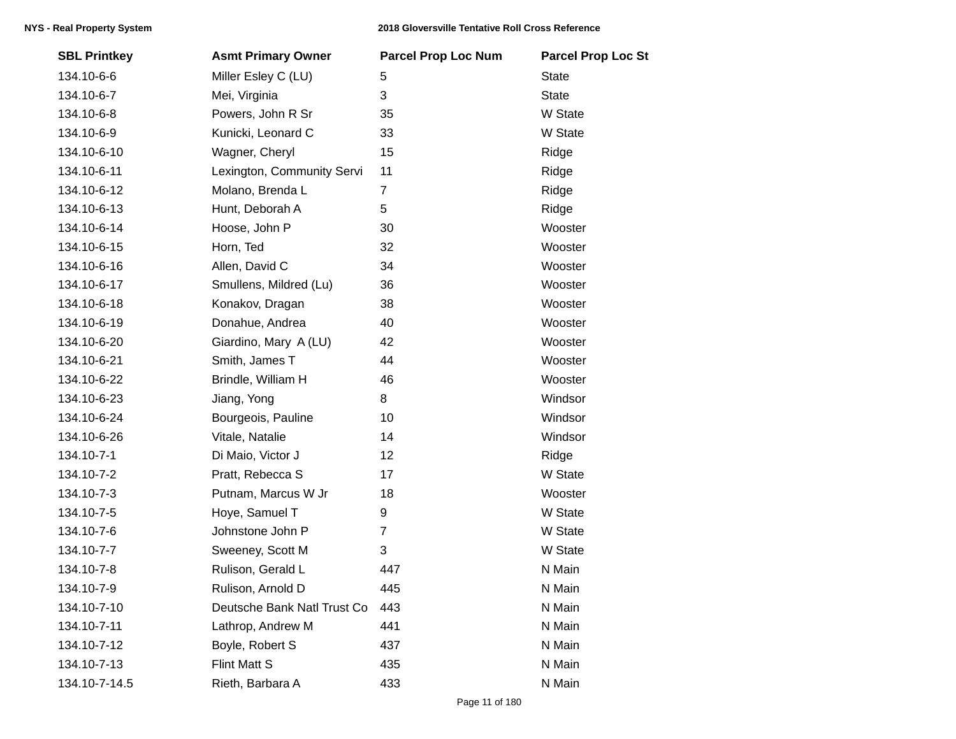| <b>SBL Printkey</b> | <b>Asmt Primary Owner</b>   | <b>Parcel Prop Loc Num</b> | <b>Parcel Prop Loc St</b> |
|---------------------|-----------------------------|----------------------------|---------------------------|
| 134.10-6-6          | Miller Esley C (LU)         | 5                          | <b>State</b>              |
| 134.10-6-7          | Mei, Virginia               | 3                          | <b>State</b>              |
| 134.10-6-8          | Powers, John R Sr           | 35                         | W State                   |
| 134.10-6-9          | Kunicki, Leonard C          | 33                         | W State                   |
| 134.10-6-10         | Wagner, Cheryl              | 15                         | Ridge                     |
| 134.10-6-11         | Lexington, Community Servi  | 11                         | Ridge                     |
| 134.10-6-12         | Molano, Brenda L            | $\overline{7}$             | Ridge                     |
| 134.10-6-13         | Hunt, Deborah A             | 5                          | Ridge                     |
| 134.10-6-14         | Hoose, John P               | 30                         | Wooster                   |
| 134.10-6-15         | Horn, Ted                   | 32                         | Wooster                   |
| 134.10-6-16         | Allen, David C              | 34                         | Wooster                   |
| 134.10-6-17         | Smullens, Mildred (Lu)      | 36                         | Wooster                   |
| 134.10-6-18         | Konakov, Dragan             | 38                         | Wooster                   |
| 134.10-6-19         | Donahue, Andrea             | 40                         | Wooster                   |
| 134.10-6-20         | Giardino, Mary A (LU)       | 42                         | Wooster                   |
| 134.10-6-21         | Smith, James T              | 44                         | Wooster                   |
| 134.10-6-22         | Brindle, William H          | 46                         | Wooster                   |
| 134.10-6-23         | Jiang, Yong                 | 8                          | Windsor                   |
| 134.10-6-24         | Bourgeois, Pauline          | 10                         | Windsor                   |
| 134.10-6-26         | Vitale, Natalie             | 14                         | Windsor                   |
| 134.10-7-1          | Di Maio, Victor J           | 12                         | Ridge                     |
| 134.10-7-2          | Pratt, Rebecca S            | 17                         | W State                   |
| 134.10-7-3          | Putnam, Marcus W Jr         | 18                         | Wooster                   |
| 134.10-7-5          | Hoye, Samuel T              | 9                          | W State                   |
| 134.10-7-6          | Johnstone John P            | $\overline{7}$             | W State                   |
| 134.10-7-7          | Sweeney, Scott M            | 3                          | W State                   |
| 134.10-7-8          | Rulison, Gerald L           | 447                        | N Main                    |
| 134.10-7-9          | Rulison, Arnold D           | 445                        | N Main                    |
| 134.10-7-10         | Deutsche Bank Natl Trust Co | 443                        | N Main                    |
| 134.10-7-11         | Lathrop, Andrew M           | 441                        | N Main                    |
| 134.10-7-12         | Boyle, Robert S             | 437                        | N Main                    |
| 134.10-7-13         | <b>Flint Matt S</b>         | 435                        | N Main                    |
| 134.10-7-14.5       | Rieth, Barbara A            | 433                        | N Main                    |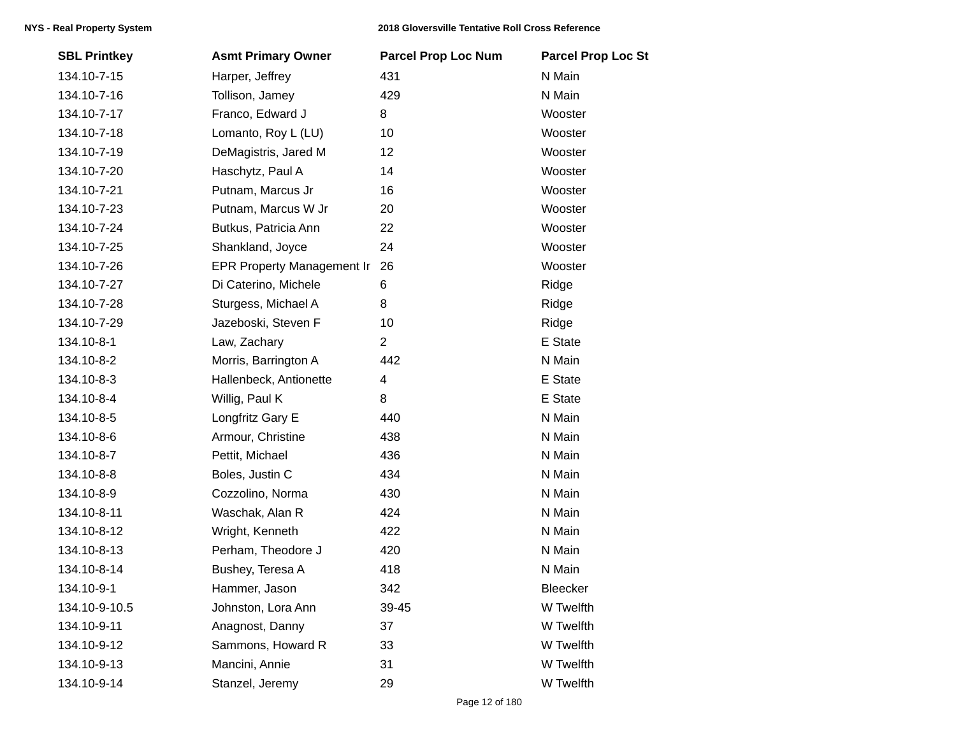| <b>SBL Printkey</b> | <b>Asmt Primary Owner</b>         | <b>Parcel Prop Loc Num</b> | <b>Parcel Prop Loc St</b> |
|---------------------|-----------------------------------|----------------------------|---------------------------|
| 134.10-7-15         | Harper, Jeffrey                   | 431                        | N Main                    |
| 134.10-7-16         | Tollison, Jamey                   | 429                        | N Main                    |
| 134.10-7-17         | Franco, Edward J                  | 8                          | Wooster                   |
| 134.10-7-18         | Lomanto, Roy L (LU)               | 10                         | Wooster                   |
| 134.10-7-19         | DeMagistris, Jared M              | 12                         | Wooster                   |
| 134.10-7-20         | Haschytz, Paul A                  | 14                         | Wooster                   |
| 134.10-7-21         | Putnam, Marcus Jr                 | 16                         | Wooster                   |
| 134.10-7-23         | Putnam, Marcus W Jr               | 20                         | Wooster                   |
| 134.10-7-24         | Butkus, Patricia Ann              | 22                         | Wooster                   |
| 134.10-7-25         | Shankland, Joyce                  | 24                         | Wooster                   |
| 134.10-7-26         | <b>EPR Property Management Ir</b> | 26                         | Wooster                   |
| 134.10-7-27         | Di Caterino, Michele              | 6                          | Ridge                     |
| 134.10-7-28         | Sturgess, Michael A               | 8                          | Ridge                     |
| 134.10-7-29         | Jazeboski, Steven F               | 10                         | Ridge                     |
| 134.10-8-1          | Law, Zachary                      | $\overline{2}$             | E State                   |
| 134.10-8-2          | Morris, Barrington A              | 442                        | N Main                    |
| 134.10-8-3          | Hallenbeck, Antionette            | 4                          | E State                   |
| 134.10-8-4          | Willig, Paul K                    | 8                          | E State                   |
| 134.10-8-5          | Longfritz Gary E                  | 440                        | N Main                    |
| 134.10-8-6          | Armour, Christine                 | 438                        | N Main                    |
| 134.10-8-7          | Pettit, Michael                   | 436                        | N Main                    |
| 134.10-8-8          | Boles, Justin C                   | 434                        | N Main                    |
| 134.10-8-9          | Cozzolino, Norma                  | 430                        | N Main                    |
| 134.10-8-11         | Waschak, Alan R                   | 424                        | N Main                    |
| 134.10-8-12         | Wright, Kenneth                   | 422                        | N Main                    |
| 134.10-8-13         | Perham, Theodore J                | 420                        | N Main                    |
| 134.10-8-14         | Bushey, Teresa A                  | 418                        | N Main                    |
| 134.10-9-1          | Hammer, Jason                     | 342                        | Bleecker                  |
| 134.10-9-10.5       | Johnston, Lora Ann                | 39-45                      | W Twelfth                 |
| 134.10-9-11         | Anagnost, Danny                   | 37                         | W Twelfth                 |
| 134.10-9-12         | Sammons, Howard R                 | 33                         | W Twelfth                 |
| 134.10-9-13         | Mancini, Annie                    | 31                         | W Twelfth                 |
| 134.10-9-14         | Stanzel, Jeremy                   | 29                         | W Twelfth                 |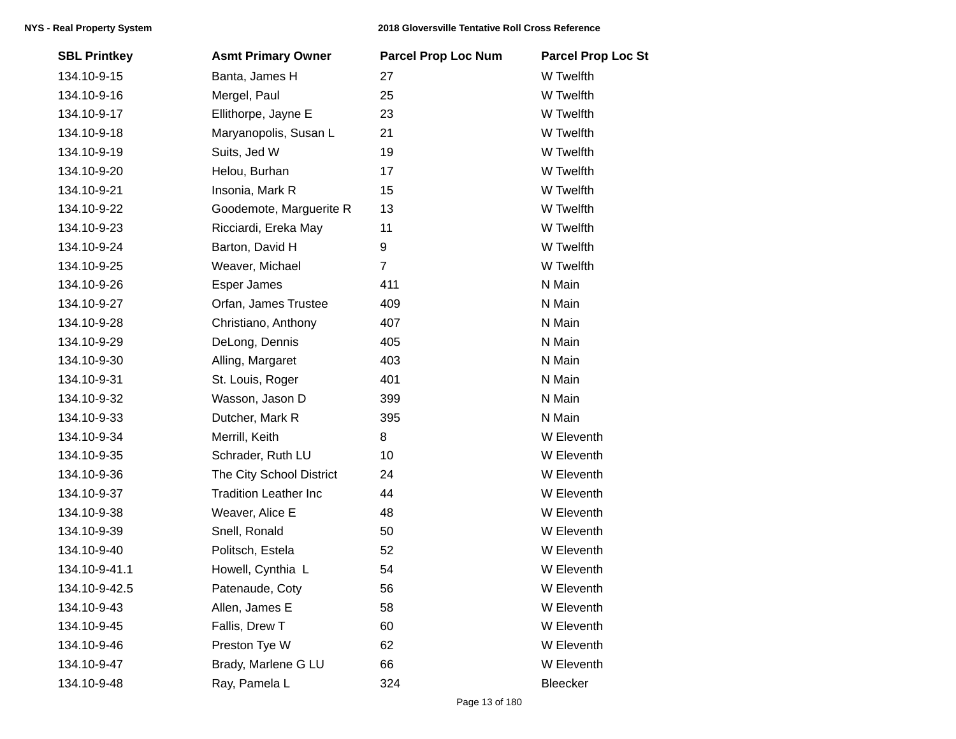| <b>SBL Printkey</b> | <b>Asmt Primary Owner</b>    | <b>Parcel Prop Loc Num</b> | <b>Parcel Prop Loc St</b> |
|---------------------|------------------------------|----------------------------|---------------------------|
| 134.10-9-15         | Banta, James H               | 27                         | W Twelfth                 |
| 134.10-9-16         | Mergel, Paul                 | 25                         | W Twelfth                 |
| 134.10-9-17         | Ellithorpe, Jayne E          | 23                         | W Twelfth                 |
| 134.10-9-18         | Maryanopolis, Susan L        | 21                         | W Twelfth                 |
| 134.10-9-19         | Suits, Jed W                 | 19                         | W Twelfth                 |
| 134.10-9-20         | Helou, Burhan                | 17                         | W Twelfth                 |
| 134.10-9-21         | Insonia, Mark R              | 15                         | W Twelfth                 |
| 134.10-9-22         | Goodemote, Marguerite R      | 13                         | W Twelfth                 |
| 134.10-9-23         | Ricciardi, Ereka May         | 11                         | W Twelfth                 |
| 134.10-9-24         | Barton, David H              | 9                          | W Twelfth                 |
| 134.10-9-25         | Weaver, Michael              | $\overline{7}$             | W Twelfth                 |
| 134.10-9-26         | Esper James                  | 411                        | N Main                    |
| 134.10-9-27         | Orfan, James Trustee         | 409                        | N Main                    |
| 134.10-9-28         | Christiano, Anthony          | 407                        | N Main                    |
| 134.10-9-29         | DeLong, Dennis               | 405                        | N Main                    |
| 134.10-9-30         | Alling, Margaret             | 403                        | N Main                    |
| 134.10-9-31         | St. Louis, Roger             | 401                        | N Main                    |
| 134.10-9-32         | Wasson, Jason D              | 399                        | N Main                    |
| 134.10-9-33         | Dutcher, Mark R              | 395                        | N Main                    |
| 134.10-9-34         | Merrill, Keith               | 8                          | W Eleventh                |
| 134.10-9-35         | Schrader, Ruth LU            | 10                         | W Eleventh                |
| 134.10-9-36         | The City School District     | 24                         | W Eleventh                |
| 134.10-9-37         | <b>Tradition Leather Inc</b> | 44                         | W Eleventh                |
| 134.10-9-38         | Weaver, Alice E              | 48                         | W Eleventh                |
| 134.10-9-39         | Snell, Ronald                | 50                         | W Eleventh                |
| 134.10-9-40         | Politsch, Estela             | 52                         | W Eleventh                |
| 134.10-9-41.1       | Howell, Cynthia L            | 54                         | W Eleventh                |
| 134.10-9-42.5       | Patenaude, Coty              | 56                         | W Eleventh                |
| 134.10-9-43         | Allen, James E               | 58                         | W Eleventh                |
| 134.10-9-45         | Fallis, Drew T               | 60                         | W Eleventh                |
| 134.10-9-46         | Preston Tye W                | 62                         | W Eleventh                |
| 134.10-9-47         | Brady, Marlene G LU          | 66                         | W Eleventh                |
| 134.10-9-48         | Ray, Pamela L                | 324                        | Bleecker                  |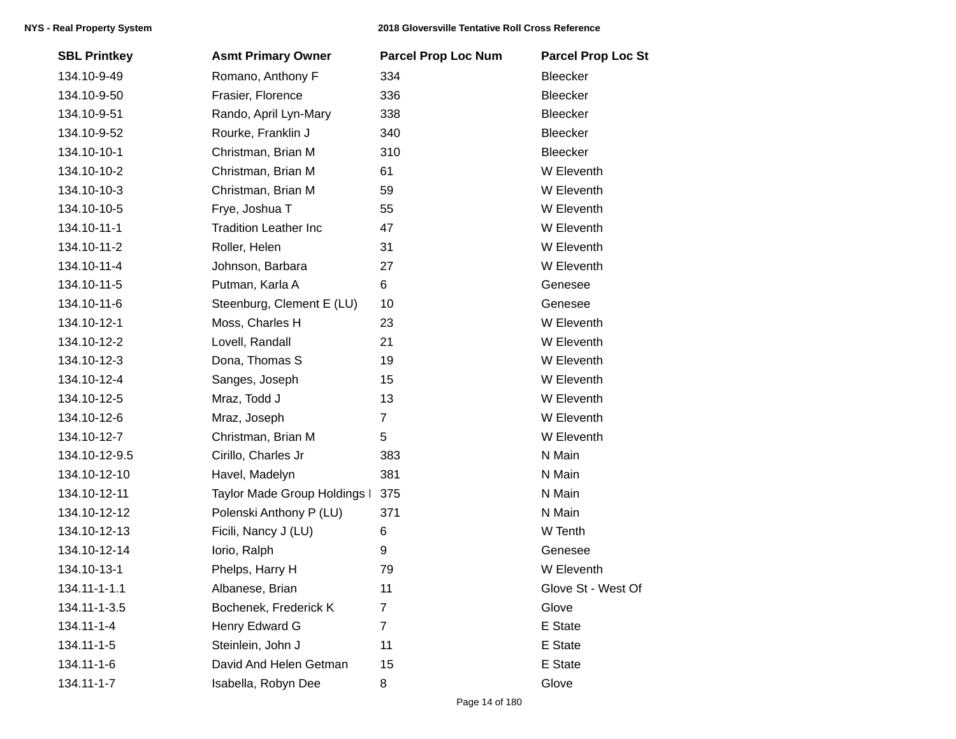## **NYS - Real Property System 2018 Gloversville Tentative Roll Cross Reference**

| <b>SBL Printkey</b> | <b>Asmt Primary Owner</b>    | <b>Parcel Prop Loc Num</b> | <b>Parcel Prop Loc St</b> |
|---------------------|------------------------------|----------------------------|---------------------------|
| 134.10-9-49         | Romano, Anthony F            | 334                        | Bleecker                  |
| 134.10-9-50         | Frasier, Florence            | 336                        | Bleecker                  |
| 134.10-9-51         | Rando, April Lyn-Mary        | 338                        | Bleecker                  |
| 134.10-9-52         | Rourke, Franklin J           | 340                        | Bleecker                  |
| 134.10-10-1         | Christman, Brian M           | 310                        | Bleecker                  |
| 134.10-10-2         | Christman, Brian M           | 61                         | W Eleventh                |
| 134.10-10-3         | Christman, Brian M           | 59                         | W Eleventh                |
| 134.10-10-5         | Frye, Joshua T               | 55                         | W Eleventh                |
| 134.10-11-1         | <b>Tradition Leather Inc</b> | 47                         | W Eleventh                |
| 134.10-11-2         | Roller, Helen                | 31                         | W Eleventh                |
| 134.10-11-4         | Johnson, Barbara             | 27                         | W Eleventh                |
| 134.10-11-5         | Putman, Karla A              | 6                          | Genesee                   |
| 134.10-11-6         | Steenburg, Clement E (LU)    | 10                         | Genesee                   |
| 134.10-12-1         | Moss, Charles H              | 23                         | W Eleventh                |
| 134.10-12-2         | Lovell, Randall              | 21                         | W Eleventh                |
| 134.10-12-3         | Dona, Thomas S               | 19                         | W Eleventh                |
| 134.10-12-4         | Sanges, Joseph               | 15                         | W Eleventh                |
| 134.10-12-5         | Mraz, Todd J                 | 13                         | W Eleventh                |
| 134.10-12-6         | Mraz, Joseph                 | $\overline{7}$             | W Eleventh                |
| 134.10-12-7         | Christman, Brian M           | 5                          | W Eleventh                |
| 134.10-12-9.5       | Cirillo, Charles Jr          | 383                        | N Main                    |
| 134.10-12-10        | Havel, Madelyn               | 381                        | N Main                    |
| 134.10-12-11        | Taylor Made Group Holdings I | 375                        | N Main                    |
| 134.10-12-12        | Polenski Anthony P (LU)      | 371                        | N Main                    |
| 134.10-12-13        | Ficili, Nancy J (LU)         | 6                          | W Tenth                   |
| 134.10-12-14        | lorio, Ralph                 | 9                          | Genesee                   |
| 134.10-13-1         | Phelps, Harry H              | 79                         | W Eleventh                |
| 134.11-1-1.1        | Albanese, Brian              | 11                         | Glove St - West Of        |
| 134.11-1-3.5        | Bochenek, Frederick K        | 7                          | Glove                     |
| 134.11-1-4          | Henry Edward G               | $\overline{7}$             | E State                   |
| 134.11-1-5          | Steinlein, John J            | 11                         | E State                   |
| 134.11-1-6          | David And Helen Getman       | 15                         | E State                   |
| 134.11-1-7          | Isabella, Robyn Dee          | 8                          | Glove                     |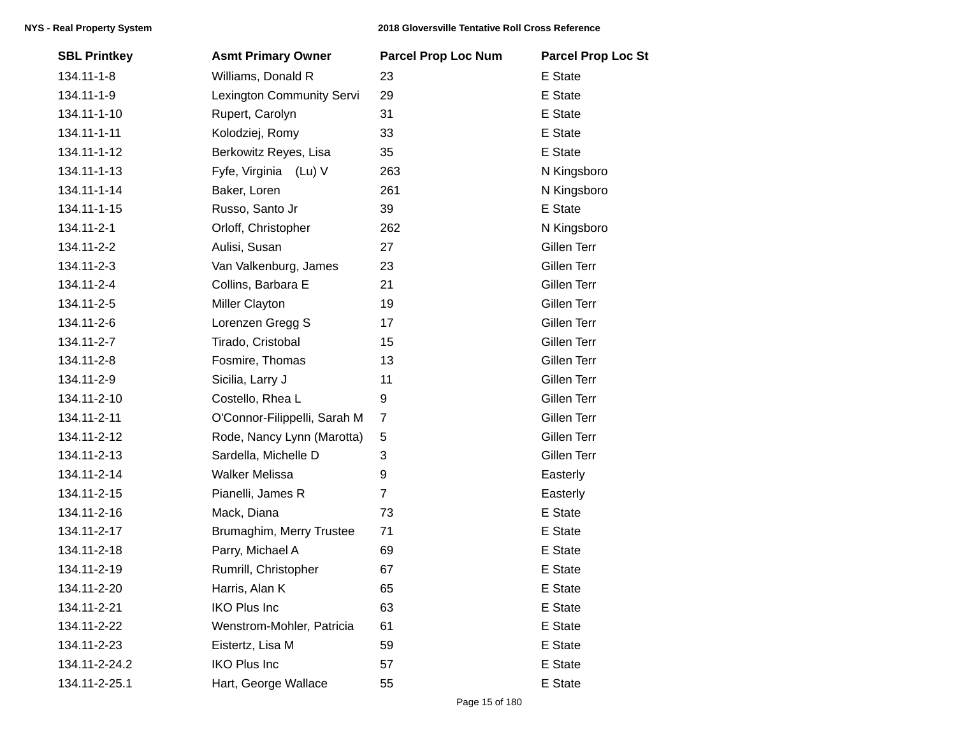| <b>SBL Printkey</b> | <b>Asmt Primary Owner</b>    | <b>Parcel Prop Loc Num</b> | <b>Parcel Prop Loc St</b> |
|---------------------|------------------------------|----------------------------|---------------------------|
| 134.11-1-8          | Williams, Donald R           | 23                         | E State                   |
| 134.11-1-9          | Lexington Community Servi    | 29                         | E State                   |
| 134.11-1-10         | Rupert, Carolyn              | 31                         | E State                   |
| 134.11-1-11         | Kolodziej, Romy              | 33                         | E State                   |
| 134.11-1-12         | Berkowitz Reyes, Lisa        | 35                         | E State                   |
| 134.11-1-13         | Fyfe, Virginia (Lu) V        | 263                        | N Kingsboro               |
| 134.11-1-14         | Baker, Loren                 | 261                        | N Kingsboro               |
| 134.11-1-15         | Russo, Santo Jr              | 39                         | E State                   |
| 134.11-2-1          | Orloff, Christopher          | 262                        | N Kingsboro               |
| 134.11-2-2          | Aulisi, Susan                | 27                         | Gillen Terr               |
| 134.11-2-3          | Van Valkenburg, James        | 23                         | Gillen Terr               |
| 134.11-2-4          | Collins, Barbara E           | 21                         | Gillen Terr               |
| 134.11-2-5          | Miller Clayton               | 19                         | Gillen Terr               |
| 134.11-2-6          | Lorenzen Gregg S             | 17                         | Gillen Terr               |
| 134.11-2-7          | Tirado, Cristobal            | 15                         | Gillen Terr               |
| 134.11-2-8          | Fosmire, Thomas              | 13                         | Gillen Terr               |
| 134.11-2-9          | Sicilia, Larry J             | 11                         | Gillen Terr               |
| 134.11-2-10         | Costello, Rhea L             | 9                          | Gillen Terr               |
| 134.11-2-11         | O'Connor-Filippelli, Sarah M | $\overline{7}$             | Gillen Terr               |
| 134.11-2-12         | Rode, Nancy Lynn (Marotta)   | 5                          | Gillen Terr               |
| 134.11-2-13         | Sardella, Michelle D         | 3                          | Gillen Terr               |
| 134.11-2-14         | <b>Walker Melissa</b>        | 9                          | Easterly                  |
| 134.11-2-15         | Pianelli, James R            | $\overline{7}$             | Easterly                  |
| 134.11-2-16         | Mack, Diana                  | 73                         | E State                   |
| 134.11-2-17         | Brumaghim, Merry Trustee     | 71                         | E State                   |
| 134.11-2-18         | Parry, Michael A             | 69                         | E State                   |
| 134.11-2-19         | Rumrill, Christopher         | 67                         | E State                   |
| 134.11-2-20         | Harris, Alan K               | 65                         | E State                   |
| 134.11-2-21         | <b>IKO Plus Inc</b>          | 63                         | E State                   |
| 134.11-2-22         | Wenstrom-Mohler, Patricia    | 61                         | E State                   |
| 134.11-2-23         | Eistertz, Lisa M             | 59                         | E State                   |
| 134.11-2-24.2       | <b>IKO Plus Inc</b>          | 57                         | E State                   |
| 134.11-2-25.1       | Hart, George Wallace         | 55                         | E State                   |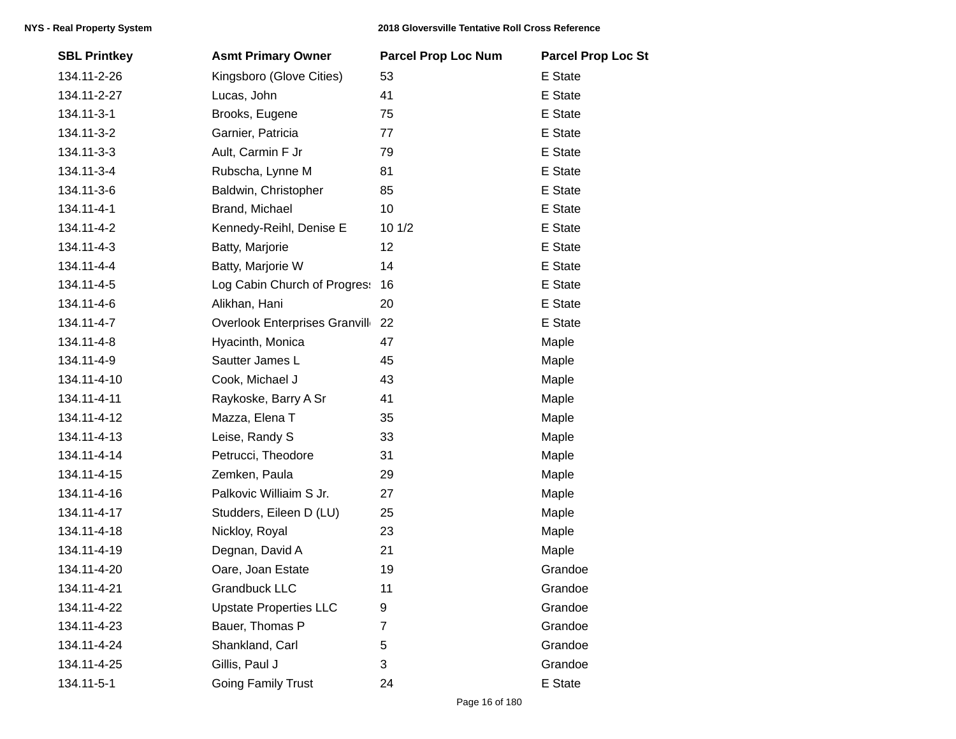| <b>SBL Printkey</b> | <b>Asmt Primary Owner</b>            | <b>Parcel Prop Loc Num</b> | <b>Parcel Prop Loc St</b> |
|---------------------|--------------------------------------|----------------------------|---------------------------|
| 134.11-2-26         | Kingsboro (Glove Cities)             | 53                         | E State                   |
| 134.11-2-27         | Lucas, John                          | 41                         | E State                   |
| 134.11-3-1          | Brooks, Eugene                       | 75                         | E State                   |
| 134.11-3-2          | Garnier, Patricia                    | 77                         | E State                   |
| 134.11-3-3          | Ault, Carmin F Jr                    | 79                         | E State                   |
| 134.11-3-4          | Rubscha, Lynne M                     | 81                         | E State                   |
| 134.11-3-6          | Baldwin, Christopher                 | 85                         | E State                   |
| 134.11-4-1          | Brand, Michael                       | 10                         | E State                   |
| 134.11-4-2          | Kennedy-Reihl, Denise E              | 10 1/2                     | E State                   |
| 134.11-4-3          | Batty, Marjorie                      | 12                         | E State                   |
| 134.11-4-4          | Batty, Marjorie W                    | 14                         | E State                   |
| 134.11-4-5          | Log Cabin Church of Progres:         | 16                         | E State                   |
| 134.11-4-6          | Alikhan, Hani                        | 20                         | E State                   |
| 134.11-4-7          | <b>Overlook Enterprises Granvill</b> | 22                         | E State                   |
| 134.11-4-8          | Hyacinth, Monica                     | 47                         | Maple                     |
| 134.11-4-9          | Sautter James L                      | 45                         | Maple                     |
| 134.11-4-10         | Cook, Michael J                      | 43                         | Maple                     |
| 134.11-4-11         | Raykoske, Barry A Sr                 | 41                         | Maple                     |
| 134.11-4-12         | Mazza, Elena T                       | 35                         | Maple                     |
| 134.11-4-13         | Leise, Randy S                       | 33                         | Maple                     |
| 134.11-4-14         | Petrucci, Theodore                   | 31                         | Maple                     |
| 134.11-4-15         | Zemken, Paula                        | 29                         | Maple                     |
| 134.11-4-16         | Palkovic Williaim S Jr.              | 27                         | Maple                     |
| 134.11-4-17         | Studders, Eileen D (LU)              | 25                         | Maple                     |
| 134.11-4-18         | Nickloy, Royal                       | 23                         | Maple                     |
| 134.11-4-19         | Degnan, David A                      | 21                         | Maple                     |
| 134.11-4-20         | Oare, Joan Estate                    | 19                         | Grandoe                   |
| 134.11-4-21         | <b>Grandbuck LLC</b>                 | 11                         | Grandoe                   |
| 134.11-4-22         | <b>Upstate Properties LLC</b>        | 9                          | Grandoe                   |
| 134.11-4-23         | Bauer, Thomas P                      | $\overline{7}$             | Grandoe                   |
| 134.11-4-24         | Shankland, Carl                      | 5                          | Grandoe                   |
| 134.11-4-25         | Gillis, Paul J                       | 3                          | Grandoe                   |
| 134.11-5-1          | <b>Going Family Trust</b>            | 24                         | E State                   |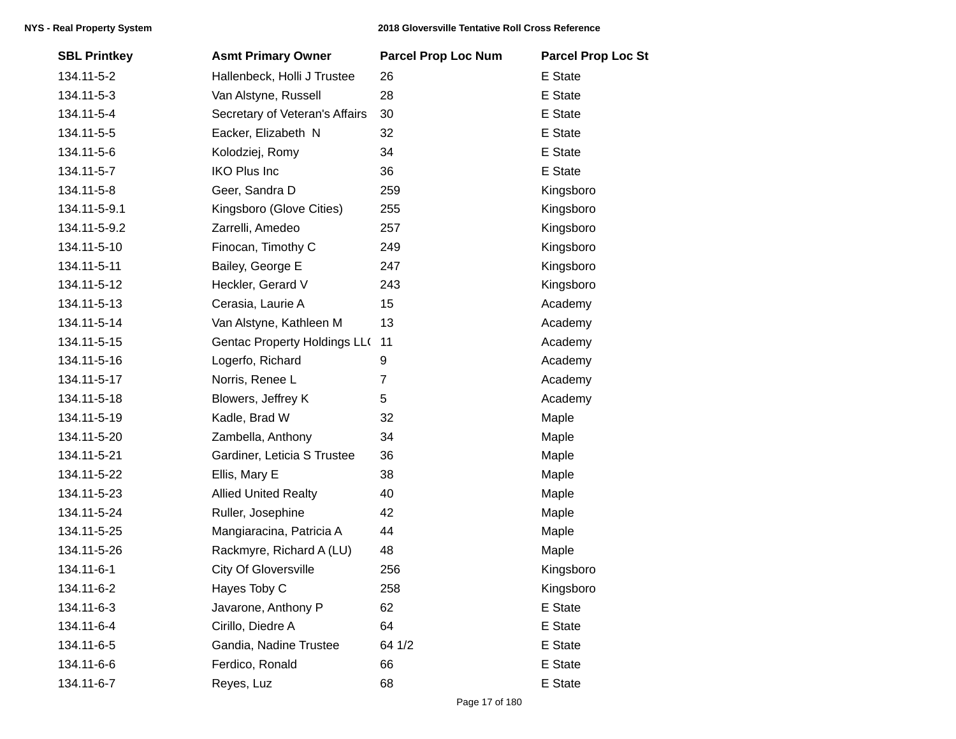| <b>SBL Printkey</b> | <b>Asmt Primary Owner</b>           | <b>Parcel Prop Loc Num</b> | <b>Parcel Prop Loc St</b> |
|---------------------|-------------------------------------|----------------------------|---------------------------|
| 134.11-5-2          | Hallenbeck, Holli J Trustee         | 26                         | E State                   |
| 134.11-5-3          | Van Alstyne, Russell                | 28                         | E State                   |
| 134.11-5-4          | Secretary of Veteran's Affairs      | 30                         | E State                   |
| 134.11-5-5          | Eacker, Elizabeth N                 | 32                         | E State                   |
| 134.11-5-6          | Kolodziej, Romy                     | 34                         | E State                   |
| 134.11-5-7          | <b>IKO Plus Inc</b>                 | 36                         | E State                   |
| 134.11-5-8          | Geer, Sandra D                      | 259                        | Kingsboro                 |
| 134.11-5-9.1        | Kingsboro (Glove Cities)            | 255                        | Kingsboro                 |
| 134.11-5-9.2        | Zarrelli, Amedeo                    | 257                        | Kingsboro                 |
| 134.11-5-10         | Finocan, Timothy C                  | 249                        | Kingsboro                 |
| 134.11-5-11         | Bailey, George E                    | 247                        | Kingsboro                 |
| 134.11-5-12         | Heckler, Gerard V                   | 243                        | Kingsboro                 |
| 134.11-5-13         | Cerasia, Laurie A                   | 15                         | Academy                   |
| 134.11-5-14         | Van Alstyne, Kathleen M             | 13                         | Academy                   |
| 134.11-5-15         | <b>Gentac Property Holdings LL(</b> | 11                         | Academy                   |
| 134.11-5-16         | Logerfo, Richard                    | 9                          | Academy                   |
| 134.11-5-17         | Norris, Renee L                     | $\overline{7}$             | Academy                   |
| 134.11-5-18         | Blowers, Jeffrey K                  | 5                          | Academy                   |
| 134.11-5-19         | Kadle, Brad W                       | 32                         | Maple                     |
| 134.11-5-20         | Zambella, Anthony                   | 34                         | Maple                     |
| 134.11-5-21         | Gardiner, Leticia S Trustee         | 36                         | Maple                     |
| 134.11-5-22         | Ellis, Mary E                       | 38                         | Maple                     |
| 134.11-5-23         | <b>Allied United Realty</b>         | 40                         | Maple                     |
| 134.11-5-24         | Ruller, Josephine                   | 42                         | Maple                     |
| 134.11-5-25         | Mangiaracina, Patricia A            | 44                         | Maple                     |
| 134.11-5-26         | Rackmyre, Richard A (LU)            | 48                         | Maple                     |
| 134.11-6-1          | <b>City Of Gloversville</b>         | 256                        | Kingsboro                 |
| 134.11-6-2          | Hayes Toby C                        | 258                        | Kingsboro                 |
| 134.11-6-3          | Javarone, Anthony P                 | 62                         | E State                   |
| 134.11-6-4          | Cirillo, Diedre A                   | 64                         | E State                   |
| 134.11-6-5          | Gandia, Nadine Trustee              | 64 1/2                     | E State                   |
| 134.11-6-6          | Ferdico, Ronald                     | 66                         | E State                   |
| 134.11-6-7          | Reyes, Luz                          | 68                         | E State                   |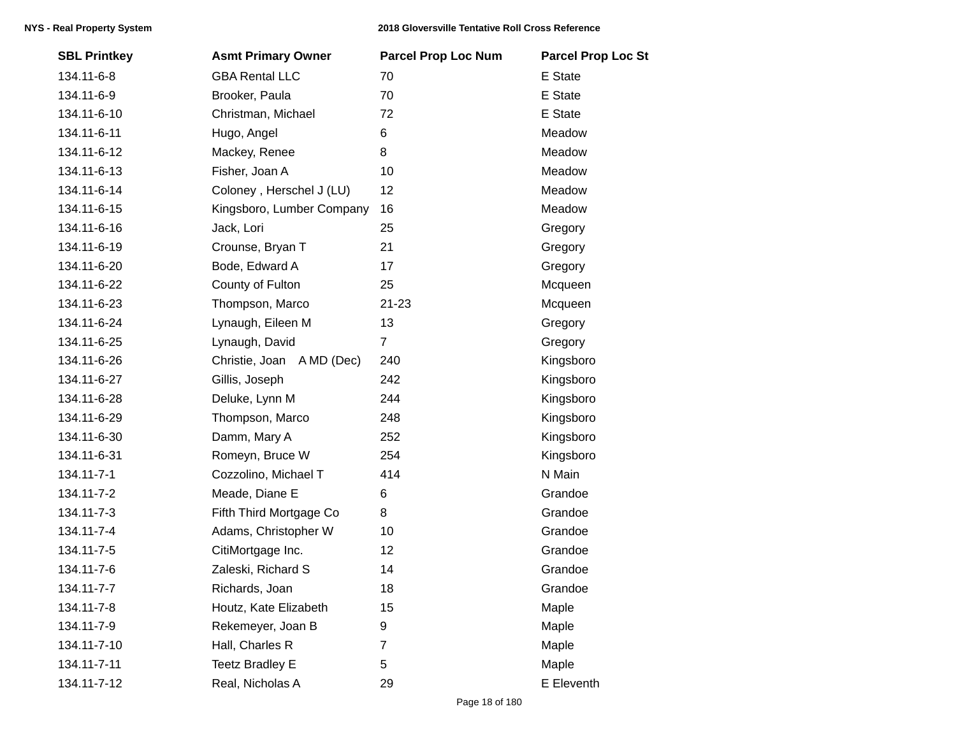| <b>SBL Printkey</b> | <b>Asmt Primary Owner</b> | <b>Parcel Prop Loc Num</b> | <b>Parcel Prop Loc St</b> |
|---------------------|---------------------------|----------------------------|---------------------------|
| 134.11-6-8          | <b>GBA Rental LLC</b>     | 70                         | E State                   |
| 134.11-6-9          | Brooker, Paula            | 70                         | E State                   |
| 134.11-6-10         | Christman, Michael        | 72                         | E State                   |
| 134.11-6-11         | Hugo, Angel               | 6                          | Meadow                    |
| 134.11-6-12         | Mackey, Renee             | 8                          | Meadow                    |
| 134.11-6-13         | Fisher, Joan A            | 10                         | Meadow                    |
| 134.11-6-14         | Coloney, Herschel J (LU)  | 12                         | Meadow                    |
| 134.11-6-15         | Kingsboro, Lumber Company | 16                         | Meadow                    |
| 134.11-6-16         | Jack, Lori                | 25                         | Gregory                   |
| 134.11-6-19         | Crounse, Bryan T          | 21                         | Gregory                   |
| 134.11-6-20         | Bode, Edward A            | 17                         | Gregory                   |
| 134.11-6-22         | County of Fulton          | 25                         | Mcqueen                   |
| 134.11-6-23         | Thompson, Marco           | $21 - 23$                  | Mcqueen                   |
| 134.11-6-24         | Lynaugh, Eileen M         | 13                         | Gregory                   |
| 134.11-6-25         | Lynaugh, David            | $\overline{7}$             | Gregory                   |
| 134.11-6-26         | Christie, Joan A MD (Dec) | 240                        | Kingsboro                 |
| 134.11-6-27         | Gillis, Joseph            | 242                        | Kingsboro                 |
| 134.11-6-28         | Deluke, Lynn M            | 244                        | Kingsboro                 |
| 134.11-6-29         | Thompson, Marco           | 248                        | Kingsboro                 |
| 134.11-6-30         | Damm, Mary A              | 252                        | Kingsboro                 |
| 134.11-6-31         | Romeyn, Bruce W           | 254                        | Kingsboro                 |
| 134.11-7-1          | Cozzolino, Michael T      | 414                        | N Main                    |
| 134.11-7-2          | Meade, Diane E            | 6                          | Grandoe                   |
| 134.11-7-3          | Fifth Third Mortgage Co   | 8                          | Grandoe                   |
| 134.11-7-4          | Adams, Christopher W      | 10                         | Grandoe                   |
| 134.11-7-5          | CitiMortgage Inc.         | 12                         | Grandoe                   |
| 134.11-7-6          | Zaleski, Richard S        | 14                         | Grandoe                   |
| 134.11-7-7          | Richards, Joan            | 18                         | Grandoe                   |
| 134.11-7-8          | Houtz, Kate Elizabeth     | 15                         | Maple                     |
| 134.11-7-9          | Rekemeyer, Joan B         | 9                          | Maple                     |
| 134.11-7-10         | Hall, Charles R           | $\overline{7}$             | Maple                     |
| 134.11-7-11         | <b>Teetz Bradley E</b>    | 5                          | Maple                     |
| 134.11-7-12         | Real, Nicholas A          | 29                         | E Eleventh                |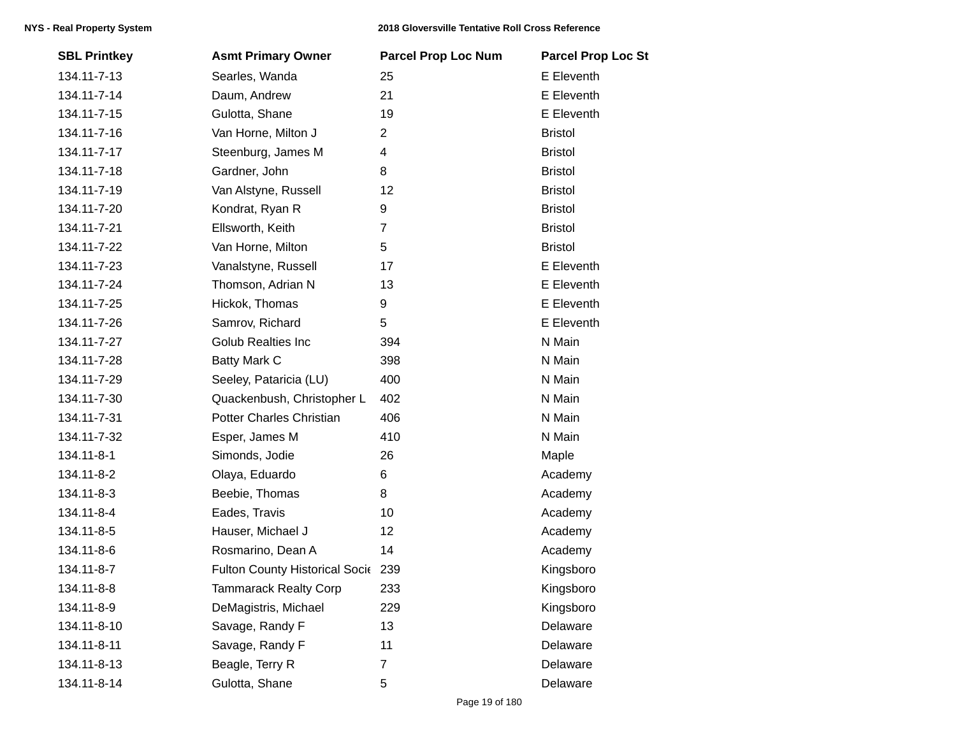| <b>SBL Printkey</b> | <b>Asmt Primary Owner</b>          | <b>Parcel Prop Loc Num</b> | <b>Parcel Prop Loc St</b> |
|---------------------|------------------------------------|----------------------------|---------------------------|
| 134.11-7-13         | Searles, Wanda                     | 25                         | E Eleventh                |
| 134.11-7-14         | Daum, Andrew                       | 21                         | E Eleventh                |
| 134.11-7-15         | Gulotta, Shane                     | 19                         | E Eleventh                |
| 134.11-7-16         | Van Horne, Milton J                | $\overline{2}$             | <b>Bristol</b>            |
| 134.11-7-17         | Steenburg, James M                 | 4                          | <b>Bristol</b>            |
| 134.11-7-18         | Gardner, John                      | 8                          | <b>Bristol</b>            |
| 134.11-7-19         | Van Alstyne, Russell               | 12                         | <b>Bristol</b>            |
| 134.11-7-20         | Kondrat, Ryan R                    | 9                          | <b>Bristol</b>            |
| 134.11-7-21         | Ellsworth, Keith                   | $\overline{7}$             | <b>Bristol</b>            |
| 134.11-7-22         | Van Horne, Milton                  | 5                          | <b>Bristol</b>            |
| 134.11-7-23         | Vanalstyne, Russell                | 17                         | E Eleventh                |
| 134.11-7-24         | Thomson, Adrian N                  | 13                         | E Eleventh                |
| 134.11-7-25         | Hickok, Thomas                     | 9                          | E Eleventh                |
| 134.11-7-26         | Samrov, Richard                    | 5                          | E Eleventh                |
| 134.11-7-27         | <b>Golub Realties Inc</b>          | 394                        | N Main                    |
| 134.11-7-28         | <b>Batty Mark C</b>                | 398                        | N Main                    |
| 134.11-7-29         | Seeley, Pataricia (LU)             | 400                        | N Main                    |
| 134.11-7-30         | Quackenbush, Christopher L         | 402                        | N Main                    |
| 134.11-7-31         | <b>Potter Charles Christian</b>    | 406                        | N Main                    |
| 134.11-7-32         | Esper, James M                     | 410                        | N Main                    |
| 134.11-8-1          | Simonds, Jodie                     | 26                         | Maple                     |
| 134.11-8-2          | Olaya, Eduardo                     | 6                          | Academy                   |
| 134.11-8-3          | Beebie, Thomas                     | 8                          | Academy                   |
| 134.11-8-4          | Eades, Travis                      | 10                         | Academy                   |
| 134.11-8-5          | Hauser, Michael J                  | 12                         | Academy                   |
| 134.11-8-6          | Rosmarino, Dean A                  | 14                         | Academy                   |
| 134.11-8-7          | Fulton County Historical Socie 239 |                            | Kingsboro                 |
| 134.11-8-8          | <b>Tammarack Realty Corp</b>       | 233                        | Kingsboro                 |
| 134.11-8-9          | DeMagistris, Michael               | 229                        | Kingsboro                 |
| 134.11-8-10         | Savage, Randy F                    | 13                         | Delaware                  |
| 134.11-8-11         | Savage, Randy F                    | 11                         | Delaware                  |
| 134.11-8-13         | Beagle, Terry R                    | 7                          | Delaware                  |
| 134.11-8-14         | Gulotta, Shane                     | 5                          | Delaware                  |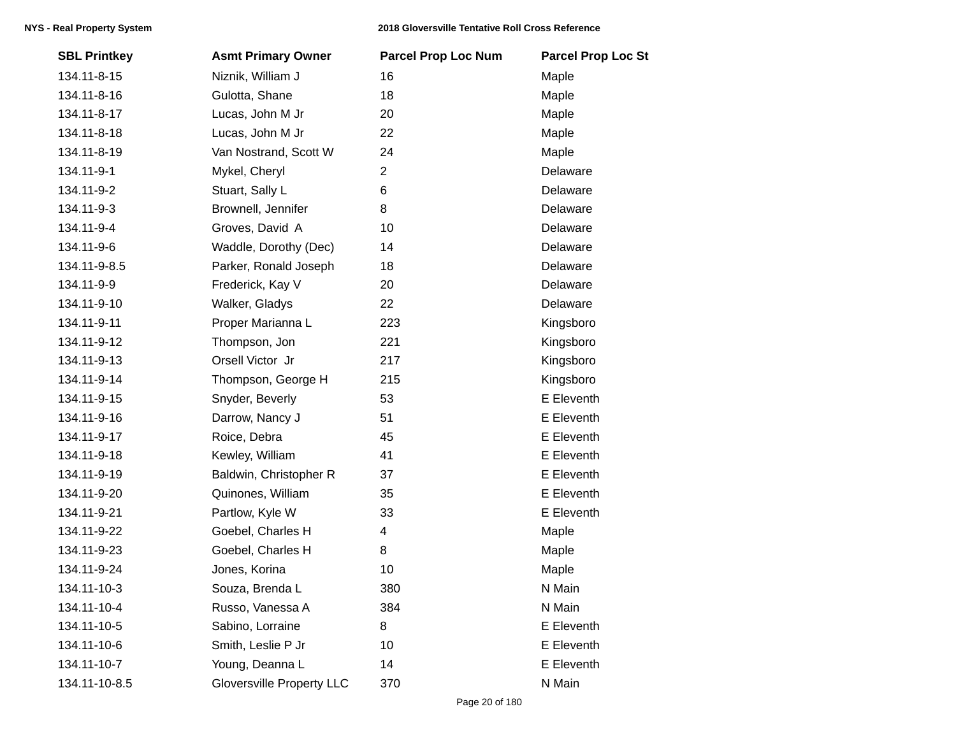| <b>SBL Printkey</b> | <b>Asmt Primary Owner</b>        | <b>Parcel Prop Loc Num</b> | <b>Parcel Prop Loc St</b> |
|---------------------|----------------------------------|----------------------------|---------------------------|
| 134.11-8-15         | Niznik, William J                | 16                         | Maple                     |
| 134.11-8-16         | Gulotta, Shane                   | 18                         | Maple                     |
| 134.11-8-17         | Lucas, John M Jr                 | 20                         | Maple                     |
| 134.11-8-18         | Lucas, John M Jr                 | 22                         | Maple                     |
| 134.11-8-19         | Van Nostrand, Scott W            | 24                         | Maple                     |
| 134.11-9-1          | Mykel, Cheryl                    | $\overline{2}$             | Delaware                  |
| 134.11-9-2          | Stuart, Sally L                  | 6                          | Delaware                  |
| 134.11-9-3          | Brownell, Jennifer               | 8                          | Delaware                  |
| 134.11-9-4          | Groves, David A                  | 10                         | Delaware                  |
| 134.11-9-6          | Waddle, Dorothy (Dec)            | 14                         | Delaware                  |
| 134.11-9-8.5        | Parker, Ronald Joseph            | 18                         | Delaware                  |
| 134.11-9-9          | Frederick, Kay V                 | 20                         | Delaware                  |
| 134.11-9-10         | Walker, Gladys                   | 22                         | Delaware                  |
| 134.11-9-11         | Proper Marianna L                | 223                        | Kingsboro                 |
| 134.11-9-12         | Thompson, Jon                    | 221                        | Kingsboro                 |
| 134.11-9-13         | Orsell Victor Jr                 | 217                        | Kingsboro                 |
| 134.11-9-14         | Thompson, George H               | 215                        | Kingsboro                 |
| 134.11-9-15         | Snyder, Beverly                  | 53                         | E Eleventh                |
| 134.11-9-16         | Darrow, Nancy J                  | 51                         | E Eleventh                |
| 134.11-9-17         | Roice, Debra                     | 45                         | E Eleventh                |
| 134.11-9-18         | Kewley, William                  | 41                         | E Eleventh                |
| 134.11-9-19         | Baldwin, Christopher R           | 37                         | E Eleventh                |
| 134.11-9-20         | Quinones, William                | 35                         | E Eleventh                |
| 134.11-9-21         | Partlow, Kyle W                  | 33                         | E Eleventh                |
| 134.11-9-22         | Goebel, Charles H                | 4                          | Maple                     |
| 134.11-9-23         | Goebel, Charles H                | 8                          | Maple                     |
| 134.11-9-24         | Jones, Korina                    | 10                         | Maple                     |
| 134.11-10-3         | Souza, Brenda L                  | 380                        | N Main                    |
| 134.11-10-4         | Russo, Vanessa A                 | 384                        | N Main                    |
| 134.11-10-5         | Sabino, Lorraine                 | 8                          | E Eleventh                |
| 134.11-10-6         | Smith, Leslie P Jr               | 10                         | E Eleventh                |
| 134.11-10-7         | Young, Deanna L                  | 14                         | E Eleventh                |
| 134.11-10-8.5       | <b>Gloversville Property LLC</b> | 370                        | N Main                    |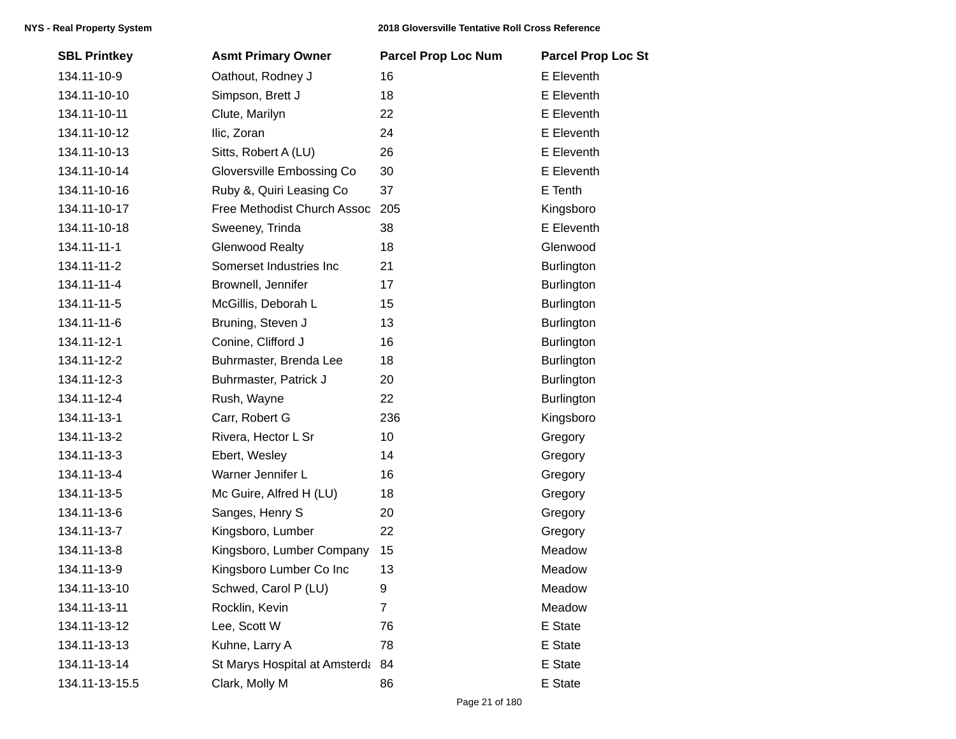| <b>SBL Printkey</b> | <b>Asmt Primary Owner</b>     | <b>Parcel Prop Loc Num</b> | <b>Parcel Prop Loc St</b> |
|---------------------|-------------------------------|----------------------------|---------------------------|
| 134.11-10-9         | Oathout, Rodney J             | 16                         | E Eleventh                |
| 134.11-10-10        | Simpson, Brett J              | 18                         | E Eleventh                |
| 134.11-10-11        | Clute, Marilyn                | 22                         | E Eleventh                |
| 134.11-10-12        | Ilic, Zoran                   | 24                         | E Eleventh                |
| 134.11-10-13        | Sitts, Robert A (LU)          | 26                         | E Eleventh                |
| 134.11-10-14        | Gloversville Embossing Co     | 30                         | E Eleventh                |
| 134.11-10-16        | Ruby &, Quiri Leasing Co      | 37                         | E Tenth                   |
| 134.11-10-17        | Free Methodist Church Assoc   | 205                        | Kingsboro                 |
| 134.11-10-18        | Sweeney, Trinda               | 38                         | E Eleventh                |
| 134.11-11-1         | <b>Glenwood Realty</b>        | 18                         | Glenwood                  |
| 134.11-11-2         | Somerset Industries Inc       | 21                         | Burlington                |
| 134.11-11-4         | Brownell, Jennifer            | 17                         | <b>Burlington</b>         |
| 134.11-11-5         | McGillis, Deborah L           | 15                         | <b>Burlington</b>         |
| 134.11-11-6         | Bruning, Steven J             | 13                         | <b>Burlington</b>         |
| 134.11-12-1         | Conine, Clifford J            | 16                         | <b>Burlington</b>         |
| 134.11-12-2         | Buhrmaster, Brenda Lee        | 18                         | Burlington                |
| 134.11-12-3         | Buhrmaster, Patrick J         | 20                         | Burlington                |
| 134.11-12-4         | Rush, Wayne                   | 22                         | <b>Burlington</b>         |
| 134.11-13-1         | Carr, Robert G                | 236                        | Kingsboro                 |
| 134.11-13-2         | Rivera, Hector L Sr           | 10                         | Gregory                   |
| 134.11-13-3         | Ebert, Wesley                 | 14                         | Gregory                   |
| 134.11-13-4         | Warner Jennifer L             | 16                         | Gregory                   |
| 134.11-13-5         | Mc Guire, Alfred H (LU)       | 18                         | Gregory                   |
| 134.11-13-6         | Sanges, Henry S               | 20                         | Gregory                   |
| 134.11-13-7         | Kingsboro, Lumber             | 22                         | Gregory                   |
| 134.11-13-8         | Kingsboro, Lumber Company     | 15                         | Meadow                    |
| 134.11-13-9         | Kingsboro Lumber Co Inc       | 13                         | Meadow                    |
| 134.11-13-10        | Schwed, Carol P (LU)          | 9                          | Meadow                    |
| 134.11-13-11        | Rocklin, Kevin                | $\overline{7}$             | Meadow                    |
| 134.11-13-12        | Lee, Scott W                  | 76                         | E State                   |
| 134.11-13-13        | Kuhne, Larry A                | 78                         | E State                   |
| 134.11-13-14        | St Marys Hospital at Amsterda | 84                         | E State                   |
| 134.11-13-15.5      | Clark, Molly M                | 86                         | E State                   |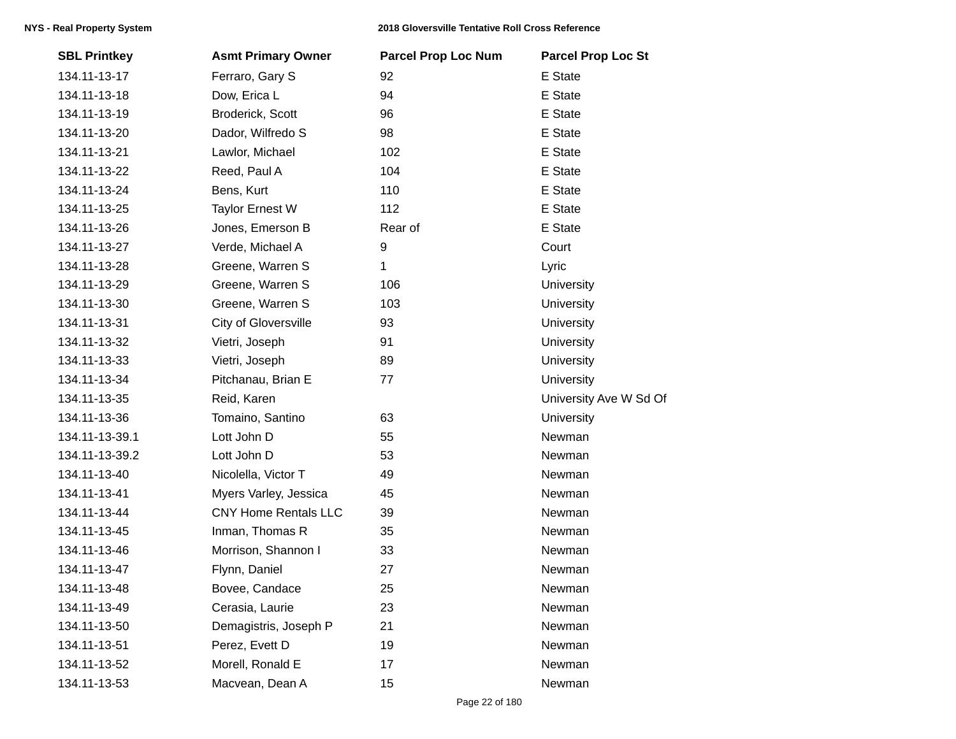| <b>SBL Printkey</b> | <b>Asmt Primary Owner</b>   | <b>Parcel Prop Loc Num</b> | <b>Parcel Prop Loc St</b> |
|---------------------|-----------------------------|----------------------------|---------------------------|
| 134.11-13-17        | Ferraro, Gary S             | 92                         | E State                   |
| 134.11-13-18        | Dow, Erica L                | 94                         | E State                   |
| 134.11-13-19        | Broderick, Scott            | 96                         | E State                   |
| 134.11-13-20        | Dador, Wilfredo S           | 98                         | E State                   |
| 134.11-13-21        | Lawlor, Michael             | 102                        | E State                   |
| 134.11-13-22        | Reed, Paul A                | 104                        | E State                   |
| 134.11-13-24        | Bens, Kurt                  | 110                        | E State                   |
| 134.11-13-25        | <b>Taylor Ernest W</b>      | 112                        | E State                   |
| 134.11-13-26        | Jones, Emerson B            | Rear of                    | E State                   |
| 134.11-13-27        | Verde, Michael A            | 9                          | Court                     |
| 134.11-13-28        | Greene, Warren S            | 1                          | Lyric                     |
| 134.11-13-29        | Greene, Warren S            | 106                        | <b>University</b>         |
| 134.11-13-30        | Greene, Warren S            | 103                        | <b>University</b>         |
| 134.11-13-31        | City of Gloversville        | 93                         | <b>University</b>         |
| 134.11-13-32        | Vietri, Joseph              | 91                         | <b>University</b>         |
| 134.11-13-33        | Vietri, Joseph              | 89                         | <b>University</b>         |
| 134.11-13-34        | Pitchanau, Brian E          | 77                         | University                |
| 134.11-13-35        | Reid, Karen                 |                            | University Ave W Sd Of    |
| 134.11-13-36        | Tomaino, Santino            | 63                         | University                |
| 134.11-13-39.1      | Lott John D                 | 55                         | Newman                    |
| 134.11-13-39.2      | Lott John D                 | 53                         | Newman                    |
| 134.11-13-40        | Nicolella, Victor T         | 49                         | Newman                    |
| 134.11-13-41        | Myers Varley, Jessica       | 45                         | Newman                    |
| 134.11-13-44        | <b>CNY Home Rentals LLC</b> | 39                         | Newman                    |
| 134.11-13-45        | Inman, Thomas R             | 35                         | Newman                    |
| 134.11-13-46        | Morrison, Shannon I         | 33                         | Newman                    |
| 134.11-13-47        | Flynn, Daniel               | 27                         | Newman                    |
| 134.11-13-48        | Bovee, Candace              | 25                         | Newman                    |
| 134.11-13-49        | Cerasia, Laurie             | 23                         | Newman                    |
| 134.11-13-50        | Demagistris, Joseph P       | 21                         | Newman                    |
| 134.11-13-51        | Perez, Evett D              | 19                         | Newman                    |
| 134.11-13-52        | Morell, Ronald E            | 17                         | Newman                    |
| 134.11-13-53        | Macvean, Dean A             | 15                         | Newman                    |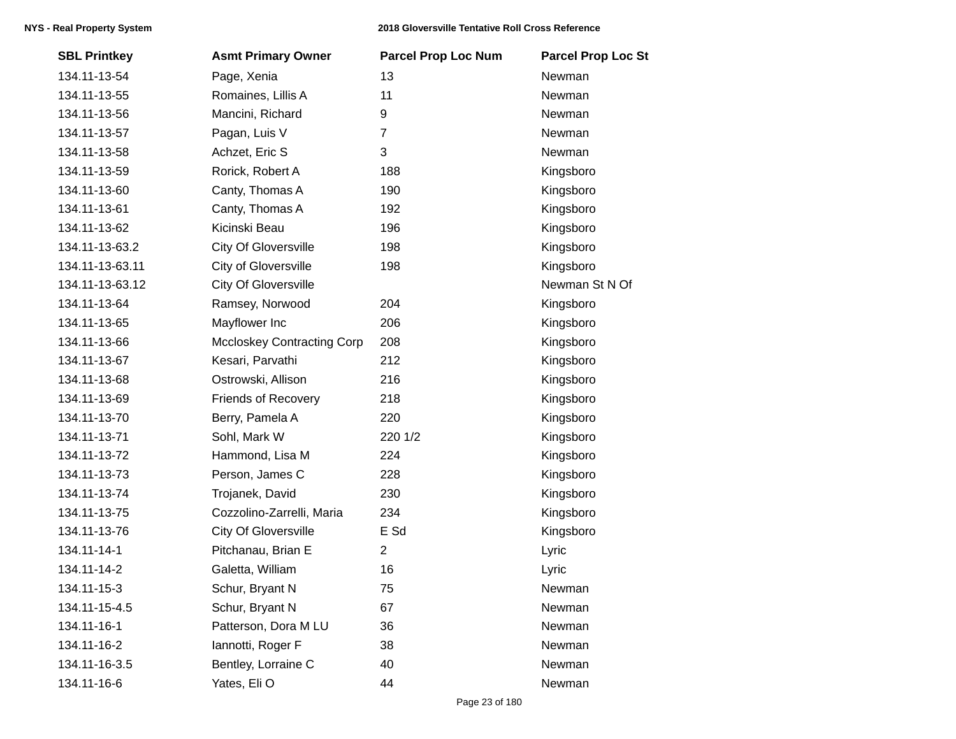| <b>SBL Printkey</b> | <b>Asmt Primary Owner</b>         | <b>Parcel Prop Loc Num</b> | <b>Parcel Prop Loc St</b> |
|---------------------|-----------------------------------|----------------------------|---------------------------|
| 134.11-13-54        | Page, Xenia                       | 13                         | Newman                    |
| 134.11-13-55        | Romaines, Lillis A                | 11                         | Newman                    |
| 134.11-13-56        | Mancini, Richard                  | 9                          | Newman                    |
| 134.11-13-57        | Pagan, Luis V                     | $\overline{7}$             | Newman                    |
| 134.11-13-58        | Achzet, Eric S                    | 3                          | Newman                    |
| 134.11-13-59        | Rorick, Robert A                  | 188                        | Kingsboro                 |
| 134.11-13-60        | Canty, Thomas A                   | 190                        | Kingsboro                 |
| 134.11-13-61        | Canty, Thomas A                   | 192                        | Kingsboro                 |
| 134.11-13-62        | Kicinski Beau                     | 196                        | Kingsboro                 |
| 134.11-13-63.2      | <b>City Of Gloversville</b>       | 198                        | Kingsboro                 |
| 134.11-13-63.11     | City of Gloversville              | 198                        | Kingsboro                 |
| 134.11-13-63.12     | <b>City Of Gloversville</b>       |                            | Newman St N Of            |
| 134.11-13-64        | Ramsey, Norwood                   | 204                        | Kingsboro                 |
| 134.11-13-65        | Mayflower Inc                     | 206                        | Kingsboro                 |
| 134.11-13-66        | <b>Mccloskey Contracting Corp</b> | 208                        | Kingsboro                 |
| 134.11-13-67        | Kesari, Parvathi                  | 212                        | Kingsboro                 |
| 134.11-13-68        | Ostrowski, Allison                | 216                        | Kingsboro                 |
| 134.11-13-69        | <b>Friends of Recovery</b>        | 218                        | Kingsboro                 |
| 134.11-13-70        | Berry, Pamela A                   | 220                        | Kingsboro                 |
| 134.11-13-71        | Sohl, Mark W                      | 220 1/2                    | Kingsboro                 |
| 134.11-13-72        | Hammond, Lisa M                   | 224                        | Kingsboro                 |
| 134.11-13-73        | Person, James C                   | 228                        | Kingsboro                 |
| 134.11-13-74        | Trojanek, David                   | 230                        | Kingsboro                 |
| 134.11-13-75        | Cozzolino-Zarrelli, Maria         | 234                        | Kingsboro                 |
| 134.11-13-76        | <b>City Of Gloversville</b>       | E Sd                       | Kingsboro                 |
| 134.11-14-1         | Pitchanau, Brian E                | $\mathbf{2}$               | Lyric                     |
| 134.11-14-2         | Galetta, William                  | 16                         | Lyric                     |
| 134.11-15-3         | Schur, Bryant N                   | 75                         | Newman                    |
| 134.11-15-4.5       | Schur, Bryant N                   | 67                         | Newman                    |
| 134.11-16-1         | Patterson, Dora M LU              | 36                         | Newman                    |
| 134.11-16-2         | lannotti, Roger F                 | 38                         | Newman                    |
| 134.11-16-3.5       | Bentley, Lorraine C               | 40                         | Newman                    |
| 134.11-16-6         | Yates, Eli O                      | 44                         | Newman                    |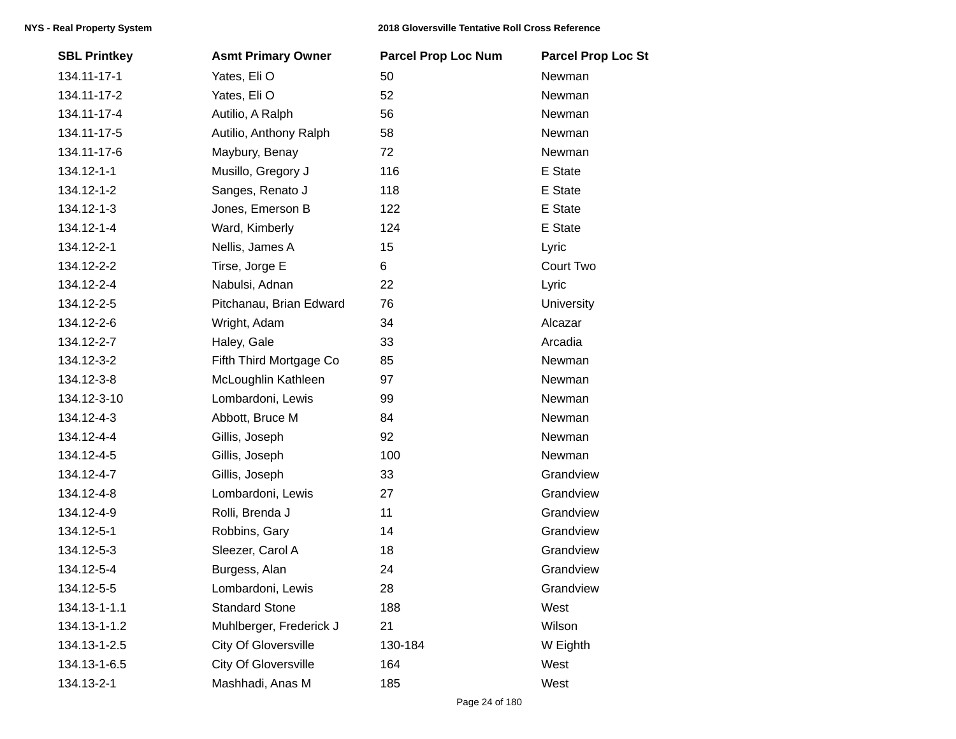| <b>SBL Printkey</b> | <b>Asmt Primary Owner</b>   | <b>Parcel Prop Loc Num</b> | <b>Parcel Prop Loc St</b> |
|---------------------|-----------------------------|----------------------------|---------------------------|
| 134.11-17-1         | Yates, Eli O                | 50                         | Newman                    |
| 134.11-17-2         | Yates, Eli O                | 52                         | Newman                    |
| 134.11-17-4         | Autilio, A Ralph            | 56                         | Newman                    |
| 134.11-17-5         | Autilio, Anthony Ralph      | 58                         | Newman                    |
| 134.11-17-6         | Maybury, Benay              | 72                         | Newman                    |
| 134.12-1-1          | Musillo, Gregory J          | 116                        | E State                   |
| 134.12-1-2          | Sanges, Renato J            | 118                        | E State                   |
| 134.12-1-3          | Jones, Emerson B            | 122                        | E State                   |
| 134.12-1-4          | Ward, Kimberly              | 124                        | E State                   |
| 134.12-2-1          | Nellis, James A             | 15                         | Lyric                     |
| 134.12-2-2          | Tirse, Jorge E              | 6                          | Court Two                 |
| 134.12-2-4          | Nabulsi, Adnan              | 22                         | Lyric                     |
| 134.12-2-5          | Pitchanau, Brian Edward     | 76                         | <b>University</b>         |
| 134.12-2-6          | Wright, Adam                | 34                         | Alcazar                   |
| 134.12-2-7          | Haley, Gale                 | 33                         | Arcadia                   |
| 134.12-3-2          | Fifth Third Mortgage Co     | 85                         | Newman                    |
| 134.12-3-8          | McLoughlin Kathleen         | 97                         | Newman                    |
| 134.12-3-10         | Lombardoni, Lewis           | 99                         | Newman                    |
| 134.12-4-3          | Abbott, Bruce M             | 84                         | Newman                    |
| 134.12-4-4          | Gillis, Joseph              | 92                         | Newman                    |
| 134.12-4-5          | Gillis, Joseph              | 100                        | Newman                    |
| 134.12-4-7          | Gillis, Joseph              | 33                         | Grandview                 |
| 134.12-4-8          | Lombardoni, Lewis           | 27                         | Grandview                 |
| 134.12-4-9          | Rolli, Brenda J             | 11                         | Grandview                 |
| 134.12-5-1          | Robbins, Gary               | 14                         | Grandview                 |
| 134.12-5-3          | Sleezer, Carol A            | 18                         | Grandview                 |
| 134.12-5-4          | Burgess, Alan               | 24                         | Grandview                 |
| 134.12-5-5          | Lombardoni, Lewis           | 28                         | Grandview                 |
| 134.13-1-1.1        | <b>Standard Stone</b>       | 188                        | West                      |
| 134.13-1-1.2        | Muhlberger, Frederick J     | 21                         | Wilson                    |
| 134.13-1-2.5        | <b>City Of Gloversville</b> | 130-184                    | W Eighth                  |
| 134.13-1-6.5        | <b>City Of Gloversville</b> | 164                        | West                      |
| 134.13-2-1          | Mashhadi, Anas M            | 185                        | West                      |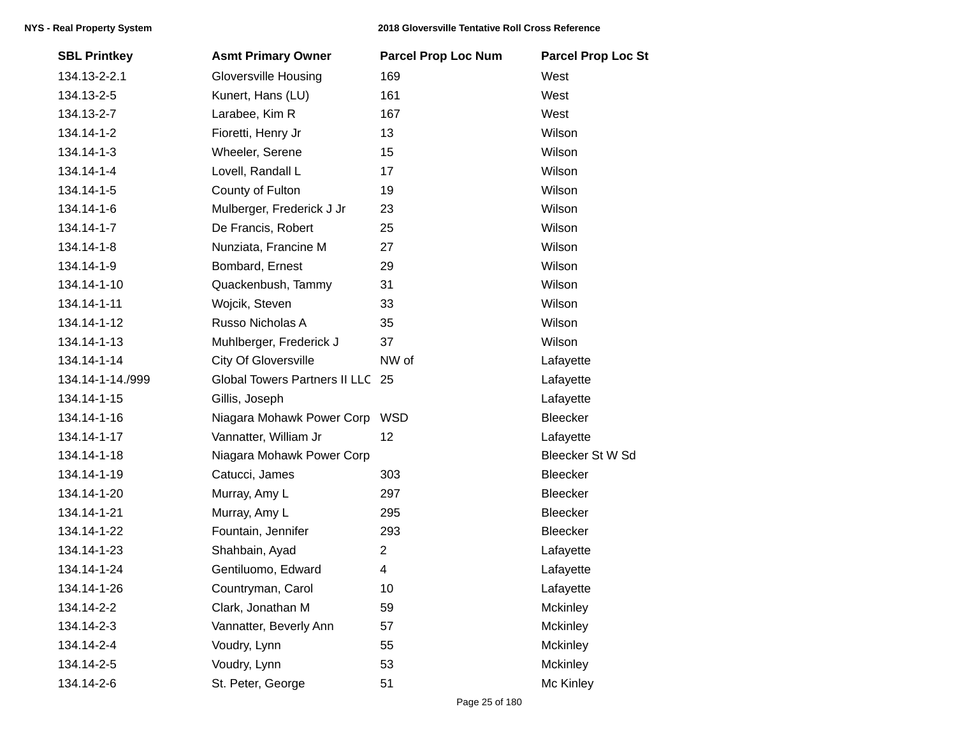| <b>SBL Printkey</b> | <b>Asmt Primary Owner</b>            | <b>Parcel Prop Loc Num</b> | <b>Parcel Prop Loc St</b> |
|---------------------|--------------------------------------|----------------------------|---------------------------|
| 134.13-2-2.1        | <b>Gloversville Housing</b>          | 169                        | West                      |
| 134.13-2-5          | Kunert, Hans (LU)                    | 161                        | West                      |
| 134.13-2-7          | Larabee, Kim R                       | 167                        | West                      |
| 134.14-1-2          | Fioretti, Henry Jr                   | 13                         | Wilson                    |
| 134.14-1-3          | Wheeler, Serene                      | 15                         | Wilson                    |
| 134.14-1-4          | Lovell, Randall L                    | 17                         | Wilson                    |
| 134.14-1-5          | County of Fulton                     | 19                         | Wilson                    |
| 134.14-1-6          | Mulberger, Frederick J Jr            | 23                         | Wilson                    |
| 134.14-1-7          | De Francis, Robert                   | 25                         | Wilson                    |
| 134.14-1-8          | Nunziata, Francine M                 | 27                         | Wilson                    |
| 134.14-1-9          | Bombard, Ernest                      | 29                         | Wilson                    |
| 134.14-1-10         | Quackenbush, Tammy                   | 31                         | Wilson                    |
| 134.14-1-11         | Wojcik, Steven                       | 33                         | Wilson                    |
| 134.14-1-12         | Russo Nicholas A                     | 35                         | Wilson                    |
| 134.14-1-13         | Muhlberger, Frederick J              | 37                         | Wilson                    |
| 134.14-1-14         | City Of Gloversville                 | NW of                      | Lafayette                 |
| 134.14-1-14./999    | <b>Global Towers Partners II LLC</b> | 25                         | Lafayette                 |
| 134.14-1-15         | Gillis, Joseph                       |                            | Lafayette                 |
| 134.14-1-16         | Niagara Mohawk Power Corp            | <b>WSD</b>                 | Bleecker                  |
| 134.14-1-17         | Vannatter, William Jr                | 12                         | Lafayette                 |
| 134.14-1-18         | Niagara Mohawk Power Corp            |                            | Bleecker St W Sd          |
| 134.14-1-19         | Catucci, James                       | 303                        | <b>Bleecker</b>           |
| 134.14-1-20         | Murray, Amy L                        | 297                        | Bleecker                  |
| 134.14-1-21         | Murray, Amy L                        | 295                        | Bleecker                  |
| 134.14-1-22         | Fountain, Jennifer                   | 293                        | Bleecker                  |
| 134.14-1-23         | Shahbain, Ayad                       | $\overline{2}$             | Lafayette                 |
| 134.14-1-24         | Gentiluomo, Edward                   | 4                          | Lafayette                 |
| 134.14-1-26         | Countryman, Carol                    | 10                         | Lafayette                 |
| 134.14-2-2          | Clark, Jonathan M                    | 59                         | Mckinley                  |
| 134.14-2-3          | Vannatter, Beverly Ann               | 57                         | Mckinley                  |
| 134.14-2-4          | Voudry, Lynn                         | 55                         | Mckinley                  |
| 134.14-2-5          | Voudry, Lynn                         | 53                         | Mckinley                  |
| 134.14-2-6          | St. Peter, George                    | 51                         | Mc Kinley                 |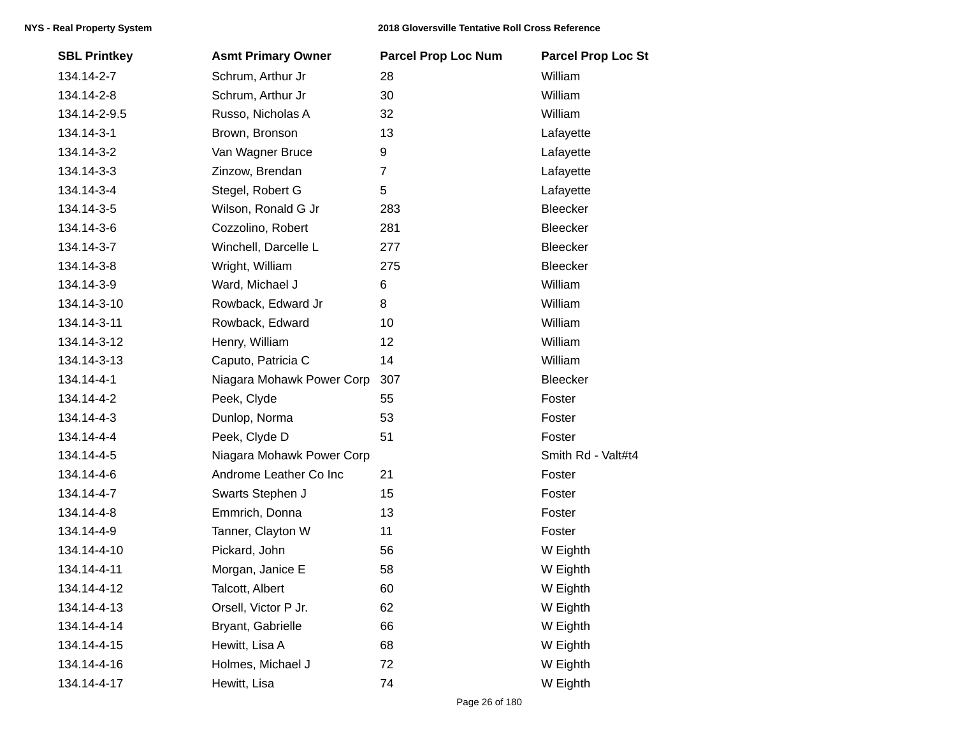| <b>SBL Printkey</b> | <b>Asmt Primary Owner</b> | <b>Parcel Prop Loc Num</b> | <b>Parcel Prop Loc St</b> |
|---------------------|---------------------------|----------------------------|---------------------------|
| 134.14-2-7          | Schrum, Arthur Jr         | 28                         | William                   |
| 134.14-2-8          | Schrum, Arthur Jr         | 30                         | William                   |
| 134.14-2-9.5        | Russo, Nicholas A         | 32                         | William                   |
| 134.14-3-1          | Brown, Bronson            | 13                         | Lafayette                 |
| 134.14-3-2          | Van Wagner Bruce          | 9                          | Lafayette                 |
| 134.14-3-3          | Zinzow, Brendan           | $\overline{7}$             | Lafayette                 |
| 134.14-3-4          | Stegel, Robert G          | 5                          | Lafayette                 |
| 134.14-3-5          | Wilson, Ronald G Jr       | 283                        | Bleecker                  |
| 134.14-3-6          | Cozzolino, Robert         | 281                        | Bleecker                  |
| 134.14-3-7          | Winchell, Darcelle L      | 277                        | Bleecker                  |
| 134.14-3-8          | Wright, William           | 275                        | Bleecker                  |
| 134.14-3-9          | Ward, Michael J           | 6                          | William                   |
| 134.14-3-10         | Rowback, Edward Jr        | 8                          | William                   |
| 134.14-3-11         | Rowback, Edward           | 10                         | William                   |
| 134.14-3-12         | Henry, William            | 12                         | William                   |
| 134.14-3-13         | Caputo, Patricia C        | 14                         | William                   |
| 134.14-4-1          | Niagara Mohawk Power Corp | 307                        | Bleecker                  |
| 134.14-4-2          | Peek, Clyde               | 55                         | Foster                    |
| 134.14-4-3          | Dunlop, Norma             | 53                         | Foster                    |
| 134.14-4-4          | Peek, Clyde D             | 51                         | Foster                    |
| 134.14-4-5          | Niagara Mohawk Power Corp |                            | Smith Rd - Valt#t4        |
| 134.14-4-6          | Androme Leather Co Inc    | 21                         | Foster                    |
| 134.14-4-7          | Swarts Stephen J          | 15                         | Foster                    |
| 134.14-4-8          | Emmrich, Donna            | 13                         | Foster                    |
| 134.14-4-9          | Tanner, Clayton W         | 11                         | Foster                    |
| 134.14-4-10         | Pickard, John             | 56                         | W Eighth                  |
| 134.14-4-11         | Morgan, Janice E          | 58                         | W Eighth                  |
| 134.14-4-12         | Talcott, Albert           | 60                         | W Eighth                  |
| 134.14-4-13         | Orsell, Victor P Jr.      | 62                         | W Eighth                  |
| 134.14-4-14         | Bryant, Gabrielle         | 66                         | W Eighth                  |
| 134.14-4-15         | Hewitt, Lisa A            | 68                         | W Eighth                  |
| 134.14-4-16         | Holmes, Michael J         | 72                         | W Eighth                  |
| 134.14-4-17         | Hewitt, Lisa              | 74                         | W Eighth                  |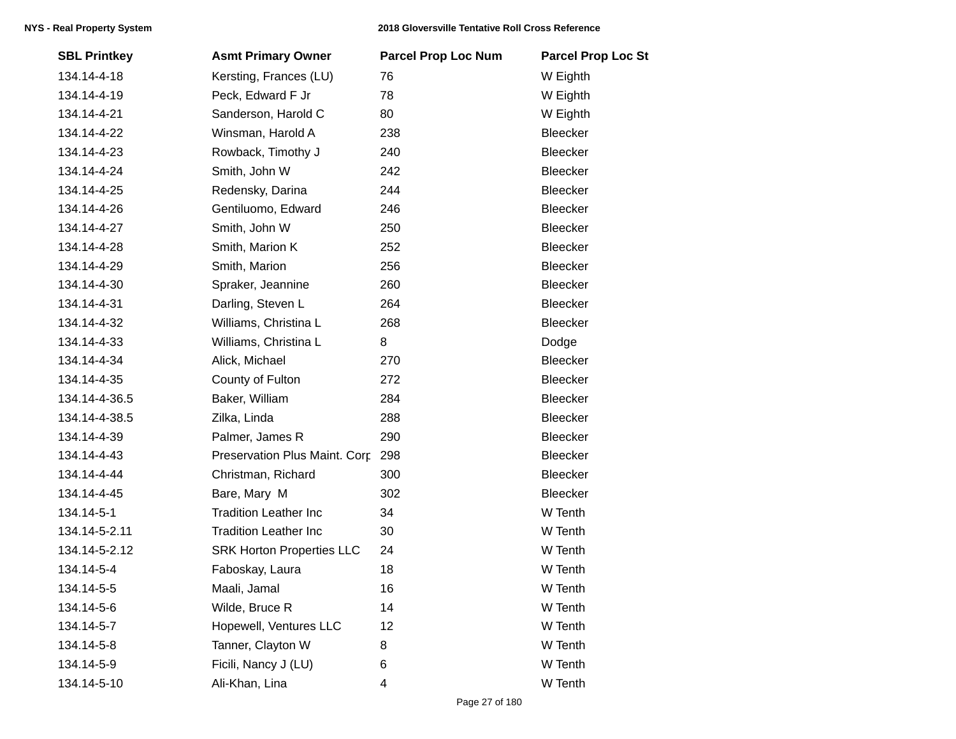| <b>SBL Printkey</b> | <b>Asmt Primary Owner</b>        | <b>Parcel Prop Loc Num</b> | <b>Parcel Prop Loc St</b> |
|---------------------|----------------------------------|----------------------------|---------------------------|
| 134.14-4-18         | Kersting, Frances (LU)           | 76                         | W Eighth                  |
| 134.14-4-19         | Peck, Edward F Jr                | 78                         | W Eighth                  |
| 134.14-4-21         | Sanderson, Harold C              | 80                         | W Eighth                  |
| 134.14-4-22         | Winsman, Harold A                | 238                        | Bleecker                  |
| 134.14-4-23         | Rowback, Timothy J               | 240                        | Bleecker                  |
| 134.14-4-24         | Smith, John W                    | 242                        | Bleecker                  |
| 134.14-4-25         | Redensky, Darina                 | 244                        | Bleecker                  |
| 134.14-4-26         | Gentiluomo, Edward               | 246                        | Bleecker                  |
| 134.14-4-27         | Smith, John W                    | 250                        | Bleecker                  |
| 134.14-4-28         | Smith, Marion K                  | 252                        | Bleecker                  |
| 134.14-4-29         | Smith, Marion                    | 256                        | Bleecker                  |
| 134.14-4-30         | Spraker, Jeannine                | 260                        | Bleecker                  |
| 134.14-4-31         | Darling, Steven L                | 264                        | Bleecker                  |
| 134.14-4-32         | Williams, Christina L            | 268                        | Bleecker                  |
| 134.14-4-33         | Williams, Christina L            | 8                          | Dodge                     |
| 134.14-4-34         | Alick, Michael                   | 270                        | Bleecker                  |
| 134.14-4-35         | County of Fulton                 | 272                        | Bleecker                  |
| 134.14-4-36.5       | Baker, William                   | 284                        | Bleecker                  |
| 134.14-4-38.5       | Zilka, Linda                     | 288                        | Bleecker                  |
| 134.14-4-39         | Palmer, James R                  | 290                        | Bleecker                  |
| 134.14-4-43         | Preservation Plus Maint. Corp.   | 298                        | Bleecker                  |
| 134.14-4-44         | Christman, Richard               | 300                        | Bleecker                  |
| 134.14-4-45         | Bare, Mary M                     | 302                        | Bleecker                  |
| 134.14-5-1          | <b>Tradition Leather Inc</b>     | 34                         | W Tenth                   |
| 134.14-5-2.11       | <b>Tradition Leather Inc</b>     | 30                         | W Tenth                   |
| 134.14-5-2.12       | <b>SRK Horton Properties LLC</b> | 24                         | W Tenth                   |
| 134.14-5-4          | Faboskay, Laura                  | 18                         | W Tenth                   |
| 134.14-5-5          | Maali, Jamal                     | 16                         | W Tenth                   |
| 134.14-5-6          | Wilde, Bruce R                   | 14                         | W Tenth                   |
| 134.14-5-7          | Hopewell, Ventures LLC           | 12                         | W Tenth                   |
| 134.14-5-8          | Tanner, Clayton W                | 8                          | W Tenth                   |
| 134.14-5-9          | Ficili, Nancy J (LU)             | 6                          | W Tenth                   |
| 134.14-5-10         | Ali-Khan, Lina                   | 4                          | W Tenth                   |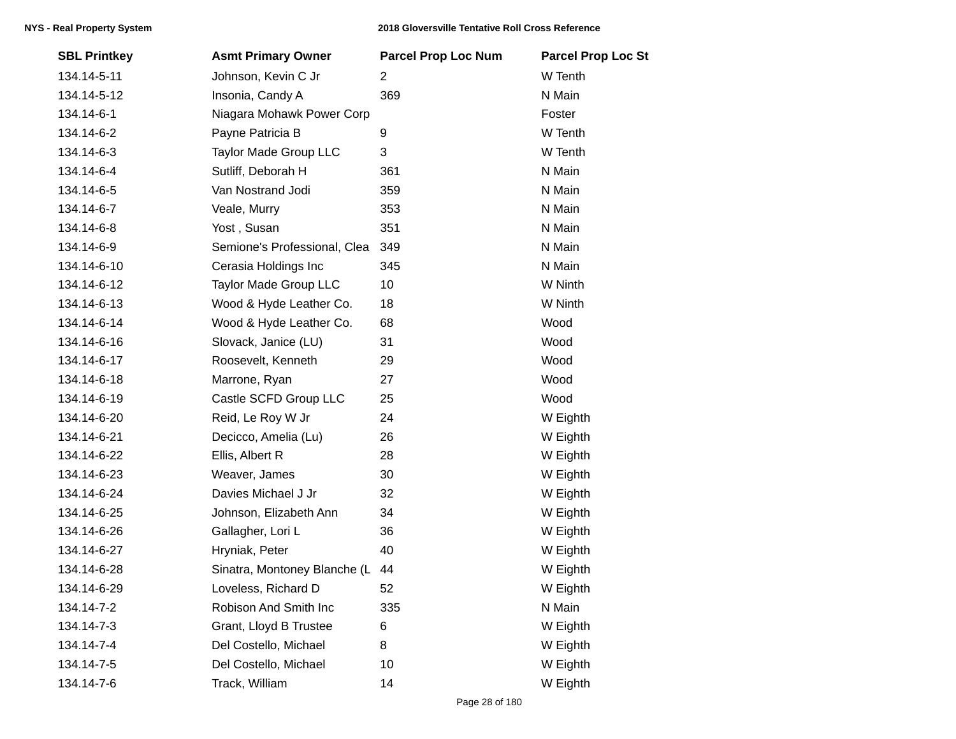| <b>SBL Printkey</b> | <b>Asmt Primary Owner</b>    | <b>Parcel Prop Loc Num</b> | <b>Parcel Prop Loc St</b> |
|---------------------|------------------------------|----------------------------|---------------------------|
| 134.14-5-11         | Johnson, Kevin C Jr          | 2                          | W Tenth                   |
| 134.14-5-12         | Insonia, Candy A             | 369                        | N Main                    |
| 134.14-6-1          | Niagara Mohawk Power Corp    |                            | Foster                    |
| 134.14-6-2          | Payne Patricia B             | 9                          | W Tenth                   |
| 134.14-6-3          | Taylor Made Group LLC        | 3                          | W Tenth                   |
| 134.14-6-4          | Sutliff, Deborah H           | 361                        | N Main                    |
| 134.14-6-5          | Van Nostrand Jodi            | 359                        | N Main                    |
| 134.14-6-7          | Veale, Murry                 | 353                        | N Main                    |
| 134.14-6-8          | Yost, Susan                  | 351                        | N Main                    |
| 134.14-6-9          | Semione's Professional, Clea | 349                        | N Main                    |
| 134.14-6-10         | Cerasia Holdings Inc         | 345                        | N Main                    |
| 134.14-6-12         | <b>Taylor Made Group LLC</b> | 10                         | W Ninth                   |
| 134.14-6-13         | Wood & Hyde Leather Co.      | 18                         | W Ninth                   |
| 134.14-6-14         | Wood & Hyde Leather Co.      | 68                         | Wood                      |
| 134.14-6-16         | Slovack, Janice (LU)         | 31                         | Wood                      |
| 134.14-6-17         | Roosevelt, Kenneth           | 29                         | Wood                      |
| 134.14-6-18         | Marrone, Ryan                | 27                         | Wood                      |
| 134.14-6-19         | Castle SCFD Group LLC        | 25                         | Wood                      |
| 134.14-6-20         | Reid, Le Roy W Jr            | 24                         | W Eighth                  |
| 134.14-6-21         | Decicco, Amelia (Lu)         | 26                         | W Eighth                  |
| 134.14-6-22         | Ellis, Albert R              | 28                         | W Eighth                  |
| 134.14-6-23         | Weaver, James                | 30                         | W Eighth                  |
| 134.14-6-24         | Davies Michael J Jr          | 32                         | W Eighth                  |
| 134.14-6-25         | Johnson, Elizabeth Ann       | 34                         | W Eighth                  |
| 134.14-6-26         | Gallagher, Lori L            | 36                         | W Eighth                  |
| 134.14-6-27         | Hryniak, Peter               | 40                         | W Eighth                  |
| 134.14-6-28         | Sinatra, Montoney Blanche (L | 44                         | W Eighth                  |
| 134.14-6-29         | Loveless, Richard D          | 52                         | W Eighth                  |
| 134.14-7-2          | Robison And Smith Inc        | 335                        | N Main                    |
| 134.14-7-3          | Grant, Lloyd B Trustee       | 6                          | W Eighth                  |
| 134.14-7-4          | Del Costello, Michael        | 8                          | W Eighth                  |
| 134.14-7-5          | Del Costello, Michael        | 10                         | W Eighth                  |
| 134.14-7-6          | Track, William               | 14                         | W Eighth                  |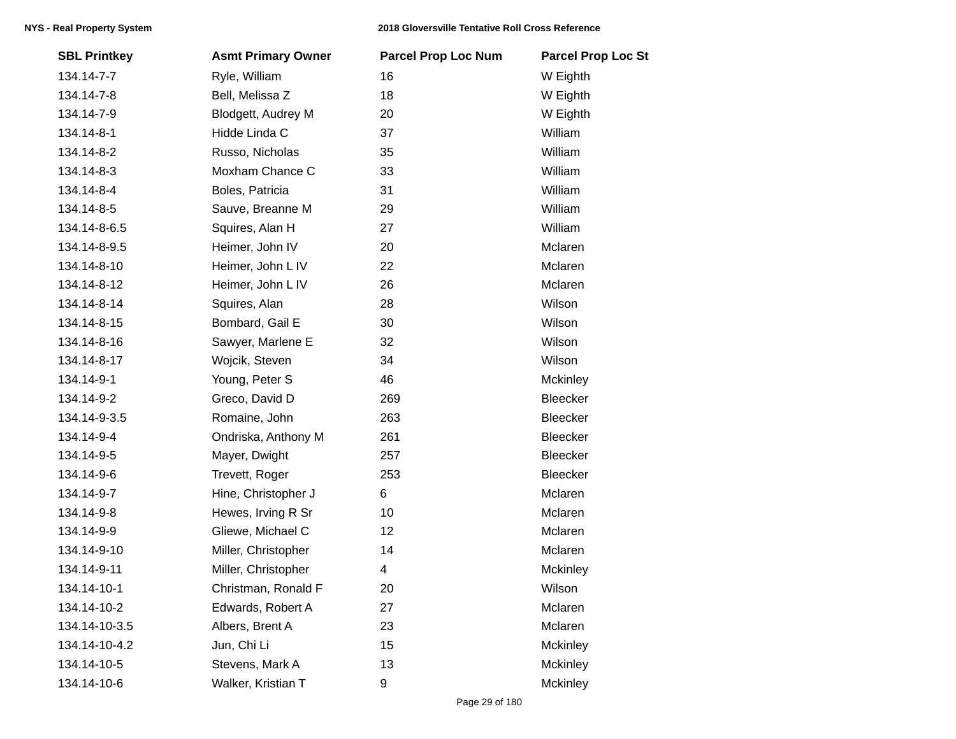| <b>SBL Printkey</b> | <b>Asmt Primary Owner</b> | <b>Parcel Prop Loc Num</b> | <b>Parcel Prop Loc St</b> |
|---------------------|---------------------------|----------------------------|---------------------------|
| 134.14-7-7          | Ryle, William             | 16                         | W Eighth                  |
| 134.14-7-8          | Bell, Melissa Z           | 18                         | W Eighth                  |
| 134.14-7-9          | Blodgett, Audrey M        | 20                         | W Eighth                  |
| 134.14-8-1          | Hidde Linda C             | 37                         | William                   |
| 134.14-8-2          | Russo, Nicholas           | 35                         | William                   |
| 134.14-8-3          | Moxham Chance C           | 33                         | William                   |
| 134.14-8-4          | Boles, Patricia           | 31                         | William                   |
| 134.14-8-5          | Sauve, Breanne M          | 29                         | William                   |
| 134.14-8-6.5        | Squires, Alan H           | 27                         | William                   |
| 134.14-8-9.5        | Heimer, John IV           | 20                         | Mclaren                   |
| 134.14-8-10         | Heimer, John L IV         | 22                         | Mclaren                   |
| 134.14-8-12         | Heimer, John L IV         | 26                         | Mclaren                   |
| 134.14-8-14         | Squires, Alan             | 28                         | Wilson                    |
| 134.14-8-15         | Bombard, Gail E           | 30                         | Wilson                    |
| 134.14-8-16         | Sawyer, Marlene E         | 32                         | Wilson                    |
| 134.14-8-17         | Wojcik, Steven            | 34                         | Wilson                    |
| 134.14-9-1          | Young, Peter S            | 46                         | Mckinley                  |
| 134.14-9-2          | Greco, David D            | 269                        | Bleecker                  |
| 134.14-9-3.5        | Romaine, John             | 263                        | Bleecker                  |
| 134.14-9-4          | Ondriska, Anthony M       | 261                        | Bleecker                  |
| 134.14-9-5          | Mayer, Dwight             | 257                        | Bleecker                  |
| 134.14-9-6          | Trevett, Roger            | 253                        | Bleecker                  |
| 134.14-9-7          | Hine, Christopher J       | 6                          | Mclaren                   |
| 134.14-9-8          | Hewes, Irving R Sr        | 10                         | Mclaren                   |
| 134.14-9-9          | Gliewe, Michael C         | 12                         | Mclaren                   |
| 134.14-9-10         | Miller, Christopher       | 14                         | Mclaren                   |
| 134.14-9-11         | Miller, Christopher       | 4                          | Mckinley                  |
| 134.14-10-1         | Christman, Ronald F       | 20                         | Wilson                    |
| 134.14-10-2         | Edwards, Robert A         | 27                         | Mclaren                   |
| 134.14-10-3.5       | Albers, Brent A           | 23                         | Mclaren                   |
| 134.14-10-4.2       | Jun, Chi Li               | 15                         | Mckinley                  |
| 134.14-10-5         | Stevens, Mark A           | 13                         | Mckinley                  |
| 134.14-10-6         | Walker, Kristian T        | 9                          | Mckinley                  |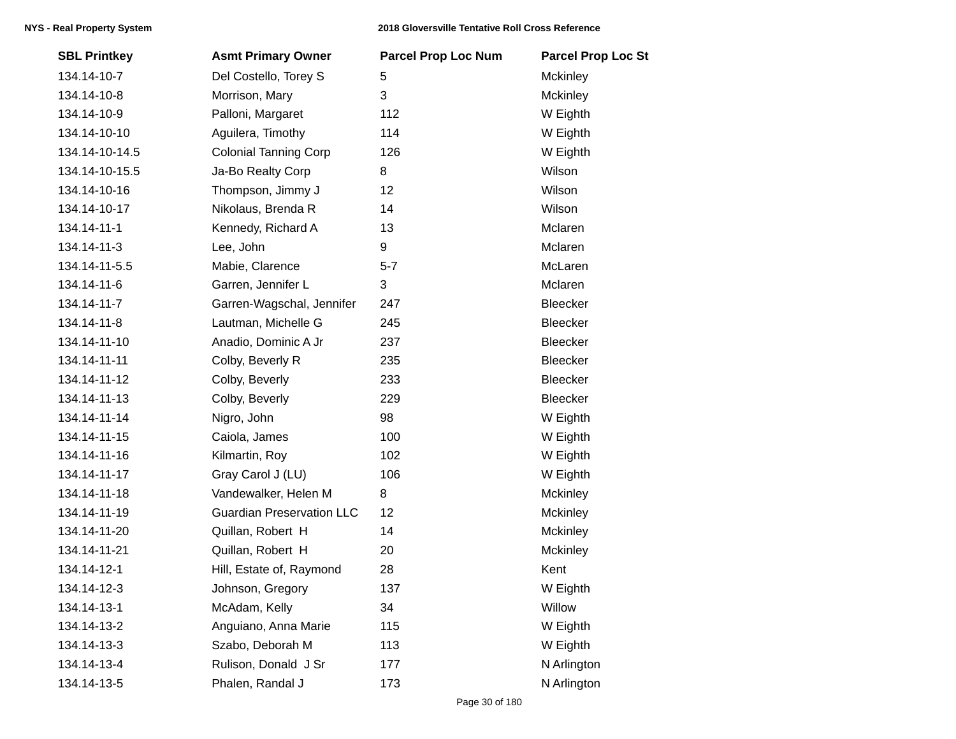| <b>SBL Printkey</b> | <b>Asmt Primary Owner</b>        | <b>Parcel Prop Loc Num</b> | <b>Parcel Prop Loc St</b> |
|---------------------|----------------------------------|----------------------------|---------------------------|
| 134.14-10-7         | Del Costello, Torey S            | 5                          | <b>Mckinley</b>           |
| 134.14-10-8         | Morrison, Mary                   | 3                          | <b>Mckinley</b>           |
| 134.14-10-9         | Palloni, Margaret                | 112                        | W Eighth                  |
| 134.14-10-10        | Aguilera, Timothy                | 114                        | W Eighth                  |
| 134.14-10-14.5      | <b>Colonial Tanning Corp</b>     | 126                        | W Eighth                  |
| 134.14-10-15.5      | Ja-Bo Realty Corp                | 8                          | Wilson                    |
| 134.14-10-16        | Thompson, Jimmy J                | 12                         | Wilson                    |
| 134.14-10-17        | Nikolaus, Brenda R               | 14                         | Wilson                    |
| 134.14-11-1         | Kennedy, Richard A               | 13                         | Mclaren                   |
| 134.14-11-3         | Lee, John                        | 9                          | Mclaren                   |
| 134.14-11-5.5       | Mabie, Clarence                  | $5 - 7$                    | McLaren                   |
| 134.14-11-6         | Garren, Jennifer L               | 3                          | Mclaren                   |
| 134.14-11-7         | Garren-Wagschal, Jennifer        | 247                        | <b>Bleecker</b>           |
| 134.14-11-8         | Lautman, Michelle G              | 245                        | Bleecker                  |
| 134.14-11-10        | Anadio, Dominic A Jr             | 237                        | Bleecker                  |
| 134.14-11-11        | Colby, Beverly R                 | 235                        | Bleecker                  |
| 134.14-11-12        | Colby, Beverly                   | 233                        | Bleecker                  |
| 134.14-11-13        | Colby, Beverly                   | 229                        | Bleecker                  |
| 134.14-11-14        | Nigro, John                      | 98                         | W Eighth                  |
| 134.14-11-15        | Caiola, James                    | 100                        | W Eighth                  |
| 134.14-11-16        | Kilmartin, Roy                   | 102                        | W Eighth                  |
| 134.14-11-17        | Gray Carol J (LU)                | 106                        | W Eighth                  |
| 134.14-11-18        | Vandewalker, Helen M             | 8                          | <b>Mckinley</b>           |
| 134.14-11-19        | <b>Guardian Preservation LLC</b> | 12                         | <b>Mckinley</b>           |
| 134.14-11-20        | Quillan, Robert H                | 14                         | <b>Mckinley</b>           |
| 134.14-11-21        | Quillan, Robert H                | 20                         | Mckinley                  |
| 134.14-12-1         | Hill, Estate of, Raymond         | 28                         | Kent                      |
| 134.14-12-3         | Johnson, Gregory                 | 137                        | W Eighth                  |
| 134.14-13-1         | McAdam, Kelly                    | 34                         | Willow                    |
| 134.14-13-2         | Anguiano, Anna Marie             | 115                        | W Eighth                  |
| 134.14-13-3         | Szabo, Deborah M                 | 113                        | W Eighth                  |
| 134.14-13-4         | Rulison, Donald J Sr             | 177                        | N Arlington               |
| 134.14-13-5         | Phalen, Randal J                 | 173                        | N Arlington               |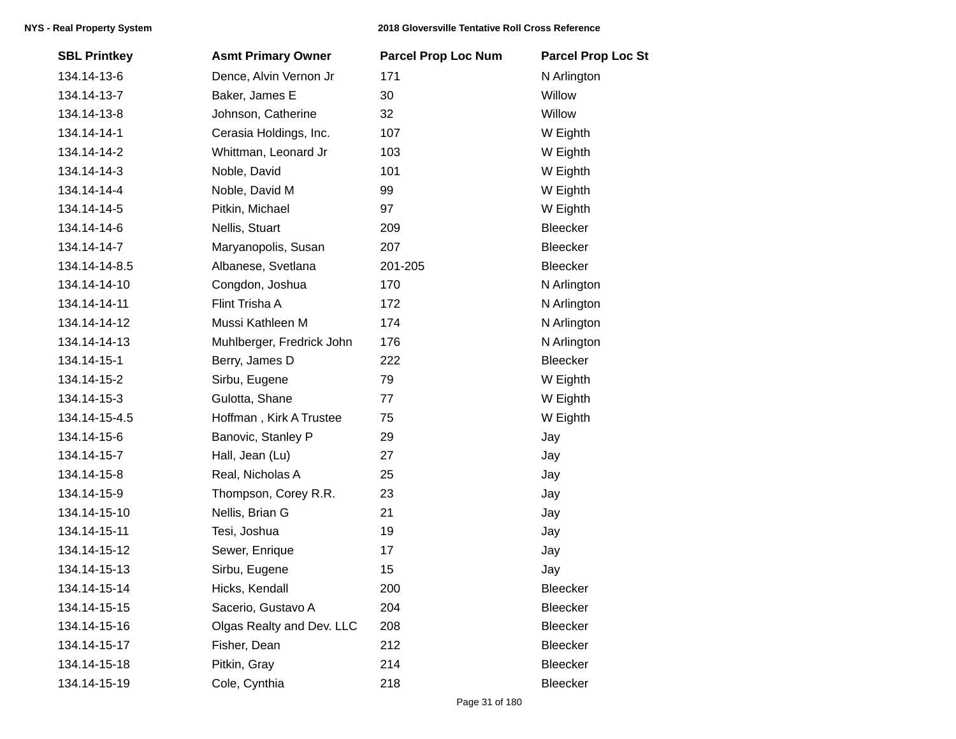| <b>SBL Printkey</b> | <b>Asmt Primary Owner</b> | <b>Parcel Prop Loc Num</b> | <b>Parcel Prop Loc St</b> |
|---------------------|---------------------------|----------------------------|---------------------------|
| 134.14-13-6         | Dence, Alvin Vernon Jr    | 171                        | N Arlington               |
| 134.14-13-7         | Baker, James E            | 30                         | Willow                    |
| 134.14-13-8         | Johnson, Catherine        | 32                         | Willow                    |
| 134.14-14-1         | Cerasia Holdings, Inc.    | 107                        | W Eighth                  |
| 134.14-14-2         | Whittman, Leonard Jr      | 103                        | W Eighth                  |
| 134.14-14-3         | Noble, David              | 101                        | W Eighth                  |
| 134.14-14-4         | Noble, David M            | 99                         | W Eighth                  |
| 134.14-14-5         | Pitkin, Michael           | 97                         | W Eighth                  |
| 134.14-14-6         | Nellis, Stuart            | 209                        | Bleecker                  |
| 134.14-14-7         | Maryanopolis, Susan       | 207                        | Bleecker                  |
| 134.14-14-8.5       | Albanese, Svetlana        | 201-205                    | Bleecker                  |
| 134.14-14-10        | Congdon, Joshua           | 170                        | N Arlington               |
| 134.14-14-11        | Flint Trisha A            | 172                        | N Arlington               |
| 134.14-14-12        | Mussi Kathleen M          | 174                        | N Arlington               |
| 134.14-14-13        | Muhlberger, Fredrick John | 176                        | N Arlington               |
| 134.14-15-1         | Berry, James D            | 222                        | Bleecker                  |
| 134.14-15-2         | Sirbu, Eugene             | 79                         | W Eighth                  |
| 134.14-15-3         | Gulotta, Shane            | 77                         | W Eighth                  |
| 134.14-15-4.5       | Hoffman, Kirk A Trustee   | 75                         | W Eighth                  |
| 134.14-15-6         | Banovic, Stanley P        | 29                         | Jay                       |
| 134.14-15-7         | Hall, Jean (Lu)           | 27                         | Jay                       |
| 134.14-15-8         | Real, Nicholas A          | 25                         | Jay                       |
| 134.14-15-9         | Thompson, Corey R.R.      | 23                         | Jay                       |
| 134.14-15-10        | Nellis, Brian G           | 21                         | Jay                       |
| 134.14-15-11        | Tesi, Joshua              | 19                         | Jay                       |
| 134.14-15-12        | Sewer, Enrique            | 17                         | Jay                       |
| 134.14-15-13        | Sirbu, Eugene             | 15                         | Jay                       |
| 134.14-15-14        | Hicks, Kendall            | 200                        | Bleecker                  |
| 134.14-15-15        | Sacerio, Gustavo A        | 204                        | Bleecker                  |
| 134.14-15-16        | Olgas Realty and Dev. LLC | 208                        | Bleecker                  |
| 134.14-15-17        | Fisher, Dean              | 212                        | Bleecker                  |
| 134.14-15-18        | Pitkin, Gray              | 214                        | Bleecker                  |
| 134.14-15-19        | Cole, Cynthia             | 218                        | Bleecker                  |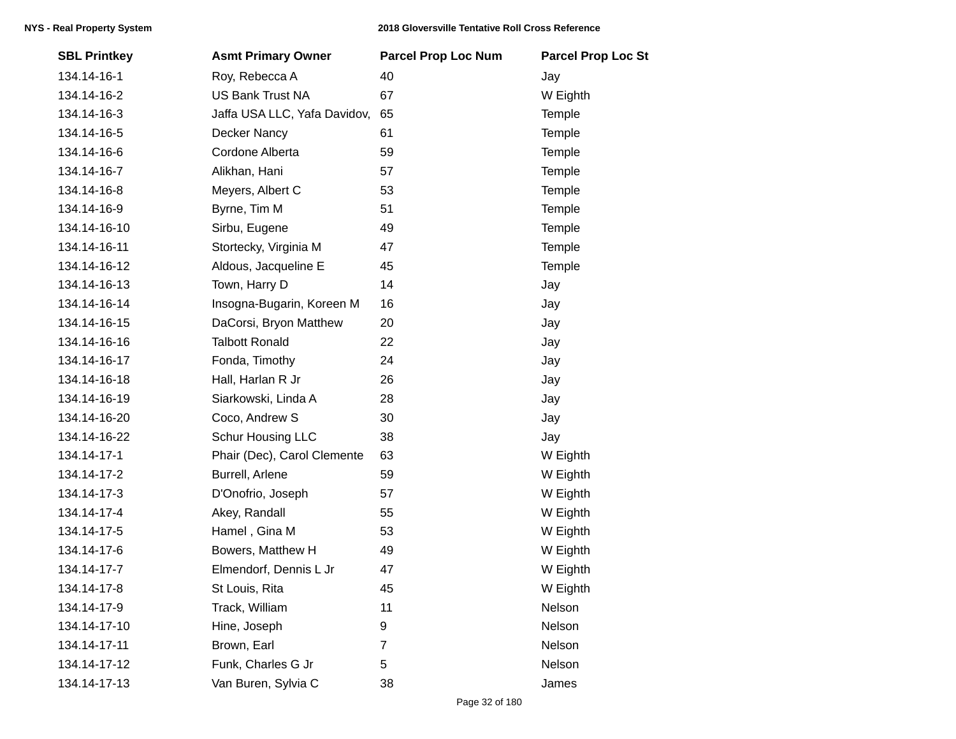| <b>SBL Printkey</b> | <b>Asmt Primary Owner</b>    | <b>Parcel Prop Loc Num</b> | <b>Parcel Prop Loc St</b> |
|---------------------|------------------------------|----------------------------|---------------------------|
| 134.14-16-1         | Roy, Rebecca A               | 40                         | Jay                       |
| 134.14-16-2         | <b>US Bank Trust NA</b>      | 67                         | W Eighth                  |
| 134.14-16-3         | Jaffa USA LLC, Yafa Davidov, | 65                         | Temple                    |
| 134.14-16-5         | Decker Nancy                 | 61                         | Temple                    |
| 134.14-16-6         | Cordone Alberta              | 59                         | Temple                    |
| 134.14-16-7         | Alikhan, Hani                | 57                         | Temple                    |
| 134.14-16-8         | Meyers, Albert C             | 53                         | Temple                    |
| 134.14-16-9         | Byrne, Tim M                 | 51                         | Temple                    |
| 134.14-16-10        | Sirbu, Eugene                | 49                         | Temple                    |
| 134.14-16-11        | Stortecky, Virginia M        | 47                         | Temple                    |
| 134.14-16-12        | Aldous, Jacqueline E         | 45                         | Temple                    |
| 134.14-16-13        | Town, Harry D                | 14                         | Jay                       |
| 134.14-16-14        | Insogna-Bugarin, Koreen M    | 16                         | Jay                       |
| 134.14-16-15        | DaCorsi, Bryon Matthew       | 20                         | Jay                       |
| 134.14-16-16        | <b>Talbott Ronald</b>        | 22                         | Jay                       |
| 134.14-16-17        | Fonda, Timothy               | 24                         | Jay                       |
| 134.14-16-18        | Hall, Harlan R Jr            | 26                         | Jay                       |
| 134.14-16-19        | Siarkowski, Linda A          | 28                         | Jay                       |
| 134.14-16-20        | Coco, Andrew S               | 30                         | Jay                       |
| 134.14-16-22        | Schur Housing LLC            | 38                         | Jay                       |
| 134.14-17-1         | Phair (Dec), Carol Clemente  | 63                         | W Eighth                  |
| 134.14-17-2         | Burrell, Arlene              | 59                         | W Eighth                  |
| 134.14-17-3         | D'Onofrio, Joseph            | 57                         | W Eighth                  |
| 134.14-17-4         | Akey, Randall                | 55                         | W Eighth                  |
| 134.14-17-5         | Hamel, Gina M                | 53                         | W Eighth                  |
| 134.14-17-6         | Bowers, Matthew H            | 49                         | W Eighth                  |
| 134.14-17-7         | Elmendorf, Dennis L Jr       | 47                         | W Eighth                  |
| 134.14-17-8         | St Louis, Rita               | 45                         | W Eighth                  |
| 134.14-17-9         | Track, William               | 11                         | Nelson                    |
| 134.14-17-10        | Hine, Joseph                 | 9                          | Nelson                    |
| 134.14-17-11        | Brown, Earl                  | $\overline{7}$             | Nelson                    |
| 134.14-17-12        | Funk, Charles G Jr           | 5                          | Nelson                    |
| 134.14-17-13        | Van Buren, Sylvia C          | 38                         | James                     |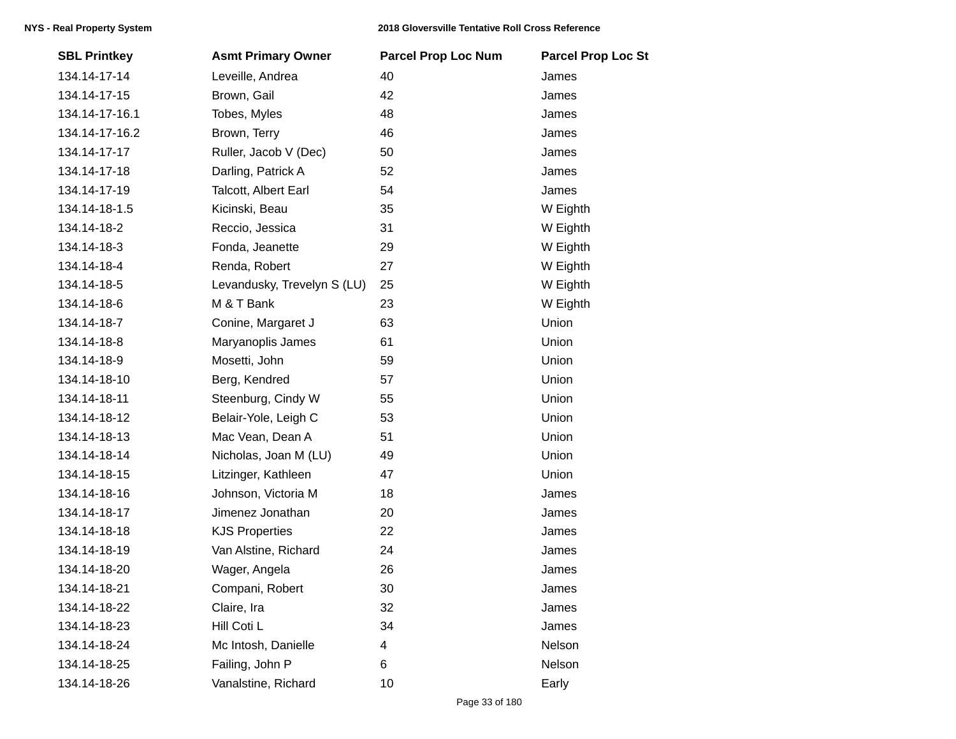| <b>SBL Printkey</b> | <b>Asmt Primary Owner</b>   | <b>Parcel Prop Loc Num</b> | <b>Parcel Prop Loc St</b> |
|---------------------|-----------------------------|----------------------------|---------------------------|
| 134.14-17-14        | Leveille, Andrea            | 40                         | James                     |
| 134.14-17-15        | Brown, Gail                 | 42                         | James                     |
| 134.14-17-16.1      | Tobes, Myles                | 48                         | James                     |
| 134.14-17-16.2      | Brown, Terry                | 46                         | James                     |
| 134.14-17-17        | Ruller, Jacob V (Dec)       | 50                         | James                     |
| 134.14-17-18        | Darling, Patrick A          | 52                         | James                     |
| 134.14-17-19        | Talcott, Albert Earl        | 54                         | James                     |
| 134.14-18-1.5       | Kicinski, Beau              | 35                         | W Eighth                  |
| 134.14-18-2         | Reccio, Jessica             | 31                         | W Eighth                  |
| 134.14-18-3         | Fonda, Jeanette             | 29                         | W Eighth                  |
| 134.14-18-4         | Renda, Robert               | 27                         | W Eighth                  |
| 134.14-18-5         | Levandusky, Trevelyn S (LU) | 25                         | W Eighth                  |
| 134.14-18-6         | M & T Bank                  | 23                         | W Eighth                  |
| 134.14-18-7         | Conine, Margaret J          | 63                         | Union                     |
| 134.14-18-8         | Maryanoplis James           | 61                         | Union                     |
| 134.14-18-9         | Mosetti, John               | 59                         | Union                     |
| 134.14-18-10        | Berg, Kendred               | 57                         | Union                     |
| 134.14-18-11        | Steenburg, Cindy W          | 55                         | Union                     |
| 134.14-18-12        | Belair-Yole, Leigh C        | 53                         | Union                     |
| 134.14-18-13        | Mac Vean, Dean A            | 51                         | Union                     |
| 134.14-18-14        | Nicholas, Joan M (LU)       | 49                         | Union                     |
| 134.14-18-15        | Litzinger, Kathleen         | 47                         | Union                     |
| 134.14-18-16        | Johnson, Victoria M         | 18                         | James                     |
| 134.14-18-17        | Jimenez Jonathan            | 20                         | James                     |
| 134.14-18-18        | <b>KJS Properties</b>       | 22                         | James                     |
| 134.14-18-19        | Van Alstine, Richard        | 24                         | James                     |
| 134.14-18-20        | Wager, Angela               | 26                         | James                     |
| 134.14-18-21        | Compani, Robert             | 30                         | James                     |
| 134.14-18-22        | Claire, Ira                 | 32                         | James                     |
| 134.14-18-23        | Hill Coti L                 | 34                         | James                     |
| 134.14-18-24        | Mc Intosh, Danielle         | 4                          | Nelson                    |
| 134.14-18-25        | Failing, John P             | 6                          | Nelson                    |
| 134.14-18-26        | Vanalstine, Richard         | 10                         | Early                     |
|                     |                             |                            |                           |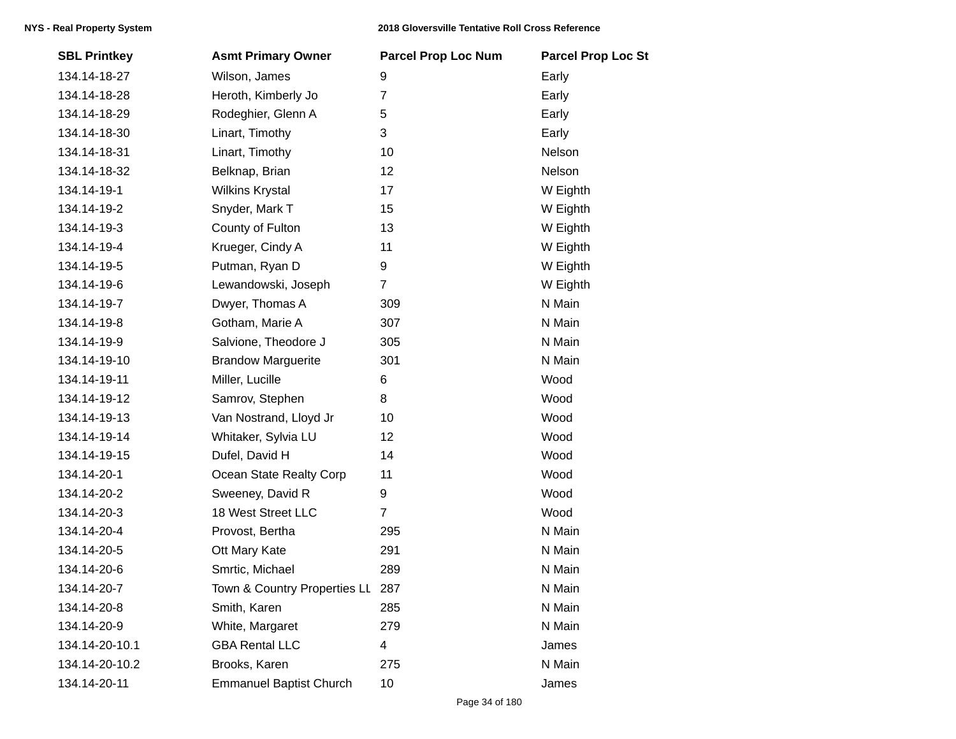| <b>SBL Printkey</b> | <b>Asmt Primary Owner</b>        | <b>Parcel Prop Loc Num</b> | <b>Parcel Prop Loc St</b> |
|---------------------|----------------------------------|----------------------------|---------------------------|
| 134.14-18-27        | Wilson, James                    | 9                          | Early                     |
| 134.14-18-28        | Heroth, Kimberly Jo              | $\overline{7}$             | Early                     |
| 134.14-18-29        | Rodeghier, Glenn A               | 5                          | Early                     |
| 134.14-18-30        | Linart, Timothy                  | 3                          | Early                     |
| 134.14-18-31        | Linart, Timothy                  | 10                         | Nelson                    |
| 134.14-18-32        | Belknap, Brian                   | 12                         | Nelson                    |
| 134.14-19-1         | <b>Wilkins Krystal</b>           | 17                         | W Eighth                  |
| 134.14-19-2         | Snyder, Mark T                   | 15                         | W Eighth                  |
| 134.14-19-3         | County of Fulton                 | 13                         | W Eighth                  |
| 134.14-19-4         | Krueger, Cindy A                 | 11                         | W Eighth                  |
| 134.14-19-5         | Putman, Ryan D                   | 9                          | W Eighth                  |
| 134.14-19-6         | Lewandowski, Joseph              | $\overline{7}$             | W Eighth                  |
| 134.14-19-7         | Dwyer, Thomas A                  | 309                        | N Main                    |
| 134.14-19-8         | Gotham, Marie A                  | 307                        | N Main                    |
| 134.14-19-9         | Salvione, Theodore J             | 305                        | N Main                    |
| 134.14-19-10        | <b>Brandow Marguerite</b>        | 301                        | N Main                    |
| 134.14-19-11        | Miller, Lucille                  | 6                          | Wood                      |
| 134.14-19-12        | Samrov, Stephen                  | 8                          | Wood                      |
| 134.14-19-13        | Van Nostrand, Lloyd Jr           | 10                         | Wood                      |
| 134.14-19-14        | Whitaker, Sylvia LU              | 12                         | Wood                      |
| 134.14-19-15        | Dufel, David H                   | 14                         | Wood                      |
| 134.14-20-1         | Ocean State Realty Corp          | 11                         | Wood                      |
| 134.14-20-2         | Sweeney, David R                 | 9                          | Wood                      |
| 134.14-20-3         | 18 West Street LLC               | $\overline{7}$             | Wood                      |
| 134.14-20-4         | Provost, Bertha                  | 295                        | N Main                    |
| 134.14-20-5         | Ott Mary Kate                    | 291                        | N Main                    |
| 134.14-20-6         | Smrtic, Michael                  | 289                        | N Main                    |
| 134.14-20-7         | Town & Country Properties LL 287 |                            | N Main                    |
| 134.14-20-8         | Smith, Karen                     | 285                        | N Main                    |
| 134.14-20-9         | White, Margaret                  | 279                        | N Main                    |
| 134.14-20-10.1      | <b>GBA Rental LLC</b>            | 4                          | James                     |
| 134.14-20-10.2      | Brooks, Karen                    | 275                        | N Main                    |
| 134.14-20-11        | <b>Emmanuel Baptist Church</b>   | 10                         | James                     |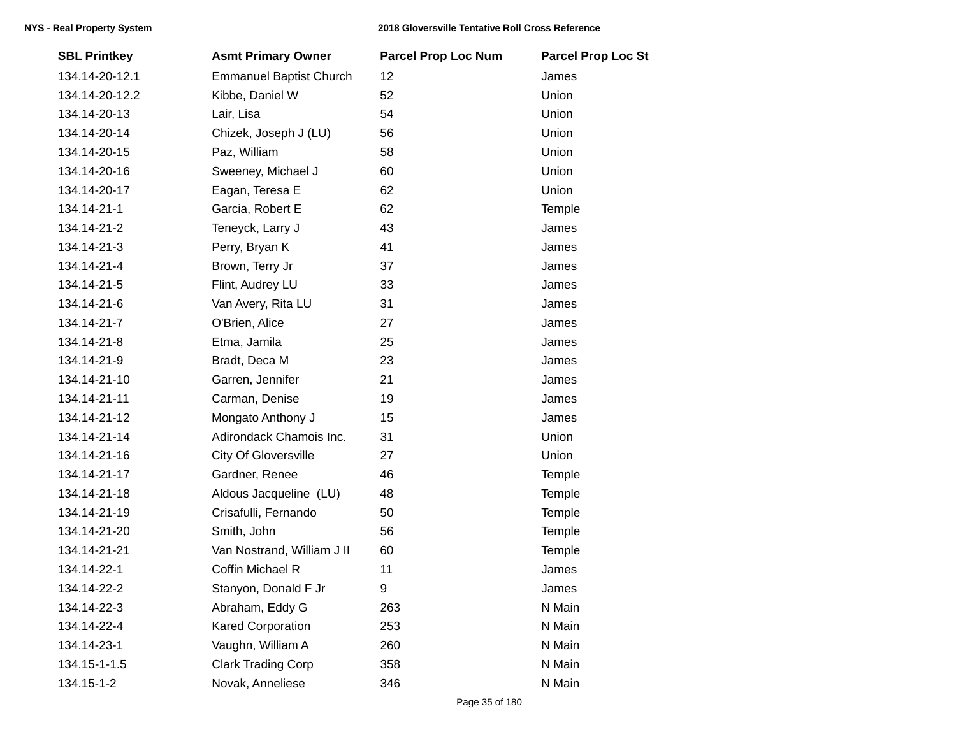| <b>SBL Printkey</b> | <b>Asmt Primary Owner</b>      | <b>Parcel Prop Loc Num</b> | <b>Parcel Prop Loc St</b> |
|---------------------|--------------------------------|----------------------------|---------------------------|
| 134.14-20-12.1      | <b>Emmanuel Baptist Church</b> | 12                         | James                     |
| 134.14-20-12.2      | Kibbe, Daniel W                | 52                         | Union                     |
| 134.14-20-13        | Lair, Lisa                     | 54                         | Union                     |
| 134.14-20-14        | Chizek, Joseph J (LU)          | 56                         | Union                     |
| 134.14-20-15        | Paz, William                   | 58                         | Union                     |
| 134.14-20-16        | Sweeney, Michael J             | 60                         | Union                     |
| 134.14-20-17        | Eagan, Teresa E                | 62                         | Union                     |
| 134.14-21-1         | Garcia, Robert E               | 62                         | Temple                    |
| 134.14-21-2         | Teneyck, Larry J               | 43                         | James                     |
| 134.14-21-3         | Perry, Bryan K                 | 41                         | James                     |
| 134.14-21-4         | Brown, Terry Jr                | 37                         | James                     |
| 134.14-21-5         | Flint, Audrey LU               | 33                         | James                     |
| 134.14-21-6         | Van Avery, Rita LU             | 31                         | James                     |
| 134.14-21-7         | O'Brien, Alice                 | 27                         | James                     |
| 134.14-21-8         | Etma, Jamila                   | 25                         | James                     |
| 134.14-21-9         | Bradt, Deca M                  | 23                         | James                     |
| 134.14-21-10        | Garren, Jennifer               | 21                         | James                     |
| 134.14-21-11        | Carman, Denise                 | 19                         | James                     |
| 134.14-21-12        | Mongato Anthony J              | 15                         | James                     |
| 134.14-21-14        | Adirondack Chamois Inc.        | 31                         | Union                     |
| 134.14-21-16        | <b>City Of Gloversville</b>    | 27                         | Union                     |
| 134.14-21-17        | Gardner, Renee                 | 46                         | Temple                    |
| 134.14-21-18        | Aldous Jacqueline (LU)         | 48                         | Temple                    |
| 134.14-21-19        | Crisafulli, Fernando           | 50                         | Temple                    |
| 134.14-21-20        | Smith, John                    | 56                         | Temple                    |
| 134.14-21-21        | Van Nostrand, William J II     | 60                         | Temple                    |
| 134.14-22-1         | Coffin Michael R               | 11                         | James                     |
| 134.14-22-2         | Stanyon, Donald F Jr           | 9                          | James                     |
| 134.14-22-3         | Abraham, Eddy G                | 263                        | N Main                    |
| 134.14-22-4         | <b>Kared Corporation</b>       | 253                        | N Main                    |
| 134.14-23-1         | Vaughn, William A              | 260                        | N Main                    |
| 134.15-1-1.5        | <b>Clark Trading Corp</b>      | 358                        | N Main                    |
| 134.15-1-2          | Novak, Anneliese               | 346                        | N Main                    |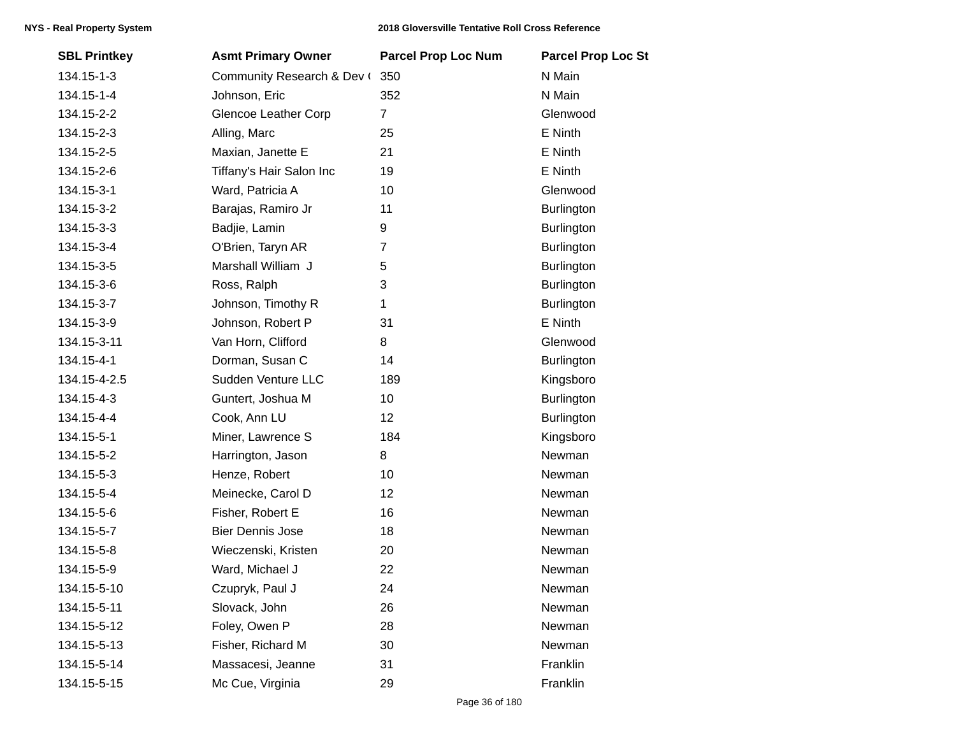| <b>SBL Printkey</b> | <b>Asmt Primary Owner</b>  | <b>Parcel Prop Loc Num</b> | <b>Parcel Prop Loc St</b> |
|---------------------|----------------------------|----------------------------|---------------------------|
| 134.15-1-3          | Community Research & Dev ( | 350                        | N Main                    |
| 134.15-1-4          | Johnson, Eric              | 352                        | N Main                    |
| 134.15-2-2          | Glencoe Leather Corp       | $\overline{7}$             | Glenwood                  |
| 134.15-2-3          | Alling, Marc               | 25                         | E Ninth                   |
| 134.15-2-5          | Maxian, Janette E          | 21                         | E Ninth                   |
| 134.15-2-6          | Tiffany's Hair Salon Inc   | 19                         | E Ninth                   |
| 134.15-3-1          | Ward, Patricia A           | 10                         | Glenwood                  |
| 134.15-3-2          | Barajas, Ramiro Jr         | 11                         | <b>Burlington</b>         |
| 134.15-3-3          | Badjie, Lamin              | 9                          | <b>Burlington</b>         |
| 134.15-3-4          | O'Brien, Taryn AR          | $\overline{7}$             | <b>Burlington</b>         |
| 134.15-3-5          | Marshall William J         | 5                          | <b>Burlington</b>         |
| 134.15-3-6          | Ross, Ralph                | 3                          | <b>Burlington</b>         |
| 134.15-3-7          | Johnson, Timothy R         | $\mathbf{1}$               | <b>Burlington</b>         |
| 134.15-3-9          | Johnson, Robert P          | 31                         | E Ninth                   |
| 134.15-3-11         | Van Horn, Clifford         | 8                          | Glenwood                  |
| 134.15-4-1          | Dorman, Susan C            | 14                         | <b>Burlington</b>         |
| 134.15-4-2.5        | Sudden Venture LLC         | 189                        | Kingsboro                 |
| 134.15-4-3          | Guntert, Joshua M          | 10                         | <b>Burlington</b>         |
| 134.15-4-4          | Cook, Ann LU               | 12                         | <b>Burlington</b>         |
| 134.15-5-1          | Miner, Lawrence S          | 184                        | Kingsboro                 |
| 134.15-5-2          | Harrington, Jason          | 8                          | Newman                    |
| 134.15-5-3          | Henze, Robert              | 10                         | Newman                    |
| 134.15-5-4          | Meinecke, Carol D          | 12                         | Newman                    |
| 134.15-5-6          | Fisher, Robert E           | 16                         | Newman                    |
| 134.15-5-7          | <b>Bier Dennis Jose</b>    | 18                         | Newman                    |
| 134.15-5-8          | Wieczenski, Kristen        | 20                         | Newman                    |
| 134.15-5-9          | Ward, Michael J            | 22                         | Newman                    |
| 134.15-5-10         | Czupryk, Paul J            | 24                         | Newman                    |
| 134.15-5-11         | Slovack, John              | 26                         | Newman                    |
| 134.15-5-12         | Foley, Owen P              | 28                         | Newman                    |
| 134.15-5-13         | Fisher, Richard M          | 30                         | Newman                    |
| 134.15-5-14         | Massacesi, Jeanne          | 31                         | Franklin                  |
| 134.15-5-15         | Mc Cue, Virginia           | 29                         | Franklin                  |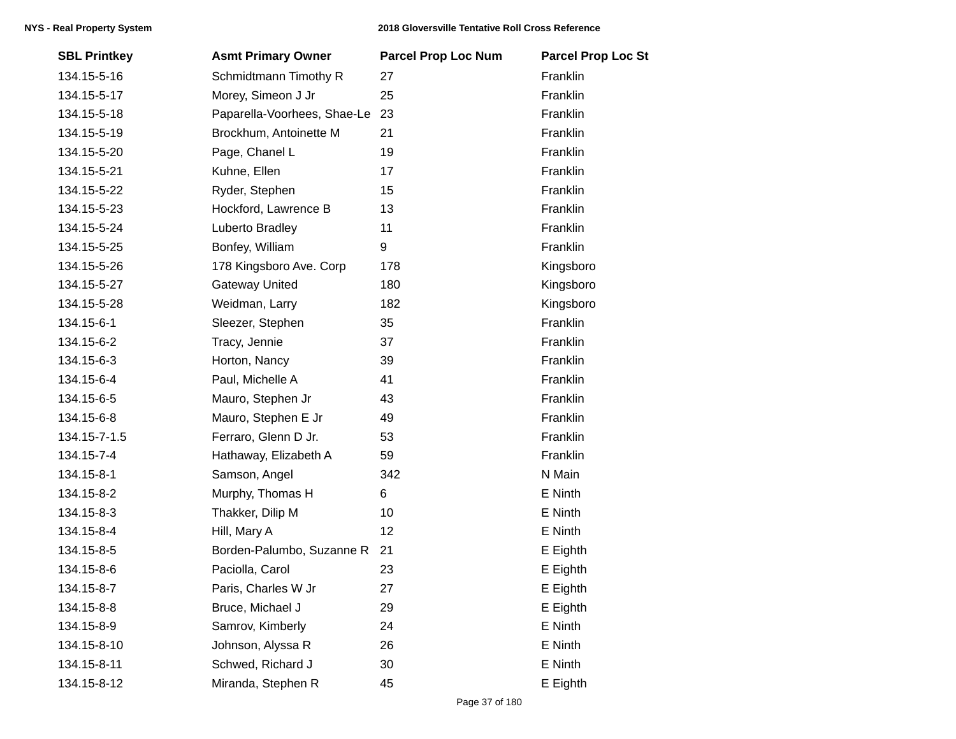| <b>SBL Printkey</b> | <b>Asmt Primary Owner</b>   | <b>Parcel Prop Loc Num</b> | <b>Parcel Prop Loc St</b> |
|---------------------|-----------------------------|----------------------------|---------------------------|
| 134.15-5-16         | Schmidtmann Timothy R       | 27                         | Franklin                  |
| 134.15-5-17         | Morey, Simeon J Jr          | 25                         | Franklin                  |
| 134.15-5-18         | Paparella-Voorhees, Shae-Le | 23                         | Franklin                  |
| 134.15-5-19         | Brockhum, Antoinette M      | 21                         | Franklin                  |
| 134.15-5-20         | Page, Chanel L              | 19                         | Franklin                  |
| 134.15-5-21         | Kuhne, Ellen                | 17                         | Franklin                  |
| 134.15-5-22         | Ryder, Stephen              | 15                         | Franklin                  |
| 134.15-5-23         | Hockford, Lawrence B        | 13                         | Franklin                  |
| 134.15-5-24         | Luberto Bradley             | 11                         | Franklin                  |
| 134.15-5-25         | Bonfey, William             | 9                          | Franklin                  |
| 134.15-5-26         | 178 Kingsboro Ave. Corp     | 178                        | Kingsboro                 |
| 134.15-5-27         | <b>Gateway United</b>       | 180                        | Kingsboro                 |
| 134.15-5-28         | Weidman, Larry              | 182                        | Kingsboro                 |
| 134.15-6-1          | Sleezer, Stephen            | 35                         | Franklin                  |
| 134.15-6-2          | Tracy, Jennie               | 37                         | Franklin                  |
| 134.15-6-3          | Horton, Nancy               | 39                         | Franklin                  |
| 134.15-6-4          | Paul, Michelle A            | 41                         | Franklin                  |
| 134.15-6-5          | Mauro, Stephen Jr           | 43                         | Franklin                  |
| 134.15-6-8          | Mauro, Stephen E Jr         | 49                         | Franklin                  |
| 134.15-7-1.5        | Ferraro, Glenn D Jr.        | 53                         | Franklin                  |
| 134.15-7-4          | Hathaway, Elizabeth A       | 59                         | Franklin                  |
| 134.15-8-1          | Samson, Angel               | 342                        | N Main                    |
| 134.15-8-2          | Murphy, Thomas H            | 6                          | E Ninth                   |
| 134.15-8-3          | Thakker, Dilip M            | 10                         | E Ninth                   |
| 134.15-8-4          | Hill, Mary A                | 12                         | E Ninth                   |
| 134.15-8-5          | Borden-Palumbo, Suzanne R   | 21                         | E Eighth                  |
| 134.15-8-6          | Paciolla, Carol             | 23                         | E Eighth                  |
| 134.15-8-7          | Paris, Charles W Jr         | 27                         | E Eighth                  |
| 134.15-8-8          | Bruce, Michael J            | 29                         | E Eighth                  |
| 134.15-8-9          | Samrov, Kimberly            | 24                         | E Ninth                   |
| 134.15-8-10         | Johnson, Alyssa R           | 26                         | E Ninth                   |
| 134.15-8-11         | Schwed, Richard J           | 30                         | E Ninth                   |
| 134.15-8-12         | Miranda, Stephen R          | 45                         | E Eighth                  |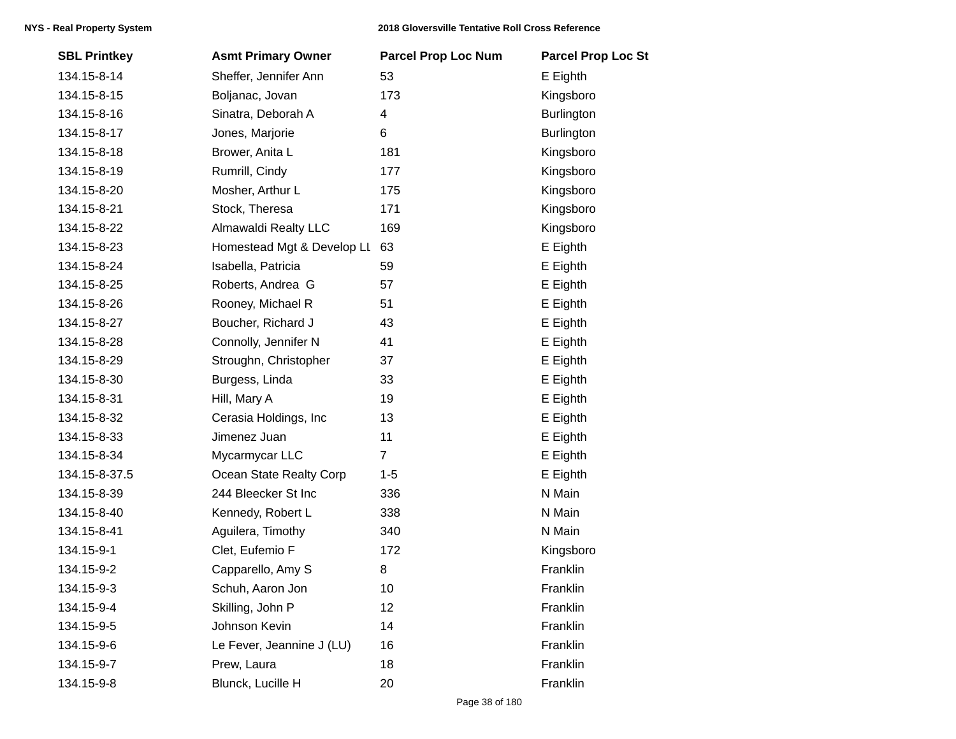| <b>SBL Printkey</b> | <b>Asmt Primary Owner</b>  | <b>Parcel Prop Loc Num</b> | <b>Parcel Prop Loc St</b> |
|---------------------|----------------------------|----------------------------|---------------------------|
| 134.15-8-14         | Sheffer, Jennifer Ann      | 53                         | E Eighth                  |
| 134.15-8-15         | Boljanac, Jovan            | 173                        | Kingsboro                 |
| 134.15-8-16         | Sinatra, Deborah A         | 4                          | <b>Burlington</b>         |
| 134.15-8-17         | Jones, Marjorie            | 6                          | <b>Burlington</b>         |
| 134.15-8-18         | Brower, Anita L            | 181                        | Kingsboro                 |
| 134.15-8-19         | Rumrill, Cindy             | 177                        | Kingsboro                 |
| 134.15-8-20         | Mosher, Arthur L           | 175                        | Kingsboro                 |
| 134.15-8-21         | Stock, Theresa             | 171                        | Kingsboro                 |
| 134.15-8-22         | Almawaldi Realty LLC       | 169                        | Kingsboro                 |
| 134.15-8-23         | Homestead Mgt & Develop LL | 63                         | E Eighth                  |
| 134.15-8-24         | Isabella, Patricia         | 59                         | E Eighth                  |
| 134.15-8-25         | Roberts, Andrea G          | 57                         | E Eighth                  |
| 134.15-8-26         | Rooney, Michael R          | 51                         | E Eighth                  |
| 134.15-8-27         | Boucher, Richard J         | 43                         | E Eighth                  |
| 134.15-8-28         | Connolly, Jennifer N       | 41                         | E Eighth                  |
| 134.15-8-29         | Stroughn, Christopher      | 37                         | E Eighth                  |
| 134.15-8-30         | Burgess, Linda             | 33                         | E Eighth                  |
| 134.15-8-31         | Hill, Mary A               | 19                         | E Eighth                  |
| 134.15-8-32         | Cerasia Holdings, Inc      | 13                         | E Eighth                  |
| 134.15-8-33         | Jimenez Juan               | 11                         | E Eighth                  |
| 134.15-8-34         | Mycarmycar LLC             | $\overline{7}$             | E Eighth                  |
| 134.15-8-37.5       | Ocean State Realty Corp    | $1 - 5$                    | E Eighth                  |
| 134.15-8-39         | 244 Bleecker St Inc        | 336                        | N Main                    |
| 134.15-8-40         | Kennedy, Robert L          | 338                        | N Main                    |
| 134.15-8-41         | Aguilera, Timothy          | 340                        | N Main                    |
| 134.15-9-1          | Clet, Eufemio F            | 172                        | Kingsboro                 |
| 134.15-9-2          | Capparello, Amy S          | 8                          | Franklin                  |
| 134.15-9-3          | Schuh, Aaron Jon           | 10                         | Franklin                  |
| 134.15-9-4          | Skilling, John P           | 12                         | Franklin                  |
| 134.15-9-5          | Johnson Kevin              | 14                         | Franklin                  |
| 134.15-9-6          | Le Fever, Jeannine J (LU)  | 16                         | Franklin                  |
| 134.15-9-7          | Prew, Laura                | 18                         | Franklin                  |
| 134.15-9-8          | Blunck, Lucille H          | 20                         | Franklin                  |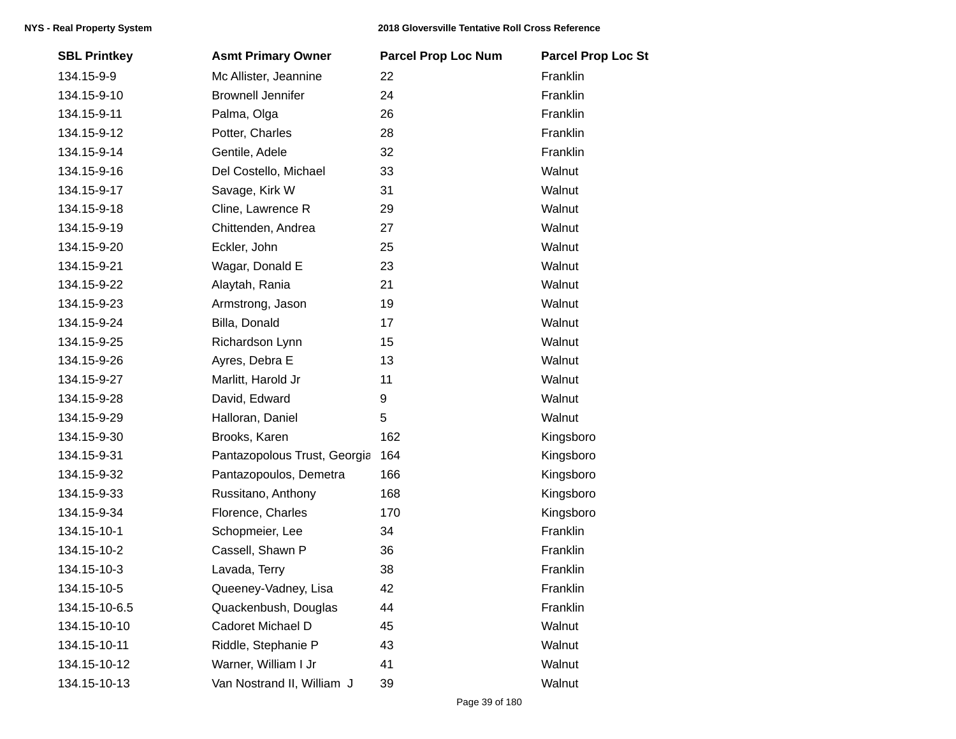| <b>SBL Printkey</b> | <b>Asmt Primary Owner</b>    | <b>Parcel Prop Loc Num</b> | <b>Parcel Prop Loc St</b> |
|---------------------|------------------------------|----------------------------|---------------------------|
| 134.15-9-9          | Mc Allister, Jeannine        | 22                         | Franklin                  |
| 134.15-9-10         | <b>Brownell Jennifer</b>     | 24                         | Franklin                  |
| 134.15-9-11         | Palma, Olga                  | 26                         | Franklin                  |
| 134.15-9-12         | Potter, Charles              | 28                         | Franklin                  |
| 134.15-9-14         | Gentile, Adele               | 32                         | Franklin                  |
| 134.15-9-16         | Del Costello, Michael        | 33                         | Walnut                    |
| 134.15-9-17         | Savage, Kirk W               | 31                         | Walnut                    |
| 134.15-9-18         | Cline, Lawrence R            | 29                         | Walnut                    |
| 134.15-9-19         | Chittenden, Andrea           | 27                         | Walnut                    |
| 134.15-9-20         | Eckler, John                 | 25                         | Walnut                    |
| 134.15-9-21         | Wagar, Donald E              | 23                         | Walnut                    |
| 134.15-9-22         | Alaytah, Rania               | 21                         | Walnut                    |
| 134.15-9-23         | Armstrong, Jason             | 19                         | Walnut                    |
| 134.15-9-24         | Billa, Donald                | 17                         | Walnut                    |
| 134.15-9-25         | Richardson Lynn              | 15                         | Walnut                    |
| 134.15-9-26         | Ayres, Debra E               | 13                         | Walnut                    |
| 134.15-9-27         | Marlitt, Harold Jr           | 11                         | Walnut                    |
| 134.15-9-28         | David, Edward                | 9                          | Walnut                    |
| 134.15-9-29         | Halloran, Daniel             | 5                          | Walnut                    |
| 134.15-9-30         | Brooks, Karen                | 162                        | Kingsboro                 |
| 134.15-9-31         | Pantazopolous Trust, Georgia | 164                        | Kingsboro                 |
| 134.15-9-32         | Pantazopoulos, Demetra       | 166                        | Kingsboro                 |
| 134.15-9-33         | Russitano, Anthony           | 168                        | Kingsboro                 |
| 134.15-9-34         | Florence, Charles            | 170                        | Kingsboro                 |
| 134.15-10-1         | Schopmeier, Lee              | 34                         | Franklin                  |
| 134.15-10-2         | Cassell, Shawn P             | 36                         | Franklin                  |
| 134.15-10-3         | Lavada, Terry                | 38                         | Franklin                  |
| 134.15-10-5         | Queeney-Vadney, Lisa         | 42                         | Franklin                  |
| 134.15-10-6.5       | Quackenbush, Douglas         | 44                         | Franklin                  |
| 134.15-10-10        | Cadoret Michael D            | 45                         | Walnut                    |
| 134.15-10-11        | Riddle, Stephanie P          | 43                         | Walnut                    |
| 134.15-10-12        | Warner, William I Jr         | 41                         | Walnut                    |
| 134.15-10-13        | Van Nostrand II, William J   | 39                         | Walnut                    |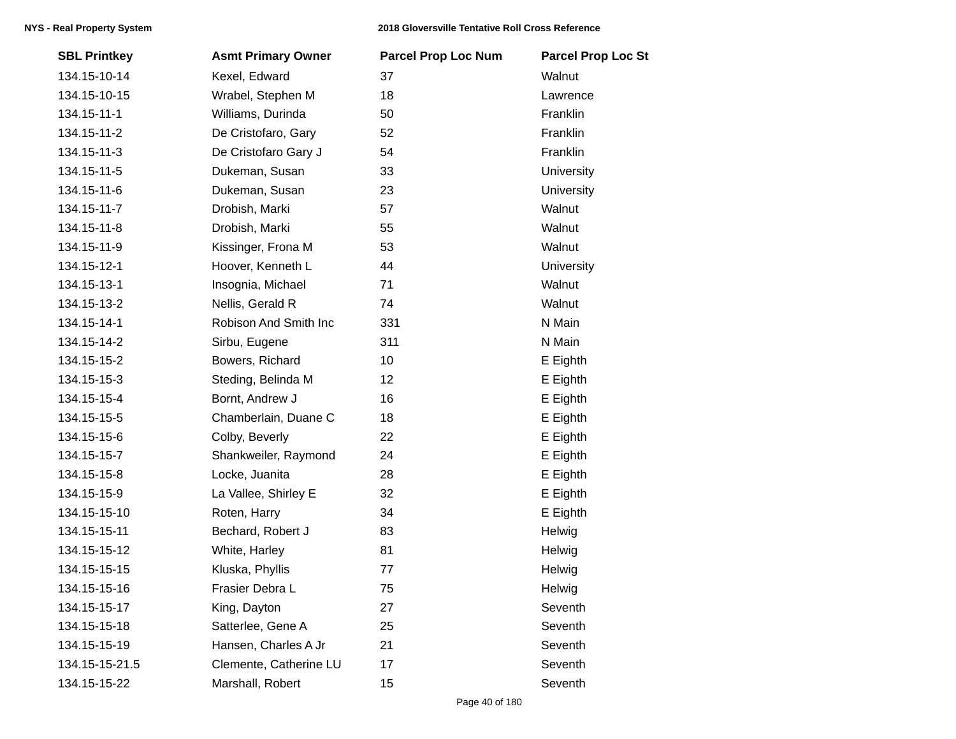| <b>SBL Printkey</b> | <b>Asmt Primary Owner</b> | <b>Parcel Prop Loc Num</b> | <b>Parcel Prop Loc St</b> |
|---------------------|---------------------------|----------------------------|---------------------------|
| 134.15-10-14        | Kexel, Edward             | 37                         | Walnut                    |
| 134.15-10-15        | Wrabel, Stephen M         | 18                         | Lawrence                  |
| 134.15-11-1         | Williams, Durinda         | 50                         | Franklin                  |
| 134.15-11-2         | De Cristofaro, Gary       | 52                         | Franklin                  |
| 134.15-11-3         | De Cristofaro Gary J      | 54                         | Franklin                  |
| 134.15-11-5         | Dukeman, Susan            | 33                         | <b>University</b>         |
| 134.15-11-6         | Dukeman, Susan            | 23                         | University                |
| 134.15-11-7         | Drobish, Marki            | 57                         | Walnut                    |
| 134.15-11-8         | Drobish, Marki            | 55                         | Walnut                    |
| 134.15-11-9         | Kissinger, Frona M        | 53                         | Walnut                    |
| 134.15-12-1         | Hoover, Kenneth L         | 44                         | University                |
| 134.15-13-1         | Insognia, Michael         | 71                         | Walnut                    |
| 134.15-13-2         | Nellis, Gerald R          | 74                         | Walnut                    |
| 134.15-14-1         | Robison And Smith Inc     | 331                        | N Main                    |
| 134.15-14-2         | Sirbu, Eugene             | 311                        | N Main                    |
| 134.15-15-2         | Bowers, Richard           | 10                         | E Eighth                  |
| 134.15-15-3         | Steding, Belinda M        | 12                         | E Eighth                  |
| 134.15-15-4         | Bornt, Andrew J           | 16                         | E Eighth                  |
| 134.15-15-5         | Chamberlain, Duane C      | 18                         | E Eighth                  |
| 134.15-15-6         | Colby, Beverly            | 22                         | E Eighth                  |
| 134.15-15-7         | Shankweiler, Raymond      | 24                         | E Eighth                  |
| 134.15-15-8         | Locke, Juanita            | 28                         | E Eighth                  |
| 134.15-15-9         | La Vallee, Shirley E      | 32                         | E Eighth                  |
| 134.15-15-10        | Roten, Harry              | 34                         | E Eighth                  |
| 134.15-15-11        | Bechard, Robert J         | 83                         | Helwig                    |
| 134.15-15-12        | White, Harley             | 81                         | Helwig                    |
| 134.15-15-15        | Kluska, Phyllis           | 77                         | Helwig                    |
| 134.15-15-16        | Frasier Debra L           | 75                         | Helwig                    |
| 134.15-15-17        | King, Dayton              | 27                         | Seventh                   |
| 134.15-15-18        | Satterlee, Gene A         | 25                         | Seventh                   |
| 134.15-15-19        | Hansen, Charles A Jr      | 21                         | Seventh                   |
| 134.15-15-21.5      | Clemente, Catherine LU    | 17                         | Seventh                   |
| 134.15-15-22        | Marshall, Robert          | 15                         | Seventh                   |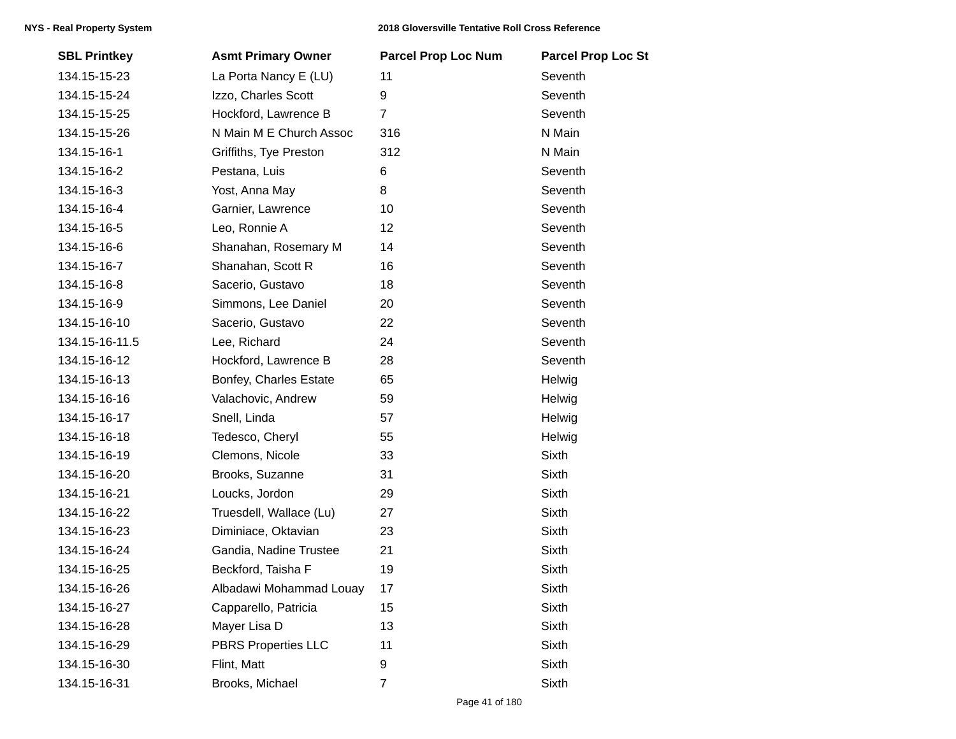| <b>SBL Printkey</b> | <b>Asmt Primary Owner</b>  | <b>Parcel Prop Loc Num</b> | <b>Parcel Prop Loc St</b> |
|---------------------|----------------------------|----------------------------|---------------------------|
| 134.15-15-23        | La Porta Nancy E (LU)      | 11                         | Seventh                   |
| 134.15-15-24        | Izzo, Charles Scott        | $\boldsymbol{9}$           | Seventh                   |
| 134.15-15-25        | Hockford, Lawrence B       | $\overline{7}$             | Seventh                   |
| 134.15-15-26        | N Main M E Church Assoc    | 316                        | N Main                    |
| 134.15-16-1         | Griffiths, Tye Preston     | 312                        | N Main                    |
| 134.15-16-2         | Pestana, Luis              | 6                          | Seventh                   |
| 134.15-16-3         | Yost, Anna May             | 8                          | Seventh                   |
| 134.15-16-4         | Garnier, Lawrence          | 10                         | Seventh                   |
| 134.15-16-5         | Leo, Ronnie A              | 12                         | Seventh                   |
| 134.15-16-6         | Shanahan, Rosemary M       | 14                         | Seventh                   |
| 134.15-16-7         | Shanahan, Scott R          | 16                         | Seventh                   |
| 134.15-16-8         | Sacerio, Gustavo           | 18                         | Seventh                   |
| 134.15-16-9         | Simmons, Lee Daniel        | 20                         | Seventh                   |
| 134.15-16-10        | Sacerio, Gustavo           | 22                         | Seventh                   |
| 134.15-16-11.5      | Lee, Richard               | 24                         | Seventh                   |
| 134.15-16-12        | Hockford, Lawrence B       | 28                         | Seventh                   |
| 134.15-16-13        | Bonfey, Charles Estate     | 65                         | Helwig                    |
| 134.15-16-16        | Valachovic, Andrew         | 59                         | Helwig                    |
| 134.15-16-17        | Snell, Linda               | 57                         | Helwig                    |
| 134.15-16-18        | Tedesco, Cheryl            | 55                         | Helwig                    |
| 134.15-16-19        | Clemons, Nicole            | 33                         | Sixth                     |
| 134.15-16-20        | Brooks, Suzanne            | 31                         | Sixth                     |
| 134.15-16-21        | Loucks, Jordon             | 29                         | Sixth                     |
| 134.15-16-22        | Truesdell, Wallace (Lu)    | 27                         | Sixth                     |
| 134.15-16-23        | Diminiace, Oktavian        | 23                         | Sixth                     |
| 134.15-16-24        | Gandia, Nadine Trustee     | 21                         | Sixth                     |
| 134.15-16-25        | Beckford, Taisha F         | 19                         | Sixth                     |
| 134.15-16-26        | Albadawi Mohammad Louay    | 17                         | Sixth                     |
| 134.15-16-27        | Capparello, Patricia       | 15                         | Sixth                     |
| 134.15-16-28        | Mayer Lisa D               | 13                         | Sixth                     |
| 134.15-16-29        | <b>PBRS Properties LLC</b> | 11                         | Sixth                     |
| 134.15-16-30        | Flint, Matt                | 9                          | Sixth                     |
| 134.15-16-31        | Brooks, Michael            | $\overline{7}$             | Sixth                     |
|                     |                            |                            |                           |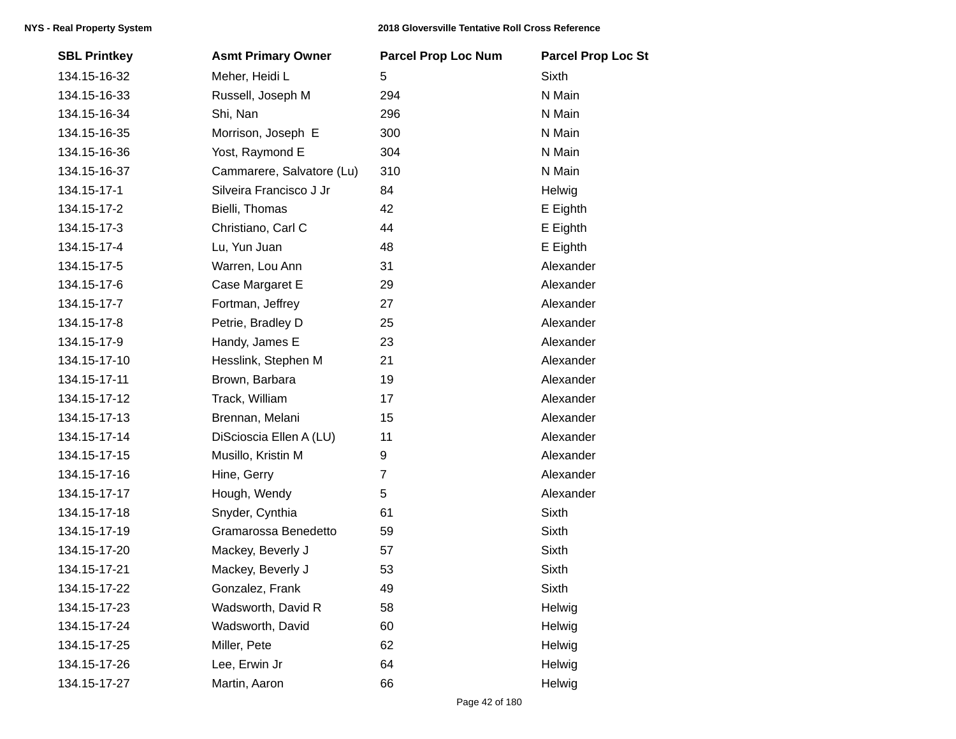| <b>SBL Printkey</b> | <b>Asmt Primary Owner</b> | <b>Parcel Prop Loc Num</b> | <b>Parcel Prop Loc St</b> |
|---------------------|---------------------------|----------------------------|---------------------------|
| 134.15-16-32        | Meher, Heidi L            | 5                          | <b>Sixth</b>              |
| 134.15-16-33        | Russell, Joseph M         | 294                        | N Main                    |
| 134.15-16-34        | Shi, Nan                  | 296                        | N Main                    |
| 134.15-16-35        | Morrison, Joseph E        | 300                        | N Main                    |
| 134.15-16-36        | Yost, Raymond E           | 304                        | N Main                    |
| 134.15-16-37        | Cammarere, Salvatore (Lu) | 310                        | N Main                    |
| 134.15-17-1         | Silveira Francisco J Jr   | 84                         | Helwig                    |
| 134.15-17-2         | Bielli, Thomas            | 42                         | E Eighth                  |
| 134.15-17-3         | Christiano, Carl C        | 44                         | E Eighth                  |
| 134.15-17-4         | Lu, Yun Juan              | 48                         | E Eighth                  |
| 134.15-17-5         | Warren, Lou Ann           | 31                         | Alexander                 |
| 134.15-17-6         | Case Margaret E           | 29                         | Alexander                 |
| 134.15-17-7         | Fortman, Jeffrey          | 27                         | Alexander                 |
| 134.15-17-8         | Petrie, Bradley D         | 25                         | Alexander                 |
| 134.15-17-9         | Handy, James E            | 23                         | Alexander                 |
| 134.15-17-10        | Hesslink, Stephen M       | 21                         | Alexander                 |
| 134.15-17-11        | Brown, Barbara            | 19                         | Alexander                 |
| 134.15-17-12        | Track, William            | 17                         | Alexander                 |
| 134.15-17-13        | Brennan, Melani           | 15                         | Alexander                 |
| 134.15-17-14        | DiScioscia Ellen A (LU)   | 11                         | Alexander                 |
| 134.15-17-15        | Musillo, Kristin M        | 9                          | Alexander                 |
| 134.15-17-16        | Hine, Gerry               | $\overline{7}$             | Alexander                 |
| 134.15-17-17        | Hough, Wendy              | 5                          | Alexander                 |
| 134.15-17-18        | Snyder, Cynthia           | 61                         | <b>Sixth</b>              |
| 134.15-17-19        | Gramarossa Benedetto      | 59                         | Sixth                     |
| 134.15-17-20        | Mackey, Beverly J         | 57                         | Sixth                     |
| 134.15-17-21        | Mackey, Beverly J         | 53                         | Sixth                     |
| 134.15-17-22        | Gonzalez, Frank           | 49                         | Sixth                     |
| 134.15-17-23        | Wadsworth, David R        | 58                         | Helwig                    |
| 134.15-17-24        | Wadsworth, David          | 60                         | Helwig                    |
| 134.15-17-25        | Miller, Pete              | 62                         | Helwig                    |
| 134.15-17-26        | Lee, Erwin Jr             | 64                         | Helwig                    |
| 134.15-17-27        | Martin, Aaron             | 66                         | Helwig                    |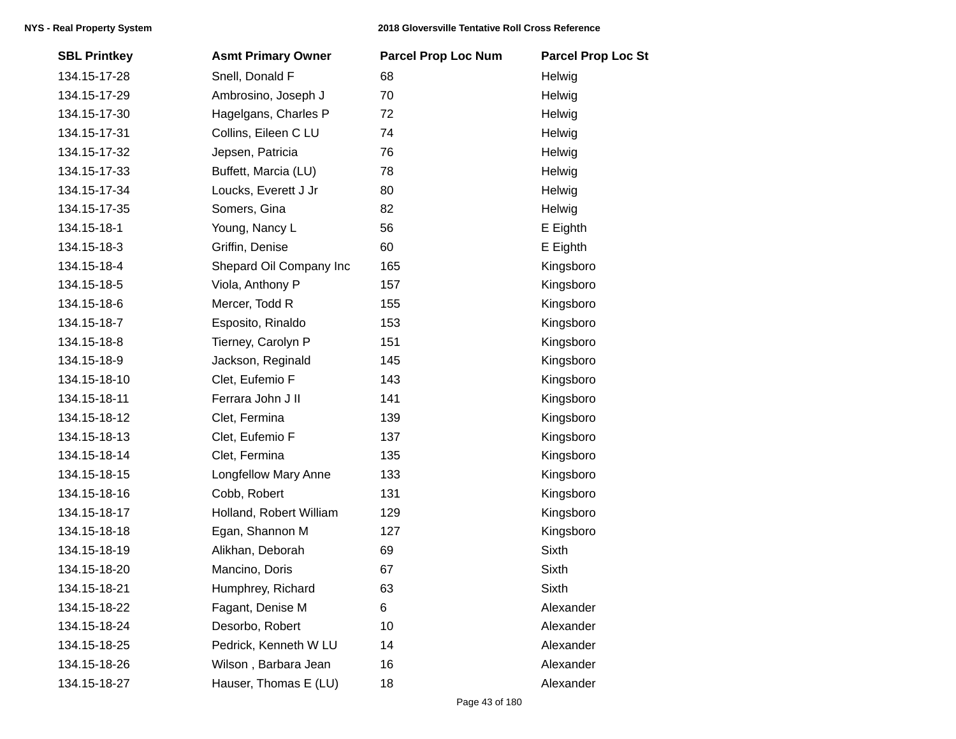| <b>SBL Printkey</b> | <b>Asmt Primary Owner</b>   | <b>Parcel Prop Loc Num</b> | <b>Parcel Prop Loc St</b> |
|---------------------|-----------------------------|----------------------------|---------------------------|
| 134.15-17-28        | Snell, Donald F             | 68                         | Helwig                    |
| 134.15-17-29        | Ambrosino, Joseph J         | 70                         | Helwig                    |
| 134.15-17-30        | Hagelgans, Charles P        | 72                         | Helwig                    |
| 134.15-17-31        | Collins, Eileen C LU        | 74                         | Helwig                    |
| 134.15-17-32        | Jepsen, Patricia            | 76                         | Helwig                    |
| 134.15-17-33        | Buffett, Marcia (LU)        | 78                         | Helwig                    |
| 134.15-17-34        | Loucks, Everett J Jr        | 80                         | Helwig                    |
| 134.15-17-35        | Somers, Gina                | 82                         | Helwig                    |
| 134.15-18-1         | Young, Nancy L              | 56                         | E Eighth                  |
| 134.15-18-3         | Griffin, Denise             | 60                         | E Eighth                  |
| 134.15-18-4         | Shepard Oil Company Inc     | 165                        | Kingsboro                 |
| 134.15-18-5         | Viola, Anthony P            | 157                        | Kingsboro                 |
| 134.15-18-6         | Mercer, Todd R              | 155                        | Kingsboro                 |
| 134.15-18-7         | Esposito, Rinaldo           | 153                        | Kingsboro                 |
| 134.15-18-8         | Tierney, Carolyn P          | 151                        | Kingsboro                 |
| 134.15-18-9         | Jackson, Reginald           | 145                        | Kingsboro                 |
| 134.15-18-10        | Clet, Eufemio F             | 143                        | Kingsboro                 |
| 134.15-18-11        | Ferrara John J II           | 141                        | Kingsboro                 |
| 134.15-18-12        | Clet, Fermina               | 139                        | Kingsboro                 |
| 134.15-18-13        | Clet, Eufemio F             | 137                        | Kingsboro                 |
| 134.15-18-14        | Clet, Fermina               | 135                        | Kingsboro                 |
| 134.15-18-15        | <b>Longfellow Mary Anne</b> | 133                        | Kingsboro                 |
| 134.15-18-16        | Cobb, Robert                | 131                        | Kingsboro                 |
| 134.15-18-17        | Holland, Robert William     | 129                        | Kingsboro                 |
| 134.15-18-18        | Egan, Shannon M             | 127                        | Kingsboro                 |
| 134.15-18-19        | Alikhan, Deborah            | 69                         | Sixth                     |
| 134.15-18-20        | Mancino, Doris              | 67                         | <b>Sixth</b>              |
| 134.15-18-21        | Humphrey, Richard           | 63                         | Sixth                     |
| 134.15-18-22        | Fagant, Denise M            | 6                          | Alexander                 |
| 134.15-18-24        | Desorbo, Robert             | 10                         | Alexander                 |
| 134.15-18-25        | Pedrick, Kenneth W LU       | 14                         | Alexander                 |
| 134.15-18-26        | Wilson, Barbara Jean        | 16                         | Alexander                 |
| 134.15-18-27        | Hauser, Thomas E (LU)       | 18                         | Alexander                 |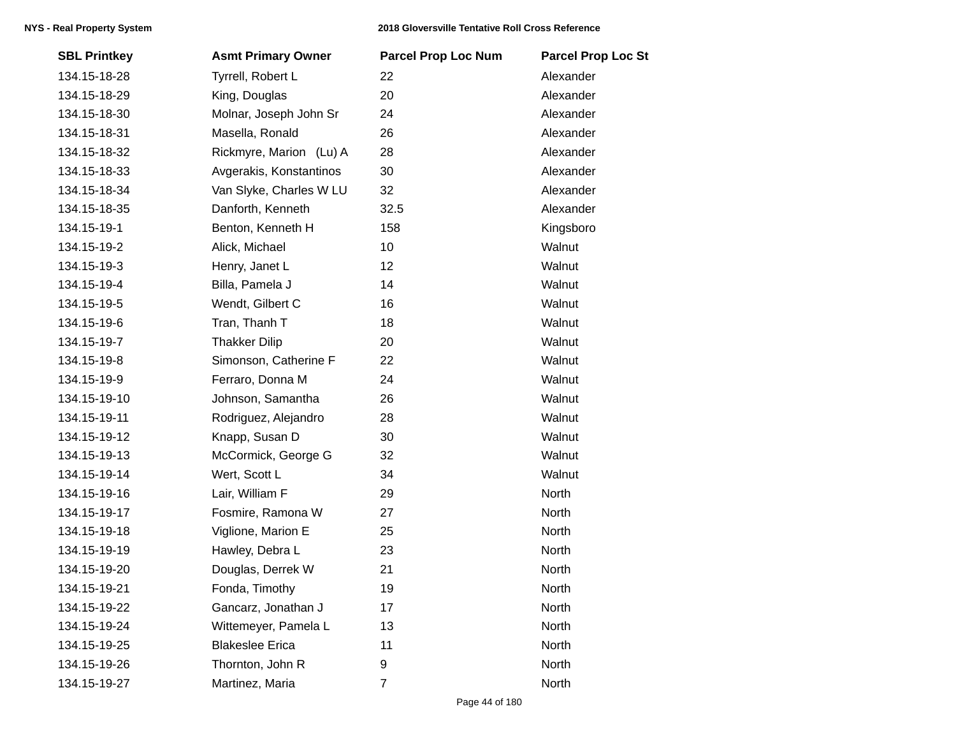| <b>SBL Printkey</b> | <b>Asmt Primary Owner</b> | <b>Parcel Prop Loc Num</b> | <b>Parcel Prop Loc St</b> |
|---------------------|---------------------------|----------------------------|---------------------------|
| 134.15-18-28        | Tyrrell, Robert L         | 22                         | Alexander                 |
| 134.15-18-29        | King, Douglas             | 20                         | Alexander                 |
| 134.15-18-30        | Molnar, Joseph John Sr    | 24                         | Alexander                 |
| 134.15-18-31        | Masella, Ronald           | 26                         | Alexander                 |
| 134.15-18-32        | Rickmyre, Marion (Lu) A   | 28                         | Alexander                 |
| 134.15-18-33        | Avgerakis, Konstantinos   | 30                         | Alexander                 |
| 134.15-18-34        | Van Slyke, Charles W LU   | 32                         | Alexander                 |
| 134.15-18-35        | Danforth, Kenneth         | 32.5                       | Alexander                 |
| 134.15-19-1         | Benton, Kenneth H         | 158                        | Kingsboro                 |
| 134.15-19-2         | Alick, Michael            | 10                         | Walnut                    |
| 134.15-19-3         | Henry, Janet L            | 12                         | Walnut                    |
| 134.15-19-4         | Billa, Pamela J           | 14                         | Walnut                    |
| 134.15-19-5         | Wendt, Gilbert C          | 16                         | Walnut                    |
| 134.15-19-6         | Tran, Thanh T             | 18                         | Walnut                    |
| 134.15-19-7         | <b>Thakker Dilip</b>      | 20                         | Walnut                    |
| 134.15-19-8         | Simonson, Catherine F     | 22                         | Walnut                    |
| 134.15-19-9         | Ferraro, Donna M          | 24                         | Walnut                    |
| 134.15-19-10        | Johnson, Samantha         | 26                         | Walnut                    |
| 134.15-19-11        | Rodriguez, Alejandro      | 28                         | Walnut                    |
| 134.15-19-12        | Knapp, Susan D            | 30                         | Walnut                    |
| 134.15-19-13        | McCormick, George G       | 32                         | Walnut                    |
| 134.15-19-14        | Wert, Scott L             | 34                         | Walnut                    |
| 134.15-19-16        | Lair, William F           | 29                         | North                     |
| 134.15-19-17        | Fosmire, Ramona W         | 27                         | North                     |
| 134.15-19-18        | Viglione, Marion E        | 25                         | North                     |
| 134.15-19-19        | Hawley, Debra L           | 23                         | North                     |
| 134.15-19-20        | Douglas, Derrek W         | 21                         | North                     |
| 134.15-19-21        | Fonda, Timothy            | 19                         | North                     |
| 134.15-19-22        | Gancarz, Jonathan J       | 17                         | North                     |
| 134.15-19-24        | Wittemeyer, Pamela L      | 13                         | North                     |
| 134.15-19-25        | <b>Blakeslee Erica</b>    | 11                         | North                     |
| 134.15-19-26        | Thornton, John R          | 9                          | North                     |
| 134.15-19-27        | Martinez, Maria           | 7                          | North                     |
|                     |                           |                            |                           |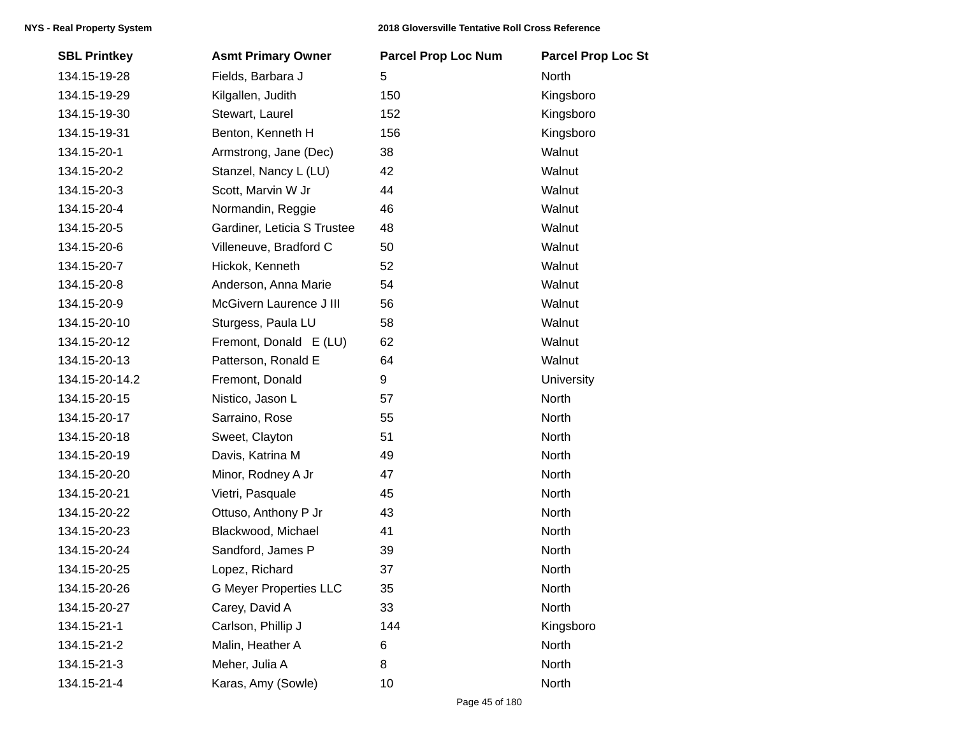| <b>SBL Printkey</b> | <b>Asmt Primary Owner</b>     | <b>Parcel Prop Loc Num</b> | <b>Parcel Prop Loc St</b> |
|---------------------|-------------------------------|----------------------------|---------------------------|
| 134.15-19-28        | Fields, Barbara J             | 5                          | North                     |
| 134.15-19-29        | Kilgallen, Judith             | 150                        | Kingsboro                 |
| 134.15-19-30        | Stewart, Laurel               | 152                        | Kingsboro                 |
| 134.15-19-31        | Benton, Kenneth H             | 156                        | Kingsboro                 |
| 134.15-20-1         | Armstrong, Jane (Dec)         | 38                         | Walnut                    |
| 134.15-20-2         | Stanzel, Nancy L (LU)         | 42                         | Walnut                    |
| 134.15-20-3         | Scott, Marvin W Jr            | 44                         | Walnut                    |
| 134.15-20-4         | Normandin, Reggie             | 46                         | Walnut                    |
| 134.15-20-5         | Gardiner, Leticia S Trustee   | 48                         | Walnut                    |
| 134.15-20-6         | Villeneuve, Bradford C        | 50                         | Walnut                    |
| 134.15-20-7         | Hickok, Kenneth               | 52                         | Walnut                    |
| 134.15-20-8         | Anderson, Anna Marie          | 54                         | Walnut                    |
| 134.15-20-9         | McGivern Laurence J III       | 56                         | Walnut                    |
| 134.15-20-10        | Sturgess, Paula LU            | 58                         | Walnut                    |
| 134.15-20-12        | Fremont, Donald E (LU)        | 62                         | Walnut                    |
| 134.15-20-13        | Patterson, Ronald E           | 64                         | Walnut                    |
| 134.15-20-14.2      | Fremont, Donald               | 9                          | <b>University</b>         |
| 134.15-20-15        | Nistico, Jason L              | 57                         | North                     |
| 134.15-20-17        | Sarraino, Rose                | 55                         | North                     |
| 134.15-20-18        | Sweet, Clayton                | 51                         | North                     |
| 134.15-20-19        | Davis, Katrina M              | 49                         | North                     |
| 134.15-20-20        | Minor, Rodney A Jr            | 47                         | North                     |
| 134.15-20-21        | Vietri, Pasquale              | 45                         | North                     |
| 134.15-20-22        | Ottuso, Anthony P Jr          | 43                         | North                     |
| 134.15-20-23        | Blackwood, Michael            | 41                         | North                     |
| 134.15-20-24        | Sandford, James P             | 39                         | North                     |
| 134.15-20-25        | Lopez, Richard                | 37                         | North                     |
| 134.15-20-26        | <b>G Meyer Properties LLC</b> | 35                         | North                     |
| 134.15-20-27        | Carey, David A                | 33                         | North                     |
| 134.15-21-1         | Carlson, Phillip J            | 144                        | Kingsboro                 |
| 134.15-21-2         | Malin, Heather A              | 6                          | North                     |
| 134.15-21-3         | Meher, Julia A                | 8                          | North                     |
| 134.15-21-4         | Karas, Amy (Sowle)            | 10                         | North                     |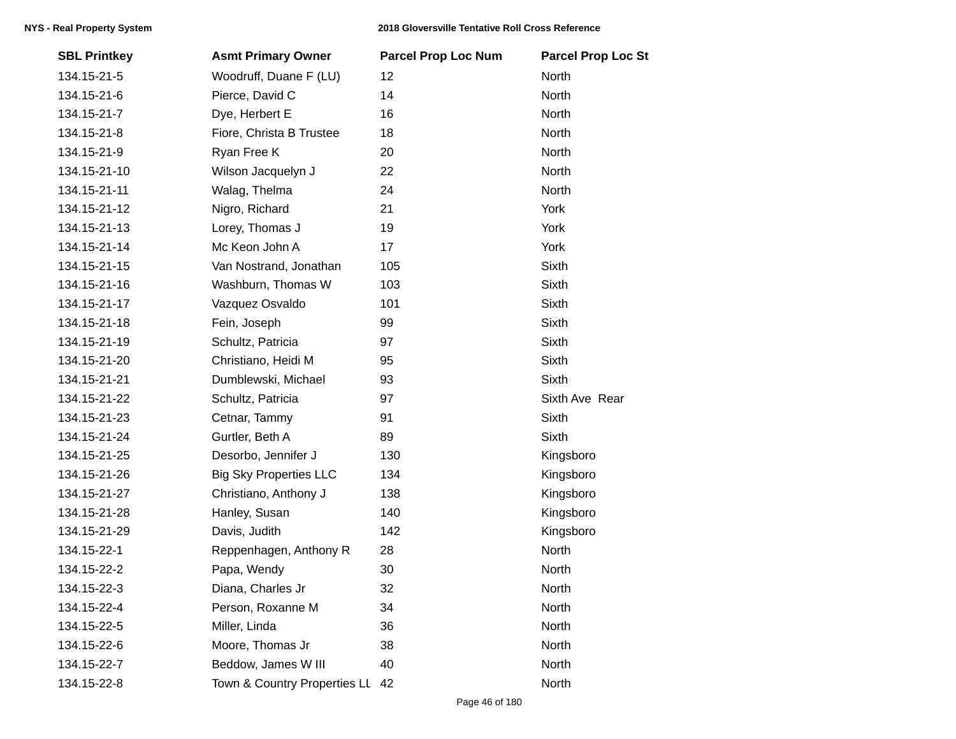| <b>SBL Printkey</b> | <b>Asmt Primary Owner</b>     | <b>Parcel Prop Loc Num</b> | <b>Parcel Prop Loc St</b> |
|---------------------|-------------------------------|----------------------------|---------------------------|
| 134.15-21-5         | Woodruff, Duane F (LU)        | 12                         | North                     |
| 134.15-21-6         | Pierce, David C               | 14                         | North                     |
| 134.15-21-7         | Dye, Herbert E                | 16                         | North                     |
| 134.15-21-8         | Fiore, Christa B Trustee      | 18                         | North                     |
| 134.15-21-9         | Ryan Free K                   | 20                         | North                     |
| 134.15-21-10        | Wilson Jacquelyn J            | 22                         | North                     |
| 134.15-21-11        | Walag, Thelma                 | 24                         | North                     |
| 134.15-21-12        | Nigro, Richard                | 21                         | York                      |
| 134.15-21-13        | Lorey, Thomas J               | 19                         | York                      |
| 134.15-21-14        | Mc Keon John A                | 17                         | York                      |
| 134.15-21-15        | Van Nostrand, Jonathan        | 105                        | <b>Sixth</b>              |
| 134.15-21-16        | Washburn, Thomas W            | 103                        | Sixth                     |
| 134.15-21-17        | Vazquez Osvaldo               | 101                        | Sixth                     |
| 134.15-21-18        | Fein, Joseph                  | 99                         | Sixth                     |
| 134.15-21-19        | Schultz, Patricia             | 97                         | <b>Sixth</b>              |
| 134.15-21-20        | Christiano, Heidi M           | 95                         | <b>Sixth</b>              |
| 134.15-21-21        | Dumblewski, Michael           | 93                         | Sixth                     |
| 134.15-21-22        | Schultz, Patricia             | 97                         | Sixth Ave Rear            |
| 134.15-21-23        | Cetnar, Tammy                 | 91                         | <b>Sixth</b>              |
| 134.15-21-24        | Gurtler, Beth A               | 89                         | <b>Sixth</b>              |
| 134.15-21-25        | Desorbo, Jennifer J           | 130                        | Kingsboro                 |
| 134.15-21-26        | <b>Big Sky Properties LLC</b> | 134                        | Kingsboro                 |
| 134.15-21-27        | Christiano, Anthony J         | 138                        | Kingsboro                 |
| 134.15-21-28        | Hanley, Susan                 | 140                        | Kingsboro                 |
| 134.15-21-29        | Davis, Judith                 | 142                        | Kingsboro                 |
| 134.15-22-1         | Reppenhagen, Anthony R        | 28                         | North                     |
| 134.15-22-2         | Papa, Wendy                   | 30                         | North                     |
| 134.15-22-3         | Diana, Charles Jr             | 32                         | North                     |
| 134.15-22-4         | Person, Roxanne M             | 34                         | North                     |
| 134.15-22-5         | Miller, Linda                 | 36                         | North                     |
| 134.15-22-6         | Moore, Thomas Jr              | 38                         | North                     |
| 134.15-22-7         | Beddow, James W III           | 40                         | North                     |
| 134.15-22-8         | Town & Country Properties LL  | 42                         | North                     |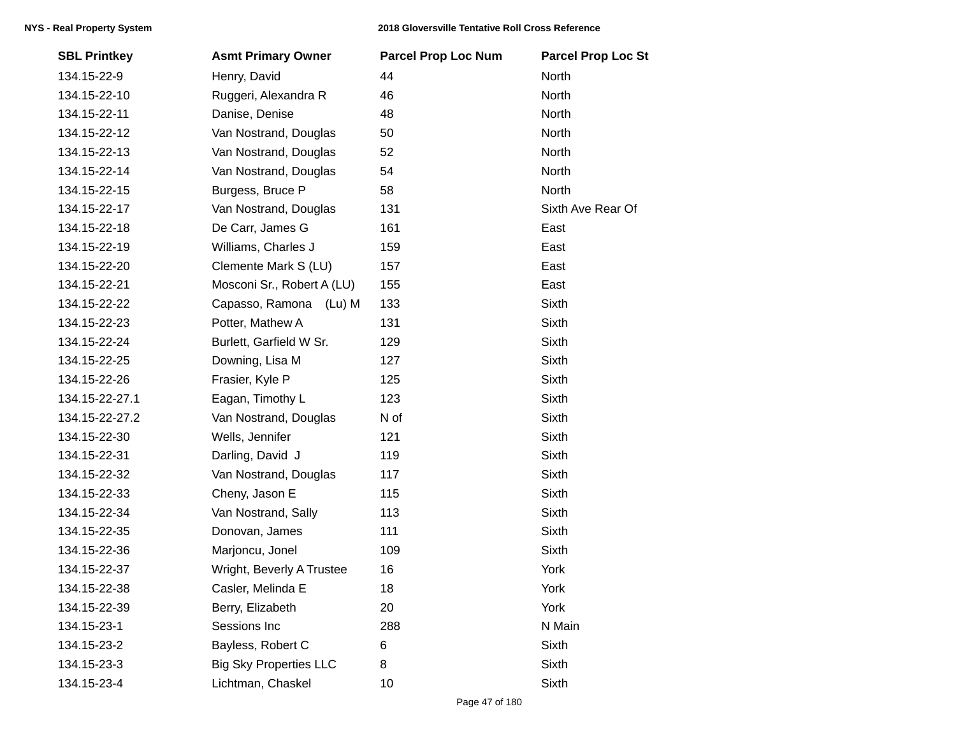| <b>SBL Printkey</b> | <b>Asmt Primary Owner</b>     | <b>Parcel Prop Loc Num</b> | <b>Parcel Prop Loc St</b> |
|---------------------|-------------------------------|----------------------------|---------------------------|
| 134.15-22-9         | Henry, David                  | 44                         | North                     |
| 134.15-22-10        | Ruggeri, Alexandra R          | 46                         | North                     |
| 134.15-22-11        | Danise, Denise                | 48                         | North                     |
| 134.15-22-12        | Van Nostrand, Douglas         | 50                         | North                     |
| 134.15-22-13        | Van Nostrand, Douglas         | 52                         | North                     |
| 134.15-22-14        | Van Nostrand, Douglas         | 54                         | North                     |
| 134.15-22-15        | Burgess, Bruce P              | 58                         | North                     |
| 134.15-22-17        | Van Nostrand, Douglas         | 131                        | Sixth Ave Rear Of         |
| 134.15-22-18        | De Carr, James G              | 161                        | East                      |
| 134.15-22-19        | Williams, Charles J           | 159                        | East                      |
| 134.15-22-20        | Clemente Mark S (LU)          | 157                        | East                      |
| 134.15-22-21        | Mosconi Sr., Robert A (LU)    | 155                        | East                      |
| 134.15-22-22        | Capasso, Ramona (Lu) M        | 133                        | <b>Sixth</b>              |
| 134.15-22-23        | Potter, Mathew A              | 131                        | <b>Sixth</b>              |
| 134.15-22-24        | Burlett, Garfield W Sr.       | 129                        | <b>Sixth</b>              |
| 134.15-22-25        | Downing, Lisa M               | 127                        | <b>Sixth</b>              |
| 134.15-22-26        | Frasier, Kyle P               | 125                        | Sixth                     |
| 134.15-22-27.1      | Eagan, Timothy L              | 123                        | <b>Sixth</b>              |
| 134.15-22-27.2      | Van Nostrand, Douglas         | N of                       | Sixth                     |
| 134.15-22-30        | Wells, Jennifer               | 121                        | <b>Sixth</b>              |
| 134.15-22-31        | Darling, David J              | 119                        | <b>Sixth</b>              |
| 134.15-22-32        | Van Nostrand, Douglas         | 117                        | Sixth                     |
| 134.15-22-33        | Cheny, Jason E                | 115                        | <b>Sixth</b>              |
| 134.15-22-34        | Van Nostrand, Sally           | 113                        | <b>Sixth</b>              |
| 134.15-22-35        | Donovan, James                | 111                        | Sixth                     |
| 134.15-22-36        | Marjoncu, Jonel               | 109                        | Sixth                     |
| 134.15-22-37        | Wright, Beverly A Trustee     | 16                         | York                      |
| 134.15-22-38        | Casler, Melinda E             | 18                         | York                      |
| 134.15-22-39        | Berry, Elizabeth              | 20                         | York                      |
| 134.15-23-1         | Sessions Inc                  | 288                        | N Main                    |
| 134.15-23-2         | Bayless, Robert C             | 6                          | <b>Sixth</b>              |
| 134.15-23-3         | <b>Big Sky Properties LLC</b> | 8                          | Sixth                     |
| 134.15-23-4         | Lichtman, Chaskel             | 10                         | <b>Sixth</b>              |
|                     |                               |                            |                           |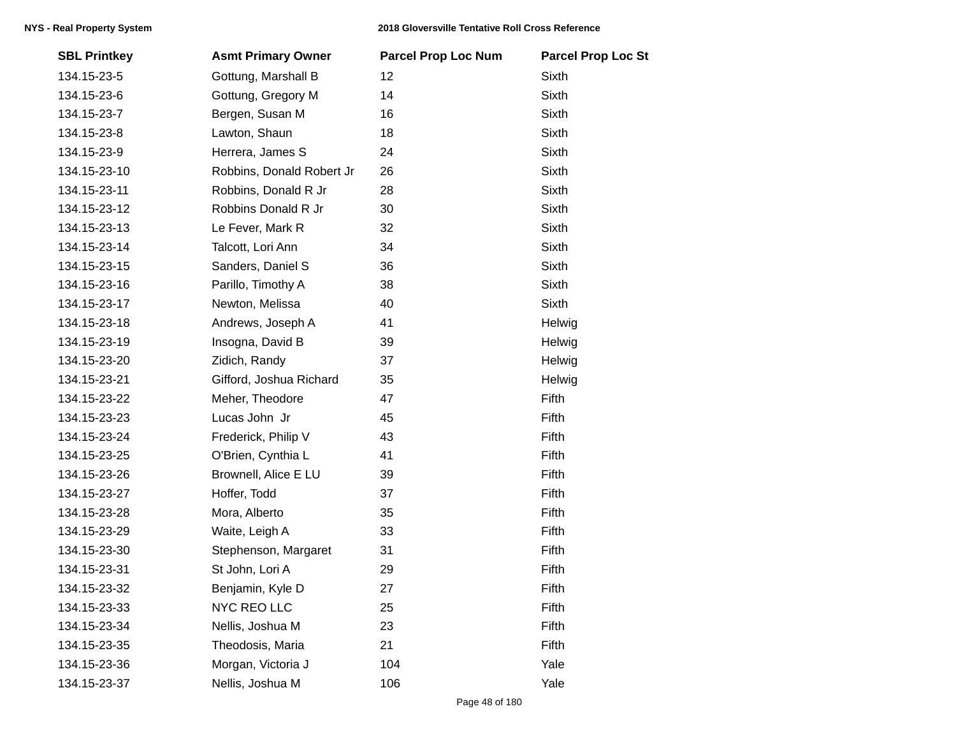| <b>SBL Printkey</b> | <b>Asmt Primary Owner</b> | <b>Parcel Prop Loc Num</b> | <b>Parcel Prop Loc St</b> |
|---------------------|---------------------------|----------------------------|---------------------------|
| 134.15-23-5         | Gottung, Marshall B       | 12                         | Sixth                     |
| 134.15-23-6         | Gottung, Gregory M        | 14                         | Sixth                     |
| 134.15-23-7         | Bergen, Susan M           | 16                         | Sixth                     |
| 134.15-23-8         | Lawton, Shaun             | 18                         | Sixth                     |
| 134.15-23-9         | Herrera, James S          | 24                         | Sixth                     |
| 134.15-23-10        | Robbins, Donald Robert Jr | 26                         | Sixth                     |
| 134.15-23-11        | Robbins, Donald R Jr      | 28                         | Sixth                     |
| 134.15-23-12        | Robbins Donald R Jr       | 30                         | Sixth                     |
| 134.15-23-13        | Le Fever, Mark R          | 32                         | Sixth                     |
| 134.15-23-14        | Talcott, Lori Ann         | 34                         | <b>Sixth</b>              |
| 134.15-23-15        | Sanders, Daniel S         | 36                         | <b>Sixth</b>              |
| 134.15-23-16        | Parillo, Timothy A        | 38                         | <b>Sixth</b>              |
| 134.15-23-17        | Newton, Melissa           | 40                         | Sixth                     |
| 134.15-23-18        | Andrews, Joseph A         | 41                         | Helwig                    |
| 134.15-23-19        | Insogna, David B          | 39                         | Helwig                    |
| 134.15-23-20        | Zidich, Randy             | 37                         | Helwig                    |
| 134.15-23-21        | Gifford, Joshua Richard   | 35                         | Helwig                    |
| 134.15-23-22        | Meher, Theodore           | 47                         | Fifth                     |
| 134.15-23-23        | Lucas John Jr             | 45                         | Fifth                     |
| 134.15-23-24        | Frederick, Philip V       | 43                         | Fifth                     |
| 134.15-23-25        | O'Brien, Cynthia L        | 41                         | Fifth                     |
| 134.15-23-26        | Brownell, Alice E LU      | 39                         | Fifth                     |
| 134.15-23-27        | Hoffer, Todd              | 37                         | Fifth                     |
| 134.15-23-28        | Mora, Alberto             | 35                         | Fifth                     |
| 134.15-23-29        | Waite, Leigh A            | 33                         | Fifth                     |
| 134.15-23-30        | Stephenson, Margaret      | 31                         | Fifth                     |
| 134.15-23-31        | St John, Lori A           | 29                         | Fifth                     |
| 134.15-23-32        | Benjamin, Kyle D          | 27                         | Fifth                     |
| 134.15-23-33        | NYC REO LLC               | 25                         | Fifth                     |
| 134.15-23-34        | Nellis, Joshua M          | 23                         | Fifth                     |
| 134.15-23-35        | Theodosis, Maria          | 21                         | Fifth                     |
| 134.15-23-36        | Morgan, Victoria J        | 104                        | Yale                      |
| 134.15-23-37        | Nellis, Joshua M          | 106                        | Yale                      |
|                     |                           |                            |                           |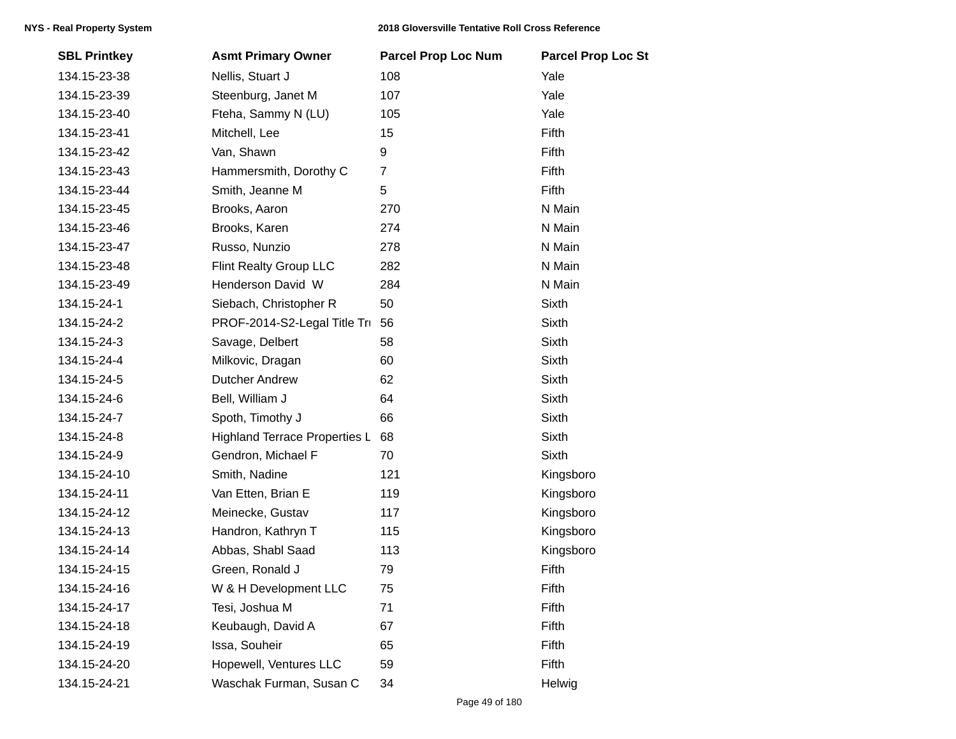| <b>SBL Printkey</b> | <b>Asmt Primary Owner</b>            | <b>Parcel Prop Loc Num</b> | <b>Parcel Prop Loc St</b> |
|---------------------|--------------------------------------|----------------------------|---------------------------|
| 134.15-23-38        | Nellis, Stuart J                     | 108                        | Yale                      |
| 134.15-23-39        | Steenburg, Janet M                   | 107                        | Yale                      |
| 134.15-23-40        | Fteha, Sammy N (LU)                  | 105                        | Yale                      |
| 134.15-23-41        | Mitchell, Lee                        | 15                         | Fifth                     |
| 134.15-23-42        | Van, Shawn                           | 9                          | Fifth                     |
| 134.15-23-43        | Hammersmith, Dorothy C               | $\overline{7}$             | Fifth                     |
| 134.15-23-44        | Smith, Jeanne M                      | 5                          | Fifth                     |
| 134.15-23-45        | Brooks, Aaron                        | 270                        | N Main                    |
| 134.15-23-46        | Brooks, Karen                        | 274                        | N Main                    |
| 134.15-23-47        | Russo, Nunzio                        | 278                        | N Main                    |
| 134.15-23-48        | Flint Realty Group LLC               | 282                        | N Main                    |
| 134.15-23-49        | Henderson David W                    | 284                        | N Main                    |
| 134.15-24-1         | Siebach, Christopher R               | 50                         | Sixth                     |
| 134.15-24-2         | PROF-2014-S2-Legal Title Tru         | 56                         | <b>Sixth</b>              |
| 134.15-24-3         | Savage, Delbert                      | 58                         | Sixth                     |
| 134.15-24-4         | Milkovic, Dragan                     | 60                         | Sixth                     |
| 134.15-24-5         | <b>Dutcher Andrew</b>                | 62                         | Sixth                     |
| 134.15-24-6         | Bell, William J                      | 64                         | Sixth                     |
| 134.15-24-7         | Spoth, Timothy J                     | 66                         | Sixth                     |
| 134.15-24-8         | <b>Highland Terrace Properties L</b> | 68                         | <b>Sixth</b>              |
| 134.15-24-9         | Gendron, Michael F                   | 70                         | <b>Sixth</b>              |
| 134.15-24-10        | Smith, Nadine                        | 121                        | Kingsboro                 |
| 134.15-24-11        | Van Etten, Brian E                   | 119                        | Kingsboro                 |
| 134.15-24-12        | Meinecke, Gustav                     | 117                        | Kingsboro                 |
| 134.15-24-13        | Handron, Kathryn T                   | 115                        | Kingsboro                 |
| 134.15-24-14        | Abbas, Shabl Saad                    | 113                        | Kingsboro                 |
| 134.15-24-15        | Green, Ronald J                      | 79                         | Fifth                     |
| 134.15-24-16        | W & H Development LLC                | 75                         | Fifth                     |
| 134.15-24-17        | Tesi, Joshua M                       | 71                         | Fifth                     |
| 134.15-24-18        | Keubaugh, David A                    | 67                         | Fifth                     |
| 134.15-24-19        | Issa, Souheir                        | 65                         | Fifth                     |
| 134.15-24-20        | Hopewell, Ventures LLC               | 59                         | Fifth                     |
| 134.15-24-21        | Waschak Furman, Susan C              | 34                         | Helwig                    |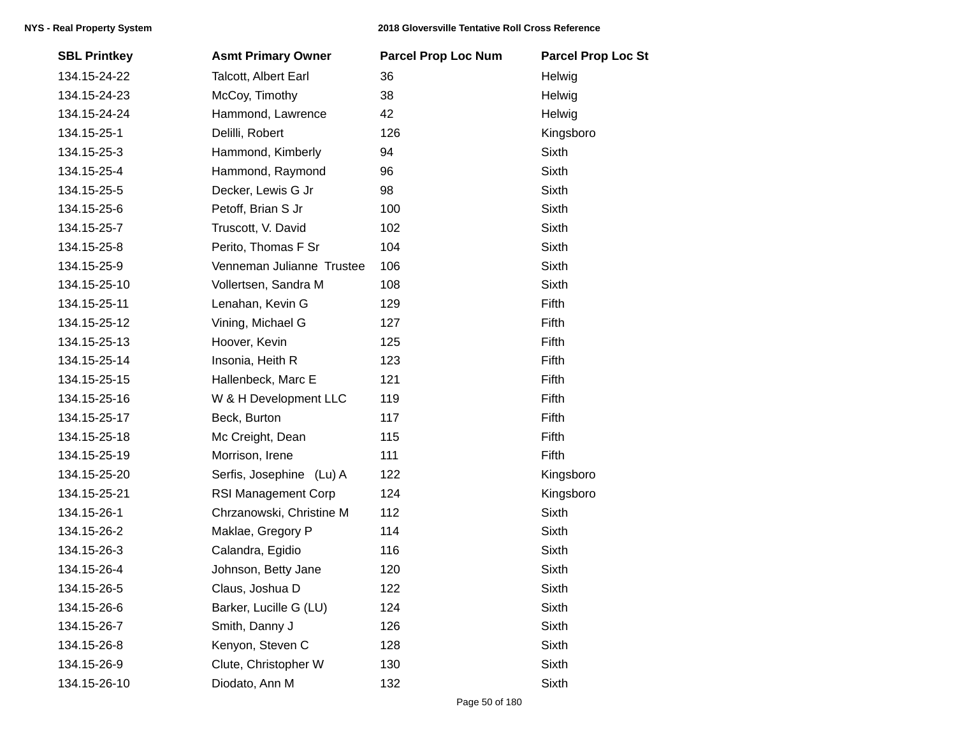| <b>SBL Printkey</b> | <b>Asmt Primary Owner</b> | <b>Parcel Prop Loc Num</b> | <b>Parcel Prop Loc St</b> |
|---------------------|---------------------------|----------------------------|---------------------------|
| 134.15-24-22        | Talcott, Albert Earl      | 36                         | Helwig                    |
| 134.15-24-23        | McCoy, Timothy            | 38                         | Helwig                    |
| 134.15-24-24        | Hammond, Lawrence         | 42                         | Helwig                    |
| 134.15-25-1         | Delilli, Robert           | 126                        | Kingsboro                 |
| 134.15-25-3         | Hammond, Kimberly         | 94                         | Sixth                     |
| 134.15-25-4         | Hammond, Raymond          | 96                         | Sixth                     |
| 134.15-25-5         | Decker, Lewis G Jr        | 98                         | Sixth                     |
| 134.15-25-6         | Petoff, Brian S Jr        | 100                        | Sixth                     |
| 134.15-25-7         | Truscott, V. David        | 102                        | Sixth                     |
| 134.15-25-8         | Perito, Thomas F Sr       | 104                        | Sixth                     |
| 134.15-25-9         | Venneman Julianne Trustee | 106                        | Sixth                     |
| 134.15-25-10        | Vollertsen, Sandra M      | 108                        | Sixth                     |
| 134.15-25-11        | Lenahan, Kevin G          | 129                        | Fifth                     |
| 134.15-25-12        | Vining, Michael G         | 127                        | Fifth                     |
| 134.15-25-13        | Hoover, Kevin             | 125                        | Fifth                     |
| 134.15-25-14        | Insonia, Heith R          | 123                        | Fifth                     |
| 134.15-25-15        | Hallenbeck, Marc E        | 121                        | Fifth                     |
| 134.15-25-16        | W & H Development LLC     | 119                        | Fifth                     |
| 134.15-25-17        | Beck, Burton              | 117                        | Fifth                     |
| 134.15-25-18        | Mc Creight, Dean          | 115                        | Fifth                     |
| 134.15-25-19        | Morrison, Irene           | 111                        | Fifth                     |
| 134.15-25-20        | Serfis, Josephine (Lu) A  | 122                        | Kingsboro                 |
| 134.15-25-21        | RSI Management Corp       | 124                        | Kingsboro                 |
| 134.15-26-1         | Chrzanowski, Christine M  | 112                        | Sixth                     |
| 134.15-26-2         | Maklae, Gregory P         | 114                        | Sixth                     |
| 134.15-26-3         | Calandra, Egidio          | 116                        | Sixth                     |
| 134.15-26-4         | Johnson, Betty Jane       | 120                        | <b>Sixth</b>              |
| 134.15-26-5         | Claus, Joshua D           | 122                        | Sixth                     |
| 134.15-26-6         | Barker, Lucille G (LU)    | 124                        | Sixth                     |
| 134.15-26-7         | Smith, Danny J            | 126                        | Sixth                     |
| 134.15-26-8         | Kenyon, Steven C          | 128                        | Sixth                     |
| 134.15-26-9         | Clute, Christopher W      | 130                        | Sixth                     |
| 134.15-26-10        | Diodato, Ann M            | 132                        | Sixth                     |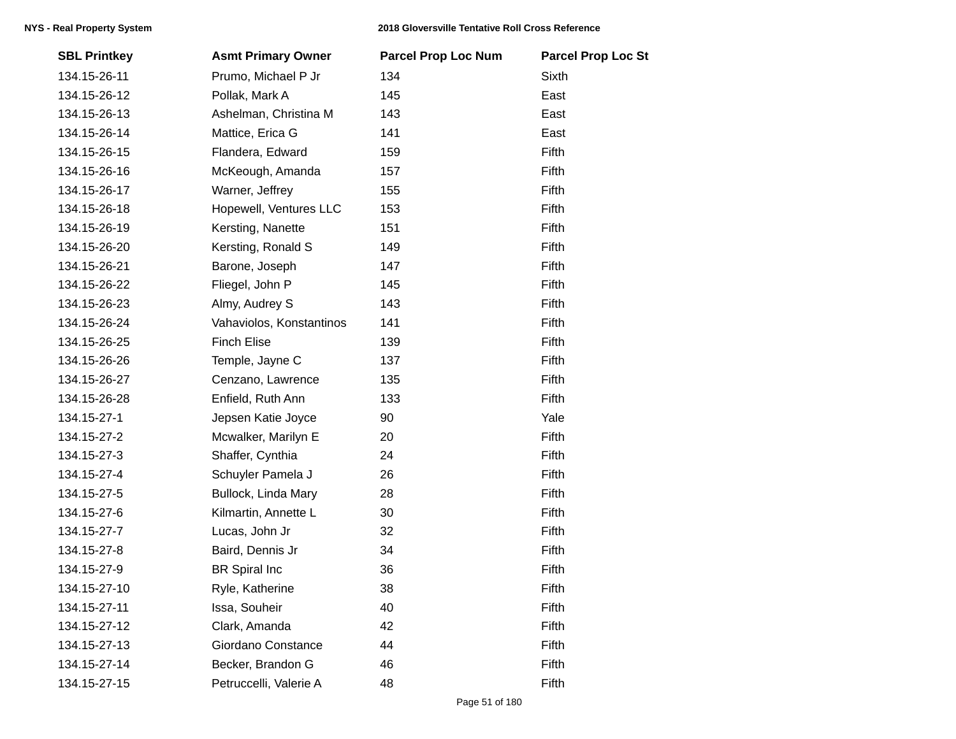| <b>SBL Printkey</b> | <b>Asmt Primary Owner</b> | <b>Parcel Prop Loc Num</b> | <b>Parcel Prop Loc St</b> |
|---------------------|---------------------------|----------------------------|---------------------------|
| 134.15-26-11        | Prumo, Michael P Jr       | 134                        | Sixth                     |
| 134.15-26-12        | Pollak, Mark A            | 145                        | East                      |
| 134.15-26-13        | Ashelman, Christina M     | 143                        | East                      |
| 134.15-26-14        | Mattice, Erica G          | 141                        | East                      |
| 134.15-26-15        | Flandera, Edward          | 159                        | Fifth                     |
| 134.15-26-16        | McKeough, Amanda          | 157                        | Fifth                     |
| 134.15-26-17        | Warner, Jeffrey           | 155                        | Fifth                     |
| 134.15-26-18        | Hopewell, Ventures LLC    | 153                        | Fifth                     |
| 134.15-26-19        | Kersting, Nanette         | 151                        | Fifth                     |
| 134.15-26-20        | Kersting, Ronald S        | 149                        | Fifth                     |
| 134.15-26-21        | Barone, Joseph            | 147                        | Fifth                     |
| 134.15-26-22        | Fliegel, John P           | 145                        | Fifth                     |
| 134.15-26-23        | Almy, Audrey S            | 143                        | Fifth                     |
| 134.15-26-24        | Vahaviolos, Konstantinos  | 141                        | Fifth                     |
| 134.15-26-25        | <b>Finch Elise</b>        | 139                        | Fifth                     |
| 134.15-26-26        | Temple, Jayne C           | 137                        | Fifth                     |
| 134.15-26-27        | Cenzano, Lawrence         | 135                        | Fifth                     |
| 134.15-26-28        | Enfield, Ruth Ann         | 133                        | Fifth                     |
| 134.15-27-1         | Jepsen Katie Joyce        | 90                         | Yale                      |
| 134.15-27-2         | Mcwalker, Marilyn E       | 20                         | Fifth                     |
| 134.15-27-3         | Shaffer, Cynthia          | 24                         | Fifth                     |
| 134.15-27-4         | Schuyler Pamela J         | 26                         | Fifth                     |
| 134.15-27-5         | Bullock, Linda Mary       | 28                         | Fifth                     |
| 134.15-27-6         | Kilmartin, Annette L      | 30                         | Fifth                     |
| 134.15-27-7         | Lucas, John Jr            | 32                         | Fifth                     |
| 134.15-27-8         | Baird, Dennis Jr          | 34                         | Fifth                     |
| 134.15-27-9         | <b>BR</b> Spiral Inc      | 36                         | Fifth                     |
| 134.15-27-10        | Ryle, Katherine           | 38                         | Fifth                     |
| 134.15-27-11        | Issa, Souheir             | 40                         | Fifth                     |
| 134.15-27-12        | Clark, Amanda             | 42                         | Fifth                     |
| 134.15-27-13        | Giordano Constance        | 44                         | Fifth                     |
| 134.15-27-14        | Becker, Brandon G         | 46                         | Fifth                     |
| 134.15-27-15        | Petruccelli, Valerie A    | 48                         | Fifth                     |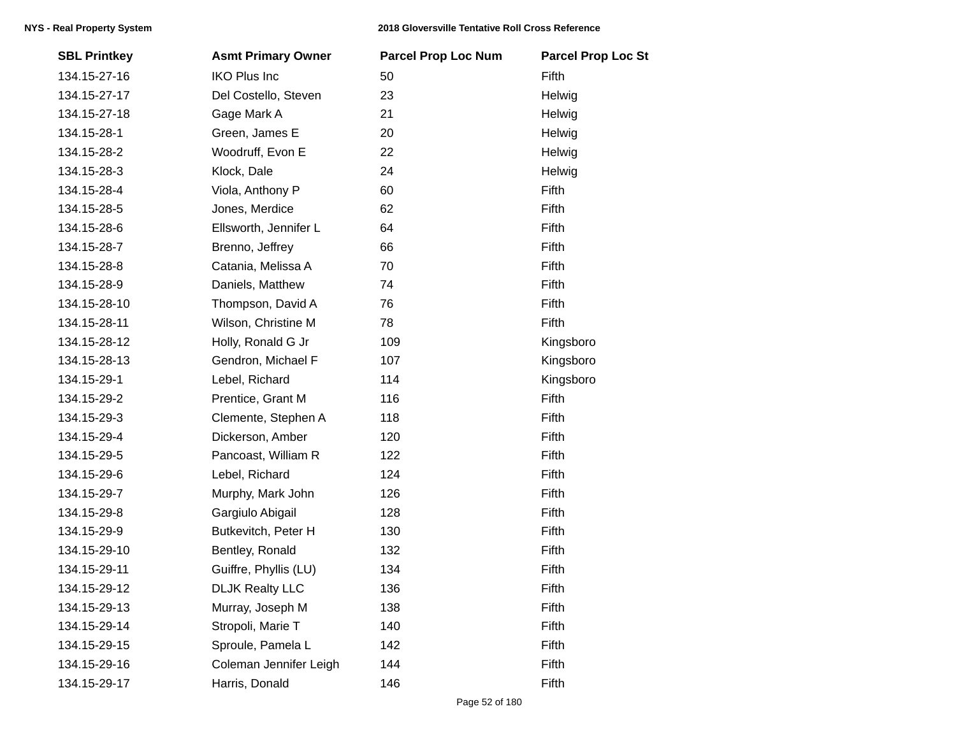| <b>SBL Printkey</b> | <b>Asmt Primary Owner</b> | <b>Parcel Prop Loc Num</b> | <b>Parcel Prop Loc St</b> |
|---------------------|---------------------------|----------------------------|---------------------------|
| 134.15-27-16        | <b>IKO Plus Inc</b>       | 50                         | Fifth                     |
| 134.15-27-17        | Del Costello, Steven      | 23                         | Helwig                    |
| 134.15-27-18        | Gage Mark A               | 21                         | Helwig                    |
| 134.15-28-1         | Green, James E            | 20                         | Helwig                    |
| 134.15-28-2         | Woodruff, Evon E          | 22                         | Helwig                    |
| 134.15-28-3         | Klock, Dale               | 24                         | Helwig                    |
| 134.15-28-4         | Viola, Anthony P          | 60                         | Fifth                     |
| 134.15-28-5         | Jones, Merdice            | 62                         | Fifth                     |
| 134.15-28-6         | Ellsworth, Jennifer L     | 64                         | Fifth                     |
| 134.15-28-7         | Brenno, Jeffrey           | 66                         | Fifth                     |
| 134.15-28-8         | Catania, Melissa A        | 70                         | Fifth                     |
| 134.15-28-9         | Daniels, Matthew          | 74                         | Fifth                     |
| 134.15-28-10        | Thompson, David A         | 76                         | Fifth                     |
| 134.15-28-11        | Wilson, Christine M       | 78                         | Fifth                     |
| 134.15-28-12        | Holly, Ronald G Jr        | 109                        | Kingsboro                 |
| 134.15-28-13        | Gendron, Michael F        | 107                        | Kingsboro                 |
| 134.15-29-1         | Lebel, Richard            | 114                        | Kingsboro                 |
| 134.15-29-2         | Prentice, Grant M         | 116                        | Fifth                     |
| 134.15-29-3         | Clemente, Stephen A       | 118                        | Fifth                     |
| 134.15-29-4         | Dickerson, Amber          | 120                        | Fifth                     |
| 134.15-29-5         | Pancoast, William R       | 122                        | Fifth                     |
| 134.15-29-6         | Lebel, Richard            | 124                        | Fifth                     |
| 134.15-29-7         | Murphy, Mark John         | 126                        | Fifth                     |
| 134.15-29-8         | Gargiulo Abigail          | 128                        | Fifth                     |
| 134.15-29-9         | Butkevitch, Peter H       | 130                        | Fifth                     |
| 134.15-29-10        | Bentley, Ronald           | 132                        | Fifth                     |
| 134.15-29-11        | Guiffre, Phyllis (LU)     | 134                        | Fifth                     |
| 134.15-29-12        | <b>DLJK Realty LLC</b>    | 136                        | Fifth                     |
| 134.15-29-13        | Murray, Joseph M          | 138                        | Fifth                     |
| 134.15-29-14        | Stropoli, Marie T         | 140                        | Fifth                     |
| 134.15-29-15        | Sproule, Pamela L         | 142                        | Fifth                     |
| 134.15-29-16        | Coleman Jennifer Leigh    | 144                        | Fifth                     |
| 134.15-29-17        | Harris, Donald            | 146                        | Fifth                     |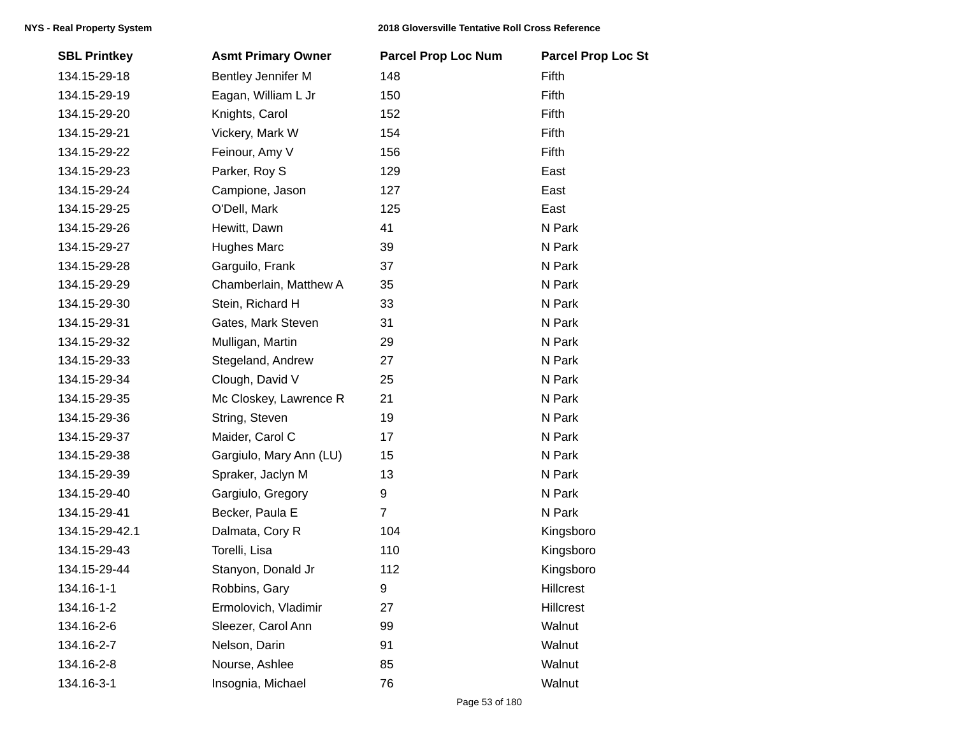| <b>SBL Printkey</b> | <b>Asmt Primary Owner</b> | <b>Parcel Prop Loc Num</b> | <b>Parcel Prop Loc St</b> |
|---------------------|---------------------------|----------------------------|---------------------------|
| 134.15-29-18        | Bentley Jennifer M        | 148                        | Fifth                     |
| 134.15-29-19        | Eagan, William L Jr       | 150                        | Fifth                     |
| 134.15-29-20        | Knights, Carol            | 152                        | Fifth                     |
| 134.15-29-21        | Vickery, Mark W           | 154                        | Fifth                     |
| 134.15-29-22        | Feinour, Amy V            | 156                        | Fifth                     |
| 134.15-29-23        | Parker, Roy S             | 129                        | East                      |
| 134.15-29-24        | Campione, Jason           | 127                        | East                      |
| 134.15-29-25        | O'Dell, Mark              | 125                        | East                      |
| 134.15-29-26        | Hewitt, Dawn              | 41                         | N Park                    |
| 134.15-29-27        | <b>Hughes Marc</b>        | 39                         | N Park                    |
| 134.15-29-28        | Garguilo, Frank           | 37                         | N Park                    |
| 134.15-29-29        | Chamberlain, Matthew A    | 35                         | N Park                    |
| 134.15-29-30        | Stein, Richard H          | 33                         | N Park                    |
| 134.15-29-31        | Gates, Mark Steven        | 31                         | N Park                    |
| 134.15-29-32        | Mulligan, Martin          | 29                         | N Park                    |
| 134.15-29-33        | Stegeland, Andrew         | 27                         | N Park                    |
| 134.15-29-34        | Clough, David V           | 25                         | N Park                    |
| 134.15-29-35        | Mc Closkey, Lawrence R    | 21                         | N Park                    |
| 134.15-29-36        | String, Steven            | 19                         | N Park                    |
| 134.15-29-37        | Maider, Carol C           | 17                         | N Park                    |
| 134.15-29-38        | Gargiulo, Mary Ann (LU)   | 15                         | N Park                    |
| 134.15-29-39        | Spraker, Jaclyn M         | 13                         | N Park                    |
| 134.15-29-40        | Gargiulo, Gregory         | 9                          | N Park                    |
| 134.15-29-41        | Becker, Paula E           | $\overline{7}$             | N Park                    |
| 134.15-29-42.1      | Dalmata, Cory R           | 104                        | Kingsboro                 |
| 134.15-29-43        | Torelli, Lisa             | 110                        | Kingsboro                 |
| 134.15-29-44        | Stanyon, Donald Jr        | 112                        | Kingsboro                 |
| 134.16-1-1          | Robbins, Gary             | 9                          | Hillcrest                 |
| 134.16-1-2          | Ermolovich, Vladimir      | 27                         | Hillcrest                 |
| 134.16-2-6          | Sleezer, Carol Ann        | 99                         | Walnut                    |
| 134.16-2-7          | Nelson, Darin             | 91                         | Walnut                    |
| 134.16-2-8          | Nourse, Ashlee            | 85                         | Walnut                    |
| 134.16-3-1          | Insognia, Michael         | 76                         | Walnut                    |
|                     |                           |                            |                           |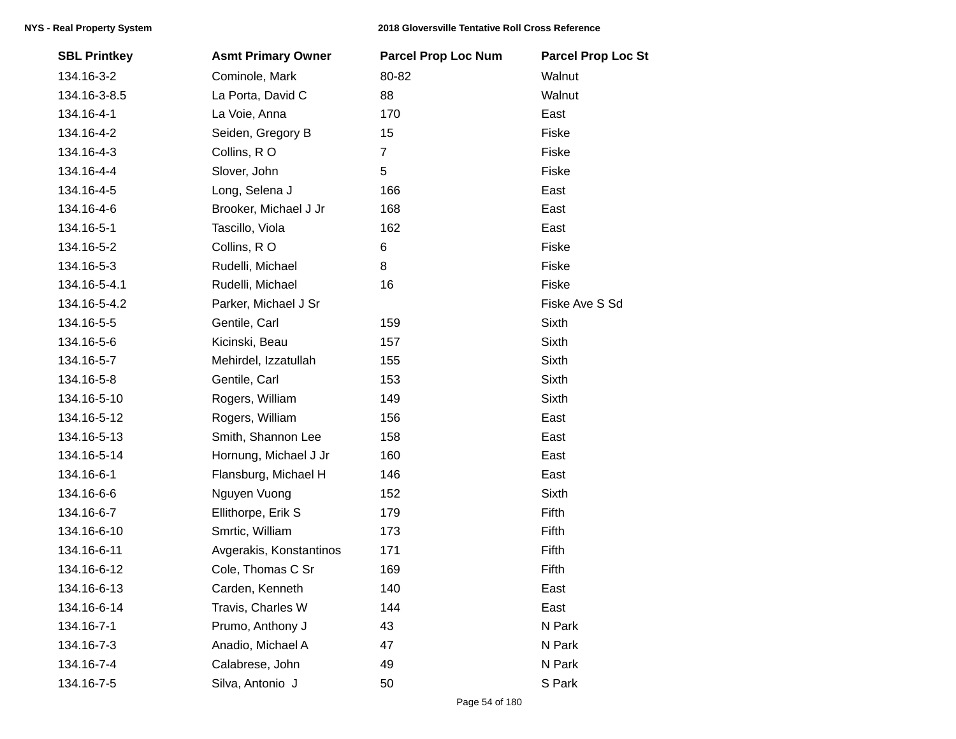| <b>SBL Printkey</b> | <b>Asmt Primary Owner</b> | <b>Parcel Prop Loc Num</b> | <b>Parcel Prop Loc St</b> |
|---------------------|---------------------------|----------------------------|---------------------------|
| 134.16-3-2          | Cominole, Mark            | 80-82                      | Walnut                    |
| 134.16-3-8.5        | La Porta, David C         | 88                         | Walnut                    |
| 134.16-4-1          | La Voie, Anna             | 170                        | East                      |
| 134.16-4-2          | Seiden, Gregory B         | 15                         | Fiske                     |
| 134.16-4-3          | Collins, RO               | $\overline{7}$             | Fiske                     |
| 134.16-4-4          | Slover, John              | 5                          | Fiske                     |
| 134.16-4-5          | Long, Selena J            | 166                        | East                      |
| 134.16-4-6          | Brooker, Michael J Jr     | 168                        | East                      |
| 134.16-5-1          | Tascillo, Viola           | 162                        | East                      |
| 134.16-5-2          | Collins, RO               | 6                          | Fiske                     |
| 134.16-5-3          | Rudelli, Michael          | 8                          | Fiske                     |
| 134.16-5-4.1        | Rudelli, Michael          | 16                         | Fiske                     |
| 134.16-5-4.2        | Parker, Michael J Sr      |                            | Fiske Ave S Sd            |
| 134.16-5-5          | Gentile, Carl             | 159                        | Sixth                     |
| 134.16-5-6          | Kicinski, Beau            | 157                        | Sixth                     |
| 134.16-5-7          | Mehirdel, Izzatullah      | 155                        | Sixth                     |
| 134.16-5-8          | Gentile, Carl             | 153                        | <b>Sixth</b>              |
| 134.16-5-10         | Rogers, William           | 149                        | Sixth                     |
| 134.16-5-12         | Rogers, William           | 156                        | East                      |
| 134.16-5-13         | Smith, Shannon Lee        | 158                        | East                      |
| 134.16-5-14         | Hornung, Michael J Jr     | 160                        | East                      |
| 134.16-6-1          | Flansburg, Michael H      | 146                        | East                      |
| 134.16-6-6          | Nguyen Vuong              | 152                        | <b>Sixth</b>              |
| 134.16-6-7          | Ellithorpe, Erik S        | 179                        | Fifth                     |
| 134.16-6-10         | Smrtic, William           | 173                        | Fifth                     |
| 134.16-6-11         | Avgerakis, Konstantinos   | 171                        | Fifth                     |
| 134.16-6-12         | Cole, Thomas C Sr         | 169                        | Fifth                     |
| 134.16-6-13         | Carden, Kenneth           | 140                        | East                      |
| 134.16-6-14         | Travis, Charles W         | 144                        | East                      |
| 134.16-7-1          | Prumo, Anthony J          | 43                         | N Park                    |
| 134.16-7-3          | Anadio, Michael A         | 47                         | N Park                    |
| 134.16-7-4          | Calabrese, John           | 49                         | N Park                    |
| 134.16-7-5          | Silva, Antonio J          | 50                         | S Park                    |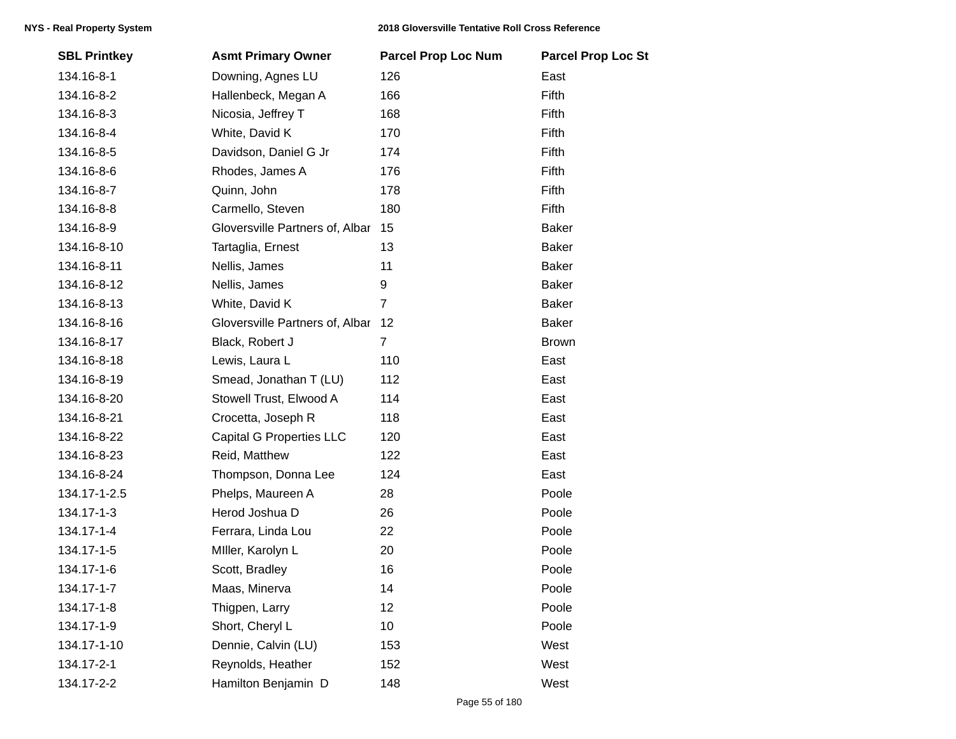|              |                                 |                | <b>Parcel Prop Loc St</b> |
|--------------|---------------------------------|----------------|---------------------------|
| 134.16-8-1   | Downing, Agnes LU               | 126            | East                      |
| 134.16-8-2   | Hallenbeck, Megan A             | 166            | Fifth                     |
| 134.16-8-3   | Nicosia, Jeffrey T              | 168            | Fifth                     |
| 134.16-8-4   | White, David K                  | 170            | Fifth                     |
| 134.16-8-5   | Davidson, Daniel G Jr           | 174            | Fifth                     |
| 134.16-8-6   | Rhodes, James A                 | 176            | Fifth                     |
| 134.16-8-7   | Quinn, John                     | 178            | Fifth                     |
| 134.16-8-8   | Carmello, Steven                | 180            | Fifth                     |
| 134.16-8-9   | Gloversville Partners of, Albar | 15             | <b>Baker</b>              |
| 134.16-8-10  | Tartaglia, Ernest               | 13             | <b>Baker</b>              |
| 134.16-8-11  | Nellis, James                   | 11             | <b>Baker</b>              |
| 134.16-8-12  | Nellis, James                   | 9              | <b>Baker</b>              |
| 134.16-8-13  | White, David K                  | $\overline{7}$ | <b>Baker</b>              |
| 134.16-8-16  | Gloversville Partners of, Albar | 12             | <b>Baker</b>              |
| 134.16-8-17  | Black, Robert J                 | $\overline{7}$ | <b>Brown</b>              |
| 134.16-8-18  | Lewis, Laura L                  | 110            | East                      |
| 134.16-8-19  | Smead, Jonathan T (LU)          | 112            | East                      |
| 134.16-8-20  | Stowell Trust, Elwood A         | 114            | East                      |
| 134.16-8-21  | Crocetta, Joseph R              | 118            | East                      |
| 134.16-8-22  | <b>Capital G Properties LLC</b> | 120            | East                      |
| 134.16-8-23  | Reid, Matthew                   | 122            | East                      |
| 134.16-8-24  | Thompson, Donna Lee             | 124            | East                      |
| 134.17-1-2.5 | Phelps, Maureen A               | 28             | Poole                     |
| 134.17-1-3   | Herod Joshua D                  | 26             | Poole                     |
| 134.17-1-4   | Ferrara, Linda Lou              | 22             | Poole                     |
| 134.17-1-5   | Miller, Karolyn L               | 20             | Poole                     |
| 134.17-1-6   | Scott, Bradley                  | 16             | Poole                     |
| 134.17-1-7   | Maas, Minerva                   | 14             | Poole                     |
| 134.17-1-8   | Thigpen, Larry                  | 12             | Poole                     |
| 134.17-1-9   | Short, Cheryl L                 | 10             | Poole                     |
| 134.17-1-10  | Dennie, Calvin (LU)             | 153            | West                      |
| 134.17-2-1   | Reynolds, Heather               | 152            | West                      |
| 134.17-2-2   | Hamilton Benjamin D             | 148            | West                      |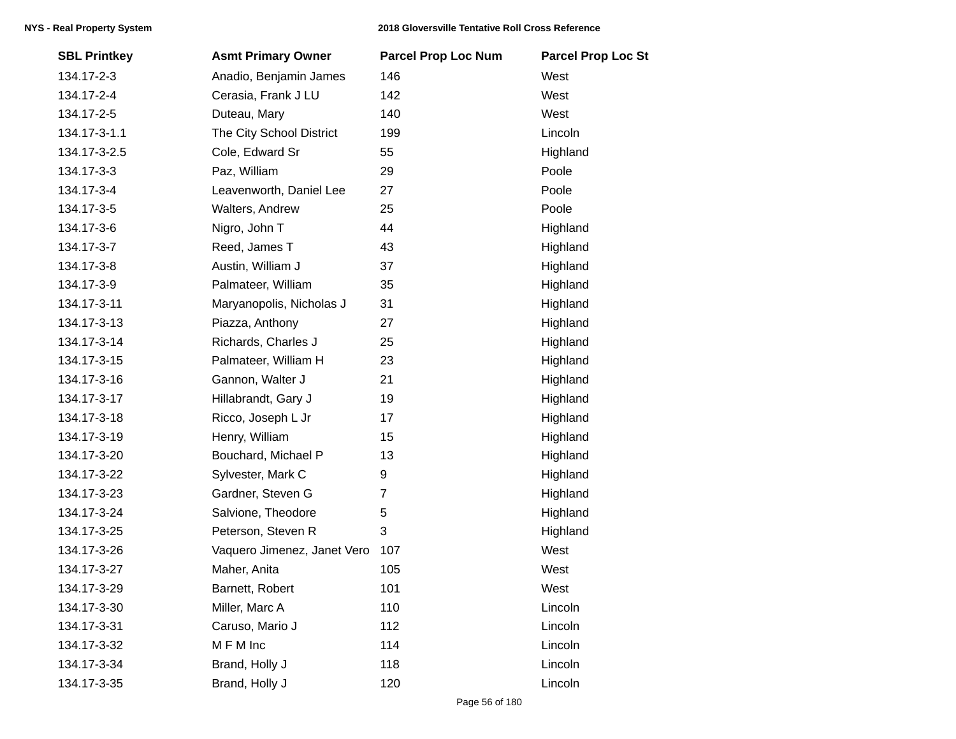| <b>SBL Printkey</b> | <b>Asmt Primary Owner</b>   | <b>Parcel Prop Loc Num</b> | <b>Parcel Prop Loc St</b> |
|---------------------|-----------------------------|----------------------------|---------------------------|
| 134.17-2-3          | Anadio, Benjamin James      | 146                        | West                      |
| 134.17-2-4          | Cerasia, Frank J LU         | 142                        | West                      |
| 134.17-2-5          | Duteau, Mary                | 140                        | West                      |
| 134.17-3-1.1        | The City School District    | 199                        | Lincoln                   |
| 134.17-3-2.5        | Cole, Edward Sr             | 55                         | Highland                  |
| 134.17-3-3          | Paz, William                | 29                         | Poole                     |
| 134.17-3-4          | Leavenworth, Daniel Lee     | 27                         | Poole                     |
| 134.17-3-5          | Walters, Andrew             | 25                         | Poole                     |
| 134.17-3-6          | Nigro, John T               | 44                         | Highland                  |
| 134.17-3-7          | Reed, James T               | 43                         | Highland                  |
| 134.17-3-8          | Austin, William J           | 37                         | Highland                  |
| 134.17-3-9          | Palmateer, William          | 35                         | Highland                  |
| 134.17-3-11         | Maryanopolis, Nicholas J    | 31                         | Highland                  |
| 134.17-3-13         | Piazza, Anthony             | 27                         | Highland                  |
| 134.17-3-14         | Richards, Charles J         | 25                         | Highland                  |
| 134.17-3-15         | Palmateer, William H        | 23                         | Highland                  |
| 134.17-3-16         | Gannon, Walter J            | 21                         | Highland                  |
| 134.17-3-17         | Hillabrandt, Gary J         | 19                         | Highland                  |
| 134.17-3-18         | Ricco, Joseph L Jr          | 17                         | Highland                  |
| 134.17-3-19         | Henry, William              | 15                         | Highland                  |
| 134.17-3-20         | Bouchard, Michael P         | 13                         | Highland                  |
| 134.17-3-22         | Sylvester, Mark C           | 9                          | Highland                  |
| 134.17-3-23         | Gardner, Steven G           | 7                          | Highland                  |
| 134.17-3-24         | Salvione, Theodore          | 5                          | Highland                  |
| 134.17-3-25         | Peterson, Steven R          | 3                          | Highland                  |
| 134.17-3-26         | Vaquero Jimenez, Janet Vero | 107                        | West                      |
| 134.17-3-27         | Maher, Anita                | 105                        | West                      |
| 134.17-3-29         | Barnett, Robert             | 101                        | West                      |
| 134.17-3-30         | Miller, Marc A              | 110                        | Lincoln                   |
| 134.17-3-31         | Caruso, Mario J             | 112                        | Lincoln                   |
| 134.17-3-32         | MFM Inc                     | 114                        | Lincoln                   |
| 134.17-3-34         | Brand, Holly J              | 118                        | Lincoln                   |
| 134.17-3-35         | Brand, Holly J              | 120                        | Lincoln                   |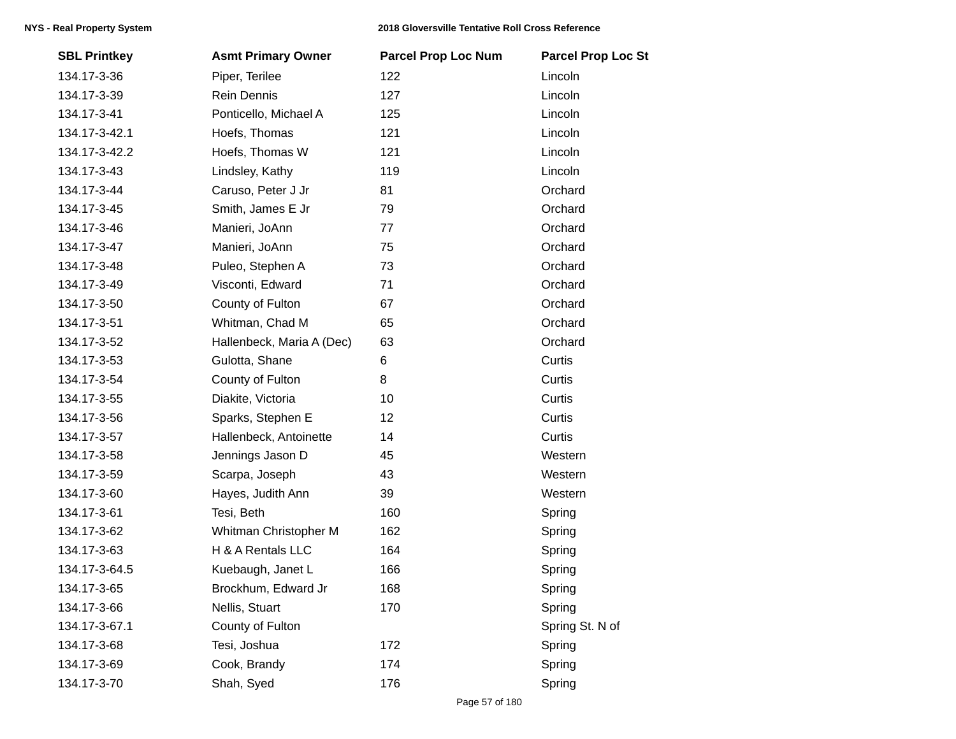| <b>SBL Printkey</b> | <b>Asmt Primary Owner</b> | <b>Parcel Prop Loc Num</b> | <b>Parcel Prop Loc St</b> |
|---------------------|---------------------------|----------------------------|---------------------------|
| 134.17-3-36         | Piper, Terilee            | 122                        | Lincoln                   |
| 134.17-3-39         | Rein Dennis               | 127                        | Lincoln                   |
| 134.17-3-41         | Ponticello, Michael A     | 125                        | Lincoln                   |
| 134.17-3-42.1       | Hoefs, Thomas             | 121                        | Lincoln                   |
| 134.17-3-42.2       | Hoefs, Thomas W           | 121                        | Lincoln                   |
| 134.17-3-43         | Lindsley, Kathy           | 119                        | Lincoln                   |
| 134.17-3-44         | Caruso, Peter J Jr        | 81                         | Orchard                   |
| 134.17-3-45         | Smith, James E Jr         | 79                         | Orchard                   |
| 134.17-3-46         | Manieri, JoAnn            | 77                         | Orchard                   |
| 134.17-3-47         | Manieri, JoAnn            | 75                         | Orchard                   |
| 134.17-3-48         | Puleo, Stephen A          | 73                         | Orchard                   |
| 134.17-3-49         | Visconti, Edward          | 71                         | Orchard                   |
| 134.17-3-50         | County of Fulton          | 67                         | Orchard                   |
| 134.17-3-51         | Whitman, Chad M           | 65                         | Orchard                   |
| 134.17-3-52         | Hallenbeck, Maria A (Dec) | 63                         | Orchard                   |
| 134.17-3-53         | Gulotta, Shane            | 6                          | Curtis                    |
| 134.17-3-54         | County of Fulton          | 8                          | Curtis                    |
| 134.17-3-55         | Diakite, Victoria         | 10                         | Curtis                    |
| 134.17-3-56         | Sparks, Stephen E         | 12                         | Curtis                    |
| 134.17-3-57         | Hallenbeck, Antoinette    | 14                         | Curtis                    |
| 134.17-3-58         | Jennings Jason D          | 45                         | Western                   |
| 134.17-3-59         | Scarpa, Joseph            | 43                         | Western                   |
| 134.17-3-60         | Hayes, Judith Ann         | 39                         | Western                   |
| 134.17-3-61         | Tesi, Beth                | 160                        | Spring                    |
| 134.17-3-62         | Whitman Christopher M     | 162                        | Spring                    |
| 134.17-3-63         | H & A Rentals LLC         | 164                        | Spring                    |
| 134.17-3-64.5       | Kuebaugh, Janet L         | 166                        | Spring                    |
| 134.17-3-65         | Brockhum, Edward Jr       | 168                        | Spring                    |
| 134.17-3-66         | Nellis, Stuart            | 170                        | Spring                    |
| 134.17-3-67.1       | County of Fulton          |                            | Spring St. N of           |
| 134.17-3-68         | Tesi, Joshua              | 172                        | Spring                    |
| 134.17-3-69         | Cook, Brandy              | 174                        | Spring                    |
| 134.17-3-70         | Shah, Syed                | 176                        | Spring                    |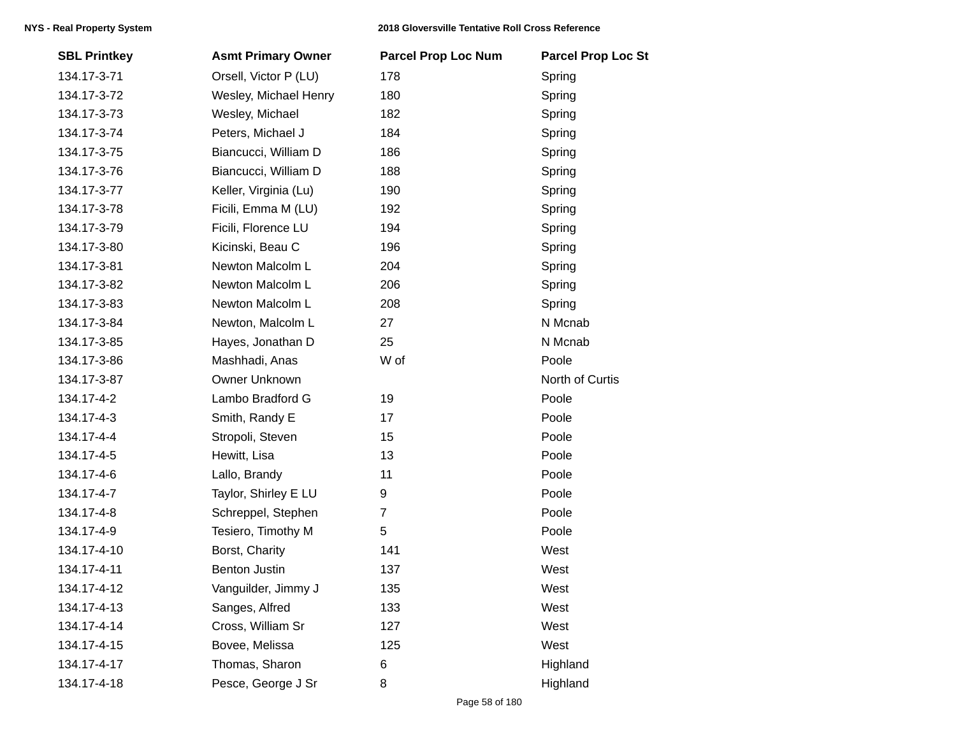| <b>SBL Printkey</b> | <b>Asmt Primary Owner</b> | <b>Parcel Prop Loc Num</b> | <b>Parcel Prop Loc St</b> |
|---------------------|---------------------------|----------------------------|---------------------------|
| 134.17-3-71         | Orsell, Victor P (LU)     | 178                        | Spring                    |
| 134.17-3-72         | Wesley, Michael Henry     | 180                        | Spring                    |
| 134.17-3-73         | Wesley, Michael           | 182                        | Spring                    |
| 134.17-3-74         | Peters, Michael J         | 184                        | Spring                    |
| 134.17-3-75         | Biancucci, William D      | 186                        | Spring                    |
| 134.17-3-76         | Biancucci, William D      | 188                        | Spring                    |
| 134.17-3-77         | Keller, Virginia (Lu)     | 190                        | Spring                    |
| 134.17-3-78         | Ficili, Emma M (LU)       | 192                        | Spring                    |
| 134.17-3-79         | Ficili, Florence LU       | 194                        | Spring                    |
| 134.17-3-80         | Kicinski, Beau C          | 196                        | Spring                    |
| 134.17-3-81         | Newton Malcolm L          | 204                        | Spring                    |
| 134.17-3-82         | Newton Malcolm L          | 206                        | Spring                    |
| 134.17-3-83         | Newton Malcolm L          | 208                        | Spring                    |
| 134.17-3-84         | Newton, Malcolm L         | 27                         | N Mcnab                   |
| 134.17-3-85         | Hayes, Jonathan D         | 25                         | N Mcnab                   |
| 134.17-3-86         | Mashhadi, Anas            | W of                       | Poole                     |
| 134.17-3-87         | Owner Unknown             |                            | North of Curtis           |
| 134.17-4-2          | Lambo Bradford G          | 19                         | Poole                     |
| 134.17-4-3          | Smith, Randy E            | 17                         | Poole                     |
| 134.17-4-4          | Stropoli, Steven          | 15                         | Poole                     |
| 134.17-4-5          | Hewitt, Lisa              | 13                         | Poole                     |
| 134.17-4-6          | Lallo, Brandy             | 11                         | Poole                     |
| 134.17-4-7          | Taylor, Shirley E LU      | 9                          | Poole                     |
| 134.17-4-8          | Schreppel, Stephen        | $\overline{7}$             | Poole                     |
| 134.17-4-9          | Tesiero, Timothy M        | 5                          | Poole                     |
| 134.17-4-10         | Borst, Charity            | 141                        | West                      |
| 134.17-4-11         | <b>Benton Justin</b>      | 137                        | West                      |
| 134.17-4-12         | Vanguilder, Jimmy J       | 135                        | West                      |
| 134.17-4-13         | Sanges, Alfred            | 133                        | West                      |
| 134.17-4-14         | Cross, William Sr         | 127                        | West                      |
| 134.17-4-15         | Bovee, Melissa            | 125                        | West                      |
| 134.17-4-17         | Thomas, Sharon            | 6                          | Highland                  |
| 134.17-4-18         | Pesce, George J Sr        | 8                          | Highland                  |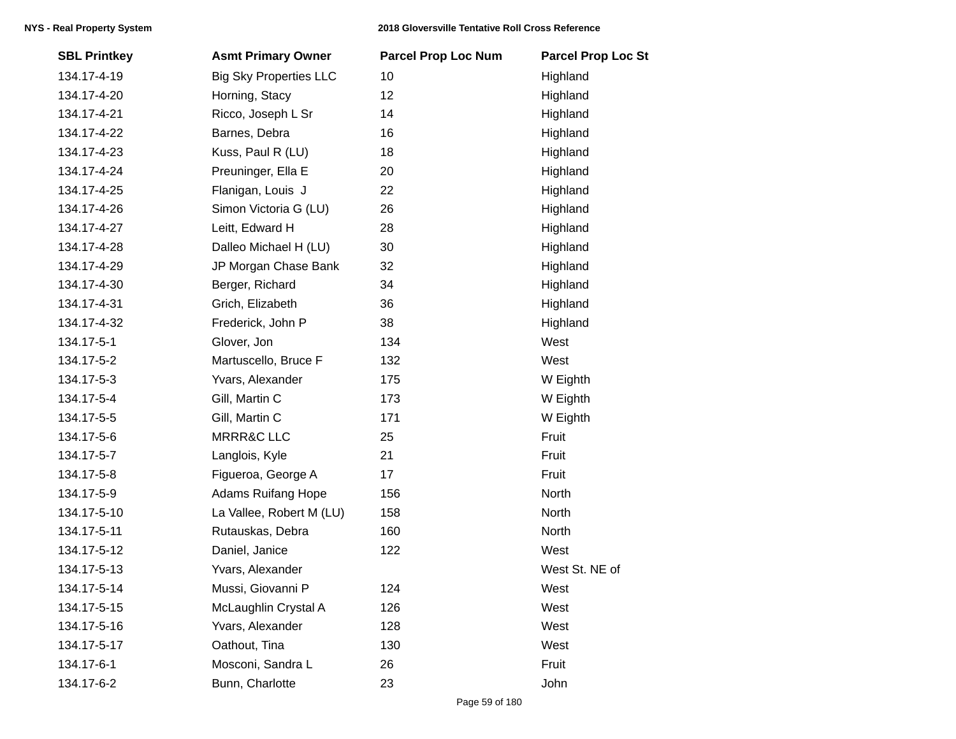| <b>SBL Printkey</b> | <b>Asmt Primary Owner</b>     | <b>Parcel Prop Loc Num</b> | <b>Parcel Prop Loc St</b> |
|---------------------|-------------------------------|----------------------------|---------------------------|
| 134.17-4-19         | <b>Big Sky Properties LLC</b> | 10                         | Highland                  |
| 134.17-4-20         | Horning, Stacy                | 12                         | Highland                  |
| 134.17-4-21         | Ricco, Joseph L Sr            | 14                         | Highland                  |
| 134.17-4-22         | Barnes, Debra                 | 16                         | Highland                  |
| 134.17-4-23         | Kuss, Paul R (LU)             | 18                         | Highland                  |
| 134.17-4-24         | Preuninger, Ella E            | 20                         | Highland                  |
| 134.17-4-25         | Flanigan, Louis J             | 22                         | Highland                  |
| 134.17-4-26         | Simon Victoria G (LU)         | 26                         | Highland                  |
| 134.17-4-27         | Leitt, Edward H               | 28                         | Highland                  |
| 134.17-4-28         | Dalleo Michael H (LU)         | 30                         | Highland                  |
| 134.17-4-29         | JP Morgan Chase Bank          | 32                         | Highland                  |
| 134.17-4-30         | Berger, Richard               | 34                         | Highland                  |
| 134.17-4-31         | Grich, Elizabeth              | 36                         | Highland                  |
| 134.17-4-32         | Frederick, John P             | 38                         | Highland                  |
| 134.17-5-1          | Glover, Jon                   | 134                        | West                      |
| 134.17-5-2          | Martuscello, Bruce F          | 132                        | West                      |
| 134.17-5-3          | Yvars, Alexander              | 175                        | W Eighth                  |
| 134.17-5-4          | Gill, Martin C                | 173                        | W Eighth                  |
| 134.17-5-5          | Gill, Martin C                | 171                        | W Eighth                  |
| 134.17-5-6          | <b>MRRR&amp;C LLC</b>         | 25                         | Fruit                     |
| 134.17-5-7          | Langlois, Kyle                | 21                         | Fruit                     |
| 134.17-5-8          | Figueroa, George A            | 17                         | Fruit                     |
| 134.17-5-9          | <b>Adams Ruifang Hope</b>     | 156                        | North                     |
| 134.17-5-10         | La Vallee, Robert M (LU)      | 158                        | North                     |
| 134.17-5-11         | Rutauskas, Debra              | 160                        | North                     |
| 134.17-5-12         | Daniel, Janice                | 122                        | West                      |
| 134.17-5-13         | Yvars, Alexander              |                            | West St. NE of            |
| 134.17-5-14         | Mussi, Giovanni P             | 124                        | West                      |
| 134.17-5-15         | McLaughlin Crystal A          | 126                        | West                      |
| 134.17-5-16         | Yvars, Alexander              | 128                        | West                      |
| 134.17-5-17         | Oathout, Tina                 | 130                        | West                      |
| 134.17-6-1          | Mosconi, Sandra L             | 26                         | Fruit                     |
| 134.17-6-2          | Bunn, Charlotte               | 23                         | John                      |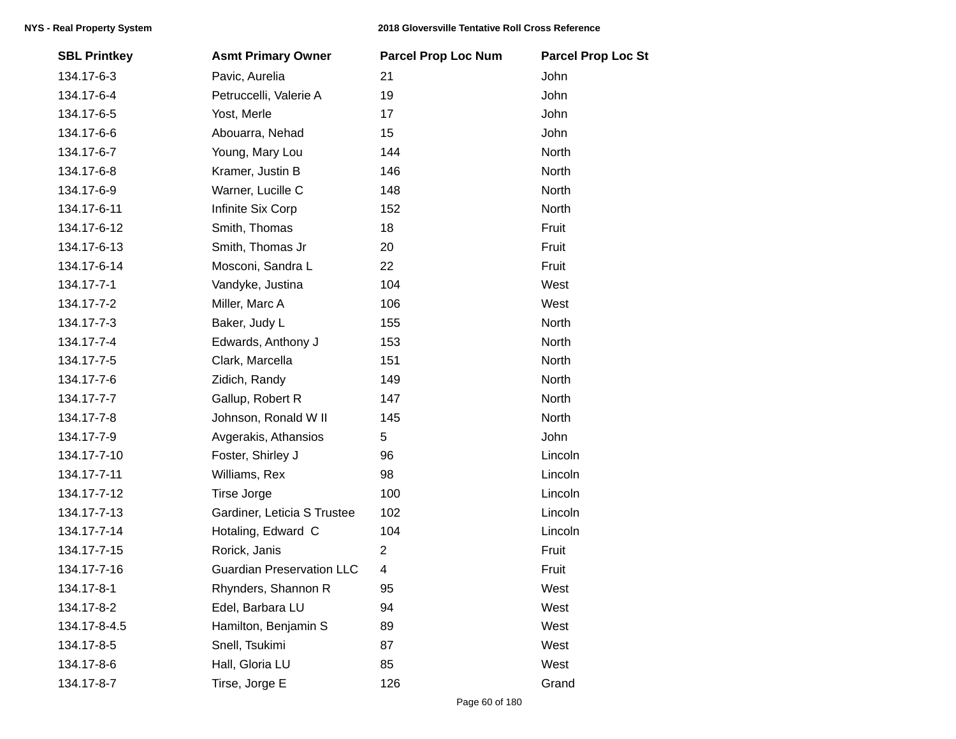| <b>SBL Printkey</b> | <b>Asmt Primary Owner</b>        | <b>Parcel Prop Loc Num</b> | <b>Parcel Prop Loc St</b> |
|---------------------|----------------------------------|----------------------------|---------------------------|
| 134.17-6-3          | Pavic, Aurelia                   | 21                         | John                      |
| 134.17-6-4          | Petruccelli, Valerie A           | 19                         | John                      |
| 134.17-6-5          | Yost, Merle                      | 17                         | John                      |
| 134.17-6-6          | Abouarra, Nehad                  | 15                         | John                      |
| 134.17-6-7          | Young, Mary Lou                  | 144                        | North                     |
| 134.17-6-8          | Kramer, Justin B                 | 146                        | North                     |
| 134.17-6-9          | Warner, Lucille C                | 148                        | <b>North</b>              |
| 134.17-6-11         | Infinite Six Corp                | 152                        | North                     |
| 134.17-6-12         | Smith, Thomas                    | 18                         | Fruit                     |
| 134.17-6-13         | Smith, Thomas Jr                 | 20                         | Fruit                     |
| 134.17-6-14         | Mosconi, Sandra L                | 22                         | Fruit                     |
| 134.17-7-1          | Vandyke, Justina                 | 104                        | West                      |
| 134.17-7-2          | Miller, Marc A                   | 106                        | West                      |
| 134.17-7-3          | Baker, Judy L                    | 155                        | North                     |
| 134.17-7-4          | Edwards, Anthony J               | 153                        | North                     |
| 134.17-7-5          | Clark, Marcella                  | 151                        | North                     |
| 134.17-7-6          | Zidich, Randy                    | 149                        | North                     |
| 134.17-7-7          | Gallup, Robert R                 | 147                        | North                     |
| 134.17-7-8          | Johnson, Ronald W II             | 145                        | North                     |
| 134.17-7-9          | Avgerakis, Athansios             | 5                          | John                      |
| 134.17-7-10         | Foster, Shirley J                | 96                         | Lincoln                   |
| 134.17-7-11         | Williams, Rex                    | 98                         | Lincoln                   |
| 134.17-7-12         | <b>Tirse Jorge</b>               | 100                        | Lincoln                   |
| 134.17-7-13         | Gardiner, Leticia S Trustee      | 102                        | Lincoln                   |
| 134.17-7-14         | Hotaling, Edward C               | 104                        | Lincoln                   |
| 134.17-7-15         | Rorick, Janis                    | $\mathbf{2}$               | Fruit                     |
| 134.17-7-16         | <b>Guardian Preservation LLC</b> | 4                          | Fruit                     |
| 134.17-8-1          | Rhynders, Shannon R              | 95                         | West                      |
| 134.17-8-2          | Edel, Barbara LU                 | 94                         | West                      |
| 134.17-8-4.5        | Hamilton, Benjamin S             | 89                         | West                      |
| 134.17-8-5          | Snell, Tsukimi                   | 87                         | West                      |
| 134.17-8-6          | Hall, Gloria LU                  | 85                         | West                      |
| 134.17-8-7          | Tirse, Jorge E                   | 126                        | Grand                     |
|                     |                                  |                            |                           |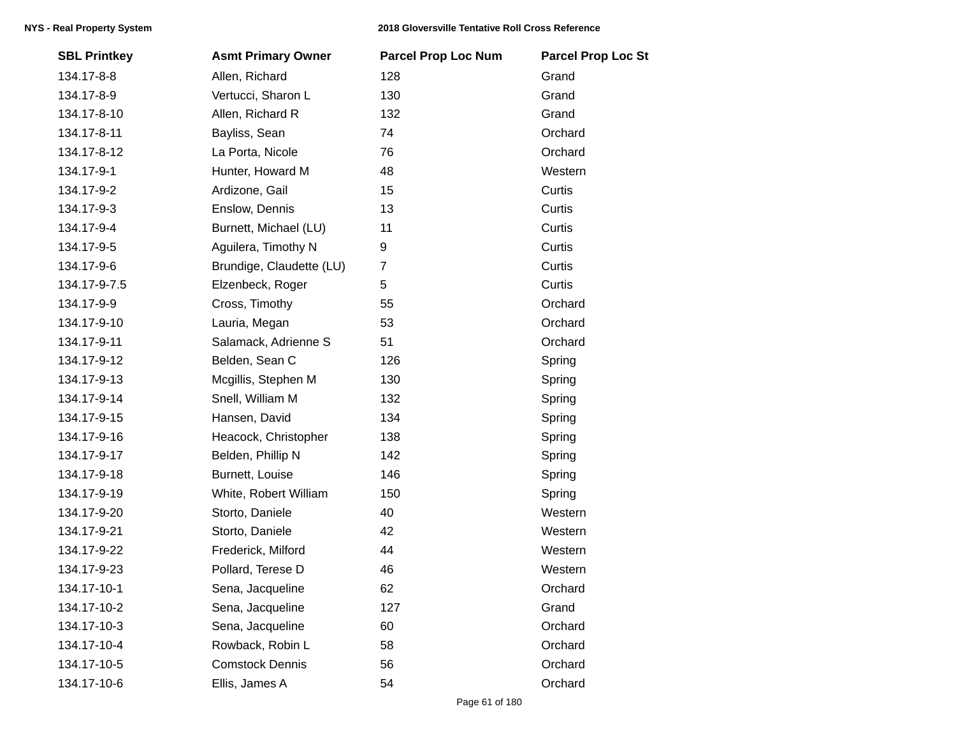| <b>SBL Printkey</b> | <b>Asmt Primary Owner</b> | <b>Parcel Prop Loc Num</b> | <b>Parcel Prop Loc St</b> |
|---------------------|---------------------------|----------------------------|---------------------------|
| 134.17-8-8          | Allen, Richard            | 128                        | Grand                     |
| 134.17-8-9          | Vertucci, Sharon L        | 130                        | Grand                     |
| 134.17-8-10         | Allen, Richard R          | 132                        | Grand                     |
| 134.17-8-11         | Bayliss, Sean             | 74                         | Orchard                   |
| 134.17-8-12         | La Porta, Nicole          | 76                         | Orchard                   |
| 134.17-9-1          | Hunter, Howard M          | 48                         | Western                   |
| 134.17-9-2          | Ardizone, Gail            | 15                         | Curtis                    |
| 134.17-9-3          | Enslow, Dennis            | 13                         | Curtis                    |
| 134.17-9-4          | Burnett, Michael (LU)     | 11                         | Curtis                    |
| 134.17-9-5          | Aguilera, Timothy N       | 9                          | Curtis                    |
| 134.17-9-6          | Brundige, Claudette (LU)  | $\overline{7}$             | Curtis                    |
| 134.17-9-7.5        | Elzenbeck, Roger          | 5                          | Curtis                    |
| 134.17-9-9          | Cross, Timothy            | 55                         | Orchard                   |
| 134.17-9-10         | Lauria, Megan             | 53                         | Orchard                   |
| 134.17-9-11         | Salamack, Adrienne S      | 51                         | Orchard                   |
| 134.17-9-12         | Belden, Sean C            | 126                        | Spring                    |
| 134.17-9-13         | Mcgillis, Stephen M       | 130                        | Spring                    |
| 134.17-9-14         | Snell, William M          | 132                        | Spring                    |
| 134.17-9-15         | Hansen, David             | 134                        | Spring                    |
| 134.17-9-16         | Heacock, Christopher      | 138                        | Spring                    |
| 134.17-9-17         | Belden, Phillip N         | 142                        | Spring                    |
| 134.17-9-18         | Burnett, Louise           | 146                        | Spring                    |
| 134.17-9-19         | White, Robert William     | 150                        | Spring                    |
| 134.17-9-20         | Storto, Daniele           | 40                         | Western                   |
| 134.17-9-21         | Storto, Daniele           | 42                         | Western                   |
| 134.17-9-22         | Frederick, Milford        | 44                         | Western                   |
| 134.17-9-23         | Pollard, Terese D         | 46                         | Western                   |
| 134.17-10-1         | Sena, Jacqueline          | 62                         | Orchard                   |
| 134.17-10-2         | Sena, Jacqueline          | 127                        | Grand                     |
| 134.17-10-3         | Sena, Jacqueline          | 60                         | Orchard                   |
| 134.17-10-4         | Rowback, Robin L          | 58                         | Orchard                   |
| 134.17-10-5         | <b>Comstock Dennis</b>    | 56                         | Orchard                   |
| 134.17-10-6         | Ellis, James A            | 54                         | Orchard                   |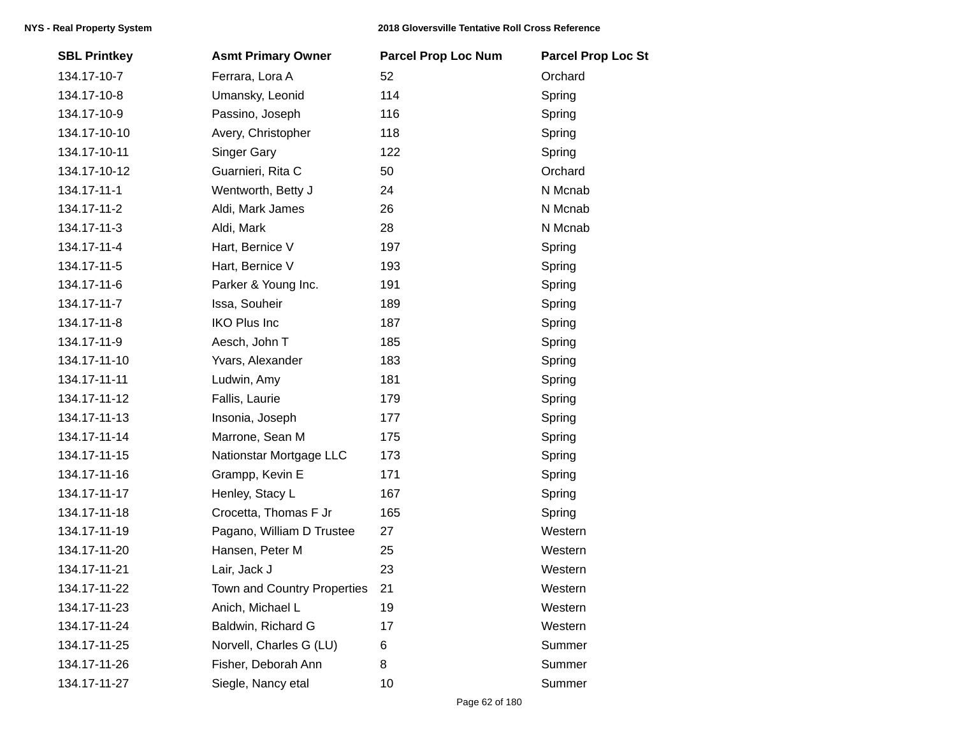| <b>SBL Printkey</b> | <b>Asmt Primary Owner</b>   | <b>Parcel Prop Loc Num</b> | <b>Parcel Prop Loc St</b> |
|---------------------|-----------------------------|----------------------------|---------------------------|
| 134.17-10-7         | Ferrara, Lora A             | 52                         | Orchard                   |
| 134.17-10-8         | Umansky, Leonid             | 114                        | Spring                    |
| 134.17-10-9         | Passino, Joseph             | 116                        | Spring                    |
| 134.17-10-10        | Avery, Christopher          | 118                        | Spring                    |
| 134.17-10-11        | <b>Singer Gary</b>          | 122                        | Spring                    |
| 134.17-10-12        | Guarnieri, Rita C           | 50                         | Orchard                   |
| 134.17-11-1         | Wentworth, Betty J          | 24                         | N Mcnab                   |
| 134.17-11-2         | Aldi, Mark James            | 26                         | N Mcnab                   |
| 134.17-11-3         | Aldi, Mark                  | 28                         | N Mcnab                   |
| 134.17-11-4         | Hart, Bernice V             | 197                        | Spring                    |
| 134.17-11-5         | Hart, Bernice V             | 193                        | Spring                    |
| 134.17-11-6         | Parker & Young Inc.         | 191                        | Spring                    |
| 134.17-11-7         | Issa, Souheir               | 189                        | Spring                    |
| 134.17-11-8         | <b>IKO Plus Inc</b>         | 187                        | Spring                    |
| 134.17-11-9         | Aesch, John T               | 185                        | Spring                    |
| 134.17-11-10        | Yvars, Alexander            | 183                        | Spring                    |
| 134.17-11-11        | Ludwin, Amy                 | 181                        | Spring                    |
| 134.17-11-12        | Fallis, Laurie              | 179                        | Spring                    |
| 134.17-11-13        | Insonia, Joseph             | 177                        | Spring                    |
| 134.17-11-14        | Marrone, Sean M             | 175                        | Spring                    |
| 134.17-11-15        | Nationstar Mortgage LLC     | 173                        | Spring                    |
| 134.17-11-16        | Grampp, Kevin E             | 171                        | Spring                    |
| 134.17-11-17        | Henley, Stacy L             | 167                        | Spring                    |
| 134.17-11-18        | Crocetta, Thomas F Jr       | 165                        | Spring                    |
| 134.17-11-19        | Pagano, William D Trustee   | 27                         | Western                   |
| 134.17-11-20        | Hansen, Peter M             | 25                         | Western                   |
| 134.17-11-21        | Lair, Jack J                | 23                         | Western                   |
| 134.17-11-22        | Town and Country Properties | 21                         | Western                   |
| 134.17-11-23        | Anich, Michael L            | 19                         | Western                   |
| 134.17-11-24        | Baldwin, Richard G          | 17                         | Western                   |
| 134.17-11-25        | Norvell, Charles G (LU)     | 6                          | Summer                    |
| 134.17-11-26        | Fisher, Deborah Ann         | 8                          | Summer                    |
| 134.17-11-27        | Siegle, Nancy etal          | 10                         | Summer                    |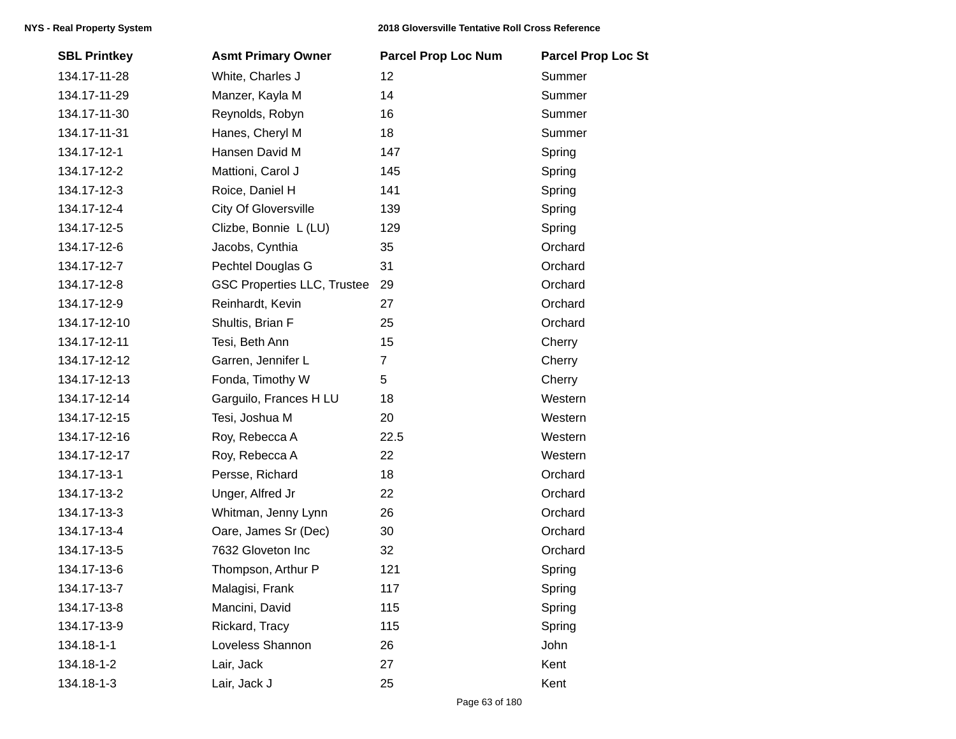| <b>SBL Printkey</b> | <b>Asmt Primary Owner</b>          | <b>Parcel Prop Loc Num</b> | <b>Parcel Prop Loc St</b> |
|---------------------|------------------------------------|----------------------------|---------------------------|
| 134.17-11-28        | White, Charles J                   | 12                         | Summer                    |
| 134.17-11-29        | Manzer, Kayla M                    | 14                         | Summer                    |
| 134.17-11-30        | Reynolds, Robyn                    | 16                         | Summer                    |
| 134.17-11-31        | Hanes, Cheryl M                    | 18                         | Summer                    |
| 134.17-12-1         | Hansen David M                     | 147                        | Spring                    |
| 134.17-12-2         | Mattioni, Carol J                  | 145                        | Spring                    |
| 134.17-12-3         | Roice, Daniel H                    | 141                        | Spring                    |
| 134.17-12-4         | <b>City Of Gloversville</b>        | 139                        | Spring                    |
| 134.17-12-5         | Clizbe, Bonnie L (LU)              | 129                        | Spring                    |
| 134.17-12-6         | Jacobs, Cynthia                    | 35                         | Orchard                   |
| 134.17-12-7         | Pechtel Douglas G                  | 31                         | Orchard                   |
| 134.17-12-8         | <b>GSC Properties LLC, Trustee</b> | 29                         | Orchard                   |
| 134.17-12-9         | Reinhardt, Kevin                   | 27                         | Orchard                   |
| 134.17-12-10        | Shultis, Brian F                   | 25                         | Orchard                   |
| 134.17-12-11        | Tesi, Beth Ann                     | 15                         | Cherry                    |
| 134.17-12-12        | Garren, Jennifer L                 | $\overline{7}$             | Cherry                    |
| 134.17-12-13        | Fonda, Timothy W                   | 5                          | Cherry                    |
| 134.17-12-14        | Garguilo, Frances H LU             | 18                         | Western                   |
| 134.17-12-15        | Tesi, Joshua M                     | 20                         | Western                   |
| 134.17-12-16        | Roy, Rebecca A                     | 22.5                       | Western                   |
| 134.17-12-17        | Roy, Rebecca A                     | 22                         | Western                   |
| 134.17-13-1         | Persse, Richard                    | 18                         | Orchard                   |
| 134.17-13-2         | Unger, Alfred Jr                   | 22                         | Orchard                   |
| 134.17-13-3         | Whitman, Jenny Lynn                | 26                         | Orchard                   |
| 134.17-13-4         | Oare, James Sr (Dec)               | 30                         | Orchard                   |
| 134.17-13-5         | 7632 Gloveton Inc                  | 32                         | Orchard                   |
| 134.17-13-6         | Thompson, Arthur P                 | 121                        | Spring                    |
| 134.17-13-7         | Malagisi, Frank                    | 117                        | Spring                    |
| 134.17-13-8         | Mancini, David                     | 115                        | Spring                    |
| 134.17-13-9         | Rickard, Tracy                     | 115                        | Spring                    |
| 134.18-1-1          | Loveless Shannon                   | 26                         | John                      |
| 134.18-1-2          | Lair, Jack                         | 27                         | Kent                      |
| 134.18-1-3          | Lair, Jack J                       | 25                         | Kent                      |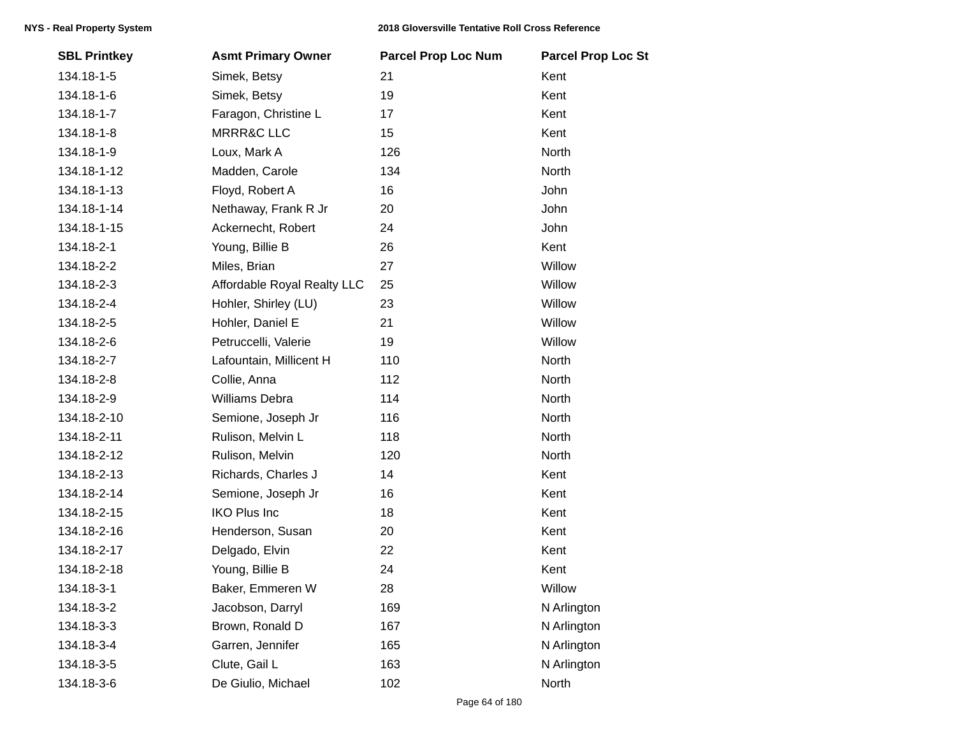| <b>SBL Printkey</b> | <b>Asmt Primary Owner</b>   | <b>Parcel Prop Loc Num</b> | <b>Parcel Prop Loc St</b> |
|---------------------|-----------------------------|----------------------------|---------------------------|
| 134.18-1-5          | Simek, Betsy                | 21                         | Kent                      |
| 134.18-1-6          | Simek, Betsy                | 19                         | Kent                      |
| 134.18-1-7          | Faragon, Christine L        | 17                         | Kent                      |
| 134.18-1-8          | <b>MRRR&amp;C LLC</b>       | 15                         | Kent                      |
| 134.18-1-9          | Loux, Mark A                | 126                        | North                     |
| 134.18-1-12         | Madden, Carole              | 134                        | North                     |
| 134.18-1-13         | Floyd, Robert A             | 16                         | John                      |
| 134.18-1-14         | Nethaway, Frank R Jr        | 20                         | John                      |
| 134.18-1-15         | Ackernecht, Robert          | 24                         | John                      |
| 134.18-2-1          | Young, Billie B             | 26                         | Kent                      |
| 134.18-2-2          | Miles, Brian                | 27                         | Willow                    |
| 134.18-2-3          | Affordable Royal Realty LLC | 25                         | Willow                    |
| 134.18-2-4          | Hohler, Shirley (LU)        | 23                         | Willow                    |
| 134.18-2-5          | Hohler, Daniel E            | 21                         | Willow                    |
| 134.18-2-6          | Petruccelli, Valerie        | 19                         | Willow                    |
| 134.18-2-7          | Lafountain, Millicent H     | 110                        | North                     |
| 134.18-2-8          | Collie, Anna                | 112                        | North                     |
| 134.18-2-9          | Williams Debra              | 114                        | North                     |
| 134.18-2-10         | Semione, Joseph Jr          | 116                        | North                     |
| 134.18-2-11         | Rulison, Melvin L           | 118                        | North                     |
| 134.18-2-12         | Rulison, Melvin             | 120                        | North                     |
| 134.18-2-13         | Richards, Charles J         | 14                         | Kent                      |
| 134.18-2-14         | Semione, Joseph Jr          | 16                         | Kent                      |
| 134.18-2-15         | <b>IKO Plus Inc</b>         | 18                         | Kent                      |
| 134.18-2-16         | Henderson, Susan            | 20                         | Kent                      |
| 134.18-2-17         | Delgado, Elvin              | 22                         | Kent                      |
| 134.18-2-18         | Young, Billie B             | 24                         | Kent                      |
| 134.18-3-1          | Baker, Emmeren W            | 28                         | Willow                    |
| 134.18-3-2          | Jacobson, Darryl            | 169                        | N Arlington               |
| 134.18-3-3          | Brown, Ronald D             | 167                        | N Arlington               |
| 134.18-3-4          | Garren, Jennifer            | 165                        | N Arlington               |
| 134.18-3-5          | Clute, Gail L               | 163                        | N Arlington               |
| 134.18-3-6          | De Giulio, Michael          | 102                        | North                     |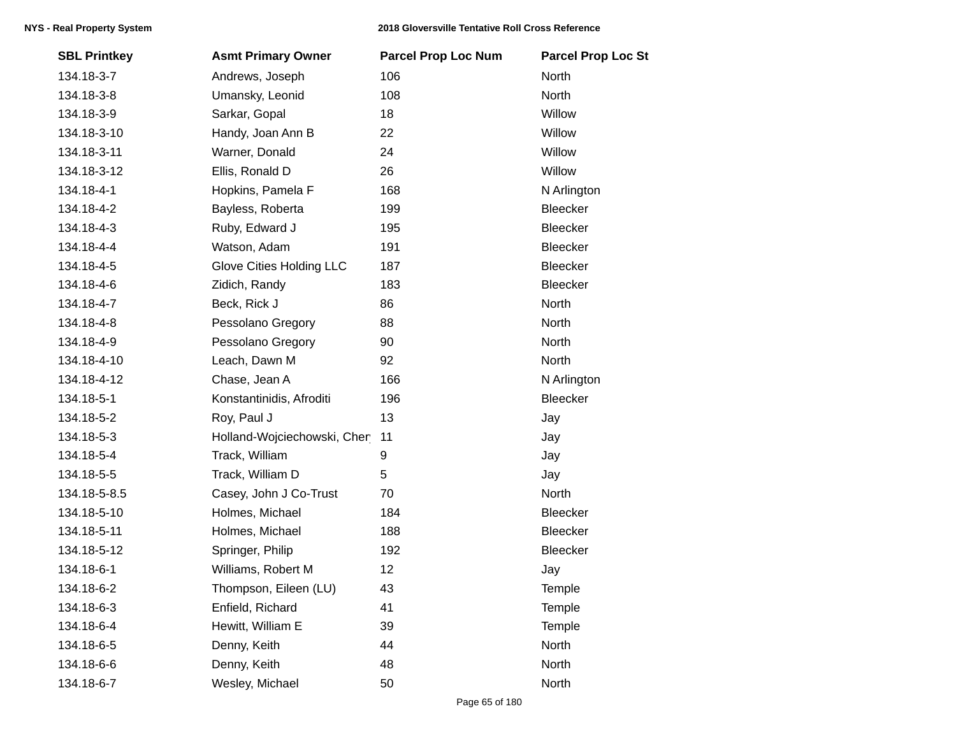| <b>SBL Printkey</b> | <b>Asmt Primary Owner</b>   | <b>Parcel Prop Loc Num</b> | <b>Parcel Prop Loc St</b> |
|---------------------|-----------------------------|----------------------------|---------------------------|
| 134.18-3-7          | Andrews, Joseph             | 106                        | North                     |
| 134.18-3-8          | Umansky, Leonid             | 108                        | North                     |
| 134.18-3-9          | Sarkar, Gopal               | 18                         | Willow                    |
| 134.18-3-10         | Handy, Joan Ann B           | 22                         | Willow                    |
| 134.18-3-11         | Warner, Donald              | 24                         | Willow                    |
| 134.18-3-12         | Ellis, Ronald D             | 26                         | Willow                    |
| 134.18-4-1          | Hopkins, Pamela F           | 168                        | N Arlington               |
| 134.18-4-2          | Bayless, Roberta            | 199                        | <b>Bleecker</b>           |
| 134.18-4-3          | Ruby, Edward J              | 195                        | Bleecker                  |
| 134.18-4-4          | Watson, Adam                | 191                        | Bleecker                  |
| 134.18-4-5          | Glove Cities Holding LLC    | 187                        | <b>Bleecker</b>           |
| 134.18-4-6          | Zidich, Randy               | 183                        | Bleecker                  |
| 134.18-4-7          | Beck, Rick J                | 86                         | North                     |
| 134.18-4-8          | Pessolano Gregory           | 88                         | North                     |
| 134.18-4-9          | Pessolano Gregory           | 90                         | North                     |
| 134.18-4-10         | Leach, Dawn M               | 92                         | North                     |
| 134.18-4-12         | Chase, Jean A               | 166                        | N Arlington               |
| 134.18-5-1          | Konstantinidis, Afroditi    | 196                        | Bleecker                  |
| 134.18-5-2          | Roy, Paul J                 | 13                         | Jay                       |
| 134.18-5-3          | Holland-Wojciechowski, Cher | 11                         | Jay                       |
| 134.18-5-4          | Track, William              | 9                          | Jay                       |
| 134.18-5-5          | Track, William D            | 5                          | Jay                       |
| 134.18-5-8.5        | Casey, John J Co-Trust      | 70                         | North                     |
| 134.18-5-10         | Holmes, Michael             | 184                        | Bleecker                  |
| 134.18-5-11         | Holmes, Michael             | 188                        | Bleecker                  |
| 134.18-5-12         | Springer, Philip            | 192                        | <b>Bleecker</b>           |
| 134.18-6-1          | Williams, Robert M          | 12                         | Jay                       |
| 134.18-6-2          | Thompson, Eileen (LU)       | 43                         | Temple                    |
| 134.18-6-3          | Enfield, Richard            | 41                         | Temple                    |
| 134.18-6-4          | Hewitt, William E           | 39                         | Temple                    |
| 134.18-6-5          | Denny, Keith                | 44                         | North                     |
| 134.18-6-6          | Denny, Keith                | 48                         | North                     |
| 134.18-6-7          | Wesley, Michael             | 50                         | North                     |
|                     |                             |                            |                           |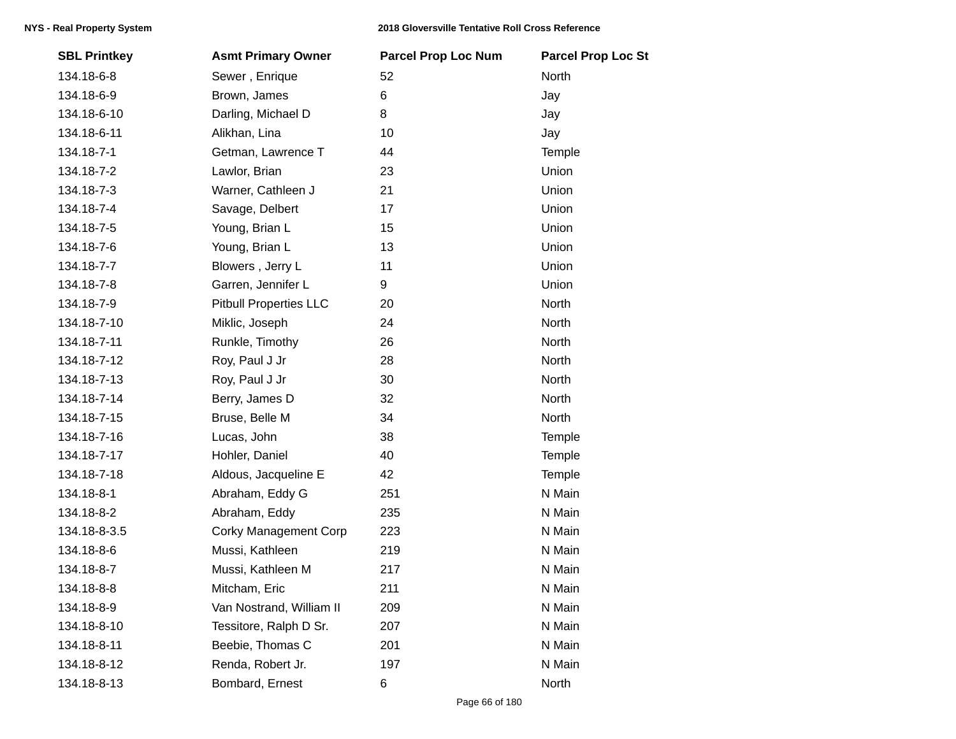| <b>SBL Printkey</b> | <b>Asmt Primary Owner</b>     | <b>Parcel Prop Loc Num</b> | <b>Parcel Prop Loc St</b> |
|---------------------|-------------------------------|----------------------------|---------------------------|
| 134.18-6-8          | Sewer, Enrique                | 52                         | North                     |
| 134.18-6-9          | Brown, James                  | 6                          | Jay                       |
| 134.18-6-10         | Darling, Michael D            | 8                          | Jay                       |
| 134.18-6-11         | Alikhan, Lina                 | 10                         | Jay                       |
| 134.18-7-1          | Getman, Lawrence T            | 44                         | Temple                    |
| 134.18-7-2          | Lawlor, Brian                 | 23                         | Union                     |
| 134.18-7-3          | Warner, Cathleen J            | 21                         | Union                     |
| 134.18-7-4          | Savage, Delbert               | 17                         | Union                     |
| 134.18-7-5          | Young, Brian L                | 15                         | Union                     |
| 134.18-7-6          | Young, Brian L                | 13                         | Union                     |
| 134.18-7-7          | Blowers, Jerry L              | 11                         | Union                     |
| 134.18-7-8          | Garren, Jennifer L            | 9                          | Union                     |
| 134.18-7-9          | <b>Pitbull Properties LLC</b> | 20                         | North                     |
| 134.18-7-10         | Miklic, Joseph                | 24                         | North                     |
| 134.18-7-11         | Runkle, Timothy               | 26                         | North                     |
| 134.18-7-12         | Roy, Paul J Jr                | 28                         | North                     |
| 134.18-7-13         | Roy, Paul J Jr                | 30                         | North                     |
| 134.18-7-14         | Berry, James D                | 32                         | North                     |
| 134.18-7-15         | Bruse, Belle M                | 34                         | North                     |
| 134.18-7-16         | Lucas, John                   | 38                         | Temple                    |
| 134.18-7-17         | Hohler, Daniel                | 40                         | Temple                    |
| 134.18-7-18         | Aldous, Jacqueline E          | 42                         | Temple                    |
| 134.18-8-1          | Abraham, Eddy G               | 251                        | N Main                    |
| 134.18-8-2          | Abraham, Eddy                 | 235                        | N Main                    |
| 134.18-8-3.5        | <b>Corky Management Corp</b>  | 223                        | N Main                    |
| 134.18-8-6          | Mussi, Kathleen               | 219                        | N Main                    |
| 134.18-8-7          | Mussi, Kathleen M             | 217                        | N Main                    |
| 134.18-8-8          | Mitcham, Eric                 | 211                        | N Main                    |
| 134.18-8-9          | Van Nostrand, William II      | 209                        | N Main                    |
| 134.18-8-10         | Tessitore, Ralph D Sr.        | 207                        | N Main                    |
| 134.18-8-11         | Beebie, Thomas C              | 201                        | N Main                    |
| 134.18-8-12         | Renda, Robert Jr.             | 197                        | N Main                    |
| 134.18-8-13         | Bombard, Ernest               | 6                          | North                     |
|                     |                               |                            |                           |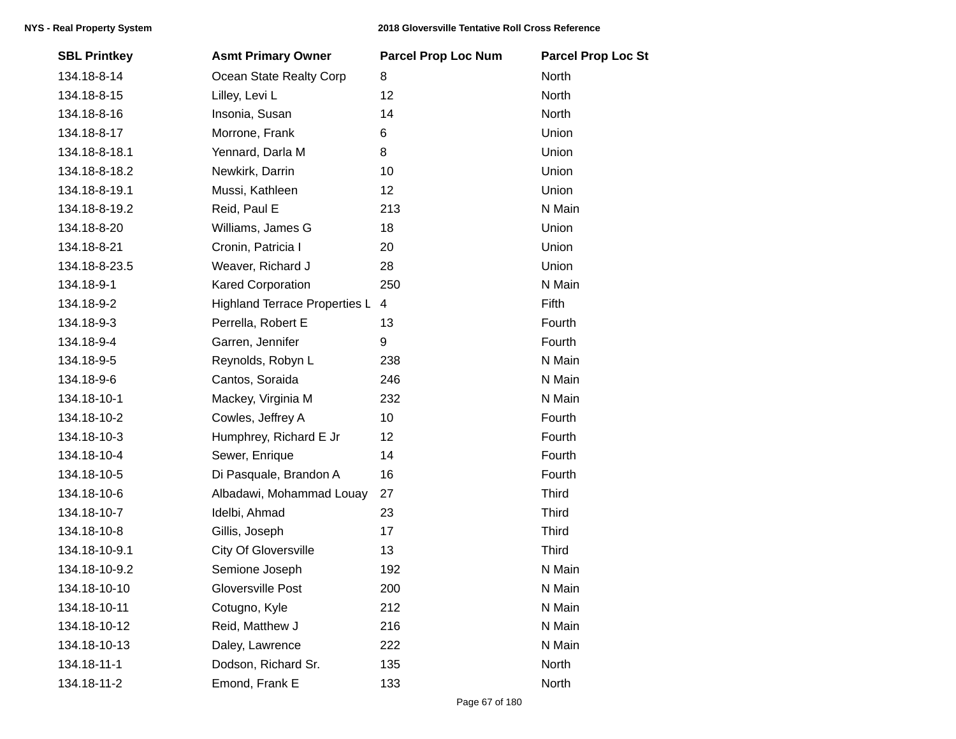| <b>SBL Printkey</b> | <b>Asmt Primary Owner</b>            | <b>Parcel Prop Loc Num</b> | <b>Parcel Prop Loc St</b> |
|---------------------|--------------------------------------|----------------------------|---------------------------|
| 134.18-8-14         | Ocean State Realty Corp              | 8                          | North                     |
| 134.18-8-15         | Lilley, Levi L                       | 12                         | North                     |
| 134.18-8-16         | Insonia, Susan                       | 14                         | North                     |
| 134.18-8-17         | Morrone, Frank                       | 6                          | Union                     |
| 134.18-8-18.1       | Yennard, Darla M                     | 8                          | Union                     |
| 134.18-8-18.2       | Newkirk, Darrin                      | 10                         | Union                     |
| 134.18-8-19.1       | Mussi, Kathleen                      | 12                         | Union                     |
| 134.18-8-19.2       | Reid, Paul E                         | 213                        | N Main                    |
| 134.18-8-20         | Williams, James G                    | 18                         | Union                     |
| 134.18-8-21         | Cronin, Patricia I                   | 20                         | Union                     |
| 134.18-8-23.5       | Weaver, Richard J                    | 28                         | Union                     |
| 134.18-9-1          | <b>Kared Corporation</b>             | 250                        | N Main                    |
| 134.18-9-2          | <b>Highland Terrace Properties L</b> | 4                          | Fifth                     |
| 134.18-9-3          | Perrella, Robert E                   | 13                         | Fourth                    |
| 134.18-9-4          | Garren, Jennifer                     | 9                          | Fourth                    |
| 134.18-9-5          | Reynolds, Robyn L                    | 238                        | N Main                    |
| 134.18-9-6          | Cantos, Soraida                      | 246                        | N Main                    |
| 134.18-10-1         | Mackey, Virginia M                   | 232                        | N Main                    |
| 134.18-10-2         | Cowles, Jeffrey A                    | 10                         | Fourth                    |
| 134.18-10-3         | Humphrey, Richard E Jr               | 12                         | Fourth                    |
| 134.18-10-4         | Sewer, Enrique                       | 14                         | Fourth                    |
| 134.18-10-5         | Di Pasquale, Brandon A               | 16                         | Fourth                    |
| 134.18-10-6         | Albadawi, Mohammad Louay             | 27                         | <b>Third</b>              |
| 134.18-10-7         | Idelbi, Ahmad                        | 23                         | <b>Third</b>              |
| 134.18-10-8         | Gillis, Joseph                       | 17                         | <b>Third</b>              |
| 134.18-10-9.1       | <b>City Of Gloversville</b>          | 13                         | Third                     |
| 134.18-10-9.2       | Semione Joseph                       | 192                        | N Main                    |
| 134.18-10-10        | Gloversville Post                    | 200                        | N Main                    |
| 134.18-10-11        | Cotugno, Kyle                        | 212                        | N Main                    |
| 134.18-10-12        | Reid, Matthew J                      | 216                        | N Main                    |
| 134.18-10-13        | Daley, Lawrence                      | 222                        | N Main                    |
| 134.18-11-1         | Dodson, Richard Sr.                  | 135                        | North                     |
| 134.18-11-2         | Emond, Frank E                       | 133                        | North                     |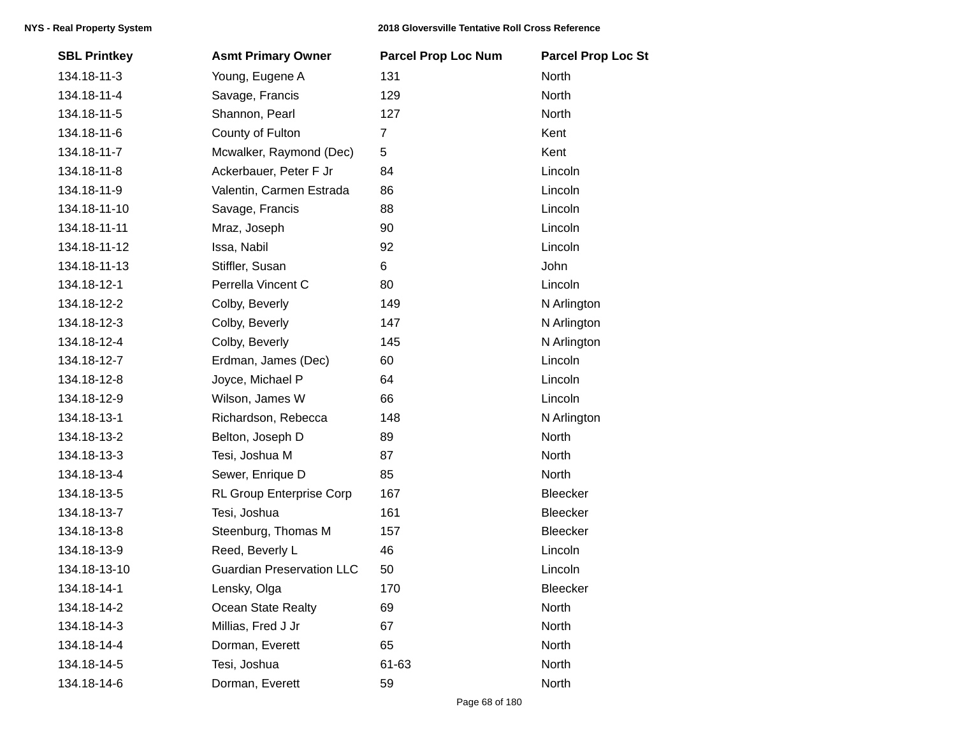| <b>SBL Printkey</b> | <b>Asmt Primary Owner</b>        | <b>Parcel Prop Loc Num</b> | <b>Parcel Prop Loc St</b> |
|---------------------|----------------------------------|----------------------------|---------------------------|
| 134.18-11-3         | Young, Eugene A                  | 131                        | North                     |
| 134.18-11-4         | Savage, Francis                  | 129                        | North                     |
| 134.18-11-5         | Shannon, Pearl                   | 127                        | North                     |
| 134.18-11-6         | County of Fulton                 | $\overline{7}$             | Kent                      |
| 134.18-11-7         | Mcwalker, Raymond (Dec)          | 5                          | Kent                      |
| 134.18-11-8         | Ackerbauer, Peter F Jr           | 84                         | Lincoln                   |
| 134.18-11-9         | Valentin, Carmen Estrada         | 86                         | Lincoln                   |
| 134.18-11-10        | Savage, Francis                  | 88                         | Lincoln                   |
| 134.18-11-11        | Mraz, Joseph                     | 90                         | Lincoln                   |
| 134.18-11-12        | Issa, Nabil                      | 92                         | Lincoln                   |
| 134.18-11-13        | Stiffler, Susan                  | 6                          | John                      |
| 134.18-12-1         | Perrella Vincent C               | 80                         | Lincoln                   |
| 134.18-12-2         | Colby, Beverly                   | 149                        | N Arlington               |
| 134.18-12-3         | Colby, Beverly                   | 147                        | N Arlington               |
| 134.18-12-4         | Colby, Beverly                   | 145                        | N Arlington               |
| 134.18-12-7         | Erdman, James (Dec)              | 60                         | Lincoln                   |
| 134.18-12-8         | Joyce, Michael P                 | 64                         | Lincoln                   |
| 134.18-12-9         | Wilson, James W                  | 66                         | Lincoln                   |
| 134.18-13-1         | Richardson, Rebecca              | 148                        | N Arlington               |
| 134.18-13-2         | Belton, Joseph D                 | 89                         | <b>North</b>              |
| 134.18-13-3         | Tesi, Joshua M                   | 87                         | North                     |
| 134.18-13-4         | Sewer, Enrique D                 | 85                         | North                     |
| 134.18-13-5         | RL Group Enterprise Corp         | 167                        | Bleecker                  |
| 134.18-13-7         | Tesi, Joshua                     | 161                        | Bleecker                  |
| 134.18-13-8         | Steenburg, Thomas M              | 157                        | Bleecker                  |
| 134.18-13-9         | Reed, Beverly L                  | 46                         | Lincoln                   |
| 134.18-13-10        | <b>Guardian Preservation LLC</b> | 50                         | Lincoln                   |
| 134.18-14-1         | Lensky, Olga                     | 170                        | Bleecker                  |
| 134.18-14-2         | <b>Ocean State Realty</b>        | 69                         | North                     |
| 134.18-14-3         | Millias, Fred J Jr               | 67                         | North                     |
| 134.18-14-4         | Dorman, Everett                  | 65                         | North                     |
| 134.18-14-5         | Tesi, Joshua                     | 61-63                      | North                     |
| 134.18-14-6         | Dorman, Everett                  | 59                         | North                     |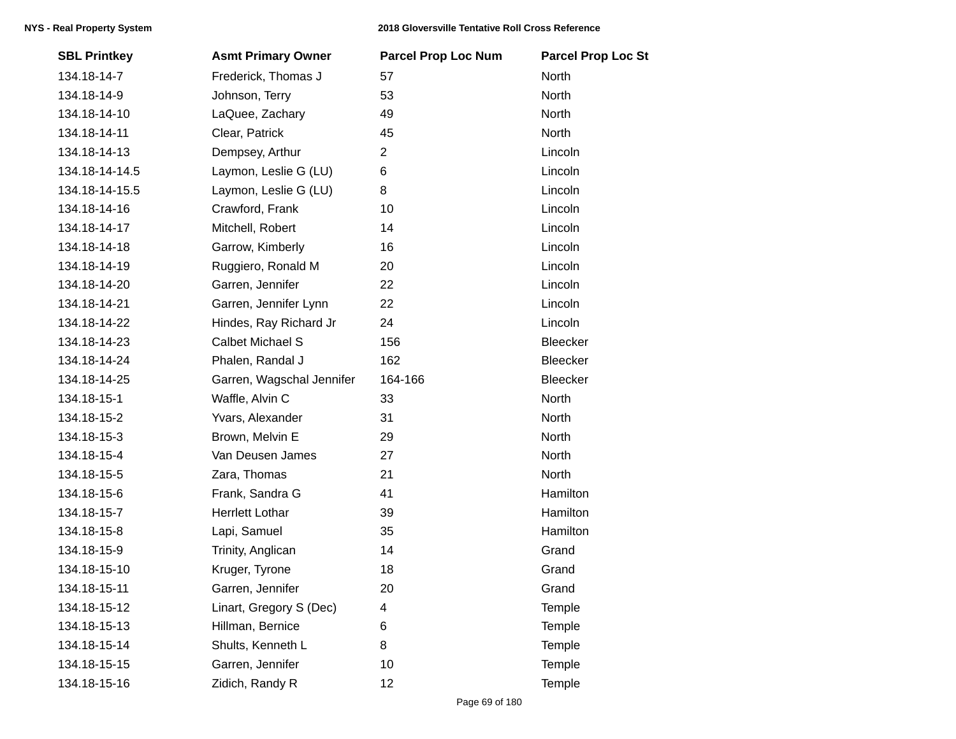| <b>SBL Printkey</b> | <b>Asmt Primary Owner</b> | <b>Parcel Prop Loc Num</b> | <b>Parcel Prop Loc St</b> |
|---------------------|---------------------------|----------------------------|---------------------------|
| 134.18-14-7         | Frederick, Thomas J       | 57                         | North                     |
| 134.18-14-9         | Johnson, Terry            | 53                         | North                     |
| 134.18-14-10        | LaQuee, Zachary           | 49                         | North                     |
| 134.18-14-11        | Clear, Patrick            | 45                         | North                     |
| 134.18-14-13        | Dempsey, Arthur           | $\overline{2}$             | Lincoln                   |
| 134.18-14-14.5      | Laymon, Leslie G (LU)     | 6                          | Lincoln                   |
| 134.18-14-15.5      | Laymon, Leslie G (LU)     | 8                          | Lincoln                   |
| 134.18-14-16        | Crawford, Frank           | 10                         | Lincoln                   |
| 134.18-14-17        | Mitchell, Robert          | 14                         | Lincoln                   |
| 134.18-14-18        | Garrow, Kimberly          | 16                         | Lincoln                   |
| 134.18-14-19        | Ruggiero, Ronald M        | 20                         | Lincoln                   |
| 134.18-14-20        | Garren, Jennifer          | 22                         | Lincoln                   |
| 134.18-14-21        | Garren, Jennifer Lynn     | 22                         | Lincoln                   |
| 134.18-14-22        | Hindes, Ray Richard Jr    | 24                         | Lincoln                   |
| 134.18-14-23        | <b>Calbet Michael S</b>   | 156                        | Bleecker                  |
| 134.18-14-24        | Phalen, Randal J          | 162                        | Bleecker                  |
| 134.18-14-25        | Garren, Wagschal Jennifer | 164-166                    | Bleecker                  |
| 134.18-15-1         | Waffle, Alvin C           | 33                         | North                     |
| 134.18-15-2         | Yvars, Alexander          | 31                         | North                     |
| 134.18-15-3         | Brown, Melvin E           | 29                         | North                     |
| 134.18-15-4         | Van Deusen James          | 27                         | North                     |
| 134.18-15-5         | Zara, Thomas              | 21                         | North                     |
| 134.18-15-6         | Frank, Sandra G           | 41                         | Hamilton                  |
| 134.18-15-7         | <b>Herrlett Lothar</b>    | 39                         | Hamilton                  |
| 134.18-15-8         | Lapi, Samuel              | 35                         | Hamilton                  |
| 134.18-15-9         | Trinity, Anglican         | 14                         | Grand                     |
| 134.18-15-10        | Kruger, Tyrone            | 18                         | Grand                     |
| 134.18-15-11        | Garren, Jennifer          | 20                         | Grand                     |
| 134.18-15-12        | Linart, Gregory S (Dec)   | 4                          | Temple                    |
| 134.18-15-13        | Hillman, Bernice          | 6                          | Temple                    |
| 134.18-15-14        | Shults, Kenneth L         | 8                          | Temple                    |
| 134.18-15-15        | Garren, Jennifer          | 10                         | Temple                    |
| 134.18-15-16        | Zidich, Randy R           | 12                         | Temple                    |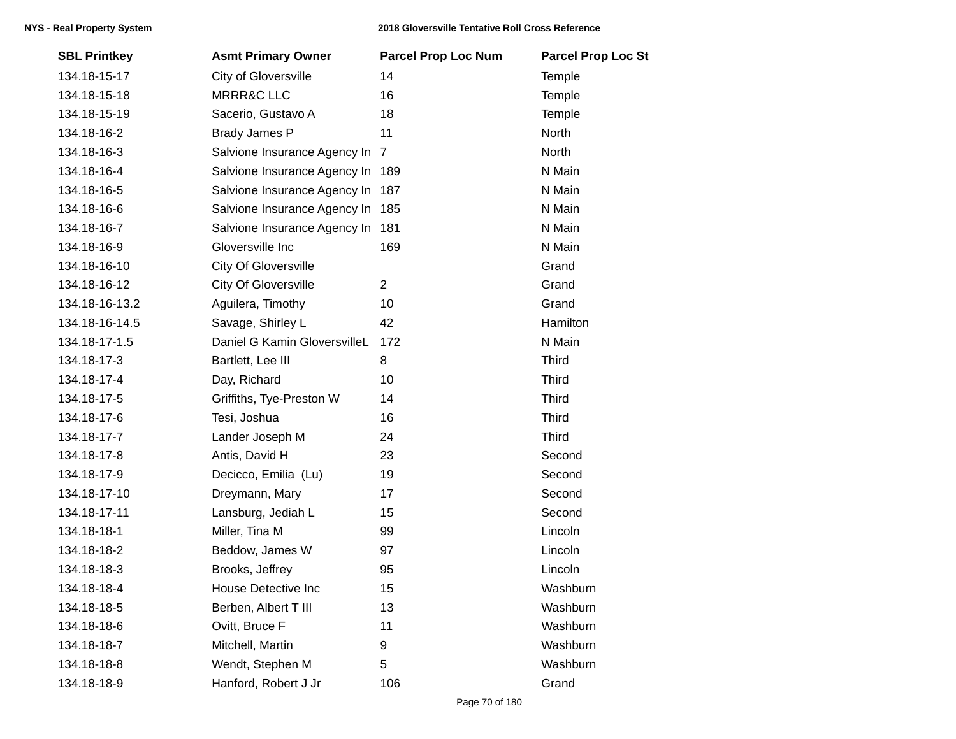| <b>SBL Printkey</b> | <b>Asmt Primary Owner</b>        | <b>Parcel Prop Loc Num</b> | <b>Parcel Prop Loc St</b> |
|---------------------|----------------------------------|----------------------------|---------------------------|
| 134.18-15-17        | City of Gloversville             | 14                         | Temple                    |
| 134.18-15-18        | <b>MRRR&amp;C LLC</b>            | 16                         | Temple                    |
| 134.18-15-19        | Sacerio, Gustavo A               | 18                         | Temple                    |
| 134.18-16-2         | <b>Brady James P</b>             | 11                         | North                     |
| 134.18-16-3         | Salvione Insurance Agency In     | $\overline{7}$             | North                     |
| 134.18-16-4         | Salvione Insurance Agency In 189 |                            | N Main                    |
| 134.18-16-5         | Salvione Insurance Agency In 187 |                            | N Main                    |
| 134.18-16-6         | Salvione Insurance Agency In 185 |                            | N Main                    |
| 134.18-16-7         | Salvione Insurance Agency In 181 |                            | N Main                    |
| 134.18-16-9         | Gloversville Inc                 | 169                        | N Main                    |
| 134.18-16-10        | <b>City Of Gloversville</b>      |                            | Grand                     |
| 134.18-16-12        | <b>City Of Gloversville</b>      | $\overline{2}$             | Grand                     |
| 134.18-16-13.2      | Aguilera, Timothy                | 10                         | Grand                     |
| 134.18-16-14.5      | Savage, Shirley L                | 42                         | Hamilton                  |
| 134.18-17-1.5       | Daniel G Kamin GloversvilleL     | 172                        | N Main                    |
| 134.18-17-3         | Bartlett, Lee III                | 8                          | <b>Third</b>              |
| 134.18-17-4         | Day, Richard                     | 10                         | <b>Third</b>              |
| 134.18-17-5         | Griffiths, Tye-Preston W         | 14                         | <b>Third</b>              |
| 134.18-17-6         | Tesi, Joshua                     | 16                         | <b>Third</b>              |
| 134.18-17-7         | Lander Joseph M                  | 24                         | <b>Third</b>              |
| 134.18-17-8         | Antis, David H                   | 23                         | Second                    |
| 134.18-17-9         | Decicco, Emilia (Lu)             | 19                         | Second                    |
| 134.18-17-10        | Dreymann, Mary                   | 17                         | Second                    |
| 134.18-17-11        | Lansburg, Jediah L               | 15                         | Second                    |
| 134.18-18-1         | Miller, Tina M                   | 99                         | Lincoln                   |
| 134.18-18-2         | Beddow, James W                  | 97                         | Lincoln                   |
| 134.18-18-3         | Brooks, Jeffrey                  | 95                         | Lincoln                   |
| 134.18-18-4         | House Detective Inc              | 15                         | Washburn                  |
| 134.18-18-5         | Berben, Albert T III             | 13                         | Washburn                  |
| 134.18-18-6         | Ovitt, Bruce F                   | 11                         | Washburn                  |
| 134.18-18-7         | Mitchell, Martin                 | 9                          | Washburn                  |
| 134.18-18-8         | Wendt, Stephen M                 | 5                          | Washburn                  |
| 134.18-18-9         | Hanford, Robert J Jr             | 106                        | Grand                     |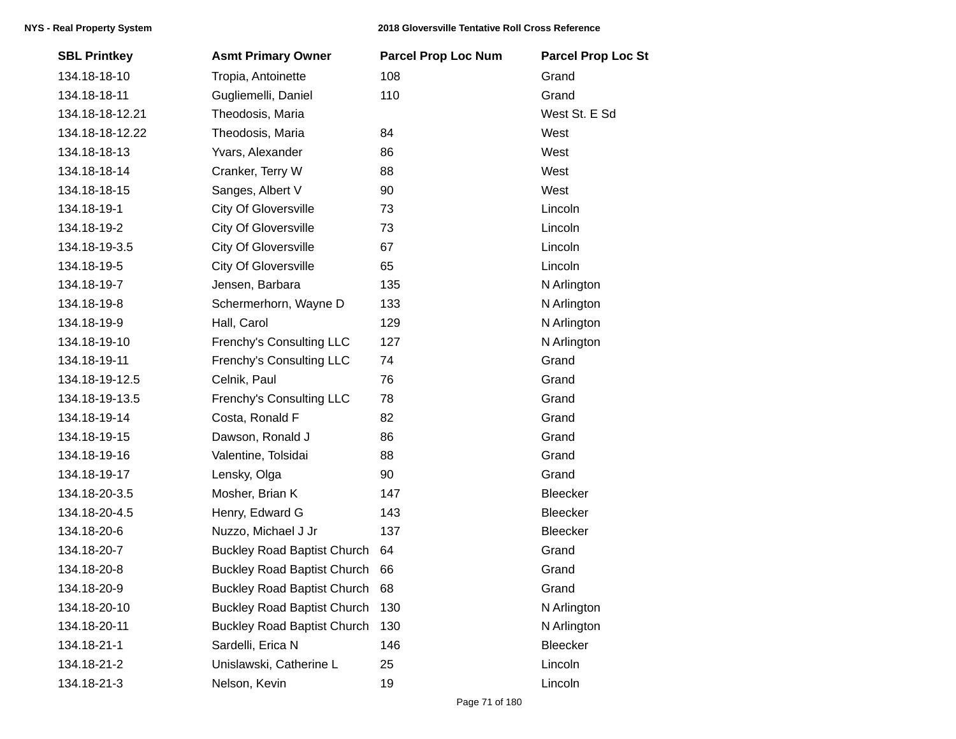| <b>SBL Printkey</b> | <b>Asmt Primary Owner</b>          | <b>Parcel Prop Loc Num</b> | <b>Parcel Prop Loc St</b> |
|---------------------|------------------------------------|----------------------------|---------------------------|
| 134.18-18-10        | Tropia, Antoinette                 | 108                        | Grand                     |
| 134.18-18-11        | Gugliemelli, Daniel                | 110                        | Grand                     |
| 134.18-18-12.21     | Theodosis, Maria                   |                            | West St. E Sd             |
| 134.18-18-12.22     | Theodosis, Maria                   | 84                         | West                      |
| 134.18-18-13        | Yvars, Alexander                   | 86                         | West                      |
| 134.18-18-14        | Cranker, Terry W                   | 88                         | West                      |
| 134.18-18-15        | Sanges, Albert V                   | 90                         | West                      |
| 134.18-19-1         | <b>City Of Gloversville</b>        | 73                         | Lincoln                   |
| 134.18-19-2         | <b>City Of Gloversville</b>        | 73                         | Lincoln                   |
| 134.18-19-3.5       | <b>City Of Gloversville</b>        | 67                         | Lincoln                   |
| 134.18-19-5         | <b>City Of Gloversville</b>        | 65                         | Lincoln                   |
| 134.18-19-7         | Jensen, Barbara                    | 135                        | N Arlington               |
| 134.18-19-8         | Schermerhorn, Wayne D              | 133                        | N Arlington               |
| 134.18-19-9         | Hall, Carol                        | 129                        | N Arlington               |
| 134.18-19-10        | Frenchy's Consulting LLC           | 127                        | N Arlington               |
| 134.18-19-11        | Frenchy's Consulting LLC           | 74                         | Grand                     |
| 134.18-19-12.5      | Celnik, Paul                       | 76                         | Grand                     |
| 134.18-19-13.5      | Frenchy's Consulting LLC           | 78                         | Grand                     |
| 134.18-19-14        | Costa, Ronald F                    | 82                         | Grand                     |
| 134.18-19-15        | Dawson, Ronald J                   | 86                         | Grand                     |
| 134.18-19-16        | Valentine, Tolsidai                | 88                         | Grand                     |
| 134.18-19-17        | Lensky, Olga                       | 90                         | Grand                     |
| 134.18-20-3.5       | Mosher, Brian K                    | 147                        | Bleecker                  |
| 134.18-20-4.5       | Henry, Edward G                    | 143                        | Bleecker                  |
| 134.18-20-6         | Nuzzo, Michael J Jr                | 137                        | Bleecker                  |
| 134.18-20-7         | <b>Buckley Road Baptist Church</b> | 64                         | Grand                     |
| 134.18-20-8         | <b>Buckley Road Baptist Church</b> | 66                         | Grand                     |
| 134.18-20-9         | <b>Buckley Road Baptist Church</b> | 68                         | Grand                     |
| 134.18-20-10        | <b>Buckley Road Baptist Church</b> | 130                        | N Arlington               |
| 134.18-20-11        | <b>Buckley Road Baptist Church</b> | 130                        | N Arlington               |
| 134.18-21-1         | Sardelli, Erica N                  | 146                        | Bleecker                  |
| 134.18-21-2         | Unislawski, Catherine L            | 25                         | Lincoln                   |
| 134.18-21-3         | Nelson, Kevin                      | 19                         | Lincoln                   |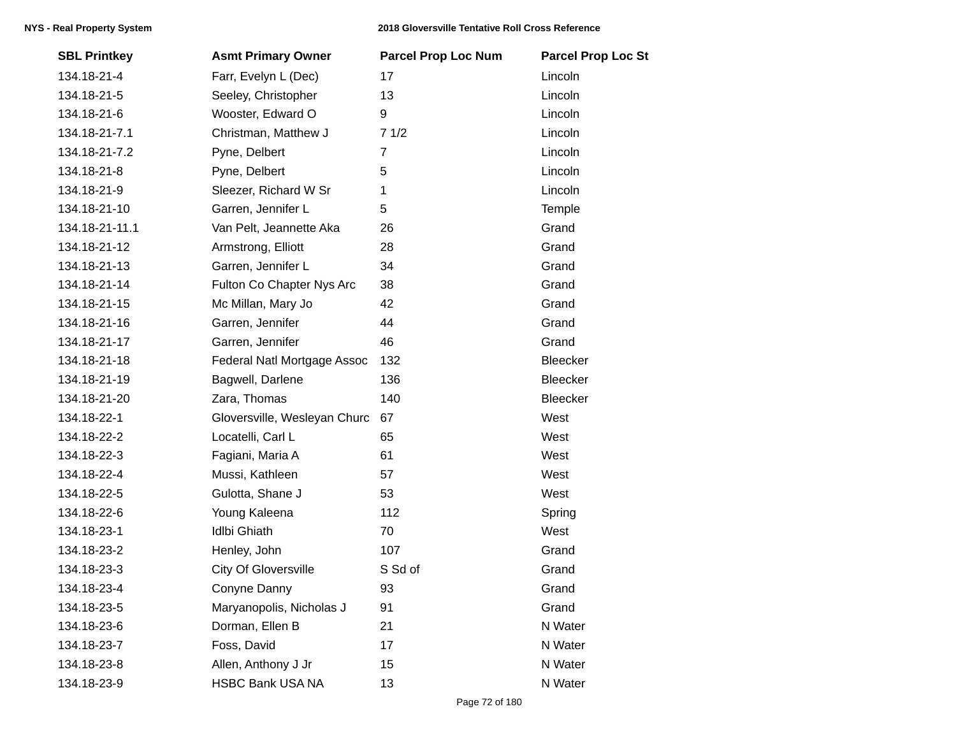| <b>SBL Printkey</b> | <b>Asmt Primary Owner</b>    | <b>Parcel Prop Loc Num</b> | <b>Parcel Prop Loc St</b> |
|---------------------|------------------------------|----------------------------|---------------------------|
| 134.18-21-4         | Farr, Evelyn L (Dec)         | 17                         | Lincoln                   |
| 134.18-21-5         | Seeley, Christopher          | 13                         | Lincoln                   |
| 134.18-21-6         | Wooster, Edward O            | 9                          | Lincoln                   |
| 134.18-21-7.1       | Christman, Matthew J         | 71/2                       | Lincoln                   |
| 134.18-21-7.2       | Pyne, Delbert                | $\overline{7}$             | Lincoln                   |
| 134.18-21-8         | Pyne, Delbert                | 5                          | Lincoln                   |
| 134.18-21-9         | Sleezer, Richard W Sr        | 1                          | Lincoln                   |
| 134.18-21-10        | Garren, Jennifer L           | 5                          | Temple                    |
| 134.18-21-11.1      | Van Pelt, Jeannette Aka      | 26                         | Grand                     |
| 134.18-21-12        | Armstrong, Elliott           | 28                         | Grand                     |
| 134.18-21-13        | Garren, Jennifer L           | 34                         | Grand                     |
| 134.18-21-14        | Fulton Co Chapter Nys Arc    | 38                         | Grand                     |
| 134.18-21-15        | Mc Millan, Mary Jo           | 42                         | Grand                     |
| 134.18-21-16        | Garren, Jennifer             | 44                         | Grand                     |
| 134.18-21-17        | Garren, Jennifer             | 46                         | Grand                     |
| 134.18-21-18        | Federal Natl Mortgage Assoc  | 132                        | <b>Bleecker</b>           |
| 134.18-21-19        | Bagwell, Darlene             | 136                        | Bleecker                  |
| 134.18-21-20        | Zara, Thomas                 | 140                        | Bleecker                  |
| 134.18-22-1         | Gloversville, Wesleyan Churc | 67                         | West                      |
| 134.18-22-2         | Locatelli, Carl L            | 65                         | West                      |
| 134.18-22-3         | Fagiani, Maria A             | 61                         | West                      |
| 134.18-22-4         | Mussi, Kathleen              | 57                         | West                      |
| 134.18-22-5         | Gulotta, Shane J             | 53                         | West                      |
| 134.18-22-6         | Young Kaleena                | 112                        | Spring                    |
| 134.18-23-1         | <b>Idlbi Ghiath</b>          | 70                         | West                      |
| 134.18-23-2         | Henley, John                 | 107                        | Grand                     |
| 134.18-23-3         | <b>City Of Gloversville</b>  | S Sd of                    | Grand                     |
| 134.18-23-4         | Conyne Danny                 | 93                         | Grand                     |
| 134.18-23-5         | Maryanopolis, Nicholas J     | 91                         | Grand                     |
| 134.18-23-6         | Dorman, Ellen B              | 21                         | N Water                   |
| 134.18-23-7         | Foss, David                  | 17                         | N Water                   |
| 134.18-23-8         | Allen, Anthony J Jr          | 15                         | N Water                   |
| 134.18-23-9         | <b>HSBC Bank USA NA</b>      | 13                         | N Water                   |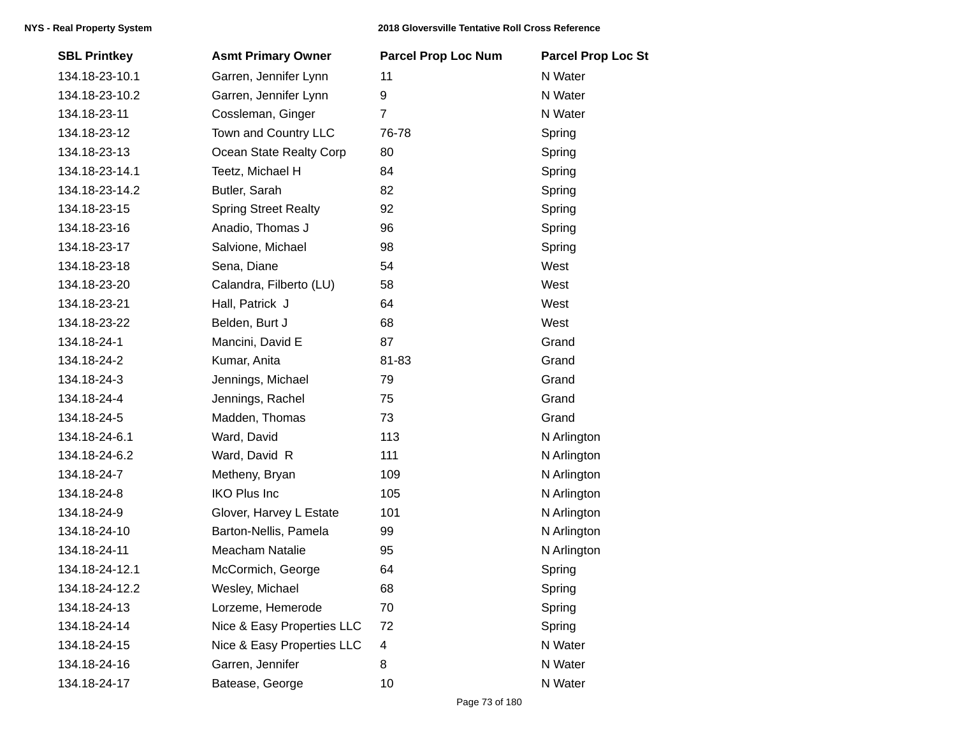| <b>SBL Printkey</b> | <b>Asmt Primary Owner</b>   | <b>Parcel Prop Loc Num</b> | <b>Parcel Prop Loc St</b> |
|---------------------|-----------------------------|----------------------------|---------------------------|
| 134.18-23-10.1      | Garren, Jennifer Lynn       | 11                         | N Water                   |
| 134.18-23-10.2      | Garren, Jennifer Lynn       | 9                          | N Water                   |
| 134.18-23-11        | Cossleman, Ginger           | 7                          | N Water                   |
| 134.18-23-12        | Town and Country LLC        | 76-78                      | Spring                    |
| 134.18-23-13        | Ocean State Realty Corp     | 80                         | Spring                    |
| 134.18-23-14.1      | Teetz, Michael H            | 84                         | Spring                    |
| 134.18-23-14.2      | Butler, Sarah               | 82                         | Spring                    |
| 134.18-23-15        | <b>Spring Street Realty</b> | 92                         | Spring                    |
| 134.18-23-16        | Anadio, Thomas J            | 96                         | Spring                    |
| 134.18-23-17        | Salvione, Michael           | 98                         | Spring                    |
| 134.18-23-18        | Sena, Diane                 | 54                         | West                      |
| 134.18-23-20        | Calandra, Filberto (LU)     | 58                         | West                      |
| 134.18-23-21        | Hall, Patrick J             | 64                         | West                      |
| 134.18-23-22        | Belden, Burt J              | 68                         | West                      |
| 134.18-24-1         | Mancini, David E            | 87                         | Grand                     |
| 134.18-24-2         | Kumar, Anita                | 81-83                      | Grand                     |
| 134.18-24-3         | Jennings, Michael           | 79                         | Grand                     |
| 134.18-24-4         | Jennings, Rachel            | 75                         | Grand                     |
| 134.18-24-5         | Madden, Thomas              | 73                         | Grand                     |
| 134.18-24-6.1       | Ward, David                 | 113                        | N Arlington               |
| 134.18-24-6.2       | Ward, David R               | 111                        | N Arlington               |
| 134.18-24-7         | Metheny, Bryan              | 109                        | N Arlington               |
| 134.18-24-8         | <b>IKO Plus Inc</b>         | 105                        | N Arlington               |
| 134.18-24-9         | Glover, Harvey L Estate     | 101                        | N Arlington               |
| 134.18-24-10        | Barton-Nellis, Pamela       | 99                         | N Arlington               |
| 134.18-24-11        | Meacham Natalie             | 95                         | N Arlington               |
| 134.18-24-12.1      | McCormich, George           | 64                         | Spring                    |
| 134.18-24-12.2      | Wesley, Michael             | 68                         | Spring                    |
| 134.18-24-13        | Lorzeme, Hemerode           | 70                         | Spring                    |
| 134.18-24-14        | Nice & Easy Properties LLC  | 72                         | Spring                    |
| 134.18-24-15        | Nice & Easy Properties LLC  | 4                          | N Water                   |
| 134.18-24-16        | Garren, Jennifer            | 8                          | N Water                   |
| 134.18-24-17        | Batease, George             | 10                         | N Water                   |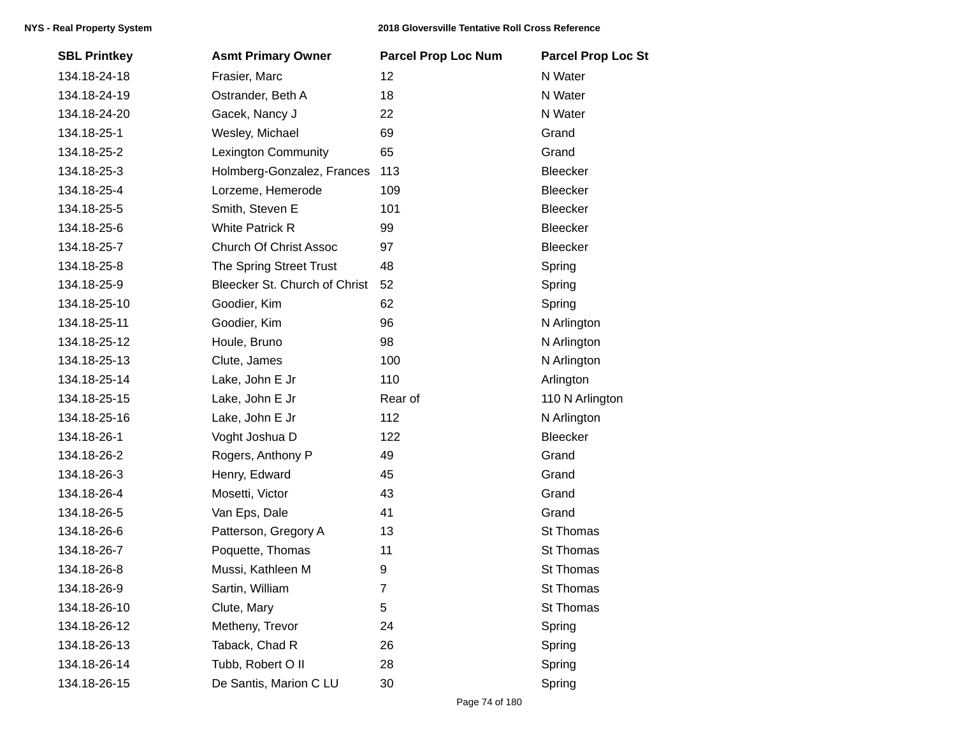| <b>SBL Printkey</b> | <b>Asmt Primary Owner</b>     | <b>Parcel Prop Loc Num</b> | <b>Parcel Prop Loc St</b> |
|---------------------|-------------------------------|----------------------------|---------------------------|
| 134.18-24-18        | Frasier, Marc                 | 12                         | N Water                   |
| 134.18-24-19        | Ostrander, Beth A             | 18                         | N Water                   |
| 134.18-24-20        | Gacek, Nancy J                | 22                         | N Water                   |
| 134.18-25-1         | Wesley, Michael               | 69                         | Grand                     |
| 134.18-25-2         | <b>Lexington Community</b>    | 65                         | Grand                     |
| 134.18-25-3         | Holmberg-Gonzalez, Frances    | 113                        | <b>Bleecker</b>           |
| 134.18-25-4         | Lorzeme, Hemerode             | 109                        | Bleecker                  |
| 134.18-25-5         | Smith, Steven E               | 101                        | Bleecker                  |
| 134.18-25-6         | <b>White Patrick R</b>        | 99                         | Bleecker                  |
| 134.18-25-7         | <b>Church Of Christ Assoc</b> | 97                         | Bleecker                  |
| 134.18-25-8         | The Spring Street Trust       | 48                         | Spring                    |
| 134.18-25-9         | Bleecker St. Church of Christ | 52                         | Spring                    |
| 134.18-25-10        | Goodier, Kim                  | 62                         | Spring                    |
| 134.18-25-11        | Goodier, Kim                  | 96                         | N Arlington               |
| 134.18-25-12        | Houle, Bruno                  | 98                         | N Arlington               |
| 134.18-25-13        | Clute, James                  | 100                        | N Arlington               |
| 134.18-25-14        | Lake, John E Jr               | 110                        | Arlington                 |
| 134.18-25-15        | Lake, John E Jr               | Rear of                    | 110 N Arlington           |
| 134.18-25-16        | Lake, John E Jr               | 112                        | N Arlington               |
| 134.18-26-1         | Voght Joshua D                | 122                        | Bleecker                  |
| 134.18-26-2         | Rogers, Anthony P             | 49                         | Grand                     |
| 134.18-26-3         | Henry, Edward                 | 45                         | Grand                     |
| 134.18-26-4         | Mosetti, Victor               | 43                         | Grand                     |
| 134.18-26-5         | Van Eps, Dale                 | 41                         | Grand                     |
| 134.18-26-6         | Patterson, Gregory A          | 13                         | St Thomas                 |
| 134.18-26-7         | Poquette, Thomas              | 11                         | St Thomas                 |
| 134.18-26-8         | Mussi, Kathleen M             | 9                          | St Thomas                 |
| 134.18-26-9         | Sartin, William               | $\overline{7}$             | St Thomas                 |
| 134.18-26-10        | Clute, Mary                   | 5                          | St Thomas                 |
| 134.18-26-12        | Metheny, Trevor               | 24                         | Spring                    |
| 134.18-26-13        | Taback, Chad R                | 26                         | Spring                    |
| 134.18-26-14        | Tubb, Robert O II             | 28                         | Spring                    |
| 134.18-26-15        | De Santis, Marion C LU        | 30                         | Spring                    |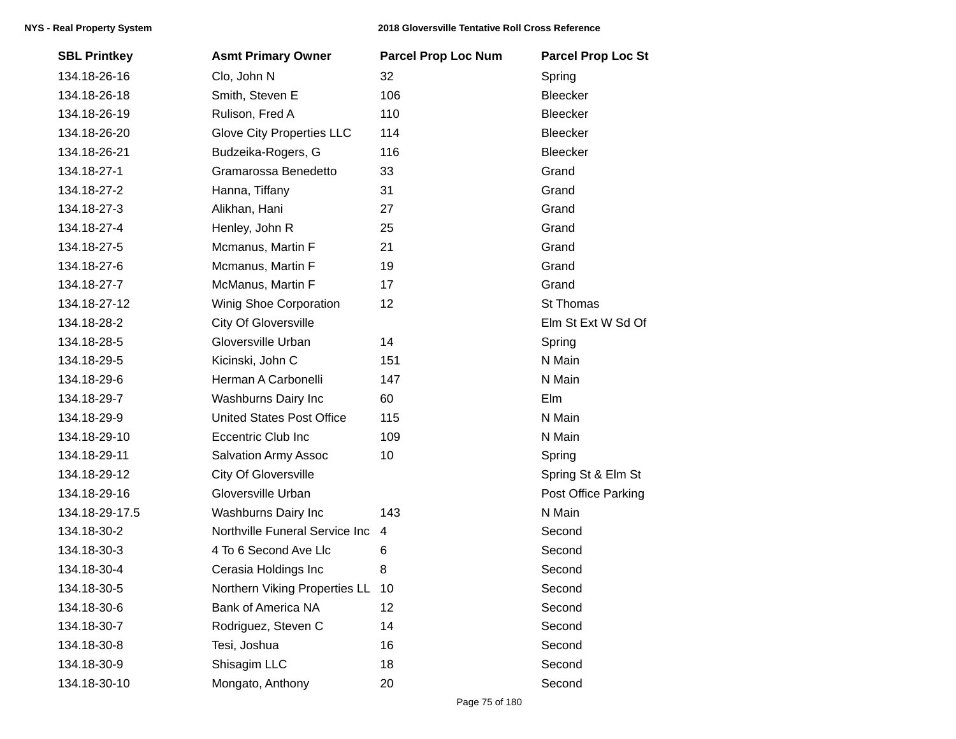| <b>SBL Printkey</b> | <b>Asmt Primary Owner</b>        | <b>Parcel Prop Loc Num</b> | <b>Parcel Prop Loc St</b> |
|---------------------|----------------------------------|----------------------------|---------------------------|
| 134.18-26-16        | Clo, John N                      | 32                         | Spring                    |
| 134.18-26-18        | Smith, Steven E                  | 106                        | Bleecker                  |
| 134.18-26-19        | Rulison, Fred A                  | 110                        | <b>Bleecker</b>           |
| 134.18-26-20        | <b>Glove City Properties LLC</b> | 114                        | Bleecker                  |
| 134.18-26-21        | Budzeika-Rogers, G               | 116                        | Bleecker                  |
| 134.18-27-1         | Gramarossa Benedetto             | 33                         | Grand                     |
| 134.18-27-2         | Hanna, Tiffany                   | 31                         | Grand                     |
| 134.18-27-3         | Alikhan, Hani                    | 27                         | Grand                     |
| 134.18-27-4         | Henley, John R                   | 25                         | Grand                     |
| 134.18-27-5         | Mcmanus, Martin F                | 21                         | Grand                     |
| 134.18-27-6         | Mcmanus, Martin F                | 19                         | Grand                     |
| 134.18-27-7         | McManus, Martin F                | 17                         | Grand                     |
| 134.18-27-12        | Winig Shoe Corporation           | 12                         | St Thomas                 |
| 134.18-28-2         | <b>City Of Gloversville</b>      |                            | Elm St Ext W Sd Of        |
| 134.18-28-5         | Gloversville Urban               | 14                         | Spring                    |
| 134.18-29-5         | Kicinski, John C                 | 151                        | N Main                    |
| 134.18-29-6         | Herman A Carbonelli              | 147                        | N Main                    |
| 134.18-29-7         | Washburns Dairy Inc              | 60                         | Elm                       |
| 134.18-29-9         | <b>United States Post Office</b> | 115                        | N Main                    |
| 134.18-29-10        | <b>Eccentric Club Inc</b>        | 109                        | N Main                    |
| 134.18-29-11        | <b>Salvation Army Assoc</b>      | 10                         | Spring                    |
| 134.18-29-12        | <b>City Of Gloversville</b>      |                            | Spring St & Elm St        |
| 134.18-29-16        | Gloversville Urban               |                            | Post Office Parking       |
| 134.18-29-17.5      | Washburns Dairy Inc              | 143                        | N Main                    |
| 134.18-30-2         | Northville Funeral Service Inc   | 4                          | Second                    |
| 134.18-30-3         | 4 To 6 Second Ave Llc            | 6                          | Second                    |
| 134.18-30-4         | Cerasia Holdings Inc             | 8                          | Second                    |
| 134.18-30-5         | Northern Viking Properties LL    | 10                         | Second                    |
| 134.18-30-6         | <b>Bank of America NA</b>        | 12                         | Second                    |
| 134.18-30-7         | Rodriguez, Steven C              | 14                         | Second                    |
| 134.18-30-8         | Tesi, Joshua                     | 16                         | Second                    |
| 134.18-30-9         | Shisagim LLC                     | 18                         | Second                    |
| 134.18-30-10        | Mongato, Anthony                 | 20                         | Second                    |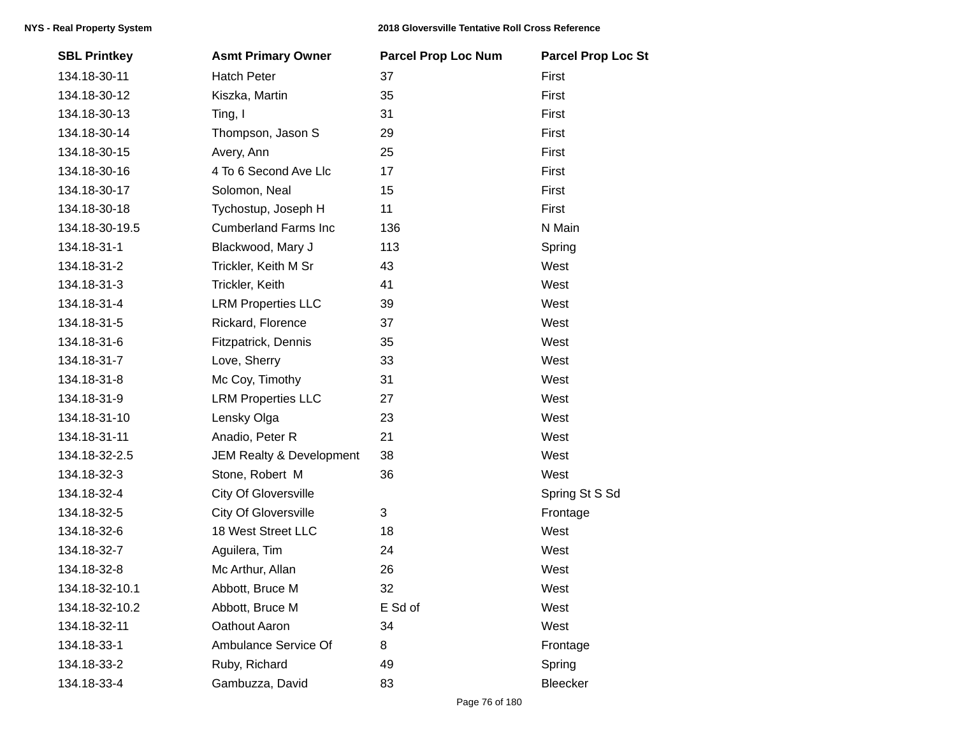| <b>SBL Printkey</b> | <b>Asmt Primary Owner</b>   | <b>Parcel Prop Loc Num</b> | <b>Parcel Prop Loc St</b> |
|---------------------|-----------------------------|----------------------------|---------------------------|
| 134.18-30-11        | <b>Hatch Peter</b>          | 37                         | First                     |
| 134.18-30-12        | Kiszka, Martin              | 35                         | First                     |
| 134.18-30-13        | Ting, I                     | 31                         | First                     |
| 134.18-30-14        | Thompson, Jason S           | 29                         | First                     |
| 134.18-30-15        | Avery, Ann                  | 25                         | First                     |
| 134.18-30-16        | 4 To 6 Second Ave Llc       | 17                         | First                     |
| 134.18-30-17        | Solomon, Neal               | 15                         | First                     |
| 134.18-30-18        | Tychostup, Joseph H         | 11                         | First                     |
| 134.18-30-19.5      | <b>Cumberland Farms Inc</b> | 136                        | N Main                    |
| 134.18-31-1         | Blackwood, Mary J           | 113                        | Spring                    |
| 134.18-31-2         | Trickler, Keith M Sr        | 43                         | West                      |
| 134.18-31-3         | Trickler, Keith             | 41                         | West                      |
| 134.18-31-4         | <b>LRM Properties LLC</b>   | 39                         | West                      |
| 134.18-31-5         | Rickard, Florence           | 37                         | West                      |
| 134.18-31-6         | Fitzpatrick, Dennis         | 35                         | West                      |
| 134.18-31-7         | Love, Sherry                | 33                         | West                      |
| 134.18-31-8         | Mc Coy, Timothy             | 31                         | West                      |
| 134.18-31-9         | <b>LRM Properties LLC</b>   | 27                         | West                      |
| 134.18-31-10        | Lensky Olga                 | 23                         | West                      |
| 134.18-31-11        | Anadio, Peter R             | 21                         | West                      |
| 134.18-32-2.5       | JEM Realty & Development    | 38                         | West                      |
| 134.18-32-3         | Stone, Robert M             | 36                         | West                      |
| 134.18-32-4         | <b>City Of Gloversville</b> |                            | Spring St S Sd            |
| 134.18-32-5         | <b>City Of Gloversville</b> | 3                          | Frontage                  |
| 134.18-32-6         | 18 West Street LLC          | 18                         | West                      |
| 134.18-32-7         | Aguilera, Tim               | 24                         | West                      |
| 134.18-32-8         | Mc Arthur, Allan            | 26                         | West                      |
| 134.18-32-10.1      | Abbott, Bruce M             | 32                         | West                      |
| 134.18-32-10.2      | Abbott, Bruce M             | E Sd of                    | West                      |
| 134.18-32-11        | Oathout Aaron               | 34                         | West                      |
| 134.18-33-1         | Ambulance Service Of        | 8                          | Frontage                  |
| 134.18-33-2         | Ruby, Richard               | 49                         | Spring                    |
| 134.18-33-4         | Gambuzza, David             | 83                         | Bleecker                  |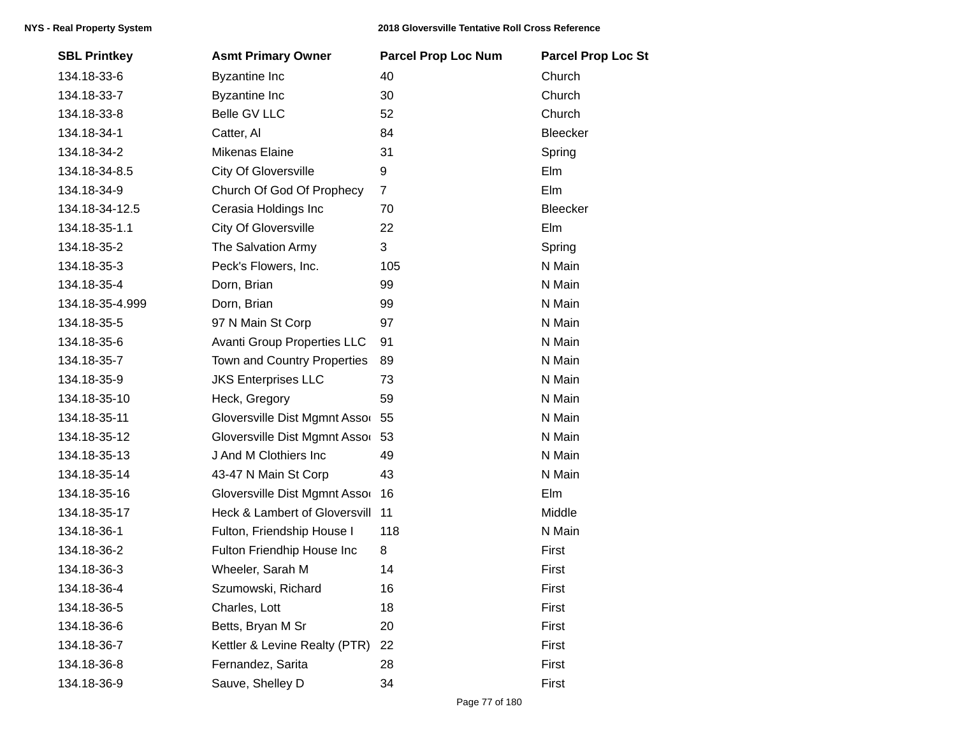| <b>SBL Printkey</b> | <b>Asmt Primary Owner</b>          | <b>Parcel Prop Loc Num</b> | <b>Parcel Prop Loc St</b> |
|---------------------|------------------------------------|----------------------------|---------------------------|
| 134.18-33-6         | <b>Byzantine Inc</b>               | 40                         | Church                    |
| 134.18-33-7         | <b>Byzantine Inc</b>               | 30                         | Church                    |
| 134.18-33-8         | Belle GV LLC                       | 52                         | Church                    |
| 134.18-34-1         | Catter, Al                         | 84                         | Bleecker                  |
| 134.18-34-2         | Mikenas Elaine                     | 31                         | Spring                    |
| 134.18-34-8.5       | <b>City Of Gloversville</b>        | 9                          | Elm                       |
| 134.18-34-9         | Church Of God Of Prophecy          | $\overline{7}$             | Elm                       |
| 134.18-34-12.5      | Cerasia Holdings Inc               | 70                         | Bleecker                  |
| 134.18-35-1.1       | <b>City Of Gloversville</b>        | 22                         | Elm                       |
| 134.18-35-2         | The Salvation Army                 | 3                          | Spring                    |
| 134.18-35-3         | Peck's Flowers, Inc.               | 105                        | N Main                    |
| 134.18-35-4         | Dorn, Brian                        | 99                         | N Main                    |
| 134.18-35-4.999     | Dorn, Brian                        | 99                         | N Main                    |
| 134.18-35-5         | 97 N Main St Corp                  | 97                         | N Main                    |
| 134.18-35-6         | <b>Avanti Group Properties LLC</b> | 91                         | N Main                    |
| 134.18-35-7         | Town and Country Properties        | 89                         | N Main                    |
| 134.18-35-9         | <b>JKS Enterprises LLC</b>         | 73                         | N Main                    |
| 134.18-35-10        | Heck, Gregory                      | 59                         | N Main                    |
| 134.18-35-11        | Gloversville Dist Mgmnt Assor 55   |                            | N Main                    |
| 134.18-35-12        | Gloversville Dist Mgmnt Assor      | 53                         | N Main                    |
| 134.18-35-13        | J And M Clothiers Inc              | 49                         | N Main                    |
| 134.18-35-14        | 43-47 N Main St Corp               | 43                         | N Main                    |
| 134.18-35-16        | Gloversville Dist Mgmnt Assor      | 16                         | Elm                       |
| 134.18-35-17        | Heck & Lambert of Gloversvill      | 11                         | Middle                    |
| 134.18-36-1         | Fulton, Friendship House I         | 118                        | N Main                    |
| 134.18-36-2         | Fulton Friendhip House Inc         | 8                          | First                     |
| 134.18-36-3         | Wheeler, Sarah M                   | 14                         | First                     |
| 134.18-36-4         | Szumowski, Richard                 | 16                         | First                     |
| 134.18-36-5         | Charles, Lott                      | 18                         | First                     |
| 134.18-36-6         | Betts, Bryan M Sr                  | 20                         | First                     |
| 134.18-36-7         | Kettler & Levine Realty (PTR)      | 22                         | First                     |
| 134.18-36-8         | Fernandez, Sarita                  | 28                         | First                     |
| 134.18-36-9         | Sauve, Shelley D                   | 34                         | First                     |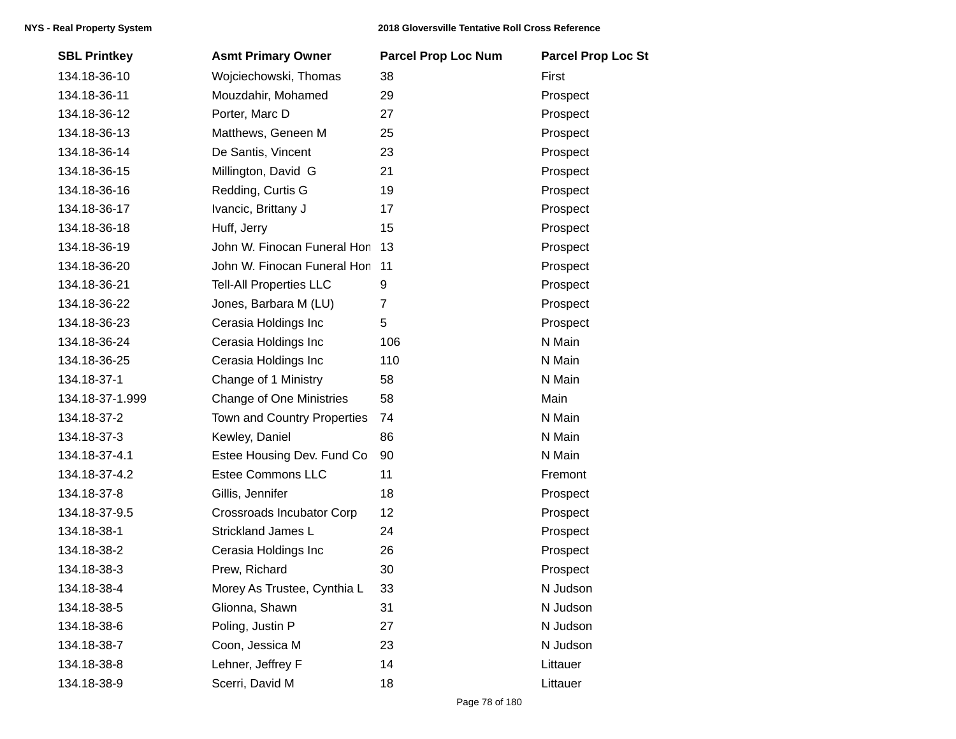| <b>SBL Printkey</b> | <b>Asmt Primary Owner</b>       | <b>Parcel Prop Loc Num</b> | <b>Parcel Prop Loc St</b> |
|---------------------|---------------------------------|----------------------------|---------------------------|
| 134.18-36-10        | Wojciechowski, Thomas           | 38                         | First                     |
| 134.18-36-11        | Mouzdahir, Mohamed              | 29                         | Prospect                  |
| 134.18-36-12        | Porter, Marc D                  | 27                         | Prospect                  |
| 134.18-36-13        | Matthews, Geneen M              | 25                         | Prospect                  |
| 134.18-36-14        | De Santis, Vincent              | 23                         | Prospect                  |
| 134.18-36-15        | Millington, David G             | 21                         | Prospect                  |
| 134.18-36-16        | Redding, Curtis G               | 19                         | Prospect                  |
| 134.18-36-17        | Ivancic, Brittany J             | 17                         | Prospect                  |
| 134.18-36-18        | Huff, Jerry                     | 15                         | Prospect                  |
| 134.18-36-19        | John W. Finocan Funeral Hon     | 13                         | Prospect                  |
| 134.18-36-20        | John W. Finocan Funeral Hon     | 11                         | Prospect                  |
| 134.18-36-21        | <b>Tell-All Properties LLC</b>  | 9                          | Prospect                  |
| 134.18-36-22        | Jones, Barbara M (LU)           | $\overline{7}$             | Prospect                  |
| 134.18-36-23        | Cerasia Holdings Inc            | 5                          | Prospect                  |
| 134.18-36-24        | Cerasia Holdings Inc            | 106                        | N Main                    |
| 134.18-36-25        | Cerasia Holdings Inc            | 110                        | N Main                    |
| 134.18-37-1         | Change of 1 Ministry            | 58                         | N Main                    |
| 134.18-37-1.999     | <b>Change of One Ministries</b> | 58                         | Main                      |
| 134.18-37-2         | Town and Country Properties     | 74                         | N Main                    |
| 134.18-37-3         | Kewley, Daniel                  | 86                         | N Main                    |
| 134.18-37-4.1       | Estee Housing Dev. Fund Co      | 90                         | N Main                    |
| 134.18-37-4.2       | <b>Estee Commons LLC</b>        | 11                         | Fremont                   |
| 134.18-37-8         | Gillis, Jennifer                | 18                         | Prospect                  |
| 134.18-37-9.5       | Crossroads Incubator Corp       | 12                         | Prospect                  |
| 134.18-38-1         | Strickland James L              | 24                         | Prospect                  |
| 134.18-38-2         | Cerasia Holdings Inc            | 26                         | Prospect                  |
| 134.18-38-3         | Prew, Richard                   | 30                         | Prospect                  |
| 134.18-38-4         | Morey As Trustee, Cynthia L     | 33                         | N Judson                  |
| 134.18-38-5         | Glionna, Shawn                  | 31                         | N Judson                  |
| 134.18-38-6         | Poling, Justin P                | 27                         | N Judson                  |
| 134.18-38-7         | Coon, Jessica M                 | 23                         | N Judson                  |
| 134.18-38-8         | Lehner, Jeffrey F               | 14                         | Littauer                  |
| 134.18-38-9         | Scerri, David M                 | 18                         | Littauer                  |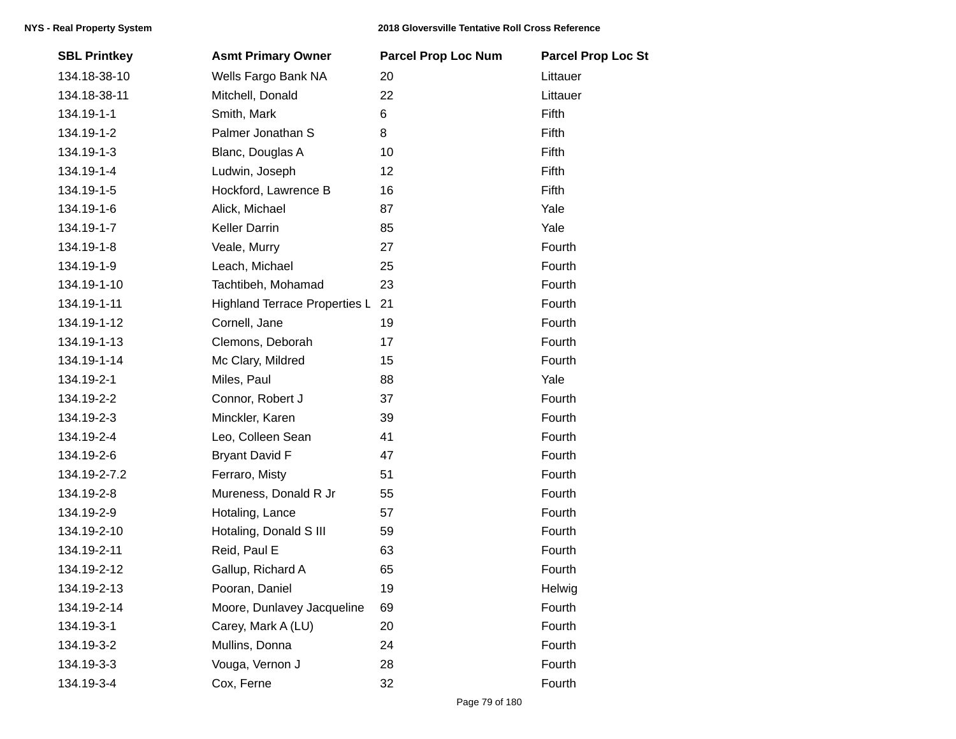| <b>SBL Printkey</b> | <b>Asmt Primary Owner</b>        | <b>Parcel Prop Loc Num</b> | <b>Parcel Prop Loc St</b> |
|---------------------|----------------------------------|----------------------------|---------------------------|
| 134.18-38-10        | Wells Fargo Bank NA              | 20                         | Littauer                  |
| 134.18-38-11        | Mitchell, Donald                 | 22                         | Littauer                  |
| 134.19-1-1          | Smith, Mark                      | 6                          | Fifth                     |
| 134.19-1-2          | Palmer Jonathan S                | 8                          | Fifth                     |
| 134.19-1-3          | Blanc, Douglas A                 | 10                         | Fifth                     |
| 134.19-1-4          | Ludwin, Joseph                   | 12                         | Fifth                     |
| 134.19-1-5          | Hockford, Lawrence B             | 16                         | Fifth                     |
| 134.19-1-6          | Alick, Michael                   | 87                         | Yale                      |
| 134.19-1-7          | <b>Keller Darrin</b>             | 85                         | Yale                      |
| 134.19-1-8          | Veale, Murry                     | 27                         | Fourth                    |
| 134.19-1-9          | Leach, Michael                   | 25                         | Fourth                    |
| 134.19-1-10         | Tachtibeh, Mohamad               | 23                         | Fourth                    |
| 134.19-1-11         | Highland Terrace Properties L 21 |                            | Fourth                    |
| 134.19-1-12         | Cornell, Jane                    | 19                         | Fourth                    |
| 134.19-1-13         | Clemons, Deborah                 | 17                         | Fourth                    |
| 134.19-1-14         | Mc Clary, Mildred                | 15                         | Fourth                    |
| 134.19-2-1          | Miles, Paul                      | 88                         | Yale                      |
| 134.19-2-2          | Connor, Robert J                 | 37                         | Fourth                    |
| 134.19-2-3          | Minckler, Karen                  | 39                         | Fourth                    |
| 134.19-2-4          | Leo, Colleen Sean                | 41                         | Fourth                    |
| 134.19-2-6          | <b>Bryant David F</b>            | 47                         | Fourth                    |
| 134.19-2-7.2        | Ferraro, Misty                   | 51                         | Fourth                    |
| 134.19-2-8          | Mureness, Donald R Jr            | 55                         | Fourth                    |
| 134.19-2-9          | Hotaling, Lance                  | 57                         | Fourth                    |
| 134.19-2-10         | Hotaling, Donald S III           | 59                         | Fourth                    |
| 134.19-2-11         | Reid, Paul E                     | 63                         | Fourth                    |
| 134.19-2-12         | Gallup, Richard A                | 65                         | Fourth                    |
| 134.19-2-13         | Pooran, Daniel                   | 19                         | Helwig                    |
| 134.19-2-14         | Moore, Dunlavey Jacqueline       | 69                         | Fourth                    |
| 134.19-3-1          | Carey, Mark A (LU)               | 20                         | Fourth                    |
| 134.19-3-2          | Mullins, Donna                   | 24                         | Fourth                    |
| 134.19-3-3          | Vouga, Vernon J                  | 28                         | Fourth                    |
| 134.19-3-4          | Cox, Ferne                       | 32                         | Fourth                    |
|                     |                                  |                            |                           |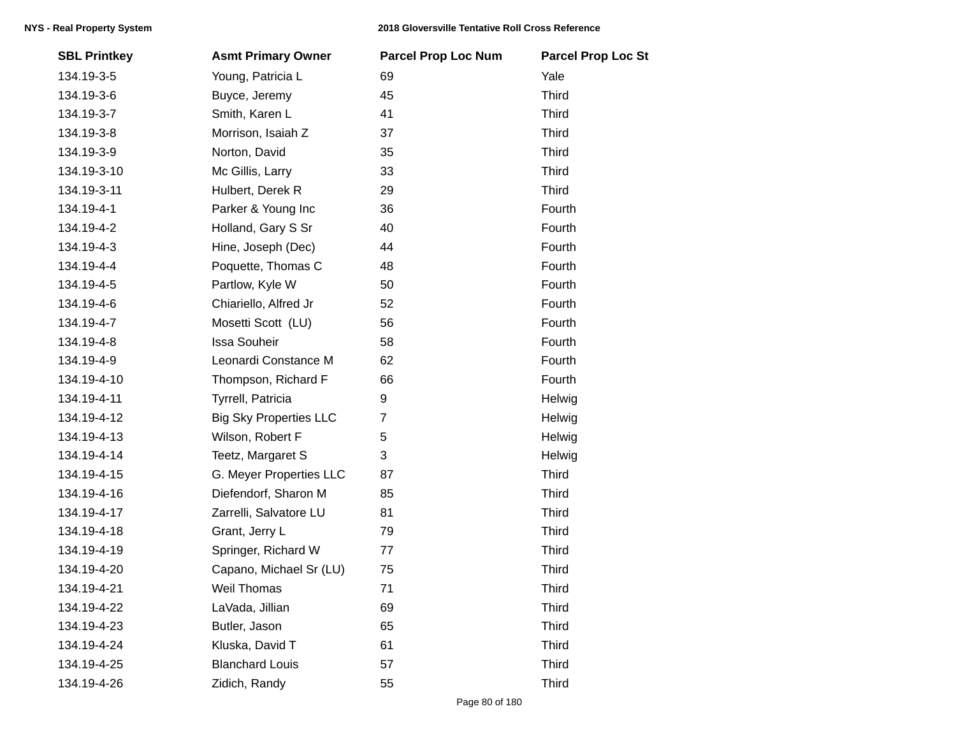| <b>SBL Printkey</b> | <b>Asmt Primary Owner</b>     | <b>Parcel Prop Loc Num</b> | <b>Parcel Prop Loc St</b> |
|---------------------|-------------------------------|----------------------------|---------------------------|
| 134.19-3-5          | Young, Patricia L             | 69                         | Yale                      |
| 134.19-3-6          | Buyce, Jeremy                 | 45                         | <b>Third</b>              |
| 134.19-3-7          | Smith, Karen L                | 41                         | <b>Third</b>              |
| 134.19-3-8          | Morrison, Isaiah Z            | 37                         | <b>Third</b>              |
| 134.19-3-9          | Norton, David                 | 35                         | Third                     |
| 134.19-3-10         | Mc Gillis, Larry              | 33                         | <b>Third</b>              |
| 134.19-3-11         | Hulbert, Derek R              | 29                         | Third                     |
| 134.19-4-1          | Parker & Young Inc            | 36                         | Fourth                    |
| 134.19-4-2          | Holland, Gary S Sr            | 40                         | Fourth                    |
| 134.19-4-3          | Hine, Joseph (Dec)            | 44                         | Fourth                    |
| 134.19-4-4          | Poquette, Thomas C            | 48                         | Fourth                    |
| 134.19-4-5          | Partlow, Kyle W               | 50                         | Fourth                    |
| 134.19-4-6          | Chiariello, Alfred Jr         | 52                         | Fourth                    |
| 134.19-4-7          | Mosetti Scott (LU)            | 56                         | Fourth                    |
| 134.19-4-8          | <b>Issa Souheir</b>           | 58                         | Fourth                    |
| 134.19-4-9          | Leonardi Constance M          | 62                         | Fourth                    |
| 134.19-4-10         | Thompson, Richard F           | 66                         | Fourth                    |
| 134.19-4-11         | Tyrrell, Patricia             | 9                          | Helwig                    |
| 134.19-4-12         | <b>Big Sky Properties LLC</b> | $\overline{7}$             | Helwig                    |
| 134.19-4-13         | Wilson, Robert F              | 5                          | Helwig                    |
| 134.19-4-14         | Teetz, Margaret S             | 3                          | Helwig                    |
| 134.19-4-15         | G. Meyer Properties LLC       | 87                         | <b>Third</b>              |
| 134.19-4-16         | Diefendorf, Sharon M          | 85                         | Third                     |
| 134.19-4-17         | Zarrelli, Salvatore LU        | 81                         | <b>Third</b>              |
| 134.19-4-18         | Grant, Jerry L                | 79                         | <b>Third</b>              |
| 134.19-4-19         | Springer, Richard W           | 77                         | Third                     |
| 134.19-4-20         | Capano, Michael Sr (LU)       | 75                         | <b>Third</b>              |
| 134.19-4-21         | Weil Thomas                   | 71                         | <b>Third</b>              |
| 134.19-4-22         | LaVada, Jillian               | 69                         | <b>Third</b>              |
| 134.19-4-23         | Butler, Jason                 | 65                         | <b>Third</b>              |
| 134.19-4-24         | Kluska, David T               | 61                         | Third                     |
| 134.19-4-25         | <b>Blanchard Louis</b>        | 57                         | <b>Third</b>              |
| 134.19-4-26         | Zidich, Randy                 | 55                         | <b>Third</b>              |
|                     |                               |                            |                           |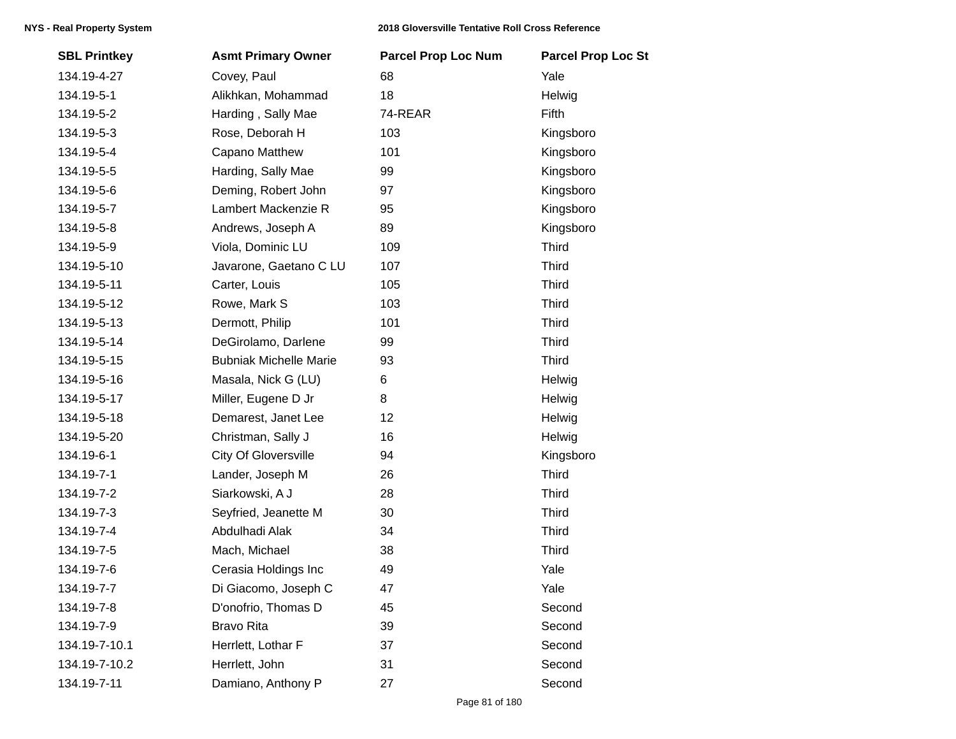| <b>SBL Printkey</b> | <b>Asmt Primary Owner</b>     | <b>Parcel Prop Loc Num</b> | <b>Parcel Prop Loc St</b> |
|---------------------|-------------------------------|----------------------------|---------------------------|
| 134.19-4-27         | Covey, Paul                   | 68                         | Yale                      |
| 134.19-5-1          | Alikhkan, Mohammad            | 18                         | Helwig                    |
| 134.19-5-2          | Harding, Sally Mae            | 74-REAR                    | Fifth                     |
| 134.19-5-3          | Rose, Deborah H               | 103                        | Kingsboro                 |
| 134.19-5-4          | Capano Matthew                | 101                        | Kingsboro                 |
| 134.19-5-5          | Harding, Sally Mae            | 99                         | Kingsboro                 |
| 134.19-5-6          | Deming, Robert John           | 97                         | Kingsboro                 |
| 134.19-5-7          | Lambert Mackenzie R           | 95                         | Kingsboro                 |
| 134.19-5-8          | Andrews, Joseph A             | 89                         | Kingsboro                 |
| 134.19-5-9          | Viola, Dominic LU             | 109                        | <b>Third</b>              |
| 134.19-5-10         | Javarone, Gaetano C LU        | 107                        | <b>Third</b>              |
| 134.19-5-11         | Carter, Louis                 | 105                        | <b>Third</b>              |
| 134.19-5-12         | Rowe, Mark S                  | 103                        | <b>Third</b>              |
| 134.19-5-13         | Dermott, Philip               | 101                        | <b>Third</b>              |
| 134.19-5-14         | DeGirolamo, Darlene           | 99                         | <b>Third</b>              |
| 134.19-5-15         | <b>Bubniak Michelle Marie</b> | 93                         | <b>Third</b>              |
| 134.19-5-16         | Masala, Nick G (LU)           | 6                          | Helwig                    |
| 134.19-5-17         | Miller, Eugene D Jr           | 8                          | Helwig                    |
| 134.19-5-18         | Demarest, Janet Lee           | 12                         | Helwig                    |
| 134.19-5-20         | Christman, Sally J            | 16                         | Helwig                    |
| 134.19-6-1          | <b>City Of Gloversville</b>   | 94                         | Kingsboro                 |
| 134.19-7-1          | Lander, Joseph M              | 26                         | <b>Third</b>              |
| 134.19-7-2          | Siarkowski, A J               | 28                         | <b>Third</b>              |
| 134.19-7-3          | Seyfried, Jeanette M          | 30                         | <b>Third</b>              |
| 134.19-7-4          | Abdulhadi Alak                | 34                         | <b>Third</b>              |
| 134.19-7-5          | Mach, Michael                 | 38                         | <b>Third</b>              |
| 134.19-7-6          | Cerasia Holdings Inc          | 49                         | Yale                      |
| 134.19-7-7          | Di Giacomo, Joseph C          | 47                         | Yale                      |
| 134.19-7-8          | D'onofrio, Thomas D           | 45                         | Second                    |
| 134.19-7-9          | <b>Bravo Rita</b>             | 39                         | Second                    |
| 134.19-7-10.1       | Herrlett, Lothar F            | 37                         | Second                    |
| 134.19-7-10.2       | Herrlett, John                | 31                         | Second                    |
| 134.19-7-11         | Damiano, Anthony P            | 27                         | Second                    |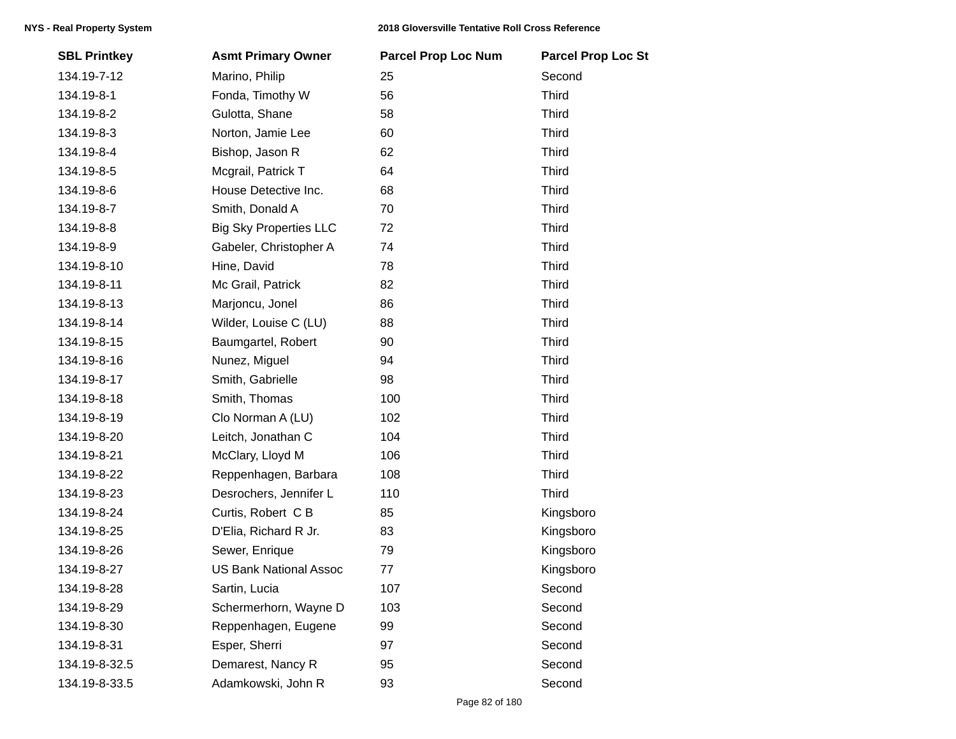| <b>SBL Printkey</b> | <b>Asmt Primary Owner</b>     | <b>Parcel Prop Loc Num</b> | <b>Parcel Prop Loc St</b> |
|---------------------|-------------------------------|----------------------------|---------------------------|
| 134.19-7-12         | Marino, Philip                | 25                         | Second                    |
| 134.19-8-1          | Fonda, Timothy W              | 56                         | <b>Third</b>              |
| 134.19-8-2          | Gulotta, Shane                | 58                         | <b>Third</b>              |
| 134.19-8-3          | Norton, Jamie Lee             | 60                         | <b>Third</b>              |
| 134.19-8-4          | Bishop, Jason R               | 62                         | <b>Third</b>              |
| 134.19-8-5          | Mcgrail, Patrick T            | 64                         | <b>Third</b>              |
| 134.19-8-6          | House Detective Inc.          | 68                         | <b>Third</b>              |
| 134.19-8-7          | Smith, Donald A               | 70                         | <b>Third</b>              |
| 134.19-8-8          | <b>Big Sky Properties LLC</b> | 72                         | <b>Third</b>              |
| 134.19-8-9          | Gabeler, Christopher A        | 74                         | <b>Third</b>              |
| 134.19-8-10         | Hine, David                   | 78                         | <b>Third</b>              |
| 134.19-8-11         | Mc Grail, Patrick             | 82                         | <b>Third</b>              |
| 134.19-8-13         | Marjoncu, Jonel               | 86                         | <b>Third</b>              |
| 134.19-8-14         | Wilder, Louise C (LU)         | 88                         | <b>Third</b>              |
| 134.19-8-15         | Baumgartel, Robert            | 90                         | <b>Third</b>              |
| 134.19-8-16         | Nunez, Miguel                 | 94                         | <b>Third</b>              |
| 134.19-8-17         | Smith, Gabrielle              | 98                         | <b>Third</b>              |
| 134.19-8-18         | Smith, Thomas                 | 100                        | <b>Third</b>              |
| 134.19-8-19         | Clo Norman A (LU)             | 102                        | <b>Third</b>              |
| 134.19-8-20         | Leitch, Jonathan C            | 104                        | <b>Third</b>              |
| 134.19-8-21         | McClary, Lloyd M              | 106                        | <b>Third</b>              |
| 134.19-8-22         | Reppenhagen, Barbara          | 108                        | <b>Third</b>              |
| 134.19-8-23         | Desrochers, Jennifer L        | 110                        | <b>Third</b>              |
| 134.19-8-24         | Curtis, Robert C B            | 85                         | Kingsboro                 |
| 134.19-8-25         | D'Elia, Richard R Jr.         | 83                         | Kingsboro                 |
| 134.19-8-26         | Sewer, Enrique                | 79                         | Kingsboro                 |
| 134.19-8-27         | <b>US Bank National Assoc</b> | 77                         | Kingsboro                 |
| 134.19-8-28         | Sartin, Lucia                 | 107                        | Second                    |
| 134.19-8-29         | Schermerhorn, Wayne D         | 103                        | Second                    |
| 134.19-8-30         | Reppenhagen, Eugene           | 99                         | Second                    |
| 134.19-8-31         | Esper, Sherri                 | 97                         | Second                    |
| 134.19-8-32.5       | Demarest, Nancy R             | 95                         | Second                    |
| 134.19-8-33.5       | Adamkowski, John R            | 93                         | Second                    |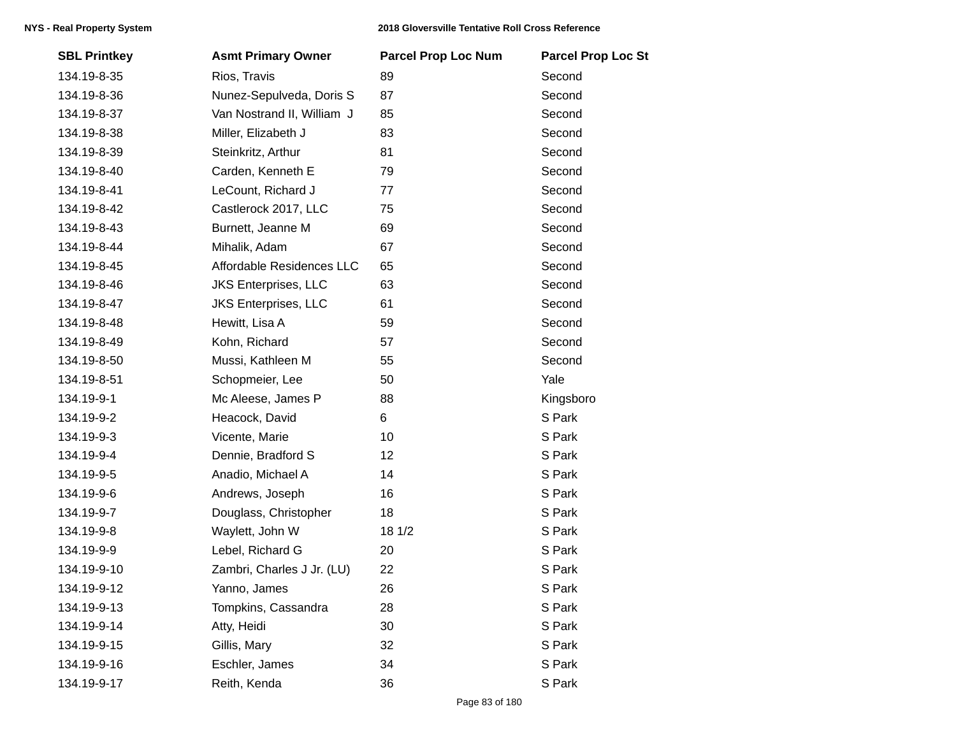| <b>SBL Printkey</b> | <b>Asmt Primary Owner</b>   | <b>Parcel Prop Loc Num</b> | <b>Parcel Prop Loc St</b> |
|---------------------|-----------------------------|----------------------------|---------------------------|
| 134.19-8-35         | Rios, Travis                | 89                         | Second                    |
| 134.19-8-36         | Nunez-Sepulveda, Doris S    | 87                         | Second                    |
| 134.19-8-37         | Van Nostrand II, William J  | 85                         | Second                    |
| 134.19-8-38         | Miller, Elizabeth J         | 83                         | Second                    |
| 134.19-8-39         | Steinkritz, Arthur          | 81                         | Second                    |
| 134.19-8-40         | Carden, Kenneth E           | 79                         | Second                    |
| 134.19-8-41         | LeCount, Richard J          | 77                         | Second                    |
| 134.19-8-42         | Castlerock 2017, LLC        | 75                         | Second                    |
| 134.19-8-43         | Burnett, Jeanne M           | 69                         | Second                    |
| 134.19-8-44         | Mihalik, Adam               | 67                         | Second                    |
| 134.19-8-45         | Affordable Residences LLC   | 65                         | Second                    |
| 134.19-8-46         | <b>JKS Enterprises, LLC</b> | 63                         | Second                    |
| 134.19-8-47         | <b>JKS Enterprises, LLC</b> | 61                         | Second                    |
| 134.19-8-48         | Hewitt, Lisa A              | 59                         | Second                    |
| 134.19-8-49         | Kohn, Richard               | 57                         | Second                    |
| 134.19-8-50         | Mussi, Kathleen M           | 55                         | Second                    |
| 134.19-8-51         | Schopmeier, Lee             | 50                         | Yale                      |
| 134.19-9-1          | Mc Aleese, James P          | 88                         | Kingsboro                 |
| 134.19-9-2          | Heacock, David              | 6                          | S Park                    |
| 134.19-9-3          | Vicente, Marie              | 10                         | S Park                    |
| 134.19-9-4          | Dennie, Bradford S          | 12                         | S Park                    |
| 134.19-9-5          | Anadio, Michael A           | 14                         | S Park                    |
| 134.19-9-6          | Andrews, Joseph             | 16                         | S Park                    |
| 134.19-9-7          | Douglass, Christopher       | 18                         | S Park                    |
| 134.19-9-8          | Waylett, John W             | 18 1/2                     | S Park                    |
| 134.19-9-9          | Lebel, Richard G            | 20                         | S Park                    |
| 134.19-9-10         | Zambri, Charles J Jr. (LU)  | 22                         | S Park                    |
| 134.19-9-12         | Yanno, James                | 26                         | S Park                    |
| 134.19-9-13         | Tompkins, Cassandra         | 28                         | S Park                    |
| 134.19-9-14         | Atty, Heidi                 | 30                         | S Park                    |
| 134.19-9-15         | Gillis, Mary                | 32                         | S Park                    |
| 134.19-9-16         | Eschler, James              | 34                         | S Park                    |
| 134.19-9-17         | Reith, Kenda                | 36                         | S Park                    |
|                     |                             |                            |                           |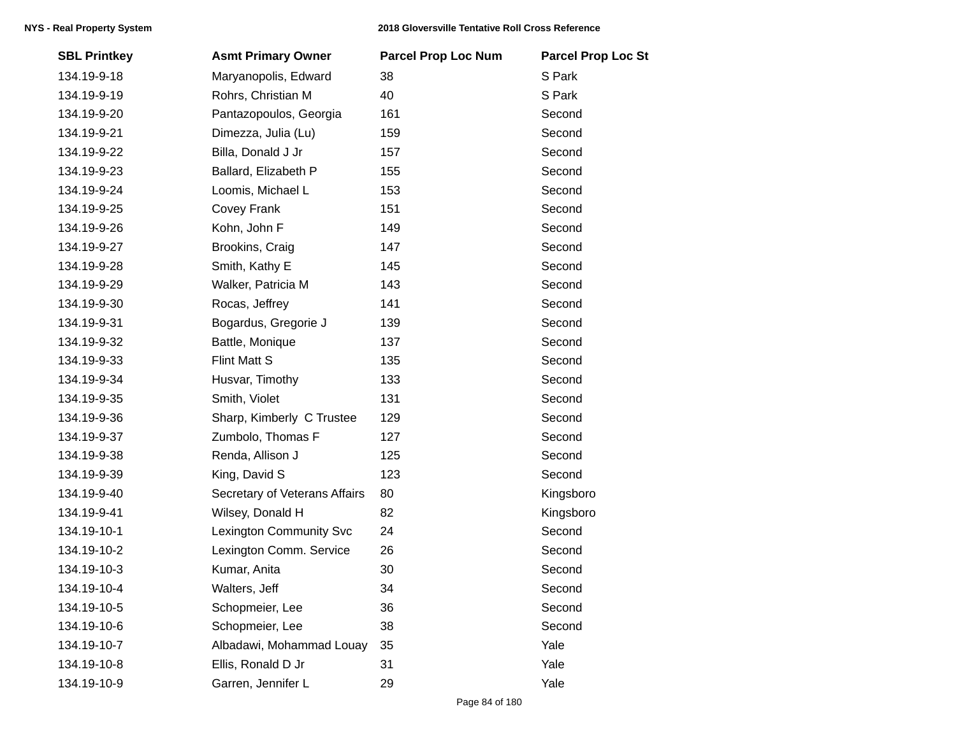| <b>SBL Printkey</b> | <b>Asmt Primary Owner</b>      | <b>Parcel Prop Loc Num</b> | <b>Parcel Prop Loc St</b> |
|---------------------|--------------------------------|----------------------------|---------------------------|
| 134.19-9-18         | Maryanopolis, Edward           | 38                         | S Park                    |
| 134.19-9-19         | Rohrs, Christian M             | 40                         | S Park                    |
| 134.19-9-20         | Pantazopoulos, Georgia         | 161                        | Second                    |
| 134.19-9-21         | Dimezza, Julia (Lu)            | 159                        | Second                    |
| 134.19-9-22         | Billa, Donald J Jr             | 157                        | Second                    |
| 134.19-9-23         | Ballard, Elizabeth P           | 155                        | Second                    |
| 134.19-9-24         | Loomis, Michael L              | 153                        | Second                    |
| 134.19-9-25         | Covey Frank                    | 151                        | Second                    |
| 134.19-9-26         | Kohn, John F                   | 149                        | Second                    |
| 134.19-9-27         | Brookins, Craig                | 147                        | Second                    |
| 134.19-9-28         | Smith, Kathy E                 | 145                        | Second                    |
| 134.19-9-29         | Walker, Patricia M             | 143                        | Second                    |
| 134.19-9-30         | Rocas, Jeffrey                 | 141                        | Second                    |
| 134.19-9-31         | Bogardus, Gregorie J           | 139                        | Second                    |
| 134.19-9-32         | Battle, Monique                | 137                        | Second                    |
| 134.19-9-33         | <b>Flint Matt S</b>            | 135                        | Second                    |
| 134.19-9-34         | Husvar, Timothy                | 133                        | Second                    |
| 134.19-9-35         | Smith, Violet                  | 131                        | Second                    |
| 134.19-9-36         | Sharp, Kimberly C Trustee      | 129                        | Second                    |
| 134.19-9-37         | Zumbolo, Thomas F              | 127                        | Second                    |
| 134.19-9-38         | Renda, Allison J               | 125                        | Second                    |
| 134.19-9-39         | King, David S                  | 123                        | Second                    |
| 134.19-9-40         | Secretary of Veterans Affairs  | 80                         | Kingsboro                 |
| 134.19-9-41         | Wilsey, Donald H               | 82                         | Kingsboro                 |
| 134.19-10-1         | <b>Lexington Community Svc</b> | 24                         | Second                    |
| 134.19-10-2         | Lexington Comm. Service        | 26                         | Second                    |
| 134.19-10-3         | Kumar, Anita                   | 30                         | Second                    |
| 134.19-10-4         | Walters, Jeff                  | 34                         | Second                    |
| 134.19-10-5         | Schopmeier, Lee                | 36                         | Second                    |
| 134.19-10-6         | Schopmeier, Lee                | 38                         | Second                    |
| 134.19-10-7         | Albadawi, Mohammad Louay       | 35                         | Yale                      |
| 134.19-10-8         | Ellis, Ronald D Jr             | 31                         | Yale                      |
| 134.19-10-9         | Garren, Jennifer L             | 29                         | Yale                      |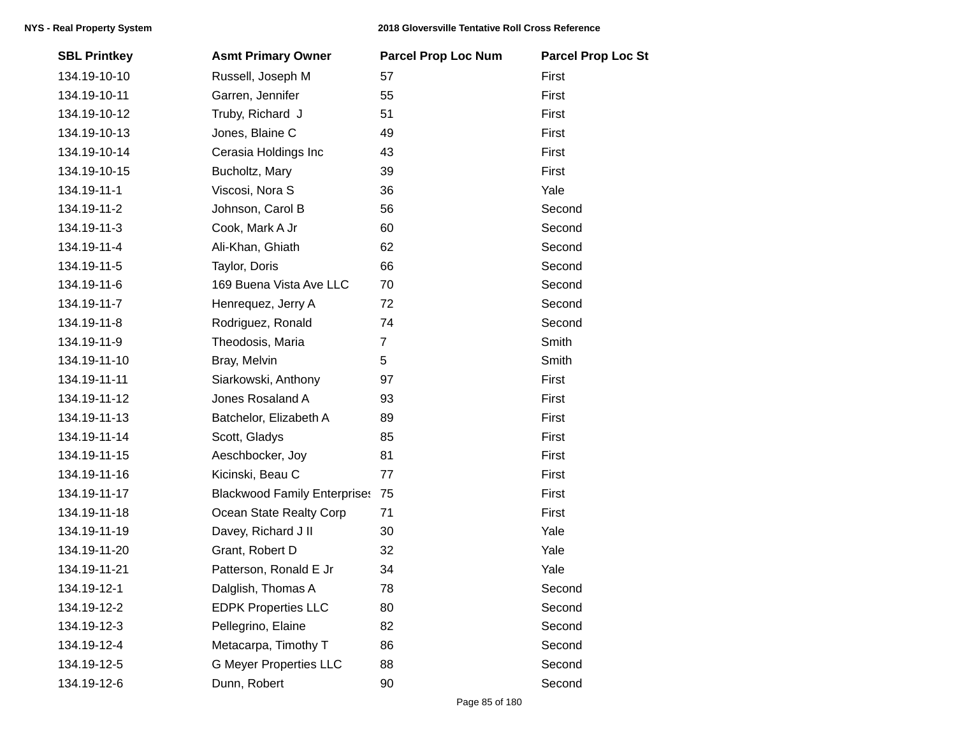| <b>SBL Printkey</b> | <b>Asmt Primary Owner</b>           | <b>Parcel Prop Loc Num</b> | <b>Parcel Prop Loc St</b> |
|---------------------|-------------------------------------|----------------------------|---------------------------|
| 134.19-10-10        | Russell, Joseph M                   | 57                         | First                     |
| 134.19-10-11        | Garren, Jennifer                    | 55                         | First                     |
| 134.19-10-12        | Truby, Richard J                    | 51                         | First                     |
| 134.19-10-13        | Jones, Blaine C                     | 49                         | First                     |
| 134.19-10-14        | Cerasia Holdings Inc                | 43                         | First                     |
| 134.19-10-15        | Bucholtz, Mary                      | 39                         | First                     |
| 134.19-11-1         | Viscosi, Nora S                     | 36                         | Yale                      |
| 134.19-11-2         | Johnson, Carol B                    | 56                         | Second                    |
| 134.19-11-3         | Cook, Mark A Jr                     | 60                         | Second                    |
| 134.19-11-4         | Ali-Khan, Ghiath                    | 62                         | Second                    |
| 134.19-11-5         | Taylor, Doris                       | 66                         | Second                    |
| 134.19-11-6         | 169 Buena Vista Ave LLC             | 70                         | Second                    |
| 134.19-11-7         | Henrequez, Jerry A                  | 72                         | Second                    |
| 134.19-11-8         | Rodriguez, Ronald                   | 74                         | Second                    |
| 134.19-11-9         | Theodosis, Maria                    | $\overline{7}$             | Smith                     |
| 134.19-11-10        | Bray, Melvin                        | 5                          | Smith                     |
| 134.19-11-11        | Siarkowski, Anthony                 | 97                         | First                     |
| 134.19-11-12        | Jones Rosaland A                    | 93                         | First                     |
| 134.19-11-13        | Batchelor, Elizabeth A              | 89                         | First                     |
| 134.19-11-14        | Scott, Gladys                       | 85                         | First                     |
| 134.19-11-15        | Aeschbocker, Joy                    | 81                         | First                     |
| 134.19-11-16        | Kicinski, Beau C                    | 77                         | First                     |
| 134.19-11-17        | <b>Blackwood Family Enterprises</b> | 75                         | First                     |
| 134.19-11-18        | Ocean State Realty Corp             | 71                         | First                     |
| 134.19-11-19        | Davey, Richard J II                 | 30                         | Yale                      |
| 134.19-11-20        | Grant, Robert D                     | 32                         | Yale                      |
| 134.19-11-21        | Patterson, Ronald E Jr              | 34                         | Yale                      |
| 134.19-12-1         | Dalglish, Thomas A                  | 78                         | Second                    |
| 134.19-12-2         | <b>EDPK Properties LLC</b>          | 80                         | Second                    |
| 134.19-12-3         | Pellegrino, Elaine                  | 82                         | Second                    |
| 134.19-12-4         | Metacarpa, Timothy T                | 86                         | Second                    |
| 134.19-12-5         | <b>G Meyer Properties LLC</b>       | 88                         | Second                    |
| 134.19-12-6         | Dunn, Robert                        | 90                         | Second                    |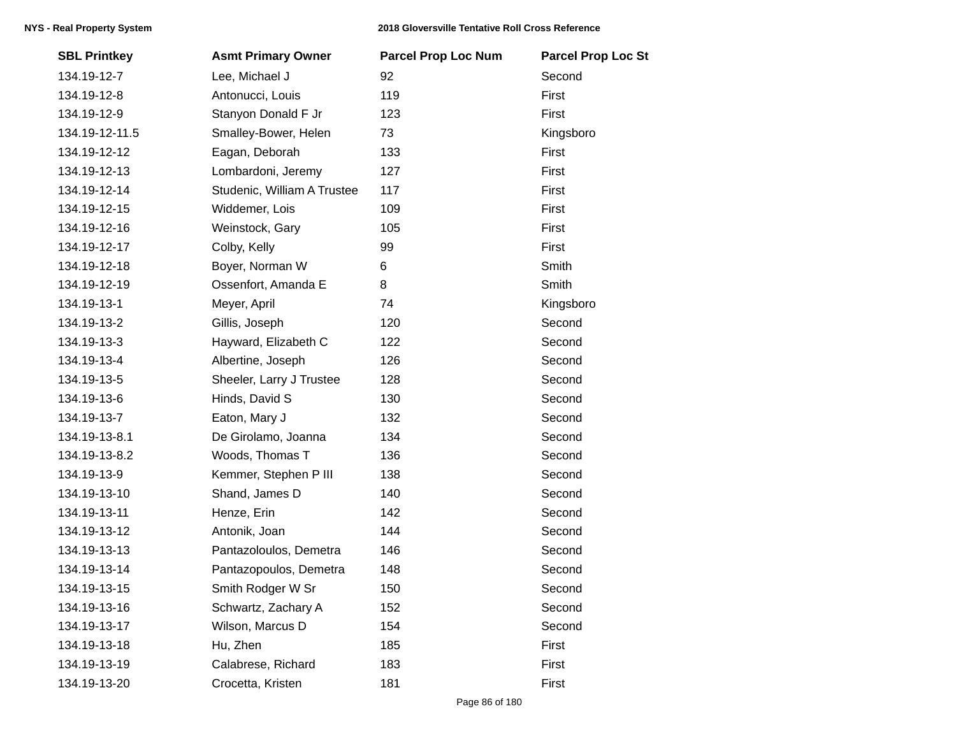| <b>SBL Printkey</b> | <b>Asmt Primary Owner</b>   | <b>Parcel Prop Loc Num</b> | <b>Parcel Prop Loc St</b> |
|---------------------|-----------------------------|----------------------------|---------------------------|
| 134.19-12-7         | Lee, Michael J              | 92                         | Second                    |
| 134.19-12-8         | Antonucci, Louis            | 119                        | First                     |
| 134.19-12-9         | Stanyon Donald F Jr         | 123                        | First                     |
| 134.19-12-11.5      | Smalley-Bower, Helen        | 73                         | Kingsboro                 |
| 134.19-12-12        | Eagan, Deborah              | 133                        | First                     |
| 134.19-12-13        | Lombardoni, Jeremy          | 127                        | First                     |
| 134.19-12-14        | Studenic, William A Trustee | 117                        | First                     |
| 134.19-12-15        | Widdemer, Lois              | 109                        | First                     |
| 134.19-12-16        | Weinstock, Gary             | 105                        | First                     |
| 134.19-12-17        | Colby, Kelly                | 99                         | First                     |
| 134.19-12-18        | Boyer, Norman W             | 6                          | Smith                     |
| 134.19-12-19        | Ossenfort, Amanda E         | 8                          | Smith                     |
| 134.19-13-1         | Meyer, April                | 74                         | Kingsboro                 |
| 134.19-13-2         | Gillis, Joseph              | 120                        | Second                    |
| 134.19-13-3         | Hayward, Elizabeth C        | 122                        | Second                    |
| 134.19-13-4         | Albertine, Joseph           | 126                        | Second                    |
| 134.19-13-5         | Sheeler, Larry J Trustee    | 128                        | Second                    |
| 134.19-13-6         | Hinds, David S              | 130                        | Second                    |
| 134.19-13-7         | Eaton, Mary J               | 132                        | Second                    |
| 134.19-13-8.1       | De Girolamo, Joanna         | 134                        | Second                    |
| 134.19-13-8.2       | Woods, Thomas T             | 136                        | Second                    |
| 134.19-13-9         | Kemmer, Stephen P III       | 138                        | Second                    |
| 134.19-13-10        | Shand, James D              | 140                        | Second                    |
| 134.19-13-11        | Henze, Erin                 | 142                        | Second                    |
| 134.19-13-12        | Antonik, Joan               | 144                        | Second                    |
| 134.19-13-13        | Pantazoloulos, Demetra      | 146                        | Second                    |
| 134.19-13-14        | Pantazopoulos, Demetra      | 148                        | Second                    |
| 134.19-13-15        | Smith Rodger W Sr           | 150                        | Second                    |
| 134.19-13-16        | Schwartz, Zachary A         | 152                        | Second                    |
| 134.19-13-17        | Wilson, Marcus D            | 154                        | Second                    |
| 134.19-13-18        | Hu, Zhen                    | 185                        | First                     |
| 134.19-13-19        | Calabrese, Richard          | 183                        | First                     |
| 134.19-13-20        | Crocetta, Kristen           | 181                        | First                     |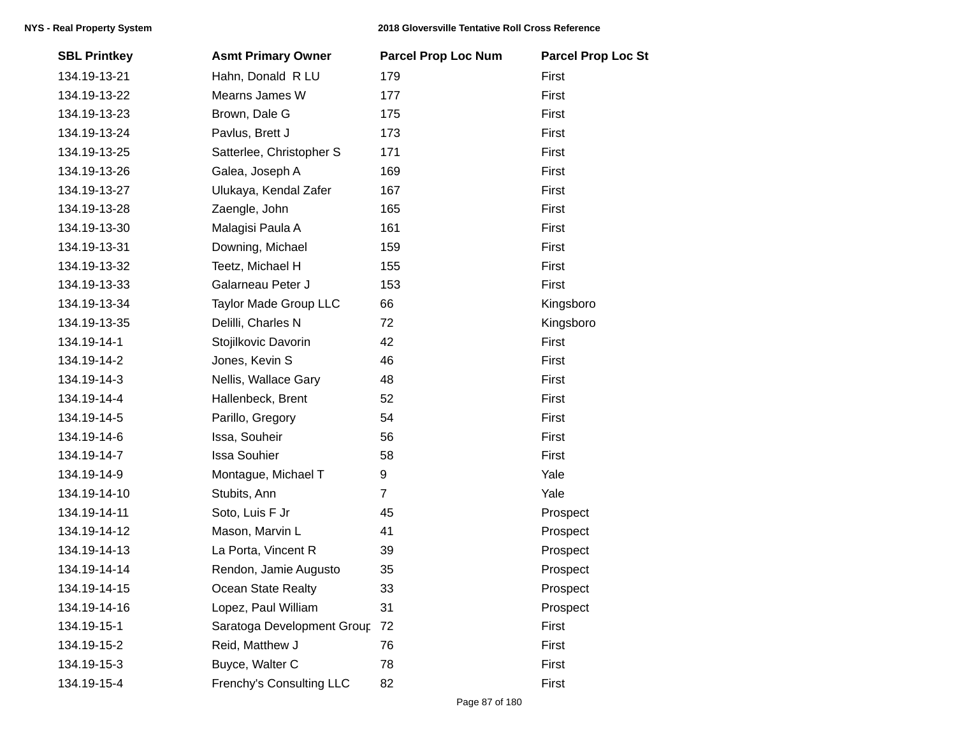| <b>SBL Printkey</b> | <b>Asmt Primary Owner</b>  | <b>Parcel Prop Loc Num</b> | <b>Parcel Prop Loc St</b> |
|---------------------|----------------------------|----------------------------|---------------------------|
| 134.19-13-21        | Hahn, Donald R LU          | 179                        | First                     |
| 134.19-13-22        | Mearns James W             | 177                        | First                     |
| 134.19-13-23        | Brown, Dale G              | 175                        | First                     |
| 134.19-13-24        | Pavlus, Brett J            | 173                        | First                     |
| 134.19-13-25        | Satterlee, Christopher S   | 171                        | First                     |
| 134.19-13-26        | Galea, Joseph A            | 169                        | First                     |
| 134.19-13-27        | Ulukaya, Kendal Zafer      | 167                        | First                     |
| 134.19-13-28        | Zaengle, John              | 165                        | First                     |
| 134.19-13-30        | Malagisi Paula A           | 161                        | First                     |
| 134.19-13-31        | Downing, Michael           | 159                        | First                     |
| 134.19-13-32        | Teetz, Michael H           | 155                        | First                     |
| 134.19-13-33        | Galarneau Peter J          | 153                        | First                     |
| 134.19-13-34        | Taylor Made Group LLC      | 66                         | Kingsboro                 |
| 134.19-13-35        | Delilli, Charles N         | 72                         | Kingsboro                 |
| 134.19-14-1         | Stojilkovic Davorin        | 42                         | First                     |
| 134.19-14-2         | Jones, Kevin S             | 46                         | First                     |
| 134.19-14-3         | Nellis, Wallace Gary       | 48                         | First                     |
| 134.19-14-4         | Hallenbeck, Brent          | 52                         | First                     |
| 134.19-14-5         | Parillo, Gregory           | 54                         | First                     |
| 134.19-14-6         | Issa, Souheir              | 56                         | First                     |
| 134.19-14-7         | <b>Issa Souhier</b>        | 58                         | First                     |
| 134.19-14-9         | Montague, Michael T        | 9                          | Yale                      |
| 134.19-14-10        | Stubits, Ann               | $\overline{7}$             | Yale                      |
| 134.19-14-11        | Soto, Luis F Jr            | 45                         | Prospect                  |
| 134.19-14-12        | Mason, Marvin L            | 41                         | Prospect                  |
| 134.19-14-13        | La Porta, Vincent R        | 39                         | Prospect                  |
| 134.19-14-14        | Rendon, Jamie Augusto      | 35                         | Prospect                  |
| 134.19-14-15        | Ocean State Realty         | 33                         | Prospect                  |
| 134.19-14-16        | Lopez, Paul William        | 31                         | Prospect                  |
| 134.19-15-1         | Saratoga Development Group | 72                         | First                     |
| 134.19-15-2         | Reid, Matthew J            | 76                         | First                     |
| 134.19-15-3         | Buyce, Walter C            | 78                         | First                     |
| 134.19-15-4         | Frenchy's Consulting LLC   | 82                         | First                     |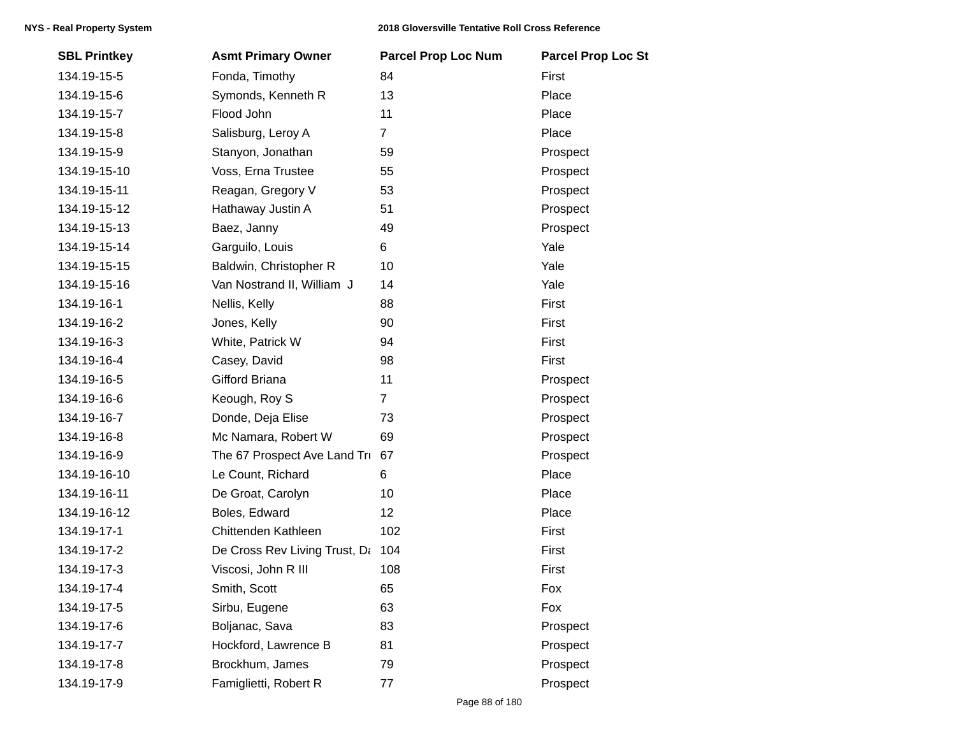| <b>SBL Printkey</b> | <b>Asmt Primary Owner</b>     | <b>Parcel Prop Loc Num</b> | <b>Parcel Prop Loc St</b> |
|---------------------|-------------------------------|----------------------------|---------------------------|
| 134.19-15-5         | Fonda, Timothy                | 84                         | First                     |
| 134.19-15-6         | Symonds, Kenneth R            | 13                         | Place                     |
| 134.19-15-7         | Flood John                    | 11                         | Place                     |
| 134.19-15-8         | Salisburg, Leroy A            | $\overline{7}$             | Place                     |
| 134.19-15-9         | Stanyon, Jonathan             | 59                         | Prospect                  |
| 134.19-15-10        | Voss, Erna Trustee            | 55                         | Prospect                  |
| 134.19-15-11        | Reagan, Gregory V             | 53                         | Prospect                  |
| 134.19-15-12        | Hathaway Justin A             | 51                         | Prospect                  |
| 134.19-15-13        | Baez, Janny                   | 49                         | Prospect                  |
| 134.19-15-14        | Garguilo, Louis               | 6                          | Yale                      |
| 134.19-15-15        | Baldwin, Christopher R        | 10                         | Yale                      |
| 134.19-15-16        | Van Nostrand II, William J    | 14                         | Yale                      |
| 134.19-16-1         | Nellis, Kelly                 | 88                         | First                     |
| 134.19-16-2         | Jones, Kelly                  | 90                         | First                     |
| 134.19-16-3         | White, Patrick W              | 94                         | First                     |
| 134.19-16-4         | Casey, David                  | 98                         | First                     |
| 134.19-16-5         | Gifford Briana                | 11                         | Prospect                  |
| 134.19-16-6         | Keough, Roy S                 | $\overline{7}$             | Prospect                  |
| 134.19-16-7         | Donde, Deja Elise             | 73                         | Prospect                  |
| 134.19-16-8         | Mc Namara, Robert W           | 69                         | Prospect                  |
| 134.19-16-9         | The 67 Prospect Ave Land Tru  | 67                         | Prospect                  |
| 134.19-16-10        | Le Count, Richard             | 6                          | Place                     |
| 134.19-16-11        | De Groat, Carolyn             | 10                         | Place                     |
| 134.19-16-12        | Boles, Edward                 | 12                         | Place                     |
| 134.19-17-1         | Chittenden Kathleen           | 102                        | First                     |
| 134.19-17-2         | De Cross Rev Living Trust, Da | 104                        | First                     |
| 134.19-17-3         | Viscosi, John R III           | 108                        | First                     |
| 134.19-17-4         | Smith, Scott                  | 65                         | Fox                       |
| 134.19-17-5         | Sirbu, Eugene                 | 63                         | Fox                       |
| 134.19-17-6         | Boljanac, Sava                | 83                         | Prospect                  |
| 134.19-17-7         | Hockford, Lawrence B          | 81                         | Prospect                  |
| 134.19-17-8         | Brockhum, James               | 79                         | Prospect                  |
| 134.19-17-9         | Famiglietti, Robert R         | 77                         | Prospect                  |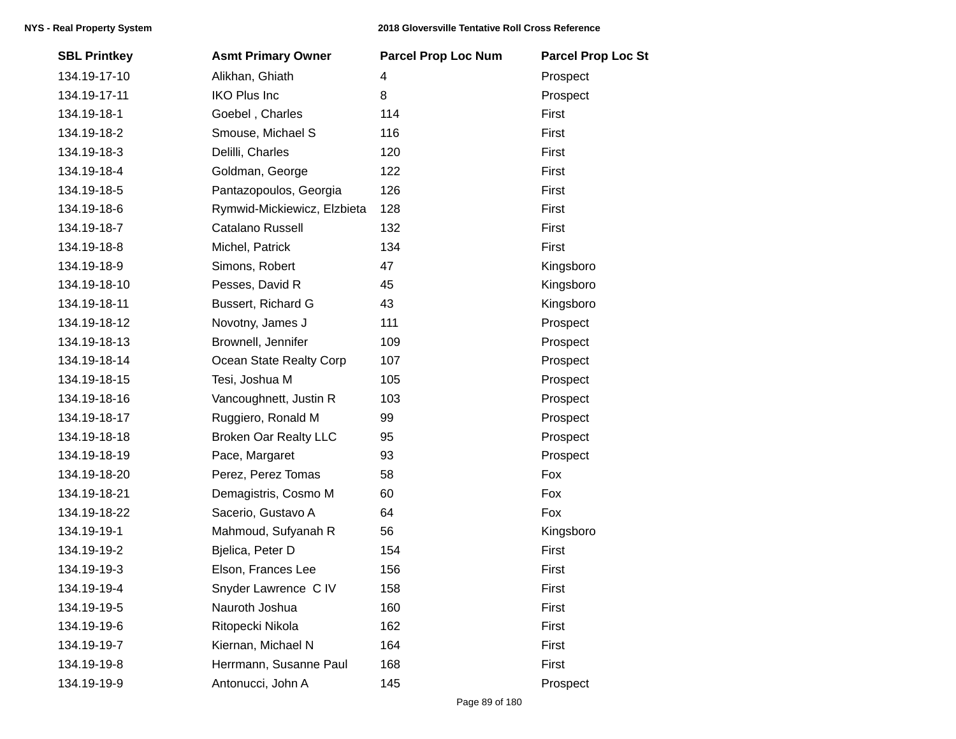| <b>SBL Printkey</b> | <b>Asmt Primary Owner</b>    | <b>Parcel Prop Loc Num</b> | <b>Parcel Prop Loc St</b> |
|---------------------|------------------------------|----------------------------|---------------------------|
| 134.19-17-10        | Alikhan, Ghiath              | 4                          | Prospect                  |
| 134.19-17-11        | <b>IKO Plus Inc</b>          | 8                          | Prospect                  |
| 134.19-18-1         | Goebel, Charles              | 114                        | First                     |
| 134.19-18-2         | Smouse, Michael S            | 116                        | First                     |
| 134.19-18-3         | Delilli, Charles             | 120                        | First                     |
| 134.19-18-4         | Goldman, George              | 122                        | First                     |
| 134.19-18-5         | Pantazopoulos, Georgia       | 126                        | First                     |
| 134.19-18-6         | Rymwid-Mickiewicz, Elzbieta  | 128                        | First                     |
| 134.19-18-7         | Catalano Russell             | 132                        | First                     |
| 134.19-18-8         | Michel, Patrick              | 134                        | First                     |
| 134.19-18-9         | Simons, Robert               | 47                         | Kingsboro                 |
| 134.19-18-10        | Pesses, David R              | 45                         | Kingsboro                 |
| 134.19-18-11        | Bussert, Richard G           | 43                         | Kingsboro                 |
| 134.19-18-12        | Novotny, James J             | 111                        | Prospect                  |
| 134.19-18-13        | Brownell, Jennifer           | 109                        | Prospect                  |
| 134.19-18-14        | Ocean State Realty Corp      | 107                        | Prospect                  |
| 134.19-18-15        | Tesi, Joshua M               | 105                        | Prospect                  |
| 134.19-18-16        | Vancoughnett, Justin R       | 103                        | Prospect                  |
| 134.19-18-17        | Ruggiero, Ronald M           | 99                         | Prospect                  |
| 134.19-18-18        | <b>Broken Oar Realty LLC</b> | 95                         | Prospect                  |
| 134.19-18-19        | Pace, Margaret               | 93                         | Prospect                  |
| 134.19-18-20        | Perez, Perez Tomas           | 58                         | Fox                       |
| 134.19-18-21        | Demagistris, Cosmo M         | 60                         | Fox                       |
| 134.19-18-22        | Sacerio, Gustavo A           | 64                         | Fox                       |
| 134.19-19-1         | Mahmoud, Sufyanah R          | 56                         | Kingsboro                 |
| 134.19-19-2         | Bjelica, Peter D             | 154                        | First                     |
| 134.19-19-3         | Elson, Frances Lee           | 156                        | First                     |
| 134.19-19-4         | Snyder Lawrence C IV         | 158                        | First                     |
| 134.19-19-5         | Nauroth Joshua               | 160                        | First                     |
| 134.19-19-6         | Ritopecki Nikola             | 162                        | First                     |
| 134.19-19-7         | Kiernan, Michael N           | 164                        | First                     |
| 134.19-19-8         | Herrmann, Susanne Paul       | 168                        | First                     |
| 134.19-19-9         | Antonucci, John A            | 145                        | Prospect                  |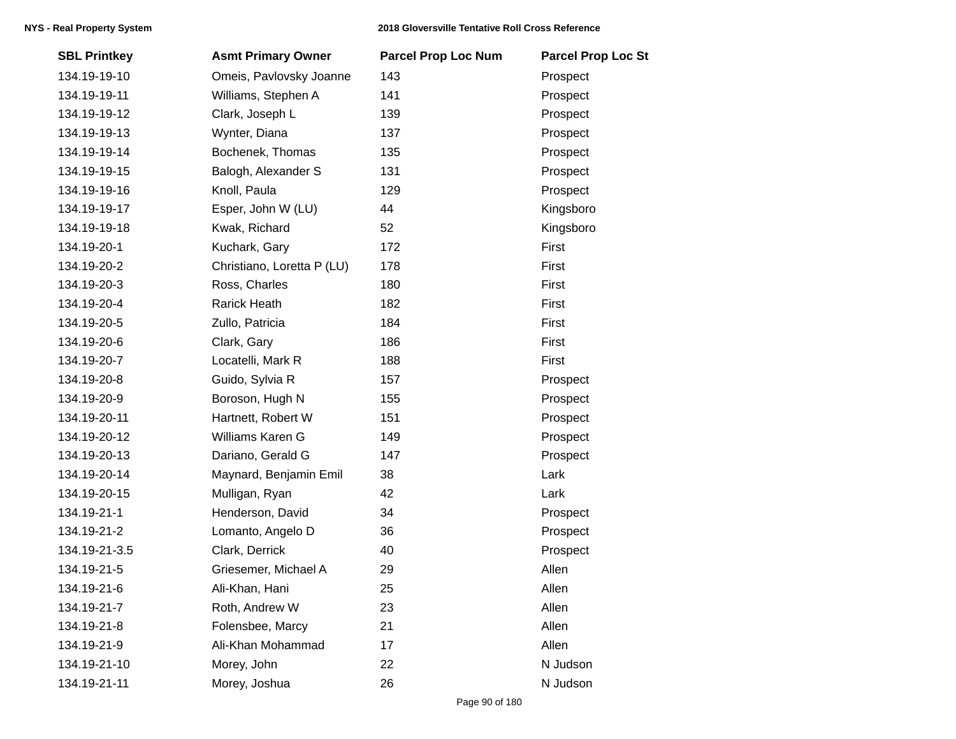| <b>SBL Printkey</b> | <b>Asmt Primary Owner</b>  | <b>Parcel Prop Loc Num</b> | <b>Parcel Prop Loc St</b> |
|---------------------|----------------------------|----------------------------|---------------------------|
| 134.19-19-10        | Omeis, Pavlovsky Joanne    | 143                        | Prospect                  |
| 134.19-19-11        | Williams, Stephen A        | 141                        | Prospect                  |
| 134.19-19-12        | Clark, Joseph L            | 139                        | Prospect                  |
| 134.19-19-13        | Wynter, Diana              | 137                        | Prospect                  |
| 134.19-19-14        | Bochenek, Thomas           | 135                        | Prospect                  |
| 134.19-19-15        | Balogh, Alexander S        | 131                        | Prospect                  |
| 134.19-19-16        | Knoll, Paula               | 129                        | Prospect                  |
| 134.19-19-17        | Esper, John W (LU)         | 44                         | Kingsboro                 |
| 134.19-19-18        | Kwak, Richard              | 52                         | Kingsboro                 |
| 134.19-20-1         | Kuchark, Gary              | 172                        | First                     |
| 134.19-20-2         | Christiano, Loretta P (LU) | 178                        | First                     |
| 134.19-20-3         | Ross, Charles              | 180                        | First                     |
| 134.19-20-4         | <b>Rarick Heath</b>        | 182                        | First                     |
| 134.19-20-5         | Zullo, Patricia            | 184                        | First                     |
| 134.19-20-6         | Clark, Gary                | 186                        | First                     |
| 134.19-20-7         | Locatelli, Mark R          | 188                        | First                     |
| 134.19-20-8         | Guido, Sylvia R            | 157                        | Prospect                  |
| 134.19-20-9         | Boroson, Hugh N            | 155                        | Prospect                  |
| 134.19-20-11        | Hartnett, Robert W         | 151                        | Prospect                  |
| 134.19-20-12        | Williams Karen G           | 149                        | Prospect                  |
| 134.19-20-13        | Dariano, Gerald G          | 147                        | Prospect                  |
| 134.19-20-14        | Maynard, Benjamin Emil     | 38                         | Lark                      |
| 134.19-20-15        | Mulligan, Ryan             | 42                         | Lark                      |
| 134.19-21-1         | Henderson, David           | 34                         | Prospect                  |
| 134.19-21-2         | Lomanto, Angelo D          | 36                         | Prospect                  |
| 134.19-21-3.5       | Clark, Derrick             | 40                         | Prospect                  |
| 134.19-21-5         | Griesemer, Michael A       | 29                         | Allen                     |
| 134.19-21-6         | Ali-Khan, Hani             | 25                         | Allen                     |
| 134.19-21-7         | Roth, Andrew W             | 23                         | Allen                     |
| 134.19-21-8         | Folensbee, Marcy           | 21                         | Allen                     |
| 134.19-21-9         | Ali-Khan Mohammad          | 17                         | Allen                     |
| 134.19-21-10        | Morey, John                | 22                         | N Judson                  |
| 134.19-21-11        | Morey, Joshua              | 26                         | N Judson                  |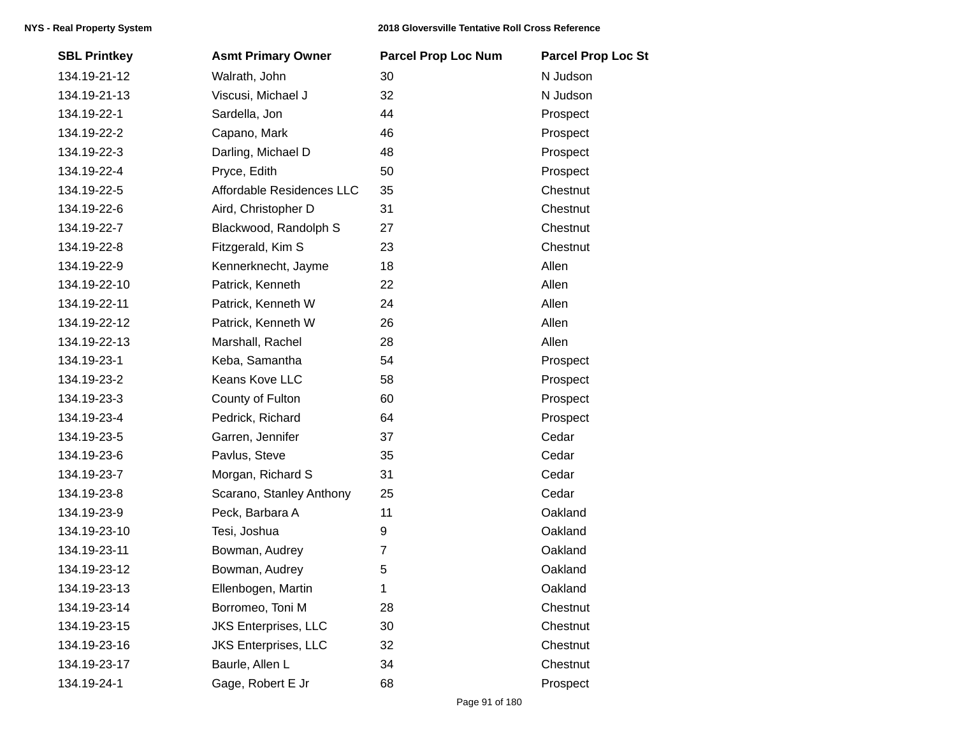| <b>SBL Printkey</b> | <b>Asmt Primary Owner</b>   | <b>Parcel Prop Loc Num</b> | <b>Parcel Prop Loc St</b> |
|---------------------|-----------------------------|----------------------------|---------------------------|
| 134.19-21-12        | Walrath, John               | 30                         | N Judson                  |
| 134.19-21-13        | Viscusi, Michael J          | 32                         | N Judson                  |
| 134.19-22-1         | Sardella, Jon               | 44                         | Prospect                  |
| 134.19-22-2         | Capano, Mark                | 46                         | Prospect                  |
| 134.19-22-3         | Darling, Michael D          | 48                         | Prospect                  |
| 134.19-22-4         | Pryce, Edith                | 50                         | Prospect                  |
| 134.19-22-5         | Affordable Residences LLC   | 35                         | Chestnut                  |
| 134.19-22-6         | Aird, Christopher D         | 31                         | Chestnut                  |
| 134.19-22-7         | Blackwood, Randolph S       | 27                         | Chestnut                  |
| 134.19-22-8         | Fitzgerald, Kim S           | 23                         | Chestnut                  |
| 134.19-22-9         | Kennerknecht, Jayme         | 18                         | Allen                     |
| 134.19-22-10        | Patrick, Kenneth            | 22                         | Allen                     |
| 134.19-22-11        | Patrick, Kenneth W          | 24                         | Allen                     |
| 134.19-22-12        | Patrick, Kenneth W          | 26                         | Allen                     |
| 134.19-22-13        | Marshall, Rachel            | 28                         | Allen                     |
| 134.19-23-1         | Keba, Samantha              | 54                         | Prospect                  |
| 134.19-23-2         | Keans Kove LLC              | 58                         | Prospect                  |
| 134.19-23-3         | County of Fulton            | 60                         | Prospect                  |
| 134.19-23-4         | Pedrick, Richard            | 64                         | Prospect                  |
| 134.19-23-5         | Garren, Jennifer            | 37                         | Cedar                     |
| 134.19-23-6         | Pavlus, Steve               | 35                         | Cedar                     |
| 134.19-23-7         | Morgan, Richard S           | 31                         | Cedar                     |
| 134.19-23-8         | Scarano, Stanley Anthony    | 25                         | Cedar                     |
| 134.19-23-9         | Peck, Barbara A             | 11                         | Oakland                   |
| 134.19-23-10        | Tesi, Joshua                | 9                          | Oakland                   |
| 134.19-23-11        | Bowman, Audrey              | 7                          | Oakland                   |
| 134.19-23-12        | Bowman, Audrey              | 5                          | Oakland                   |
| 134.19-23-13        | Ellenbogen, Martin          | 1                          | Oakland                   |
| 134.19-23-14        | Borromeo, Toni M            | 28                         | Chestnut                  |
| 134.19-23-15        | <b>JKS Enterprises, LLC</b> | 30                         | Chestnut                  |
| 134.19-23-16        | <b>JKS Enterprises, LLC</b> | 32                         | Chestnut                  |
| 134.19-23-17        | Baurle, Allen L             | 34                         | Chestnut                  |
| 134.19-24-1         | Gage, Robert E Jr           | 68                         | Prospect                  |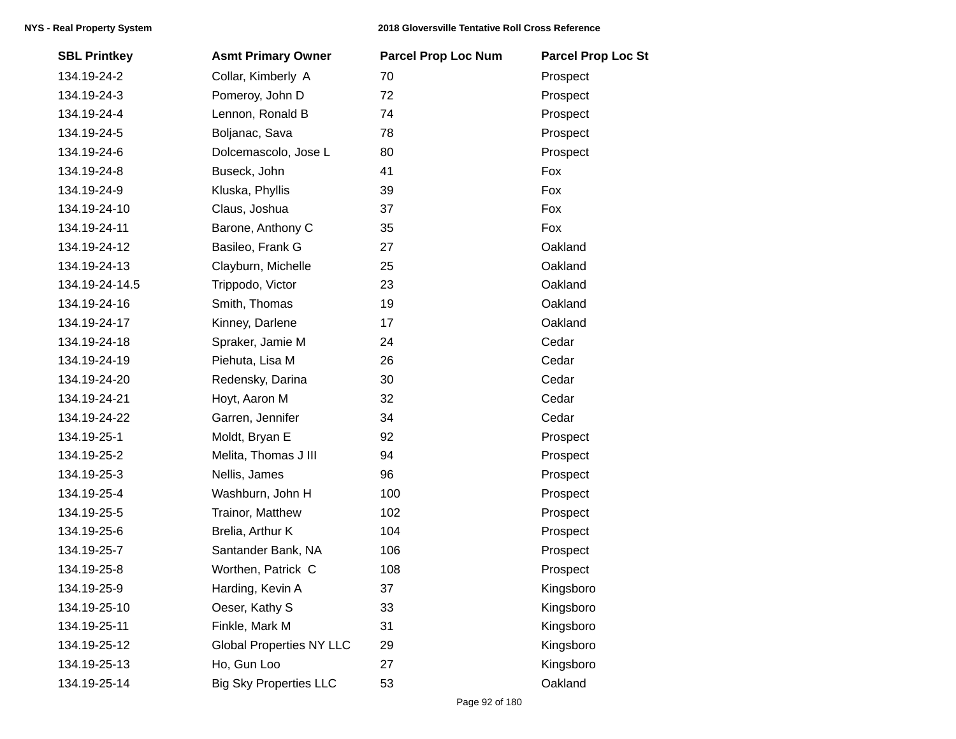| <b>SBL Printkey</b> | <b>Asmt Primary Owner</b>       | <b>Parcel Prop Loc Num</b> | <b>Parcel Prop Loc St</b> |
|---------------------|---------------------------------|----------------------------|---------------------------|
| 134.19-24-2         | Collar, Kimberly A              | 70                         | Prospect                  |
| 134.19-24-3         | Pomeroy, John D                 | 72                         | Prospect                  |
| 134.19-24-4         | Lennon, Ronald B                | 74                         | Prospect                  |
| 134.19-24-5         | Boljanac, Sava                  | 78                         | Prospect                  |
| 134.19-24-6         | Dolcemascolo, Jose L            | 80                         | Prospect                  |
| 134.19-24-8         | Buseck, John                    | 41                         | Fox                       |
| 134.19-24-9         | Kluska, Phyllis                 | 39                         | Fox                       |
| 134.19-24-10        | Claus, Joshua                   | 37                         | Fox                       |
| 134.19-24-11        | Barone, Anthony C               | 35                         | Fox                       |
| 134.19-24-12        | Basileo, Frank G                | 27                         | Oakland                   |
| 134.19-24-13        | Clayburn, Michelle              | 25                         | Oakland                   |
| 134.19-24-14.5      | Trippodo, Victor                | 23                         | Oakland                   |
| 134.19-24-16        | Smith, Thomas                   | 19                         | Oakland                   |
| 134.19-24-17        | Kinney, Darlene                 | 17                         | Oakland                   |
| 134.19-24-18        | Spraker, Jamie M                | 24                         | Cedar                     |
| 134.19-24-19        | Piehuta, Lisa M                 | 26                         | Cedar                     |
| 134.19-24-20        | Redensky, Darina                | 30                         | Cedar                     |
| 134.19-24-21        | Hoyt, Aaron M                   | 32                         | Cedar                     |
| 134.19-24-22        | Garren, Jennifer                | 34                         | Cedar                     |
| 134.19-25-1         | Moldt, Bryan E                  | 92                         | Prospect                  |
| 134.19-25-2         | Melita, Thomas J III            | 94                         | Prospect                  |
| 134.19-25-3         | Nellis, James                   | 96                         | Prospect                  |
| 134.19-25-4         | Washburn, John H                | 100                        | Prospect                  |
| 134.19-25-5         | Trainor, Matthew                | 102                        | Prospect                  |
| 134.19-25-6         | Brelia, Arthur K                | 104                        | Prospect                  |
| 134.19-25-7         | Santander Bank, NA              | 106                        | Prospect                  |
| 134.19-25-8         | Worthen, Patrick C              | 108                        | Prospect                  |
| 134.19-25-9         | Harding, Kevin A                | 37                         | Kingsboro                 |
| 134.19-25-10        | Oeser, Kathy S                  | 33                         | Kingsboro                 |
| 134.19-25-11        | Finkle, Mark M                  | 31                         | Kingsboro                 |
| 134.19-25-12        | <b>Global Properties NY LLC</b> | 29                         | Kingsboro                 |
| 134.19-25-13        | Ho, Gun Loo                     | 27                         | Kingsboro                 |
| 134.19-25-14        | <b>Big Sky Properties LLC</b>   | 53                         | Oakland                   |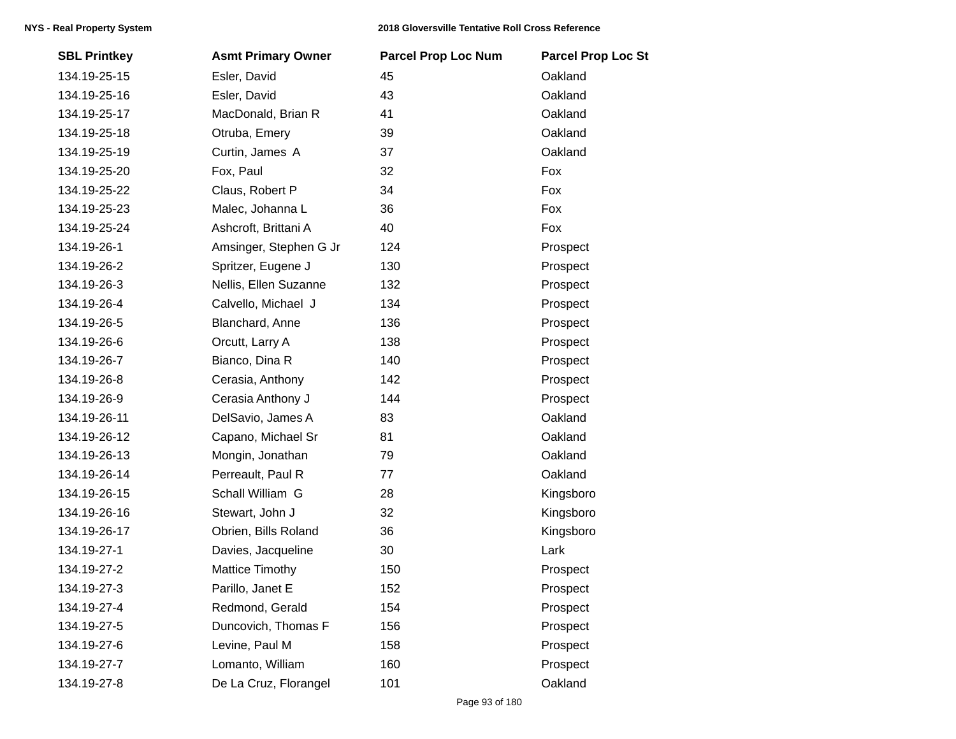| <b>SBL Printkey</b> | <b>Asmt Primary Owner</b> | <b>Parcel Prop Loc Num</b> | <b>Parcel Prop Loc St</b> |
|---------------------|---------------------------|----------------------------|---------------------------|
| 134.19-25-15        | Esler, David              | 45                         | Oakland                   |
| 134.19-25-16        | Esler, David              | 43                         | Oakland                   |
| 134.19-25-17        | MacDonald, Brian R        | 41                         | Oakland                   |
| 134.19-25-18        | Otruba, Emery             | 39                         | Oakland                   |
| 134.19-25-19        | Curtin, James A           | 37                         | Oakland                   |
| 134.19-25-20        | Fox, Paul                 | 32                         | Fox                       |
| 134.19-25-22        | Claus, Robert P           | 34                         | Fox                       |
| 134.19-25-23        | Malec, Johanna L          | 36                         | Fox                       |
| 134.19-25-24        | Ashcroft, Brittani A      | 40                         | Fox                       |
| 134.19-26-1         | Amsinger, Stephen G Jr    | 124                        | Prospect                  |
| 134.19-26-2         | Spritzer, Eugene J        | 130                        | Prospect                  |
| 134.19-26-3         | Nellis, Ellen Suzanne     | 132                        | Prospect                  |
| 134.19-26-4         | Calvello, Michael J       | 134                        | Prospect                  |
| 134.19-26-5         | Blanchard, Anne           | 136                        | Prospect                  |
| 134.19-26-6         | Orcutt, Larry A           | 138                        | Prospect                  |
| 134.19-26-7         | Bianco, Dina R            | 140                        | Prospect                  |
| 134.19-26-8         | Cerasia, Anthony          | 142                        | Prospect                  |
| 134.19-26-9         | Cerasia Anthony J         | 144                        | Prospect                  |
| 134.19-26-11        | DelSavio, James A         | 83                         | Oakland                   |
| 134.19-26-12        | Capano, Michael Sr        | 81                         | Oakland                   |
| 134.19-26-13        | Mongin, Jonathan          | 79                         | Oakland                   |
| 134.19-26-14        | Perreault, Paul R         | 77                         | Oakland                   |
| 134.19-26-15        | Schall William G          | 28                         | Kingsboro                 |
| 134.19-26-16        | Stewart, John J           | 32                         | Kingsboro                 |
| 134.19-26-17        | Obrien, Bills Roland      | 36                         | Kingsboro                 |
| 134.19-27-1         | Davies, Jacqueline        | 30                         | Lark                      |
| 134.19-27-2         | <b>Mattice Timothy</b>    | 150                        | Prospect                  |
| 134.19-27-3         | Parillo, Janet E          | 152                        | Prospect                  |
| 134.19-27-4         | Redmond, Gerald           | 154                        | Prospect                  |
| 134.19-27-5         | Duncovich, Thomas F       | 156                        | Prospect                  |
| 134.19-27-6         | Levine, Paul M            | 158                        | Prospect                  |
| 134.19-27-7         | Lomanto, William          | 160                        | Prospect                  |
| 134.19-27-8         | De La Cruz, Florangel     | 101                        | Oakland                   |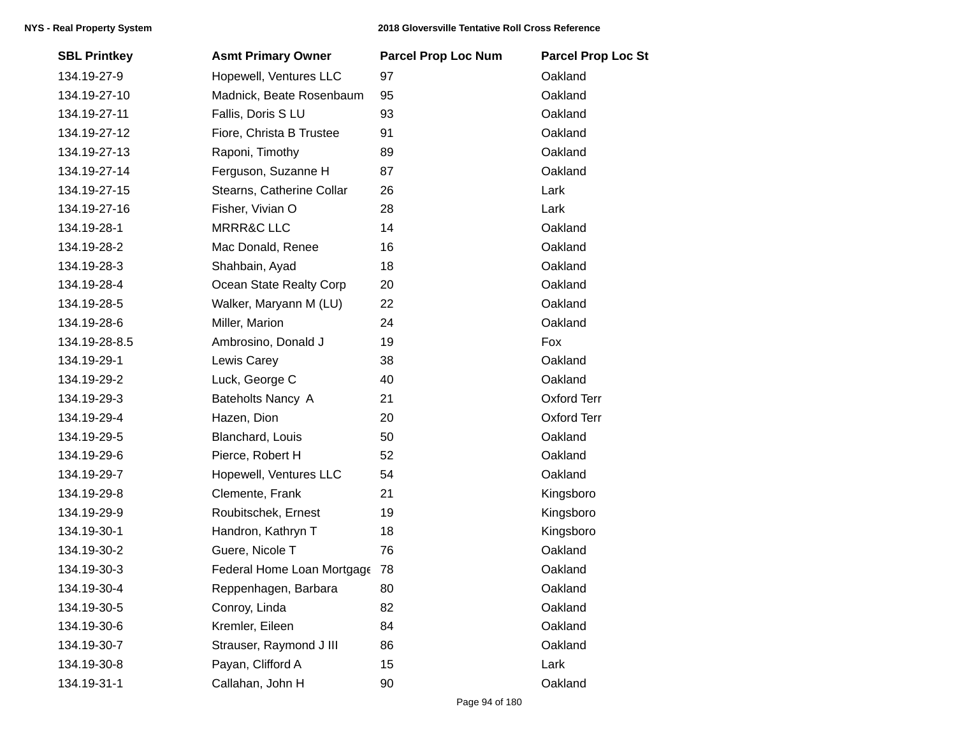| <b>SBL Printkey</b> | <b>Asmt Primary Owner</b>  | <b>Parcel Prop Loc Num</b> | <b>Parcel Prop Loc St</b> |
|---------------------|----------------------------|----------------------------|---------------------------|
| 134.19-27-9         | Hopewell, Ventures LLC     | 97                         | Oakland                   |
| 134.19-27-10        | Madnick, Beate Rosenbaum   | 95                         | Oakland                   |
| 134.19-27-11        | Fallis, Doris S LU         | 93                         | Oakland                   |
| 134.19-27-12        | Fiore, Christa B Trustee   | 91                         | Oakland                   |
| 134.19-27-13        | Raponi, Timothy            | 89                         | Oakland                   |
| 134.19-27-14        | Ferguson, Suzanne H        | 87                         | Oakland                   |
| 134.19-27-15        | Stearns, Catherine Collar  | 26                         | Lark                      |
| 134.19-27-16        | Fisher, Vivian O           | 28                         | Lark                      |
| 134.19-28-1         | <b>MRRR&amp;C LLC</b>      | 14                         | Oakland                   |
| 134.19-28-2         | Mac Donald, Renee          | 16                         | Oakland                   |
| 134.19-28-3         | Shahbain, Ayad             | 18                         | Oakland                   |
| 134.19-28-4         | Ocean State Realty Corp    | 20                         | Oakland                   |
| 134.19-28-5         | Walker, Maryann M (LU)     | 22                         | Oakland                   |
| 134.19-28-6         | Miller, Marion             | 24                         | Oakland                   |
| 134.19-28-8.5       | Ambrosino, Donald J        | 19                         | Fox                       |
| 134.19-29-1         | Lewis Carey                | 38                         | Oakland                   |
| 134.19-29-2         | Luck, George C             | 40                         | Oakland                   |
| 134.19-29-3         | Bateholts Nancy A          | 21                         | <b>Oxford Terr</b>        |
| 134.19-29-4         | Hazen, Dion                | 20                         | <b>Oxford Terr</b>        |
| 134.19-29-5         | Blanchard, Louis           | 50                         | Oakland                   |
| 134.19-29-6         | Pierce, Robert H           | 52                         | Oakland                   |
| 134.19-29-7         | Hopewell, Ventures LLC     | 54                         | Oakland                   |
| 134.19-29-8         | Clemente, Frank            | 21                         | Kingsboro                 |
| 134.19-29-9         | Roubitschek, Ernest        | 19                         | Kingsboro                 |
| 134.19-30-1         | Handron, Kathryn T         | 18                         | Kingsboro                 |
| 134.19-30-2         | Guere, Nicole T            | 76                         | Oakland                   |
| 134.19-30-3         | Federal Home Loan Mortgage | 78                         | Oakland                   |
| 134.19-30-4         | Reppenhagen, Barbara       | 80                         | Oakland                   |
| 134.19-30-5         | Conroy, Linda              | 82                         | Oakland                   |
| 134.19-30-6         | Kremler, Eileen            | 84                         | Oakland                   |
| 134.19-30-7         | Strauser, Raymond J III    | 86                         | Oakland                   |
| 134.19-30-8         | Payan, Clifford A          | 15                         | Lark                      |
| 134.19-31-1         | Callahan, John H           | 90                         | Oakland                   |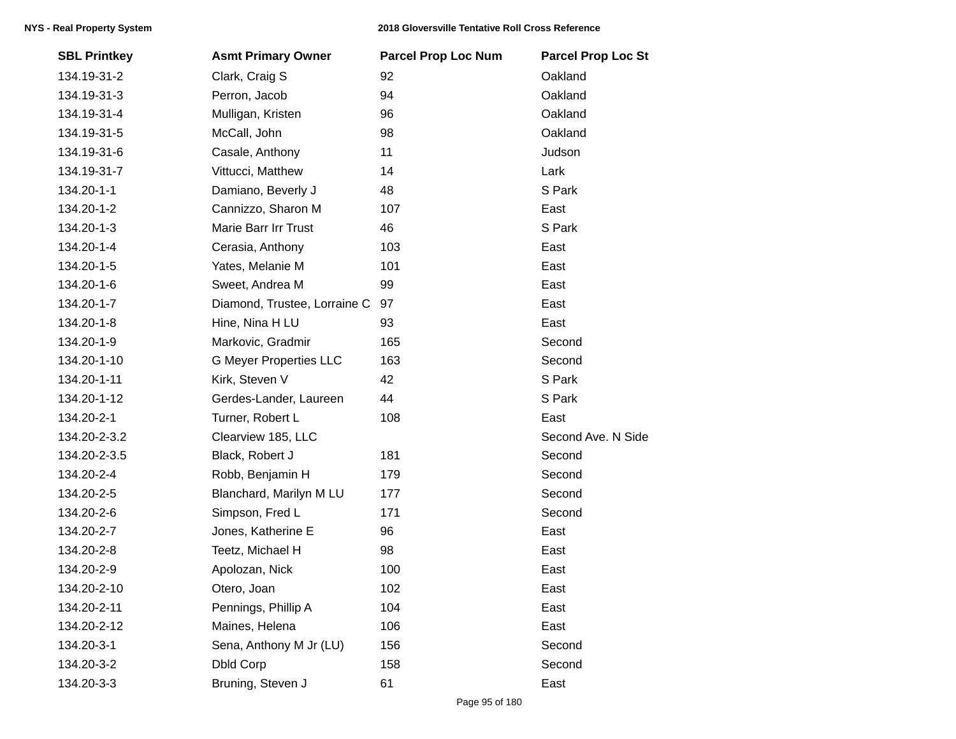| <b>SBL Printkey</b> | <b>Asmt Primary Owner</b>     | <b>Parcel Prop Loc Num</b> | <b>Parcel Prop Loc St</b> |
|---------------------|-------------------------------|----------------------------|---------------------------|
| 134.19-31-2         | Clark, Craig S                | 92                         | Oakland                   |
| 134.19-31-3         | Perron, Jacob                 | 94                         | Oakland                   |
| 134.19-31-4         | Mulligan, Kristen             | 96                         | Oakland                   |
| 134.19-31-5         | McCall, John                  | 98                         | Oakland                   |
| 134.19-31-6         | Casale, Anthony               | 11                         | Judson                    |
| 134.19-31-7         | Vittucci, Matthew             | 14                         | Lark                      |
| 134.20-1-1          | Damiano, Beverly J            | 48                         | S Park                    |
| 134.20-1-2          | Cannizzo, Sharon M            | 107                        | East                      |
| 134.20-1-3          | Marie Barr Irr Trust          | 46                         | S Park                    |
| 134.20-1-4          | Cerasia, Anthony              | 103                        | East                      |
| 134.20-1-5          | Yates, Melanie M              | 101                        | East                      |
| 134.20-1-6          | Sweet, Andrea M               | 99                         | East                      |
| 134.20-1-7          | Diamond, Trustee, Lorraine C  | 97                         | East                      |
| 134.20-1-8          | Hine, Nina H LU               | 93                         | East                      |
| 134.20-1-9          | Markovic, Gradmir             | 165                        | Second                    |
| 134.20-1-10         | <b>G Meyer Properties LLC</b> | 163                        | Second                    |
| 134.20-1-11         | Kirk, Steven V                | 42                         | S Park                    |
| 134.20-1-12         | Gerdes-Lander, Laureen        | 44                         | S Park                    |
| 134.20-2-1          | Turner, Robert L              | 108                        | East                      |
| 134.20-2-3.2        | Clearview 185, LLC            |                            | Second Ave. N Side        |
| 134.20-2-3.5        | Black, Robert J               | 181                        | Second                    |
| 134.20-2-4          | Robb, Benjamin H              | 179                        | Second                    |
| 134.20-2-5          | Blanchard, Marilyn M LU       | 177                        | Second                    |
| 134.20-2-6          | Simpson, Fred L               | 171                        | Second                    |
| 134.20-2-7          | Jones, Katherine E            | 96                         | East                      |
| 134.20-2-8          | Teetz, Michael H              | 98                         | East                      |
| 134.20-2-9          | Apolozan, Nick                | 100                        | East                      |
| 134.20-2-10         | Otero, Joan                   | 102                        | East                      |
| 134.20-2-11         | Pennings, Phillip A           | 104                        | East                      |
| 134.20-2-12         | Maines, Helena                | 106                        | East                      |
| 134.20-3-1          | Sena, Anthony M Jr (LU)       | 156                        | Second                    |
| 134.20-3-2          | <b>Dbld Corp</b>              | 158                        | Second                    |
| 134.20-3-3          | Bruning, Steven J             | 61                         | East                      |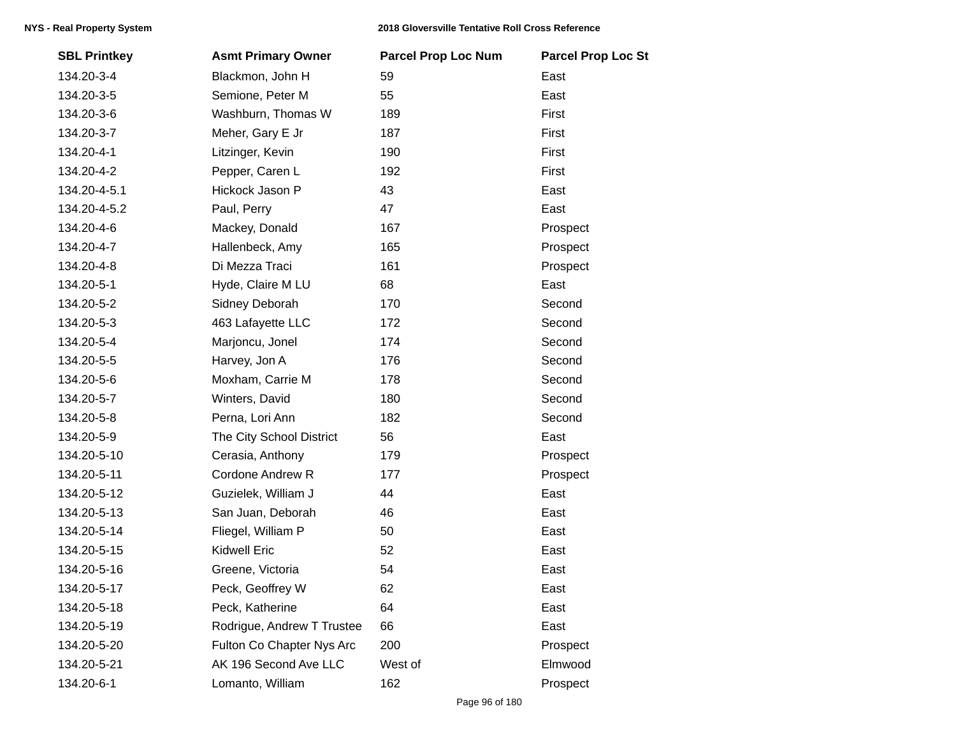| <b>SBL Printkey</b> | <b>Asmt Primary Owner</b>  | <b>Parcel Prop Loc Num</b> | <b>Parcel Prop Loc St</b> |
|---------------------|----------------------------|----------------------------|---------------------------|
| 134.20-3-4          | Blackmon, John H           | 59                         | East                      |
| 134.20-3-5          | Semione, Peter M           | 55                         | East                      |
| 134.20-3-6          | Washburn, Thomas W         | 189                        | First                     |
| 134.20-3-7          | Meher, Gary E Jr           | 187                        | First                     |
| 134.20-4-1          | Litzinger, Kevin           | 190                        | First                     |
| 134.20-4-2          | Pepper, Caren L            | 192                        | First                     |
| 134.20-4-5.1        | Hickock Jason P            | 43                         | East                      |
| 134.20-4-5.2        | Paul, Perry                | 47                         | East                      |
| 134.20-4-6          | Mackey, Donald             | 167                        | Prospect                  |
| 134.20-4-7          | Hallenbeck, Amy            | 165                        | Prospect                  |
| 134.20-4-8          | Di Mezza Traci             | 161                        | Prospect                  |
| 134.20-5-1          | Hyde, Claire M LU          | 68                         | East                      |
| 134.20-5-2          | Sidney Deborah             | 170                        | Second                    |
| 134.20-5-3          | 463 Lafayette LLC          | 172                        | Second                    |
| 134.20-5-4          | Marjoncu, Jonel            | 174                        | Second                    |
| 134.20-5-5          | Harvey, Jon A              | 176                        | Second                    |
| 134.20-5-6          | Moxham, Carrie M           | 178                        | Second                    |
| 134.20-5-7          | Winters, David             | 180                        | Second                    |
| 134.20-5-8          | Perna, Lori Ann            | 182                        | Second                    |
| 134.20-5-9          | The City School District   | 56                         | East                      |
| 134.20-5-10         | Cerasia, Anthony           | 179                        | Prospect                  |
| 134.20-5-11         | Cordone Andrew R           | 177                        | Prospect                  |
| 134.20-5-12         | Guzielek, William J        | 44                         | East                      |
| 134.20-5-13         | San Juan, Deborah          | 46                         | East                      |
| 134.20-5-14         | Fliegel, William P         | 50                         | East                      |
| 134.20-5-15         | <b>Kidwell Eric</b>        | 52                         | East                      |
| 134.20-5-16         | Greene, Victoria           | 54                         | East                      |
| 134.20-5-17         | Peck, Geoffrey W           | 62                         | East                      |
| 134.20-5-18         | Peck, Katherine            | 64                         | East                      |
| 134.20-5-19         | Rodrigue, Andrew T Trustee | 66                         | East                      |
| 134.20-5-20         | Fulton Co Chapter Nys Arc  | 200                        | Prospect                  |
| 134.20-5-21         | AK 196 Second Ave LLC      | West of                    | Elmwood                   |
| 134.20-6-1          | Lomanto, William           | 162                        | Prospect                  |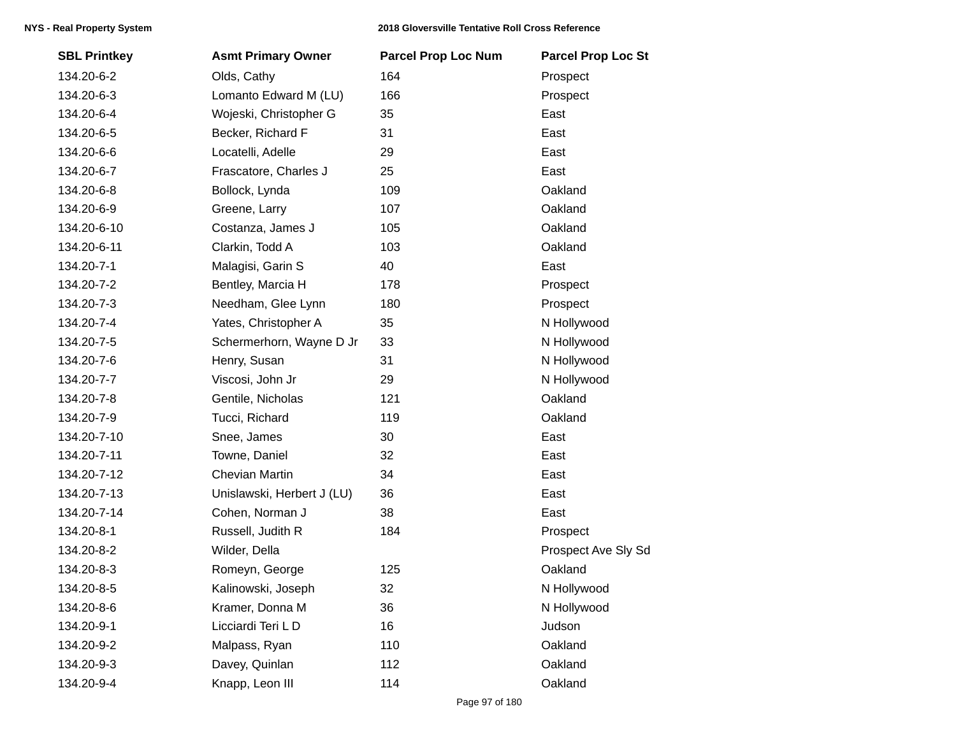| <b>SBL Printkey</b> | <b>Asmt Primary Owner</b>  | <b>Parcel Prop Loc Num</b> | <b>Parcel Prop Loc St</b> |
|---------------------|----------------------------|----------------------------|---------------------------|
| 134.20-6-2          | Olds, Cathy                | 164                        | Prospect                  |
| 134.20-6-3          | Lomanto Edward M (LU)      | 166                        | Prospect                  |
| 134.20-6-4          | Wojeski, Christopher G     | 35                         | East                      |
| 134.20-6-5          | Becker, Richard F          | 31                         | East                      |
| 134.20-6-6          | Locatelli, Adelle          | 29                         | East                      |
| 134.20-6-7          | Frascatore, Charles J      | 25                         | East                      |
| 134.20-6-8          | Bollock, Lynda             | 109                        | Oakland                   |
| 134.20-6-9          | Greene, Larry              | 107                        | Oakland                   |
| 134.20-6-10         | Costanza, James J          | 105                        | Oakland                   |
| 134.20-6-11         | Clarkin, Todd A            | 103                        | Oakland                   |
| 134.20-7-1          | Malagisi, Garin S          | 40                         | East                      |
| 134.20-7-2          | Bentley, Marcia H          | 178                        | Prospect                  |
| 134.20-7-3          | Needham, Glee Lynn         | 180                        | Prospect                  |
| 134.20-7-4          | Yates, Christopher A       | 35                         | N Hollywood               |
| 134.20-7-5          | Schermerhorn, Wayne D Jr   | 33                         | N Hollywood               |
| 134.20-7-6          | Henry, Susan               | 31                         | N Hollywood               |
| 134.20-7-7          | Viscosi, John Jr           | 29                         | N Hollywood               |
| 134.20-7-8          | Gentile, Nicholas          | 121                        | Oakland                   |
| 134.20-7-9          | Tucci, Richard             | 119                        | Oakland                   |
| 134.20-7-10         | Snee, James                | 30                         | East                      |
| 134.20-7-11         | Towne, Daniel              | 32                         | East                      |
| 134.20-7-12         | <b>Chevian Martin</b>      | 34                         | East                      |
| 134.20-7-13         | Unislawski, Herbert J (LU) | 36                         | East                      |
| 134.20-7-14         | Cohen, Norman J            | 38                         | East                      |
| 134.20-8-1          | Russell, Judith R          | 184                        | Prospect                  |
| 134.20-8-2          | Wilder, Della              |                            | Prospect Ave Sly Sd       |
| 134.20-8-3          | Romeyn, George             | 125                        | Oakland                   |
| 134.20-8-5          | Kalinowski, Joseph         | 32                         | N Hollywood               |
| 134.20-8-6          | Kramer, Donna M            | 36                         | N Hollywood               |
| 134.20-9-1          | Licciardi Teri LD          | 16                         | Judson                    |
| 134.20-9-2          | Malpass, Ryan              | 110                        | Oakland                   |
| 134.20-9-3          | Davey, Quinlan             | 112                        | Oakland                   |
| 134.20-9-4          | Knapp, Leon III            | 114                        | Oakland                   |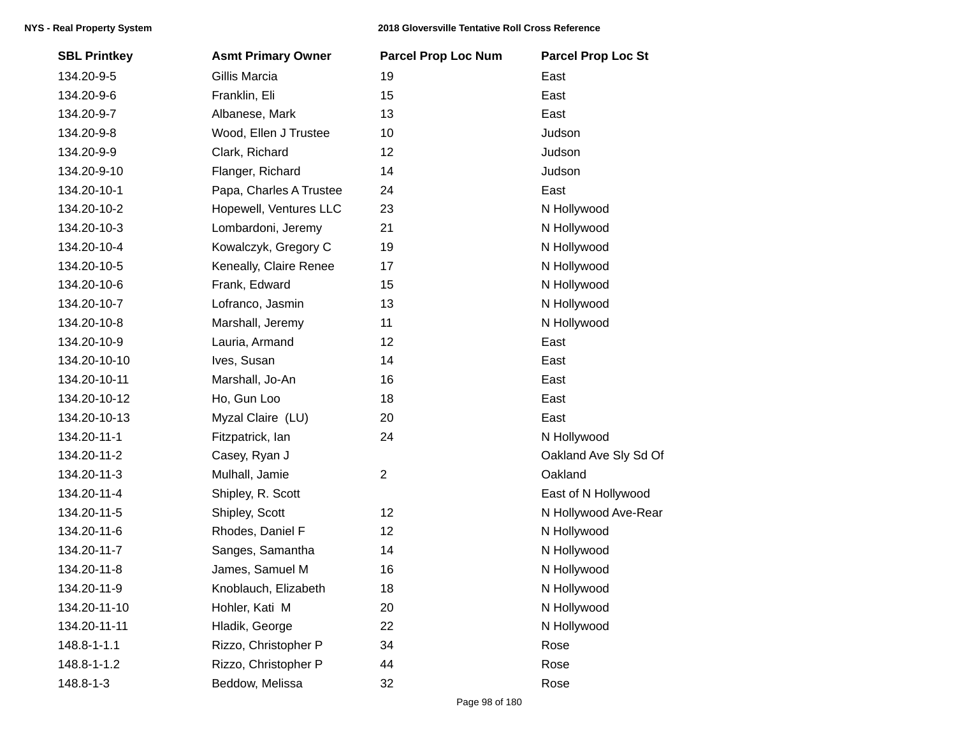| <b>SBL Printkey</b> | <b>Asmt Primary Owner</b> | <b>Parcel Prop Loc Num</b> | <b>Parcel Prop Loc St</b> |
|---------------------|---------------------------|----------------------------|---------------------------|
| 134.20-9-5          | Gillis Marcia             | 19                         | East                      |
| 134.20-9-6          | Franklin, Eli             | 15                         | East                      |
| 134.20-9-7          | Albanese, Mark            | 13                         | East                      |
| 134.20-9-8          | Wood, Ellen J Trustee     | 10 <sup>°</sup>            | Judson                    |
| 134.20-9-9          | Clark, Richard            | 12                         | Judson                    |
| 134.20-9-10         | Flanger, Richard          | 14                         | Judson                    |
| 134.20-10-1         | Papa, Charles A Trustee   | 24                         | East                      |
| 134.20-10-2         | Hopewell, Ventures LLC    | 23                         | N Hollywood               |
| 134.20-10-3         | Lombardoni, Jeremy        | 21                         | N Hollywood               |
| 134.20-10-4         | Kowalczyk, Gregory C      | 19                         | N Hollywood               |
| 134.20-10-5         | Keneally, Claire Renee    | 17                         | N Hollywood               |
| 134.20-10-6         | Frank, Edward             | 15                         | N Hollywood               |
| 134.20-10-7         | Lofranco, Jasmin          | 13                         | N Hollywood               |
| 134.20-10-8         | Marshall, Jeremy          | 11                         | N Hollywood               |
| 134.20-10-9         | Lauria, Armand            | 12                         | East                      |
| 134.20-10-10        | Ives, Susan               | 14                         | East                      |
| 134.20-10-11        | Marshall, Jo-An           | 16                         | East                      |
| 134.20-10-12        | Ho, Gun Loo               | 18                         | East                      |
| 134.20-10-13        | Myzal Claire (LU)         | 20                         | East                      |
| 134.20-11-1         | Fitzpatrick, lan          | 24                         | N Hollywood               |
| 134.20-11-2         | Casey, Ryan J             |                            | Oakland Ave Sly Sd Of     |
| 134.20-11-3         | Mulhall, Jamie            | $\overline{2}$             | Oakland                   |
| 134.20-11-4         | Shipley, R. Scott         |                            | East of N Hollywood       |
| 134.20-11-5         | Shipley, Scott            | 12                         | N Hollywood Ave-Rear      |
| 134.20-11-6         | Rhodes, Daniel F          | 12                         | N Hollywood               |
| 134.20-11-7         | Sanges, Samantha          | 14                         | N Hollywood               |
| 134.20-11-8         | James, Samuel M           | 16                         | N Hollywood               |
| 134.20-11-9         | Knoblauch, Elizabeth      | 18                         | N Hollywood               |
| 134.20-11-10        | Hohler, Kati M            | 20                         | N Hollywood               |
| 134.20-11-11        | Hladik, George            | 22                         | N Hollywood               |
| $148.8 - 1 - 1.1$   | Rizzo, Christopher P      | 34                         | Rose                      |
| 148.8-1-1.2         | Rizzo, Christopher P      | 44                         | Rose                      |
| 148.8-1-3           | Beddow, Melissa           | 32                         | Rose                      |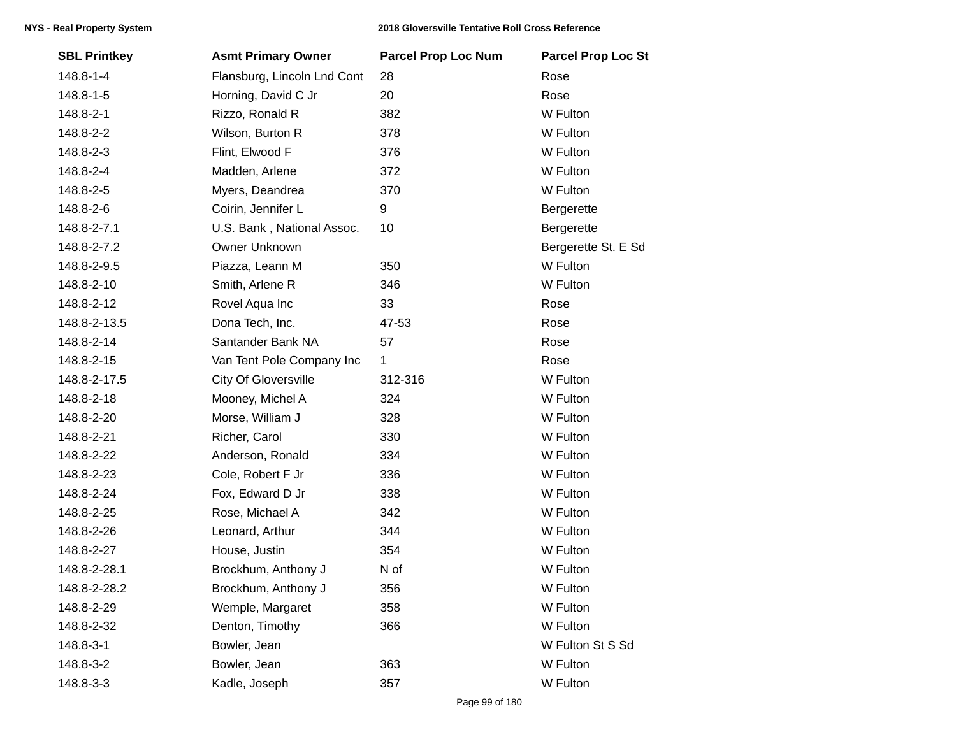| <b>SBL Printkey</b> | <b>Asmt Primary Owner</b>   | <b>Parcel Prop Loc Num</b> | <b>Parcel Prop Loc St</b> |
|---------------------|-----------------------------|----------------------------|---------------------------|
| 148.8-1-4           | Flansburg, Lincoln Lnd Cont | 28                         | Rose                      |
| 148.8-1-5           | Horning, David C Jr         | 20                         | Rose                      |
| 148.8-2-1           | Rizzo, Ronald R             | 382                        | W Fulton                  |
| 148.8-2-2           | Wilson, Burton R            | 378                        | W Fulton                  |
| 148.8-2-3           | Flint, Elwood F             | 376                        | W Fulton                  |
| 148.8-2-4           | Madden, Arlene              | 372                        | W Fulton                  |
| 148.8-2-5           | Myers, Deandrea             | 370                        | W Fulton                  |
| 148.8-2-6           | Coirin, Jennifer L          | 9                          | Bergerette                |
| 148.8-2-7.1         | U.S. Bank, National Assoc.  | 10                         | Bergerette                |
| 148.8-2-7.2         | Owner Unknown               |                            | Bergerette St. E Sd       |
| 148.8-2-9.5         | Piazza, Leann M             | 350                        | W Fulton                  |
| 148.8-2-10          | Smith, Arlene R             | 346                        | W Fulton                  |
| 148.8-2-12          | Rovel Aqua Inc              | 33                         | Rose                      |
| 148.8-2-13.5        | Dona Tech, Inc.             | 47-53                      | Rose                      |
| 148.8-2-14          | Santander Bank NA           | 57                         | Rose                      |
| 148.8-2-15          | Van Tent Pole Company Inc   | $\mathbf{1}$               | Rose                      |
| 148.8-2-17.5        | <b>City Of Gloversville</b> | 312-316                    | W Fulton                  |
| 148.8-2-18          | Mooney, Michel A            | 324                        | W Fulton                  |
| 148.8-2-20          | Morse, William J            | 328                        | W Fulton                  |
| 148.8-2-21          | Richer, Carol               | 330                        | W Fulton                  |
| 148.8-2-22          | Anderson, Ronald            | 334                        | W Fulton                  |
| 148.8-2-23          | Cole, Robert F Jr           | 336                        | W Fulton                  |
| 148.8-2-24          | Fox, Edward D Jr            | 338                        | W Fulton                  |
| 148.8-2-25          | Rose, Michael A             | 342                        | W Fulton                  |
| 148.8-2-26          | Leonard, Arthur             | 344                        | W Fulton                  |
| 148.8-2-27          | House, Justin               | 354                        | W Fulton                  |
| 148.8-2-28.1        | Brockhum, Anthony J         | N of                       | W Fulton                  |
| 148.8-2-28.2        | Brockhum, Anthony J         | 356                        | W Fulton                  |
| 148.8-2-29          | Wemple, Margaret            | 358                        | W Fulton                  |
| 148.8-2-32          | Denton, Timothy             | 366                        | W Fulton                  |
| 148.8-3-1           | Bowler, Jean                |                            | W Fulton St S Sd          |
| 148.8-3-2           | Bowler, Jean                | 363                        | W Fulton                  |
| 148.8-3-3           | Kadle, Joseph               | 357                        | W Fulton                  |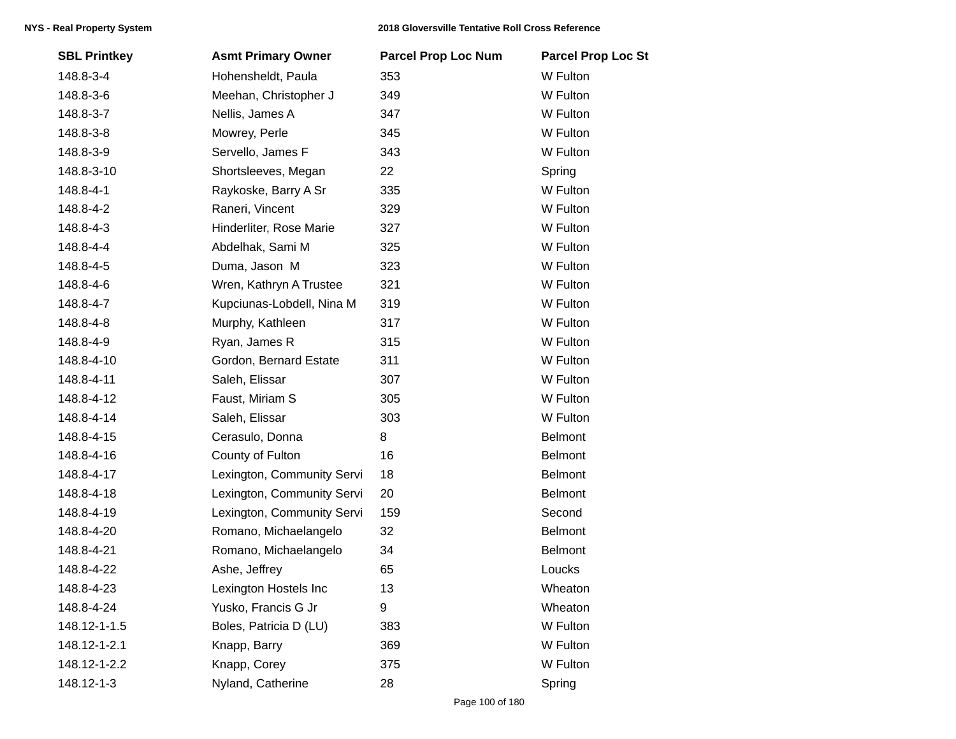| <b>SBL Printkey</b> | <b>Asmt Primary Owner</b>  | <b>Parcel Prop Loc Num</b> | <b>Parcel Prop Loc St</b> |
|---------------------|----------------------------|----------------------------|---------------------------|
| 148.8-3-4           | Hohensheldt, Paula         | 353                        | W Fulton                  |
| 148.8-3-6           | Meehan, Christopher J      | 349                        | W Fulton                  |
| 148.8-3-7           | Nellis, James A            | 347                        | W Fulton                  |
| 148.8-3-8           | Mowrey, Perle              | 345                        | W Fulton                  |
| 148.8-3-9           | Servello, James F          | 343                        | W Fulton                  |
| 148.8-3-10          | Shortsleeves, Megan        | 22                         | Spring                    |
| 148.8-4-1           | Raykoske, Barry A Sr       | 335                        | W Fulton                  |
| 148.8-4-2           | Raneri, Vincent            | 329                        | W Fulton                  |
| 148.8-4-3           | Hinderliter, Rose Marie    | 327                        | W Fulton                  |
| 148.8-4-4           | Abdelhak, Sami M           | 325                        | W Fulton                  |
| 148.8-4-5           | Duma, Jason M              | 323                        | W Fulton                  |
| 148.8-4-6           | Wren, Kathryn A Trustee    | 321                        | W Fulton                  |
| 148.8-4-7           | Kupciunas-Lobdell, Nina M  | 319                        | W Fulton                  |
| 148.8-4-8           | Murphy, Kathleen           | 317                        | W Fulton                  |
| 148.8-4-9           | Ryan, James R              | 315                        | W Fulton                  |
| 148.8-4-10          | Gordon, Bernard Estate     | 311                        | W Fulton                  |
| 148.8-4-11          | Saleh, Elissar             | 307                        | W Fulton                  |
| 148.8-4-12          | Faust, Miriam S            | 305                        | W Fulton                  |
| 148.8-4-14          | Saleh, Elissar             | 303                        | W Fulton                  |
| 148.8-4-15          | Cerasulo, Donna            | 8                          | <b>Belmont</b>            |
| 148.8-4-16          | County of Fulton           | 16                         | <b>Belmont</b>            |
| 148.8-4-17          | Lexington, Community Servi | 18                         | <b>Belmont</b>            |
| 148.8-4-18          | Lexington, Community Servi | 20                         | <b>Belmont</b>            |
| 148.8-4-19          | Lexington, Community Servi | 159                        | Second                    |
| 148.8-4-20          | Romano, Michaelangelo      | 32                         | <b>Belmont</b>            |
| 148.8-4-21          | Romano, Michaelangelo      | 34                         | <b>Belmont</b>            |
| 148.8-4-22          | Ashe, Jeffrey              | 65                         | Loucks                    |
| 148.8-4-23          | Lexington Hostels Inc      | 13                         | Wheaton                   |
| 148.8-4-24          | Yusko, Francis G Jr        | 9                          | Wheaton                   |
| 148.12-1-1.5        | Boles, Patricia D (LU)     | 383                        | W Fulton                  |
| 148.12-1-2.1        | Knapp, Barry               | 369                        | W Fulton                  |
| 148.12-1-2.2        | Knapp, Corey               | 375                        | W Fulton                  |
| 148.12-1-3          | Nyland, Catherine          | 28                         | Spring                    |
|                     |                            |                            |                           |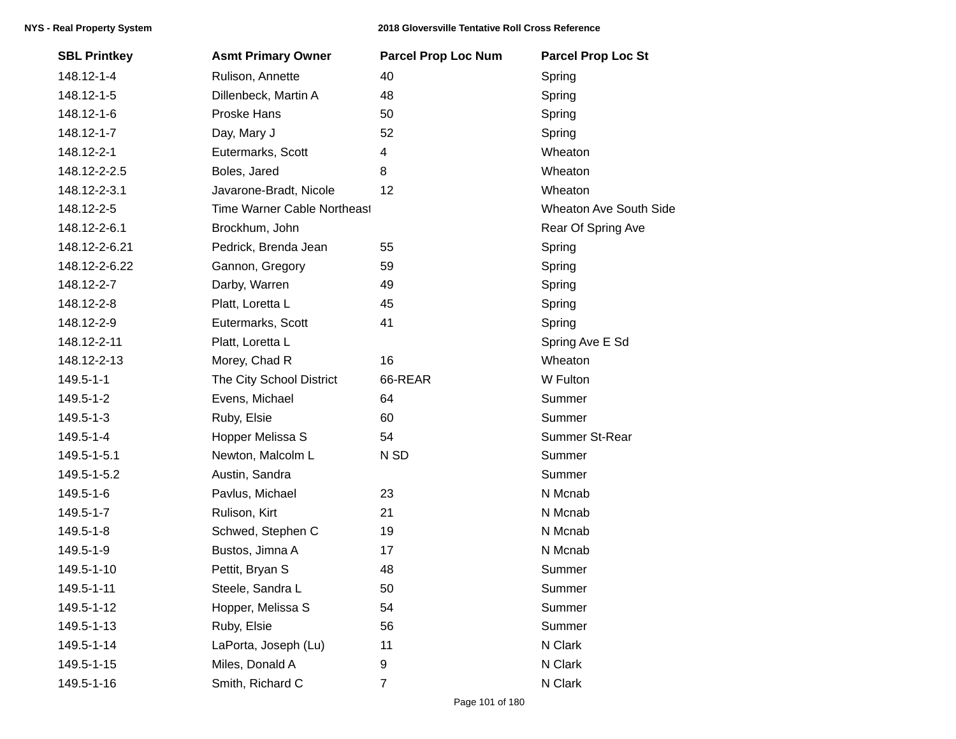## **NYS - Real Property System 2018 Gloversville Tentative Roll Cross Reference**

| <b>SBL Printkey</b> | <b>Asmt Primary Owner</b>   | <b>Parcel Prop Loc Num</b> | <b>Parcel Prop Loc St</b>     |
|---------------------|-----------------------------|----------------------------|-------------------------------|
| 148.12-1-4          | Rulison, Annette            | 40                         | Spring                        |
| 148.12-1-5          | Dillenbeck, Martin A        | 48                         | Spring                        |
| 148.12-1-6          | Proske Hans                 | 50                         | Spring                        |
| 148.12-1-7          | Day, Mary J                 | 52                         | Spring                        |
| 148.12-2-1          | Eutermarks, Scott           | 4                          | Wheaton                       |
| 148.12-2-2.5        | Boles, Jared                | 8                          | Wheaton                       |
| 148.12-2-3.1        | Javarone-Bradt, Nicole      | 12                         | Wheaton                       |
| 148.12-2-5          | Time Warner Cable Northeast |                            | <b>Wheaton Ave South Side</b> |
| 148.12-2-6.1        | Brockhum, John              |                            | Rear Of Spring Ave            |
| 148.12-2-6.21       | Pedrick, Brenda Jean        | 55                         | Spring                        |
| 148.12-2-6.22       | Gannon, Gregory             | 59                         | Spring                        |
| 148.12-2-7          | Darby, Warren               | 49                         | Spring                        |
| 148.12-2-8          | Platt, Loretta L            | 45                         | Spring                        |
| 148.12-2-9          | Eutermarks, Scott           | 41                         | Spring                        |
| 148.12-2-11         | Platt, Loretta L            |                            | Spring Ave E Sd               |
| 148.12-2-13         | Morey, Chad R               | 16                         | Wheaton                       |
| $149.5 - 1 - 1$     | The City School District    | 66-REAR                    | W Fulton                      |
| 149.5-1-2           | Evens, Michael              | 64                         | Summer                        |
| 149.5-1-3           | Ruby, Elsie                 | 60                         | Summer                        |
| 149.5-1-4           | Hopper Melissa S            | 54                         | Summer St-Rear                |
| 149.5-1-5.1         | Newton, Malcolm L           | N SD                       | Summer                        |
| 149.5-1-5.2         | Austin, Sandra              |                            | Summer                        |
| 149.5-1-6           | Pavlus, Michael             | 23                         | N Mcnab                       |
| 149.5-1-7           | Rulison, Kirt               | 21                         | N Mcnab                       |
| 149.5-1-8           | Schwed, Stephen C           | 19                         | N Mcnab                       |
| 149.5-1-9           | Bustos, Jimna A             | 17                         | N Mcnab                       |
| 149.5-1-10          | Pettit, Bryan S             | 48                         | Summer                        |
| 149.5-1-11          | Steele, Sandra L            | 50                         | Summer                        |
| 149.5-1-12          | Hopper, Melissa S           | 54                         | Summer                        |
| 149.5-1-13          | Ruby, Elsie                 | 56                         | Summer                        |
| 149.5-1-14          | LaPorta, Joseph (Lu)        | 11                         | N Clark                       |
| 149.5-1-15          | Miles, Donald A             | 9                          | N Clark                       |
| 149.5-1-16          | Smith, Richard C            | $\overline{7}$             | N Clark                       |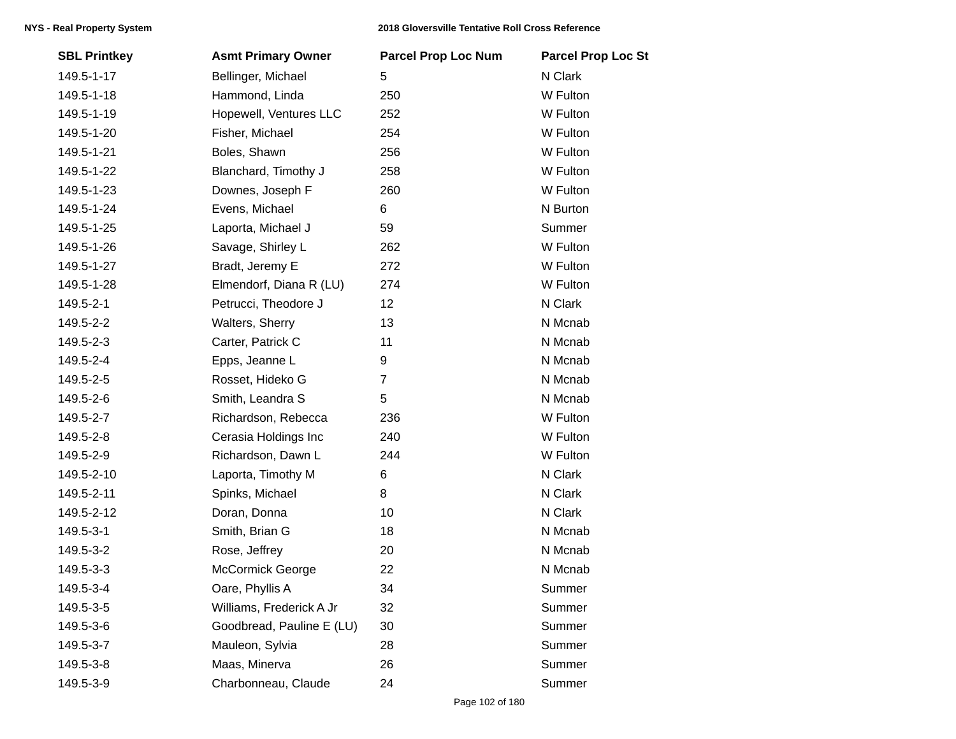| <b>SBL Printkey</b> | <b>Asmt Primary Owner</b> | <b>Parcel Prop Loc Num</b> | <b>Parcel Prop Loc St</b> |
|---------------------|---------------------------|----------------------------|---------------------------|
| 149.5-1-17          | Bellinger, Michael        | 5                          | N Clark                   |
| 149.5-1-18          | Hammond, Linda            | 250                        | W Fulton                  |
| 149.5-1-19          | Hopewell, Ventures LLC    | 252                        | W Fulton                  |
| 149.5-1-20          | Fisher, Michael           | 254                        | W Fulton                  |
| 149.5-1-21          | Boles, Shawn              | 256                        | W Fulton                  |
| 149.5-1-22          | Blanchard, Timothy J      | 258                        | W Fulton                  |
| 149.5-1-23          | Downes, Joseph F          | 260                        | W Fulton                  |
| 149.5-1-24          | Evens, Michael            | 6                          | N Burton                  |
| 149.5-1-25          | Laporta, Michael J        | 59                         | Summer                    |
| 149.5-1-26          | Savage, Shirley L         | 262                        | W Fulton                  |
| 149.5-1-27          | Bradt, Jeremy E           | 272                        | W Fulton                  |
| 149.5-1-28          | Elmendorf, Diana R (LU)   | 274                        | W Fulton                  |
| 149.5-2-1           | Petrucci, Theodore J      | 12                         | N Clark                   |
| 149.5-2-2           | Walters, Sherry           | 13                         | N Mcnab                   |
| 149.5-2-3           | Carter, Patrick C         | 11                         | N Mcnab                   |
| 149.5-2-4           | Epps, Jeanne L            | 9                          | N Mcnab                   |
| 149.5-2-5           | Rosset, Hideko G          | $\overline{7}$             | N Mcnab                   |
| 149.5-2-6           | Smith, Leandra S          | 5                          | N Mcnab                   |
| 149.5-2-7           | Richardson, Rebecca       | 236                        | W Fulton                  |
| 149.5-2-8           | Cerasia Holdings Inc      | 240                        | W Fulton                  |
| 149.5-2-9           | Richardson, Dawn L        | 244                        | W Fulton                  |
| 149.5-2-10          | Laporta, Timothy M        | 6                          | N Clark                   |
| 149.5-2-11          | Spinks, Michael           | 8                          | N Clark                   |
| 149.5-2-12          | Doran, Donna              | 10                         | N Clark                   |
| 149.5-3-1           | Smith, Brian G            | 18                         | N Mcnab                   |
| 149.5-3-2           | Rose, Jeffrey             | 20                         | N Mcnab                   |
| 149.5-3-3           | <b>McCormick George</b>   | 22                         | N Mcnab                   |
| 149.5-3-4           | Oare, Phyllis A           | 34                         | Summer                    |
| 149.5-3-5           | Williams, Frederick A Jr  | 32                         | Summer                    |
| 149.5-3-6           | Goodbread, Pauline E (LU) | 30                         | Summer                    |
| 149.5-3-7           | Mauleon, Sylvia           | 28                         | Summer                    |
| 149.5-3-8           | Maas, Minerva             | 26                         | Summer                    |
| 149.5-3-9           | Charbonneau, Claude       | 24                         | Summer                    |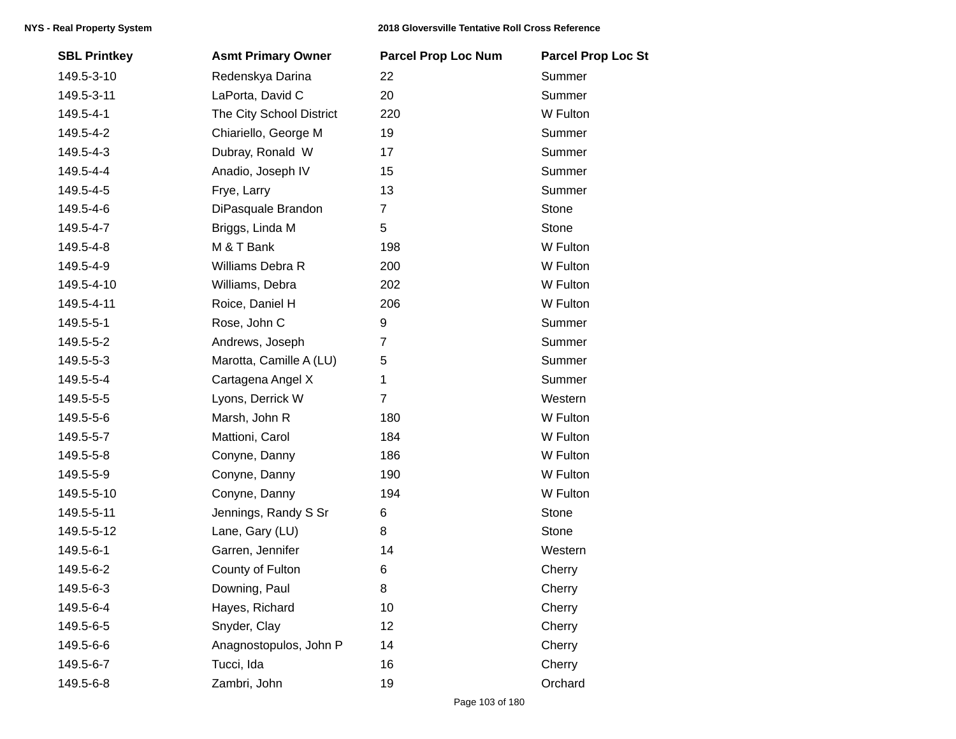## **NYS - Real Property System 2018 Gloversville Tentative Roll Cross Reference**

| <b>SBL Printkey</b> | <b>Asmt Primary Owner</b> | <b>Parcel Prop Loc Num</b> | <b>Parcel Prop Loc St</b> |
|---------------------|---------------------------|----------------------------|---------------------------|
| 149.5-3-10          | Redenskya Darina          | 22                         | Summer                    |
| 149.5-3-11          | LaPorta, David C          | 20                         | Summer                    |
| 149.5-4-1           | The City School District  | 220                        | W Fulton                  |
| 149.5-4-2           | Chiariello, George M      | 19                         | Summer                    |
| 149.5-4-3           | Dubray, Ronald W          | 17                         | Summer                    |
| 149.5-4-4           | Anadio, Joseph IV         | 15                         | Summer                    |
| 149.5-4-5           | Frye, Larry               | 13                         | Summer                    |
| 149.5-4-6           | DiPasquale Brandon        | $\overline{7}$             | Stone                     |
| 149.5-4-7           | Briggs, Linda M           | 5                          | Stone                     |
| 149.5-4-8           | M & T Bank                | 198                        | W Fulton                  |
| 149.5-4-9           | Williams Debra R          | 200                        | W Fulton                  |
| 149.5-4-10          | Williams, Debra           | 202                        | W Fulton                  |
| 149.5-4-11          | Roice, Daniel H           | 206                        | W Fulton                  |
| 149.5-5-1           | Rose, John C              | 9                          | Summer                    |
| 149.5-5-2           | Andrews, Joseph           | 7                          | Summer                    |
| 149.5-5-3           | Marotta, Camille A (LU)   | 5                          | Summer                    |
| 149.5-5-4           | Cartagena Angel X         | 1                          | Summer                    |
| 149.5-5-5           | Lyons, Derrick W          | 7                          | Western                   |
| 149.5-5-6           | Marsh, John R             | 180                        | W Fulton                  |
| 149.5-5-7           | Mattioni, Carol           | 184                        | W Fulton                  |
| 149.5-5-8           | Conyne, Danny             | 186                        | W Fulton                  |
| 149.5-5-9           | Conyne, Danny             | 190                        | W Fulton                  |
| 149.5-5-10          | Conyne, Danny             | 194                        | W Fulton                  |
| 149.5-5-11          | Jennings, Randy S Sr      | 6                          | Stone                     |
| 149.5-5-12          | Lane, Gary (LU)           | 8                          | Stone                     |
| 149.5-6-1           | Garren, Jennifer          | 14                         | Western                   |
| 149.5-6-2           | County of Fulton          | 6                          | Cherry                    |
| 149.5-6-3           | Downing, Paul             | 8                          | Cherry                    |
| 149.5-6-4           | Hayes, Richard            | 10                         | Cherry                    |
| 149.5-6-5           | Snyder, Clay              | 12                         | Cherry                    |
| 149.5-6-6           | Anagnostopulos, John P    | 14                         | Cherry                    |
| 149.5-6-7           | Tucci, Ida                | 16                         | Cherry                    |
| 149.5-6-8           | Zambri, John              | 19                         | Orchard                   |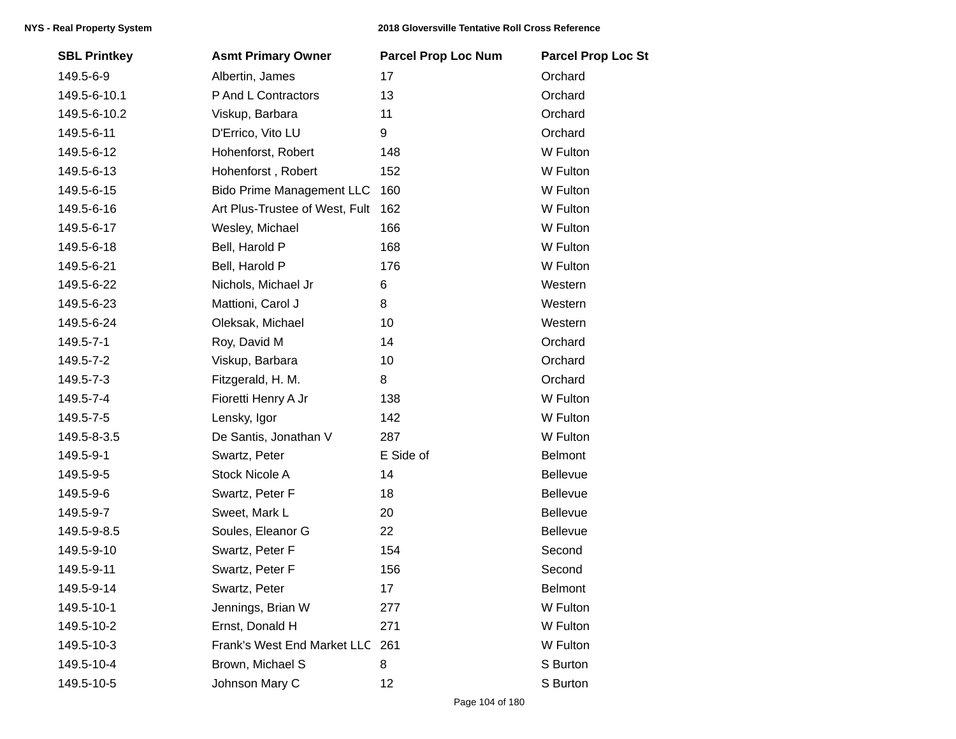| <b>SBL Printkey</b> | <b>Asmt Primary Owner</b>        | <b>Parcel Prop Loc Num</b> | <b>Parcel Prop Loc St</b> |
|---------------------|----------------------------------|----------------------------|---------------------------|
| 149.5-6-9           | Albertin, James                  | 17                         | Orchard                   |
| 149.5-6-10.1        | P And L Contractors              | 13                         | Orchard                   |
| 149.5-6-10.2        | Viskup, Barbara                  | 11                         | Orchard                   |
| 149.5-6-11          | D'Errico, Vito LU                | 9                          | Orchard                   |
| 149.5-6-12          | Hohenforst, Robert               | 148                        | W Fulton                  |
| 149.5-6-13          | Hohenforst, Robert               | 152                        | W Fulton                  |
| 149.5-6-15          | <b>Bido Prime Management LLC</b> | 160                        | W Fulton                  |
| 149.5-6-16          | Art Plus-Trustee of West, Fult   | 162                        | W Fulton                  |
| 149.5-6-17          | Wesley, Michael                  | 166                        | W Fulton                  |
| 149.5-6-18          | Bell, Harold P                   | 168                        | W Fulton                  |
| 149.5-6-21          | Bell, Harold P                   | 176                        | W Fulton                  |
| 149.5-6-22          | Nichols, Michael Jr              | 6                          | Western                   |
| 149.5-6-23          | Mattioni, Carol J                | 8                          | Western                   |
| 149.5-6-24          | Oleksak, Michael                 | 10                         | Western                   |
| 149.5-7-1           | Roy, David M                     | 14                         | Orchard                   |
| 149.5-7-2           | Viskup, Barbara                  | 10                         | Orchard                   |
| 149.5-7-3           | Fitzgerald, H. M.                | 8                          | Orchard                   |
| 149.5-7-4           | Fioretti Henry A Jr              | 138                        | W Fulton                  |
| 149.5-7-5           | Lensky, Igor                     | 142                        | W Fulton                  |
| 149.5-8-3.5         | De Santis, Jonathan V            | 287                        | W Fulton                  |
| 149.5-9-1           | Swartz, Peter                    | E Side of                  | Belmont                   |
| 149.5-9-5           | <b>Stock Nicole A</b>            | 14                         | Bellevue                  |
| 149.5-9-6           | Swartz, Peter F                  | 18                         | Bellevue                  |
| 149.5-9-7           | Sweet, Mark L                    | 20                         | Bellevue                  |
| 149.5-9-8.5         | Soules, Eleanor G                | 22                         | Bellevue                  |
| 149.5-9-10          | Swartz, Peter F                  | 154                        | Second                    |
| 149.5-9-11          | Swartz, Peter F                  | 156                        | Second                    |
| 149.5-9-14          | Swartz, Peter                    | 17                         | Belmont                   |
| 149.5-10-1          | Jennings, Brian W                | 277                        | W Fulton                  |
| 149.5-10-2          | Ernst, Donald H                  | 271                        | W Fulton                  |
| 149.5-10-3          | Frank's West End Market LLC      | 261                        | W Fulton                  |
| 149.5-10-4          | Brown, Michael S                 | 8                          | S Burton                  |
| 149.5-10-5          | Johnson Mary C                   | 12                         | S Burton                  |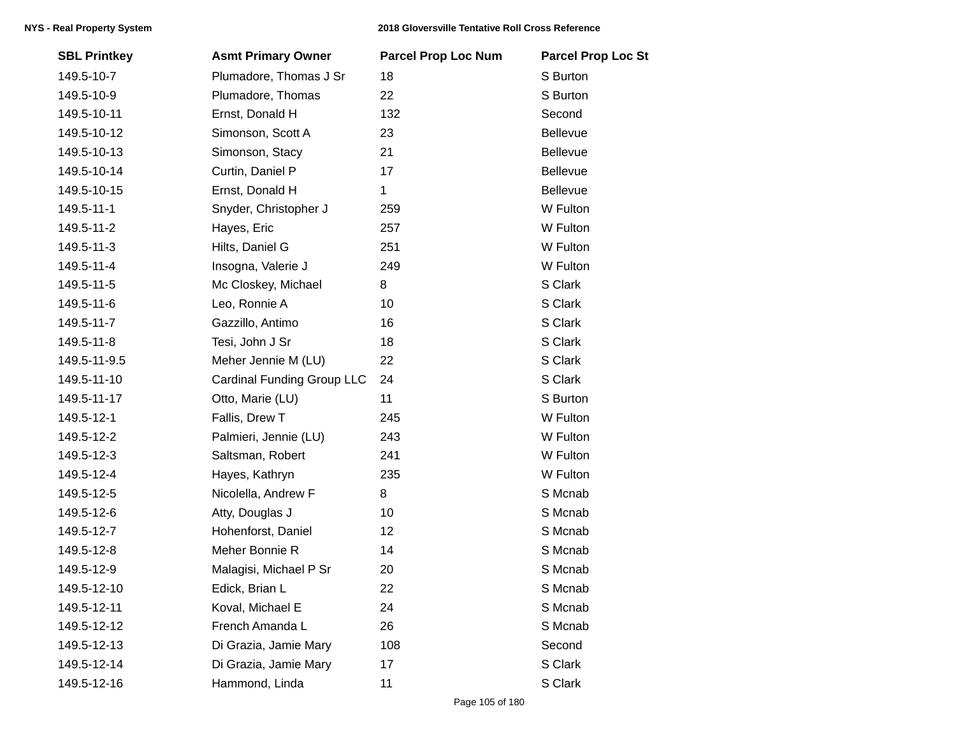| <b>SBL Printkey</b> | <b>Asmt Primary Owner</b>         | <b>Parcel Prop Loc Num</b> | <b>Parcel Prop Loc St</b> |
|---------------------|-----------------------------------|----------------------------|---------------------------|
| 149.5-10-7          | Plumadore, Thomas J Sr            | 18                         | S Burton                  |
| 149.5-10-9          | Plumadore, Thomas                 | 22                         | S Burton                  |
| 149.5-10-11         | Ernst, Donald H                   | 132                        | Second                    |
| 149.5-10-12         | Simonson, Scott A                 | 23                         | Bellevue                  |
| 149.5-10-13         | Simonson, Stacy                   | 21                         | Bellevue                  |
| 149.5-10-14         | Curtin, Daniel P                  | 17                         | Bellevue                  |
| 149.5-10-15         | Ernst, Donald H                   | $\mathbf{1}$               | Bellevue                  |
| 149.5-11-1          | Snyder, Christopher J             | 259                        | W Fulton                  |
| 149.5-11-2          | Hayes, Eric                       | 257                        | W Fulton                  |
| 149.5-11-3          | Hilts, Daniel G                   | 251                        | W Fulton                  |
| 149.5-11-4          | Insogna, Valerie J                | 249                        | W Fulton                  |
| 149.5-11-5          | Mc Closkey, Michael               | 8                          | S Clark                   |
| 149.5-11-6          | Leo, Ronnie A                     | 10                         | S Clark                   |
| 149.5-11-7          | Gazzillo, Antimo                  | 16                         | S Clark                   |
| 149.5-11-8          | Tesi, John J Sr                   | 18                         | S Clark                   |
| 149.5-11-9.5        | Meher Jennie M (LU)               | 22                         | S Clark                   |
| 149.5-11-10         | <b>Cardinal Funding Group LLC</b> | 24                         | S Clark                   |
| 149.5-11-17         | Otto, Marie (LU)                  | 11                         | S Burton                  |
| 149.5-12-1          | Fallis, Drew T                    | 245                        | W Fulton                  |
| 149.5-12-2          | Palmieri, Jennie (LU)             | 243                        | W Fulton                  |
| 149.5-12-3          | Saltsman, Robert                  | 241                        | W Fulton                  |
| 149.5-12-4          | Hayes, Kathryn                    | 235                        | W Fulton                  |
| 149.5-12-5          | Nicolella, Andrew F               | 8                          | S Mcnab                   |
| 149.5-12-6          | Atty, Douglas J                   | 10                         | S Mcnab                   |
| 149.5-12-7          | Hohenforst, Daniel                | 12                         | S Mcnab                   |
| 149.5-12-8          | Meher Bonnie R                    | 14                         | S Mcnab                   |
| 149.5-12-9          | Malagisi, Michael P Sr            | 20                         | S Mcnab                   |
| 149.5-12-10         | Edick, Brian L                    | 22                         | S Mcnab                   |
| 149.5-12-11         | Koval, Michael E                  | 24                         | S Mcnab                   |
| 149.5-12-12         | French Amanda L                   | 26                         | S Mcnab                   |
| 149.5-12-13         | Di Grazia, Jamie Mary             | 108                        | Second                    |
| 149.5-12-14         | Di Grazia, Jamie Mary             | 17                         | S Clark                   |
| 149.5-12-16         | Hammond, Linda                    | 11                         | S Clark                   |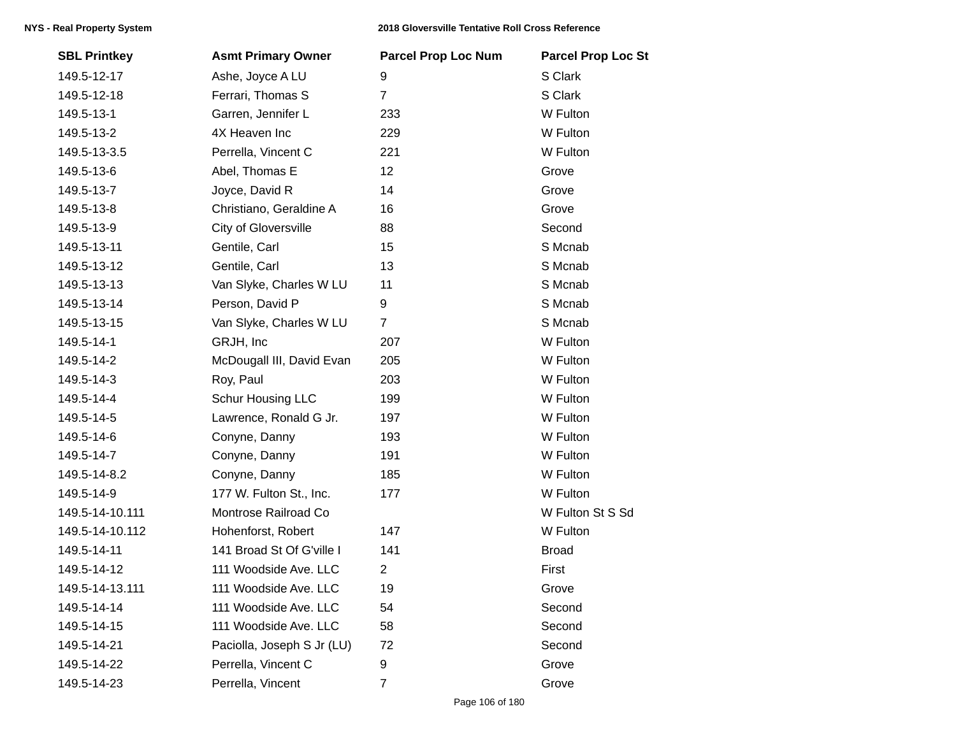| <b>SBL Printkey</b> | <b>Asmt Primary Owner</b>  | <b>Parcel Prop Loc Num</b> | <b>Parcel Prop Loc St</b> |
|---------------------|----------------------------|----------------------------|---------------------------|
| 149.5-12-17         | Ashe, Joyce A LU           | 9                          | S Clark                   |
| 149.5-12-18         | Ferrari, Thomas S          | $\overline{7}$             | S Clark                   |
| 149.5-13-1          | Garren, Jennifer L         | 233                        | W Fulton                  |
| 149.5-13-2          | 4X Heaven Inc              | 229                        | W Fulton                  |
| 149.5-13-3.5        | Perrella, Vincent C        | 221                        | W Fulton                  |
| 149.5-13-6          | Abel, Thomas E             | 12                         | Grove                     |
| 149.5-13-7          | Joyce, David R             | 14                         | Grove                     |
| 149.5-13-8          | Christiano, Geraldine A    | 16                         | Grove                     |
| 149.5-13-9          | City of Gloversville       | 88                         | Second                    |
| 149.5-13-11         | Gentile, Carl              | 15                         | S Mcnab                   |
| 149.5-13-12         | Gentile, Carl              | 13                         | S Mcnab                   |
| 149.5-13-13         | Van Slyke, Charles W LU    | 11                         | S Mcnab                   |
| 149.5-13-14         | Person, David P            | 9                          | S Mcnab                   |
| 149.5-13-15         | Van Slyke, Charles W LU    | $\overline{7}$             | S Mcnab                   |
| 149.5-14-1          | GRJH, Inc                  | 207                        | W Fulton                  |
| 149.5-14-2          | McDougall III, David Evan  | 205                        | W Fulton                  |
| 149.5-14-3          | Roy, Paul                  | 203                        | W Fulton                  |
| 149.5-14-4          | Schur Housing LLC          | 199                        | W Fulton                  |
| 149.5-14-5          | Lawrence, Ronald G Jr.     | 197                        | W Fulton                  |
| 149.5-14-6          | Conyne, Danny              | 193                        | W Fulton                  |
| 149.5-14-7          | Conyne, Danny              | 191                        | W Fulton                  |
| 149.5-14-8.2        | Conyne, Danny              | 185                        | W Fulton                  |
| 149.5-14-9          | 177 W. Fulton St., Inc.    | 177                        | W Fulton                  |
| 149.5-14-10.111     | Montrose Railroad Co       |                            | W Fulton St S Sd          |
| 149.5-14-10.112     | Hohenforst, Robert         | 147                        | W Fulton                  |
| 149.5-14-11         | 141 Broad St Of G'ville I  | 141                        | <b>Broad</b>              |
| 149.5-14-12         | 111 Woodside Ave. LLC      | $\overline{2}$             | First                     |
| 149.5-14-13.111     | 111 Woodside Ave. LLC      | 19                         | Grove                     |
| 149.5-14-14         | 111 Woodside Ave. LLC      | 54                         | Second                    |
| 149.5-14-15         | 111 Woodside Ave. LLC      | 58                         | Second                    |
| 149.5-14-21         | Paciolla, Joseph S Jr (LU) | 72                         | Second                    |
| 149.5-14-22         | Perrella, Vincent C        | 9                          | Grove                     |
| 149.5-14-23         | Perrella, Vincent          | $\overline{7}$             | Grove                     |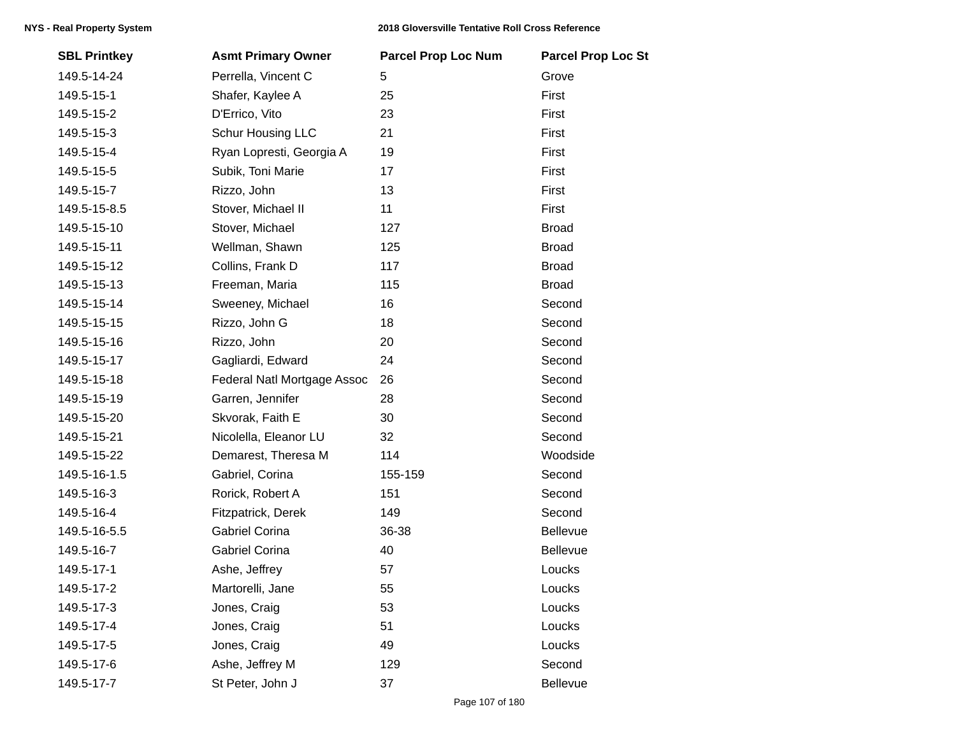| <b>SBL Printkey</b> | <b>Asmt Primary Owner</b>   | <b>Parcel Prop Loc Num</b> | <b>Parcel Prop Loc St</b> |
|---------------------|-----------------------------|----------------------------|---------------------------|
| 149.5-14-24         | Perrella, Vincent C         | 5                          | Grove                     |
| 149.5-15-1          | Shafer, Kaylee A            | 25                         | First                     |
| 149.5-15-2          | D'Errico, Vito              | 23                         | First                     |
| 149.5-15-3          | Schur Housing LLC           | 21                         | First                     |
| 149.5-15-4          | Ryan Lopresti, Georgia A    | 19                         | First                     |
| 149.5-15-5          | Subik, Toni Marie           | 17                         | First                     |
| 149.5-15-7          | Rizzo, John                 | 13                         | First                     |
| 149.5-15-8.5        | Stover, Michael II          | 11                         | First                     |
| 149.5-15-10         | Stover, Michael             | 127                        | <b>Broad</b>              |
| 149.5-15-11         | Wellman, Shawn              | 125                        | <b>Broad</b>              |
| 149.5-15-12         | Collins, Frank D            | 117                        | <b>Broad</b>              |
| 149.5-15-13         | Freeman, Maria              | 115                        | <b>Broad</b>              |
| 149.5-15-14         | Sweeney, Michael            | 16                         | Second                    |
| 149.5-15-15         | Rizzo, John G               | 18                         | Second                    |
| 149.5-15-16         | Rizzo, John                 | 20                         | Second                    |
| 149.5-15-17         | Gagliardi, Edward           | 24                         | Second                    |
| 149.5-15-18         | Federal Natl Mortgage Assoc | 26                         | Second                    |
| 149.5-15-19         | Garren, Jennifer            | 28                         | Second                    |
| 149.5-15-20         | Skvorak, Faith E            | 30                         | Second                    |
| 149.5-15-21         | Nicolella, Eleanor LU       | 32                         | Second                    |
| 149.5-15-22         | Demarest, Theresa M         | 114                        | Woodside                  |
| 149.5-16-1.5        | Gabriel, Corina             | 155-159                    | Second                    |
| 149.5-16-3          | Rorick, Robert A            | 151                        | Second                    |
| 149.5-16-4          | Fitzpatrick, Derek          | 149                        | Second                    |
| 149.5-16-5.5        | <b>Gabriel Corina</b>       | 36-38                      | Bellevue                  |
| 149.5-16-7          | Gabriel Corina              | 40                         | Bellevue                  |
| 149.5-17-1          | Ashe, Jeffrey               | 57                         | Loucks                    |
| 149.5-17-2          | Martorelli, Jane            | 55                         | Loucks                    |
| 149.5-17-3          | Jones, Craig                | 53                         | Loucks                    |
| 149.5-17-4          | Jones, Craig                | 51                         | Loucks                    |
| 149.5-17-5          | Jones, Craig                | 49                         | Loucks                    |
| 149.5-17-6          | Ashe, Jeffrey M             | 129                        | Second                    |
| 149.5-17-7          | St Peter, John J            | 37                         | Bellevue                  |
|                     |                             |                            |                           |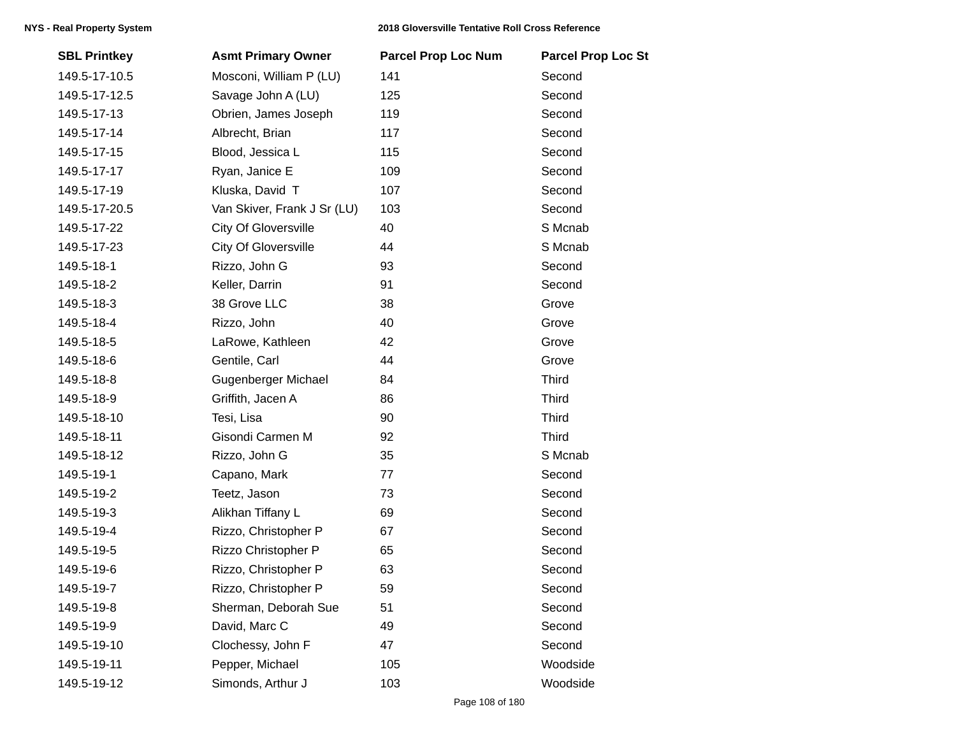| <b>SBL Printkey</b> | <b>Asmt Primary Owner</b>   | <b>Parcel Prop Loc Num</b> | <b>Parcel Prop Loc St</b> |
|---------------------|-----------------------------|----------------------------|---------------------------|
| 149.5-17-10.5       | Mosconi, William P (LU)     | 141                        | Second                    |
| 149.5-17-12.5       | Savage John A (LU)          | 125                        | Second                    |
| 149.5-17-13         | Obrien, James Joseph        | 119                        | Second                    |
| 149.5-17-14         | Albrecht, Brian             | 117                        | Second                    |
| 149.5-17-15         | Blood, Jessica L            | 115                        | Second                    |
| 149.5-17-17         | Ryan, Janice E              | 109                        | Second                    |
| 149.5-17-19         | Kluska, David T             | 107                        | Second                    |
| 149.5-17-20.5       | Van Skiver, Frank J Sr (LU) | 103                        | Second                    |
| 149.5-17-22         | City Of Gloversville        | 40                         | S Mcnab                   |
| 149.5-17-23         | City Of Gloversville        | 44                         | S Mcnab                   |
| 149.5-18-1          | Rizzo, John G               | 93                         | Second                    |
| 149.5-18-2          | Keller, Darrin              | 91                         | Second                    |
| 149.5-18-3          | 38 Grove LLC                | 38                         | Grove                     |
| 149.5-18-4          | Rizzo, John                 | 40                         | Grove                     |
| 149.5-18-5          | LaRowe, Kathleen            | 42                         | Grove                     |
| 149.5-18-6          | Gentile, Carl               | 44                         | Grove                     |
| 149.5-18-8          | Gugenberger Michael         | 84                         | <b>Third</b>              |
| 149.5-18-9          | Griffith, Jacen A           | 86                         | <b>Third</b>              |
| 149.5-18-10         | Tesi, Lisa                  | 90                         | <b>Third</b>              |
| 149.5-18-11         | Gisondi Carmen M            | 92                         | <b>Third</b>              |
| 149.5-18-12         | Rizzo, John G               | 35                         | S Mcnab                   |
| 149.5-19-1          | Capano, Mark                | 77                         | Second                    |
| 149.5-19-2          | Teetz, Jason                | 73                         | Second                    |
| 149.5-19-3          | Alikhan Tiffany L           | 69                         | Second                    |
| 149.5-19-4          | Rizzo, Christopher P        | 67                         | Second                    |
| 149.5-19-5          | Rizzo Christopher P         | 65                         | Second                    |
| 149.5-19-6          | Rizzo, Christopher P        | 63                         | Second                    |
| 149.5-19-7          | Rizzo, Christopher P        | 59                         | Second                    |
| 149.5-19-8          | Sherman, Deborah Sue        | 51                         | Second                    |
| 149.5-19-9          | David, Marc C               | 49                         | Second                    |
| 149.5-19-10         | Clochessy, John F           | 47                         | Second                    |
| 149.5-19-11         | Pepper, Michael             | 105                        | Woodside                  |
| 149.5-19-12         | Simonds, Arthur J           | 103                        | Woodside                  |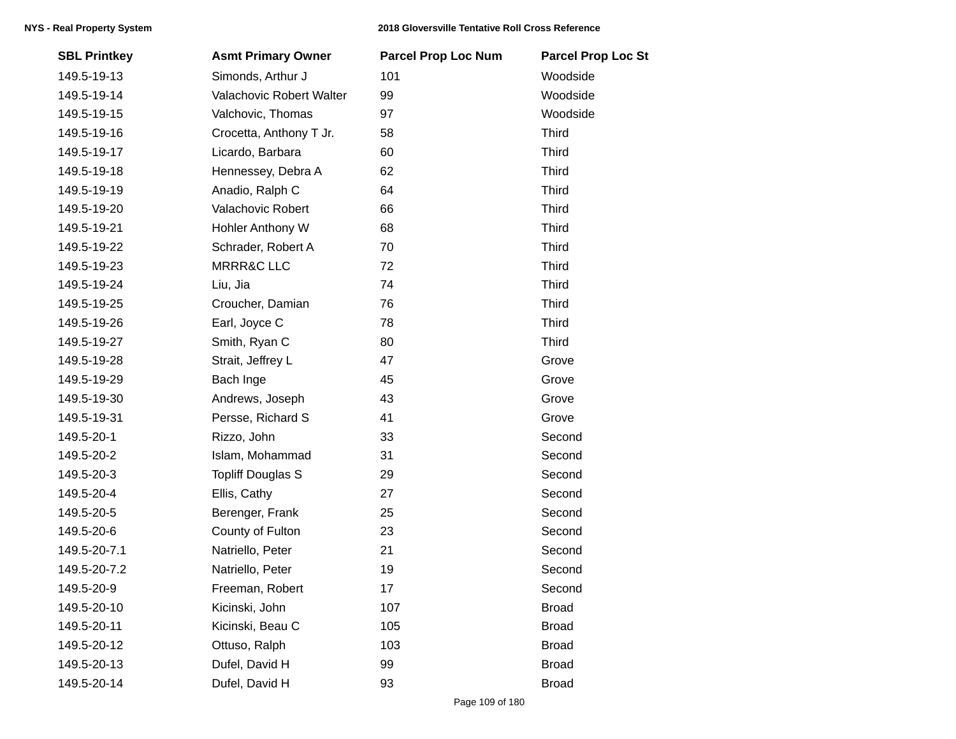| <b>SBL Printkey</b> | <b>Asmt Primary Owner</b> | <b>Parcel Prop Loc Num</b> | <b>Parcel Prop Loc St</b> |
|---------------------|---------------------------|----------------------------|---------------------------|
| 149.5-19-13         | Simonds, Arthur J         | 101                        | Woodside                  |
| 149.5-19-14         | Valachovic Robert Walter  | 99                         | Woodside                  |
| 149.5-19-15         | Valchovic, Thomas         | 97                         | Woodside                  |
| 149.5-19-16         | Crocetta, Anthony T Jr.   | 58                         | <b>Third</b>              |
| 149.5-19-17         | Licardo, Barbara          | 60                         | <b>Third</b>              |
| 149.5-19-18         | Hennessey, Debra A        | 62                         | <b>Third</b>              |
| 149.5-19-19         | Anadio, Ralph C           | 64                         | <b>Third</b>              |
| 149.5-19-20         | Valachovic Robert         | 66                         | <b>Third</b>              |
| 149.5-19-21         | Hohler Anthony W          | 68                         | <b>Third</b>              |
| 149.5-19-22         | Schrader, Robert A        | 70                         | <b>Third</b>              |
| 149.5-19-23         | <b>MRRR&amp;C LLC</b>     | 72                         | <b>Third</b>              |
| 149.5-19-24         | Liu, Jia                  | 74                         | <b>Third</b>              |
| 149.5-19-25         | Croucher, Damian          | 76                         | <b>Third</b>              |
| 149.5-19-26         | Earl, Joyce C             | 78                         | <b>Third</b>              |
| 149.5-19-27         | Smith, Ryan C             | 80                         | <b>Third</b>              |
| 149.5-19-28         | Strait, Jeffrey L         | 47                         | Grove                     |
| 149.5-19-29         | Bach Inge                 | 45                         | Grove                     |
| 149.5-19-30         | Andrews, Joseph           | 43                         | Grove                     |
| 149.5-19-31         | Persse, Richard S         | 41                         | Grove                     |
| 149.5-20-1          | Rizzo, John               | 33                         | Second                    |
| 149.5-20-2          | Islam, Mohammad           | 31                         | Second                    |
| 149.5-20-3          | <b>Topliff Douglas S</b>  | 29                         | Second                    |
| 149.5-20-4          | Ellis, Cathy              | 27                         | Second                    |
| 149.5-20-5          | Berenger, Frank           | 25                         | Second                    |
| 149.5-20-6          | County of Fulton          | 23                         | Second                    |
| 149.5-20-7.1        | Natriello, Peter          | 21                         | Second                    |
| 149.5-20-7.2        | Natriello, Peter          | 19                         | Second                    |
| 149.5-20-9          | Freeman, Robert           | 17                         | Second                    |
| 149.5-20-10         | Kicinski, John            | 107                        | <b>Broad</b>              |
| 149.5-20-11         | Kicinski, Beau C          | 105                        | <b>Broad</b>              |
| 149.5-20-12         | Ottuso, Ralph             | 103                        | <b>Broad</b>              |
| 149.5-20-13         | Dufel, David H            | 99                         | <b>Broad</b>              |
| 149.5-20-14         | Dufel, David H            | 93                         | <b>Broad</b>              |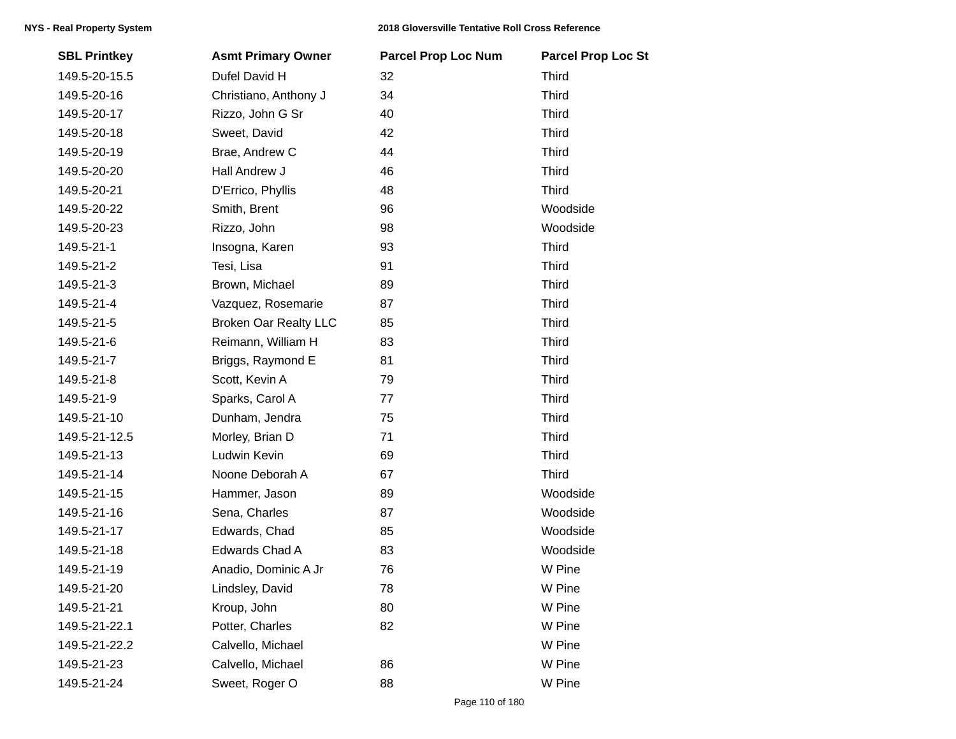| <b>SBL Printkey</b> | <b>Asmt Primary Owner</b>    | <b>Parcel Prop Loc Num</b> | <b>Parcel Prop Loc St</b> |
|---------------------|------------------------------|----------------------------|---------------------------|
| 149.5-20-15.5       | Dufel David H                | 32                         | <b>Third</b>              |
| 149.5-20-16         | Christiano, Anthony J        | 34                         | <b>Third</b>              |
| 149.5-20-17         | Rizzo, John G Sr             | 40                         | <b>Third</b>              |
| 149.5-20-18         | Sweet, David                 | 42                         | <b>Third</b>              |
| 149.5-20-19         | Brae, Andrew C               | 44                         | <b>Third</b>              |
| 149.5-20-20         | Hall Andrew J                | 46                         | <b>Third</b>              |
| 149.5-20-21         | D'Errico, Phyllis            | 48                         | <b>Third</b>              |
| 149.5-20-22         | Smith, Brent                 | 96                         | Woodside                  |
| 149.5-20-23         | Rizzo, John                  | 98                         | Woodside                  |
| 149.5-21-1          | Insogna, Karen               | 93                         | <b>Third</b>              |
| 149.5-21-2          | Tesi, Lisa                   | 91                         | <b>Third</b>              |
| 149.5-21-3          | Brown, Michael               | 89                         | <b>Third</b>              |
| 149.5-21-4          | Vazquez, Rosemarie           | 87                         | <b>Third</b>              |
| 149.5-21-5          | <b>Broken Oar Realty LLC</b> | 85                         | <b>Third</b>              |
| 149.5-21-6          | Reimann, William H           | 83                         | <b>Third</b>              |
| 149.5-21-7          | Briggs, Raymond E            | 81                         | <b>Third</b>              |
| 149.5-21-8          | Scott, Kevin A               | 79                         | <b>Third</b>              |
| 149.5-21-9          | Sparks, Carol A              | 77                         | <b>Third</b>              |
| 149.5-21-10         | Dunham, Jendra               | 75                         | <b>Third</b>              |
| 149.5-21-12.5       | Morley, Brian D              | 71                         | <b>Third</b>              |
| 149.5-21-13         | Ludwin Kevin                 | 69                         | <b>Third</b>              |
| 149.5-21-14         | Noone Deborah A              | 67                         | <b>Third</b>              |
| 149.5-21-15         | Hammer, Jason                | 89                         | Woodside                  |
| 149.5-21-16         | Sena, Charles                | 87                         | Woodside                  |
| 149.5-21-17         | Edwards, Chad                | 85                         | Woodside                  |
| 149.5-21-18         | Edwards Chad A               | 83                         | Woodside                  |
| 149.5-21-19         | Anadio, Dominic A Jr         | 76                         | W Pine                    |
| 149.5-21-20         | Lindsley, David              | 78                         | W Pine                    |
| 149.5-21-21         | Kroup, John                  | 80                         | W Pine                    |
| 149.5-21-22.1       | Potter, Charles              | 82                         | W Pine                    |
| 149.5-21-22.2       | Calvello, Michael            |                            | W Pine                    |
| 149.5-21-23         | Calvello, Michael            | 86                         | W Pine                    |
| 149.5-21-24         | Sweet, Roger O               | 88                         | W Pine                    |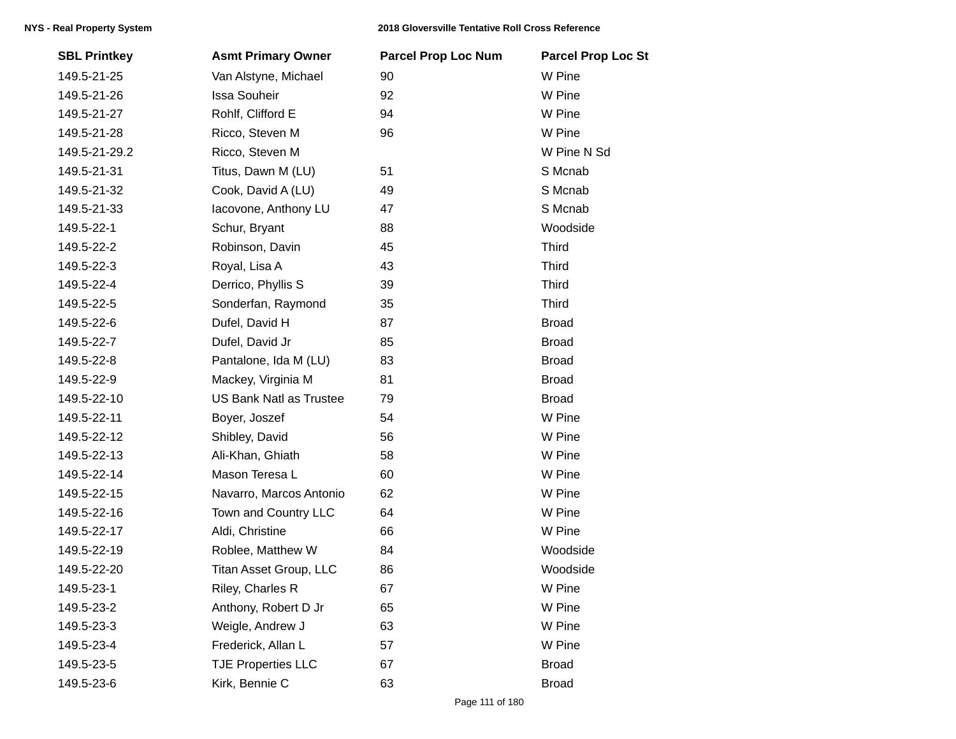| <b>SBL Printkey</b> | <b>Asmt Primary Owner</b>      | <b>Parcel Prop Loc Num</b> | <b>Parcel Prop Loc St</b> |
|---------------------|--------------------------------|----------------------------|---------------------------|
| 149.5-21-25         | Van Alstyne, Michael           | 90                         | W Pine                    |
| 149.5-21-26         | <b>Issa Souheir</b>            | 92                         | W Pine                    |
| 149.5-21-27         | Rohlf, Clifford E              | 94                         | W Pine                    |
| 149.5-21-28         | Ricco, Steven M                | 96                         | W Pine                    |
| 149.5-21-29.2       | Ricco, Steven M                |                            | W Pine N Sd               |
| 149.5-21-31         | Titus, Dawn M (LU)             | 51                         | S Mcnab                   |
| 149.5-21-32         | Cook, David A (LU)             | 49                         | S Mcnab                   |
| 149.5-21-33         | lacovone, Anthony LU           | 47                         | S Mcnab                   |
| 149.5-22-1          | Schur, Bryant                  | 88                         | Woodside                  |
| 149.5-22-2          | Robinson, Davin                | 45                         | <b>Third</b>              |
| 149.5-22-3          | Royal, Lisa A                  | 43                         | <b>Third</b>              |
| 149.5-22-4          | Derrico, Phyllis S             | 39                         | <b>Third</b>              |
| 149.5-22-5          | Sonderfan, Raymond             | 35                         | <b>Third</b>              |
| 149.5-22-6          | Dufel, David H                 | 87                         | <b>Broad</b>              |
| 149.5-22-7          | Dufel, David Jr                | 85                         | <b>Broad</b>              |
| 149.5-22-8          | Pantalone, Ida M (LU)          | 83                         | <b>Broad</b>              |
| 149.5-22-9          | Mackey, Virginia M             | 81                         | <b>Broad</b>              |
| 149.5-22-10         | <b>US Bank Natl as Trustee</b> | 79                         | <b>Broad</b>              |
| 149.5-22-11         | Boyer, Joszef                  | 54                         | W Pine                    |
| 149.5-22-12         | Shibley, David                 | 56                         | W Pine                    |
| 149.5-22-13         | Ali-Khan, Ghiath               | 58                         | W Pine                    |
| 149.5-22-14         | Mason Teresa L                 | 60                         | W Pine                    |
| 149.5-22-15         | Navarro, Marcos Antonio        | 62                         | W Pine                    |
| 149.5-22-16         | Town and Country LLC           | 64                         | W Pine                    |
| 149.5-22-17         | Aldi, Christine                | 66                         | W Pine                    |
| 149.5-22-19         | Roblee, Matthew W              | 84                         | Woodside                  |
| 149.5-22-20         | Titan Asset Group, LLC         | 86                         | Woodside                  |
| 149.5-23-1          | Riley, Charles R               | 67                         | W Pine                    |
| 149.5-23-2          | Anthony, Robert D Jr           | 65                         | W Pine                    |
| 149.5-23-3          | Weigle, Andrew J               | 63                         | W Pine                    |
| 149.5-23-4          | Frederick, Allan L             | 57                         | W Pine                    |
| 149.5-23-5          | <b>TJE Properties LLC</b>      | 67                         | <b>Broad</b>              |
| 149.5-23-6          | Kirk, Bennie C                 | 63                         | <b>Broad</b>              |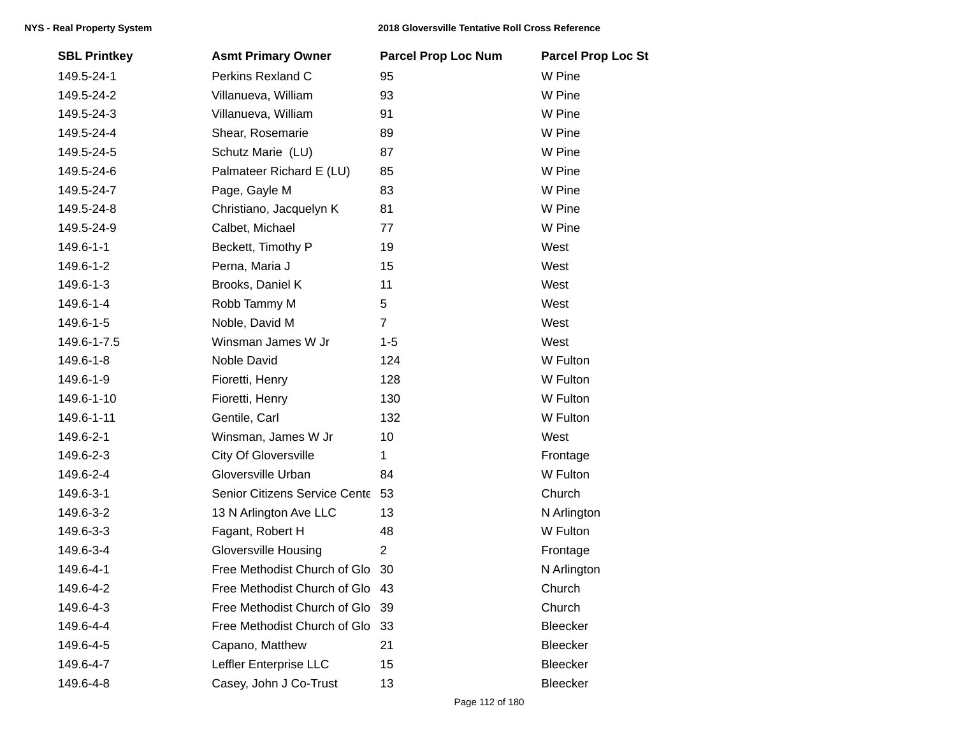| <b>SBL Printkey</b> | <b>Asmt Primary Owner</b>       | <b>Parcel Prop Loc Num</b> | <b>Parcel Prop Loc St</b> |
|---------------------|---------------------------------|----------------------------|---------------------------|
| 149.5-24-1          | Perkins Rexland C               | 95                         | W Pine                    |
| 149.5-24-2          | Villanueva, William             | 93                         | W Pine                    |
| 149.5-24-3          | Villanueva, William             | 91                         | W Pine                    |
| 149.5-24-4          | Shear, Rosemarie                | 89                         | W Pine                    |
| 149.5-24-5          | Schutz Marie (LU)               | 87                         | W Pine                    |
| 149.5-24-6          | Palmateer Richard E (LU)        | 85                         | W Pine                    |
| 149.5-24-7          | Page, Gayle M                   | 83                         | W Pine                    |
| 149.5-24-8          | Christiano, Jacquelyn K         | 81                         | W Pine                    |
| 149.5-24-9          | Calbet, Michael                 | 77                         | W Pine                    |
| 149.6-1-1           | Beckett, Timothy P              | 19                         | West                      |
| 149.6-1-2           | Perna, Maria J                  | 15                         | West                      |
| 149.6-1-3           | Brooks, Daniel K                | 11                         | West                      |
| 149.6-1-4           | Robb Tammy M                    | 5                          | West                      |
| 149.6-1-5           | Noble, David M                  | $\overline{7}$             | West                      |
| 149.6-1-7.5         | Winsman James W Jr              | $1 - 5$                    | West                      |
| 149.6-1-8           | Noble David                     | 124                        | W Fulton                  |
| 149.6-1-9           | Fioretti, Henry                 | 128                        | W Fulton                  |
| 149.6-1-10          | Fioretti, Henry                 | 130                        | W Fulton                  |
| 149.6-1-11          | Gentile, Carl                   | 132                        | W Fulton                  |
| 149.6-2-1           | Winsman, James W Jr             | 10                         | West                      |
| 149.6-2-3           | City Of Gloversville            | 1                          | Frontage                  |
| 149.6-2-4           | Gloversville Urban              | 84                         | W Fulton                  |
| 149.6-3-1           | Senior Citizens Service Cente   | 53                         | Church                    |
| 149.6-3-2           | 13 N Arlington Ave LLC          | 13                         | N Arlington               |
| 149.6-3-3           | Fagant, Robert H                | 48                         | W Fulton                  |
| 149.6-3-4           | <b>Gloversville Housing</b>     | $\overline{2}$             | Frontage                  |
| 149.6-4-1           | Free Methodist Church of Glo    | -30                        | N Arlington               |
| 149.6-4-2           | Free Methodist Church of Glo 43 |                            | Church                    |
| 149.6-4-3           | Free Methodist Church of Glo 39 |                            | Church                    |
| 149.6-4-4           | Free Methodist Church of Glo    | 33                         | Bleecker                  |
| 149.6-4-5           | Capano, Matthew                 | 21                         | Bleecker                  |
| 149.6-4-7           | Leffler Enterprise LLC          | 15                         | Bleecker                  |
| 149.6-4-8           | Casey, John J Co-Trust          | 13                         | Bleecker                  |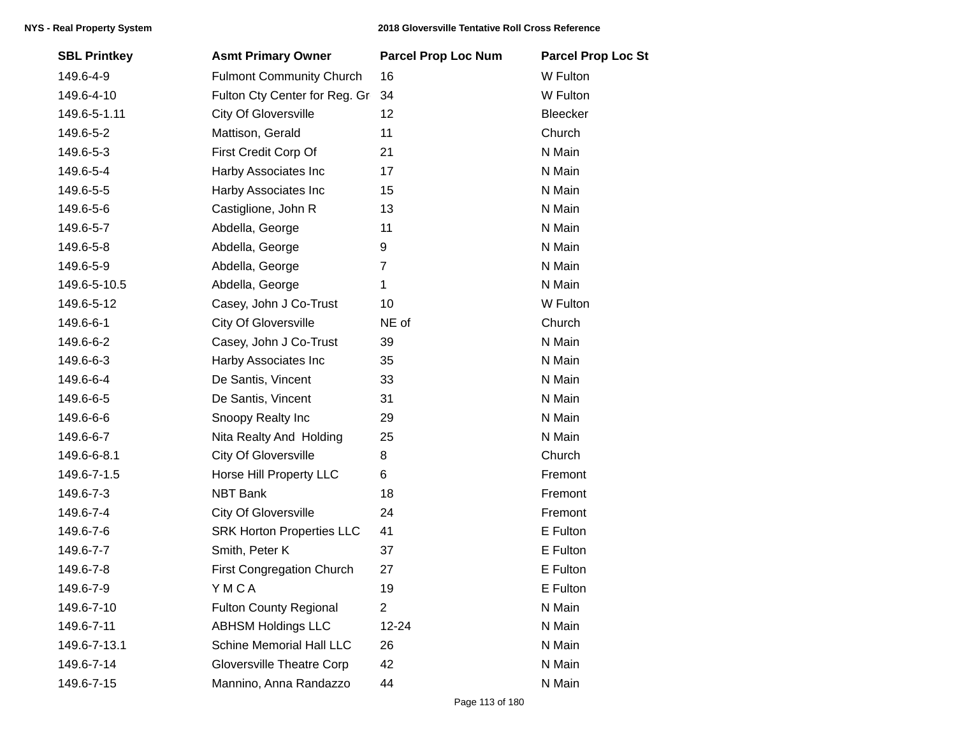| <b>SBL Printkey</b> | <b>Asmt Primary Owner</b>        | <b>Parcel Prop Loc Num</b> | <b>Parcel Prop Loc St</b> |
|---------------------|----------------------------------|----------------------------|---------------------------|
| 149.6-4-9           | <b>Fulmont Community Church</b>  | 16                         | W Fulton                  |
| 149.6-4-10          | Fulton Cty Center for Reg. Gr    | 34                         | W Fulton                  |
| 149.6-5-1.11        | <b>City Of Gloversville</b>      | 12                         | Bleecker                  |
| 149.6-5-2           | Mattison, Gerald                 | 11                         | Church                    |
| 149.6-5-3           | First Credit Corp Of             | 21                         | N Main                    |
| 149.6-5-4           | Harby Associates Inc             | 17                         | N Main                    |
| 149.6-5-5           | Harby Associates Inc             | 15                         | N Main                    |
| 149.6-5-6           | Castiglione, John R              | 13                         | N Main                    |
| 149.6-5-7           | Abdella, George                  | 11                         | N Main                    |
| 149.6-5-8           | Abdella, George                  | 9                          | N Main                    |
| 149.6-5-9           | Abdella, George                  | $\overline{7}$             | N Main                    |
| 149.6-5-10.5        | Abdella, George                  | 1                          | N Main                    |
| 149.6-5-12          | Casey, John J Co-Trust           | 10                         | W Fulton                  |
| 149.6-6-1           | <b>City Of Gloversville</b>      | NE of                      | Church                    |
| 149.6-6-2           | Casey, John J Co-Trust           | 39                         | N Main                    |
| 149.6-6-3           | Harby Associates Inc             | 35                         | N Main                    |
| 149.6-6-4           | De Santis, Vincent               | 33                         | N Main                    |
| 149.6-6-5           | De Santis, Vincent               | 31                         | N Main                    |
| 149.6-6-6           | Snoopy Realty Inc                | 29                         | N Main                    |
| 149.6-6-7           | Nita Realty And Holding          | 25                         | N Main                    |
| 149.6-6-8.1         | City Of Gloversville             | 8                          | Church                    |
| 149.6-7-1.5         | Horse Hill Property LLC          | 6                          | Fremont                   |
| 149.6-7-3           | <b>NBT Bank</b>                  | 18                         | Fremont                   |
| 149.6-7-4           | <b>City Of Gloversville</b>      | 24                         | Fremont                   |
| 149.6-7-6           | <b>SRK Horton Properties LLC</b> | 41                         | E Fulton                  |
| 149.6-7-7           | Smith, Peter K                   | 37                         | E Fulton                  |
| 149.6-7-8           | First Congregation Church        | 27                         | E Fulton                  |
| 149.6-7-9           | YMCA                             | 19                         | E Fulton                  |
| 149.6-7-10          | <b>Fulton County Regional</b>    | $\overline{2}$             | N Main                    |
| 149.6-7-11          | <b>ABHSM Holdings LLC</b>        | 12-24                      | N Main                    |
| 149.6-7-13.1        | <b>Schine Memorial Hall LLC</b>  | 26                         | N Main                    |
| 149.6-7-14          | <b>Gloversville Theatre Corp</b> | 42                         | N Main                    |
| 149.6-7-15          | Mannino, Anna Randazzo           | 44                         | N Main                    |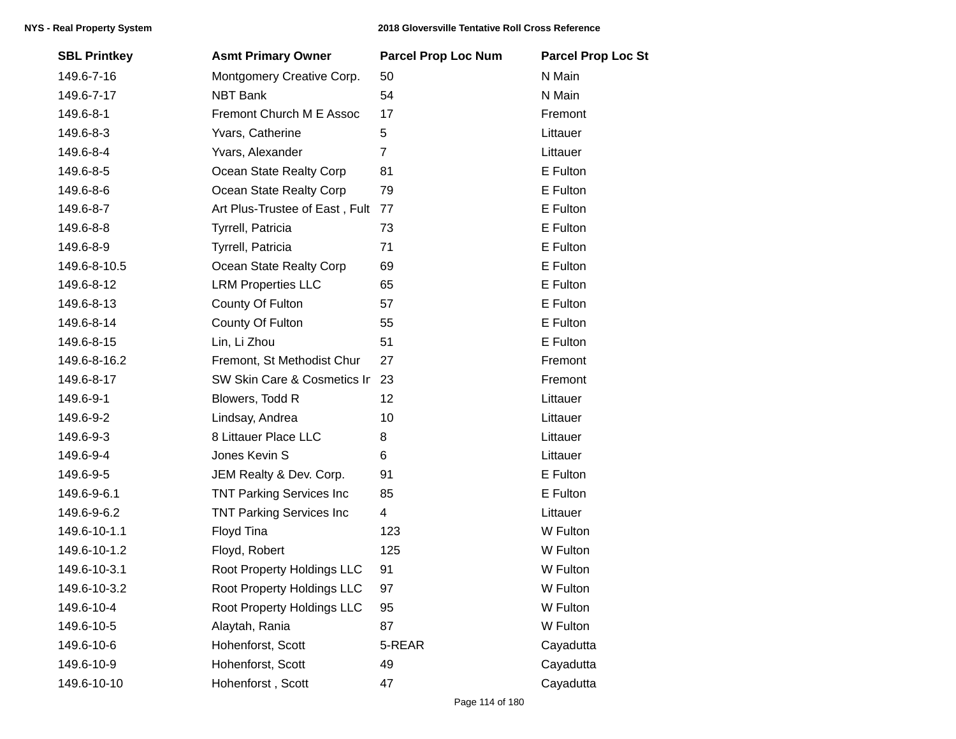| <b>SBL Printkey</b> | <b>Asmt Primary Owner</b>       | <b>Parcel Prop Loc Num</b> | <b>Parcel Prop Loc St</b> |
|---------------------|---------------------------------|----------------------------|---------------------------|
| 149.6-7-16          | Montgomery Creative Corp.       | 50                         | N Main                    |
| 149.6-7-17          | <b>NBT Bank</b>                 | 54                         | N Main                    |
| 149.6-8-1           | Fremont Church M E Assoc        | 17                         | Fremont                   |
| 149.6-8-3           | Yvars, Catherine                | 5                          | Littauer                  |
| 149.6-8-4           | Yvars, Alexander                | $\overline{7}$             | Littauer                  |
| 149.6-8-5           | Ocean State Realty Corp         | 81                         | E Fulton                  |
| 149.6-8-6           | Ocean State Realty Corp         | 79                         | E Fulton                  |
| 149.6-8-7           | Art Plus-Trustee of East, Fult  | 77                         | E Fulton                  |
| 149.6-8-8           | Tyrrell, Patricia               | 73                         | E Fulton                  |
| 149.6-8-9           | Tyrrell, Patricia               | 71                         | E Fulton                  |
| 149.6-8-10.5        | Ocean State Realty Corp         | 69                         | E Fulton                  |
| 149.6-8-12          | <b>LRM Properties LLC</b>       | 65                         | E Fulton                  |
| 149.6-8-13          | County Of Fulton                | 57                         | E Fulton                  |
| 149.6-8-14          | County Of Fulton                | 55                         | E Fulton                  |
| 149.6-8-15          | Lin, Li Zhou                    | 51                         | E Fulton                  |
| 149.6-8-16.2        | Fremont, St Methodist Chur      | 27                         | Fremont                   |
| 149.6-8-17          | SW Skin Care & Cosmetics Ir     | 23                         | Fremont                   |
| 149.6-9-1           | Blowers, Todd R                 | 12                         | Littauer                  |
| 149.6-9-2           | Lindsay, Andrea                 | 10                         | Littauer                  |
| 149.6-9-3           | 8 Littauer Place LLC            | 8                          | Littauer                  |
| 149.6-9-4           | Jones Kevin S                   | 6                          | Littauer                  |
| 149.6-9-5           | JEM Realty & Dev. Corp.         | 91                         | E Fulton                  |
| 149.6-9-6.1         | <b>TNT Parking Services Inc</b> | 85                         | E Fulton                  |
| 149.6-9-6.2         | <b>TNT Parking Services Inc</b> | 4                          | Littauer                  |
| 149.6-10-1.1        | Floyd Tina                      | 123                        | W Fulton                  |
| 149.6-10-1.2        | Floyd, Robert                   | 125                        | W Fulton                  |
| 149.6-10-3.1        | Root Property Holdings LLC      | 91                         | W Fulton                  |
| 149.6-10-3.2        | Root Property Holdings LLC      | 97                         | W Fulton                  |
| 149.6-10-4          | Root Property Holdings LLC      | 95                         | W Fulton                  |
| 149.6-10-5          | Alaytah, Rania                  | 87                         | W Fulton                  |
| 149.6-10-6          | Hohenforst, Scott               | 5-REAR                     | Cayadutta                 |
| 149.6-10-9          | Hohenforst, Scott               | 49                         | Cayadutta                 |
| 149.6-10-10         | Hohenforst, Scott               | 47                         | Cayadutta                 |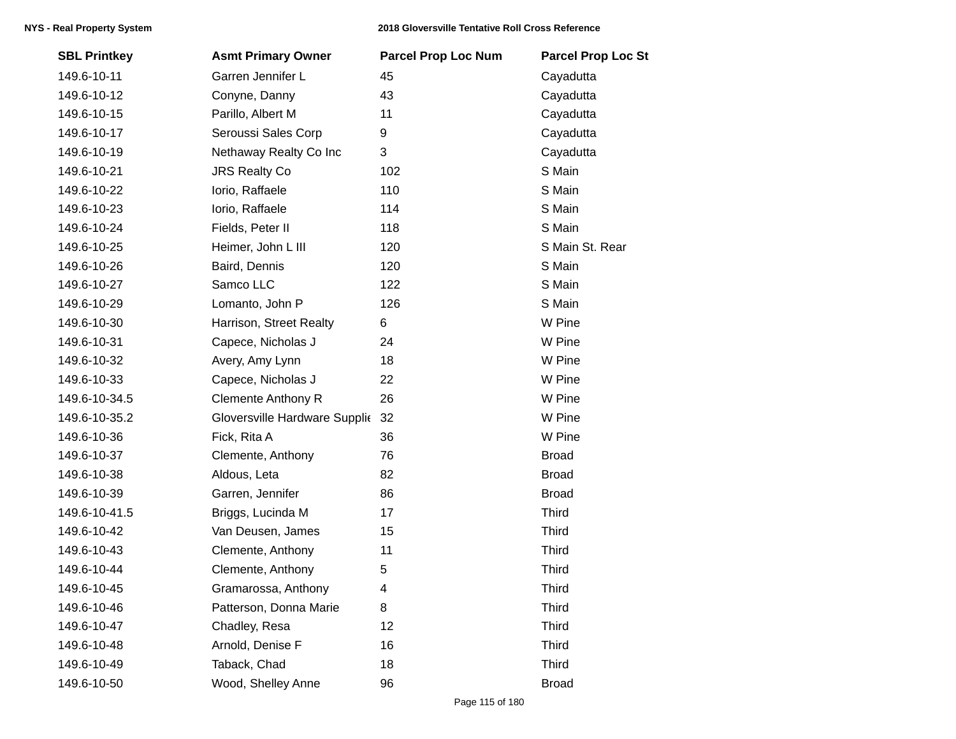| <b>SBL Printkey</b> | <b>Asmt Primary Owner</b>        | <b>Parcel Prop Loc Num</b> | <b>Parcel Prop Loc St</b> |
|---------------------|----------------------------------|----------------------------|---------------------------|
| 149.6-10-11         | Garren Jennifer L                | 45                         | Cayadutta                 |
| 149.6-10-12         | Conyne, Danny                    | 43                         | Cayadutta                 |
| 149.6-10-15         | Parillo, Albert M                | 11                         | Cayadutta                 |
| 149.6-10-17         | Seroussi Sales Corp              | 9                          | Cayadutta                 |
| 149.6-10-19         | Nethaway Realty Co Inc           | 3                          | Cayadutta                 |
| 149.6-10-21         | <b>JRS Realty Co</b>             | 102                        | S Main                    |
| 149.6-10-22         | lorio, Raffaele                  | 110                        | S Main                    |
| 149.6-10-23         | lorio, Raffaele                  | 114                        | S Main                    |
| 149.6-10-24         | Fields, Peter II                 | 118                        | S Main                    |
| 149.6-10-25         | Heimer, John L III               | 120                        | S Main St. Rear           |
| 149.6-10-26         | Baird, Dennis                    | 120                        | S Main                    |
| 149.6-10-27         | Samco LLC                        | 122                        | S Main                    |
| 149.6-10-29         | Lomanto, John P                  | 126                        | S Main                    |
| 149.6-10-30         | Harrison, Street Realty          | 6                          | W Pine                    |
| 149.6-10-31         | Capece, Nicholas J               | 24                         | W Pine                    |
| 149.6-10-32         | Avery, Amy Lynn                  | 18                         | W Pine                    |
| 149.6-10-33         | Capece, Nicholas J               | 22                         | W Pine                    |
| 149.6-10-34.5       | <b>Clemente Anthony R</b>        | 26                         | W Pine                    |
| 149.6-10-35.2       | Gloversville Hardware Supplic 32 |                            | W Pine                    |
| 149.6-10-36         | Fick, Rita A                     | 36                         | W Pine                    |
| 149.6-10-37         | Clemente, Anthony                | 76                         | <b>Broad</b>              |
| 149.6-10-38         | Aldous, Leta                     | 82                         | <b>Broad</b>              |
| 149.6-10-39         | Garren, Jennifer                 | 86                         | <b>Broad</b>              |
| 149.6-10-41.5       | Briggs, Lucinda M                | 17                         | <b>Third</b>              |
| 149.6-10-42         | Van Deusen, James                | 15                         | <b>Third</b>              |
| 149.6-10-43         | Clemente, Anthony                | 11                         | <b>Third</b>              |
| 149.6-10-44         | Clemente, Anthony                | 5                          | <b>Third</b>              |
| 149.6-10-45         | Gramarossa, Anthony              | 4                          | <b>Third</b>              |
| 149.6-10-46         | Patterson, Donna Marie           | 8                          | <b>Third</b>              |
| 149.6-10-47         | Chadley, Resa                    | 12                         | <b>Third</b>              |
| 149.6-10-48         | Arnold, Denise F                 | 16                         | <b>Third</b>              |
| 149.6-10-49         | Taback, Chad                     | 18                         | <b>Third</b>              |
| 149.6-10-50         | Wood, Shelley Anne               | 96                         | <b>Broad</b>              |
|                     |                                  |                            |                           |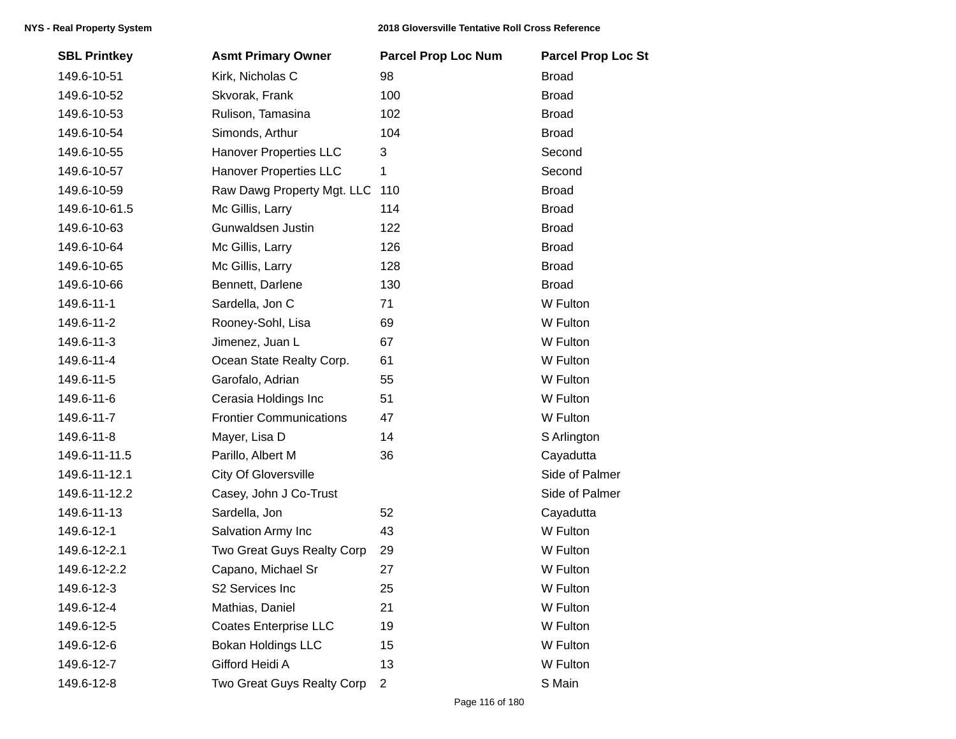| <b>SBL Printkey</b> | <b>Asmt Primary Owner</b>      | <b>Parcel Prop Loc Num</b> | <b>Parcel Prop Loc St</b> |
|---------------------|--------------------------------|----------------------------|---------------------------|
| 149.6-10-51         | Kirk, Nicholas C               | 98                         | <b>Broad</b>              |
| 149.6-10-52         | Skvorak, Frank                 | 100                        | <b>Broad</b>              |
| 149.6-10-53         | Rulison, Tamasina              | 102                        | <b>Broad</b>              |
| 149.6-10-54         | Simonds, Arthur                | 104                        | <b>Broad</b>              |
| 149.6-10-55         | Hanover Properties LLC         | 3                          | Second                    |
| 149.6-10-57         | <b>Hanover Properties LLC</b>  | 1                          | Second                    |
| 149.6-10-59         | Raw Dawg Property Mgt. LLC     | 110                        | <b>Broad</b>              |
| 149.6-10-61.5       | Mc Gillis, Larry               | 114                        | <b>Broad</b>              |
| 149.6-10-63         | Gunwaldsen Justin              | 122                        | <b>Broad</b>              |
| 149.6-10-64         | Mc Gillis, Larry               | 126                        | <b>Broad</b>              |
| 149.6-10-65         | Mc Gillis, Larry               | 128                        | <b>Broad</b>              |
| 149.6-10-66         | Bennett, Darlene               | 130                        | <b>Broad</b>              |
| 149.6-11-1          | Sardella, Jon C                | 71                         | W Fulton                  |
| 149.6-11-2          | Rooney-Sohl, Lisa              | 69                         | W Fulton                  |
| 149.6-11-3          | Jimenez, Juan L                | 67                         | W Fulton                  |
| 149.6-11-4          | Ocean State Realty Corp.       | 61                         | W Fulton                  |
| 149.6-11-5          | Garofalo, Adrian               | 55                         | W Fulton                  |
| 149.6-11-6          | Cerasia Holdings Inc           | 51                         | W Fulton                  |
| 149.6-11-7          | <b>Frontier Communications</b> | 47                         | W Fulton                  |
| 149.6-11-8          | Mayer, Lisa D                  | 14                         | S Arlington               |
| 149.6-11-11.5       | Parillo, Albert M              | 36                         | Cayadutta                 |
| 149.6-11-12.1       | <b>City Of Gloversville</b>    |                            | Side of Palmer            |
| 149.6-11-12.2       | Casey, John J Co-Trust         |                            | Side of Palmer            |
| 149.6-11-13         | Sardella, Jon                  | 52                         | Cayadutta                 |
| 149.6-12-1          | Salvation Army Inc             | 43                         | W Fulton                  |
| 149.6-12-2.1        | Two Great Guys Realty Corp     | 29                         | W Fulton                  |
| 149.6-12-2.2        | Capano, Michael Sr             | 27                         | W Fulton                  |
| 149.6-12-3          | S2 Services Inc                | 25                         | W Fulton                  |
| 149.6-12-4          | Mathias, Daniel                | 21                         | W Fulton                  |
| 149.6-12-5          | <b>Coates Enterprise LLC</b>   | 19                         | W Fulton                  |
| 149.6-12-6          | <b>Bokan Holdings LLC</b>      | 15                         | W Fulton                  |
| 149.6-12-7          | Gifford Heidi A                | 13                         | W Fulton                  |
| 149.6-12-8          | Two Great Guys Realty Corp     | $\overline{2}$             | S Main                    |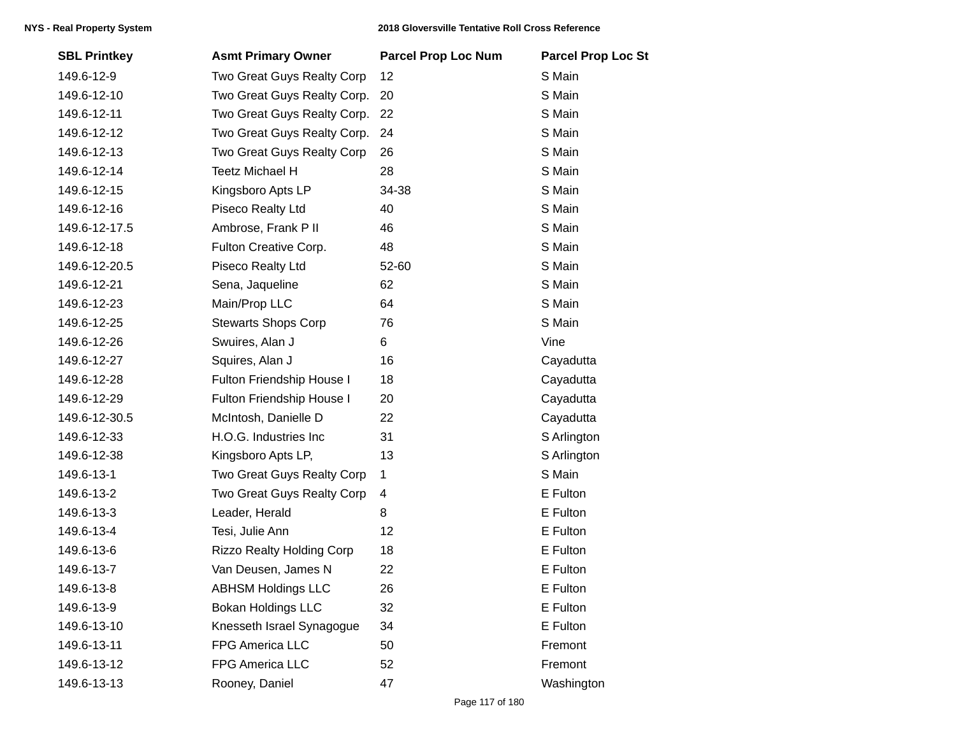| <b>SBL Printkey</b> | <b>Asmt Primary Owner</b>        | <b>Parcel Prop Loc Num</b> | <b>Parcel Prop Loc St</b> |
|---------------------|----------------------------------|----------------------------|---------------------------|
| 149.6-12-9          | Two Great Guys Realty Corp       | 12                         | S Main                    |
| 149.6-12-10         | Two Great Guys Realty Corp.      | 20                         | S Main                    |
| 149.6-12-11         | Two Great Guys Realty Corp.      | 22                         | S Main                    |
| 149.6-12-12         | Two Great Guys Realty Corp.      | 24                         | S Main                    |
| 149.6-12-13         | Two Great Guys Realty Corp       | 26                         | S Main                    |
| 149.6-12-14         | <b>Teetz Michael H</b>           | 28                         | S Main                    |
| 149.6-12-15         | Kingsboro Apts LP                | 34-38                      | S Main                    |
| 149.6-12-16         | Piseco Realty Ltd                | 40                         | S Main                    |
| 149.6-12-17.5       | Ambrose, Frank P II              | 46                         | S Main                    |
| 149.6-12-18         | Fulton Creative Corp.            | 48                         | S Main                    |
| 149.6-12-20.5       | Piseco Realty Ltd                | 52-60                      | S Main                    |
| 149.6-12-21         | Sena, Jaqueline                  | 62                         | S Main                    |
| 149.6-12-23         | Main/Prop LLC                    | 64                         | S Main                    |
| 149.6-12-25         | <b>Stewarts Shops Corp</b>       | 76                         | S Main                    |
| 149.6-12-26         | Swuires, Alan J                  | 6                          | Vine                      |
| 149.6-12-27         | Squires, Alan J                  | 16                         | Cayadutta                 |
| 149.6-12-28         | Fulton Friendship House I        | 18                         | Cayadutta                 |
| 149.6-12-29         | Fulton Friendship House I        | 20                         | Cayadutta                 |
| 149.6-12-30.5       | McIntosh, Danielle D             | 22                         | Cayadutta                 |
| 149.6-12-33         | H.O.G. Industries Inc            | 31                         | S Arlington               |
| 149.6-12-38         | Kingsboro Apts LP,               | 13                         | S Arlington               |
| 149.6-13-1          | Two Great Guys Realty Corp       | 1                          | S Main                    |
| 149.6-13-2          | Two Great Guys Realty Corp       | 4                          | E Fulton                  |
| 149.6-13-3          | Leader, Herald                   | 8                          | E Fulton                  |
| 149.6-13-4          | Tesi, Julie Ann                  | 12                         | E Fulton                  |
| 149.6-13-6          | <b>Rizzo Realty Holding Corp</b> | 18                         | E Fulton                  |
| 149.6-13-7          | Van Deusen, James N              | 22                         | E Fulton                  |
| 149.6-13-8          | <b>ABHSM Holdings LLC</b>        | 26                         | E Fulton                  |
| 149.6-13-9          | <b>Bokan Holdings LLC</b>        | 32                         | E Fulton                  |
| 149.6-13-10         | Knesseth Israel Synagogue        | 34                         | E Fulton                  |
| 149.6-13-11         | FPG America LLC                  | 50                         | Fremont                   |
| 149.6-13-12         | FPG America LLC                  | 52                         | Fremont                   |
| 149.6-13-13         | Rooney, Daniel                   | 47                         | Washington                |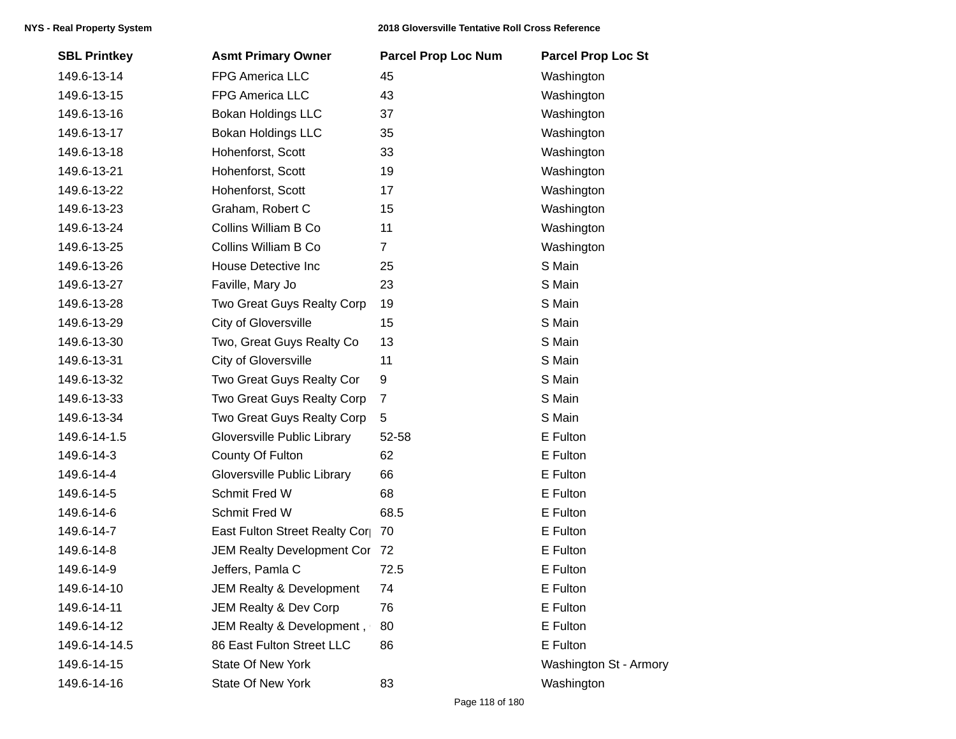| <b>SBL Printkey</b> | <b>Asmt Primary Owner</b>     | <b>Parcel Prop Loc Num</b> | <b>Parcel Prop Loc St</b> |
|---------------------|-------------------------------|----------------------------|---------------------------|
| 149.6-13-14         | FPG America LLC               | 45                         | Washington                |
| 149.6-13-15         | FPG America LLC               | 43                         | Washington                |
| 149.6-13-16         | <b>Bokan Holdings LLC</b>     | 37                         | Washington                |
| 149.6-13-17         | <b>Bokan Holdings LLC</b>     | 35                         | Washington                |
| 149.6-13-18         | Hohenforst, Scott             | 33                         | Washington                |
| 149.6-13-21         | Hohenforst, Scott             | 19                         | Washington                |
| 149.6-13-22         | Hohenforst, Scott             | 17                         | Washington                |
| 149.6-13-23         | Graham, Robert C              | 15                         | Washington                |
| 149.6-13-24         | Collins William B Co          | 11                         | Washington                |
| 149.6-13-25         | Collins William B Co          | $\overline{7}$             | Washington                |
| 149.6-13-26         | House Detective Inc           | 25                         | S Main                    |
| 149.6-13-27         | Faville, Mary Jo              | 23                         | S Main                    |
| 149.6-13-28         | Two Great Guys Realty Corp    | 19                         | S Main                    |
| 149.6-13-29         | City of Gloversville          | 15                         | S Main                    |
| 149.6-13-30         | Two, Great Guys Realty Co     | 13                         | S Main                    |
| 149.6-13-31         | <b>City of Gloversville</b>   | 11                         | S Main                    |
| 149.6-13-32         | Two Great Guys Realty Cor     | 9                          | S Main                    |
| 149.6-13-33         | Two Great Guys Realty Corp    | $\overline{7}$             | S Main                    |
| 149.6-13-34         | Two Great Guys Realty Corp    | 5                          | S Main                    |
| 149.6-14-1.5        | Gloversville Public Library   | 52-58                      | E Fulton                  |
| 149.6-14-3          | County Of Fulton              | 62                         | E Fulton                  |
| 149.6-14-4          | Gloversville Public Library   | 66                         | E Fulton                  |
| 149.6-14-5          | Schmit Fred W                 | 68                         | E Fulton                  |
| 149.6-14-6          | Schmit Fred W                 | 68.5                       | E Fulton                  |
| 149.6-14-7          | East Fulton Street Realty Cor | 70                         | E Fulton                  |
| 149.6-14-8          | JEM Realty Development Cor 72 |                            | E Fulton                  |
| 149.6-14-9          | Jeffers, Pamla C              | 72.5                       | E Fulton                  |
| 149.6-14-10         | JEM Realty & Development      | 74                         | E Fulton                  |
| 149.6-14-11         | JEM Realty & Dev Corp         | 76                         | E Fulton                  |
| 149.6-14-12         | JEM Realty & Development,     | 80                         | E Fulton                  |
| 149.6-14-14.5       | 86 East Fulton Street LLC     | 86                         | E Fulton                  |
| 149.6-14-15         | <b>State Of New York</b>      |                            | Washington St - Armory    |
| 149.6-14-16         | State Of New York             | 83                         | Washington                |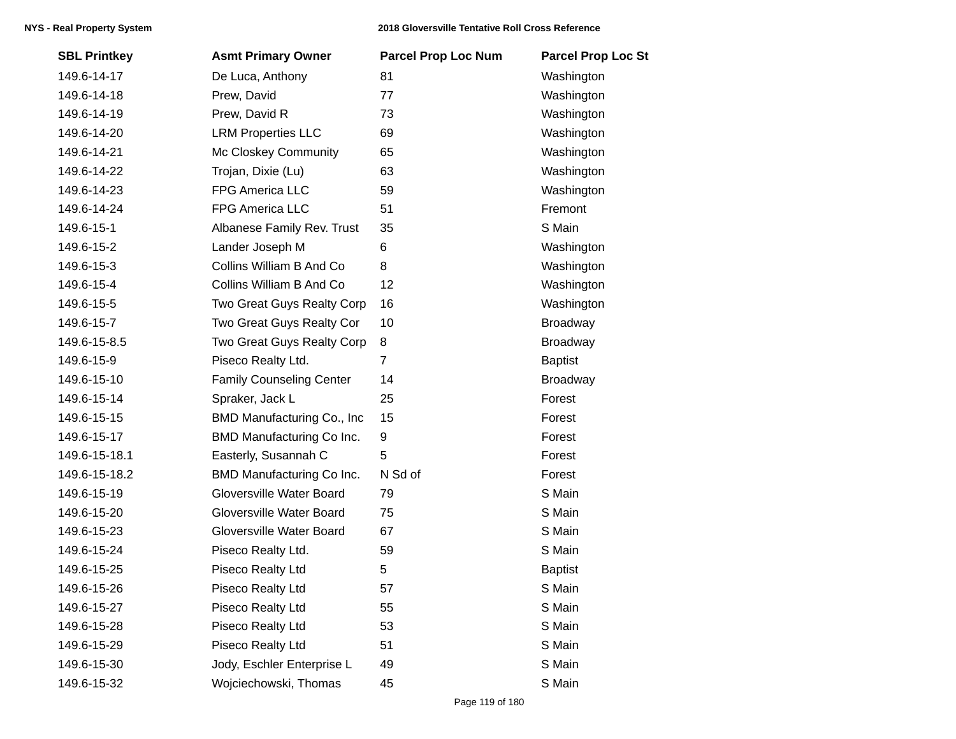| <b>SBL Printkey</b> | <b>Asmt Primary Owner</b>        | <b>Parcel Prop Loc Num</b> | <b>Parcel Prop Loc St</b> |
|---------------------|----------------------------------|----------------------------|---------------------------|
| 149.6-14-17         | De Luca, Anthony                 | 81                         | Washington                |
| 149.6-14-18         | Prew, David                      | 77                         | Washington                |
| 149.6-14-19         | Prew, David R                    | 73                         | Washington                |
| 149.6-14-20         | <b>LRM Properties LLC</b>        | 69                         | Washington                |
| 149.6-14-21         | Mc Closkey Community             | 65                         | Washington                |
| 149.6-14-22         | Trojan, Dixie (Lu)               | 63                         | Washington                |
| 149.6-14-23         | FPG America LLC                  | 59                         | Washington                |
| 149.6-14-24         | FPG America LLC                  | 51                         | Fremont                   |
| 149.6-15-1          | Albanese Family Rev. Trust       | 35                         | S Main                    |
| 149.6-15-2          | Lander Joseph M                  | 6                          | Washington                |
| 149.6-15-3          | Collins William B And Co         | 8                          | Washington                |
| 149.6-15-4          | Collins William B And Co         | 12                         | Washington                |
| 149.6-15-5          | Two Great Guys Realty Corp       | 16                         | Washington                |
| 149.6-15-7          | Two Great Guys Realty Cor        | 10                         | <b>Broadway</b>           |
| 149.6-15-8.5        | Two Great Guys Realty Corp       | 8                          | Broadway                  |
| 149.6-15-9          | Piseco Realty Ltd.               | $\overline{7}$             | <b>Baptist</b>            |
| 149.6-15-10         | <b>Family Counseling Center</b>  | 14                         | Broadway                  |
| 149.6-15-14         | Spraker, Jack L                  | 25                         | Forest                    |
| 149.6-15-15         | BMD Manufacturing Co., Inc.      | 15                         | Forest                    |
| 149.6-15-17         | BMD Manufacturing Co Inc.        | 9                          | Forest                    |
| 149.6-15-18.1       | Easterly, Susannah C             | 5                          | Forest                    |
| 149.6-15-18.2       | <b>BMD Manufacturing Co Inc.</b> | N Sd of                    | Forest                    |
| 149.6-15-19         | Gloversville Water Board         | 79                         | S Main                    |
| 149.6-15-20         | Gloversville Water Board         | 75                         | S Main                    |
| 149.6-15-23         | Gloversville Water Board         | 67                         | S Main                    |
| 149.6-15-24         | Piseco Realty Ltd.               | 59                         | S Main                    |
| 149.6-15-25         | Piseco Realty Ltd                | 5                          | <b>Baptist</b>            |
| 149.6-15-26         | Piseco Realty Ltd                | 57                         | S Main                    |
| 149.6-15-27         | Piseco Realty Ltd                | 55                         | S Main                    |
| 149.6-15-28         | Piseco Realty Ltd                | 53                         | S Main                    |
| 149.6-15-29         | Piseco Realty Ltd                | 51                         | S Main                    |
| 149.6-15-30         | Jody, Eschler Enterprise L       | 49                         | S Main                    |
| 149.6-15-32         | Wojciechowski, Thomas            | 45                         | S Main                    |
|                     |                                  |                            |                           |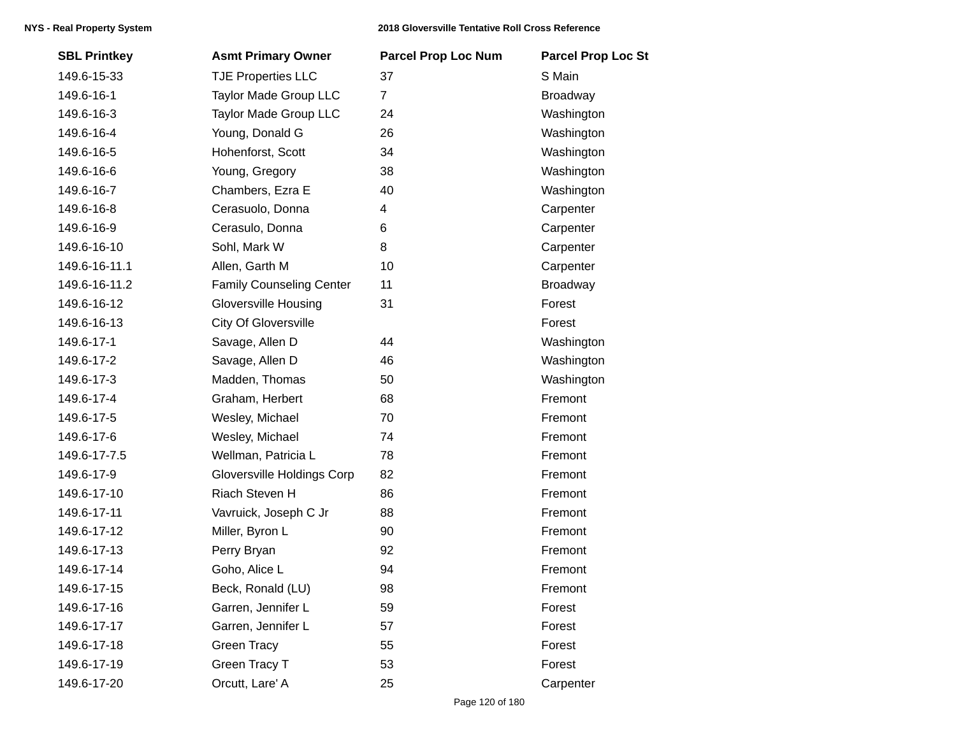| <b>SBL Printkey</b> | <b>Asmt Primary Owner</b>         | <b>Parcel Prop Loc Num</b> | <b>Parcel Prop Loc St</b> |
|---------------------|-----------------------------------|----------------------------|---------------------------|
| 149.6-15-33         | <b>TJE Properties LLC</b>         | 37                         | S Main                    |
| 149.6-16-1          | Taylor Made Group LLC             | $\overline{7}$             | <b>Broadway</b>           |
| 149.6-16-3          | <b>Taylor Made Group LLC</b>      | 24                         | Washington                |
| 149.6-16-4          | Young, Donald G                   | 26                         | Washington                |
| 149.6-16-5          | Hohenforst, Scott                 | 34                         | Washington                |
| 149.6-16-6          | Young, Gregory                    | 38                         | Washington                |
| 149.6-16-7          | Chambers, Ezra E                  | 40                         | Washington                |
| 149.6-16-8          | Cerasuolo, Donna                  | 4                          | Carpenter                 |
| 149.6-16-9          | Cerasulo, Donna                   | 6                          | Carpenter                 |
| 149.6-16-10         | Sohl, Mark W                      | 8                          | Carpenter                 |
| 149.6-16-11.1       | Allen, Garth M                    | 10                         | Carpenter                 |
| 149.6-16-11.2       | <b>Family Counseling Center</b>   | 11                         | <b>Broadway</b>           |
| 149.6-16-12         | <b>Gloversville Housing</b>       | 31                         | Forest                    |
| 149.6-16-13         | City Of Gloversville              |                            | Forest                    |
| 149.6-17-1          | Savage, Allen D                   | 44                         | Washington                |
| 149.6-17-2          | Savage, Allen D                   | 46                         | Washington                |
| 149.6-17-3          | Madden, Thomas                    | 50                         | Washington                |
| 149.6-17-4          | Graham, Herbert                   | 68                         | Fremont                   |
| 149.6-17-5          | Wesley, Michael                   | 70                         | Fremont                   |
| 149.6-17-6          | Wesley, Michael                   | 74                         | Fremont                   |
| 149.6-17-7.5        | Wellman, Patricia L               | 78                         | Fremont                   |
| 149.6-17-9          | <b>Gloversville Holdings Corp</b> | 82                         | Fremont                   |
| 149.6-17-10         | Riach Steven H                    | 86                         | Fremont                   |
| 149.6-17-11         | Vavruick, Joseph C Jr             | 88                         | Fremont                   |
| 149.6-17-12         | Miller, Byron L                   | 90                         | Fremont                   |
| 149.6-17-13         | Perry Bryan                       | 92                         | Fremont                   |
| 149.6-17-14         | Goho, Alice L                     | 94                         | Fremont                   |
| 149.6-17-15         | Beck, Ronald (LU)                 | 98                         | Fremont                   |
| 149.6-17-16         | Garren, Jennifer L                | 59                         | Forest                    |
| 149.6-17-17         | Garren, Jennifer L                | 57                         | Forest                    |
| 149.6-17-18         | <b>Green Tracy</b>                | 55                         | Forest                    |
| 149.6-17-19         | Green Tracy T                     | 53                         | Forest                    |
| 149.6-17-20         | Orcutt, Lare' A                   | 25                         | Carpenter                 |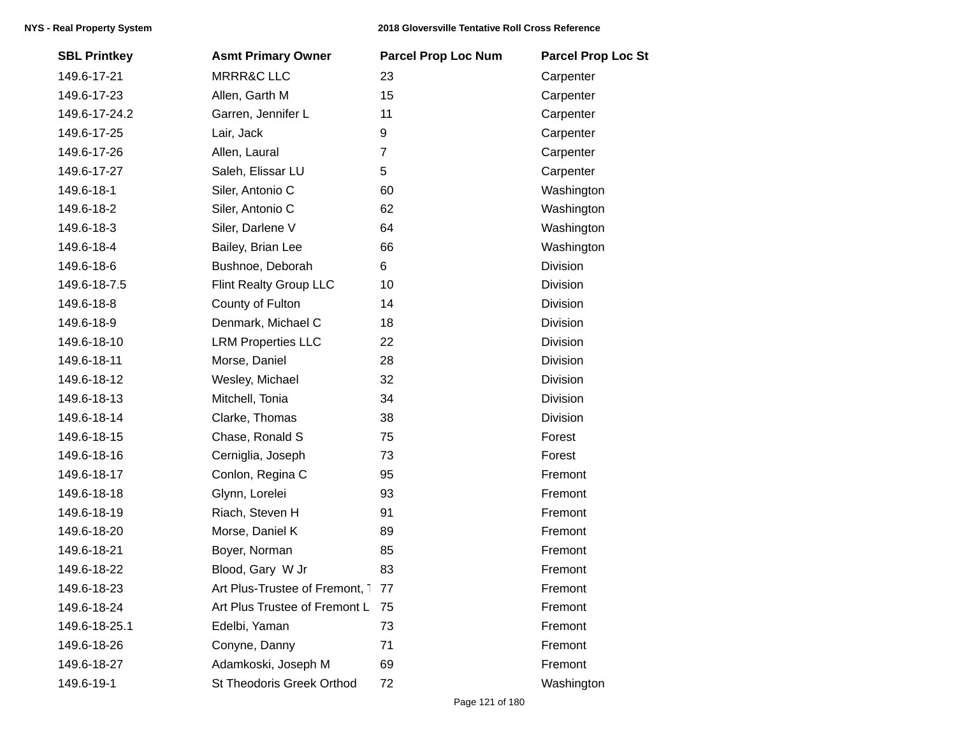| <b>SBL Printkey</b> | <b>Asmt Primary Owner</b>        | <b>Parcel Prop Loc Num</b> | <b>Parcel Prop Loc St</b> |
|---------------------|----------------------------------|----------------------------|---------------------------|
| 149.6-17-21         | <b>MRRR&amp;C LLC</b>            | 23                         | Carpenter                 |
| 149.6-17-23         | Allen, Garth M                   | 15                         | Carpenter                 |
| 149.6-17-24.2       | Garren, Jennifer L               | 11                         | Carpenter                 |
| 149.6-17-25         | Lair, Jack                       | 9                          | Carpenter                 |
| 149.6-17-26         | Allen, Laural                    | $\overline{7}$             | Carpenter                 |
| 149.6-17-27         | Saleh, Elissar LU                | 5                          | Carpenter                 |
| 149.6-18-1          | Siler, Antonio C                 | 60                         | Washington                |
| 149.6-18-2          | Siler, Antonio C                 | 62                         | Washington                |
| 149.6-18-3          | Siler, Darlene V                 | 64                         | Washington                |
| 149.6-18-4          | Bailey, Brian Lee                | 66                         | Washington                |
| 149.6-18-6          | Bushnoe, Deborah                 | 6                          | Division                  |
| 149.6-18-7.5        | Flint Realty Group LLC           | 10                         | Division                  |
| 149.6-18-8          | County of Fulton                 | 14                         | Division                  |
| 149.6-18-9          | Denmark, Michael C               | 18                         | Division                  |
| 149.6-18-10         | <b>LRM Properties LLC</b>        | 22                         | Division                  |
| 149.6-18-11         | Morse, Daniel                    | 28                         | Division                  |
| 149.6-18-12         | Wesley, Michael                  | 32                         | <b>Division</b>           |
| 149.6-18-13         | Mitchell, Tonia                  | 34                         | Division                  |
| 149.6-18-14         | Clarke, Thomas                   | 38                         | Division                  |
| 149.6-18-15         | Chase, Ronald S                  | 75                         | Forest                    |
| 149.6-18-16         | Cerniglia, Joseph                | 73                         | Forest                    |
| 149.6-18-17         | Conlon, Regina C                 | 95                         | Fremont                   |
| 149.6-18-18         | Glynn, Lorelei                   | 93                         | Fremont                   |
| 149.6-18-19         | Riach, Steven H                  | 91                         | Fremont                   |
| 149.6-18-20         | Morse, Daniel K                  | 89                         | Fremont                   |
| 149.6-18-21         | Boyer, Norman                    | 85                         | Fremont                   |
| 149.6-18-22         | Blood, Gary W Jr                 | 83                         | Fremont                   |
| 149.6-18-23         | Art Plus-Trustee of Fremont, 177 |                            | Fremont                   |
| 149.6-18-24         | Art Plus Trustee of Fremont L    | - 75                       | Fremont                   |
| 149.6-18-25.1       | Edelbi, Yaman                    | 73                         | Fremont                   |
| 149.6-18-26         | Conyne, Danny                    | 71                         | Fremont                   |
| 149.6-18-27         | Adamkoski, Joseph M              | 69                         | Fremont                   |
| 149.6-19-1          | St Theodoris Greek Orthod        | 72                         | Washington                |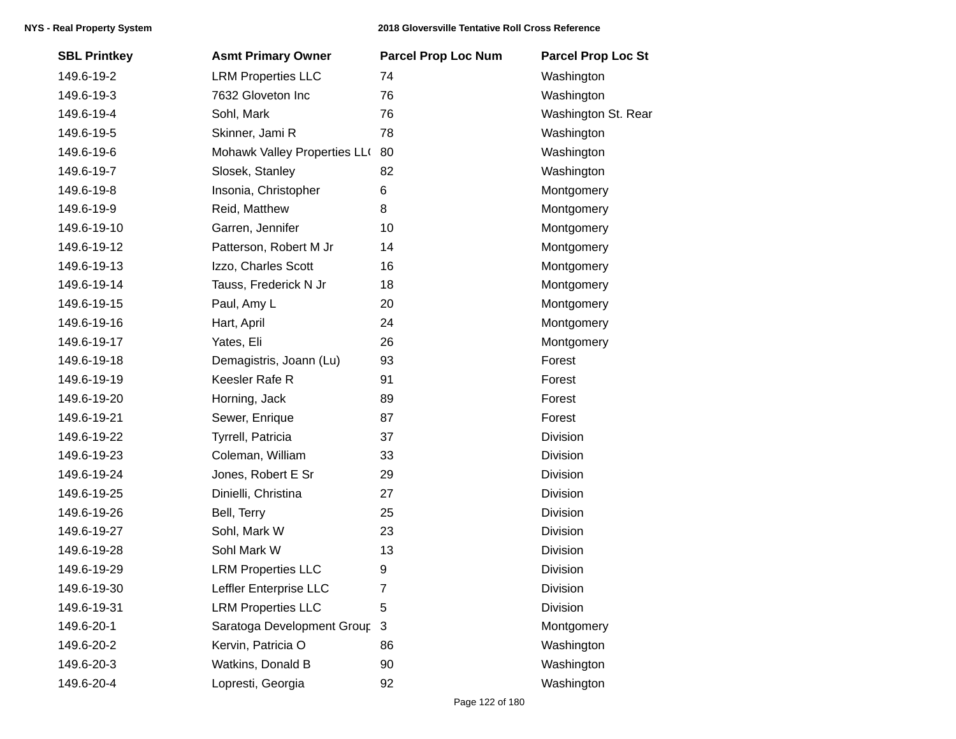| <b>SBL Printkey</b> | <b>Asmt Primary Owner</b>    | <b>Parcel Prop Loc Num</b> | <b>Parcel Prop Loc St</b> |
|---------------------|------------------------------|----------------------------|---------------------------|
| 149.6-19-2          | <b>LRM Properties LLC</b>    | 74                         | Washington                |
| 149.6-19-3          | 7632 Gloveton Inc            | 76                         | Washington                |
| 149.6-19-4          | Sohl, Mark                   | 76                         | Washington St. Rear       |
| 149.6-19-5          | Skinner, Jami R              | 78                         | Washington                |
| 149.6-19-6          | Mohawk Valley Properties LLO | 80                         | Washington                |
| 149.6-19-7          | Slosek, Stanley              | 82                         | Washington                |
| 149.6-19-8          | Insonia, Christopher         | 6                          | Montgomery                |
| 149.6-19-9          | Reid, Matthew                | 8                          | Montgomery                |
| 149.6-19-10         | Garren, Jennifer             | 10                         | Montgomery                |
| 149.6-19-12         | Patterson, Robert M Jr       | 14                         | Montgomery                |
| 149.6-19-13         | Izzo, Charles Scott          | 16                         | Montgomery                |
| 149.6-19-14         | Tauss, Frederick N Jr        | 18                         | Montgomery                |
| 149.6-19-15         | Paul, Amy L                  | 20                         | Montgomery                |
| 149.6-19-16         | Hart, April                  | 24                         | Montgomery                |
| 149.6-19-17         | Yates, Eli                   | 26                         | Montgomery                |
| 149.6-19-18         | Demagistris, Joann (Lu)      | 93                         | Forest                    |
| 149.6-19-19         | Keesler Rafe R               | 91                         | Forest                    |
| 149.6-19-20         | Horning, Jack                | 89                         | Forest                    |
| 149.6-19-21         | Sewer, Enrique               | 87                         | Forest                    |
| 149.6-19-22         | Tyrrell, Patricia            | 37                         | Division                  |
| 149.6-19-23         | Coleman, William             | 33                         | Division                  |
| 149.6-19-24         | Jones, Robert E Sr           | 29                         | Division                  |
| 149.6-19-25         | Dinielli, Christina          | 27                         | Division                  |
| 149.6-19-26         | Bell, Terry                  | 25                         | Division                  |
| 149.6-19-27         | Sohl, Mark W                 | 23                         | Division                  |
| 149.6-19-28         | Sohl Mark W                  | 13                         | Division                  |
| 149.6-19-29         | <b>LRM Properties LLC</b>    | 9                          | Division                  |
| 149.6-19-30         | Leffler Enterprise LLC       | $\overline{7}$             | Division                  |
| 149.6-19-31         | <b>LRM Properties LLC</b>    | 5                          | Division                  |
| 149.6-20-1          | Saratoga Development Group   | $\mathbf{3}$               | Montgomery                |
| 149.6-20-2          | Kervin, Patricia O           | 86                         | Washington                |
| 149.6-20-3          | Watkins, Donald B            | 90                         | Washington                |
| 149.6-20-4          | Lopresti, Georgia            | 92                         | Washington                |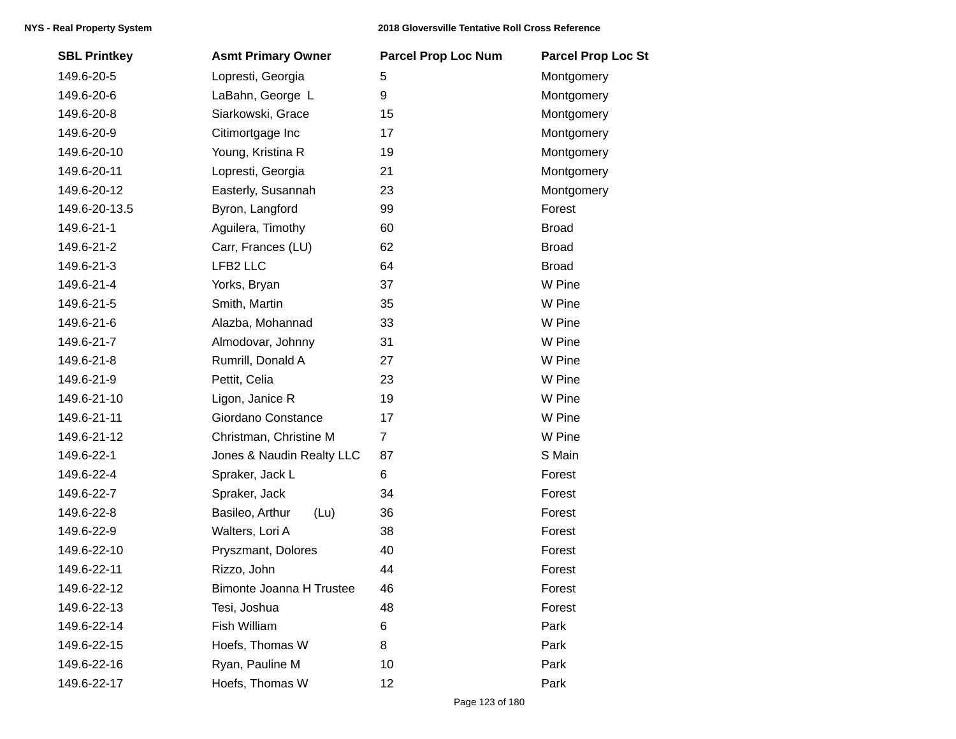| <b>SBL Printkey</b> | <b>Asmt Primary Owner</b> | <b>Parcel Prop Loc Num</b> | <b>Parcel Prop Loc St</b> |
|---------------------|---------------------------|----------------------------|---------------------------|
| 149.6-20-5          | Lopresti, Georgia         | 5                          | Montgomery                |
| 149.6-20-6          | LaBahn, George L          | 9                          | Montgomery                |
| 149.6-20-8          | Siarkowski, Grace         | 15                         | Montgomery                |
| 149.6-20-9          | Citimortgage Inc          | 17                         | Montgomery                |
| 149.6-20-10         | Young, Kristina R         | 19                         | Montgomery                |
| 149.6-20-11         | Lopresti, Georgia         | 21                         | Montgomery                |
| 149.6-20-12         | Easterly, Susannah        | 23                         | Montgomery                |
| 149.6-20-13.5       | Byron, Langford           | 99                         | Forest                    |
| 149.6-21-1          | Aguilera, Timothy         | 60                         | <b>Broad</b>              |
| 149.6-21-2          | Carr, Frances (LU)        | 62                         | <b>Broad</b>              |
| 149.6-21-3          | LFB2 LLC                  | 64                         | <b>Broad</b>              |
| 149.6-21-4          | Yorks, Bryan              | 37                         | W Pine                    |
| 149.6-21-5          | Smith, Martin             | 35                         | W Pine                    |
| 149.6-21-6          | Alazba, Mohannad          | 33                         | W Pine                    |
| 149.6-21-7          | Almodovar, Johnny         | 31                         | W Pine                    |
| 149.6-21-8          | Rumrill, Donald A         | 27                         | W Pine                    |
| 149.6-21-9          | Pettit, Celia             | 23                         | W Pine                    |
| 149.6-21-10         | Ligon, Janice R           | 19                         | W Pine                    |
| 149.6-21-11         | Giordano Constance        | 17                         | W Pine                    |
| 149.6-21-12         | Christman, Christine M    | $\overline{7}$             | W Pine                    |
| 149.6-22-1          | Jones & Naudin Realty LLC | 87                         | S Main                    |
| 149.6-22-4          | Spraker, Jack L           | 6                          | Forest                    |
| 149.6-22-7          | Spraker, Jack             | 34                         | Forest                    |
| 149.6-22-8          | Basileo, Arthur<br>(Lu)   | 36                         | Forest                    |
| 149.6-22-9          | Walters, Lori A           | 38                         | Forest                    |
| 149.6-22-10         | Pryszmant, Dolores        | 40                         | Forest                    |
| 149.6-22-11         | Rizzo, John               | 44                         | Forest                    |
| 149.6-22-12         | Bimonte Joanna H Trustee  | 46                         | Forest                    |
| 149.6-22-13         | Tesi, Joshua              | 48                         | Forest                    |
| 149.6-22-14         | Fish William              | 6                          | Park                      |
| 149.6-22-15         | Hoefs, Thomas W           | 8                          | Park                      |
| 149.6-22-16         | Ryan, Pauline M           | 10                         | Park                      |
| 149.6-22-17         | Hoefs, Thomas W           | 12                         | Park                      |
|                     |                           |                            |                           |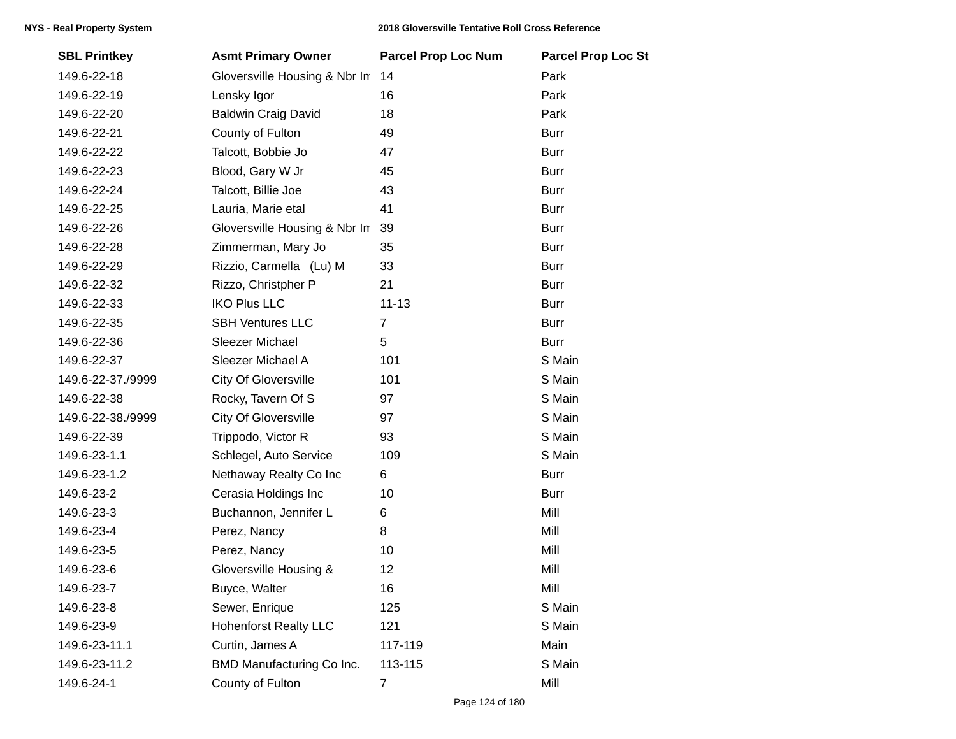| <b>SBL Printkey</b> | <b>Asmt Primary Owner</b>     | <b>Parcel Prop Loc Num</b> | <b>Parcel Prop Loc St</b> |
|---------------------|-------------------------------|----------------------------|---------------------------|
| 149.6-22-18         | Gloversville Housing & Nbr In | 14                         | Park                      |
| 149.6-22-19         | Lensky Igor                   | 16                         | Park                      |
| 149.6-22-20         | <b>Baldwin Craig David</b>    | 18                         | Park                      |
| 149.6-22-21         | County of Fulton              | 49                         | <b>Burr</b>               |
| 149.6-22-22         | Talcott, Bobbie Jo            | 47                         | <b>Burr</b>               |
| 149.6-22-23         | Blood, Gary W Jr              | 45                         | <b>Burr</b>               |
| 149.6-22-24         | Talcott, Billie Joe           | 43                         | <b>Burr</b>               |
| 149.6-22-25         | Lauria, Marie etal            | 41                         | <b>Burr</b>               |
| 149.6-22-26         | Gloversville Housing & Nbr In | 39                         | <b>Burr</b>               |
| 149.6-22-28         | Zimmerman, Mary Jo            | 35                         | <b>Burr</b>               |
| 149.6-22-29         | Rizzio, Carmella (Lu) M       | 33                         | <b>Burr</b>               |
| 149.6-22-32         | Rizzo, Christpher P           | 21                         | <b>Burr</b>               |
| 149.6-22-33         | <b>IKO Plus LLC</b>           | $11 - 13$                  | <b>Burr</b>               |
| 149.6-22-35         | <b>SBH Ventures LLC</b>       | $\overline{7}$             | <b>Burr</b>               |
| 149.6-22-36         | Sleezer Michael               | 5                          | <b>Burr</b>               |
| 149.6-22-37         | Sleezer Michael A             | 101                        | S Main                    |
| 149.6-22-37./9999   | <b>City Of Gloversville</b>   | 101                        | S Main                    |
| 149.6-22-38         | Rocky, Tavern Of S            | 97                         | S Main                    |
| 149.6-22-38./9999   | <b>City Of Gloversville</b>   | 97                         | S Main                    |
| 149.6-22-39         | Trippodo, Victor R            | 93                         | S Main                    |
| 149.6-23-1.1        | Schlegel, Auto Service        | 109                        | S Main                    |
| 149.6-23-1.2        | Nethaway Realty Co Inc        | 6                          | <b>Burr</b>               |
| 149.6-23-2          | Cerasia Holdings Inc          | 10                         | <b>Burr</b>               |
| 149.6-23-3          | Buchannon, Jennifer L         | 6                          | Mill                      |
| 149.6-23-4          | Perez, Nancy                  | 8                          | Mill                      |
| 149.6-23-5          | Perez, Nancy                  | 10                         | Mill                      |
| 149.6-23-6          | Gloversville Housing &        | 12                         | Mill                      |
| 149.6-23-7          | Buyce, Walter                 | 16                         | Mill                      |
| 149.6-23-8          | Sewer, Enrique                | 125                        | S Main                    |
| 149.6-23-9          | <b>Hohenforst Realty LLC</b>  | 121                        | S Main                    |
| 149.6-23-11.1       | Curtin, James A               | 117-119                    | Main                      |
| 149.6-23-11.2       | BMD Manufacturing Co Inc.     | 113-115                    | S Main                    |
| 149.6-24-1          | County of Fulton              | $\overline{7}$             | Mill                      |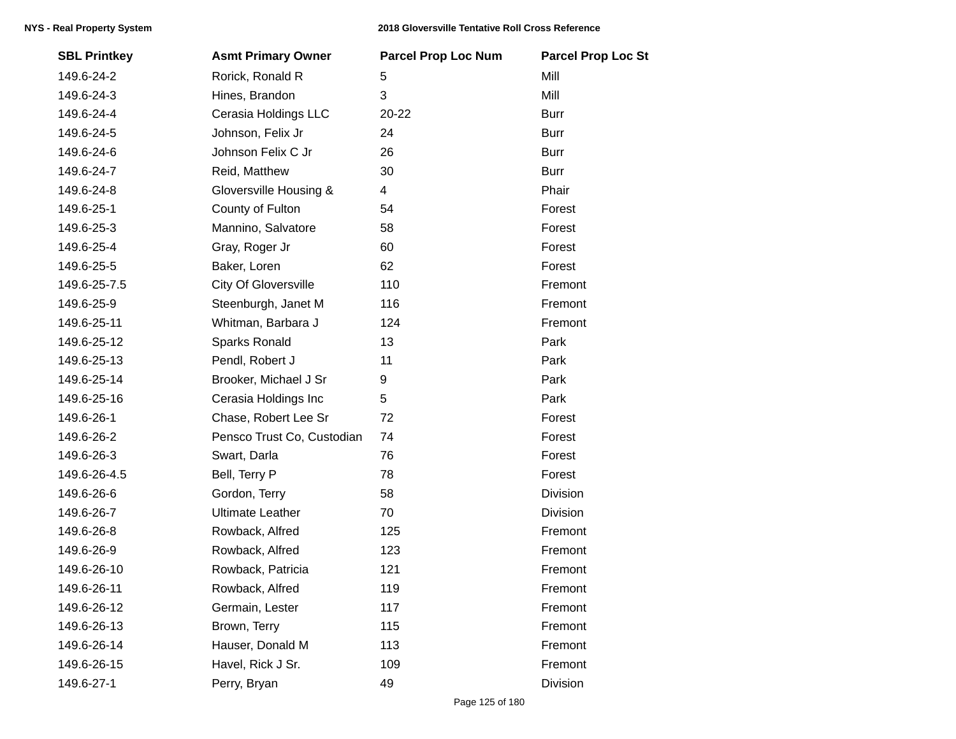| <b>SBL Printkey</b> | <b>Asmt Primary Owner</b>   | <b>Parcel Prop Loc Num</b> | <b>Parcel Prop Loc St</b> |
|---------------------|-----------------------------|----------------------------|---------------------------|
| 149.6-24-2          | Rorick, Ronald R            | 5                          | Mill                      |
| 149.6-24-3          | Hines, Brandon              | 3                          | Mill                      |
| 149.6-24-4          | Cerasia Holdings LLC        | 20-22                      | <b>Burr</b>               |
| 149.6-24-5          | Johnson, Felix Jr           | 24                         | <b>Burr</b>               |
| 149.6-24-6          | Johnson Felix C Jr          | 26                         | <b>Burr</b>               |
| 149.6-24-7          | Reid, Matthew               | 30                         | <b>Burr</b>               |
| 149.6-24-8          | Gloversville Housing &      | 4                          | Phair                     |
| 149.6-25-1          | County of Fulton            | 54                         | Forest                    |
| 149.6-25-3          | Mannino, Salvatore          | 58                         | Forest                    |
| 149.6-25-4          | Gray, Roger Jr              | 60                         | Forest                    |
| 149.6-25-5          | Baker, Loren                | 62                         | Forest                    |
| 149.6-25-7.5        | <b>City Of Gloversville</b> | 110                        | Fremont                   |
| 149.6-25-9          | Steenburgh, Janet M         | 116                        | Fremont                   |
| 149.6-25-11         | Whitman, Barbara J          | 124                        | Fremont                   |
| 149.6-25-12         | Sparks Ronald               | 13                         | Park                      |
| 149.6-25-13         | Pendl, Robert J             | 11                         | Park                      |
| 149.6-25-14         | Brooker, Michael J Sr       | 9                          | Park                      |
| 149.6-25-16         | Cerasia Holdings Inc        | 5                          | Park                      |
| 149.6-26-1          | Chase, Robert Lee Sr        | 72                         | Forest                    |
| 149.6-26-2          | Pensco Trust Co, Custodian  | 74                         | Forest                    |
| 149.6-26-3          | Swart, Darla                | 76                         | Forest                    |
| 149.6-26-4.5        | Bell, Terry P               | 78                         | Forest                    |
| 149.6-26-6          | Gordon, Terry               | 58                         | Division                  |
| 149.6-26-7          | <b>Ultimate Leather</b>     | 70                         | Division                  |
| 149.6-26-8          | Rowback, Alfred             | 125                        | Fremont                   |
| 149.6-26-9          | Rowback, Alfred             | 123                        | Fremont                   |
| 149.6-26-10         | Rowback, Patricia           | 121                        | Fremont                   |
| 149.6-26-11         | Rowback, Alfred             | 119                        | Fremont                   |
| 149.6-26-12         | Germain, Lester             | 117                        | Fremont                   |
| 149.6-26-13         | Brown, Terry                | 115                        | Fremont                   |
| 149.6-26-14         | Hauser, Donald M            | 113                        | Fremont                   |
| 149.6-26-15         | Havel, Rick J Sr.           | 109                        | Fremont                   |
| 149.6-27-1          | Perry, Bryan                | 49                         | Division                  |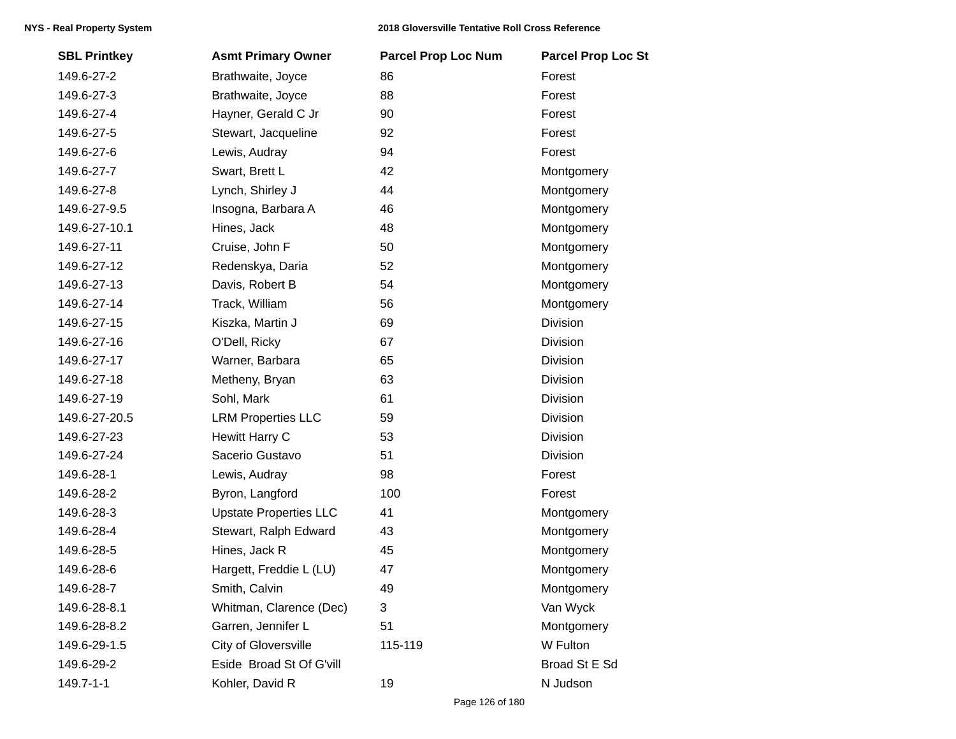| <b>SBL Printkey</b> | <b>Asmt Primary Owner</b>     | <b>Parcel Prop Loc Num</b> | <b>Parcel Prop Loc St</b> |
|---------------------|-------------------------------|----------------------------|---------------------------|
| 149.6-27-2          | Brathwaite, Joyce             | 86                         | Forest                    |
| 149.6-27-3          | Brathwaite, Joyce             | 88                         | Forest                    |
| 149.6-27-4          | Hayner, Gerald C Jr           | 90                         | Forest                    |
| 149.6-27-5          | Stewart, Jacqueline           | 92                         | Forest                    |
| 149.6-27-6          | Lewis, Audray                 | 94                         | Forest                    |
| 149.6-27-7          | Swart, Brett L                | 42                         | Montgomery                |
| 149.6-27-8          | Lynch, Shirley J              | 44                         | Montgomery                |
| 149.6-27-9.5        | Insogna, Barbara A            | 46                         | Montgomery                |
| 149.6-27-10.1       | Hines, Jack                   | 48                         | Montgomery                |
| 149.6-27-11         | Cruise, John F                | 50                         | Montgomery                |
| 149.6-27-12         | Redenskya, Daria              | 52                         | Montgomery                |
| 149.6-27-13         | Davis, Robert B               | 54                         | Montgomery                |
| 149.6-27-14         | Track, William                | 56                         | Montgomery                |
| 149.6-27-15         | Kiszka, Martin J              | 69                         | Division                  |
| 149.6-27-16         | O'Dell, Ricky                 | 67                         | <b>Division</b>           |
| 149.6-27-17         | Warner, Barbara               | 65                         | Division                  |
| 149.6-27-18         | Metheny, Bryan                | 63                         | Division                  |
| 149.6-27-19         | Sohl, Mark                    | 61                         | Division                  |
| 149.6-27-20.5       | <b>LRM Properties LLC</b>     | 59                         | Division                  |
| 149.6-27-23         | Hewitt Harry C                | 53                         | Division                  |
| 149.6-27-24         | Sacerio Gustavo               | 51                         | Division                  |
| 149.6-28-1          | Lewis, Audray                 | 98                         | Forest                    |
| 149.6-28-2          | Byron, Langford               | 100                        | Forest                    |
| 149.6-28-3          | <b>Upstate Properties LLC</b> | 41                         | Montgomery                |
| 149.6-28-4          | Stewart, Ralph Edward         | 43                         | Montgomery                |
| 149.6-28-5          | Hines, Jack R                 | 45                         | Montgomery                |
| 149.6-28-6          | Hargett, Freddie L (LU)       | 47                         | Montgomery                |
| 149.6-28-7          | Smith, Calvin                 | 49                         | Montgomery                |
| 149.6-28-8.1        | Whitman, Clarence (Dec)       | 3                          | Van Wyck                  |
| 149.6-28-8.2        | Garren, Jennifer L            | 51                         | Montgomery                |
| 149.6-29-1.5        | City of Gloversville          | 115-119                    | W Fulton                  |
| 149.6-29-2          | Eside Broad St Of G'vill      |                            | Broad St E Sd             |
| 149.7-1-1           | Kohler, David R               | 19                         | N Judson                  |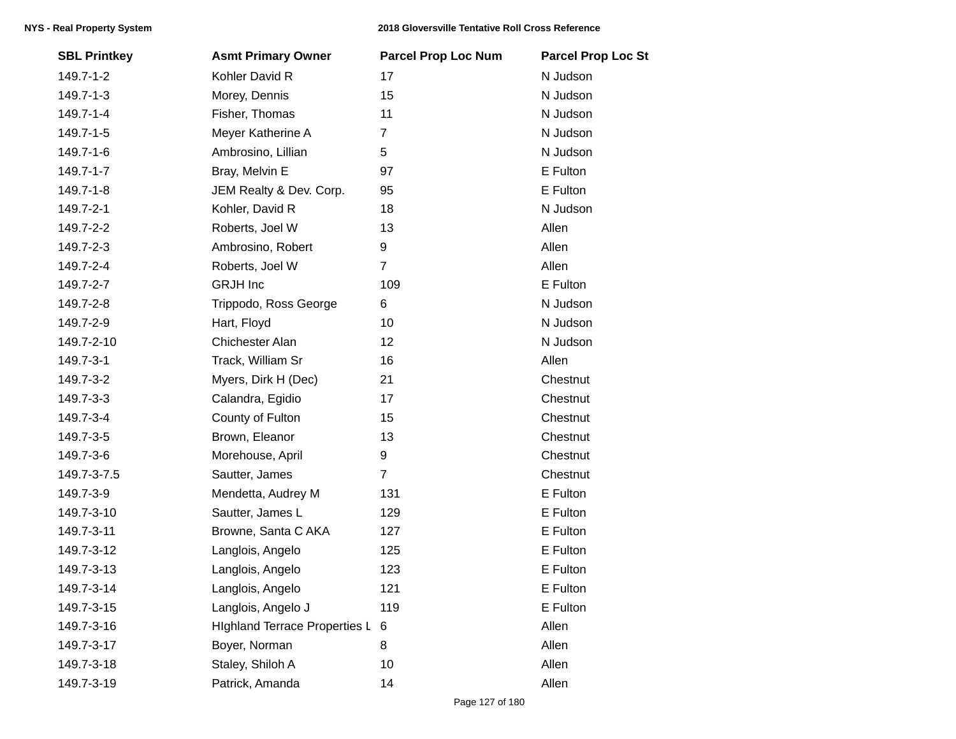| <b>SBL Printkey</b> | <b>Asmt Primary Owner</b>            | <b>Parcel Prop Loc Num</b> | <b>Parcel Prop Loc St</b> |
|---------------------|--------------------------------------|----------------------------|---------------------------|
| 149.7-1-2           | Kohler David R                       | 17                         | N Judson                  |
| 149.7-1-3           | Morey, Dennis                        | 15                         | N Judson                  |
| 149.7-1-4           | Fisher, Thomas                       | 11                         | N Judson                  |
| 149.7-1-5           | Meyer Katherine A                    | $\overline{7}$             | N Judson                  |
| 149.7-1-6           | Ambrosino, Lillian                   | 5                          | N Judson                  |
| 149.7-1-7           | Bray, Melvin E                       | 97                         | E Fulton                  |
| 149.7-1-8           | JEM Realty & Dev. Corp.              | 95                         | E Fulton                  |
| 149.7-2-1           | Kohler, David R                      | 18                         | N Judson                  |
| 149.7-2-2           | Roberts, Joel W                      | 13                         | Allen                     |
| 149.7-2-3           | Ambrosino, Robert                    | 9                          | Allen                     |
| 149.7-2-4           | Roberts, Joel W                      | $\overline{7}$             | Allen                     |
| 149.7-2-7           | <b>GRJH</b> Inc                      | 109                        | E Fulton                  |
| 149.7-2-8           | Trippodo, Ross George                | 6                          | N Judson                  |
| 149.7-2-9           | Hart, Floyd                          | 10                         | N Judson                  |
| 149.7-2-10          | Chichester Alan                      | 12                         | N Judson                  |
| 149.7-3-1           | Track, William Sr                    | 16                         | Allen                     |
| 149.7-3-2           | Myers, Dirk H (Dec)                  | 21                         | Chestnut                  |
| 149.7-3-3           | Calandra, Egidio                     | 17                         | Chestnut                  |
| 149.7-3-4           | County of Fulton                     | 15                         | Chestnut                  |
| 149.7-3-5           | Brown, Eleanor                       | 13                         | Chestnut                  |
| 149.7-3-6           | Morehouse, April                     | 9                          | Chestnut                  |
| 149.7-3-7.5         | Sautter, James                       | $\overline{7}$             | Chestnut                  |
| 149.7-3-9           | Mendetta, Audrey M                   | 131                        | E Fulton                  |
| 149.7-3-10          | Sautter, James L                     | 129                        | E Fulton                  |
| 149.7-3-11          | Browne, Santa C AKA                  | 127                        | E Fulton                  |
| 149.7-3-12          | Langlois, Angelo                     | 125                        | E Fulton                  |
| 149.7-3-13          | Langlois, Angelo                     | 123                        | E Fulton                  |
| 149.7-3-14          | Langlois, Angelo                     | 121                        | E Fulton                  |
| 149.7-3-15          | Langlois, Angelo J                   | 119                        | E Fulton                  |
| 149.7-3-16          | <b>Highland Terrace Properties L</b> | $\,6$                      | Allen                     |
| 149.7-3-17          | Boyer, Norman                        | 8                          | Allen                     |
| 149.7-3-18          | Staley, Shiloh A                     | 10                         | Allen                     |
| 149.7-3-19          | Patrick, Amanda                      | 14                         | Allen                     |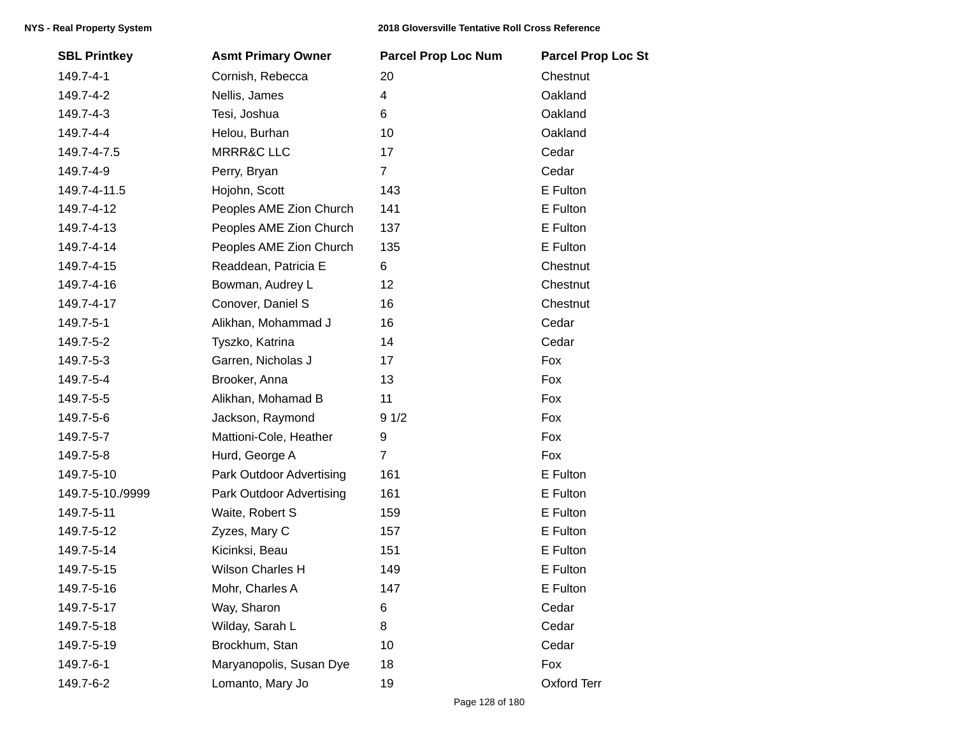| <b>SBL Printkey</b> | <b>Asmt Primary Owner</b> | <b>Parcel Prop Loc Num</b> | <b>Parcel Prop Loc St</b> |
|---------------------|---------------------------|----------------------------|---------------------------|
| 149.7-4-1           | Cornish, Rebecca          | 20                         | Chestnut                  |
| 149.7-4-2           | Nellis, James             | 4                          | Oakland                   |
| 149.7-4-3           | Tesi, Joshua              | 6                          | Oakland                   |
| 149.7-4-4           | Helou, Burhan             | 10                         | Oakland                   |
| 149.7-4-7.5         | <b>MRRR&amp;C LLC</b>     | 17                         | Cedar                     |
| 149.7-4-9           | Perry, Bryan              | $\overline{7}$             | Cedar                     |
| 149.7-4-11.5        | Hojohn, Scott             | 143                        | E Fulton                  |
| 149.7-4-12          | Peoples AME Zion Church   | 141                        | E Fulton                  |
| 149.7-4-13          | Peoples AME Zion Church   | 137                        | E Fulton                  |
| 149.7-4-14          | Peoples AME Zion Church   | 135                        | E Fulton                  |
| 149.7-4-15          | Readdean, Patricia E      | 6                          | Chestnut                  |
| 149.7-4-16          | Bowman, Audrey L          | 12                         | Chestnut                  |
| 149.7-4-17          | Conover, Daniel S         | 16                         | Chestnut                  |
| 149.7-5-1           | Alikhan, Mohammad J       | 16                         | Cedar                     |
| 149.7-5-2           | Tyszko, Katrina           | 14                         | Cedar                     |
| 149.7-5-3           | Garren, Nicholas J        | 17                         | Fox                       |
| 149.7-5-4           | Brooker, Anna             | 13                         | Fox                       |
| 149.7-5-5           | Alikhan, Mohamad B        | 11                         | Fox                       |
| 149.7-5-6           | Jackson, Raymond          | 91/2                       | Fox                       |
| 149.7-5-7           | Mattioni-Cole, Heather    | 9                          | Fox                       |
| 149.7-5-8           | Hurd, George A            | $\overline{7}$             | Fox                       |
| 149.7-5-10          | Park Outdoor Advertising  | 161                        | E Fulton                  |
| 149.7-5-10./9999    | Park Outdoor Advertising  | 161                        | E Fulton                  |
| 149.7-5-11          | Waite, Robert S           | 159                        | E Fulton                  |
| 149.7-5-12          | Zyzes, Mary C             | 157                        | E Fulton                  |
| 149.7-5-14          | Kicinksi, Beau            | 151                        | E Fulton                  |
| 149.7-5-15          | Wilson Charles H          | 149                        | E Fulton                  |
| 149.7-5-16          | Mohr, Charles A           | 147                        | E Fulton                  |
| 149.7-5-17          | Way, Sharon               | 6                          | Cedar                     |
| 149.7-5-18          | Wilday, Sarah L           | 8                          | Cedar                     |
| 149.7-5-19          | Brockhum, Stan            | 10                         | Cedar                     |
| 149.7-6-1           | Maryanopolis, Susan Dye   | 18                         | Fox                       |
| 149.7-6-2           | Lomanto, Mary Jo          | 19                         | Oxford Terr               |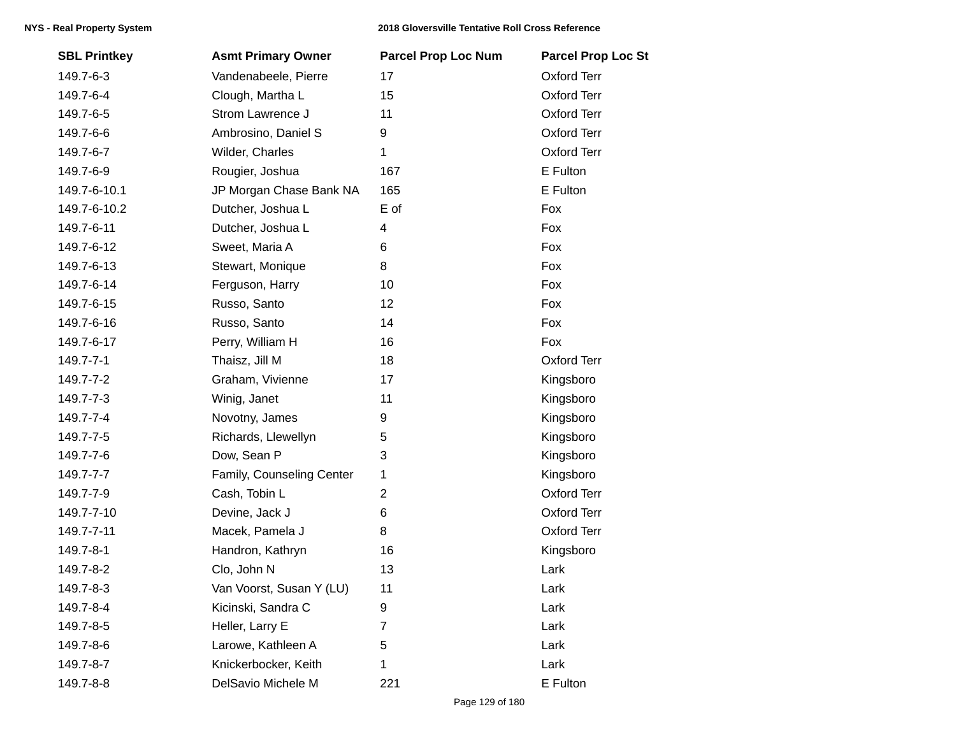| <b>SBL Printkey</b> | <b>Asmt Primary Owner</b> | <b>Parcel Prop Loc Num</b> | <b>Parcel Prop Loc St</b> |
|---------------------|---------------------------|----------------------------|---------------------------|
| 149.7-6-3           | Vandenabeele, Pierre      | 17                         | <b>Oxford Terr</b>        |
| 149.7-6-4           | Clough, Martha L          | 15                         | <b>Oxford Terr</b>        |
| 149.7-6-5           | Strom Lawrence J          | 11                         | <b>Oxford Terr</b>        |
| 149.7-6-6           | Ambrosino, Daniel S       | 9                          | <b>Oxford Terr</b>        |
| 149.7-6-7           | Wilder, Charles           | 1                          | Oxford Terr               |
| 149.7-6-9           | Rougier, Joshua           | 167                        | E Fulton                  |
| 149.7-6-10.1        | JP Morgan Chase Bank NA   | 165                        | E Fulton                  |
| 149.7-6-10.2        | Dutcher, Joshua L         | E of                       | Fox                       |
| 149.7-6-11          | Dutcher, Joshua L         | 4                          | Fox                       |
| 149.7-6-12          | Sweet, Maria A            | 6                          | Fox                       |
| 149.7-6-13          | Stewart, Monique          | 8                          | Fox                       |
| 149.7-6-14          | Ferguson, Harry           | 10                         | Fox                       |
| 149.7-6-15          | Russo, Santo              | 12                         | Fox                       |
| 149.7-6-16          | Russo, Santo              | 14                         | Fox                       |
| 149.7-6-17          | Perry, William H          | 16                         | Fox                       |
| 149.7-7-1           | Thaisz, Jill M            | 18                         | <b>Oxford Terr</b>        |
| 149.7-7-2           | Graham, Vivienne          | 17                         | Kingsboro                 |
| 149.7-7-3           | Winig, Janet              | 11                         | Kingsboro                 |
| 149.7-7-4           | Novotny, James            | 9                          | Kingsboro                 |
| 149.7-7-5           | Richards, Llewellyn       | 5                          | Kingsboro                 |
| 149.7-7-6           | Dow, Sean P               | 3                          | Kingsboro                 |
| 149.7-7-7           | Family, Counseling Center | 1                          | Kingsboro                 |
| 149.7-7-9           | Cash, Tobin L             | $\overline{2}$             | <b>Oxford Terr</b>        |
| 149.7-7-10          | Devine, Jack J            | 6                          | <b>Oxford Terr</b>        |
| 149.7-7-11          | Macek, Pamela J           | 8                          | <b>Oxford Terr</b>        |
| 149.7-8-1           | Handron, Kathryn          | 16                         | Kingsboro                 |
| 149.7-8-2           | Clo, John N               | 13                         | Lark                      |
| 149.7-8-3           | Van Voorst, Susan Y (LU)  | 11                         | Lark                      |
| 149.7-8-4           | Kicinski, Sandra C        | 9                          | Lark                      |
| 149.7-8-5           | Heller, Larry E           | 7                          | Lark                      |
| 149.7-8-6           | Larowe, Kathleen A        | 5                          | Lark                      |
| 149.7-8-7           | Knickerbocker, Keith      | 1                          | Lark                      |
| 149.7-8-8           | DelSavio Michele M        | 221                        | E Fulton                  |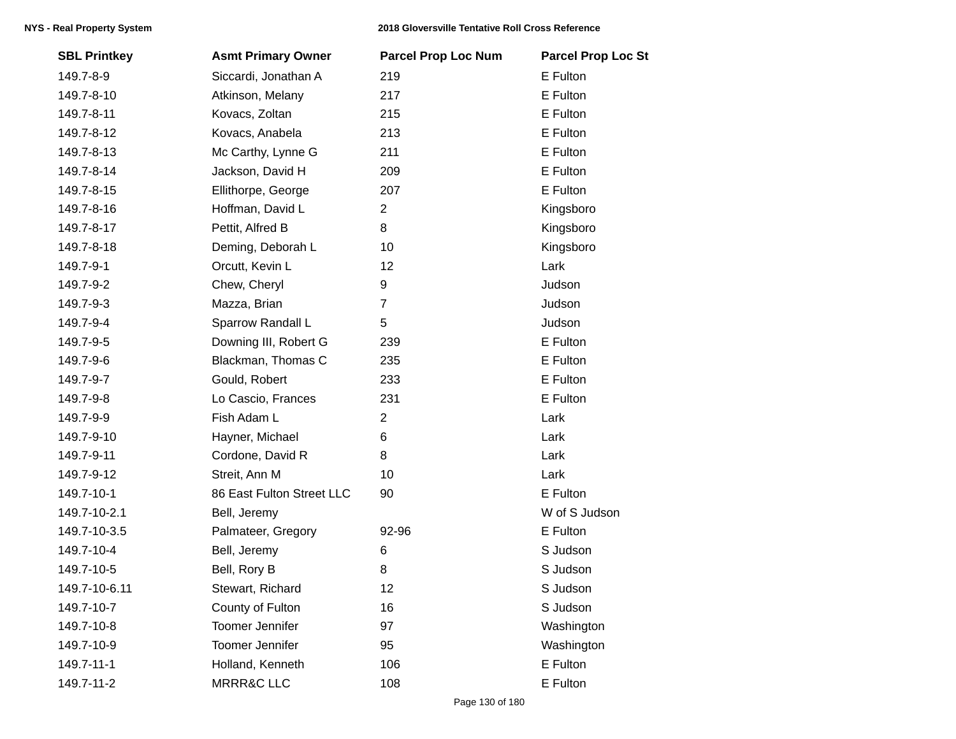| <b>SBL Printkey</b> | <b>Asmt Primary Owner</b> | <b>Parcel Prop Loc Num</b> | <b>Parcel Prop Loc St</b> |
|---------------------|---------------------------|----------------------------|---------------------------|
| 149.7-8-9           | Siccardi, Jonathan A      | 219                        | E Fulton                  |
| 149.7-8-10          | Atkinson, Melany          | 217                        | E Fulton                  |
| 149.7-8-11          | Kovacs, Zoltan            | 215                        | E Fulton                  |
| 149.7-8-12          | Kovacs, Anabela           | 213                        | E Fulton                  |
| 149.7-8-13          | Mc Carthy, Lynne G        | 211                        | E Fulton                  |
| 149.7-8-14          | Jackson, David H          | 209                        | E Fulton                  |
| 149.7-8-15          | Ellithorpe, George        | 207                        | E Fulton                  |
| 149.7-8-16          | Hoffman, David L          | 2                          | Kingsboro                 |
| 149.7-8-17          | Pettit, Alfred B          | 8                          | Kingsboro                 |
| 149.7-8-18          | Deming, Deborah L         | 10                         | Kingsboro                 |
| 149.7-9-1           | Orcutt, Kevin L           | 12                         | Lark                      |
| 149.7-9-2           | Chew, Cheryl              | 9                          | Judson                    |
| 149.7-9-3           | Mazza, Brian              | $\overline{7}$             | Judson                    |
| 149.7-9-4           | Sparrow Randall L         | 5                          | Judson                    |
| 149.7-9-5           | Downing III, Robert G     | 239                        | E Fulton                  |
| 149.7-9-6           | Blackman, Thomas C        | 235                        | E Fulton                  |
| 149.7-9-7           | Gould, Robert             | 233                        | E Fulton                  |
| 149.7-9-8           | Lo Cascio, Frances        | 231                        | E Fulton                  |
| 149.7-9-9           | Fish Adam L               | $\overline{c}$             | Lark                      |
| 149.7-9-10          | Hayner, Michael           | 6                          | Lark                      |
| 149.7-9-11          | Cordone, David R          | 8                          | Lark                      |
| 149.7-9-12          | Streit, Ann M             | 10                         | Lark                      |
| 149.7-10-1          | 86 East Fulton Street LLC | 90                         | E Fulton                  |
| 149.7-10-2.1        | Bell, Jeremy              |                            | W of S Judson             |
| 149.7-10-3.5        | Palmateer, Gregory        | 92-96                      | E Fulton                  |
| 149.7-10-4          | Bell, Jeremy              | 6                          | S Judson                  |
| 149.7-10-5          | Bell, Rory B              | 8                          | S Judson                  |
| 149.7-10-6.11       | Stewart, Richard          | 12                         | S Judson                  |
| 149.7-10-7          | County of Fulton          | 16                         | S Judson                  |
| 149.7-10-8          | <b>Toomer Jennifer</b>    | 97                         | Washington                |
| 149.7-10-9          | <b>Toomer Jennifer</b>    | 95                         | Washington                |
| 149.7-11-1          | Holland, Kenneth          | 106                        | E Fulton                  |
| 149.7-11-2          | <b>MRRR&amp;C LLC</b>     | 108                        | E Fulton                  |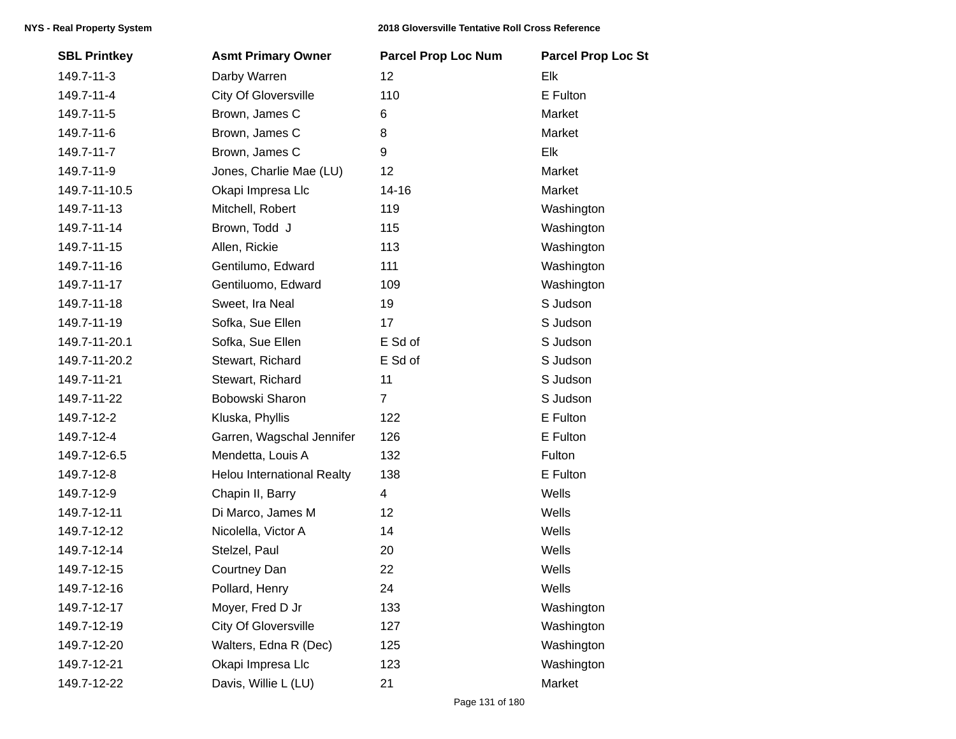| <b>SBL Printkey</b> | <b>Asmt Primary Owner</b>         | <b>Parcel Prop Loc Num</b> | <b>Parcel Prop Loc St</b> |
|---------------------|-----------------------------------|----------------------------|---------------------------|
| 149.7-11-3          | Darby Warren                      | 12                         | Elk                       |
| 149.7-11-4          | City Of Gloversville              | 110                        | E Fulton                  |
| 149.7-11-5          | Brown, James C                    | 6                          | Market                    |
| 149.7-11-6          | Brown, James C                    | 8                          | Market                    |
| 149.7-11-7          | Brown, James C                    | 9                          | Elk                       |
| 149.7-11-9          | Jones, Charlie Mae (LU)           | 12                         | Market                    |
| 149.7-11-10.5       | Okapi Impresa Llc                 | $14 - 16$                  | Market                    |
| 149.7-11-13         | Mitchell, Robert                  | 119                        | Washington                |
| 149.7-11-14         | Brown, Todd J                     | 115                        | Washington                |
| 149.7-11-15         | Allen, Rickie                     | 113                        | Washington                |
| 149.7-11-16         | Gentilumo, Edward                 | 111                        | Washington                |
| 149.7-11-17         | Gentiluomo, Edward                | 109                        | Washington                |
| 149.7-11-18         | Sweet, Ira Neal                   | 19                         | S Judson                  |
| 149.7-11-19         | Sofka, Sue Ellen                  | 17                         | S Judson                  |
| 149.7-11-20.1       | Sofka, Sue Ellen                  | E Sd of                    | S Judson                  |
| 149.7-11-20.2       | Stewart, Richard                  | E Sd of                    | S Judson                  |
| 149.7-11-21         | Stewart, Richard                  | 11                         | S Judson                  |
| 149.7-11-22         | Bobowski Sharon                   | $\overline{7}$             | S Judson                  |
| 149.7-12-2          | Kluska, Phyllis                   | 122                        | E Fulton                  |
| 149.7-12-4          | Garren, Wagschal Jennifer         | 126                        | E Fulton                  |
| 149.7-12-6.5        | Mendetta, Louis A                 | 132                        | Fulton                    |
| 149.7-12-8          | <b>Helou International Realty</b> | 138                        | E Fulton                  |
| 149.7-12-9          | Chapin II, Barry                  | 4                          | Wells                     |
| 149.7-12-11         | Di Marco, James M                 | 12                         | Wells                     |
| 149.7-12-12         | Nicolella, Victor A               | 14                         | Wells                     |
| 149.7-12-14         | Stelzel, Paul                     | 20                         | Wells                     |
| 149.7-12-15         | Courtney Dan                      | 22                         | Wells                     |
| 149.7-12-16         | Pollard, Henry                    | 24                         | Wells                     |
| 149.7-12-17         | Moyer, Fred D Jr                  | 133                        | Washington                |
| 149.7-12-19         | <b>City Of Gloversville</b>       | 127                        | Washington                |
| 149.7-12-20         | Walters, Edna R (Dec)             | 125                        | Washington                |
| 149.7-12-21         | Okapi Impresa Llc                 | 123                        | Washington                |
| 149.7-12-22         | Davis, Willie L (LU)              | 21                         | Market                    |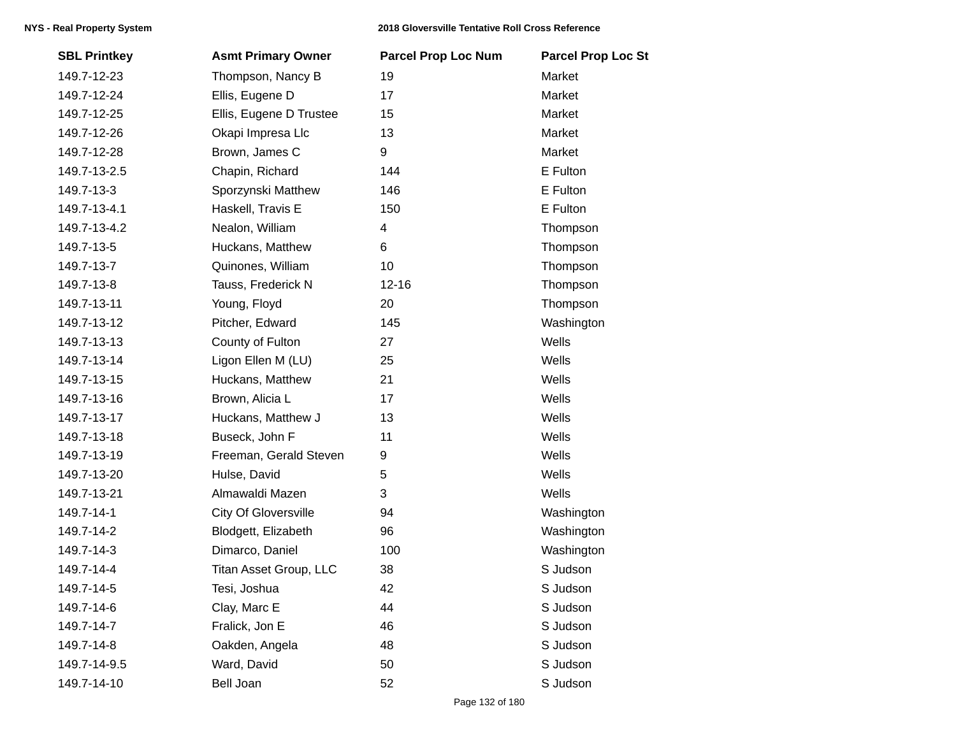| <b>SBL Printkey</b> | <b>Asmt Primary Owner</b>   | <b>Parcel Prop Loc Num</b> | <b>Parcel Prop Loc St</b> |
|---------------------|-----------------------------|----------------------------|---------------------------|
| 149.7-12-23         | Thompson, Nancy B           | 19                         | Market                    |
| 149.7-12-24         | Ellis, Eugene D             | 17                         | Market                    |
| 149.7-12-25         | Ellis, Eugene D Trustee     | 15                         | Market                    |
| 149.7-12-26         | Okapi Impresa Llc           | 13                         | Market                    |
| 149.7-12-28         | Brown, James C              | 9                          | Market                    |
| 149.7-13-2.5        | Chapin, Richard             | 144                        | E Fulton                  |
| 149.7-13-3          | Sporzynski Matthew          | 146                        | E Fulton                  |
| 149.7-13-4.1        | Haskell, Travis E           | 150                        | E Fulton                  |
| 149.7-13-4.2        | Nealon, William             | 4                          | Thompson                  |
| 149.7-13-5          | Huckans, Matthew            | 6                          | Thompson                  |
| 149.7-13-7          | Quinones, William           | 10                         | Thompson                  |
| 149.7-13-8          | Tauss, Frederick N          | $12 - 16$                  | Thompson                  |
| 149.7-13-11         | Young, Floyd                | 20                         | Thompson                  |
| 149.7-13-12         | Pitcher, Edward             | 145                        | Washington                |
| 149.7-13-13         | County of Fulton            | 27                         | Wells                     |
| 149.7-13-14         | Ligon Ellen M (LU)          | 25                         | Wells                     |
| 149.7-13-15         | Huckans, Matthew            | 21                         | Wells                     |
| 149.7-13-16         | Brown, Alicia L             | 17                         | Wells                     |
| 149.7-13-17         | Huckans, Matthew J          | 13                         | Wells                     |
| 149.7-13-18         | Buseck, John F              | 11                         | Wells                     |
| 149.7-13-19         | Freeman, Gerald Steven      | 9                          | Wells                     |
| 149.7-13-20         | Hulse, David                | 5                          | Wells                     |
| 149.7-13-21         | Almawaldi Mazen             | 3                          | Wells                     |
| 149.7-14-1          | <b>City Of Gloversville</b> | 94                         | Washington                |
| 149.7-14-2          | Blodgett, Elizabeth         | 96                         | Washington                |
| 149.7-14-3          | Dimarco, Daniel             | 100                        | Washington                |
| 149.7-14-4          | Titan Asset Group, LLC      | 38                         | S Judson                  |
| 149.7-14-5          | Tesi, Joshua                | 42                         | S Judson                  |
| 149.7-14-6          | Clay, Marc E                | 44                         | S Judson                  |
| 149.7-14-7          | Fralick, Jon E              | 46                         | S Judson                  |
| 149.7-14-8          | Oakden, Angela              | 48                         | S Judson                  |
| 149.7-14-9.5        | Ward, David                 | 50                         | S Judson                  |
| 149.7-14-10         | Bell Joan                   | 52                         | S Judson                  |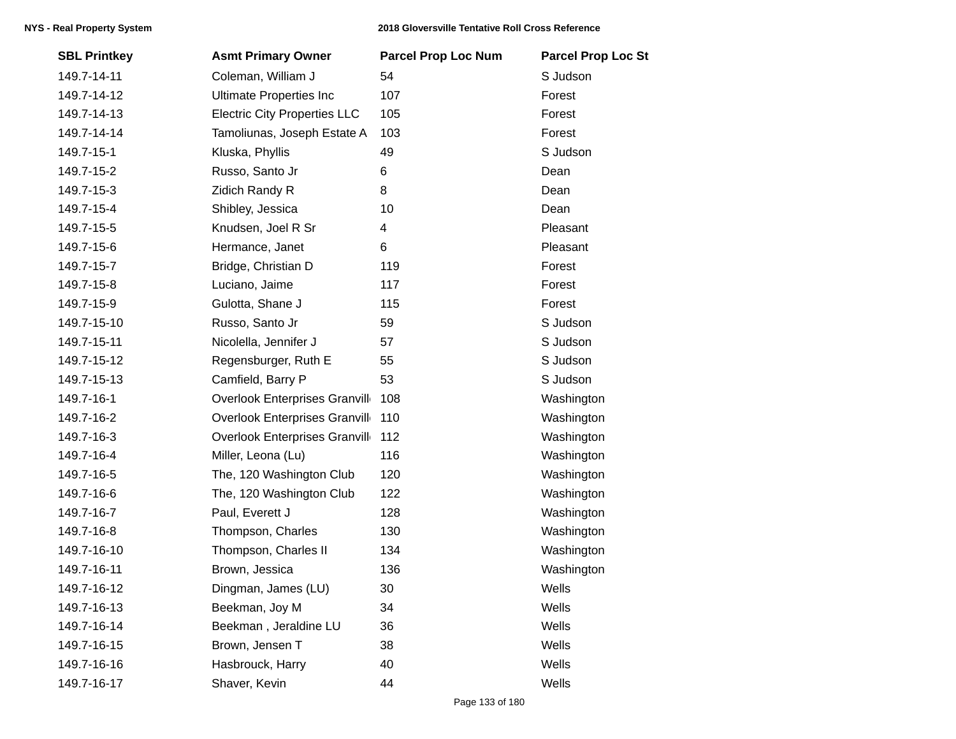| <b>SBL Printkey</b> | <b>Asmt Primary Owner</b>            | <b>Parcel Prop Loc Num</b> | <b>Parcel Prop Loc St</b> |
|---------------------|--------------------------------------|----------------------------|---------------------------|
| 149.7-14-11         | Coleman, William J                   | 54                         | S Judson                  |
| 149.7-14-12         | <b>Ultimate Properties Inc</b>       | 107                        | Forest                    |
| 149.7-14-13         | <b>Electric City Properties LLC</b>  | 105                        | Forest                    |
| 149.7-14-14         | Tamoliunas, Joseph Estate A          | 103                        | Forest                    |
| 149.7-15-1          | Kluska, Phyllis                      | 49                         | S Judson                  |
| 149.7-15-2          | Russo, Santo Jr                      | 6                          | Dean                      |
| 149.7-15-3          | Zidich Randy R                       | 8                          | Dean                      |
| 149.7-15-4          | Shibley, Jessica                     | 10                         | Dean                      |
| 149.7-15-5          | Knudsen, Joel R Sr                   | 4                          | Pleasant                  |
| 149.7-15-6          | Hermance, Janet                      | 6                          | Pleasant                  |
| 149.7-15-7          | Bridge, Christian D                  | 119                        | Forest                    |
| 149.7-15-8          | Luciano, Jaime                       | 117                        | Forest                    |
| 149.7-15-9          | Gulotta, Shane J                     | 115                        | Forest                    |
| 149.7-15-10         | Russo, Santo Jr                      | 59                         | S Judson                  |
| 149.7-15-11         | Nicolella, Jennifer J                | 57                         | S Judson                  |
| 149.7-15-12         | Regensburger, Ruth E                 | 55                         | S Judson                  |
| 149.7-15-13         | Camfield, Barry P                    | 53                         | S Judson                  |
| 149.7-16-1          | <b>Overlook Enterprises Granvill</b> | 108                        | Washington                |
| 149.7-16-2          | <b>Overlook Enterprises Granvill</b> | 110                        | Washington                |
| 149.7-16-3          | <b>Overlook Enterprises Granvill</b> | 112                        | Washington                |
| 149.7-16-4          | Miller, Leona (Lu)                   | 116                        | Washington                |
| 149.7-16-5          | The, 120 Washington Club             | 120                        | Washington                |
| 149.7-16-6          | The, 120 Washington Club             | 122                        | Washington                |
| 149.7-16-7          | Paul, Everett J                      | 128                        | Washington                |
| 149.7-16-8          | Thompson, Charles                    | 130                        | Washington                |
| 149.7-16-10         | Thompson, Charles II                 | 134                        | Washington                |
| 149.7-16-11         | Brown, Jessica                       | 136                        | Washington                |
| 149.7-16-12         | Dingman, James (LU)                  | 30                         | Wells                     |
| 149.7-16-13         | Beekman, Joy M                       | 34                         | Wells                     |
| 149.7-16-14         | Beekman, Jeraldine LU                | 36                         | Wells                     |
| 149.7-16-15         | Brown, Jensen T                      | 38                         | Wells                     |
| 149.7-16-16         | Hasbrouck, Harry                     | 40                         | Wells                     |
| 149.7-16-17         | Shaver, Kevin                        | 44                         | Wells                     |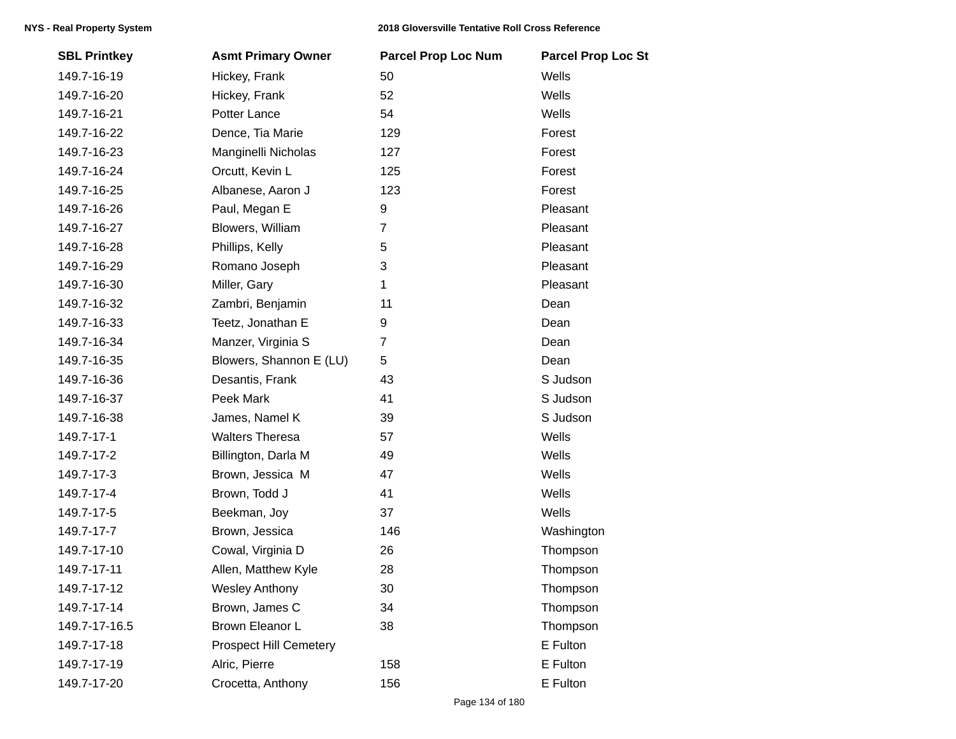| <b>SBL Printkey</b> | <b>Asmt Primary Owner</b>     | <b>Parcel Prop Loc Num</b> | <b>Parcel Prop Loc St</b> |
|---------------------|-------------------------------|----------------------------|---------------------------|
| 149.7-16-19         | Hickey, Frank                 | 50                         | Wells                     |
| 149.7-16-20         | Hickey, Frank                 | 52                         | Wells                     |
| 149.7-16-21         | Potter Lance                  | 54                         | Wells                     |
| 149.7-16-22         | Dence, Tia Marie              | 129                        | Forest                    |
| 149.7-16-23         | Manginelli Nicholas           | 127                        | Forest                    |
| 149.7-16-24         | Orcutt, Kevin L               | 125                        | Forest                    |
| 149.7-16-25         | Albanese, Aaron J             | 123                        | Forest                    |
| 149.7-16-26         | Paul, Megan E                 | 9                          | Pleasant                  |
| 149.7-16-27         | Blowers, William              | $\overline{7}$             | Pleasant                  |
| 149.7-16-28         | Phillips, Kelly               | 5                          | Pleasant                  |
| 149.7-16-29         | Romano Joseph                 | 3                          | Pleasant                  |
| 149.7-16-30         | Miller, Gary                  | 1                          | Pleasant                  |
| 149.7-16-32         | Zambri, Benjamin              | 11                         | Dean                      |
| 149.7-16-33         | Teetz, Jonathan E             | 9                          | Dean                      |
| 149.7-16-34         | Manzer, Virginia S            | $\overline{7}$             | Dean                      |
| 149.7-16-35         | Blowers, Shannon E (LU)       | 5                          | Dean                      |
| 149.7-16-36         | Desantis, Frank               | 43                         | S Judson                  |
| 149.7-16-37         | Peek Mark                     | 41                         | S Judson                  |
| 149.7-16-38         | James, Namel K                | 39                         | S Judson                  |
| 149.7-17-1          | <b>Walters Theresa</b>        | 57                         | Wells                     |
| 149.7-17-2          | Billington, Darla M           | 49                         | Wells                     |
| 149.7-17-3          | Brown, Jessica M              | 47                         | Wells                     |
| 149.7-17-4          | Brown, Todd J                 | 41                         | Wells                     |
| 149.7-17-5          | Beekman, Joy                  | 37                         | Wells                     |
| 149.7-17-7          | Brown, Jessica                | 146                        | Washington                |
| 149.7-17-10         | Cowal, Virginia D             | 26                         | Thompson                  |
| 149.7-17-11         | Allen, Matthew Kyle           | 28                         | Thompson                  |
| 149.7-17-12         | <b>Wesley Anthony</b>         | 30                         | Thompson                  |
| 149.7-17-14         | Brown, James C                | 34                         | Thompson                  |
| 149.7-17-16.5       | Brown Eleanor L               | 38                         | Thompson                  |
| 149.7-17-18         | <b>Prospect Hill Cemetery</b> |                            | E Fulton                  |
| 149.7-17-19         | Alric, Pierre                 | 158                        | E Fulton                  |
| 149.7-17-20         | Crocetta, Anthony             | 156                        | E Fulton                  |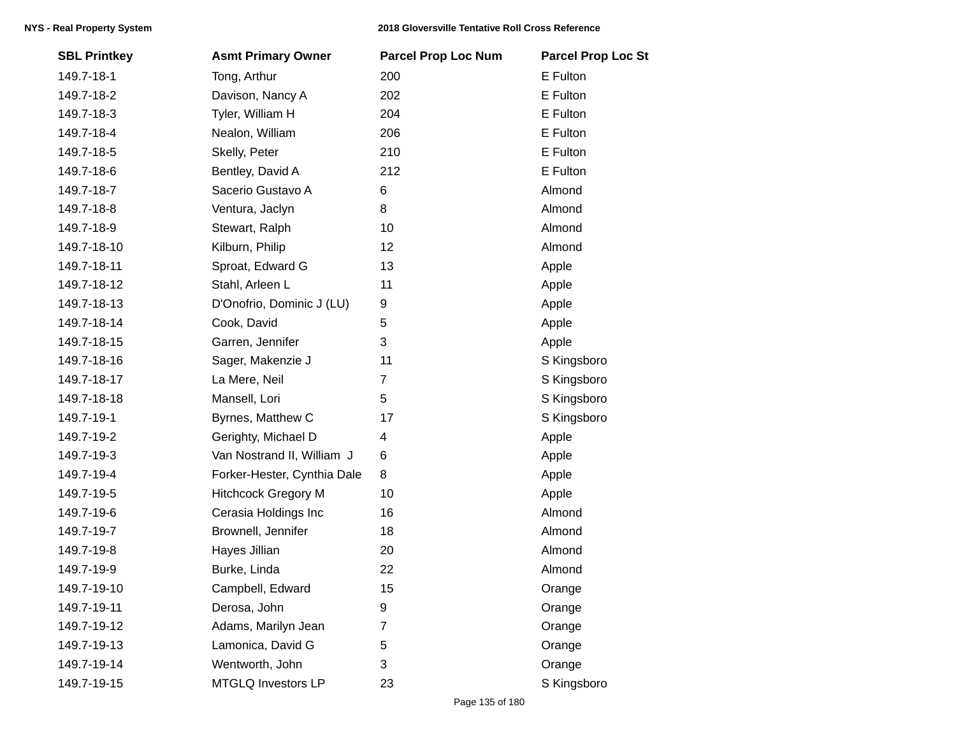| <b>SBL Printkey</b> | <b>Asmt Primary Owner</b>   | <b>Parcel Prop Loc Num</b> | <b>Parcel Prop Loc St</b> |
|---------------------|-----------------------------|----------------------------|---------------------------|
| 149.7-18-1          | Tong, Arthur                | 200                        | E Fulton                  |
| 149.7-18-2          | Davison, Nancy A            | 202                        | E Fulton                  |
| 149.7-18-3          | Tyler, William H            | 204                        | E Fulton                  |
| 149.7-18-4          | Nealon, William             | 206                        | E Fulton                  |
| 149.7-18-5          | Skelly, Peter               | 210                        | E Fulton                  |
| 149.7-18-6          | Bentley, David A            | 212                        | E Fulton                  |
| 149.7-18-7          | Sacerio Gustavo A           | 6                          | Almond                    |
| 149.7-18-8          | Ventura, Jaclyn             | 8                          | Almond                    |
| 149.7-18-9          | Stewart, Ralph              | 10                         | Almond                    |
| 149.7-18-10         | Kilburn, Philip             | 12                         | Almond                    |
| 149.7-18-11         | Sproat, Edward G            | 13                         | Apple                     |
| 149.7-18-12         | Stahl, Arleen L             | 11                         | Apple                     |
| 149.7-18-13         | D'Onofrio, Dominic J (LU)   | 9                          | Apple                     |
| 149.7-18-14         | Cook, David                 | 5                          | Apple                     |
| 149.7-18-15         | Garren, Jennifer            | 3                          | Apple                     |
| 149.7-18-16         | Sager, Makenzie J           | 11                         | S Kingsboro               |
| 149.7-18-17         | La Mere, Neil               | 7                          | S Kingsboro               |
| 149.7-18-18         | Mansell, Lori               | 5                          | S Kingsboro               |
| 149.7-19-1          | Byrnes, Matthew C           | 17                         | S Kingsboro               |
| 149.7-19-2          | Gerighty, Michael D         | 4                          | Apple                     |
| 149.7-19-3          | Van Nostrand II, William J  | 6                          | Apple                     |
| 149.7-19-4          | Forker-Hester, Cynthia Dale | 8                          | Apple                     |
| 149.7-19-5          | <b>Hitchcock Gregory M</b>  | 10                         | Apple                     |
| 149.7-19-6          | Cerasia Holdings Inc        | 16                         | Almond                    |
| 149.7-19-7          | Brownell, Jennifer          | 18                         | Almond                    |
| 149.7-19-8          | Hayes Jillian               | 20                         | Almond                    |
| 149.7-19-9          | Burke, Linda                | 22                         | Almond                    |
| 149.7-19-10         | Campbell, Edward            | 15                         | Orange                    |
| 149.7-19-11         | Derosa, John                | 9                          | Orange                    |
| 149.7-19-12         | Adams, Marilyn Jean         | 7                          | Orange                    |
| 149.7-19-13         | Lamonica, David G           | 5                          | Orange                    |
| 149.7-19-14         | Wentworth, John             | 3                          | Orange                    |
| 149.7-19-15         | MTGLQ Investors LP          | 23                         | S Kingsboro               |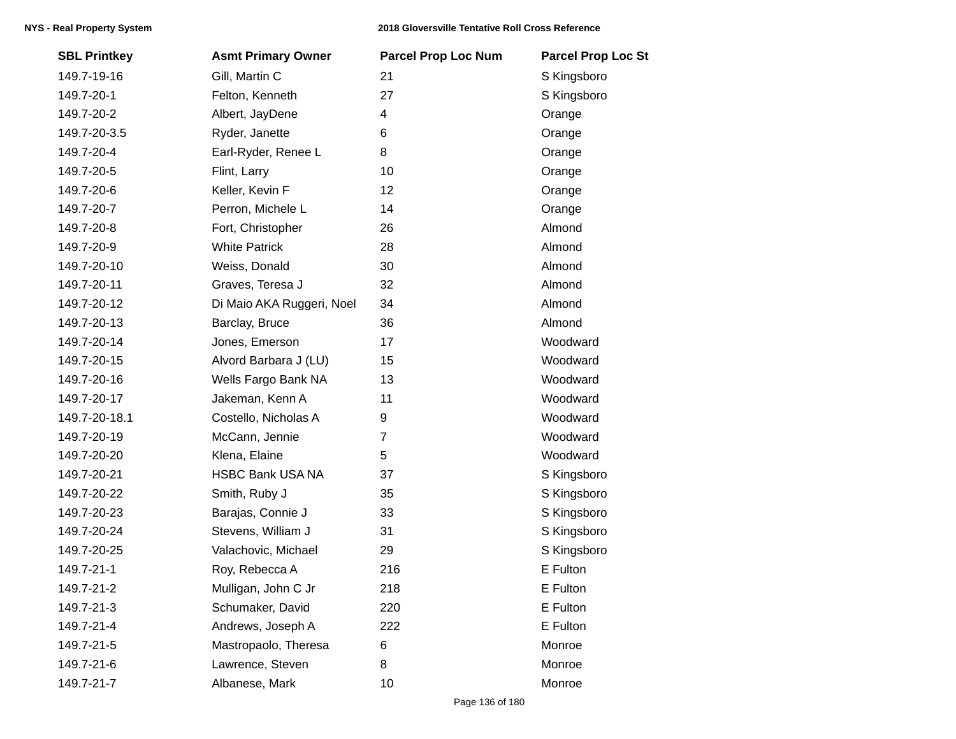| <b>SBL Printkey</b> | <b>Asmt Primary Owner</b> | <b>Parcel Prop Loc Num</b> | <b>Parcel Prop Loc St</b> |
|---------------------|---------------------------|----------------------------|---------------------------|
| 149.7-19-16         | Gill, Martin C            | 21                         | S Kingsboro               |
| 149.7-20-1          | Felton, Kenneth           | 27                         | S Kingsboro               |
| 149.7-20-2          | Albert, JayDene           | 4                          | Orange                    |
| 149.7-20-3.5        | Ryder, Janette            | 6                          | Orange                    |
| 149.7-20-4          | Earl-Ryder, Renee L       | 8                          | Orange                    |
| 149.7-20-5          | Flint, Larry              | 10                         | Orange                    |
| 149.7-20-6          | Keller, Kevin F           | 12                         | Orange                    |
| 149.7-20-7          | Perron, Michele L         | 14                         | Orange                    |
| 149.7-20-8          | Fort, Christopher         | 26                         | Almond                    |
| 149.7-20-9          | <b>White Patrick</b>      | 28                         | Almond                    |
| 149.7-20-10         | Weiss, Donald             | 30                         | Almond                    |
| 149.7-20-11         | Graves, Teresa J          | 32                         | Almond                    |
| 149.7-20-12         | Di Maio AKA Ruggeri, Noel | 34                         | Almond                    |
| 149.7-20-13         | Barclay, Bruce            | 36                         | Almond                    |
| 149.7-20-14         | Jones, Emerson            | 17                         | Woodward                  |
| 149.7-20-15         | Alvord Barbara J (LU)     | 15                         | Woodward                  |
| 149.7-20-16         | Wells Fargo Bank NA       | 13                         | Woodward                  |
| 149.7-20-17         | Jakeman, Kenn A           | 11                         | Woodward                  |
| 149.7-20-18.1       | Costello, Nicholas A      | 9                          | Woodward                  |
| 149.7-20-19         | McCann, Jennie            | $\overline{7}$             | Woodward                  |
| 149.7-20-20         | Klena, Elaine             | 5                          | Woodward                  |
| 149.7-20-21         | <b>HSBC Bank USA NA</b>   | 37                         | S Kingsboro               |
| 149.7-20-22         | Smith, Ruby J             | 35                         | S Kingsboro               |
| 149.7-20-23         | Barajas, Connie J         | 33                         | S Kingsboro               |
| 149.7-20-24         | Stevens, William J        | 31                         | S Kingsboro               |
| 149.7-20-25         | Valachovic, Michael       | 29                         | S Kingsboro               |
| 149.7-21-1          | Roy, Rebecca A            | 216                        | E Fulton                  |
| 149.7-21-2          | Mulligan, John C Jr       | 218                        | E Fulton                  |
| 149.7-21-3          | Schumaker, David          | 220                        | E Fulton                  |
| 149.7-21-4          | Andrews, Joseph A         | 222                        | E Fulton                  |
| 149.7-21-5          | Mastropaolo, Theresa      | 6                          | Monroe                    |
| 149.7-21-6          | Lawrence, Steven          | 8                          | Monroe                    |
| 149.7-21-7          | Albanese, Mark            | 10                         | Monroe                    |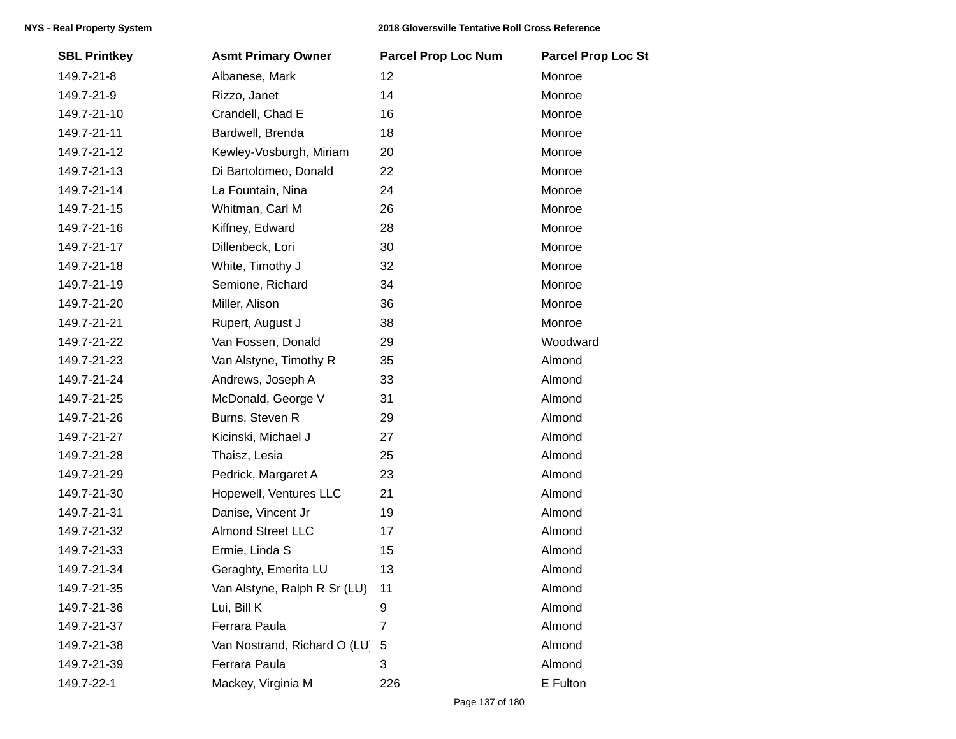| <b>SBL Printkey</b> | <b>Asmt Primary Owner</b>    | <b>Parcel Prop Loc Num</b> | <b>Parcel Prop Loc St</b> |
|---------------------|------------------------------|----------------------------|---------------------------|
| 149.7-21-8          | Albanese, Mark               | 12                         | Monroe                    |
| 149.7-21-9          | Rizzo, Janet                 | 14                         | Monroe                    |
| 149.7-21-10         | Crandell, Chad E             | 16                         | Monroe                    |
| 149.7-21-11         | Bardwell, Brenda             | 18                         | Monroe                    |
| 149.7-21-12         | Kewley-Vosburgh, Miriam      | 20                         | Monroe                    |
| 149.7-21-13         | Di Bartolomeo, Donald        | 22                         | Monroe                    |
| 149.7-21-14         | La Fountain, Nina            | 24                         | Monroe                    |
| 149.7-21-15         | Whitman, Carl M              | 26                         | Monroe                    |
| 149.7-21-16         | Kiffney, Edward              | 28                         | Monroe                    |
| 149.7-21-17         | Dillenbeck, Lori             | 30                         | Monroe                    |
| 149.7-21-18         | White, Timothy J             | 32                         | Monroe                    |
| 149.7-21-19         | Semione, Richard             | 34                         | Monroe                    |
| 149.7-21-20         | Miller, Alison               | 36                         | Monroe                    |
| 149.7-21-21         | Rupert, August J             | 38                         | Monroe                    |
| 149.7-21-22         | Van Fossen, Donald           | 29                         | Woodward                  |
| 149.7-21-23         | Van Alstyne, Timothy R       | 35                         | Almond                    |
| 149.7-21-24         | Andrews, Joseph A            | 33                         | Almond                    |
| 149.7-21-25         | McDonald, George V           | 31                         | Almond                    |
| 149.7-21-26         | Burns, Steven R              | 29                         | Almond                    |
| 149.7-21-27         | Kicinski, Michael J          | 27                         | Almond                    |
| 149.7-21-28         | Thaisz, Lesia                | 25                         | Almond                    |
| 149.7-21-29         | Pedrick, Margaret A          | 23                         | Almond                    |
| 149.7-21-30         | Hopewell, Ventures LLC       | 21                         | Almond                    |
| 149.7-21-31         | Danise, Vincent Jr           | 19                         | Almond                    |
| 149.7-21-32         | <b>Almond Street LLC</b>     | 17                         | Almond                    |
| 149.7-21-33         | Ermie, Linda S               | 15                         | Almond                    |
| 149.7-21-34         | Geraghty, Emerita LU         | 13                         | Almond                    |
| 149.7-21-35         | Van Alstyne, Ralph R Sr (LU) | 11                         | Almond                    |
| 149.7-21-36         | Lui, Bill K                  | 9                          | Almond                    |
| 149.7-21-37         | Ferrara Paula                | 7                          | Almond                    |
| 149.7-21-38         | Van Nostrand, Richard O (LU) | 5                          | Almond                    |
| 149.7-21-39         | Ferrara Paula                | 3                          | Almond                    |
| 149.7-22-1          | Mackey, Virginia M           | 226                        | E Fulton                  |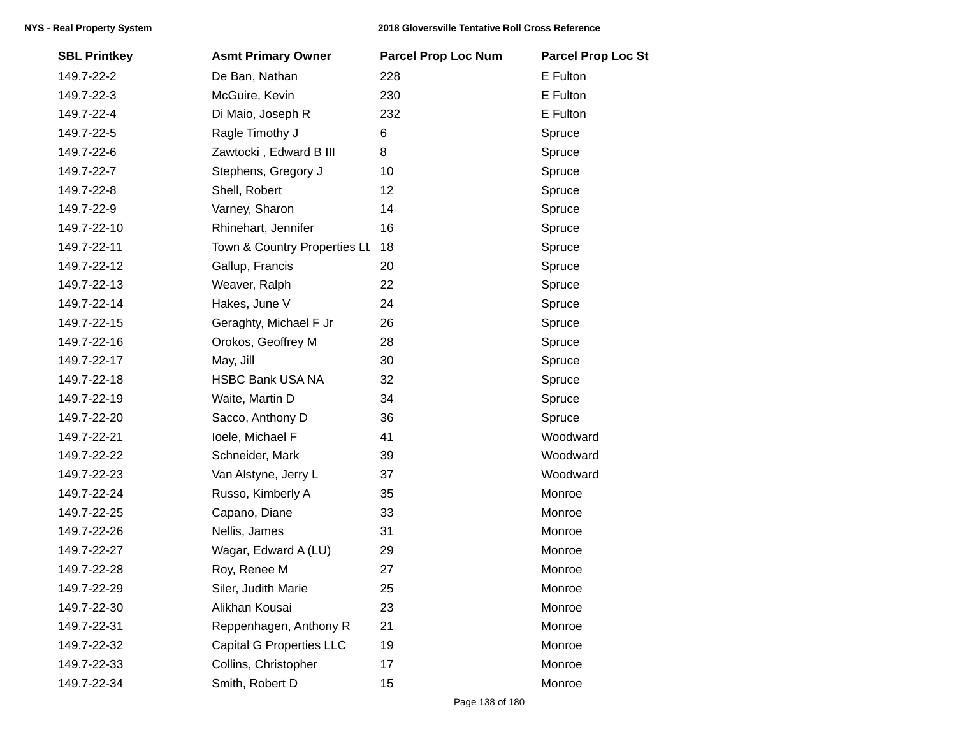| <b>SBL Printkey</b> | <b>Asmt Primary Owner</b>       | <b>Parcel Prop Loc Num</b> | <b>Parcel Prop Loc St</b> |
|---------------------|---------------------------------|----------------------------|---------------------------|
| 149.7-22-2          | De Ban, Nathan                  | 228                        | E Fulton                  |
| 149.7-22-3          | McGuire, Kevin                  | 230                        | E Fulton                  |
| 149.7-22-4          | Di Maio, Joseph R               | 232                        | E Fulton                  |
| 149.7-22-5          | Ragle Timothy J                 | 6                          | Spruce                    |
| 149.7-22-6          | Zawtocki, Edward B III          | 8                          | Spruce                    |
| 149.7-22-7          | Stephens, Gregory J             | 10                         | Spruce                    |
| 149.7-22-8          | Shell, Robert                   | 12                         | Spruce                    |
| 149.7-22-9          | Varney, Sharon                  | 14                         | Spruce                    |
| 149.7-22-10         | Rhinehart, Jennifer             | 16                         | Spruce                    |
| 149.7-22-11         | Town & Country Properties LL    | 18                         | Spruce                    |
| 149.7-22-12         | Gallup, Francis                 | 20                         | Spruce                    |
| 149.7-22-13         | Weaver, Ralph                   | 22                         | Spruce                    |
| 149.7-22-14         | Hakes, June V                   | 24                         | Spruce                    |
| 149.7-22-15         | Geraghty, Michael F Jr          | 26                         | Spruce                    |
| 149.7-22-16         | Orokos, Geoffrey M              | 28                         | Spruce                    |
| 149.7-22-17         | May, Jill                       | 30                         | Spruce                    |
| 149.7-22-18         | HSBC Bank USA NA                | 32                         | Spruce                    |
| 149.7-22-19         | Waite, Martin D                 | 34                         | Spruce                    |
| 149.7-22-20         | Sacco, Anthony D                | 36                         | Spruce                    |
| 149.7-22-21         | loele, Michael F                | 41                         | Woodward                  |
| 149.7-22-22         | Schneider, Mark                 | 39                         | Woodward                  |
| 149.7-22-23         | Van Alstyne, Jerry L            | 37                         | Woodward                  |
| 149.7-22-24         | Russo, Kimberly A               | 35                         | Monroe                    |
| 149.7-22-25         | Capano, Diane                   | 33                         | Monroe                    |
| 149.7-22-26         | Nellis, James                   | 31                         | Monroe                    |
| 149.7-22-27         | Wagar, Edward A (LU)            | 29                         | Monroe                    |
| 149.7-22-28         | Roy, Renee M                    | 27                         | Monroe                    |
| 149.7-22-29         | Siler, Judith Marie             | 25                         | Monroe                    |
| 149.7-22-30         | Alikhan Kousai                  | 23                         | Monroe                    |
| 149.7-22-31         | Reppenhagen, Anthony R          | 21                         | Monroe                    |
| 149.7-22-32         | <b>Capital G Properties LLC</b> | 19                         | Monroe                    |
| 149.7-22-33         | Collins, Christopher            | 17                         | Monroe                    |
| 149.7-22-34         | Smith, Robert D                 | 15                         | Monroe                    |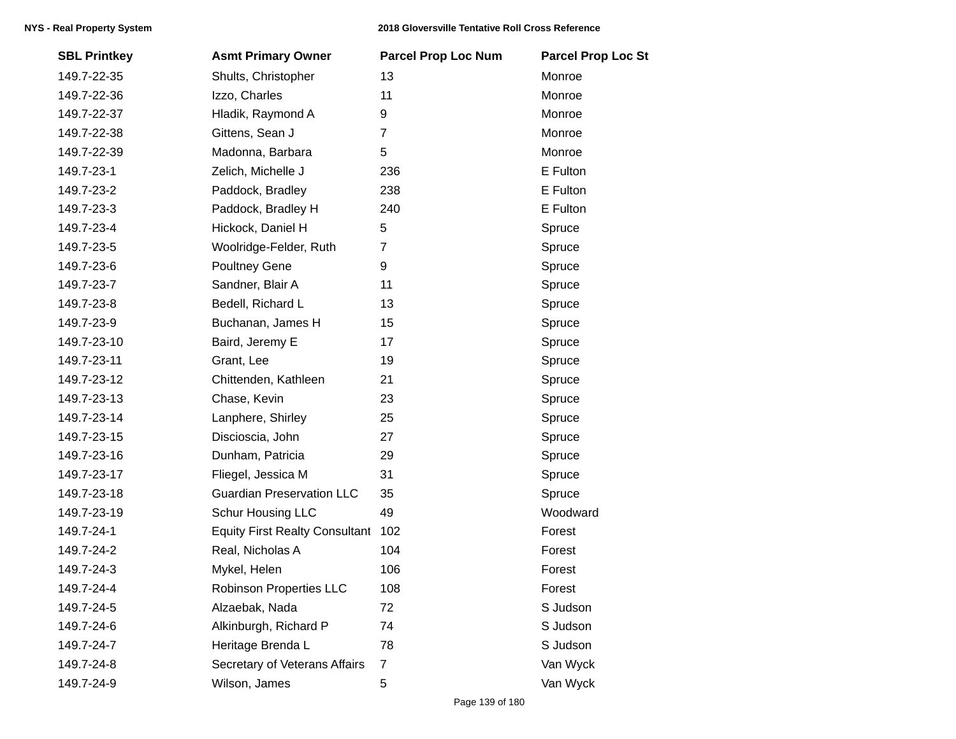| <b>SBL Printkey</b> | <b>Asmt Primary Owner</b>             | <b>Parcel Prop Loc Num</b> | <b>Parcel Prop Loc St</b> |
|---------------------|---------------------------------------|----------------------------|---------------------------|
| 149.7-22-35         | Shults, Christopher                   | 13                         | Monroe                    |
| 149.7-22-36         | Izzo, Charles                         | 11                         | Monroe                    |
| 149.7-22-37         | Hladik, Raymond A                     | 9                          | Monroe                    |
| 149.7-22-38         | Gittens, Sean J                       | $\overline{7}$             | Monroe                    |
| 149.7-22-39         | Madonna, Barbara                      | 5                          | Monroe                    |
| 149.7-23-1          | Zelich, Michelle J                    | 236                        | E Fulton                  |
| 149.7-23-2          | Paddock, Bradley                      | 238                        | E Fulton                  |
| 149.7-23-3          | Paddock, Bradley H                    | 240                        | E Fulton                  |
| 149.7-23-4          | Hickock, Daniel H                     | 5                          | Spruce                    |
| 149.7-23-5          | Woolridge-Felder, Ruth                | $\overline{7}$             | Spruce                    |
| 149.7-23-6          | Poultney Gene                         | 9                          | Spruce                    |
| 149.7-23-7          | Sandner, Blair A                      | 11                         | Spruce                    |
| 149.7-23-8          | Bedell, Richard L                     | 13                         | Spruce                    |
| 149.7-23-9          | Buchanan, James H                     | 15                         | Spruce                    |
| 149.7-23-10         | Baird, Jeremy E                       | 17                         | Spruce                    |
| 149.7-23-11         | Grant, Lee                            | 19                         | Spruce                    |
| 149.7-23-12         | Chittenden, Kathleen                  | 21                         | Spruce                    |
| 149.7-23-13         | Chase, Kevin                          | 23                         | Spruce                    |
| 149.7-23-14         | Lanphere, Shirley                     | 25                         | Spruce                    |
| 149.7-23-15         | Discioscia, John                      | 27                         | Spruce                    |
| 149.7-23-16         | Dunham, Patricia                      | 29                         | Spruce                    |
| 149.7-23-17         | Fliegel, Jessica M                    | 31                         | Spruce                    |
| 149.7-23-18         | <b>Guardian Preservation LLC</b>      | 35                         | Spruce                    |
| 149.7-23-19         | <b>Schur Housing LLC</b>              | 49                         | Woodward                  |
| 149.7-24-1          | <b>Equity First Realty Consultant</b> | 102                        | Forest                    |
| 149.7-24-2          | Real, Nicholas A                      | 104                        | Forest                    |
| 149.7-24-3          | Mykel, Helen                          | 106                        | Forest                    |
| 149.7-24-4          | Robinson Properties LLC               | 108                        | Forest                    |
| 149.7-24-5          | Alzaebak, Nada                        | 72                         | S Judson                  |
| 149.7-24-6          | Alkinburgh, Richard P                 | 74                         | S Judson                  |
| 149.7-24-7          | Heritage Brenda L                     | 78                         | S Judson                  |
| 149.7-24-8          | Secretary of Veterans Affairs         | $\overline{7}$             | Van Wyck                  |
| 149.7-24-9          | Wilson, James                         | 5                          | Van Wyck                  |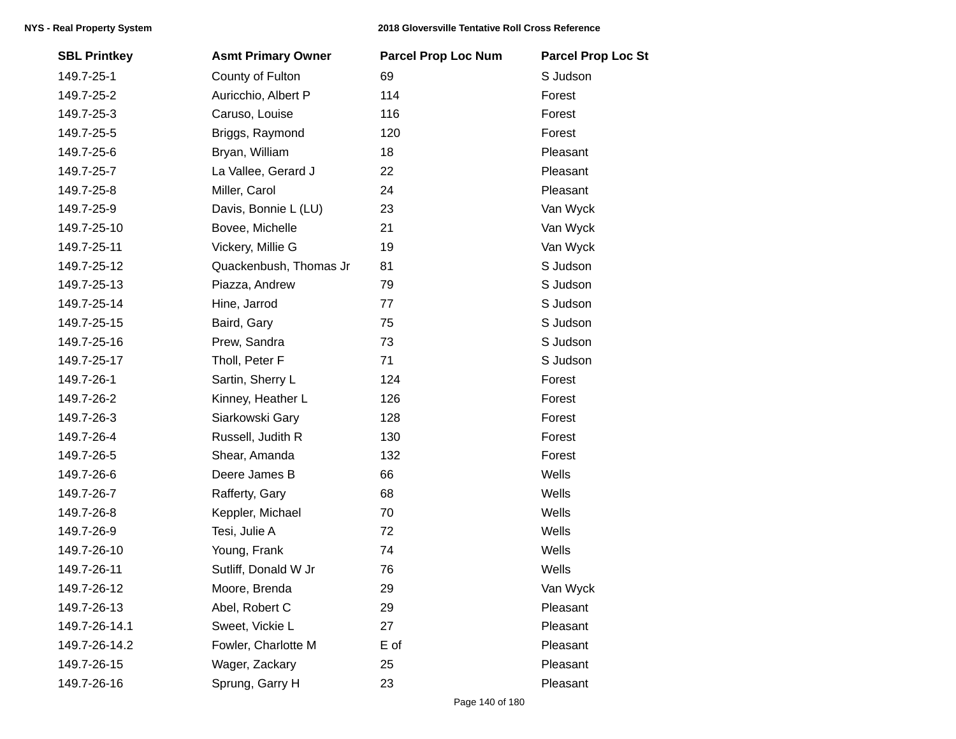| <b>SBL Printkey</b> | <b>Asmt Primary Owner</b> | <b>Parcel Prop Loc Num</b> | <b>Parcel Prop Loc St</b> |
|---------------------|---------------------------|----------------------------|---------------------------|
| 149.7-25-1          | County of Fulton          | 69                         | S Judson                  |
| 149.7-25-2          | Auricchio, Albert P       | 114                        | Forest                    |
| 149.7-25-3          | Caruso, Louise            | 116                        | Forest                    |
| 149.7-25-5          | Briggs, Raymond           | 120                        | Forest                    |
| 149.7-25-6          | Bryan, William            | 18                         | Pleasant                  |
| 149.7-25-7          | La Vallee, Gerard J       | 22                         | Pleasant                  |
| 149.7-25-8          | Miller, Carol             | 24                         | Pleasant                  |
| 149.7-25-9          | Davis, Bonnie L (LU)      | 23                         | Van Wyck                  |
| 149.7-25-10         | Bovee, Michelle           | 21                         | Van Wyck                  |
| 149.7-25-11         | Vickery, Millie G         | 19                         | Van Wyck                  |
| 149.7-25-12         | Quackenbush, Thomas Jr    | 81                         | S Judson                  |
| 149.7-25-13         | Piazza, Andrew            | 79                         | S Judson                  |
| 149.7-25-14         | Hine, Jarrod              | 77                         | S Judson                  |
| 149.7-25-15         | Baird, Gary               | 75                         | S Judson                  |
| 149.7-25-16         | Prew, Sandra              | 73                         | S Judson                  |
| 149.7-25-17         | Tholl, Peter F            | 71                         | S Judson                  |
| 149.7-26-1          | Sartin, Sherry L          | 124                        | Forest                    |
| 149.7-26-2          | Kinney, Heather L         | 126                        | Forest                    |
| 149.7-26-3          | Siarkowski Gary           | 128                        | Forest                    |
| 149.7-26-4          | Russell, Judith R         | 130                        | Forest                    |
| 149.7-26-5          | Shear, Amanda             | 132                        | Forest                    |
| 149.7-26-6          | Deere James B             | 66                         | Wells                     |
| 149.7-26-7          | Rafferty, Gary            | 68                         | Wells                     |
| 149.7-26-8          | Keppler, Michael          | 70                         | Wells                     |
| 149.7-26-9          | Tesi, Julie A             | 72                         | Wells                     |
| 149.7-26-10         | Young, Frank              | 74                         | Wells                     |
| 149.7-26-11         | Sutliff, Donald W Jr      | 76                         | Wells                     |
| 149.7-26-12         | Moore, Brenda             | 29                         | Van Wyck                  |
| 149.7-26-13         | Abel, Robert C            | 29                         | Pleasant                  |
| 149.7-26-14.1       | Sweet, Vickie L           | 27                         | Pleasant                  |
| 149.7-26-14.2       | Fowler, Charlotte M       | E of                       | Pleasant                  |
| 149.7-26-15         | Wager, Zackary            | 25                         | Pleasant                  |
| 149.7-26-16         | Sprung, Garry H           | 23                         | Pleasant                  |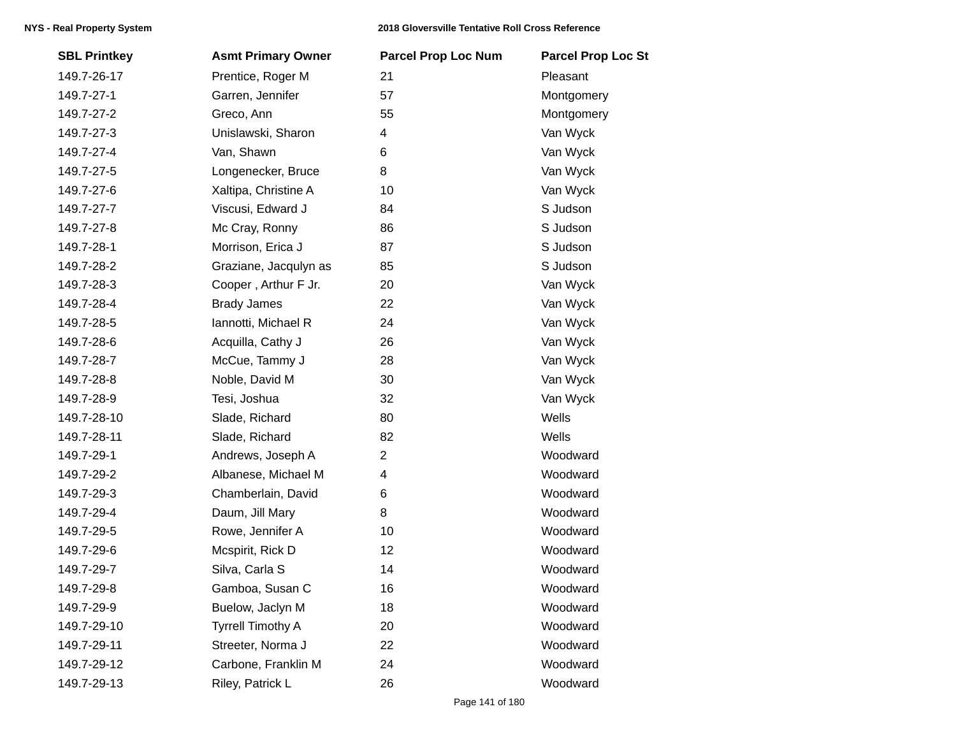| <b>SBL Printkey</b> | <b>Asmt Primary Owner</b> | <b>Parcel Prop Loc Num</b> | <b>Parcel Prop Loc St</b> |
|---------------------|---------------------------|----------------------------|---------------------------|
| 149.7-26-17         | Prentice, Roger M         | 21                         | Pleasant                  |
| 149.7-27-1          | Garren, Jennifer          | 57                         | Montgomery                |
| 149.7-27-2          | Greco, Ann                | 55                         | Montgomery                |
| 149.7-27-3          | Unislawski, Sharon        | 4                          | Van Wyck                  |
| 149.7-27-4          | Van, Shawn                | 6                          | Van Wyck                  |
| 149.7-27-5          | Longenecker, Bruce        | 8                          | Van Wyck                  |
| 149.7-27-6          | Xaltipa, Christine A      | 10                         | Van Wyck                  |
| 149.7-27-7          | Viscusi, Edward J         | 84                         | S Judson                  |
| 149.7-27-8          | Mc Cray, Ronny            | 86                         | S Judson                  |
| 149.7-28-1          | Morrison, Erica J         | 87                         | S Judson                  |
| 149.7-28-2          | Graziane, Jacqulyn as     | 85                         | S Judson                  |
| 149.7-28-3          | Cooper, Arthur F Jr.      | 20                         | Van Wyck                  |
| 149.7-28-4          | <b>Brady James</b>        | 22                         | Van Wyck                  |
| 149.7-28-5          | Iannotti, Michael R       | 24                         | Van Wyck                  |
| 149.7-28-6          | Acquilla, Cathy J         | 26                         | Van Wyck                  |
| 149.7-28-7          | McCue, Tammy J            | 28                         | Van Wyck                  |
| 149.7-28-8          | Noble, David M            | 30                         | Van Wyck                  |
| 149.7-28-9          | Tesi, Joshua              | 32                         | Van Wyck                  |
| 149.7-28-10         | Slade, Richard            | 80                         | Wells                     |
| 149.7-28-11         | Slade, Richard            | 82                         | Wells                     |
| 149.7-29-1          | Andrews, Joseph A         | $\overline{2}$             | Woodward                  |
| 149.7-29-2          | Albanese, Michael M       | 4                          | Woodward                  |
| 149.7-29-3          | Chamberlain, David        | 6                          | Woodward                  |
| 149.7-29-4          | Daum, Jill Mary           | 8                          | Woodward                  |
| 149.7-29-5          | Rowe, Jennifer A          | 10                         | Woodward                  |
| 149.7-29-6          | Mcspirit, Rick D          | 12                         | Woodward                  |
| 149.7-29-7          | Silva, Carla S            | 14                         | Woodward                  |
| 149.7-29-8          | Gamboa, Susan C           | 16                         | Woodward                  |
| 149.7-29-9          | Buelow, Jaclyn M          | 18                         | Woodward                  |
| 149.7-29-10         | <b>Tyrrell Timothy A</b>  | 20                         | Woodward                  |
| 149.7-29-11         | Streeter, Norma J         | 22                         | Woodward                  |
| 149.7-29-12         | Carbone, Franklin M       | 24                         | Woodward                  |
| 149.7-29-13         | Riley, Patrick L          | 26                         | Woodward                  |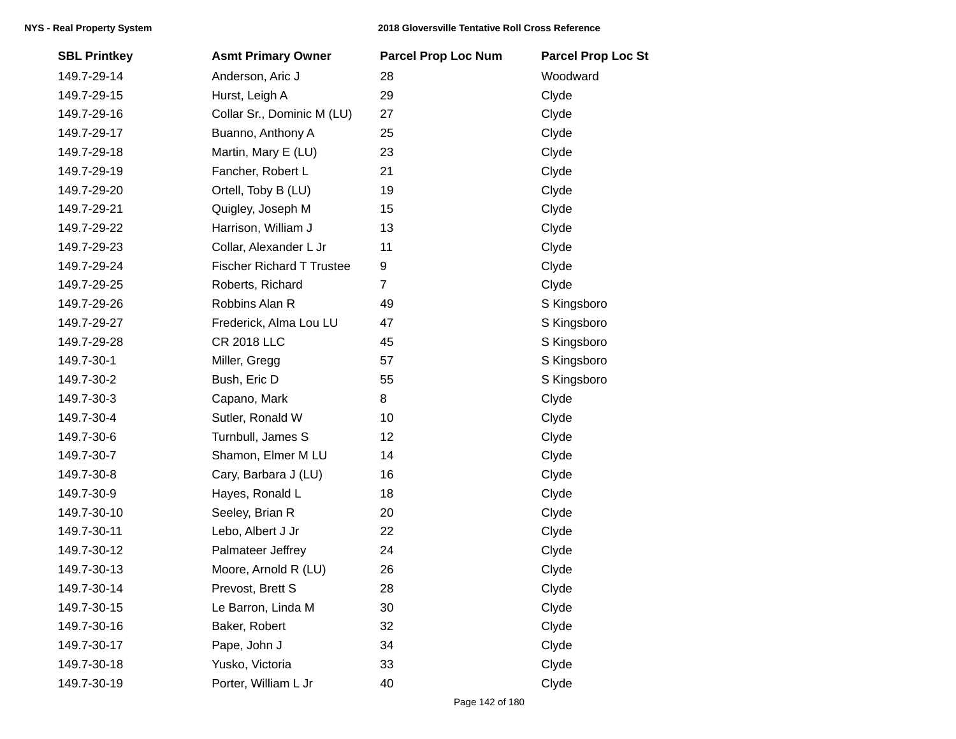| <b>SBL Printkey</b> | <b>Asmt Primary Owner</b>        | <b>Parcel Prop Loc Num</b> | <b>Parcel Prop Loc St</b> |
|---------------------|----------------------------------|----------------------------|---------------------------|
| 149.7-29-14         | Anderson, Aric J                 | 28                         | Woodward                  |
| 149.7-29-15         | Hurst, Leigh A                   | 29                         | Clyde                     |
| 149.7-29-16         | Collar Sr., Dominic M (LU)       | 27                         | Clyde                     |
| 149.7-29-17         | Buanno, Anthony A                | 25                         | Clyde                     |
| 149.7-29-18         | Martin, Mary E (LU)              | 23                         | Clyde                     |
| 149.7-29-19         | Fancher, Robert L                | 21                         | Clyde                     |
| 149.7-29-20         | Ortell, Toby B (LU)              | 19                         | Clyde                     |
| 149.7-29-21         | Quigley, Joseph M                | 15                         | Clyde                     |
| 149.7-29-22         | Harrison, William J              | 13                         | Clyde                     |
| 149.7-29-23         | Collar, Alexander L Jr           | 11                         | Clyde                     |
| 149.7-29-24         | <b>Fischer Richard T Trustee</b> | 9                          | Clyde                     |
| 149.7-29-25         | Roberts, Richard                 | $\overline{7}$             | Clyde                     |
| 149.7-29-26         | Robbins Alan R                   | 49                         | S Kingsboro               |
| 149.7-29-27         | Frederick, Alma Lou LU           | 47                         | S Kingsboro               |
| 149.7-29-28         | <b>CR 2018 LLC</b>               | 45                         | S Kingsboro               |
| 149.7-30-1          | Miller, Gregg                    | 57                         | S Kingsboro               |
| 149.7-30-2          | Bush, Eric D                     | 55                         | S Kingsboro               |
| 149.7-30-3          | Capano, Mark                     | 8                          | Clyde                     |
| 149.7-30-4          | Sutler, Ronald W                 | 10                         | Clyde                     |
| 149.7-30-6          | Turnbull, James S                | 12                         | Clyde                     |
| 149.7-30-7          | Shamon, Elmer M LU               | 14                         | Clyde                     |
| 149.7-30-8          | Cary, Barbara J (LU)             | 16                         | Clyde                     |
| 149.7-30-9          | Hayes, Ronald L                  | 18                         | Clyde                     |
| 149.7-30-10         | Seeley, Brian R                  | 20                         | Clyde                     |
| 149.7-30-11         | Lebo, Albert J Jr                | 22                         | Clyde                     |
| 149.7-30-12         | Palmateer Jeffrey                | 24                         | Clyde                     |
| 149.7-30-13         | Moore, Arnold R (LU)             | 26                         | Clyde                     |
| 149.7-30-14         | Prevost, Brett S                 | 28                         | Clyde                     |
| 149.7-30-15         | Le Barron, Linda M               | 30                         | Clyde                     |
| 149.7-30-16         | Baker, Robert                    | 32                         | Clyde                     |
| 149.7-30-17         | Pape, John J                     | 34                         | Clyde                     |
| 149.7-30-18         | Yusko, Victoria                  | 33                         | Clyde                     |
| 149.7-30-19         | Porter, William L Jr             | 40                         | Clyde                     |
|                     |                                  |                            |                           |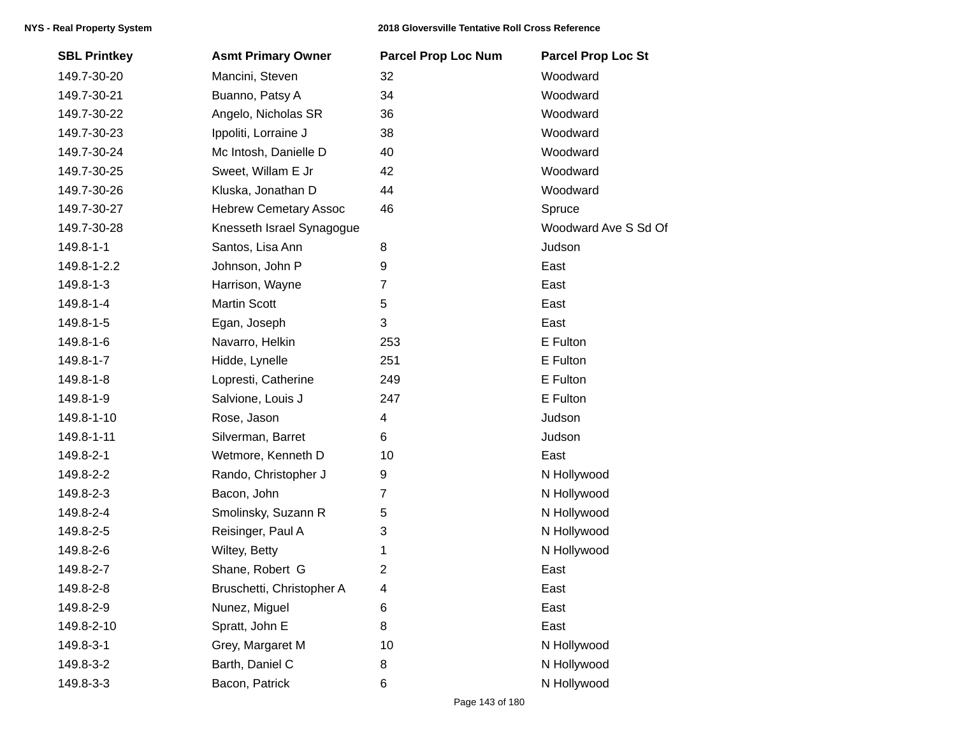| <b>SBL Printkey</b> | <b>Asmt Primary Owner</b>    | <b>Parcel Prop Loc Num</b> | <b>Parcel Prop Loc St</b> |
|---------------------|------------------------------|----------------------------|---------------------------|
| 149.7-30-20         | Mancini, Steven              | 32                         | Woodward                  |
| 149.7-30-21         | Buanno, Patsy A              | 34                         | Woodward                  |
| 149.7-30-22         | Angelo, Nicholas SR          | 36                         | Woodward                  |
| 149.7-30-23         | Ippoliti, Lorraine J         | 38                         | Woodward                  |
| 149.7-30-24         | Mc Intosh, Danielle D        | 40                         | Woodward                  |
| 149.7-30-25         | Sweet, Willam E Jr           | 42                         | Woodward                  |
| 149.7-30-26         | Kluska, Jonathan D           | 44                         | Woodward                  |
| 149.7-30-27         | <b>Hebrew Cemetary Assoc</b> | 46                         | Spruce                    |
| 149.7-30-28         | Knesseth Israel Synagogue    |                            | Woodward Ave S Sd Of      |
| 149.8-1-1           | Santos, Lisa Ann             | 8                          | Judson                    |
| 149.8-1-2.2         | Johnson, John P              | 9                          | East                      |
| 149.8-1-3           | Harrison, Wayne              | $\overline{7}$             | East                      |
| 149.8-1-4           | <b>Martin Scott</b>          | 5                          | East                      |
| 149.8-1-5           | Egan, Joseph                 | 3                          | East                      |
| 149.8-1-6           | Navarro, Helkin              | 253                        | E Fulton                  |
| 149.8-1-7           | Hidde, Lynelle               | 251                        | E Fulton                  |
| 149.8-1-8           | Lopresti, Catherine          | 249                        | E Fulton                  |
| 149.8-1-9           | Salvione, Louis J            | 247                        | E Fulton                  |
| 149.8-1-10          | Rose, Jason                  | 4                          | Judson                    |
| 149.8-1-11          | Silverman, Barret            | 6                          | Judson                    |
| 149.8-2-1           | Wetmore, Kenneth D           | 10                         | East                      |
| 149.8-2-2           | Rando, Christopher J         | 9                          | N Hollywood               |
| 149.8-2-3           | Bacon, John                  | $\overline{7}$             | N Hollywood               |
| 149.8-2-4           | Smolinsky, Suzann R          | 5                          | N Hollywood               |
| 149.8-2-5           | Reisinger, Paul A            | 3                          | N Hollywood               |
| 149.8-2-6           | Wiltey, Betty                | 1                          | N Hollywood               |
| 149.8-2-7           | Shane, Robert G              | $\overline{2}$             | East                      |
| 149.8-2-8           | Bruschetti, Christopher A    | 4                          | East                      |
| 149.8-2-9           | Nunez, Miguel                | 6                          | East                      |
| 149.8-2-10          | Spratt, John E               | 8                          | East                      |
| 149.8-3-1           | Grey, Margaret M             | 10                         | N Hollywood               |
| 149.8-3-2           | Barth, Daniel C              | 8                          | N Hollywood               |
| 149.8-3-3           | Bacon, Patrick               | 6                          | N Hollywood               |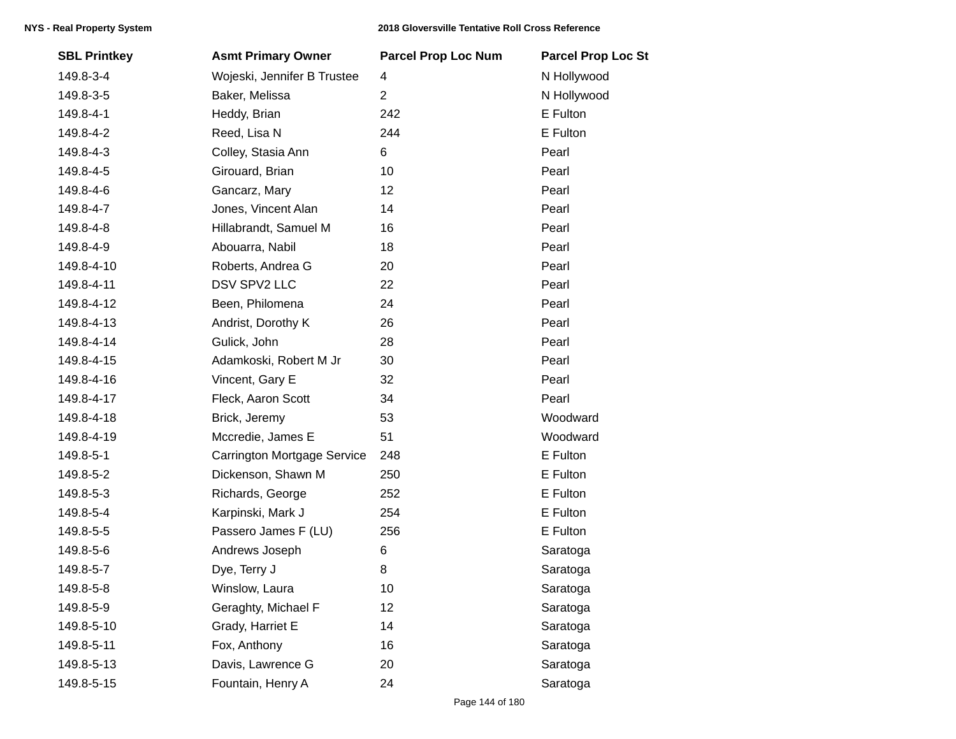| <b>SBL Printkey</b> | <b>Asmt Primary Owner</b>          | <b>Parcel Prop Loc Num</b> | <b>Parcel Prop Loc St</b> |
|---------------------|------------------------------------|----------------------------|---------------------------|
| 149.8-3-4           | Wojeski, Jennifer B Trustee        | 4                          | N Hollywood               |
| 149.8-3-5           | Baker, Melissa                     | $\overline{2}$             | N Hollywood               |
| 149.8-4-1           | Heddy, Brian                       | 242                        | E Fulton                  |
| 149.8-4-2           | Reed, Lisa N                       | 244                        | E Fulton                  |
| 149.8-4-3           | Colley, Stasia Ann                 | 6                          | Pearl                     |
| 149.8-4-5           | Girouard, Brian                    | 10                         | Pearl                     |
| 149.8-4-6           | Gancarz, Mary                      | 12                         | Pearl                     |
| 149.8-4-7           | Jones, Vincent Alan                | 14                         | Pearl                     |
| 149.8-4-8           | Hillabrandt, Samuel M              | 16                         | Pearl                     |
| 149.8-4-9           | Abouarra, Nabil                    | 18                         | Pearl                     |
| 149.8-4-10          | Roberts, Andrea G                  | 20                         | Pearl                     |
| 149.8-4-11          | DSV SPV2 LLC                       | 22                         | Pearl                     |
| 149.8-4-12          | Been, Philomena                    | 24                         | Pearl                     |
| 149.8-4-13          | Andrist, Dorothy K                 | 26                         | Pearl                     |
| 149.8-4-14          | Gulick, John                       | 28                         | Pearl                     |
| 149.8-4-15          | Adamkoski, Robert M Jr             | 30                         | Pearl                     |
| 149.8-4-16          | Vincent, Gary E                    | 32                         | Pearl                     |
| 149.8-4-17          | Fleck, Aaron Scott                 | 34                         | Pearl                     |
| 149.8-4-18          | Brick, Jeremy                      | 53                         | Woodward                  |
| 149.8-4-19          | Mccredie, James E                  | 51                         | Woodward                  |
| 149.8-5-1           | <b>Carrington Mortgage Service</b> | 248                        | E Fulton                  |
| 149.8-5-2           | Dickenson, Shawn M                 | 250                        | E Fulton                  |
| 149.8-5-3           | Richards, George                   | 252                        | E Fulton                  |
| 149.8-5-4           | Karpinski, Mark J                  | 254                        | E Fulton                  |
| 149.8-5-5           | Passero James F (LU)               | 256                        | E Fulton                  |
| 149.8-5-6           | Andrews Joseph                     | 6                          | Saratoga                  |
| 149.8-5-7           | Dye, Terry J                       | 8                          | Saratoga                  |
| 149.8-5-8           | Winslow, Laura                     | 10                         | Saratoga                  |
| 149.8-5-9           | Geraghty, Michael F                | 12                         | Saratoga                  |
| 149.8-5-10          | Grady, Harriet E                   | 14                         | Saratoga                  |
| 149.8-5-11          | Fox, Anthony                       | 16                         | Saratoga                  |
| 149.8-5-13          | Davis, Lawrence G                  | 20                         | Saratoga                  |
| 149.8-5-15          | Fountain, Henry A                  | 24                         | Saratoga                  |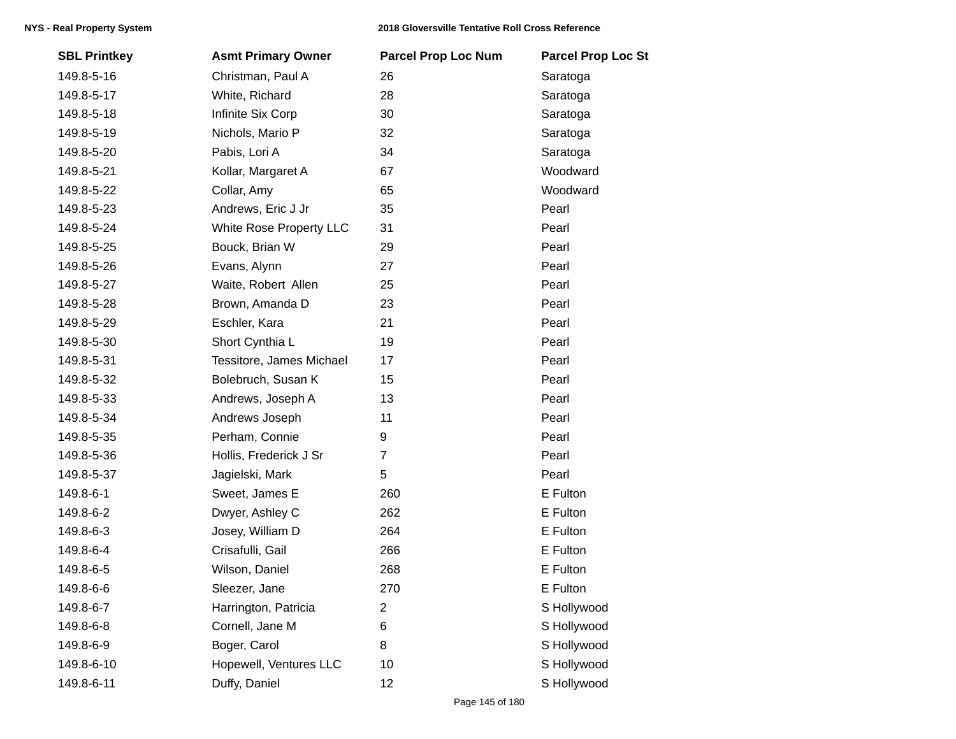| <b>SBL Printkey</b> | <b>Asmt Primary Owner</b> | <b>Parcel Prop Loc Num</b> | <b>Parcel Prop Loc St</b> |
|---------------------|---------------------------|----------------------------|---------------------------|
| 149.8-5-16          | Christman, Paul A         | 26                         | Saratoga                  |
| 149.8-5-17          | White, Richard            | 28                         | Saratoga                  |
| 149.8-5-18          | Infinite Six Corp         | 30                         | Saratoga                  |
| 149.8-5-19          | Nichols, Mario P          | 32                         | Saratoga                  |
| 149.8-5-20          | Pabis, Lori A             | 34                         | Saratoga                  |
| 149.8-5-21          | Kollar, Margaret A        | 67                         | Woodward                  |
| 149.8-5-22          | Collar, Amy               | 65                         | Woodward                  |
| 149.8-5-23          | Andrews, Eric J Jr        | 35                         | Pearl                     |
| 149.8-5-24          | White Rose Property LLC   | 31                         | Pearl                     |
| 149.8-5-25          | Bouck, Brian W            | 29                         | Pearl                     |
| 149.8-5-26          | Evans, Alynn              | 27                         | Pearl                     |
| 149.8-5-27          | Waite, Robert Allen       | 25                         | Pearl                     |
| 149.8-5-28          | Brown, Amanda D           | 23                         | Pearl                     |
| 149.8-5-29          | Eschler, Kara             | 21                         | Pearl                     |
| 149.8-5-30          | Short Cynthia L           | 19                         | Pearl                     |
| 149.8-5-31          | Tessitore, James Michael  | 17                         | Pearl                     |
| 149.8-5-32          | Bolebruch, Susan K        | 15                         | Pearl                     |
| 149.8-5-33          | Andrews, Joseph A         | 13                         | Pearl                     |
| 149.8-5-34          | Andrews Joseph            | 11                         | Pearl                     |
| 149.8-5-35          | Perham, Connie            | 9                          | Pearl                     |
| 149.8-5-36          | Hollis, Frederick J Sr    | $\overline{7}$             | Pearl                     |
| 149.8-5-37          | Jagielski, Mark           | 5                          | Pearl                     |
| 149.8-6-1           | Sweet, James E            | 260                        | E Fulton                  |
| 149.8-6-2           | Dwyer, Ashley C           | 262                        | E Fulton                  |
| 149.8-6-3           | Josey, William D          | 264                        | E Fulton                  |
| 149.8-6-4           | Crisafulli, Gail          | 266                        | E Fulton                  |
| 149.8-6-5           | Wilson, Daniel            | 268                        | E Fulton                  |
| 149.8-6-6           | Sleezer, Jane             | 270                        | E Fulton                  |
| 149.8-6-7           | Harrington, Patricia      | $\overline{2}$             | S Hollywood               |
| 149.8-6-8           | Cornell, Jane M           | 6                          | S Hollywood               |
| 149.8-6-9           | Boger, Carol              | 8                          | S Hollywood               |
| 149.8-6-10          | Hopewell, Ventures LLC    | 10                         | S Hollywood               |
| 149.8-6-11          | Duffy, Daniel             | 12                         | S Hollywood               |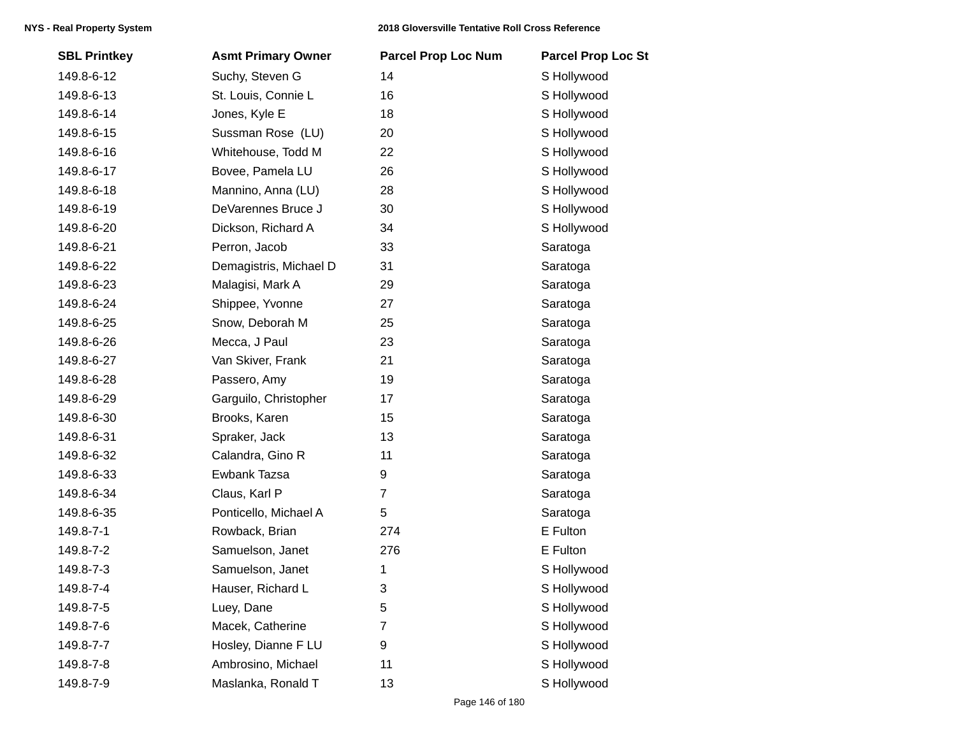| <b>SBL Printkey</b> | <b>Asmt Primary Owner</b> | <b>Parcel Prop Loc Num</b> | <b>Parcel Prop Loc St</b> |
|---------------------|---------------------------|----------------------------|---------------------------|
| 149.8-6-12          | Suchy, Steven G           | 14                         | S Hollywood               |
| 149.8-6-13          | St. Louis, Connie L       | 16                         | S Hollywood               |
| 149.8-6-14          | Jones, Kyle E             | 18                         | S Hollywood               |
| 149.8-6-15          | Sussman Rose (LU)         | 20                         | S Hollywood               |
| 149.8-6-16          | Whitehouse, Todd M        | 22                         | S Hollywood               |
| 149.8-6-17          | Bovee, Pamela LU          | 26                         | S Hollywood               |
| 149.8-6-18          | Mannino, Anna (LU)        | 28                         | S Hollywood               |
| 149.8-6-19          | DeVarennes Bruce J        | 30                         | S Hollywood               |
| 149.8-6-20          | Dickson, Richard A        | 34                         | S Hollywood               |
| 149.8-6-21          | Perron, Jacob             | 33                         | Saratoga                  |
| 149.8-6-22          | Demagistris, Michael D    | 31                         | Saratoga                  |
| 149.8-6-23          | Malagisi, Mark A          | 29                         | Saratoga                  |
| 149.8-6-24          | Shippee, Yvonne           | 27                         | Saratoga                  |
| 149.8-6-25          | Snow, Deborah M           | 25                         | Saratoga                  |
| 149.8-6-26          | Mecca, J Paul             | 23                         | Saratoga                  |
| 149.8-6-27          | Van Skiver, Frank         | 21                         | Saratoga                  |
| 149.8-6-28          | Passero, Amy              | 19                         | Saratoga                  |
| 149.8-6-29          | Garguilo, Christopher     | 17                         | Saratoga                  |
| 149.8-6-30          | Brooks, Karen             | 15                         | Saratoga                  |
| 149.8-6-31          | Spraker, Jack             | 13                         | Saratoga                  |
| 149.8-6-32          | Calandra, Gino R          | 11                         | Saratoga                  |
| 149.8-6-33          | Ewbank Tazsa              | 9                          | Saratoga                  |
| 149.8-6-34          | Claus, Karl P             | $\overline{7}$             | Saratoga                  |
| 149.8-6-35          | Ponticello, Michael A     | 5                          | Saratoga                  |
| 149.8-7-1           | Rowback, Brian            | 274                        | E Fulton                  |
| 149.8-7-2           | Samuelson, Janet          | 276                        | E Fulton                  |
| 149.8-7-3           | Samuelson, Janet          | 1                          | S Hollywood               |
| 149.8-7-4           | Hauser, Richard L         | 3                          | S Hollywood               |
| 149.8-7-5           | Luey, Dane                | 5                          | S Hollywood               |
| 149.8-7-6           | Macek, Catherine          | $\overline{7}$             | S Hollywood               |
| 149.8-7-7           | Hosley, Dianne F LU       | 9                          | S Hollywood               |
| 149.8-7-8           | Ambrosino, Michael        | 11                         | S Hollywood               |
| 149.8-7-9           | Maslanka, Ronald T        | 13                         | S Hollywood               |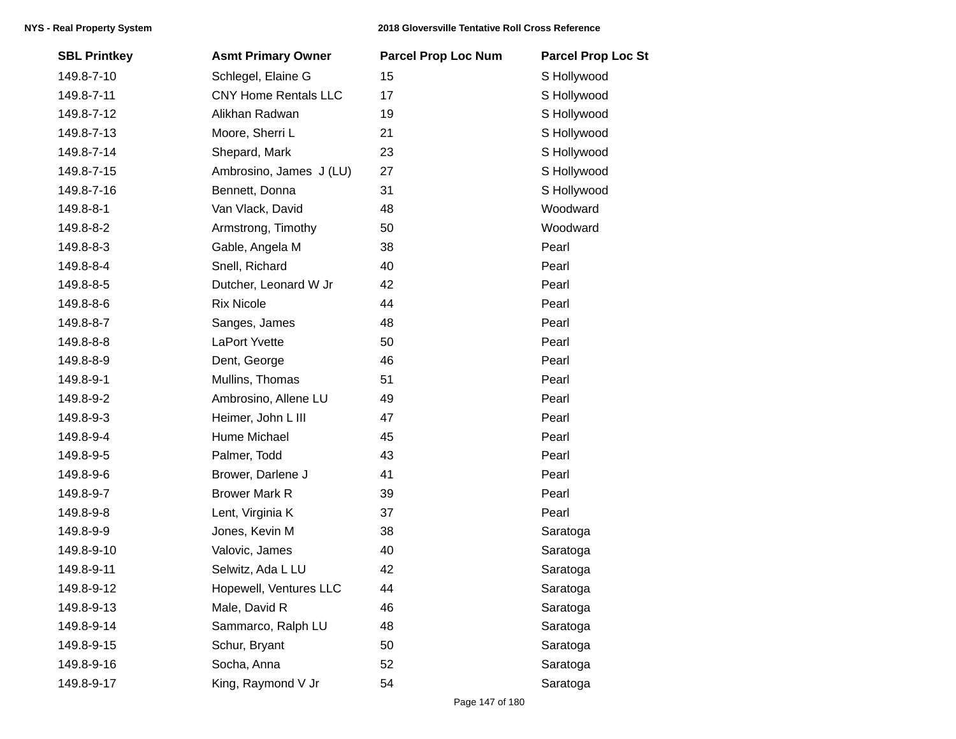| <b>SBL Printkey</b> | <b>Asmt Primary Owner</b>   | <b>Parcel Prop Loc Num</b> | <b>Parcel Prop Loc St</b> |
|---------------------|-----------------------------|----------------------------|---------------------------|
| 149.8-7-10          | Schlegel, Elaine G          | 15                         | S Hollywood               |
| 149.8-7-11          | <b>CNY Home Rentals LLC</b> | 17                         | S Hollywood               |
| 149.8-7-12          | Alikhan Radwan              | 19                         | S Hollywood               |
| 149.8-7-13          | Moore, Sherri L             | 21                         | S Hollywood               |
| 149.8-7-14          | Shepard, Mark               | 23                         | S Hollywood               |
| 149.8-7-15          | Ambrosino, James J (LU)     | 27                         | S Hollywood               |
| 149.8-7-16          | Bennett, Donna              | 31                         | S Hollywood               |
| 149.8-8-1           | Van Vlack, David            | 48                         | Woodward                  |
| 149.8-8-2           | Armstrong, Timothy          | 50                         | Woodward                  |
| 149.8-8-3           | Gable, Angela M             | 38                         | Pearl                     |
| 149.8-8-4           | Snell, Richard              | 40                         | Pearl                     |
| 149.8-8-5           | Dutcher, Leonard W Jr       | 42                         | Pearl                     |
| 149.8-8-6           | <b>Rix Nicole</b>           | 44                         | Pearl                     |
| 149.8-8-7           | Sanges, James               | 48                         | Pearl                     |
| 149.8-8-8           | LaPort Yvette               | 50                         | Pearl                     |
| 149.8-8-9           | Dent, George                | 46                         | Pearl                     |
| 149.8-9-1           | Mullins, Thomas             | 51                         | Pearl                     |
| 149.8-9-2           | Ambrosino, Allene LU        | 49                         | Pearl                     |
| 149.8-9-3           | Heimer, John L III          | 47                         | Pearl                     |
| 149.8-9-4           | Hume Michael                | 45                         | Pearl                     |
| 149.8-9-5           | Palmer, Todd                | 43                         | Pearl                     |
| 149.8-9-6           | Brower, Darlene J           | 41                         | Pearl                     |
| 149.8-9-7           | <b>Brower Mark R</b>        | 39                         | Pearl                     |
| 149.8-9-8           | Lent, Virginia K            | 37                         | Pearl                     |
| 149.8-9-9           | Jones, Kevin M              | 38                         | Saratoga                  |
| 149.8-9-10          | Valovic, James              | 40                         | Saratoga                  |
| 149.8-9-11          | Selwitz, Ada L LU           | 42                         | Saratoga                  |
| 149.8-9-12          | Hopewell, Ventures LLC      | 44                         | Saratoga                  |
| 149.8-9-13          | Male, David R               | 46                         | Saratoga                  |
| 149.8-9-14          | Sammarco, Ralph LU          | 48                         | Saratoga                  |
| 149.8-9-15          | Schur, Bryant               | 50                         | Saratoga                  |
| 149.8-9-16          | Socha, Anna                 | 52                         | Saratoga                  |
| 149.8-9-17          | King, Raymond V Jr          | 54                         | Saratoga                  |
|                     |                             |                            |                           |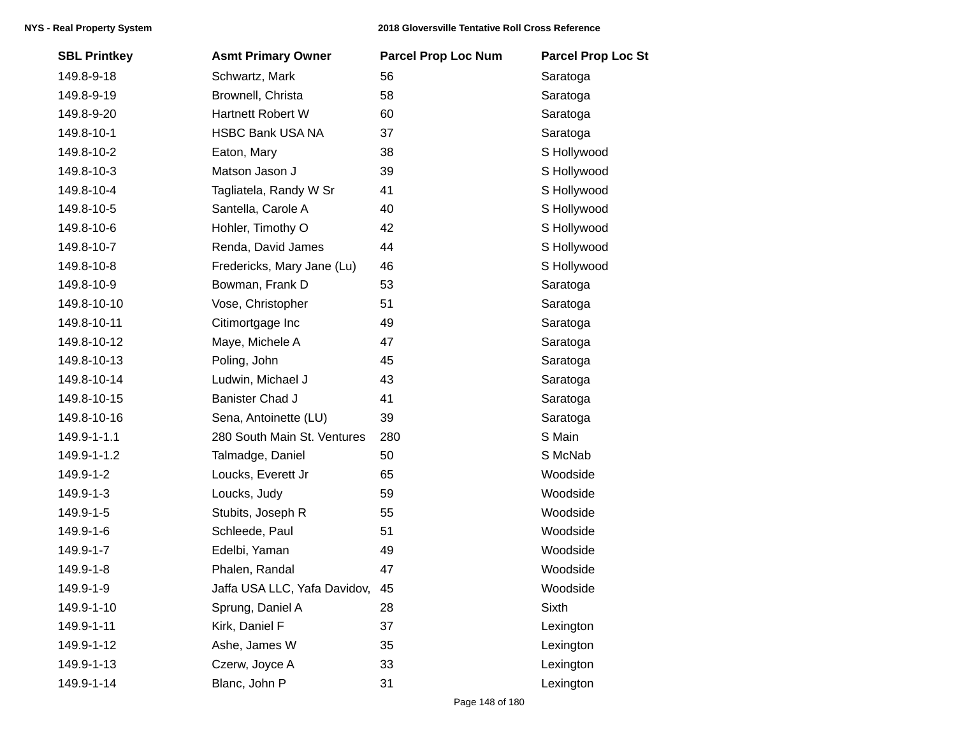| <b>SBL Printkey</b> | <b>Asmt Primary Owner</b>    | <b>Parcel Prop Loc Num</b> | <b>Parcel Prop Loc St</b> |
|---------------------|------------------------------|----------------------------|---------------------------|
| 149.8-9-18          | Schwartz, Mark               | 56                         | Saratoga                  |
| 149.8-9-19          | Brownell, Christa            | 58                         | Saratoga                  |
| 149.8-9-20          | Hartnett Robert W            | 60                         | Saratoga                  |
| 149.8-10-1          | <b>HSBC Bank USA NA</b>      | 37                         | Saratoga                  |
| 149.8-10-2          | Eaton, Mary                  | 38                         | S Hollywood               |
| 149.8-10-3          | Matson Jason J               | 39                         | S Hollywood               |
| 149.8-10-4          | Tagliatela, Randy W Sr       | 41                         | S Hollywood               |
| 149.8-10-5          | Santella, Carole A           | 40                         | S Hollywood               |
| 149.8-10-6          | Hohler, Timothy O            | 42                         | S Hollywood               |
| 149.8-10-7          | Renda, David James           | 44                         | S Hollywood               |
| 149.8-10-8          | Fredericks, Mary Jane (Lu)   | 46                         | S Hollywood               |
| 149.8-10-9          | Bowman, Frank D              | 53                         | Saratoga                  |
| 149.8-10-10         | Vose, Christopher            | 51                         | Saratoga                  |
| 149.8-10-11         | Citimortgage Inc             | 49                         | Saratoga                  |
| 149.8-10-12         | Maye, Michele A              | 47                         | Saratoga                  |
| 149.8-10-13         | Poling, John                 | 45                         | Saratoga                  |
| 149.8-10-14         | Ludwin, Michael J            | 43                         | Saratoga                  |
| 149.8-10-15         | <b>Banister Chad J</b>       | 41                         | Saratoga                  |
| 149.8-10-16         | Sena, Antoinette (LU)        | 39                         | Saratoga                  |
| 149.9-1-1.1         | 280 South Main St. Ventures  | 280                        | S Main                    |
| 149.9-1-1.2         | Talmadge, Daniel             | 50                         | S McNab                   |
| 149.9-1-2           | Loucks, Everett Jr           | 65                         | Woodside                  |
| 149.9-1-3           | Loucks, Judy                 | 59                         | Woodside                  |
| 149.9-1-5           | Stubits, Joseph R            | 55                         | Woodside                  |
| 149.9-1-6           | Schleede, Paul               | 51                         | Woodside                  |
| 149.9-1-7           | Edelbi, Yaman                | 49                         | Woodside                  |
| 149.9-1-8           | Phalen, Randal               | 47                         | Woodside                  |
| 149.9-1-9           | Jaffa USA LLC, Yafa Davidov, | 45                         | Woodside                  |
| 149.9-1-10          | Sprung, Daniel A             | 28                         | Sixth                     |
| 149.9-1-11          | Kirk, Daniel F               | 37                         | Lexington                 |
| 149.9-1-12          | Ashe, James W                | 35                         | Lexington                 |
| 149.9-1-13          | Czerw, Joyce A               | 33                         | Lexington                 |
| 149.9-1-14          | Blanc, John P                | 31                         | Lexington                 |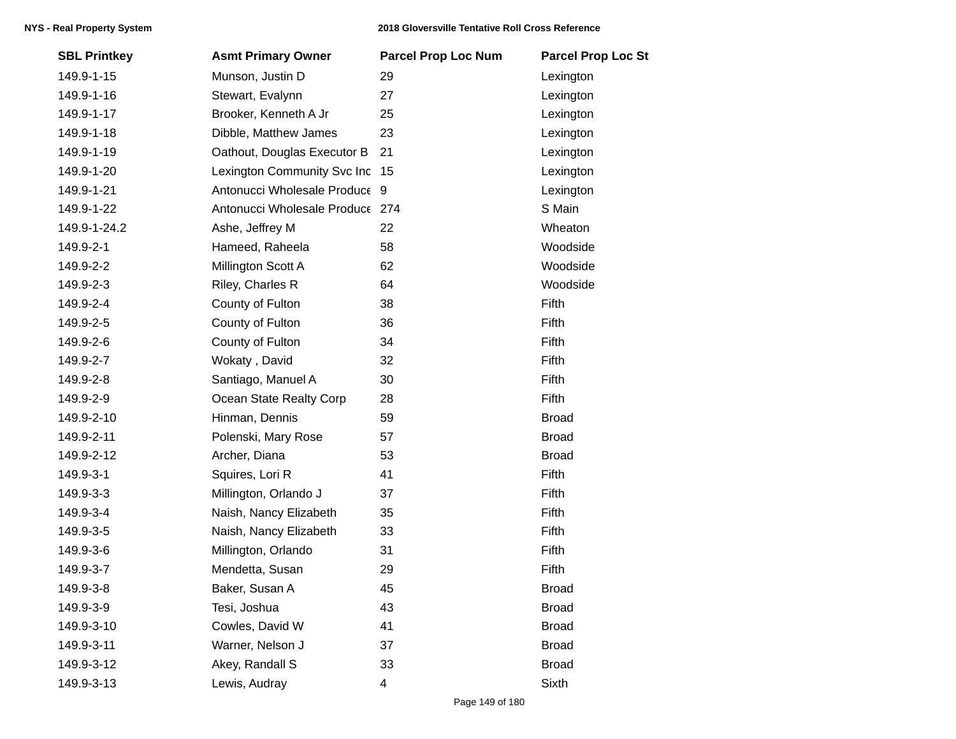| <b>SBL Printkey</b> | <b>Asmt Primary Owner</b>       | <b>Parcel Prop Loc Num</b> | <b>Parcel Prop Loc St</b> |
|---------------------|---------------------------------|----------------------------|---------------------------|
| 149.9-1-15          | Munson, Justin D                | 29                         | Lexington                 |
| 149.9-1-16          | Stewart, Evalynn                | 27                         | Lexington                 |
| 149.9-1-17          | Brooker, Kenneth A Jr           | 25                         | Lexington                 |
| 149.9-1-18          | Dibble, Matthew James           | 23                         | Lexington                 |
| 149.9-1-19          | Oathout, Douglas Executor B     | 21                         | Lexington                 |
| 149.9-1-20          | Lexington Community Svc Inc 15  |                            | Lexington                 |
| 149.9-1-21          | Antonucci Wholesale Produce 9   |                            | Lexington                 |
| 149.9-1-22          | Antonucci Wholesale Produce 274 |                            | S Main                    |
| 149.9-1-24.2        | Ashe, Jeffrey M                 | 22                         | Wheaton                   |
| 149.9-2-1           | Hameed, Raheela                 | 58                         | Woodside                  |
| 149.9-2-2           | Millington Scott A              | 62                         | Woodside                  |
| 149.9-2-3           | Riley, Charles R                | 64                         | Woodside                  |
| 149.9-2-4           | County of Fulton                | 38                         | Fifth                     |
| 149.9-2-5           | County of Fulton                | 36                         | Fifth                     |
| 149.9-2-6           | County of Fulton                | 34                         | Fifth                     |
| 149.9-2-7           | Wokaty, David                   | 32                         | Fifth                     |
| 149.9-2-8           | Santiago, Manuel A              | 30                         | Fifth                     |
| 149.9-2-9           | Ocean State Realty Corp         | 28                         | Fifth                     |
| 149.9-2-10          | Hinman, Dennis                  | 59                         | <b>Broad</b>              |
| 149.9-2-11          | Polenski, Mary Rose             | 57                         | <b>Broad</b>              |
| 149.9-2-12          | Archer, Diana                   | 53                         | <b>Broad</b>              |
| 149.9-3-1           | Squires, Lori R                 | 41                         | Fifth                     |
| 149.9-3-3           | Millington, Orlando J           | 37                         | Fifth                     |
| 149.9-3-4           | Naish, Nancy Elizabeth          | 35                         | Fifth                     |
| 149.9-3-5           | Naish, Nancy Elizabeth          | 33                         | Fifth                     |
| 149.9-3-6           | Millington, Orlando             | 31                         | Fifth                     |
| 149.9-3-7           | Mendetta, Susan                 | 29                         | Fifth                     |
| 149.9-3-8           | Baker, Susan A                  | 45                         | <b>Broad</b>              |
| 149.9-3-9           | Tesi, Joshua                    | 43                         | <b>Broad</b>              |
| 149.9-3-10          | Cowles, David W                 | 41                         | <b>Broad</b>              |
| 149.9-3-11          | Warner, Nelson J                | 37                         | <b>Broad</b>              |
| 149.9-3-12          | Akey, Randall S                 | 33                         | <b>Broad</b>              |
| 149.9-3-13          | Lewis, Audray                   | 4                          | Sixth                     |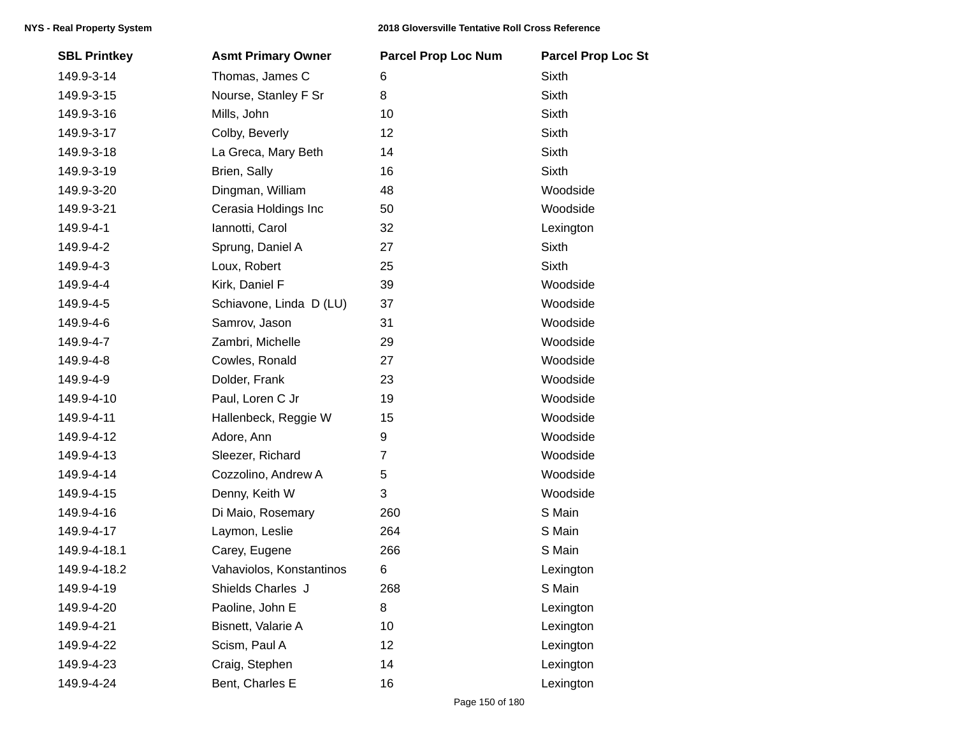| <b>SBL Printkey</b> | <b>Asmt Primary Owner</b> | <b>Parcel Prop Loc Num</b> | <b>Parcel Prop Loc St</b> |
|---------------------|---------------------------|----------------------------|---------------------------|
| 149.9-3-14          | Thomas, James C           | 6                          | <b>Sixth</b>              |
| 149.9-3-15          | Nourse, Stanley F Sr      | 8                          | <b>Sixth</b>              |
| 149.9-3-16          | Mills, John               | 10                         | <b>Sixth</b>              |
| 149.9-3-17          | Colby, Beverly            | 12                         | Sixth                     |
| 149.9-3-18          | La Greca, Mary Beth       | 14                         | Sixth                     |
| 149.9-3-19          | Brien, Sally              | 16                         | Sixth                     |
| 149.9-3-20          | Dingman, William          | 48                         | Woodside                  |
| 149.9-3-21          | Cerasia Holdings Inc      | 50                         | Woodside                  |
| 149.9-4-1           | Iannotti, Carol           | 32                         | Lexington                 |
| 149.9-4-2           | Sprung, Daniel A          | 27                         | <b>Sixth</b>              |
| 149.9-4-3           | Loux, Robert              | 25                         | Sixth                     |
| 149.9-4-4           | Kirk, Daniel F            | 39                         | Woodside                  |
| 149.9-4-5           | Schiavone, Linda D (LU)   | 37                         | Woodside                  |
| 149.9-4-6           | Samrov, Jason             | 31                         | Woodside                  |
| 149.9-4-7           | Zambri, Michelle          | 29                         | Woodside                  |
| 149.9-4-8           | Cowles, Ronald            | 27                         | Woodside                  |
| 149.9-4-9           | Dolder, Frank             | 23                         | Woodside                  |
| 149.9-4-10          | Paul, Loren C Jr          | 19                         | Woodside                  |
| 149.9-4-11          | Hallenbeck, Reggie W      | 15                         | Woodside                  |
| 149.9-4-12          | Adore, Ann                | 9                          | Woodside                  |
| 149.9-4-13          | Sleezer, Richard          | 7                          | Woodside                  |
| 149.9-4-14          | Cozzolino, Andrew A       | 5                          | Woodside                  |
| 149.9-4-15          | Denny, Keith W            | 3                          | Woodside                  |
| 149.9-4-16          | Di Maio, Rosemary         | 260                        | S Main                    |
| 149.9-4-17          | Laymon, Leslie            | 264                        | S Main                    |
| 149.9-4-18.1        | Carey, Eugene             | 266                        | S Main                    |
| 149.9-4-18.2        | Vahaviolos, Konstantinos  | 6                          | Lexington                 |
| 149.9-4-19          | Shields Charles J         | 268                        | S Main                    |
| 149.9-4-20          | Paoline, John E           | 8                          | Lexington                 |
| 149.9-4-21          | Bisnett, Valarie A        | 10                         | Lexington                 |
| 149.9-4-22          | Scism, Paul A             | 12                         | Lexington                 |
| 149.9-4-23          | Craig, Stephen            | 14                         | Lexington                 |
| 149.9-4-24          | Bent, Charles E           | 16                         | Lexington                 |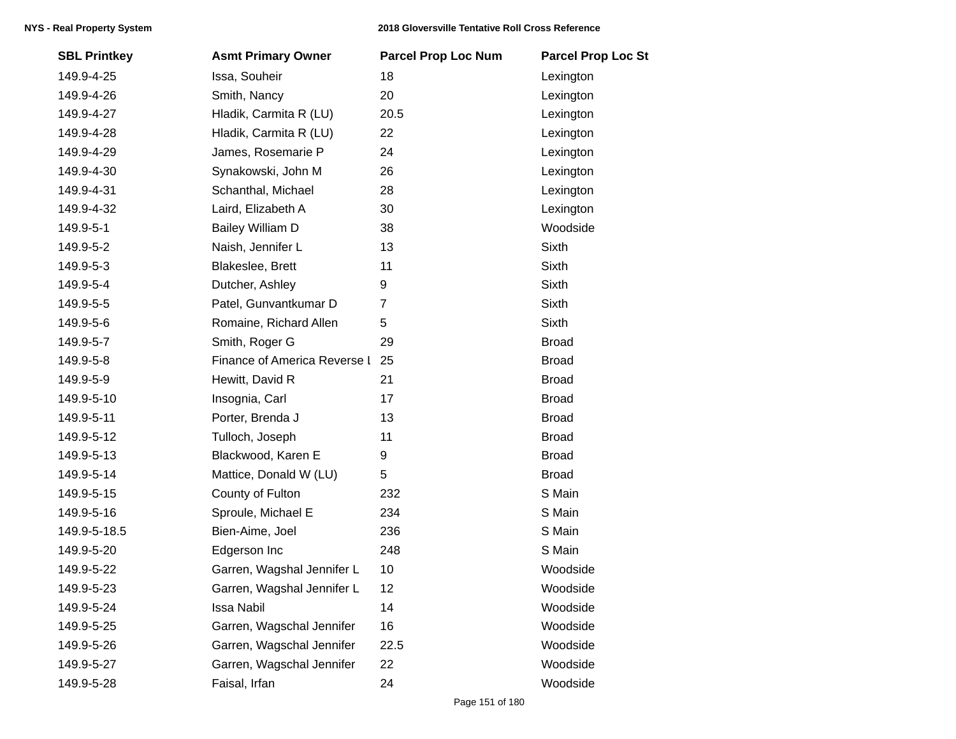| <b>SBL Printkey</b> | <b>Asmt Primary Owner</b>    | <b>Parcel Prop Loc Num</b> | <b>Parcel Prop Loc St</b> |
|---------------------|------------------------------|----------------------------|---------------------------|
| 149.9-4-25          | Issa, Souheir                | 18                         | Lexington                 |
| 149.9-4-26          | Smith, Nancy                 | 20                         | Lexington                 |
| 149.9-4-27          | Hladik, Carmita R (LU)       | 20.5                       | Lexington                 |
| 149.9-4-28          | Hladik, Carmita R (LU)       | 22                         | Lexington                 |
| 149.9-4-29          | James, Rosemarie P           | 24                         | Lexington                 |
| 149.9-4-30          | Synakowski, John M           | 26                         | Lexington                 |
| 149.9-4-31          | Schanthal, Michael           | 28                         | Lexington                 |
| 149.9-4-32          | Laird, Elizabeth A           | 30                         | Lexington                 |
| 149.9-5-1           | Bailey William D             | 38                         | Woodside                  |
| 149.9-5-2           | Naish, Jennifer L            | 13                         | Sixth                     |
| 149.9-5-3           | Blakeslee, Brett             | 11                         | Sixth                     |
| 149.9-5-4           | Dutcher, Ashley              | 9                          | Sixth                     |
| 149.9-5-5           | Patel, Gunvantkumar D        | 7                          | Sixth                     |
| 149.9-5-6           | Romaine, Richard Allen       | 5                          | Sixth                     |
| 149.9-5-7           | Smith, Roger G               | 29                         | <b>Broad</b>              |
| 149.9-5-8           | Finance of America Reverse I | 25                         | <b>Broad</b>              |
| 149.9-5-9           | Hewitt, David R              | 21                         | <b>Broad</b>              |
| 149.9-5-10          | Insognia, Carl               | 17                         | <b>Broad</b>              |
| 149.9-5-11          | Porter, Brenda J             | 13                         | <b>Broad</b>              |
| 149.9-5-12          | Tulloch, Joseph              | 11                         | <b>Broad</b>              |
| 149.9-5-13          | Blackwood, Karen E           | 9                          | <b>Broad</b>              |
| 149.9-5-14          | Mattice, Donald W (LU)       | 5                          | <b>Broad</b>              |
| 149.9-5-15          | County of Fulton             | 232                        | S Main                    |
| 149.9-5-16          | Sproule, Michael E           | 234                        | S Main                    |
| 149.9-5-18.5        | Bien-Aime, Joel              | 236                        | S Main                    |
| 149.9-5-20          | Edgerson Inc                 | 248                        | S Main                    |
| 149.9-5-22          | Garren, Wagshal Jennifer L   | 10                         | Woodside                  |
| 149.9-5-23          | Garren, Wagshal Jennifer L   | 12                         | Woodside                  |
| 149.9-5-24          | Issa Nabil                   | 14                         | Woodside                  |
| 149.9-5-25          | Garren, Wagschal Jennifer    | 16                         | Woodside                  |
| 149.9-5-26          | Garren, Wagschal Jennifer    | 22.5                       | Woodside                  |
| 149.9-5-27          | Garren, Wagschal Jennifer    | 22                         | Woodside                  |
| 149.9-5-28          | Faisal, Irfan                | 24                         | Woodside                  |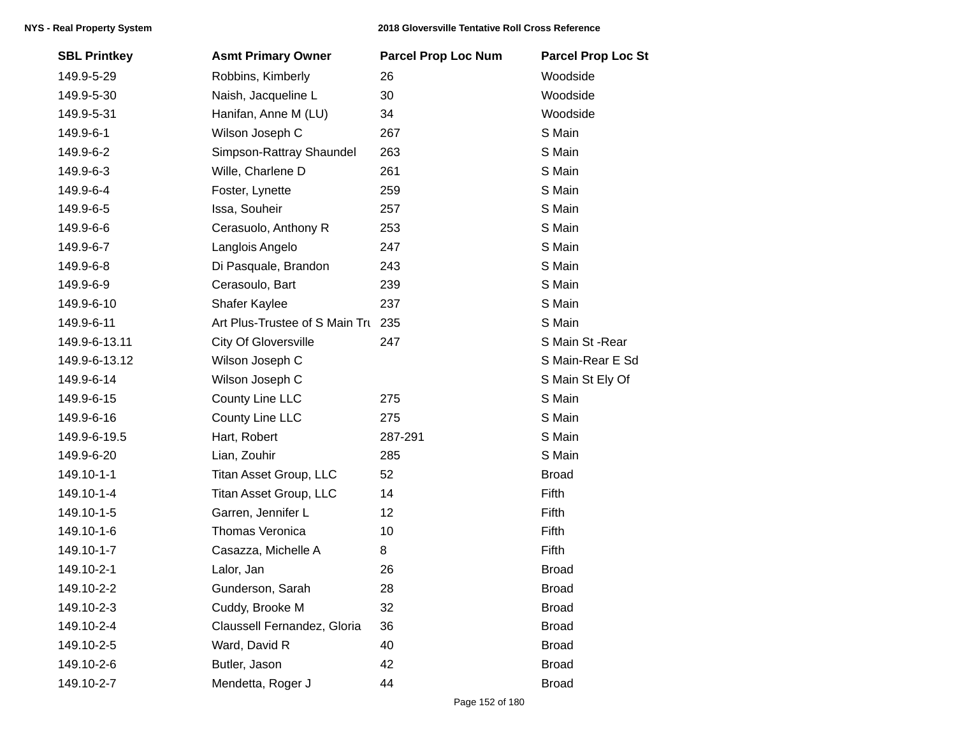| <b>SBL Printkey</b> | <b>Asmt Primary Owner</b>          | <b>Parcel Prop Loc Num</b> | <b>Parcel Prop Loc St</b> |
|---------------------|------------------------------------|----------------------------|---------------------------|
| 149.9-5-29          | Robbins, Kimberly                  | 26                         | Woodside                  |
| 149.9-5-30          | Naish, Jacqueline L                | 30                         | Woodside                  |
| 149.9-5-31          | Hanifan, Anne M (LU)               | 34                         | Woodside                  |
| 149.9-6-1           | Wilson Joseph C                    | 267                        | S Main                    |
| 149.9-6-2           | Simpson-Rattray Shaundel           | 263                        | S Main                    |
| 149.9-6-3           | Wille, Charlene D                  | 261                        | S Main                    |
| 149.9-6-4           | Foster, Lynette                    | 259                        | S Main                    |
| 149.9-6-5           | Issa, Souheir                      | 257                        | S Main                    |
| 149.9-6-6           | Cerasuolo, Anthony R               | 253                        | S Main                    |
| 149.9-6-7           | Langlois Angelo                    | 247                        | S Main                    |
| 149.9-6-8           | Di Pasquale, Brandon               | 243                        | S Main                    |
| 149.9-6-9           | Cerasoulo, Bart                    | 239                        | S Main                    |
| 149.9-6-10          | Shafer Kaylee                      | 237                        | S Main                    |
| 149.9-6-11          | Art Plus-Trustee of S Main Tru 235 |                            | S Main                    |
| 149.9-6-13.11       | <b>City Of Gloversville</b>        | 247                        | S Main St -Rear           |
| 149.9-6-13.12       | Wilson Joseph C                    |                            | S Main-Rear E Sd          |
| 149.9-6-14          | Wilson Joseph C                    |                            | S Main St Ely Of          |
| 149.9-6-15          | County Line LLC                    | 275                        | S Main                    |
| 149.9-6-16          | County Line LLC                    | 275                        | S Main                    |
| 149.9-6-19.5        | Hart, Robert                       | 287-291                    | S Main                    |
| 149.9-6-20          | Lian, Zouhir                       | 285                        | S Main                    |
| 149.10-1-1          | Titan Asset Group, LLC             | 52                         | <b>Broad</b>              |
| 149.10-1-4          | Titan Asset Group, LLC             | 14                         | Fifth                     |
| 149.10-1-5          | Garren, Jennifer L                 | 12                         | Fifth                     |
| 149.10-1-6          | Thomas Veronica                    | 10                         | Fifth                     |
| 149.10-1-7          | Casazza, Michelle A                | 8                          | Fifth                     |
| 149.10-2-1          | Lalor, Jan                         | 26                         | <b>Broad</b>              |
| 149.10-2-2          | Gunderson, Sarah                   | 28                         | <b>Broad</b>              |
| 149.10-2-3          | Cuddy, Brooke M                    | 32                         | <b>Broad</b>              |
| 149.10-2-4          | Claussell Fernandez, Gloria        | 36                         | <b>Broad</b>              |
| 149.10-2-5          | Ward, David R                      | 40                         | <b>Broad</b>              |
| 149.10-2-6          | Butler, Jason                      | 42                         | <b>Broad</b>              |
| 149.10-2-7          | Mendetta, Roger J                  | 44                         | <b>Broad</b>              |
|                     |                                    |                            |                           |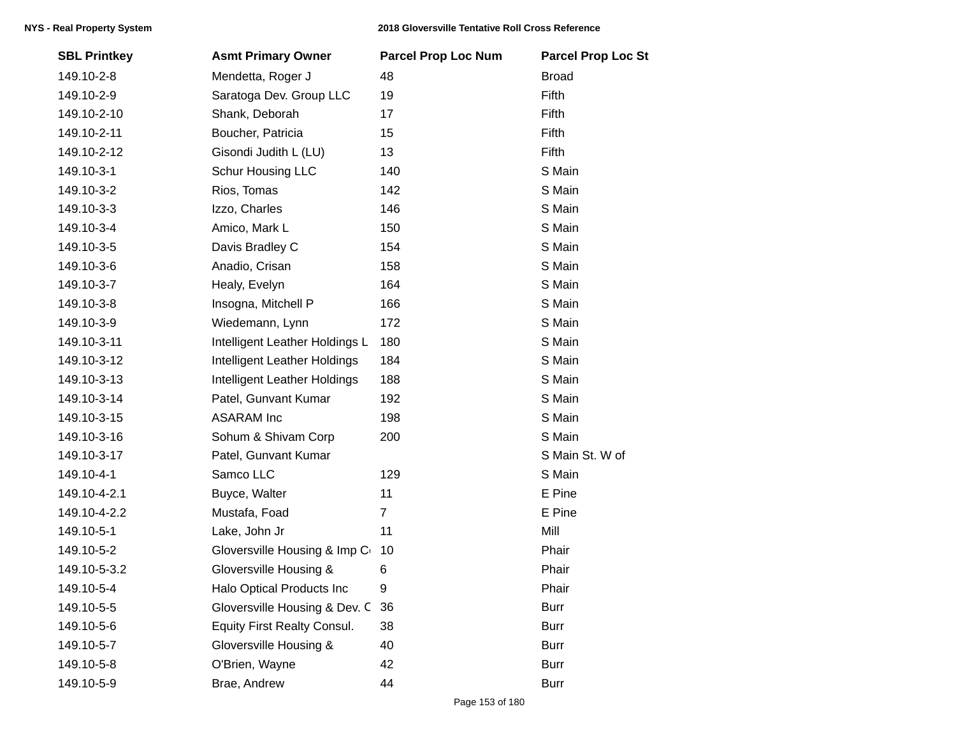| <b>SBL Printkey</b> | <b>Asmt Primary Owner</b>           | <b>Parcel Prop Loc Num</b> | <b>Parcel Prop Loc St</b> |
|---------------------|-------------------------------------|----------------------------|---------------------------|
| 149.10-2-8          | Mendetta, Roger J                   | 48                         | <b>Broad</b>              |
| 149.10-2-9          | Saratoga Dev. Group LLC             | 19                         | Fifth                     |
| 149.10-2-10         | Shank, Deborah                      | 17                         | Fifth                     |
| 149.10-2-11         | Boucher, Patricia                   | 15                         | Fifth                     |
| 149.10-2-12         | Gisondi Judith L (LU)               | 13                         | Fifth                     |
| 149.10-3-1          | Schur Housing LLC                   | 140                        | S Main                    |
| 149.10-3-2          | Rios, Tomas                         | 142                        | S Main                    |
| 149.10-3-3          | Izzo, Charles                       | 146                        | S Main                    |
| 149.10-3-4          | Amico, Mark L                       | 150                        | S Main                    |
| 149.10-3-5          | Davis Bradley C                     | 154                        | S Main                    |
| 149.10-3-6          | Anadio, Crisan                      | 158                        | S Main                    |
| 149.10-3-7          | Healy, Evelyn                       | 164                        | S Main                    |
| 149.10-3-8          | Insogna, Mitchell P                 | 166                        | S Main                    |
| 149.10-3-9          | Wiedemann, Lynn                     | 172                        | S Main                    |
| 149.10-3-11         | Intelligent Leather Holdings L      | 180                        | S Main                    |
| 149.10-3-12         | Intelligent Leather Holdings        | 184                        | S Main                    |
| 149.10-3-13         | <b>Intelligent Leather Holdings</b> | 188                        | S Main                    |
| 149.10-3-14         | Patel, Gunvant Kumar                | 192                        | S Main                    |
| 149.10-3-15         | <b>ASARAM</b> Inc                   | 198                        | S Main                    |
| 149.10-3-16         | Sohum & Shivam Corp                 | 200                        | S Main                    |
| 149.10-3-17         | Patel, Gunvant Kumar                |                            | S Main St. W of           |
| 149.10-4-1          | Samco LLC                           | 129                        | S Main                    |
| 149.10-4-2.1        | Buyce, Walter                       | 11                         | E Pine                    |
| 149.10-4-2.2        | Mustafa, Foad                       | $\overline{7}$             | E Pine                    |
| 149.10-5-1          | Lake, John Jr                       | 11                         | Mill                      |
| 149.10-5-2          | Gloversville Housing & Imp C        | 10                         | Phair                     |
| 149.10-5-3.2        | Gloversville Housing &              | 6                          | Phair                     |
| 149.10-5-4          | Halo Optical Products Inc           | 9                          | Phair                     |
| 149.10-5-5          | Gloversville Housing & Dev. C       | 36                         | <b>Burr</b>               |
| 149.10-5-6          | <b>Equity First Realty Consul.</b>  | 38                         | <b>Burr</b>               |
| 149.10-5-7          | Gloversville Housing &              | 40                         | <b>Burr</b>               |
| 149.10-5-8          | O'Brien, Wayne                      | 42                         | <b>Burr</b>               |
| 149.10-5-9          | Brae, Andrew                        | 44                         | <b>Burr</b>               |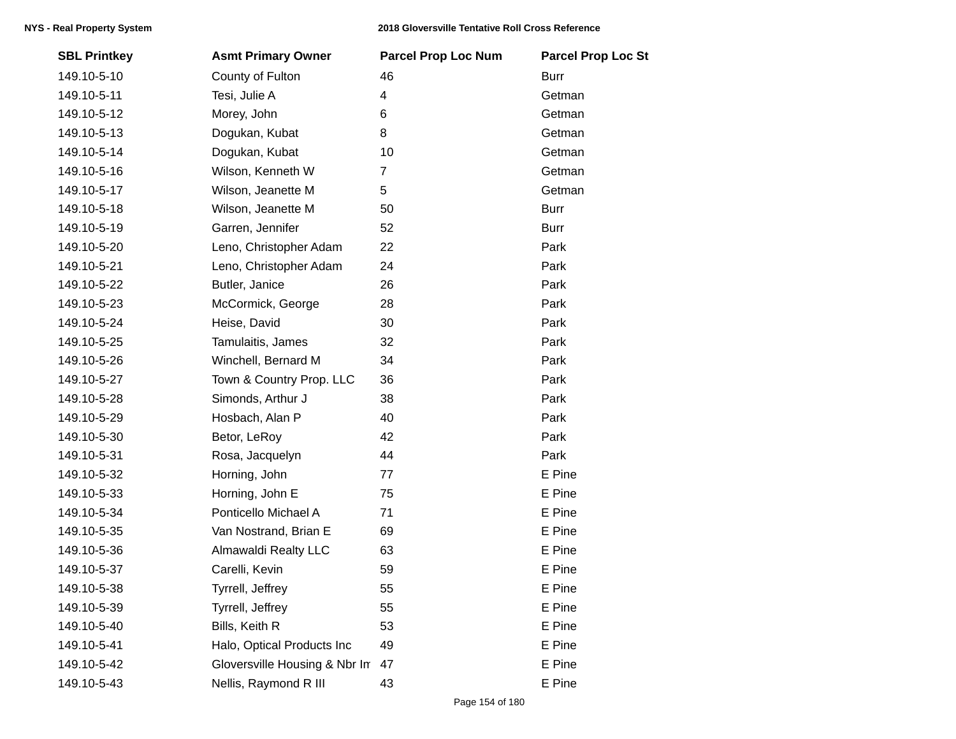| <b>SBL Printkey</b> | <b>Asmt Primary Owner</b>     | <b>Parcel Prop Loc Num</b> | <b>Parcel Prop Loc St</b> |
|---------------------|-------------------------------|----------------------------|---------------------------|
| 149.10-5-10         | County of Fulton              | 46                         | <b>Burr</b>               |
| 149.10-5-11         | Tesi, Julie A                 | 4                          | Getman                    |
| 149.10-5-12         | Morey, John                   | 6                          | Getman                    |
| 149.10-5-13         | Dogukan, Kubat                | 8                          | Getman                    |
| 149.10-5-14         | Dogukan, Kubat                | 10                         | Getman                    |
| 149.10-5-16         | Wilson, Kenneth W             | $\overline{7}$             | Getman                    |
| 149.10-5-17         | Wilson, Jeanette M            | 5                          | Getman                    |
| 149.10-5-18         | Wilson, Jeanette M            | 50                         | <b>Burr</b>               |
| 149.10-5-19         | Garren, Jennifer              | 52                         | <b>Burr</b>               |
| 149.10-5-20         | Leno, Christopher Adam        | 22                         | Park                      |
| 149.10-5-21         | Leno, Christopher Adam        | 24                         | Park                      |
| 149.10-5-22         | Butler, Janice                | 26                         | Park                      |
| 149.10-5-23         | McCormick, George             | 28                         | Park                      |
| 149.10-5-24         | Heise, David                  | 30                         | Park                      |
| 149.10-5-25         | Tamulaitis, James             | 32                         | Park                      |
| 149.10-5-26         | Winchell, Bernard M           | 34                         | Park                      |
| 149.10-5-27         | Town & Country Prop. LLC      | 36                         | Park                      |
| 149.10-5-28         | Simonds, Arthur J             | 38                         | Park                      |
| 149.10-5-29         | Hosbach, Alan P               | 40                         | Park                      |
| 149.10-5-30         | Betor, LeRoy                  | 42                         | Park                      |
| 149.10-5-31         | Rosa, Jacquelyn               | 44                         | Park                      |
| 149.10-5-32         | Horning, John                 | 77                         | E Pine                    |
| 149.10-5-33         | Horning, John E               | 75                         | E Pine                    |
| 149.10-5-34         | Ponticello Michael A          | 71                         | E Pine                    |
| 149.10-5-35         | Van Nostrand, Brian E         | 69                         | E Pine                    |
| 149.10-5-36         | Almawaldi Realty LLC          | 63                         | E Pine                    |
| 149.10-5-37         | Carelli, Kevin                | 59                         | E Pine                    |
| 149.10-5-38         | Tyrrell, Jeffrey              | 55                         | E Pine                    |
| 149.10-5-39         | Tyrrell, Jeffrey              | 55                         | E Pine                    |
| 149.10-5-40         | Bills, Keith R                | 53                         | E Pine                    |
| 149.10-5-41         | Halo, Optical Products Inc    | 49                         | E Pine                    |
| 149.10-5-42         | Gloversville Housing & Nbr In | 47                         | E Pine                    |
| 149.10-5-43         | Nellis, Raymond R III         | 43                         | E Pine                    |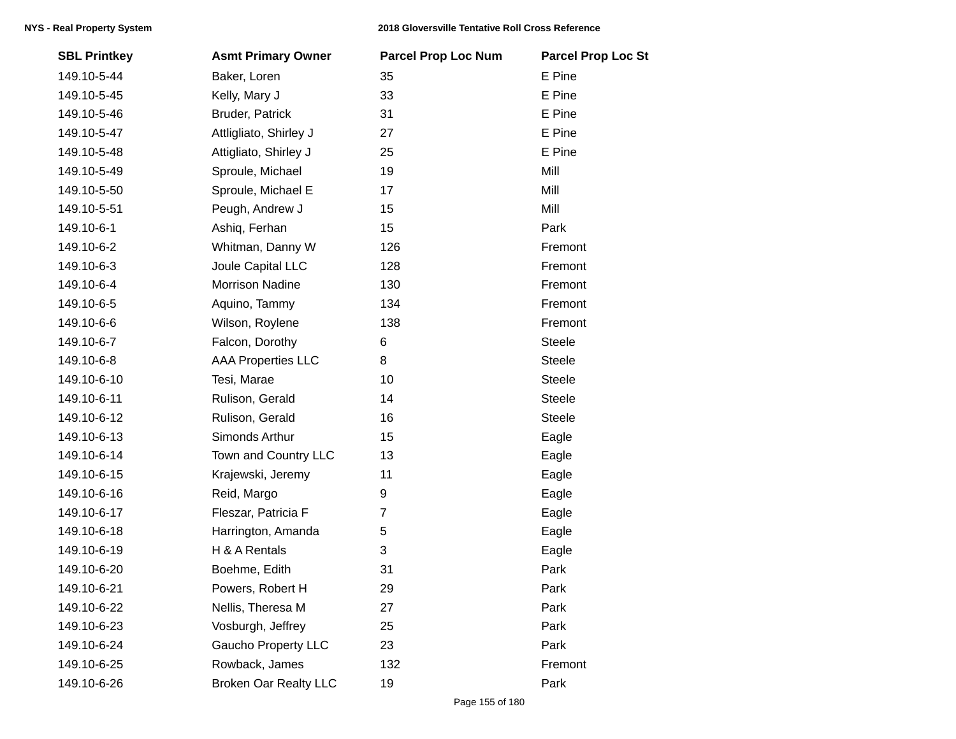| <b>SBL Printkey</b> | <b>Asmt Primary Owner</b>    | <b>Parcel Prop Loc Num</b> | <b>Parcel Prop Loc St</b> |
|---------------------|------------------------------|----------------------------|---------------------------|
| 149.10-5-44         | Baker, Loren                 | 35                         | E Pine                    |
| 149.10-5-45         | Kelly, Mary J                | 33                         | E Pine                    |
| 149.10-5-46         | Bruder, Patrick              | 31                         | E Pine                    |
| 149.10-5-47         | Attligliato, Shirley J       | 27                         | E Pine                    |
| 149.10-5-48         | Attigliato, Shirley J        | 25                         | E Pine                    |
| 149.10-5-49         | Sproule, Michael             | 19                         | Mill                      |
| 149.10-5-50         | Sproule, Michael E           | 17                         | Mill                      |
| 149.10-5-51         | Peugh, Andrew J              | 15                         | Mill                      |
| 149.10-6-1          | Ashiq, Ferhan                | 15                         | Park                      |
| 149.10-6-2          | Whitman, Danny W             | 126                        | Fremont                   |
| 149.10-6-3          | Joule Capital LLC            | 128                        | Fremont                   |
| 149.10-6-4          | <b>Morrison Nadine</b>       | 130                        | Fremont                   |
| 149.10-6-5          | Aquino, Tammy                | 134                        | Fremont                   |
| 149.10-6-6          | Wilson, Roylene              | 138                        | Fremont                   |
| 149.10-6-7          | Falcon, Dorothy              | 6                          | <b>Steele</b>             |
| 149.10-6-8          | <b>AAA Properties LLC</b>    | 8                          | <b>Steele</b>             |
| 149.10-6-10         | Tesi, Marae                  | 10                         | <b>Steele</b>             |
| 149.10-6-11         | Rulison, Gerald              | 14                         | Steele                    |
| 149.10-6-12         | Rulison, Gerald              | 16                         | <b>Steele</b>             |
| 149.10-6-13         | Simonds Arthur               | 15                         | Eagle                     |
| 149.10-6-14         | Town and Country LLC         | 13                         | Eagle                     |
| 149.10-6-15         | Krajewski, Jeremy            | 11                         | Eagle                     |
| 149.10-6-16         | Reid, Margo                  | 9                          | Eagle                     |
| 149.10-6-17         | Fleszar, Patricia F          | $\overline{7}$             | Eagle                     |
| 149.10-6-18         | Harrington, Amanda           | 5                          | Eagle                     |
| 149.10-6-19         | H & A Rentals                | 3                          | Eagle                     |
| 149.10-6-20         | Boehme, Edith                | 31                         | Park                      |
| 149.10-6-21         | Powers, Robert H             | 29                         | Park                      |
| 149.10-6-22         | Nellis, Theresa M            | 27                         | Park                      |
| 149.10-6-23         | Vosburgh, Jeffrey            | 25                         | Park                      |
| 149.10-6-24         | <b>Gaucho Property LLC</b>   | 23                         | Park                      |
| 149.10-6-25         | Rowback, James               | 132                        | Fremont                   |
| 149.10-6-26         | <b>Broken Oar Realty LLC</b> | 19                         | Park                      |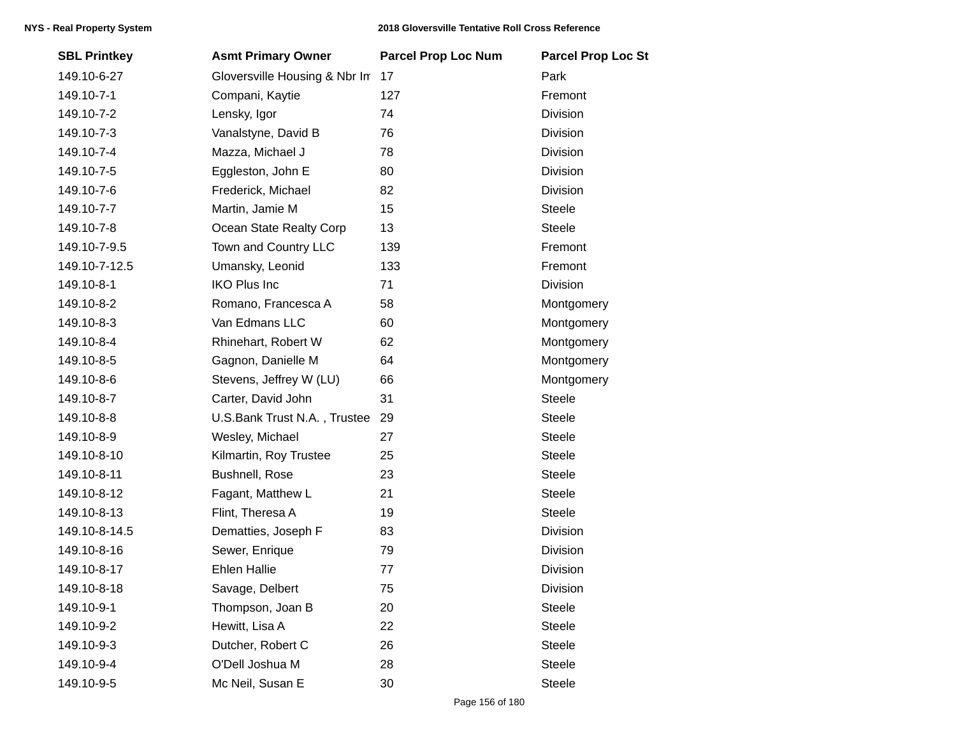| <b>SBL Printkey</b> | <b>Asmt Primary Owner</b>     | <b>Parcel Prop Loc Num</b> | <b>Parcel Prop Loc St</b> |
|---------------------|-------------------------------|----------------------------|---------------------------|
| 149.10-6-27         | Gloversville Housing & Nbr In | 17                         | Park                      |
| 149.10-7-1          | Compani, Kaytie               | 127                        | Fremont                   |
| 149.10-7-2          | Lensky, Igor                  | 74                         | Division                  |
| 149.10-7-3          | Vanalstyne, David B           | 76                         | Division                  |
| 149.10-7-4          | Mazza, Michael J              | 78                         | <b>Division</b>           |
| 149.10-7-5          | Eggleston, John E             | 80                         | Division                  |
| 149.10-7-6          | Frederick, Michael            | 82                         | Division                  |
| 149.10-7-7          | Martin, Jamie M               | 15                         | <b>Steele</b>             |
| 149.10-7-8          | Ocean State Realty Corp       | 13                         | <b>Steele</b>             |
| 149.10-7-9.5        | Town and Country LLC          | 139                        | Fremont                   |
| 149.10-7-12.5       | Umansky, Leonid               | 133                        | Fremont                   |
| 149.10-8-1          | <b>IKO Plus Inc</b>           | 71                         | Division                  |
| 149.10-8-2          | Romano, Francesca A           | 58                         | Montgomery                |
| 149.10-8-3          | Van Edmans LLC                | 60                         | Montgomery                |
| 149.10-8-4          | Rhinehart, Robert W           | 62                         | Montgomery                |
| 149.10-8-5          | Gagnon, Danielle M            | 64                         | Montgomery                |
| 149.10-8-6          | Stevens, Jeffrey W (LU)       | 66                         | Montgomery                |
| 149.10-8-7          | Carter, David John            | 31                         | <b>Steele</b>             |
| 149.10-8-8          | U.S.Bank Trust N.A., Trustee  | 29                         | <b>Steele</b>             |
| 149.10-8-9          | Wesley, Michael               | 27                         | <b>Steele</b>             |
| 149.10-8-10         | Kilmartin, Roy Trustee        | 25                         | <b>Steele</b>             |
| 149.10-8-11         | Bushnell, Rose                | 23                         | <b>Steele</b>             |
| 149.10-8-12         | Fagant, Matthew L             | 21                         | <b>Steele</b>             |
| 149.10-8-13         | Flint, Theresa A              | 19                         | Steele                    |
| 149.10-8-14.5       | Dematties, Joseph F           | 83                         | <b>Division</b>           |
| 149.10-8-16         | Sewer, Enrique                | 79                         | Division                  |
| 149.10-8-17         | <b>Ehlen Hallie</b>           | 77                         | Division                  |
| 149.10-8-18         | Savage, Delbert               | 75                         | Division                  |
| 149.10-9-1          | Thompson, Joan B              | 20                         | <b>Steele</b>             |
| 149.10-9-2          | Hewitt, Lisa A                | 22                         | Steele                    |
| 149.10-9-3          | Dutcher, Robert C             | 26                         | <b>Steele</b>             |
| 149.10-9-4          | O'Dell Joshua M               | 28                         | Steele                    |
| 149.10-9-5          | Mc Neil, Susan E              | 30                         | Steele                    |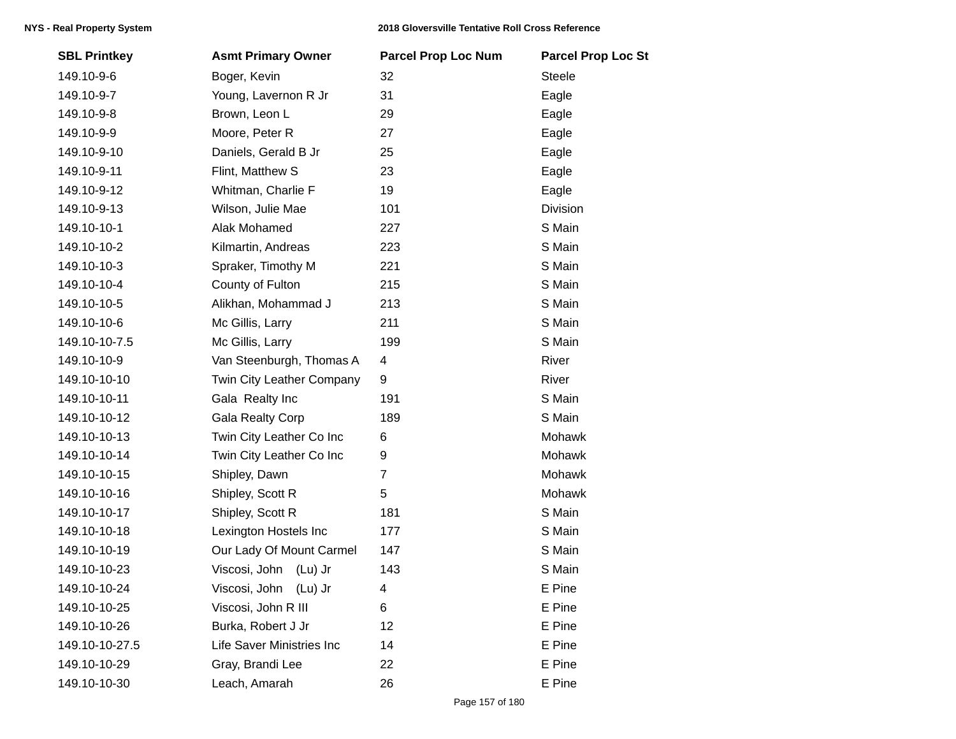| <b>SBL Printkey</b> | <b>Asmt Primary Owner</b>  | <b>Parcel Prop Loc Num</b> | <b>Parcel Prop Loc St</b> |
|---------------------|----------------------------|----------------------------|---------------------------|
| 149.10-9-6          | Boger, Kevin               | 32                         | <b>Steele</b>             |
| 149.10-9-7          | Young, Lavernon R Jr       | 31                         | Eagle                     |
| 149.10-9-8          | Brown, Leon L              | 29                         | Eagle                     |
| 149.10-9-9          | Moore, Peter R             | 27                         | Eagle                     |
| 149.10-9-10         | Daniels, Gerald B Jr       | 25                         | Eagle                     |
| 149.10-9-11         | Flint, Matthew S           | 23                         | Eagle                     |
| 149.10-9-12         | Whitman, Charlie F         | 19                         | Eagle                     |
| 149.10-9-13         | Wilson, Julie Mae          | 101                        | Division                  |
| 149.10-10-1         | Alak Mohamed               | 227                        | S Main                    |
| 149.10-10-2         | Kilmartin, Andreas         | 223                        | S Main                    |
| 149.10-10-3         | Spraker, Timothy M         | 221                        | S Main                    |
| 149.10-10-4         | County of Fulton           | 215                        | S Main                    |
| 149.10-10-5         | Alikhan, Mohammad J        | 213                        | S Main                    |
| 149.10-10-6         | Mc Gillis, Larry           | 211                        | S Main                    |
| 149.10-10-7.5       | Mc Gillis, Larry           | 199                        | S Main                    |
| 149.10-10-9         | Van Steenburgh, Thomas A   | 4                          | River                     |
| 149.10-10-10        | Twin City Leather Company  | 9                          | River                     |
| 149.10-10-11        | Gala Realty Inc            | 191                        | S Main                    |
| 149.10-10-12        | <b>Gala Realty Corp</b>    | 189                        | S Main                    |
| 149.10-10-13        | Twin City Leather Co Inc   | 6                          | Mohawk                    |
| 149.10-10-14        | Twin City Leather Co Inc   | 9                          | Mohawk                    |
| 149.10-10-15        | Shipley, Dawn              | $\overline{7}$             | Mohawk                    |
| 149.10-10-16        | Shipley, Scott R           | 5                          | Mohawk                    |
| 149.10-10-17        | Shipley, Scott R           | 181                        | S Main                    |
| 149.10-10-18        | Lexington Hostels Inc      | 177                        | S Main                    |
| 149.10-10-19        | Our Lady Of Mount Carmel   | 147                        | S Main                    |
| 149.10-10-23        | Viscosi, John<br>$(Lu)$ Jr | 143                        | S Main                    |
| 149.10-10-24        | Viscosi, John (Lu) Jr      | 4                          | E Pine                    |
| 149.10-10-25        | Viscosi, John R III        | 6                          | E Pine                    |
| 149.10-10-26        | Burka, Robert J Jr         | 12                         | E Pine                    |
| 149.10-10-27.5      | Life Saver Ministries Inc  | 14                         | E Pine                    |
| 149.10-10-29        | Gray, Brandi Lee           | 22                         | E Pine                    |
| 149.10-10-30        | Leach, Amarah              | 26                         | E Pine                    |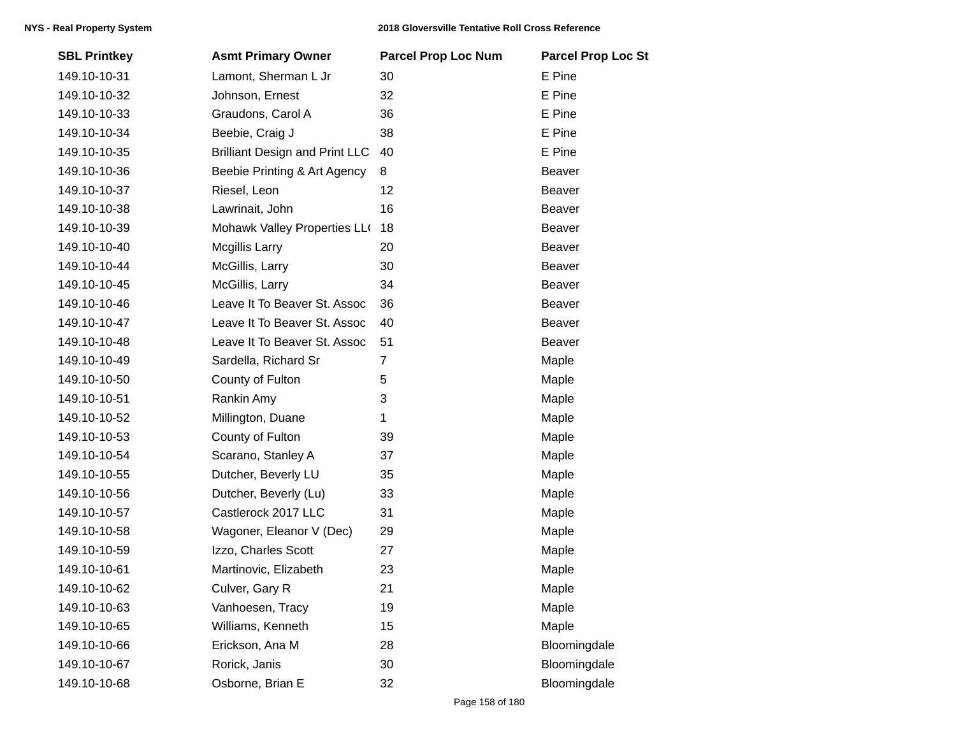| <b>SBL Printkey</b> | <b>Asmt Primary Owner</b>             | <b>Parcel Prop Loc Num</b> | <b>Parcel Prop Loc St</b> |
|---------------------|---------------------------------------|----------------------------|---------------------------|
| 149.10-10-31        | Lamont, Sherman L Jr                  | 30                         | E Pine                    |
| 149.10-10-32        | Johnson, Ernest                       | 32                         | E Pine                    |
| 149.10-10-33        | Graudons, Carol A                     | 36                         | E Pine                    |
| 149.10-10-34        | Beebie, Craig J                       | 38                         | E Pine                    |
| 149.10-10-35        | <b>Brilliant Design and Print LLC</b> | 40                         | E Pine                    |
| 149.10-10-36        | Beebie Printing & Art Agency          | 8                          | Beaver                    |
| 149.10-10-37        | Riesel, Leon                          | 12                         | Beaver                    |
| 149.10-10-38        | Lawrinait, John                       | 16                         | <b>Beaver</b>             |
| 149.10-10-39        | Mohawk Valley Properties LLO          | 18                         | Beaver                    |
| 149.10-10-40        | <b>Mcgillis Larry</b>                 | 20                         | Beaver                    |
| 149.10-10-44        | McGillis, Larry                       | 30                         | Beaver                    |
| 149.10-10-45        | McGillis, Larry                       | 34                         | Beaver                    |
| 149.10-10-46        | Leave It To Beaver St. Assoc          | 36                         | Beaver                    |
| 149.10-10-47        | Leave It To Beaver St. Assoc          | 40                         | Beaver                    |
| 149.10-10-48        | Leave It To Beaver St. Assoc          | 51                         | Beaver                    |
| 149.10-10-49        | Sardella, Richard Sr                  | $\overline{7}$             | Maple                     |
| 149.10-10-50        | County of Fulton                      | 5                          | Maple                     |
| 149.10-10-51        | Rankin Amy                            | 3                          | Maple                     |
| 149.10-10-52        | Millington, Duane                     | 1                          | Maple                     |
| 149.10-10-53        | County of Fulton                      | 39                         | Maple                     |
| 149.10-10-54        | Scarano, Stanley A                    | 37                         | Maple                     |
| 149.10-10-55        | Dutcher, Beverly LU                   | 35                         | Maple                     |
| 149.10-10-56        | Dutcher, Beverly (Lu)                 | 33                         | Maple                     |
| 149.10-10-57        | Castlerock 2017 LLC                   | 31                         | Maple                     |
| 149.10-10-58        | Wagoner, Eleanor V (Dec)              | 29                         | Maple                     |
| 149.10-10-59        | Izzo, Charles Scott                   | 27                         | Maple                     |
| 149.10-10-61        | Martinovic, Elizabeth                 | 23                         | Maple                     |
| 149.10-10-62        | Culver, Gary R                        | 21                         | Maple                     |
| 149.10-10-63        | Vanhoesen, Tracy                      | 19                         | Maple                     |
| 149.10-10-65        | Williams, Kenneth                     | 15                         | Maple                     |
| 149.10-10-66        | Erickson, Ana M                       | 28                         | Bloomingdale              |
| 149.10-10-67        | Rorick, Janis                         | 30                         | Bloomingdale              |
| 149.10-10-68        | Osborne, Brian E                      | 32                         | Bloomingdale              |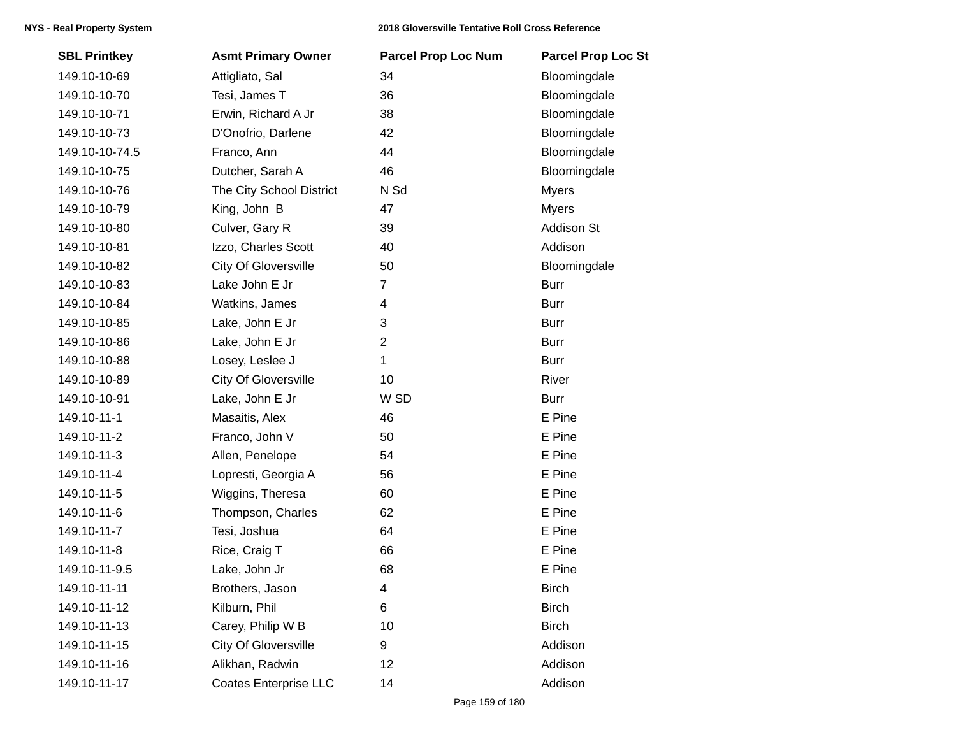| <b>SBL Printkey</b> | <b>Asmt Primary Owner</b>    | <b>Parcel Prop Loc Num</b> | <b>Parcel Prop Loc St</b> |
|---------------------|------------------------------|----------------------------|---------------------------|
| 149.10-10-69        | Attigliato, Sal              | 34                         | Bloomingdale              |
| 149.10-10-70        | Tesi, James T                | 36                         | Bloomingdale              |
| 149.10-10-71        | Erwin, Richard A Jr          | 38                         | Bloomingdale              |
| 149.10-10-73        | D'Onofrio, Darlene           | 42                         | Bloomingdale              |
| 149.10-10-74.5      | Franco, Ann                  | 44                         | Bloomingdale              |
| 149.10-10-75        | Dutcher, Sarah A             | 46                         | Bloomingdale              |
| 149.10-10-76        | The City School District     | N Sd                       | <b>Myers</b>              |
| 149.10-10-79        | King, John B                 | 47                         | <b>Myers</b>              |
| 149.10-10-80        | Culver, Gary R               | 39                         | Addison St                |
| 149.10-10-81        | Izzo, Charles Scott          | 40                         | Addison                   |
| 149.10-10-82        | <b>City Of Gloversville</b>  | 50                         | Bloomingdale              |
| 149.10-10-83        | Lake John E Jr               | 7                          | <b>Burr</b>               |
| 149.10-10-84        | Watkins, James               | 4                          | <b>Burr</b>               |
| 149.10-10-85        | Lake, John E Jr              | 3                          | <b>Burr</b>               |
| 149.10-10-86        | Lake, John E Jr              | $\overline{2}$             | <b>Burr</b>               |
| 149.10-10-88        | Losey, Leslee J              | 1                          | <b>Burr</b>               |
| 149.10-10-89        | <b>City Of Gloversville</b>  | 10                         | River                     |
| 149.10-10-91        | Lake, John E Jr              | W SD                       | <b>Burr</b>               |
| 149.10-11-1         | Masaitis, Alex               | 46                         | E Pine                    |
| 149.10-11-2         | Franco, John V               | 50                         | E Pine                    |
| 149.10-11-3         | Allen, Penelope              | 54                         | E Pine                    |
| 149.10-11-4         | Lopresti, Georgia A          | 56                         | E Pine                    |
| 149.10-11-5         | Wiggins, Theresa             | 60                         | E Pine                    |
| 149.10-11-6         | Thompson, Charles            | 62                         | E Pine                    |
| 149.10-11-7         | Tesi, Joshua                 | 64                         | E Pine                    |
| 149.10-11-8         | Rice, Craig T                | 66                         | E Pine                    |
| 149.10-11-9.5       | Lake, John Jr                | 68                         | E Pine                    |
| 149.10-11-11        | Brothers, Jason              | 4                          | <b>Birch</b>              |
| 149.10-11-12        | Kilburn, Phil                | 6                          | <b>Birch</b>              |
| 149.10-11-13        | Carey, Philip W B            | 10                         | <b>Birch</b>              |
| 149.10-11-15        | <b>City Of Gloversville</b>  | 9                          | Addison                   |
| 149.10-11-16        | Alikhan, Radwin              | 12                         | Addison                   |
| 149.10-11-17        | <b>Coates Enterprise LLC</b> | 14                         | Addison                   |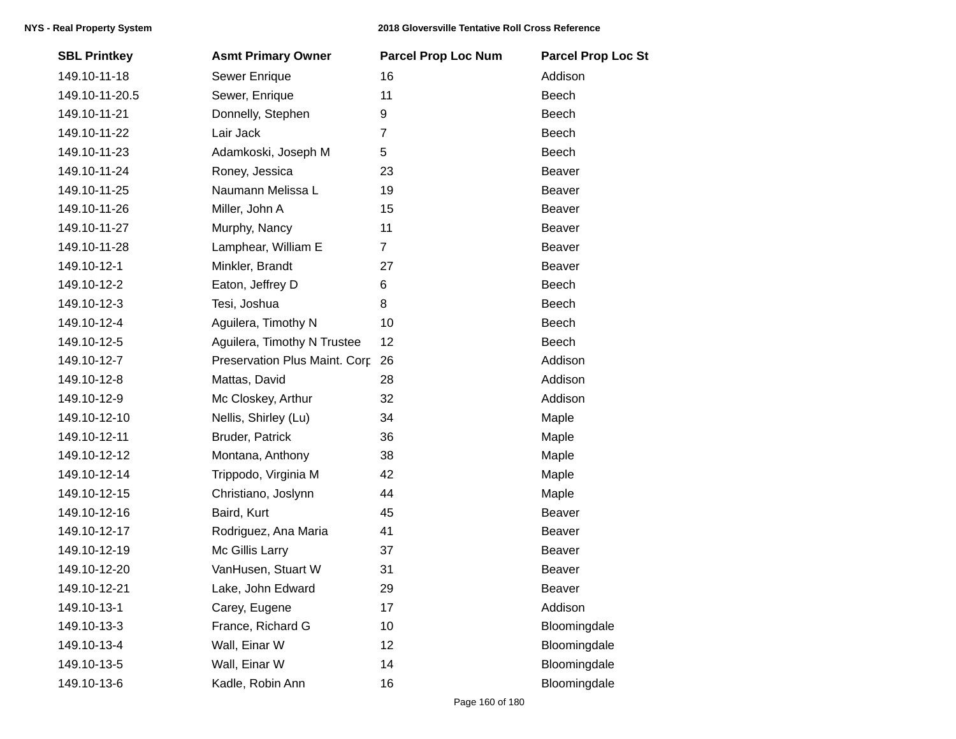| <b>SBL Printkey</b> | <b>Asmt Primary Owner</b>     | <b>Parcel Prop Loc Num</b> | <b>Parcel Prop Loc St</b> |
|---------------------|-------------------------------|----------------------------|---------------------------|
| 149.10-11-18        | Sewer Enrique                 | 16                         | Addison                   |
| 149.10-11-20.5      | Sewer, Enrique                | 11                         | Beech                     |
| 149.10-11-21        | Donnelly, Stephen             | 9                          | Beech                     |
| 149.10-11-22        | Lair Jack                     | 7                          | <b>Beech</b>              |
| 149.10-11-23        | Adamkoski, Joseph M           | 5                          | Beech                     |
| 149.10-11-24        | Roney, Jessica                | 23                         | Beaver                    |
| 149.10-11-25        | Naumann Melissa L             | 19                         | Beaver                    |
| 149.10-11-26        | Miller, John A                | 15                         | <b>Beaver</b>             |
| 149.10-11-27        | Murphy, Nancy                 | 11                         | Beaver                    |
| 149.10-11-28        | Lamphear, William E           | $\overline{7}$             | Beaver                    |
| 149.10-12-1         | Minkler, Brandt               | 27                         | Beaver                    |
| 149.10-12-2         | Eaton, Jeffrey D              | 6                          | Beech                     |
| 149.10-12-3         | Tesi, Joshua                  | 8                          | Beech                     |
| 149.10-12-4         | Aguilera, Timothy N           | 10                         | Beech                     |
| 149.10-12-5         | Aguilera, Timothy N Trustee   | 12                         | Beech                     |
| 149.10-12-7         | Preservation Plus Maint. Corp | 26                         | Addison                   |
| 149.10-12-8         | Mattas, David                 | 28                         | Addison                   |
| 149.10-12-9         | Mc Closkey, Arthur            | 32                         | Addison                   |
| 149.10-12-10        | Nellis, Shirley (Lu)          | 34                         | Maple                     |
| 149.10-12-11        | Bruder, Patrick               | 36                         | Maple                     |
| 149.10-12-12        | Montana, Anthony              | 38                         | Maple                     |
| 149.10-12-14        | Trippodo, Virginia M          | 42                         | Maple                     |
| 149.10-12-15        | Christiano, Joslynn           | 44                         | Maple                     |
| 149.10-12-16        | Baird, Kurt                   | 45                         | Beaver                    |
| 149.10-12-17        | Rodriguez, Ana Maria          | 41                         | Beaver                    |
| 149.10-12-19        | Mc Gillis Larry               | 37                         | Beaver                    |
| 149.10-12-20        | VanHusen, Stuart W            | 31                         | Beaver                    |
| 149.10-12-21        | Lake, John Edward             | 29                         | Beaver                    |
| 149.10-13-1         | Carey, Eugene                 | 17                         | Addison                   |
| 149.10-13-3         | France, Richard G             | 10                         | Bloomingdale              |
| 149.10-13-4         | Wall, Einar W                 | 12                         | Bloomingdale              |
| 149.10-13-5         | Wall, Einar W                 | 14                         | Bloomingdale              |
| 149.10-13-6         | Kadle, Robin Ann              | 16                         | Bloomingdale              |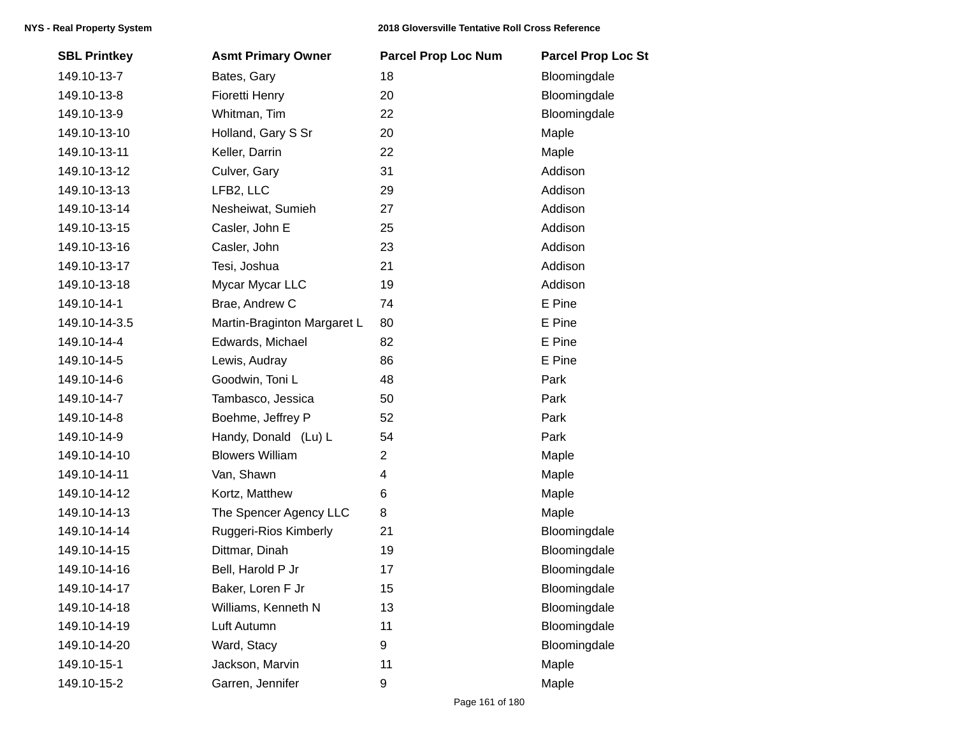| <b>SBL Printkey</b> | <b>Asmt Primary Owner</b>   | <b>Parcel Prop Loc Num</b> | <b>Parcel Prop Loc St</b> |
|---------------------|-----------------------------|----------------------------|---------------------------|
| 149.10-13-7         | Bates, Gary                 | 18                         | Bloomingdale              |
| 149.10-13-8         | Fioretti Henry              | 20                         | Bloomingdale              |
| 149.10-13-9         | Whitman, Tim                | 22                         | Bloomingdale              |
| 149.10-13-10        | Holland, Gary S Sr          | 20                         | Maple                     |
| 149.10-13-11        | Keller, Darrin              | 22                         | Maple                     |
| 149.10-13-12        | Culver, Gary                | 31                         | Addison                   |
| 149.10-13-13        | LFB2, LLC                   | 29                         | Addison                   |
| 149.10-13-14        | Nesheiwat, Sumieh           | 27                         | Addison                   |
| 149.10-13-15        | Casler, John E              | 25                         | Addison                   |
| 149.10-13-16        | Casler, John                | 23                         | Addison                   |
| 149.10-13-17        | Tesi, Joshua                | 21                         | Addison                   |
| 149.10-13-18        | Mycar Mycar LLC             | 19                         | Addison                   |
| 149.10-14-1         | Brae, Andrew C              | 74                         | E Pine                    |
| 149.10-14-3.5       | Martin-Braginton Margaret L | 80                         | E Pine                    |
| 149.10-14-4         | Edwards, Michael            | 82                         | E Pine                    |
| 149.10-14-5         | Lewis, Audray               | 86                         | E Pine                    |
| 149.10-14-6         | Goodwin, Toni L             | 48                         | Park                      |
| 149.10-14-7         | Tambasco, Jessica           | 50                         | Park                      |
| 149.10-14-8         | Boehme, Jeffrey P           | 52                         | Park                      |
| 149.10-14-9         | Handy, Donald (Lu) L        | 54                         | Park                      |
| 149.10-14-10        | <b>Blowers William</b>      | $\overline{c}$             | Maple                     |
| 149.10-14-11        | Van, Shawn                  | 4                          | Maple                     |
| 149.10-14-12        | Kortz, Matthew              | 6                          | Maple                     |
| 149.10-14-13        | The Spencer Agency LLC      | 8                          | Maple                     |
| 149.10-14-14        | Ruggeri-Rios Kimberly       | 21                         | Bloomingdale              |
| 149.10-14-15        | Dittmar, Dinah              | 19                         | Bloomingdale              |
| 149.10-14-16        | Bell, Harold P Jr           | 17                         | Bloomingdale              |
| 149.10-14-17        | Baker, Loren F Jr           | 15                         | Bloomingdale              |
| 149.10-14-18        | Williams, Kenneth N         | 13                         | Bloomingdale              |
| 149.10-14-19        | Luft Autumn                 | 11                         | Bloomingdale              |
| 149.10-14-20        | Ward, Stacy                 | 9                          | Bloomingdale              |
| 149.10-15-1         | Jackson, Marvin             | 11                         | Maple                     |
| 149.10-15-2         | Garren, Jennifer            | 9                          | Maple                     |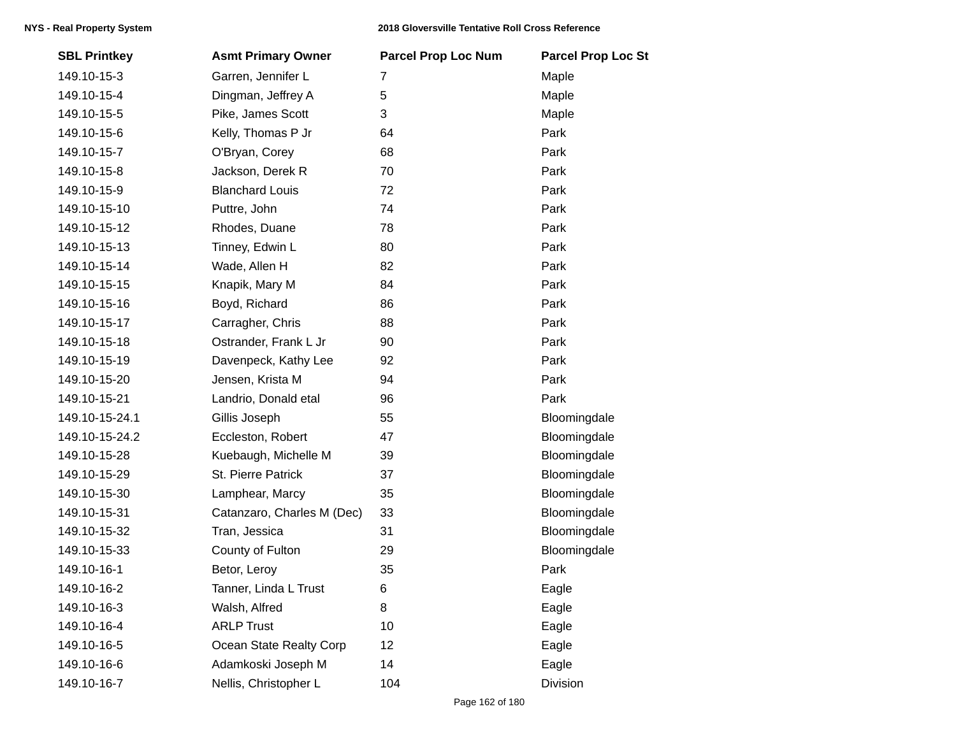| <b>SBL Printkey</b> | <b>Asmt Primary Owner</b>  | <b>Parcel Prop Loc Num</b> | <b>Parcel Prop Loc St</b> |
|---------------------|----------------------------|----------------------------|---------------------------|
| 149.10-15-3         | Garren, Jennifer L         | 7                          | Maple                     |
| 149.10-15-4         | Dingman, Jeffrey A         | 5                          | Maple                     |
| 149.10-15-5         | Pike, James Scott          | 3                          | Maple                     |
| 149.10-15-6         | Kelly, Thomas P Jr         | 64                         | Park                      |
| 149.10-15-7         | O'Bryan, Corey             | 68                         | Park                      |
| 149.10-15-8         | Jackson, Derek R           | 70                         | Park                      |
| 149.10-15-9         | <b>Blanchard Louis</b>     | 72                         | Park                      |
| 149.10-15-10        | Puttre, John               | 74                         | Park                      |
| 149.10-15-12        | Rhodes, Duane              | 78                         | Park                      |
| 149.10-15-13        | Tinney, Edwin L            | 80                         | Park                      |
| 149.10-15-14        | Wade, Allen H              | 82                         | Park                      |
| 149.10-15-15        | Knapik, Mary M             | 84                         | Park                      |
| 149.10-15-16        | Boyd, Richard              | 86                         | Park                      |
| 149.10-15-17        | Carragher, Chris           | 88                         | Park                      |
| 149.10-15-18        | Ostrander, Frank L Jr      | 90                         | Park                      |
| 149.10-15-19        | Davenpeck, Kathy Lee       | 92                         | Park                      |
| 149.10-15-20        | Jensen, Krista M           | 94                         | Park                      |
| 149.10-15-21        | Landrio, Donald etal       | 96                         | Park                      |
| 149.10-15-24.1      | Gillis Joseph              | 55                         | Bloomingdale              |
| 149.10-15-24.2      | Eccleston, Robert          | 47                         | Bloomingdale              |
| 149.10-15-28        | Kuebaugh, Michelle M       | 39                         | Bloomingdale              |
| 149.10-15-29        | St. Pierre Patrick         | 37                         | Bloomingdale              |
| 149.10-15-30        | Lamphear, Marcy            | 35                         | Bloomingdale              |
| 149.10-15-31        | Catanzaro, Charles M (Dec) | 33                         | Bloomingdale              |
| 149.10-15-32        | Tran, Jessica              | 31                         | Bloomingdale              |
| 149.10-15-33        | County of Fulton           | 29                         | Bloomingdale              |
| 149.10-16-1         | Betor, Leroy               | 35                         | Park                      |
| 149.10-16-2         | Tanner, Linda L Trust      | 6                          | Eagle                     |
| 149.10-16-3         | Walsh, Alfred              | 8                          | Eagle                     |
| 149.10-16-4         | <b>ARLP Trust</b>          | 10                         | Eagle                     |
| 149.10-16-5         | Ocean State Realty Corp    | 12                         | Eagle                     |
| 149.10-16-6         | Adamkoski Joseph M         | 14                         | Eagle                     |
| 149.10-16-7         | Nellis, Christopher L      | 104                        | Division                  |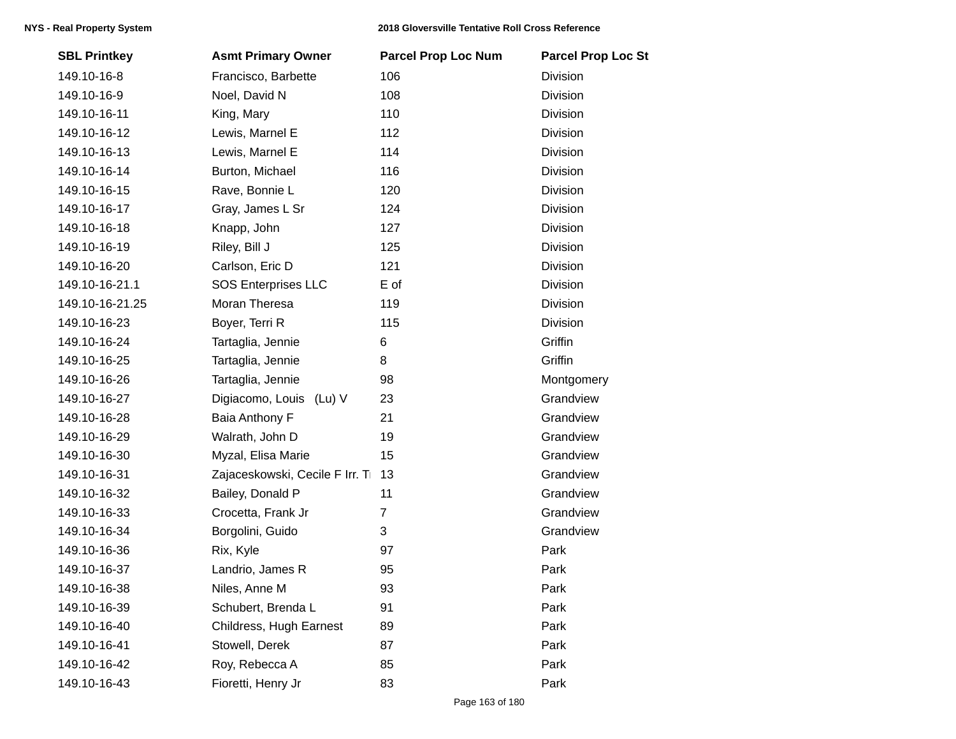| <b>SBL Printkey</b> | <b>Asmt Primary Owner</b>      | <b>Parcel Prop Loc Num</b> | <b>Parcel Prop Loc St</b> |
|---------------------|--------------------------------|----------------------------|---------------------------|
| 149.10-16-8         | Francisco, Barbette            | 106                        | Division                  |
| 149.10-16-9         | Noel, David N                  | 108                        | Division                  |
| 149.10-16-11        | King, Mary                     | 110                        | Division                  |
| 149.10-16-12        | Lewis, Marnel E                | 112                        | Division                  |
| 149.10-16-13        | Lewis, Marnel E                | 114                        | Division                  |
| 149.10-16-14        | Burton, Michael                | 116                        | Division                  |
| 149.10-16-15        | Rave, Bonnie L                 | 120                        | Division                  |
| 149.10-16-17        | Gray, James L Sr               | 124                        | <b>Division</b>           |
| 149.10-16-18        | Knapp, John                    | 127                        | Division                  |
| 149.10-16-19        | Riley, Bill J                  | 125                        | Division                  |
| 149.10-16-20        | Carlson, Eric D                | 121                        | Division                  |
| 149.10-16-21.1      | <b>SOS Enterprises LLC</b>     | E of                       | Division                  |
| 149.10-16-21.25     | Moran Theresa                  | 119                        | Division                  |
| 149.10-16-23        | Boyer, Terri R                 | 115                        | Division                  |
| 149.10-16-24        | Tartaglia, Jennie              | 6                          | Griffin                   |
| 149.10-16-25        | Tartaglia, Jennie              | 8                          | Griffin                   |
| 149.10-16-26        | Tartaglia, Jennie              | 98                         | Montgomery                |
| 149.10-16-27        | Digiacomo, Louis (Lu) V        | 23                         | Grandview                 |
| 149.10-16-28        | Baia Anthony F                 | 21                         | Grandview                 |
| 149.10-16-29        | Walrath, John D                | 19                         | Grandview                 |
| 149.10-16-30        | Myzal, Elisa Marie             | 15                         | Grandview                 |
| 149.10-16-31        | Zajaceskowski, Cecile F Irr. T | 13                         | Grandview                 |
| 149.10-16-32        | Bailey, Donald P               | 11                         | Grandview                 |
| 149.10-16-33        | Crocetta, Frank Jr             | $\overline{7}$             | Grandview                 |
| 149.10-16-34        | Borgolini, Guido               | 3                          | Grandview                 |
| 149.10-16-36        | Rix, Kyle                      | 97                         | Park                      |
| 149.10-16-37        | Landrio, James R               | 95                         | Park                      |
| 149.10-16-38        | Niles, Anne M                  | 93                         | Park                      |
| 149.10-16-39        | Schubert, Brenda L             | 91                         | Park                      |
| 149.10-16-40        | Childress, Hugh Earnest        | 89                         | Park                      |
| 149.10-16-41        | Stowell, Derek                 | 87                         | Park                      |
| 149.10-16-42        | Roy, Rebecca A                 | 85                         | Park                      |
| 149.10-16-43        | Fioretti, Henry Jr             | 83                         | Park                      |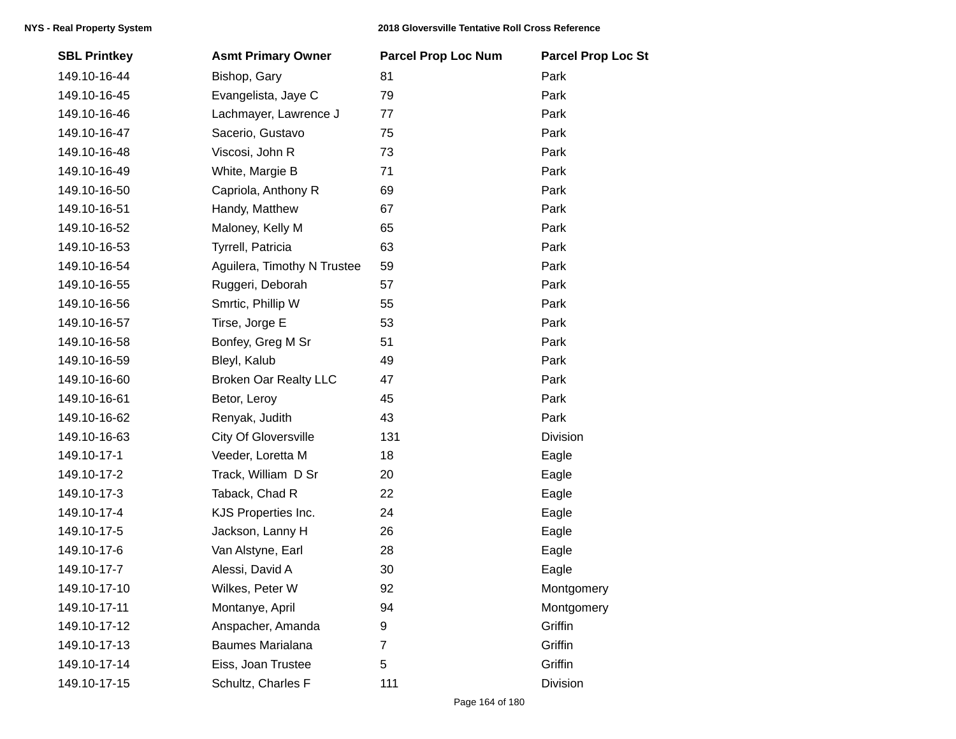| <b>SBL Printkey</b> | <b>Asmt Primary Owner</b>    | <b>Parcel Prop Loc Num</b> | <b>Parcel Prop Loc St</b> |
|---------------------|------------------------------|----------------------------|---------------------------|
| 149.10-16-44        | Bishop, Gary                 | 81                         | Park                      |
| 149.10-16-45        | Evangelista, Jaye C          | 79                         | Park                      |
| 149.10-16-46        | Lachmayer, Lawrence J        | 77                         | Park                      |
| 149.10-16-47        | Sacerio, Gustavo             | 75                         | Park                      |
| 149.10-16-48        | Viscosi, John R              | 73                         | Park                      |
| 149.10-16-49        | White, Margie B              | 71                         | Park                      |
| 149.10-16-50        | Capriola, Anthony R          | 69                         | Park                      |
| 149.10-16-51        | Handy, Matthew               | 67                         | Park                      |
| 149.10-16-52        | Maloney, Kelly M             | 65                         | Park                      |
| 149.10-16-53        | Tyrrell, Patricia            | 63                         | Park                      |
| 149.10-16-54        | Aguilera, Timothy N Trustee  | 59                         | Park                      |
| 149.10-16-55        | Ruggeri, Deborah             | 57                         | Park                      |
| 149.10-16-56        | Smrtic, Phillip W            | 55                         | Park                      |
| 149.10-16-57        | Tirse, Jorge E               | 53                         | Park                      |
| 149.10-16-58        | Bonfey, Greg M Sr            | 51                         | Park                      |
| 149.10-16-59        | Bleyl, Kalub                 | 49                         | Park                      |
| 149.10-16-60        | <b>Broken Oar Realty LLC</b> | 47                         | Park                      |
| 149.10-16-61        | Betor, Leroy                 | 45                         | Park                      |
| 149.10-16-62        | Renyak, Judith               | 43                         | Park                      |
| 149.10-16-63        | <b>City Of Gloversville</b>  | 131                        | <b>Division</b>           |
| 149.10-17-1         | Veeder, Loretta M            | 18                         | Eagle                     |
| 149.10-17-2         | Track, William D Sr          | 20                         | Eagle                     |
| 149.10-17-3         | Taback, Chad R               | 22                         | Eagle                     |
| 149.10-17-4         | KJS Properties Inc.          | 24                         | Eagle                     |
| 149.10-17-5         | Jackson, Lanny H             | 26                         | Eagle                     |
| 149.10-17-6         | Van Alstyne, Earl            | 28                         | Eagle                     |
| 149.10-17-7         | Alessi, David A              | 30                         | Eagle                     |
| 149.10-17-10        | Wilkes, Peter W              | 92                         | Montgomery                |
| 149.10-17-11        | Montanye, April              | 94                         | Montgomery                |
| 149.10-17-12        | Anspacher, Amanda            | 9                          | Griffin                   |
| 149.10-17-13        | Baumes Marialana             | $\overline{7}$             | Griffin                   |
| 149.10-17-14        | Eiss, Joan Trustee           | 5                          | Griffin                   |
| 149.10-17-15        | Schultz, Charles F           | 111                        | <b>Division</b>           |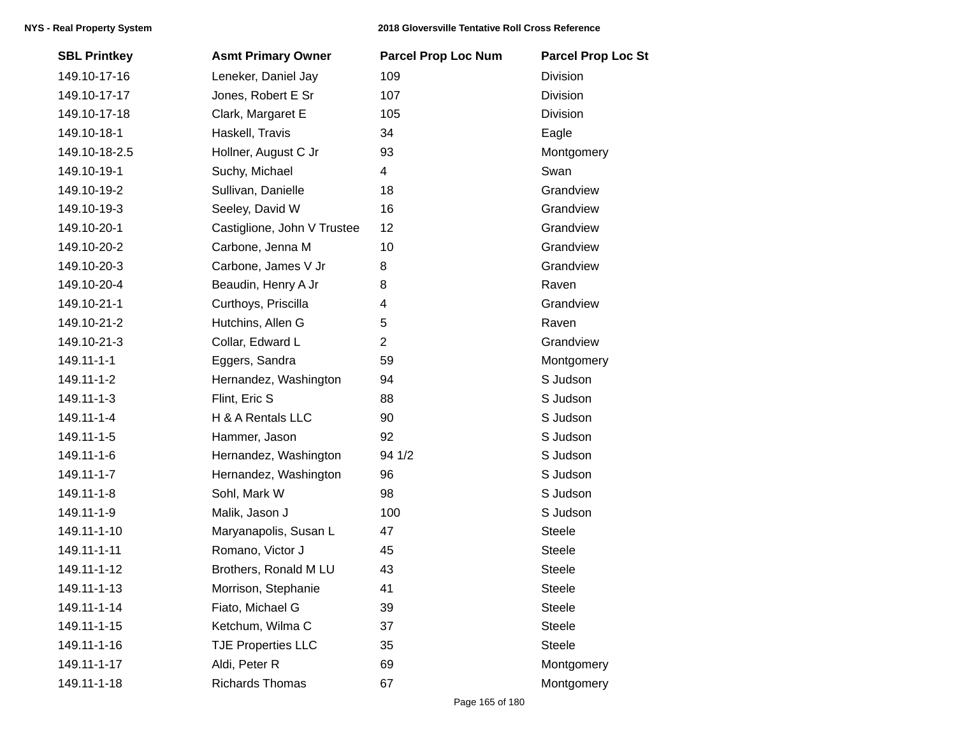| <b>SBL Printkey</b> | <b>Asmt Primary Owner</b>   | <b>Parcel Prop Loc Num</b> | <b>Parcel Prop Loc St</b> |
|---------------------|-----------------------------|----------------------------|---------------------------|
| 149.10-17-16        | Leneker, Daniel Jay         | 109                        | Division                  |
| 149.10-17-17        | Jones, Robert E Sr          | 107                        | Division                  |
| 149.10-17-18        | Clark, Margaret E           | 105                        | <b>Division</b>           |
| 149.10-18-1         | Haskell, Travis             | 34                         | Eagle                     |
| 149.10-18-2.5       | Hollner, August C Jr        | 93                         | Montgomery                |
| 149.10-19-1         | Suchy, Michael              | 4                          | Swan                      |
| 149.10-19-2         | Sullivan, Danielle          | 18                         | Grandview                 |
| 149.10-19-3         | Seeley, David W             | 16                         | Grandview                 |
| 149.10-20-1         | Castiglione, John V Trustee | 12                         | Grandview                 |
| 149.10-20-2         | Carbone, Jenna M            | 10                         | Grandview                 |
| 149.10-20-3         | Carbone, James V Jr         | 8                          | Grandview                 |
| 149.10-20-4         | Beaudin, Henry A Jr         | 8                          | Raven                     |
| 149.10-21-1         | Curthoys, Priscilla         | 4                          | Grandview                 |
| 149.10-21-2         | Hutchins, Allen G           | 5                          | Raven                     |
| 149.10-21-3         | Collar, Edward L            | $\overline{2}$             | Grandview                 |
| 149.11-1-1          | Eggers, Sandra              | 59                         | Montgomery                |
| 149.11-1-2          | Hernandez, Washington       | 94                         | S Judson                  |
| 149.11-1-3          | Flint, Eric S               | 88                         | S Judson                  |
| 149.11-1-4          | H & A Rentals LLC           | 90                         | S Judson                  |
| 149.11-1-5          | Hammer, Jason               | 92                         | S Judson                  |
| 149.11-1-6          | Hernandez, Washington       | 94 1/2                     | S Judson                  |
| 149.11-1-7          | Hernandez, Washington       | 96                         | S Judson                  |
| 149.11-1-8          | Sohl, Mark W                | 98                         | S Judson                  |
| 149.11-1-9          | Malik, Jason J              | 100                        | S Judson                  |
| 149.11-1-10         | Maryanapolis, Susan L       | 47                         | <b>Steele</b>             |
| 149.11-1-11         | Romano, Victor J            | 45                         | Steele                    |
| 149.11-1-12         | Brothers, Ronald M LU       | 43                         | <b>Steele</b>             |
| 149.11-1-13         | Morrison, Stephanie         | 41                         | <b>Steele</b>             |
| 149.11-1-14         | Fiato, Michael G            | 39                         | <b>Steele</b>             |
| 149.11-1-15         | Ketchum, Wilma C            | 37                         | <b>Steele</b>             |
| 149.11-1-16         | <b>TJE Properties LLC</b>   | 35                         | Steele                    |
| 149.11-1-17         | Aldi, Peter R               | 69                         | Montgomery                |
| 149.11-1-18         | <b>Richards Thomas</b>      | 67                         | Montgomery                |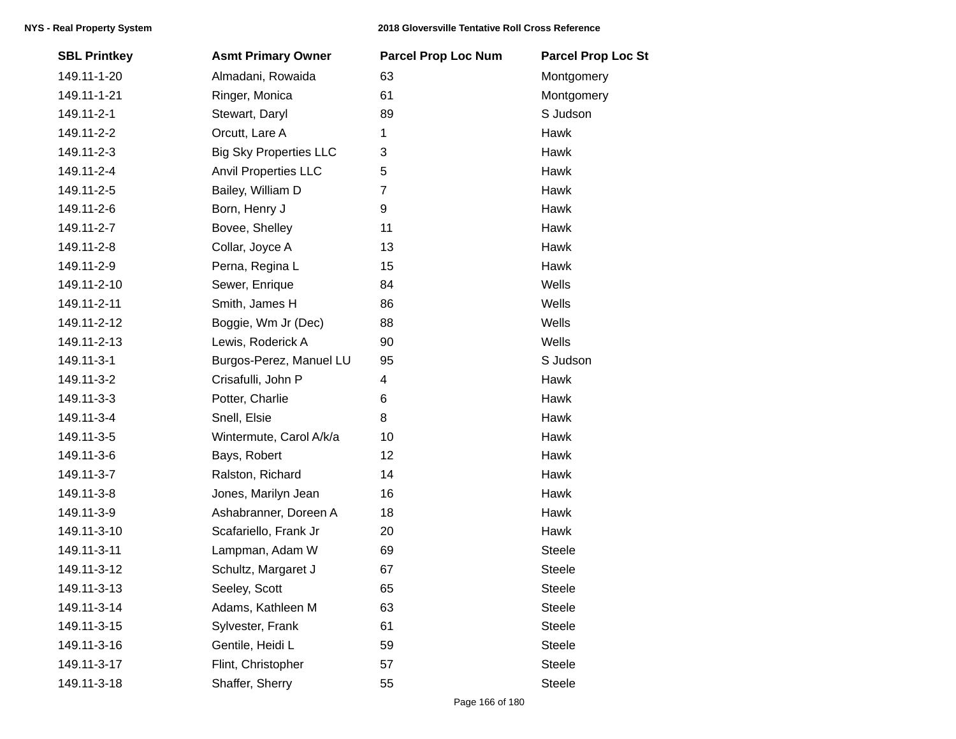| <b>SBL Printkey</b> | <b>Asmt Primary Owner</b>     | <b>Parcel Prop Loc Num</b> | <b>Parcel Prop Loc St</b> |
|---------------------|-------------------------------|----------------------------|---------------------------|
| 149.11-1-20         | Almadani, Rowaida             | 63                         | Montgomery                |
| 149.11-1-21         | Ringer, Monica                | 61                         | Montgomery                |
| 149.11-2-1          | Stewart, Daryl                | 89                         | S Judson                  |
| 149.11-2-2          | Orcutt, Lare A                | 1                          | Hawk                      |
| 149.11-2-3          | <b>Big Sky Properties LLC</b> | 3                          | Hawk                      |
| 149.11-2-4          | <b>Anvil Properties LLC</b>   | 5                          | Hawk                      |
| 149.11-2-5          | Bailey, William D             | $\overline{7}$             | Hawk                      |
| 149.11-2-6          | Born, Henry J                 | 9                          | Hawk                      |
| 149.11-2-7          | Bovee, Shelley                | 11                         | Hawk                      |
| 149.11-2-8          | Collar, Joyce A               | 13                         | Hawk                      |
| 149.11-2-9          | Perna, Regina L               | 15                         | Hawk                      |
| 149.11-2-10         | Sewer, Enrique                | 84                         | Wells                     |
| 149.11-2-11         | Smith, James H                | 86                         | Wells                     |
| 149.11-2-12         | Boggie, Wm Jr (Dec)           | 88                         | Wells                     |
| 149.11-2-13         | Lewis, Roderick A             | 90                         | Wells                     |
| 149.11-3-1          | Burgos-Perez, Manuel LU       | 95                         | S Judson                  |
| 149.11-3-2          | Crisafulli, John P            | 4                          | Hawk                      |
| 149.11-3-3          | Potter, Charlie               | 6                          | Hawk                      |
| 149.11-3-4          | Snell, Elsie                  | 8                          | Hawk                      |
| 149.11-3-5          | Wintermute, Carol A/k/a       | 10                         | Hawk                      |
| 149.11-3-6          | Bays, Robert                  | 12                         | Hawk                      |
| 149.11-3-7          | Ralston, Richard              | 14                         | Hawk                      |
| 149.11-3-8          | Jones, Marilyn Jean           | 16                         | Hawk                      |
| 149.11-3-9          | Ashabranner, Doreen A         | 18                         | Hawk                      |
| 149.11-3-10         | Scafariello, Frank Jr         | 20                         | Hawk                      |
| 149.11-3-11         | Lampman, Adam W               | 69                         | <b>Steele</b>             |
| 149.11-3-12         | Schultz, Margaret J           | 67                         | <b>Steele</b>             |
| 149.11-3-13         | Seeley, Scott                 | 65                         | <b>Steele</b>             |
| 149.11-3-14         | Adams, Kathleen M             | 63                         | <b>Steele</b>             |
| 149.11-3-15         | Sylvester, Frank              | 61                         | <b>Steele</b>             |
| 149.11-3-16         | Gentile, Heidi L              | 59                         | Steele                    |
| 149.11-3-17         | Flint, Christopher            | 57                         | <b>Steele</b>             |
| 149.11-3-18         | Shaffer, Sherry               | 55                         | Steele                    |
|                     |                               |                            |                           |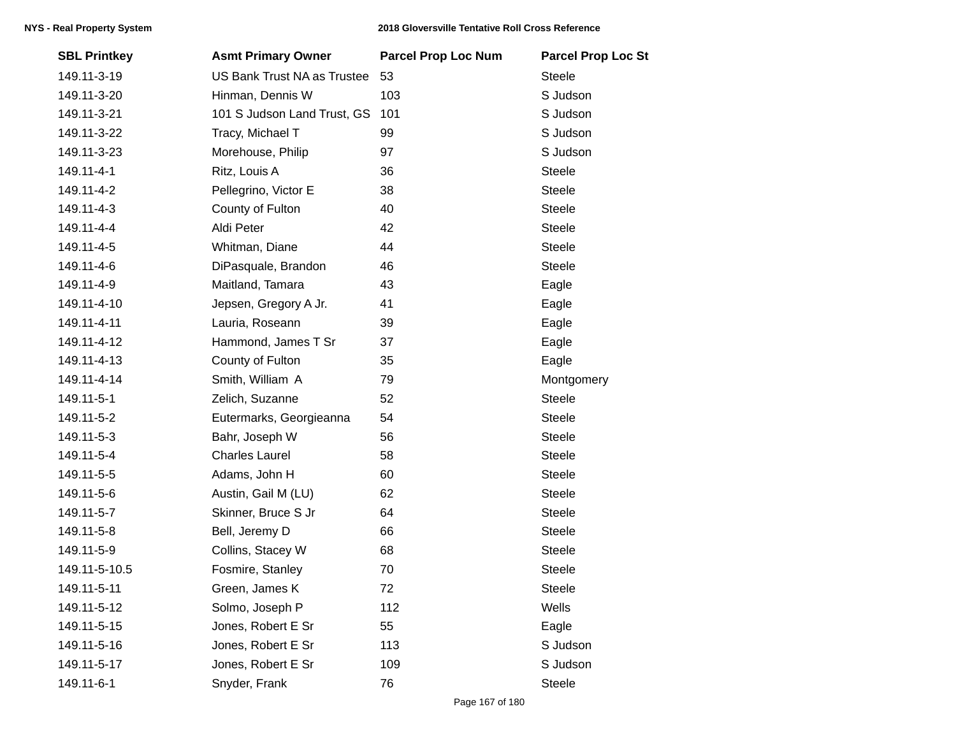| <b>SBL Printkey</b> | <b>Asmt Primary Owner</b>          | <b>Parcel Prop Loc Num</b> | <b>Parcel Prop Loc St</b> |
|---------------------|------------------------------------|----------------------------|---------------------------|
| 149.11-3-19         | <b>US Bank Trust NA as Trustee</b> | 53                         | <b>Steele</b>             |
| 149.11-3-20         | Hinman, Dennis W                   | 103                        | S Judson                  |
| 149.11-3-21         | 101 S Judson Land Trust, GS        | 101                        | S Judson                  |
| 149.11-3-22         | Tracy, Michael T                   | 99                         | S Judson                  |
| 149.11-3-23         | Morehouse, Philip                  | 97                         | S Judson                  |
| 149.11-4-1          | Ritz, Louis A                      | 36                         | Steele                    |
| 149.11-4-2          | Pellegrino, Victor E               | 38                         | <b>Steele</b>             |
| 149.11-4-3          | County of Fulton                   | 40                         | <b>Steele</b>             |
| 149.11-4-4          | Aldi Peter                         | 42                         | <b>Steele</b>             |
| 149.11-4-5          | Whitman, Diane                     | 44                         | <b>Steele</b>             |
| 149.11-4-6          | DiPasquale, Brandon                | 46                         | Steele                    |
| 149.11-4-9          | Maitland, Tamara                   | 43                         | Eagle                     |
| 149.11-4-10         | Jepsen, Gregory A Jr.              | 41                         | Eagle                     |
| 149.11-4-11         | Lauria, Roseann                    | 39                         | Eagle                     |
| 149.11-4-12         | Hammond, James T Sr                | 37                         | Eagle                     |
| 149.11-4-13         | County of Fulton                   | 35                         | Eagle                     |
| 149.11-4-14         | Smith, William A                   | 79                         | Montgomery                |
| 149.11-5-1          | Zelich, Suzanne                    | 52                         | <b>Steele</b>             |
| 149.11-5-2          | Eutermarks, Georgieanna            | 54                         | <b>Steele</b>             |
| 149.11-5-3          | Bahr, Joseph W                     | 56                         | <b>Steele</b>             |
| 149.11-5-4          | <b>Charles Laurel</b>              | 58                         | <b>Steele</b>             |
| 149.11-5-5          | Adams, John H                      | 60                         | Steele                    |
| 149.11-5-6          | Austin, Gail M (LU)                | 62                         | <b>Steele</b>             |
| 149.11-5-7          | Skinner, Bruce S Jr                | 64                         | <b>Steele</b>             |
| 149.11-5-8          | Bell, Jeremy D                     | 66                         | <b>Steele</b>             |
| 149.11-5-9          | Collins, Stacey W                  | 68                         | Steele                    |
| 149.11-5-10.5       | Fosmire, Stanley                   | 70                         | <b>Steele</b>             |
| 149.11-5-11         | Green, James K                     | 72                         | Steele                    |
| 149.11-5-12         | Solmo, Joseph P                    | 112                        | Wells                     |
| 149.11-5-15         | Jones, Robert E Sr                 | 55                         | Eagle                     |
| 149.11-5-16         | Jones, Robert E Sr                 | 113                        | S Judson                  |
| 149.11-5-17         | Jones, Robert E Sr                 | 109                        | S Judson                  |
| 149.11-6-1          | Snyder, Frank                      | 76                         | Steele                    |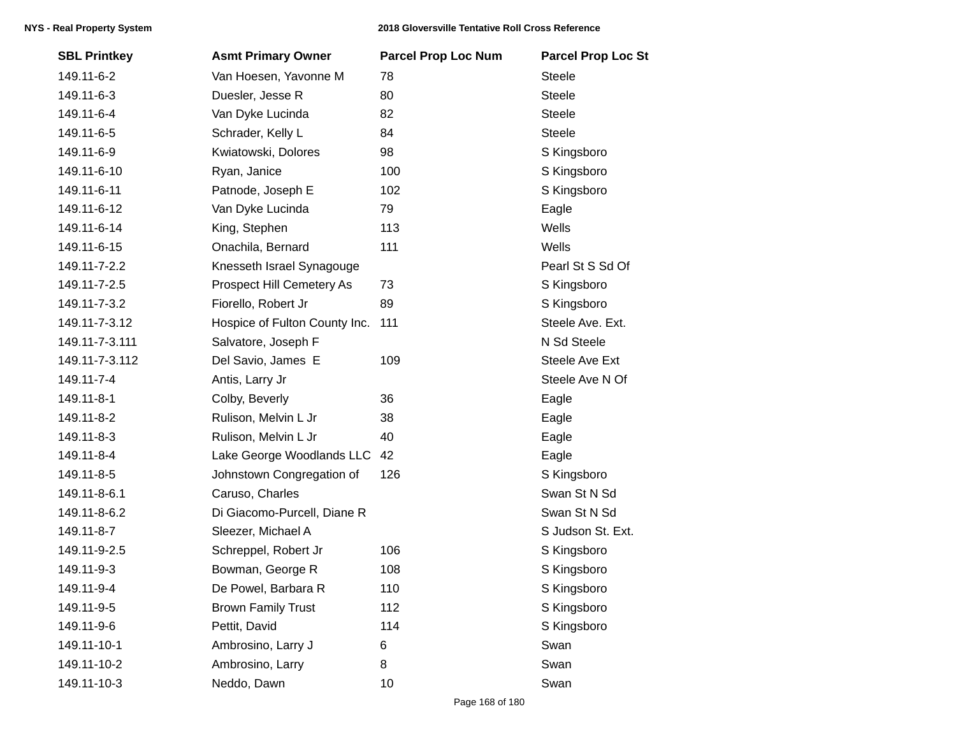| <b>SBL Printkey</b> | <b>Asmt Primary Owner</b>     | <b>Parcel Prop Loc Num</b> | <b>Parcel Prop Loc St</b> |
|---------------------|-------------------------------|----------------------------|---------------------------|
| 149.11-6-2          | Van Hoesen, Yavonne M         | 78                         | <b>Steele</b>             |
| 149.11-6-3          | Duesler, Jesse R              | 80                         | <b>Steele</b>             |
| 149.11-6-4          | Van Dyke Lucinda              | 82                         | <b>Steele</b>             |
| 149.11-6-5          | Schrader, Kelly L             | 84                         | <b>Steele</b>             |
| 149.11-6-9          | Kwiatowski, Dolores           | 98                         | S Kingsboro               |
| 149.11-6-10         | Ryan, Janice                  | 100                        | S Kingsboro               |
| 149.11-6-11         | Patnode, Joseph E             | 102                        | S Kingsboro               |
| 149.11-6-12         | Van Dyke Lucinda              | 79                         | Eagle                     |
| 149.11-6-14         | King, Stephen                 | 113                        | Wells                     |
| 149.11-6-15         | Onachila, Bernard             | 111                        | Wells                     |
| 149.11-7-2.2        | Knesseth Israel Synagouge     |                            | Pearl St S Sd Of          |
| 149.11-7-2.5        | Prospect Hill Cemetery As     | 73                         | S Kingsboro               |
| 149.11-7-3.2        | Fiorello, Robert Jr           | 89                         | S Kingsboro               |
| 149.11-7-3.12       | Hospice of Fulton County Inc. | 111                        | Steele Ave. Ext.          |
| 149.11-7-3.111      | Salvatore, Joseph F           |                            | N Sd Steele               |
| 149.11-7-3.112      | Del Savio, James E            | 109                        | Steele Ave Ext            |
| 149.11-7-4          | Antis, Larry Jr               |                            | Steele Ave N Of           |
| 149.11-8-1          | Colby, Beverly                | 36                         | Eagle                     |
| 149.11-8-2          | Rulison, Melvin L Jr          | 38                         | Eagle                     |
| 149.11-8-3          | Rulison, Melvin L Jr          | 40                         | Eagle                     |
| 149.11-8-4          | Lake George Woodlands LLC     | 42                         | Eagle                     |
| 149.11-8-5          | Johnstown Congregation of     | 126                        | S Kingsboro               |
| 149.11-8-6.1        | Caruso, Charles               |                            | Swan St N Sd              |
| 149.11-8-6.2        | Di Giacomo-Purcell, Diane R   |                            | Swan St N Sd              |
| 149.11-8-7          | Sleezer, Michael A            |                            | S Judson St. Ext.         |
| 149.11-9-2.5        | Schreppel, Robert Jr          | 106                        | S Kingsboro               |
| 149.11-9-3          | Bowman, George R              | 108                        | S Kingsboro               |
| 149.11-9-4          | De Powel, Barbara R           | 110                        | S Kingsboro               |
| 149.11-9-5          | <b>Brown Family Trust</b>     | 112                        | S Kingsboro               |
| 149.11-9-6          | Pettit, David                 | 114                        | S Kingsboro               |
| 149.11-10-1         | Ambrosino, Larry J            | 6                          | Swan                      |
| 149.11-10-2         | Ambrosino, Larry              | 8                          | Swan                      |
| 149.11-10-3         | Neddo, Dawn                   | 10                         | Swan                      |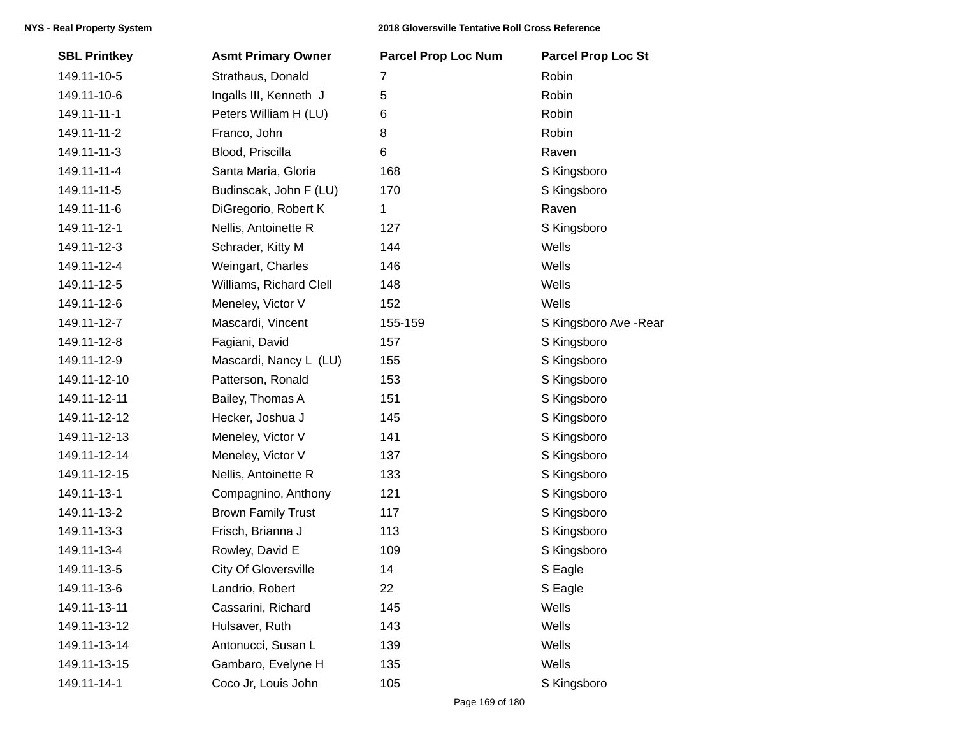| <b>SBL Printkey</b> | <b>Asmt Primary Owner</b>   | <b>Parcel Prop Loc Num</b> | <b>Parcel Prop Loc St</b> |
|---------------------|-----------------------------|----------------------------|---------------------------|
| 149.11-10-5         | Strathaus, Donald           | 7                          | Robin                     |
| 149.11-10-6         | Ingalls III, Kenneth J      | 5                          | Robin                     |
| 149.11-11-1         | Peters William H (LU)       | 6                          | Robin                     |
| 149.11-11-2         | Franco, John                | 8                          | Robin                     |
| 149.11-11-3         | Blood, Priscilla            | 6                          | Raven                     |
| 149.11-11-4         | Santa Maria, Gloria         | 168                        | S Kingsboro               |
| 149.11-11-5         | Budinscak, John F (LU)      | 170                        | S Kingsboro               |
| 149.11-11-6         | DiGregorio, Robert K        | 1                          | Raven                     |
| 149.11-12-1         | Nellis, Antoinette R        | 127                        | S Kingsboro               |
| 149.11-12-3         | Schrader, Kitty M           | 144                        | Wells                     |
| 149.11-12-4         | Weingart, Charles           | 146                        | Wells                     |
| 149.11-12-5         | Williams, Richard Clell     | 148                        | Wells                     |
| 149.11-12-6         | Meneley, Victor V           | 152                        | Wells                     |
| 149.11-12-7         | Mascardi, Vincent           | 155-159                    | S Kingsboro Ave - Rear    |
| 149.11-12-8         | Fagiani, David              | 157                        | S Kingsboro               |
| 149.11-12-9         | Mascardi, Nancy L (LU)      | 155                        | S Kingsboro               |
| 149.11-12-10        | Patterson, Ronald           | 153                        | S Kingsboro               |
| 149.11-12-11        | Bailey, Thomas A            | 151                        | S Kingsboro               |
| 149.11-12-12        | Hecker, Joshua J            | 145                        | S Kingsboro               |
| 149.11-12-13        | Meneley, Victor V           | 141                        | S Kingsboro               |
| 149.11-12-14        | Meneley, Victor V           | 137                        | S Kingsboro               |
| 149.11-12-15        | Nellis, Antoinette R        | 133                        | S Kingsboro               |
| 149.11-13-1         | Compagnino, Anthony         | 121                        | S Kingsboro               |
| 149.11-13-2         | <b>Brown Family Trust</b>   | 117                        | S Kingsboro               |
| 149.11-13-3         | Frisch, Brianna J           | 113                        | S Kingsboro               |
| 149.11-13-4         | Rowley, David E             | 109                        | S Kingsboro               |
| 149.11-13-5         | <b>City Of Gloversville</b> | 14                         | S Eagle                   |
| 149.11-13-6         | Landrio, Robert             | 22                         | S Eagle                   |
| 149.11-13-11        | Cassarini, Richard          | 145                        | Wells                     |
| 149.11-13-12        | Hulsaver, Ruth              | 143                        | Wells                     |
| 149.11-13-14        | Antonucci, Susan L          | 139                        | Wells                     |
| 149.11-13-15        | Gambaro, Evelyne H          | 135                        | Wells                     |
| 149.11-14-1         | Coco Jr, Louis John         | 105                        | S Kingsboro               |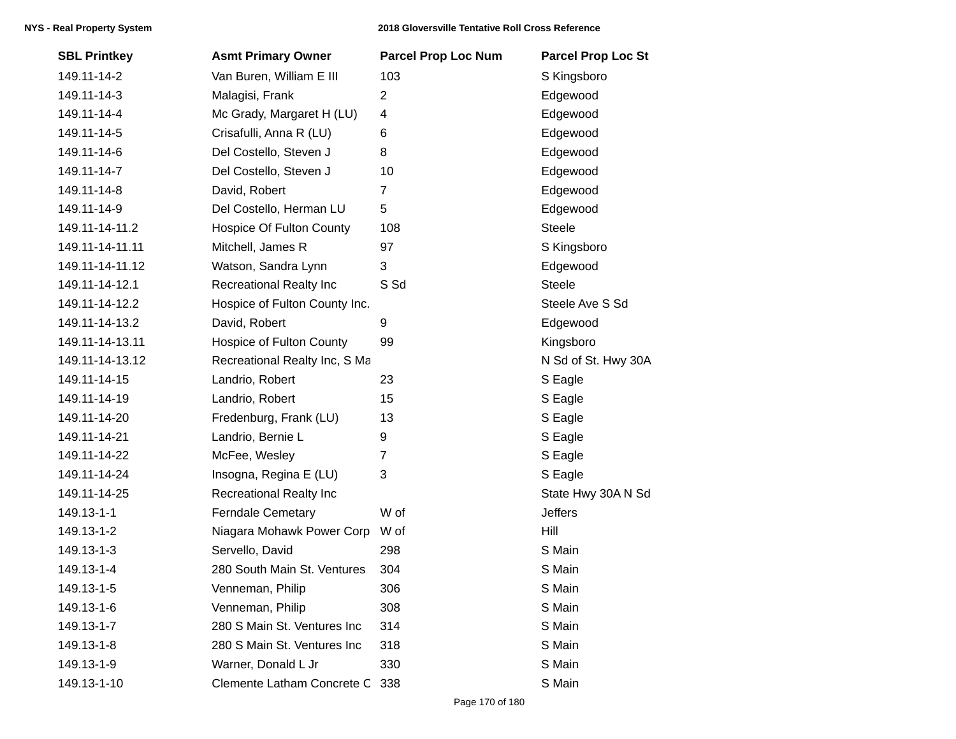| <b>SBL Printkey</b> | <b>Asmt Primary Owner</b>       | <b>Parcel Prop Loc Num</b> | <b>Parcel Prop Loc St</b> |
|---------------------|---------------------------------|----------------------------|---------------------------|
| 149.11-14-2         | Van Buren, William E III        | 103                        | S Kingsboro               |
| 149.11-14-3         | Malagisi, Frank                 | $\overline{c}$             | Edgewood                  |
| 149.11-14-4         | Mc Grady, Margaret H (LU)       | 4                          | Edgewood                  |
| 149.11-14-5         | Crisafulli, Anna R (LU)         | 6                          | Edgewood                  |
| 149.11-14-6         | Del Costello, Steven J          | 8                          | Edgewood                  |
| 149.11-14-7         | Del Costello, Steven J          | 10                         | Edgewood                  |
| 149.11-14-8         | David, Robert                   | $\overline{7}$             | Edgewood                  |
| 149.11-14-9         | Del Costello, Herman LU         | 5                          | Edgewood                  |
| 149.11-14-11.2      | <b>Hospice Of Fulton County</b> | 108                        | Steele                    |
| 149.11-14-11.11     | Mitchell, James R               | 97                         | S Kingsboro               |
| 149.11-14-11.12     | Watson, Sandra Lynn             | 3                          | Edgewood                  |
| 149.11-14-12.1      | <b>Recreational Realty Inc</b>  | S Sd                       | <b>Steele</b>             |
| 149.11-14-12.2      | Hospice of Fulton County Inc.   |                            | Steele Ave S Sd           |
| 149.11-14-13.2      | David, Robert                   | 9                          | Edgewood                  |
| 149.11-14-13.11     | <b>Hospice of Fulton County</b> | 99                         | Kingsboro                 |
| 149.11-14-13.12     | Recreational Realty Inc, S Ma   |                            | N Sd of St. Hwy 30A       |
| 149.11-14-15        | Landrio, Robert                 | 23                         | S Eagle                   |
| 149.11-14-19        | Landrio, Robert                 | 15                         | S Eagle                   |
| 149.11-14-20        | Fredenburg, Frank (LU)          | 13                         | S Eagle                   |
| 149.11-14-21        | Landrio, Bernie L               | 9                          | S Eagle                   |
| 149.11-14-22        | McFee, Wesley                   | 7                          | S Eagle                   |
| 149.11-14-24        | Insogna, Regina E (LU)          | 3                          | S Eagle                   |
| 149.11-14-25        | <b>Recreational Realty Inc</b>  |                            | State Hwy 30A N Sd        |
| 149.13-1-1          | <b>Ferndale Cemetary</b>        | W of                       | <b>Jeffers</b>            |
| 149.13-1-2          | Niagara Mohawk Power Corp       | W of                       | Hill                      |
| 149.13-1-3          | Servello, David                 | 298                        | S Main                    |
| 149.13-1-4          | 280 South Main St. Ventures     | 304                        | S Main                    |
| 149.13-1-5          | Venneman, Philip                | 306                        | S Main                    |
| 149.13-1-6          | Venneman, Philip                | 308                        | S Main                    |
| 149.13-1-7          | 280 S Main St. Ventures Inc     | 314                        | S Main                    |
| 149.13-1-8          | 280 S Main St. Ventures Inc     | 318                        | S Main                    |
| 149.13-1-9          | Warner, Donald L Jr             | 330                        | S Main                    |
| 149.13-1-10         | Clemente Latham Concrete C      | 338                        | S Main                    |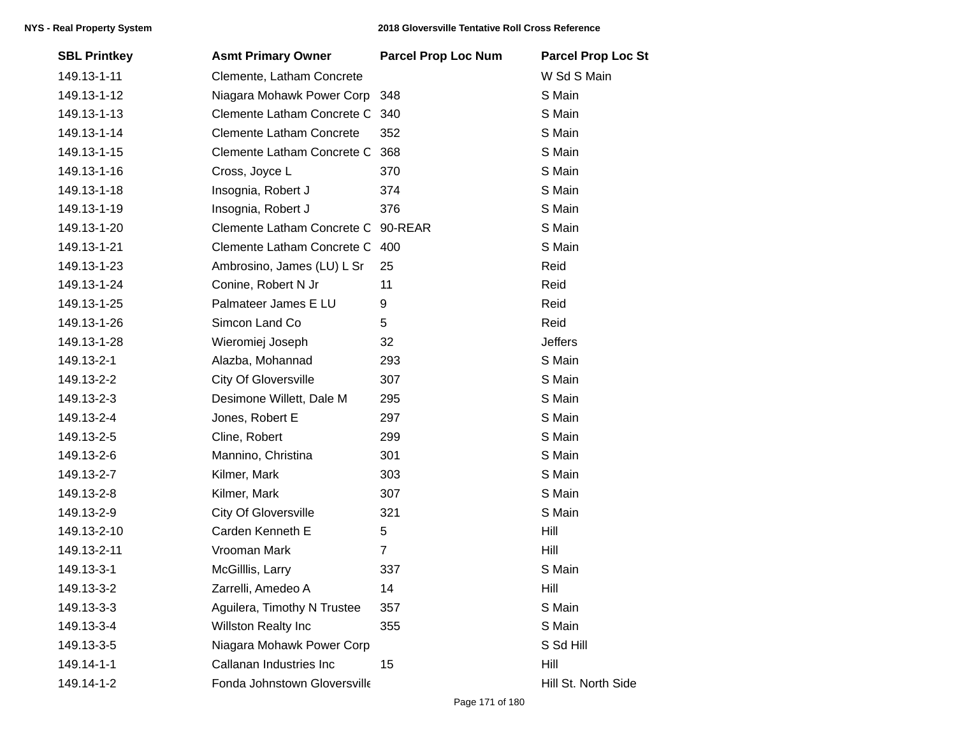| <b>SBL Printkey</b> | <b>Asmt Primary Owner</b>       | <b>Parcel Prop Loc Num</b> | <b>Parcel Prop Loc St</b> |
|---------------------|---------------------------------|----------------------------|---------------------------|
| 149.13-1-11         | Clemente, Latham Concrete       |                            | W Sd S Main               |
| 149.13-1-12         | Niagara Mohawk Power Corp       | 348                        | S Main                    |
| 149.13-1-13         | Clemente Latham Concrete C      | 340                        | S Main                    |
| 149.13-1-14         | <b>Clemente Latham Concrete</b> | 352                        | S Main                    |
| 149.13-1-15         | Clemente Latham Concrete C      | 368                        | S Main                    |
| 149.13-1-16         | Cross, Joyce L                  | 370                        | S Main                    |
| 149.13-1-18         | Insognia, Robert J              | 374                        | S Main                    |
| 149.13-1-19         | Insognia, Robert J              | 376                        | S Main                    |
| 149.13-1-20         | Clemente Latham Concrete C      | 90-REAR                    | S Main                    |
| 149.13-1-21         | Clemente Latham Concrete C      | 400                        | S Main                    |
| 149.13-1-23         | Ambrosino, James (LU) L Sr      | 25                         | Reid                      |
| 149.13-1-24         | Conine, Robert N Jr             | 11                         | Reid                      |
| 149.13-1-25         | Palmateer James E LU            | 9                          | Reid                      |
| 149.13-1-26         | Simcon Land Co                  | 5                          | Reid                      |
| 149.13-1-28         | Wieromiej Joseph                | 32                         | <b>Jeffers</b>            |
| 149.13-2-1          | Alazba, Mohannad                | 293                        | S Main                    |
| 149.13-2-2          | <b>City Of Gloversville</b>     | 307                        | S Main                    |
| 149.13-2-3          | Desimone Willett, Dale M        | 295                        | S Main                    |
| 149.13-2-4          | Jones, Robert E                 | 297                        | S Main                    |
| 149.13-2-5          | Cline, Robert                   | 299                        | S Main                    |
| 149.13-2-6          | Mannino, Christina              | 301                        | S Main                    |
| 149.13-2-7          | Kilmer, Mark                    | 303                        | S Main                    |
| 149.13-2-8          | Kilmer, Mark                    | 307                        | S Main                    |
| 149.13-2-9          | <b>City Of Gloversville</b>     | 321                        | S Main                    |
| 149.13-2-10         | Carden Kenneth E                | 5                          | Hill                      |
| 149.13-2-11         | Vrooman Mark                    | $\overline{7}$             | Hill                      |
| 149.13-3-1          | McGilllis, Larry                | 337                        | S Main                    |
| 149.13-3-2          | Zarrelli, Amedeo A              | 14                         | Hill                      |
| 149.13-3-3          | Aguilera, Timothy N Trustee     | 357                        | S Main                    |
| 149.13-3-4          | <b>Willston Realty Inc</b>      | 355                        | S Main                    |
| 149.13-3-5          | Niagara Mohawk Power Corp       |                            | S Sd Hill                 |
| 149.14-1-1          | Callanan Industries Inc         | 15                         | Hill                      |
| 149.14-1-2          | Fonda Johnstown Gloversville    |                            | Hill St. North Side       |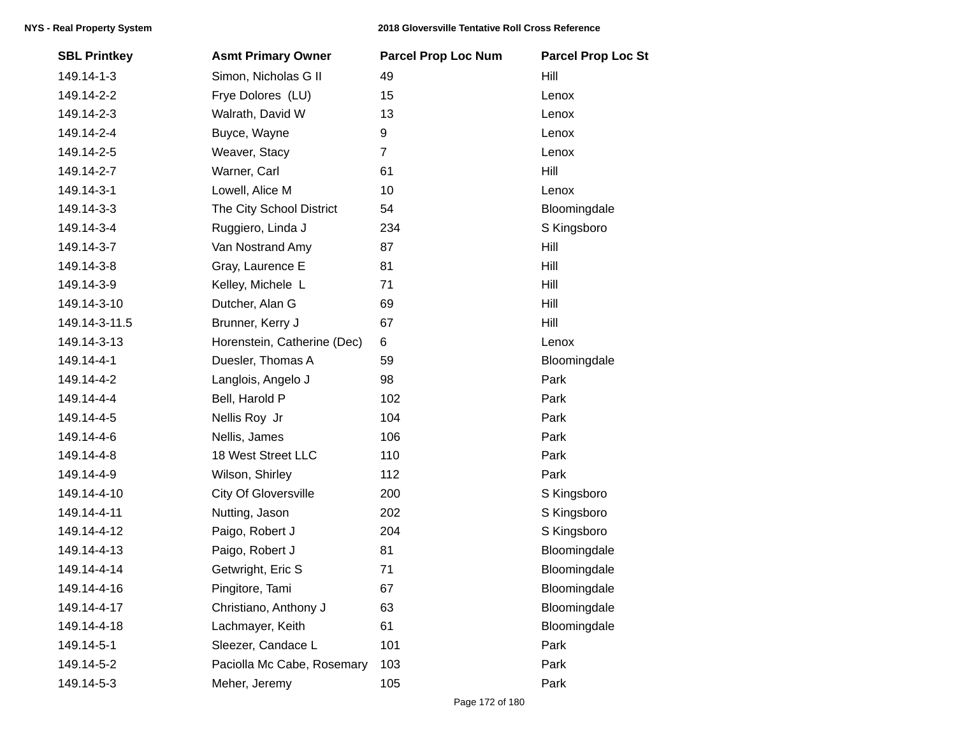| <b>SBL Printkey</b> | <b>Asmt Primary Owner</b>   | <b>Parcel Prop Loc Num</b> | <b>Parcel Prop Loc St</b> |
|---------------------|-----------------------------|----------------------------|---------------------------|
| 149.14-1-3          | Simon, Nicholas G II        | 49                         | Hill                      |
| 149.14-2-2          | Frye Dolores (LU)           | 15                         | Lenox                     |
| 149.14-2-3          | Walrath, David W            | 13                         | Lenox                     |
| 149.14-2-4          | Buyce, Wayne                | 9                          | Lenox                     |
| 149.14-2-5          | Weaver, Stacy               | $\overline{7}$             | Lenox                     |
| 149.14-2-7          | Warner, Carl                | 61                         | Hill                      |
| 149.14-3-1          | Lowell, Alice M             | 10                         | Lenox                     |
| 149.14-3-3          | The City School District    | 54                         | Bloomingdale              |
| 149.14-3-4          | Ruggiero, Linda J           | 234                        | S Kingsboro               |
| 149.14-3-7          | Van Nostrand Amy            | 87                         | Hill                      |
| 149.14-3-8          | Gray, Laurence E            | 81                         | Hill                      |
| 149.14-3-9          | Kelley, Michele L           | 71                         | Hill                      |
| 149.14-3-10         | Dutcher, Alan G             | 69                         | Hill                      |
| 149.14-3-11.5       | Brunner, Kerry J            | 67                         | Hill                      |
| 149.14-3-13         | Horenstein, Catherine (Dec) | 6                          | Lenox                     |
| 149.14-4-1          | Duesler, Thomas A           | 59                         | Bloomingdale              |
| 149.14-4-2          | Langlois, Angelo J          | 98                         | Park                      |
| 149.14-4-4          | Bell, Harold P              | 102                        | Park                      |
| 149.14-4-5          | Nellis Roy Jr               | 104                        | Park                      |
| 149.14-4-6          | Nellis, James               | 106                        | Park                      |
| 149.14-4-8          | 18 West Street LLC          | 110                        | Park                      |
| 149.14-4-9          | Wilson, Shirley             | 112                        | Park                      |
| 149.14-4-10         | <b>City Of Gloversville</b> | 200                        | S Kingsboro               |
| 149.14-4-11         | Nutting, Jason              | 202                        | S Kingsboro               |
| 149.14-4-12         | Paigo, Robert J             | 204                        | S Kingsboro               |
| 149.14-4-13         | Paigo, Robert J             | 81                         | Bloomingdale              |
| 149.14-4-14         | Getwright, Eric S           | 71                         | Bloomingdale              |
| 149.14-4-16         | Pingitore, Tami             | 67                         | Bloomingdale              |
| 149.14-4-17         | Christiano, Anthony J       | 63                         | Bloomingdale              |
| 149.14-4-18         | Lachmayer, Keith            | 61                         | Bloomingdale              |
| 149.14-5-1          | Sleezer, Candace L          | 101                        | Park                      |
| 149.14-5-2          | Paciolla Mc Cabe, Rosemary  | 103                        | Park                      |
| 149.14-5-3          | Meher, Jeremy               | 105                        | Park                      |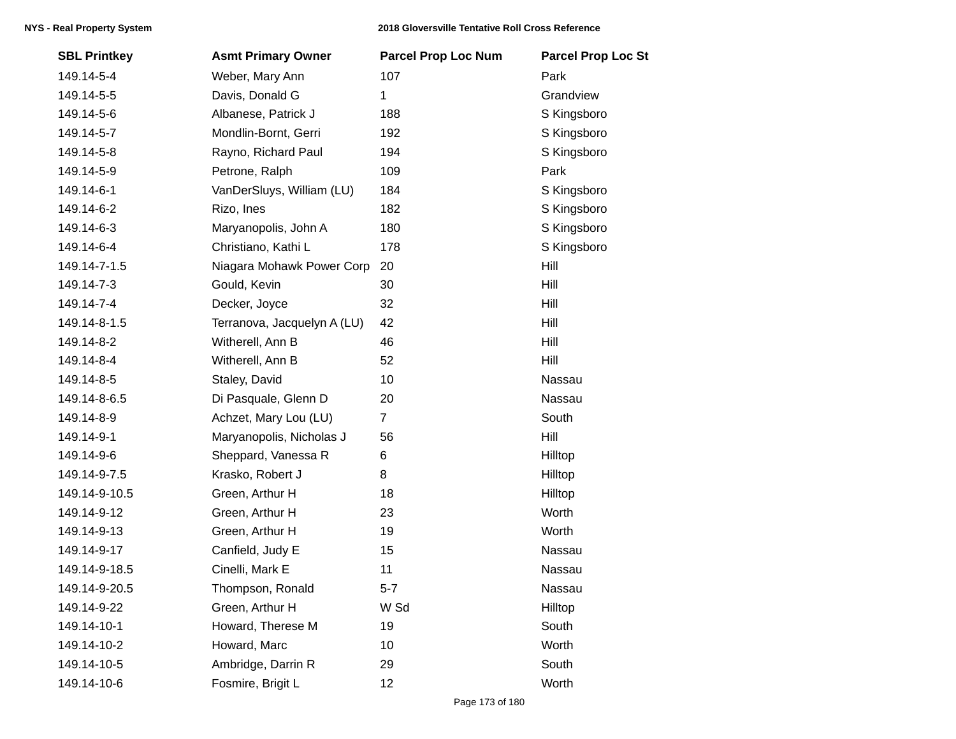| <b>SBL Printkey</b> | <b>Asmt Primary Owner</b>   | <b>Parcel Prop Loc Num</b> | <b>Parcel Prop Loc St</b> |
|---------------------|-----------------------------|----------------------------|---------------------------|
| 149.14-5-4          | Weber, Mary Ann             | 107                        | Park                      |
| 149.14-5-5          | Davis, Donald G             | 1                          | Grandview                 |
| 149.14-5-6          | Albanese, Patrick J         | 188                        | S Kingsboro               |
| 149.14-5-7          | Mondlin-Bornt, Gerri        | 192                        | S Kingsboro               |
| 149.14-5-8          | Rayno, Richard Paul         | 194                        | S Kingsboro               |
| 149.14-5-9          | Petrone, Ralph              | 109                        | Park                      |
| 149.14-6-1          | VanDerSluys, William (LU)   | 184                        | S Kingsboro               |
| 149.14-6-2          | Rizo, Ines                  | 182                        | S Kingsboro               |
| 149.14-6-3          | Maryanopolis, John A        | 180                        | S Kingsboro               |
| 149.14-6-4          | Christiano, Kathi L         | 178                        | S Kingsboro               |
| 149.14-7-1.5        | Niagara Mohawk Power Corp   | 20                         | Hill                      |
| 149.14-7-3          | Gould, Kevin                | 30                         | Hill                      |
| 149.14-7-4          | Decker, Joyce               | 32                         | Hill                      |
| 149.14-8-1.5        | Terranova, Jacquelyn A (LU) | 42                         | Hill                      |
| 149.14-8-2          | Witherell, Ann B            | 46                         | Hill                      |
| 149.14-8-4          | Witherell, Ann B            | 52                         | Hill                      |
| 149.14-8-5          | Staley, David               | 10                         | Nassau                    |
| 149.14-8-6.5        | Di Pasquale, Glenn D        | 20                         | Nassau                    |
| 149.14-8-9          | Achzet, Mary Lou (LU)       | $\overline{7}$             | South                     |
| 149.14-9-1          | Maryanopolis, Nicholas J    | 56                         | Hill                      |
| 149.14-9-6          | Sheppard, Vanessa R         | 6                          | Hilltop                   |
| 149.14-9-7.5        | Krasko, Robert J            | 8                          | Hilltop                   |
| 149.14-9-10.5       | Green, Arthur H             | 18                         | Hilltop                   |
| 149.14-9-12         | Green, Arthur H             | 23                         | Worth                     |
| 149.14-9-13         | Green, Arthur H             | 19                         | Worth                     |
| 149.14-9-17         | Canfield, Judy E            | 15                         | Nassau                    |
| 149.14-9-18.5       | Cinelli, Mark E             | 11                         | Nassau                    |
| 149.14-9-20.5       | Thompson, Ronald            | $5 - 7$                    | Nassau                    |
| 149.14-9-22         | Green, Arthur H             | W Sd                       | Hilltop                   |
| 149.14-10-1         | Howard, Therese M           | 19                         | South                     |
| 149.14-10-2         | Howard, Marc                | 10                         | Worth                     |
| 149.14-10-5         | Ambridge, Darrin R          | 29                         | South                     |
| 149.14-10-6         | Fosmire, Brigit L           | 12                         | Worth                     |
|                     |                             |                            |                           |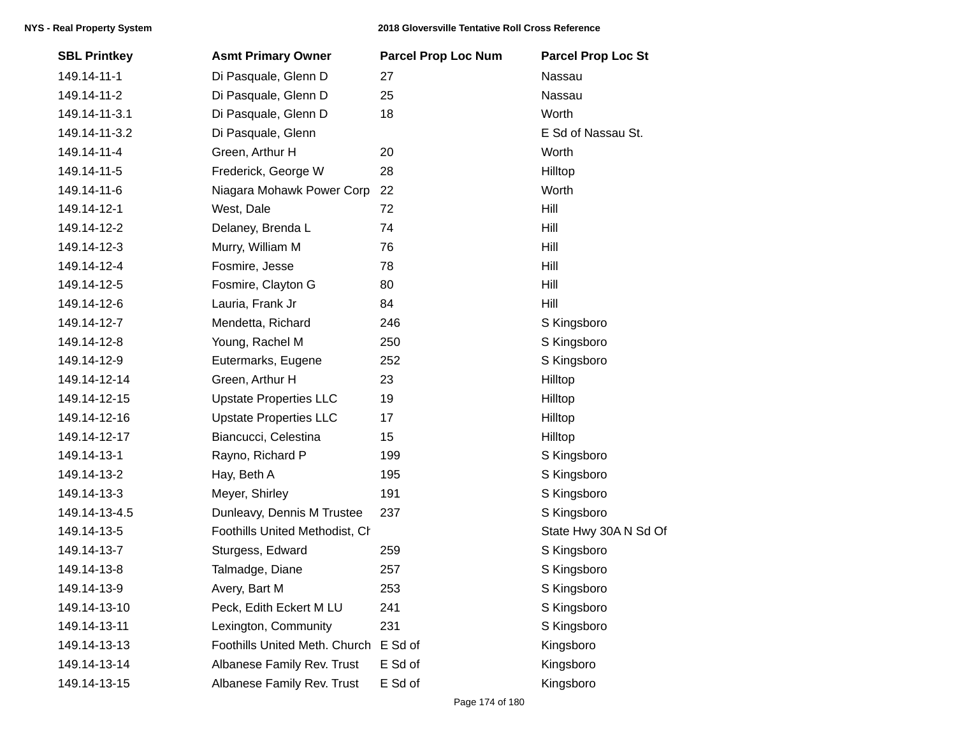| <b>SBL Printkey</b> | <b>Asmt Primary Owner</b>      | <b>Parcel Prop Loc Num</b> | <b>Parcel Prop Loc St</b> |
|---------------------|--------------------------------|----------------------------|---------------------------|
| 149.14-11-1         | Di Pasquale, Glenn D           | 27                         | Nassau                    |
| 149.14-11-2         | Di Pasquale, Glenn D           | 25                         | Nassau                    |
| 149.14-11-3.1       | Di Pasquale, Glenn D           | 18                         | Worth                     |
| 149.14-11-3.2       | Di Pasquale, Glenn             |                            | E Sd of Nassau St.        |
| 149.14-11-4         | Green, Arthur H                | 20                         | Worth                     |
| 149.14-11-5         | Frederick, George W            | 28                         | Hilltop                   |
| 149.14-11-6         | Niagara Mohawk Power Corp      | 22                         | Worth                     |
| 149.14-12-1         | West, Dale                     | 72                         | Hill                      |
| 149.14-12-2         | Delaney, Brenda L              | 74                         | Hill                      |
| 149.14-12-3         | Murry, William M               | 76                         | Hill                      |
| 149.14-12-4         | Fosmire, Jesse                 | 78                         | Hill                      |
| 149.14-12-5         | Fosmire, Clayton G             | 80                         | Hill                      |
| 149.14-12-6         | Lauria, Frank Jr               | 84                         | Hill                      |
| 149.14-12-7         | Mendetta, Richard              | 246                        | S Kingsboro               |
| 149.14-12-8         | Young, Rachel M                | 250                        | S Kingsboro               |
| 149.14-12-9         | Eutermarks, Eugene             | 252                        | S Kingsboro               |
| 149.14-12-14        | Green, Arthur H                | 23                         | Hilltop                   |
| 149.14-12-15        | <b>Upstate Properties LLC</b>  | 19                         | Hilltop                   |
| 149.14-12-16        | <b>Upstate Properties LLC</b>  | 17                         | Hilltop                   |
| 149.14-12-17        | Biancucci, Celestina           | 15                         | Hilltop                   |
| 149.14-13-1         | Rayno, Richard P               | 199                        | S Kingsboro               |
| 149.14-13-2         | Hay, Beth A                    | 195                        | S Kingsboro               |
| 149.14-13-3         | Meyer, Shirley                 | 191                        | S Kingsboro               |
| 149.14-13-4.5       | Dunleavy, Dennis M Trustee     | 237                        | S Kingsboro               |
| 149.14-13-5         | Foothills United Methodist, Cl |                            | State Hwy 30A N Sd Of     |
| 149.14-13-7         | Sturgess, Edward               | 259                        | S Kingsboro               |
| 149.14-13-8         | Talmadge, Diane                | 257                        | S Kingsboro               |
| 149.14-13-9         | Avery, Bart M                  | 253                        | S Kingsboro               |
| 149.14-13-10        | Peck, Edith Eckert M LU        | 241                        | S Kingsboro               |
| 149.14-13-11        | Lexington, Community           | 231                        | S Kingsboro               |
| 149.14-13-13        | Foothills United Meth. Church  | E Sd of                    | Kingsboro                 |
| 149.14-13-14        | Albanese Family Rev. Trust     | E Sd of                    | Kingsboro                 |
| 149.14-13-15        | Albanese Family Rev. Trust     | E Sd of                    | Kingsboro                 |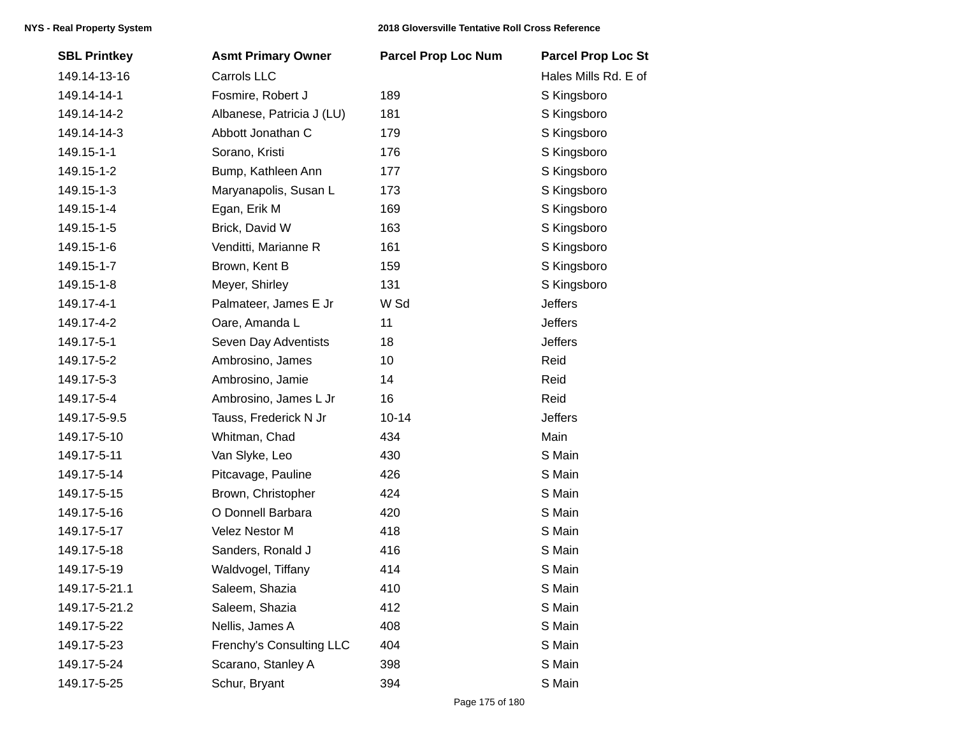| <b>SBL Printkey</b> | <b>Asmt Primary Owner</b> | <b>Parcel Prop Loc Num</b> | <b>Parcel Prop Loc St</b> |
|---------------------|---------------------------|----------------------------|---------------------------|
| 149.14-13-16        | Carrols LLC               |                            | Hales Mills Rd. E of      |
| 149.14-14-1         | Fosmire, Robert J         | 189                        | S Kingsboro               |
| 149.14-14-2         | Albanese, Patricia J (LU) | 181                        | S Kingsboro               |
| 149.14-14-3         | Abbott Jonathan C         | 179                        | S Kingsboro               |
| 149.15-1-1          | Sorano, Kristi            | 176                        | S Kingsboro               |
| 149.15-1-2          | Bump, Kathleen Ann        | 177                        | S Kingsboro               |
| 149.15-1-3          | Maryanapolis, Susan L     | 173                        | S Kingsboro               |
| 149.15-1-4          | Egan, Erik M              | 169                        | S Kingsboro               |
| 149.15-1-5          | Brick, David W            | 163                        | S Kingsboro               |
| 149.15-1-6          | Venditti, Marianne R      | 161                        | S Kingsboro               |
| 149.15-1-7          | Brown, Kent B             | 159                        | S Kingsboro               |
| 149.15-1-8          | Meyer, Shirley            | 131                        | S Kingsboro               |
| 149.17-4-1          | Palmateer, James E Jr     | W Sd                       | <b>Jeffers</b>            |
| 149.17-4-2          | Oare, Amanda L            | 11                         | <b>Jeffers</b>            |
| 149.17-5-1          | Seven Day Adventists      | 18                         | <b>Jeffers</b>            |
| 149.17-5-2          | Ambrosino, James          | 10                         | Reid                      |
| 149.17-5-3          | Ambrosino, Jamie          | 14                         | Reid                      |
| 149.17-5-4          | Ambrosino, James L Jr     | 16                         | Reid                      |
| 149.17-5-9.5        | Tauss, Frederick N Jr     | $10 - 14$                  | Jeffers                   |
| 149.17-5-10         | Whitman, Chad             | 434                        | Main                      |
| 149.17-5-11         | Van Slyke, Leo            | 430                        | S Main                    |
| 149.17-5-14         | Pitcavage, Pauline        | 426                        | S Main                    |
| 149.17-5-15         | Brown, Christopher        | 424                        | S Main                    |
| 149.17-5-16         | O Donnell Barbara         | 420                        | S Main                    |
| 149.17-5-17         | Velez Nestor M            | 418                        | S Main                    |
| 149.17-5-18         | Sanders, Ronald J         | 416                        | S Main                    |
| 149.17-5-19         | Waldvogel, Tiffany        | 414                        | S Main                    |
| 149.17-5-21.1       | Saleem, Shazia            | 410                        | S Main                    |
| 149.17-5-21.2       | Saleem, Shazia            | 412                        | S Main                    |
| 149.17-5-22         | Nellis, James A           | 408                        | S Main                    |
| 149.17-5-23         | Frenchy's Consulting LLC  | 404                        | S Main                    |
| 149.17-5-24         | Scarano, Stanley A        | 398                        | S Main                    |
| 149.17-5-25         | Schur, Bryant             | 394                        | S Main                    |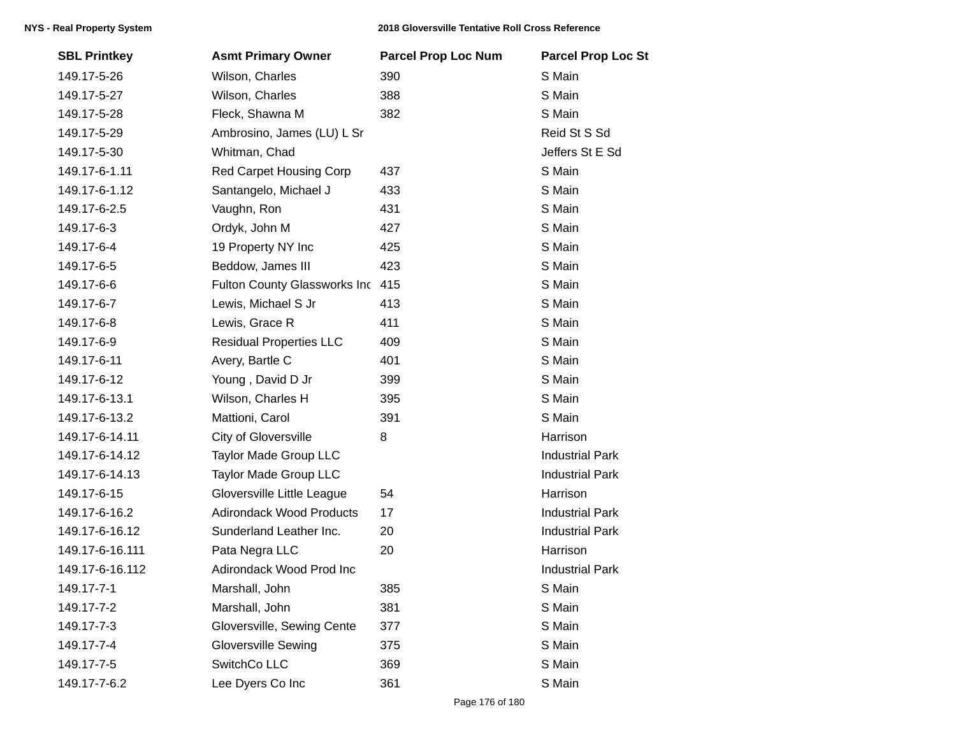| <b>SBL Printkey</b> | <b>Asmt Primary Owner</b>       | <b>Parcel Prop Loc Num</b> | <b>Parcel Prop Loc St</b> |
|---------------------|---------------------------------|----------------------------|---------------------------|
| 149.17-5-26         | Wilson, Charles                 | 390                        | S Main                    |
| 149.17-5-27         | Wilson, Charles                 | 388                        | S Main                    |
| 149.17-5-28         | Fleck, Shawna M                 | 382                        | S Main                    |
| 149.17-5-29         | Ambrosino, James (LU) L Sr      |                            | Reid St S Sd              |
| 149.17-5-30         | Whitman, Chad                   |                            | Jeffers St E Sd           |
| 149.17-6-1.11       | Red Carpet Housing Corp         | 437                        | S Main                    |
| 149.17-6-1.12       | Santangelo, Michael J           | 433                        | S Main                    |
| 149.17-6-2.5        | Vaughn, Ron                     | 431                        | S Main                    |
| 149.17-6-3          | Ordyk, John M                   | 427                        | S Main                    |
| 149.17-6-4          | 19 Property NY Inc              | 425                        | S Main                    |
| 149.17-6-5          | Beddow, James III               | 423                        | S Main                    |
| 149.17-6-6          | Fulton County Glassworks Inc    | 415                        | S Main                    |
| 149.17-6-7          | Lewis, Michael S Jr             | 413                        | S Main                    |
| 149.17-6-8          | Lewis, Grace R                  | 411                        | S Main                    |
| 149.17-6-9          | <b>Residual Properties LLC</b>  | 409                        | S Main                    |
| 149.17-6-11         | Avery, Bartle C                 | 401                        | S Main                    |
| 149.17-6-12         | Young, David D Jr               | 399                        | S Main                    |
| 149.17-6-13.1       | Wilson, Charles H               | 395                        | S Main                    |
| 149.17-6-13.2       | Mattioni, Carol                 | 391                        | S Main                    |
| 149.17-6-14.11      | City of Gloversville            | 8                          | Harrison                  |
| 149.17-6-14.12      | Taylor Made Group LLC           |                            | <b>Industrial Park</b>    |
| 149.17-6-14.13      | <b>Taylor Made Group LLC</b>    |                            | <b>Industrial Park</b>    |
| 149.17-6-15         | Gloversville Little League      | 54                         | Harrison                  |
| 149.17-6-16.2       | <b>Adirondack Wood Products</b> | 17                         | <b>Industrial Park</b>    |
| 149.17-6-16.12      | Sunderland Leather Inc.         | 20                         | <b>Industrial Park</b>    |
| 149.17-6-16.111     | Pata Negra LLC                  | 20                         | Harrison                  |
| 149.17-6-16.112     | Adirondack Wood Prod Inc        |                            | <b>Industrial Park</b>    |
| 149.17-7-1          | Marshall, John                  | 385                        | S Main                    |
| 149.17-7-2          | Marshall, John                  | 381                        | S Main                    |
| 149.17-7-3          | Gloversville, Sewing Cente      | 377                        | S Main                    |
| 149.17-7-4          | <b>Gloversville Sewing</b>      | 375                        | S Main                    |
| 149.17-7-5          | SwitchCo LLC                    | 369                        | S Main                    |
| 149.17-7-6.2        | Lee Dyers Co Inc                | 361                        | S Main                    |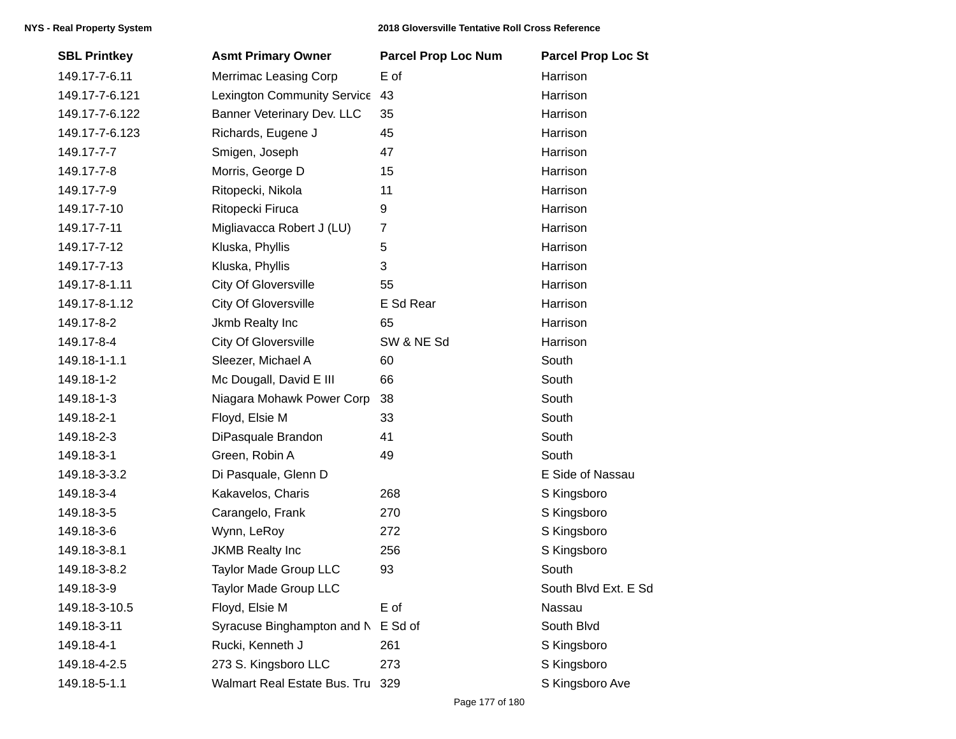| <b>SBL Printkey</b> | <b>Asmt Primary Owner</b>          | <b>Parcel Prop Loc Num</b> | <b>Parcel Prop Loc St</b> |
|---------------------|------------------------------------|----------------------------|---------------------------|
| 149.17-7-6.11       | <b>Merrimac Leasing Corp</b>       | E of                       | Harrison                  |
| 149.17-7-6.121      | Lexington Community Service 43     |                            | Harrison                  |
| 149.17-7-6.122      | Banner Veterinary Dev. LLC         | 35                         | Harrison                  |
| 149.17-7-6.123      | Richards, Eugene J                 | 45                         | Harrison                  |
| 149.17-7-7          | Smigen, Joseph                     | 47                         | Harrison                  |
| 149.17-7-8          | Morris, George D                   | 15                         | Harrison                  |
| 149.17-7-9          | Ritopecki, Nikola                  | 11                         | Harrison                  |
| 149.17-7-10         | Ritopecki Firuca                   | 9                          | Harrison                  |
| 149.17-7-11         | Migliavacca Robert J (LU)          | $\overline{7}$             | Harrison                  |
| 149.17-7-12         | Kluska, Phyllis                    | 5                          | Harrison                  |
| 149.17-7-13         | Kluska, Phyllis                    | 3                          | Harrison                  |
| 149.17-8-1.11       | City Of Gloversville               | 55                         | Harrison                  |
| 149.17-8-1.12       | City Of Gloversville               | E Sd Rear                  | Harrison                  |
| 149.17-8-2          | Jkmb Realty Inc                    | 65                         | Harrison                  |
| 149.17-8-4          | <b>City Of Gloversville</b>        | SW & NE Sd                 | Harrison                  |
| 149.18-1-1.1        | Sleezer, Michael A                 | 60                         | South                     |
| 149.18-1-2          | Mc Dougall, David E III            | 66                         | South                     |
| 149.18-1-3          | Niagara Mohawk Power Corp          | 38                         | South                     |
| 149.18-2-1          | Floyd, Elsie M                     | 33                         | South                     |
| 149.18-2-3          | DiPasquale Brandon                 | 41                         | South                     |
| 149.18-3-1          | Green, Robin A                     | 49                         | South                     |
| 149.18-3-3.2        | Di Pasquale, Glenn D               |                            | E Side of Nassau          |
| 149.18-3-4          | Kakavelos, Charis                  | 268                        | S Kingsboro               |
| 149.18-3-5          | Carangelo, Frank                   | 270                        | S Kingsboro               |
| 149.18-3-6          | Wynn, LeRoy                        | 272                        | S Kingsboro               |
| 149.18-3-8.1        | <b>JKMB Realty Inc</b>             | 256                        | S Kingsboro               |
| 149.18-3-8.2        | Taylor Made Group LLC              | 93                         | South                     |
| 149.18-3-9          | Taylor Made Group LLC              |                            | South Blvd Ext. E Sd      |
| 149.18-3-10.5       | Floyd, Elsie M                     | E of                       | Nassau                    |
| 149.18-3-11         | Syracuse Binghampton and N E Sd of |                            | South Blvd                |
| 149.18-4-1          | Rucki, Kenneth J                   | 261                        | S Kingsboro               |
| 149.18-4-2.5        | 273 S. Kingsboro LLC               | 273                        | S Kingsboro               |
| 149.18-5-1.1        | Walmart Real Estate Bus. Tru 329   |                            | S Kingsboro Ave           |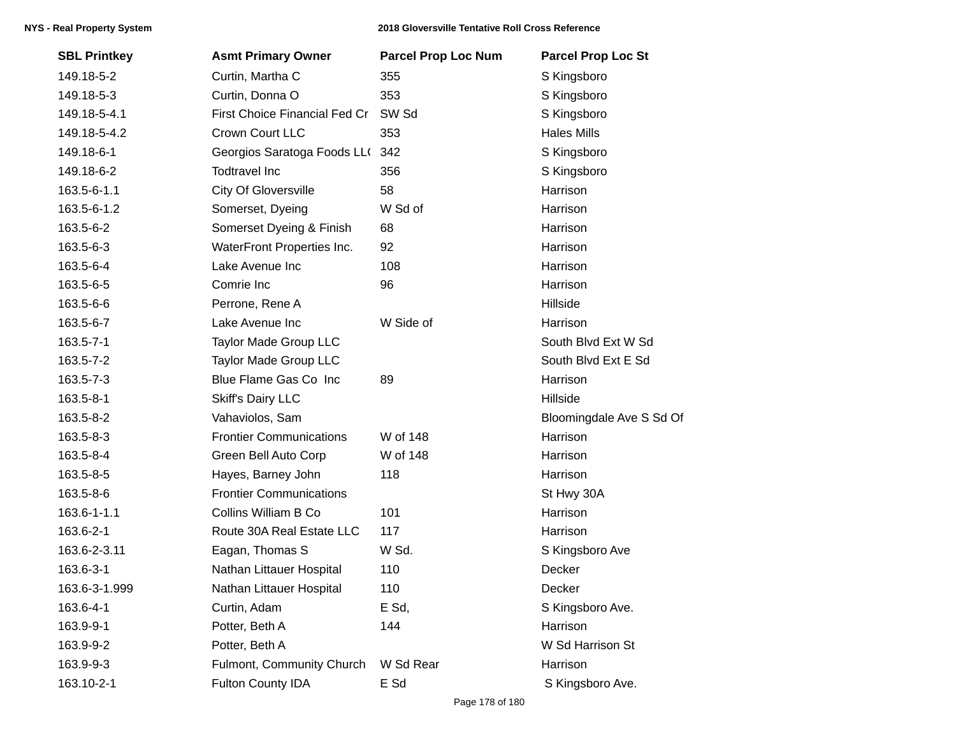| <b>SBL Printkey</b> | <b>Asmt Primary Owner</b>      | <b>Parcel Prop Loc Num</b> | <b>Parcel Prop Loc St</b> |
|---------------------|--------------------------------|----------------------------|---------------------------|
| 149.18-5-2          | Curtin, Martha C               | 355                        | S Kingsboro               |
| 149.18-5-3          | Curtin, Donna O                | 353                        | S Kingsboro               |
| 149.18-5-4.1        | First Choice Financial Fed Cr  | SW <sub>Sd</sub>           | S Kingsboro               |
| 149.18-5-4.2        | Crown Court LLC                | 353                        | <b>Hales Mills</b>        |
| 149.18-6-1          | Georgios Saratoga Foods LL(    | 342                        | S Kingsboro               |
| 149.18-6-2          | <b>Todtravel Inc</b>           | 356                        | S Kingsboro               |
| 163.5-6-1.1         | <b>City Of Gloversville</b>    | 58                         | Harrison                  |
| 163.5-6-1.2         | Somerset, Dyeing               | W Sd of                    | Harrison                  |
| 163.5-6-2           | Somerset Dyeing & Finish       | 68                         | Harrison                  |
| 163.5-6-3           | WaterFront Properties Inc.     | 92                         | Harrison                  |
| 163.5-6-4           | Lake Avenue Inc                | 108                        | Harrison                  |
| 163.5-6-5           | Comrie Inc                     | 96                         | Harrison                  |
| 163.5-6-6           | Perrone, Rene A                |                            | Hillside                  |
| 163.5-6-7           | Lake Avenue Inc                | W Side of                  | Harrison                  |
| 163.5-7-1           | Taylor Made Group LLC          |                            | South Blvd Ext W Sd       |
| 163.5-7-2           | Taylor Made Group LLC          |                            | South Blvd Ext E Sd       |
| 163.5-7-3           | Blue Flame Gas Co Inc          | 89                         | Harrison                  |
| 163.5-8-1           | <b>Skiff's Dairy LLC</b>       |                            | Hillside                  |
| 163.5-8-2           | Vahaviolos, Sam                |                            | Bloomingdale Ave S Sd Of  |
| 163.5-8-3           | <b>Frontier Communications</b> | W of 148                   | Harrison                  |
| 163.5-8-4           | Green Bell Auto Corp           | W of 148                   | Harrison                  |
| 163.5-8-5           | Hayes, Barney John             | 118                        | Harrison                  |
| 163.5-8-6           | <b>Frontier Communications</b> |                            | St Hwy 30A                |
| 163.6-1-1.1         | Collins William B Co           | 101                        | Harrison                  |
| 163.6-2-1           | Route 30A Real Estate LLC      | 117                        | Harrison                  |
| 163.6-2-3.11        | Eagan, Thomas S                | W Sd.                      | S Kingsboro Ave           |
| 163.6-3-1           | Nathan Littauer Hospital       | 110                        | Decker                    |
| 163.6-3-1.999       | Nathan Littauer Hospital       | 110                        | Decker                    |
| 163.6-4-1           | Curtin, Adam                   | E Sd,                      | S Kingsboro Ave.          |
| 163.9-9-1           | Potter, Beth A                 | 144                        | Harrison                  |
| 163.9-9-2           | Potter, Beth A                 |                            | W Sd Harrison St          |
| 163.9-9-3           | Fulmont, Community Church      | W Sd Rear                  | Harrison                  |
| 163.10-2-1          | <b>Fulton County IDA</b>       | E Sd                       | S Kingsboro Ave.          |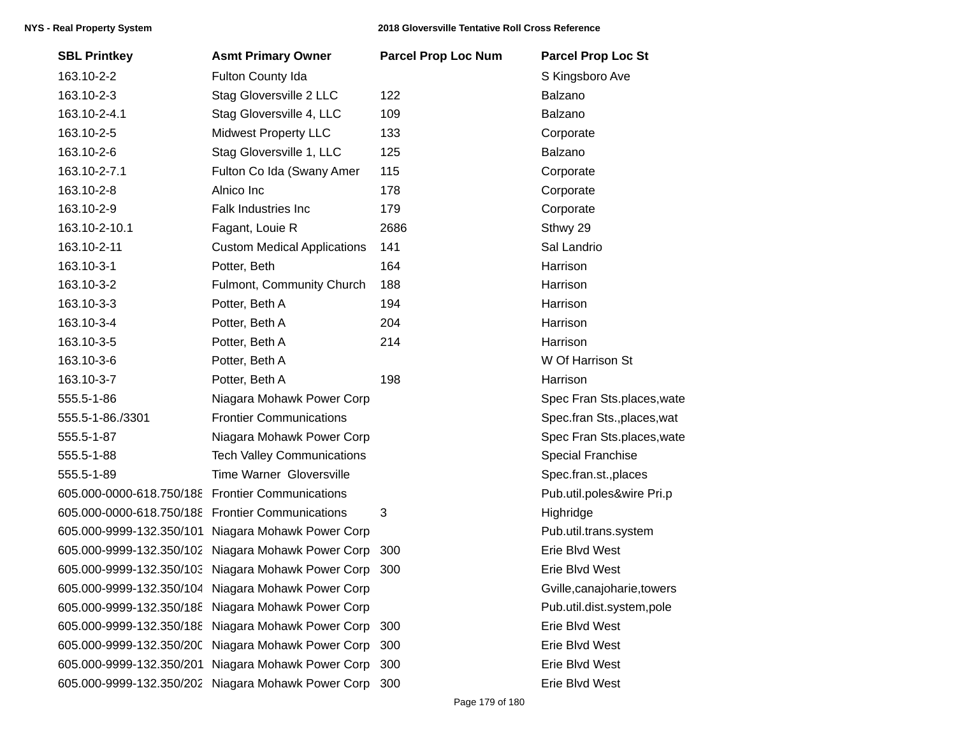| <b>SBL Printkey</b>                              | <b>Asmt Primary Owner</b>                          | <b>Parcel Prop Loc Num</b> | <b>Parcel Prop Loc St</b>   |
|--------------------------------------------------|----------------------------------------------------|----------------------------|-----------------------------|
| 163.10-2-2                                       | Fulton County Ida                                  |                            | S Kingsboro Ave             |
| 163.10-2-3                                       | Stag Gloversville 2 LLC                            | 122                        | Balzano                     |
| 163.10-2-4.1                                     | Stag Gloversville 4, LLC                           | 109                        | Balzano                     |
| 163.10-2-5                                       | <b>Midwest Property LLC</b>                        | 133                        | Corporate                   |
| 163.10-2-6                                       | Stag Gloversville 1, LLC                           | 125                        | Balzano                     |
| 163.10-2-7.1                                     | Fulton Co Ida (Swany Amer                          | 115                        | Corporate                   |
| 163.10-2-8                                       | Alnico Inc                                         | 178                        | Corporate                   |
| 163.10-2-9                                       | Falk Industries Inc                                | 179                        | Corporate                   |
| 163.10-2-10.1                                    | Fagant, Louie R                                    | 2686                       | Sthwy 29                    |
| 163.10-2-11                                      | <b>Custom Medical Applications</b>                 | 141                        | Sal Landrio                 |
| 163.10-3-1                                       | Potter, Beth                                       | 164                        | Harrison                    |
| 163.10-3-2                                       | Fulmont, Community Church                          | 188                        | Harrison                    |
| 163.10-3-3                                       | Potter, Beth A                                     | 194                        | Harrison                    |
| 163.10-3-4                                       | Potter, Beth A                                     | 204                        | Harrison                    |
| 163.10-3-5                                       | Potter, Beth A                                     | 214                        | Harrison                    |
| 163.10-3-6                                       | Potter, Beth A                                     |                            | W Of Harrison St            |
| 163.10-3-7                                       | Potter, Beth A                                     | 198                        | Harrison                    |
| 555.5-1-86                                       | Niagara Mohawk Power Corp                          |                            | Spec Fran Sts.places, wate  |
| 555.5-1-86./3301                                 | <b>Frontier Communications</b>                     |                            | Spec.fran Sts., places, wat |
| 555.5-1-87                                       | Niagara Mohawk Power Corp                          |                            | Spec Fran Sts.places, wate  |
| 555.5-1-88                                       | <b>Tech Valley Communications</b>                  |                            | <b>Special Franchise</b>    |
| 555.5-1-89                                       | Time Warner Gloversville                           |                            | Spec.fran.st., places       |
| 605.000-0000-618.750/188 Frontier Communications |                                                    |                            | Pub.util.poles&wire Pri.p   |
| 605.000-0000-618.750/188 Frontier Communications |                                                    | 3                          | Highridge                   |
|                                                  | 605.000-9999-132.350/101 Niagara Mohawk Power Corp |                            | Pub.util.trans.system       |
|                                                  | 605.000-9999-132.350/102 Niagara Mohawk Power Corp | 300                        | Erie Blvd West              |
|                                                  | 605.000-9999-132.350/103 Niagara Mohawk Power Corp | 300                        | Erie Blvd West              |
|                                                  | 605.000-9999-132.350/104 Niagara Mohawk Power Corp |                            | Gville, canajoharie, towers |
| 605.000-9999-132.350/188                         | Niagara Mohawk Power Corp                          |                            | Pub.util.dist.system,pole   |
| 605.000-9999-132.350/188                         | Niagara Mohawk Power Corp                          | 300                        | Erie Blvd West              |
| 605.000-9999-132.350/200                         | Niagara Mohawk Power Corp                          | 300                        | Erie Blvd West              |
| 605.000-9999-132.350/201                         | Niagara Mohawk Power Corp                          | 300                        | Erie Blvd West              |
| 605.000-9999-132.350/202                         | Niagara Mohawk Power Corp                          | 300                        | Erie Blvd West              |